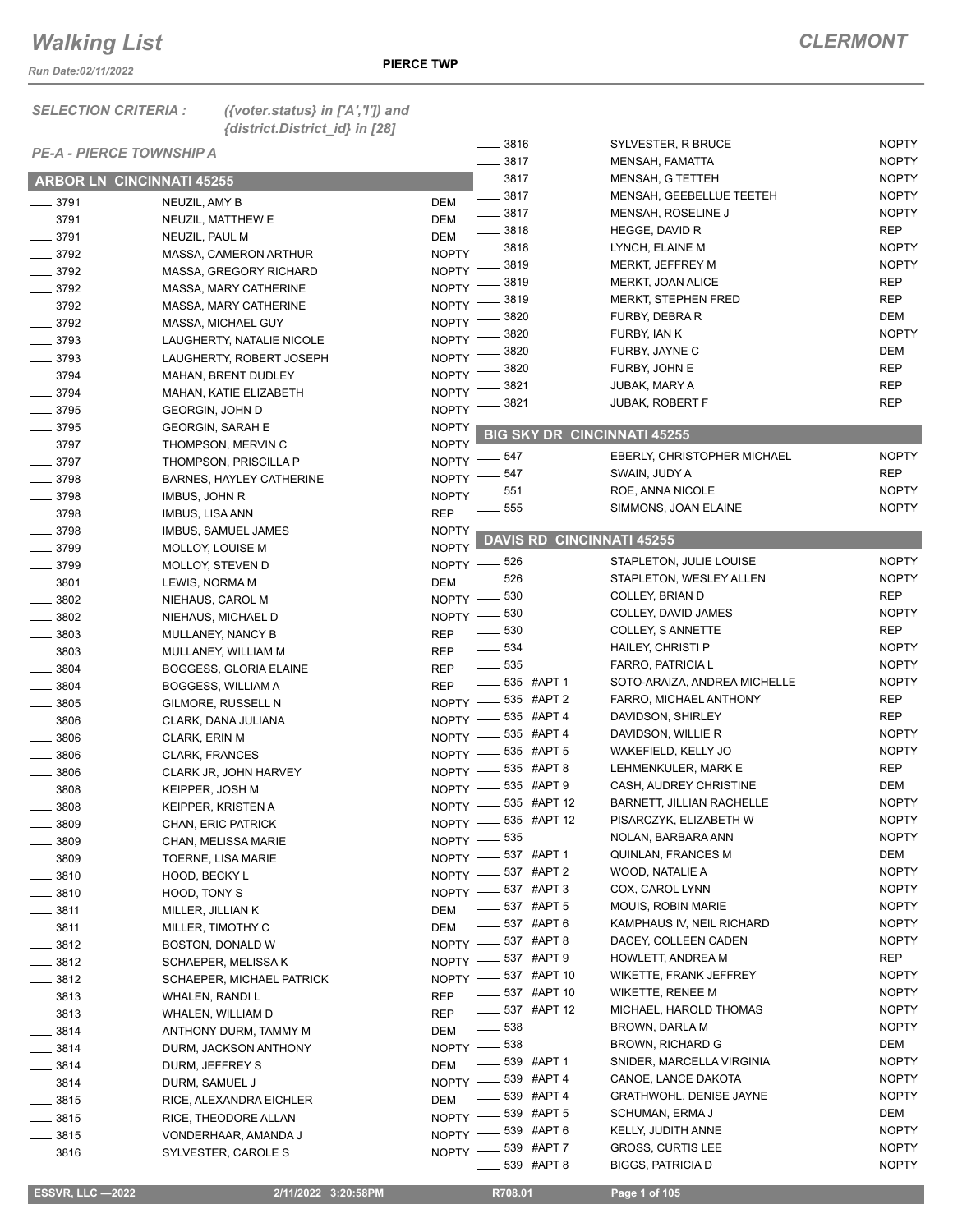*Run Date:02/11/2022*

*SELECTION CRITERIA : ({voter.status} in ['A','I']) and* 

|                       | {district.District_id} in [28]   |                                                 |                                           |                     |
|-----------------------|----------------------------------|-------------------------------------------------|-------------------------------------------|---------------------|
|                       | <b>PE-A - PIERCE TOWNSHIP A</b>  | _ 3816                                          | SYLVESTER, R BRUCE                        | <b>NOPTY</b>        |
|                       |                                  | $- 3817$                                        | MENSAH, FAMATTA                           | <b>NOPTY</b>        |
|                       | <b>ARBOR LN CINCINNATI 45255</b> | 3817                                            | MENSAH, G TETTEH                          | <b>NOPTY</b>        |
| $- 3791$              | NEUZIL, AMY B                    | $\frac{1}{2}$ 3817<br>DEM                       | MENSAH, GEEBELLUE TEETEH                  | <b>NOPTY</b>        |
| $- 3791$              | NEUZIL, MATTHEW E                | $\frac{1}{2}$ 3817<br>DEM                       | MENSAH, ROSELINE J                        | <b>NOPTY</b>        |
| $- 3791$              | NEUZIL, PAUL M                   | $=$ 3818<br><b>DEM</b>                          | HEGGE, DAVID R                            | <b>REP</b>          |
| $\frac{1}{2}$ 3792    | MASSA, CAMERON ARTHUR            | $-3818$<br><b>NOPTY</b>                         | LYNCH, ELAINE M                           | <b>NOPTY</b>        |
| $- 3792$              | MASSA, GREGORY RICHARD           | 3819<br><b>NOPTY</b>                            | MERKT, JEFFREY M                          | <b>NOPTY</b>        |
| $- 3792$              | MASSA, MARY CATHERINE            | 3819<br><b>NOPTY</b>                            | MERKT, JOAN ALICE                         | <b>REP</b>          |
| $\frac{1}{2}$ 3792    | MASSA, MARY CATHERINE            | 3819<br>NOPTY <sup>-</sup>                      | MERKT, STEPHEN FRED                       | <b>REP</b>          |
| $- 3792$              | MASSA, MICHAEL GUY               | 3820<br>NOPTY -                                 | FURBY, DEBRA R                            | DEM                 |
| $\frac{1}{2}$ 3793    | LAUGHERTY, NATALIE NICOLE        | 3820<br>NOPTY <sup>-</sup>                      | FURBY, IAN K                              | <b>NOPTY</b>        |
| $\frac{1}{2}$ 3793    | LAUGHERTY, ROBERT JOSEPH         | 3820<br><b>NOPTY</b>                            | FURBY, JAYNE C                            | DEM                 |
| $- 3794$              | MAHAN, BRENT DUDLEY              | 3820<br><b>NOPTY</b>                            | FURBY, JOHN E                             | <b>REP</b>          |
| $- 3794$              | MAHAN, KATIE ELIZABETH           | 3821<br><b>NOPTY</b>                            | JUBAK, MARY A                             | <b>REP</b>          |
| $\frac{1}{2}$ 3795    | <b>GEORGIN, JOHN D</b>           | 3821<br><b>NOPTY</b>                            | <b>JUBAK, ROBERT F</b>                    | <b>REP</b>          |
| $\frac{1}{2}$ 3795    | <b>GEORGIN, SARAH E</b>          | <b>NOPTY</b>                                    |                                           |                     |
| $-3797$               | THOMPSON, MERVIN C               | <b>NOPTY</b>                                    | <b>BIG SKY DR CINCINNATI 45255</b>        |                     |
| $- 3797$              | THOMPSON, PRISCILLA P            | _ 547<br><b>NOPTY</b>                           | <b>EBERLY, CHRISTOPHER MICHAEL</b>        | <b>NOPTY</b>        |
| $- 3798$              | BARNES, HAYLEY CATHERINE         | $-547$<br>NOPTY -                               | SWAIN, JUDY A                             | REP                 |
| $- 3798$              | IMBUS, JOHN R                    | _ 551<br>NOPTY -                                | ROE, ANNA NICOLE                          | <b>NOPTY</b>        |
| $- 3798$              | <b>IMBUS, LISA ANN</b>           | _ 555<br><b>REP</b>                             | SIMMONS, JOAN ELAINE                      | <b>NOPTY</b>        |
| $\frac{1}{2}$ 3798    | IMBUS, SAMUEL JAMES              | <b>NOPTY</b>                                    |                                           |                     |
| $- 3799$              | MOLLOY, LOUISE M                 | <b>NOPTY</b>                                    | <b>DAVIS RD CINCINNATI 45255</b>          |                     |
| $- 3799$              | MOLLOY, STEVEN D                 | NOPTY -826                                      | STAPLETON, JULIE LOUISE                   | <b>NOPTY</b>        |
| $-3801$               | LEWIS, NORMA M                   | 526<br><b>DEM</b>                               | STAPLETON, WESLEY ALLEN                   | <b>NOPTY</b>        |
| $\frac{1}{2}$ 3802    | NIEHAUS, CAROL M                 | NOPTY -830                                      | COLLEY, BRIAN D                           | REP                 |
| 3802                  | NIEHAUS, MICHAEL D               | NOPTY -830                                      | COLLEY, DAVID JAMES                       | <b>NOPTY</b>        |
| 3803                  | MULLANEY, NANCY B                | $\frac{1}{2}$ 530<br><b>REP</b>                 | <b>COLLEY, S ANNETTE</b>                  | <b>REP</b>          |
| 3803                  | MULLANEY, WILLIAM M              | $\frac{1}{2}$ 534<br><b>REP</b>                 | HAILEY, CHRISTI P                         | <b>NOPTY</b>        |
| 3804                  | <b>BOGGESS, GLORIA ELAINE</b>    | $\frac{1}{2}$ 535<br><b>REP</b>                 | FARRO, PATRICIA L                         | <b>NOPTY</b>        |
| 3804                  | BOGGESS, WILLIAM A               | $- 535$ #APT 1<br><b>REP</b>                    | SOTO-ARAIZA, ANDREA MICHELLE              | <b>NOPTY</b>        |
| $\frac{1}{2}$ 3805    | GILMORE, RUSSELL N               | NOPTY -835 #APT 2                               | FARRO, MICHAEL ANTHONY                    | <b>REP</b>          |
| $\frac{1}{2}$ 3806    | CLARK, DANA JULIANA              | NOPTY -835 #APT 4                               | DAVIDSON, SHIRLEY                         | REP                 |
| 3806<br>$\frac{1}{2}$ | CLARK, ERIN M                    | _ 535 #APT 4<br>$NOPTY =$                       | DAVIDSON, WILLIE R                        | <b>NOPTY</b>        |
| 3806                  | <b>CLARK, FRANCES</b>            | $\_ 535$ #APT 5<br>$N$ OPTY $-$                 | WAKEFIELD, KELLY JO                       | <b>NOPTY</b>        |
| $\frac{1}{2}$ 3806    | CLARK JR, JOHN HARVEY            | NOPTY -8535 #APT 8                              | LEHMENKULER, MARK E                       | REP                 |
| 3808                  | KEIPPER, JOSH M                  | NOPTY -835 #APT 9                               | CASH, AUDREY CHRISTINE                    | DEM                 |
| $\frac{1}{2}$ 3808    | <b>KEIPPER, KRISTEN A</b>        | NOPTY -835 #APT 12                              | BARNETT, JILLIAN RACHELLE                 | <b>NOPTY</b>        |
| $-3809$               | CHAN, ERIC PATRICK               | NOPTY -835 #APT 12                              | PISARCZYK, ELIZABETH W                    | <b>NOPTY</b>        |
| 3809                  | CHAN, MELISSA MARIE              | NOPTY -835                                      | NOLAN, BARBARA ANN                        | <b>NOPTY</b>        |
| $\frac{1}{2}$ 3809    | TOERNE, LISA MARIE               | NOPTY -837 #APT 1                               | QUINLAN, FRANCES M                        | DEM                 |
| $\frac{1}{2}$ 3810    | HOOD, BECKY L                    | NOPTY -837 #APT 2                               | WOOD, NATALIE A                           | <b>NOPTY</b>        |
| $- 3810$              | HOOD, TONY S                     | NOPTY -837 #APT 3                               | COX, CAROL LYNN                           | <b>NOPTY</b>        |
| $\frac{1}{2}$ 3811    | MILLER, JILLIAN K                | -637 #APT 5<br>DEM                              | <b>MOUIS, ROBIN MARIE</b>                 | <b>NOPTY</b>        |
| $=$ 3811              | MILLER, TIMOTHY C                | ____ 537 #APT 6<br>DEM                          | KAMPHAUS IV, NEIL RICHARD                 | <b>NOPTY</b>        |
| $\frac{1}{2}$ 3812    | BOSTON, DONALD W                 | NOPTY -8537 #APT 8                              | DACEY, COLLEEN CADEN<br>HOWLETT, ANDREA M | <b>NOPTY</b><br>REP |
| $\frac{1}{2}$ 3812    | SCHAEPER, MELISSA K              | NOPTY -837 #APT 9                               | WIKETTE, FRANK JEFFREY                    | <b>NOPTY</b>        |
| $- 3812$              | <b>SCHAEPER, MICHAEL PATRICK</b> | NOPTY -837 #APT 10<br><b>______ 537 #APT 10</b> | WIKETTE, RENEE M                          | <b>NOPTY</b>        |
| $\frac{1}{2}$ 3813    | WHALEN, RANDI L                  | REP<br>___ 537 #APT 12                          | MICHAEL, HAROLD THOMAS                    | <b>NOPTY</b>        |
| $-3813$               | WHALEN, WILLIAM D                | REP<br>$\frac{1}{2}$ 538                        | BROWN, DARLA M                            | <b>NOPTY</b>        |
| $\frac{1}{2}$ 3814    | ANTHONY DURM, TAMMY M            | DEM                                             | BROWN, RICHARD G                          | DEM                 |
| $\frac{1}{2}$ 3814    | DURM, JACKSON ANTHONY            | NOPTY -838<br>$\frac{1}{2}$ 539 #APT 1          | SNIDER, MARCELLA VIRGINIA                 | <b>NOPTY</b>        |
| $- 3814$              | DURM, JEFFREY S                  | DEM<br>NOPTY -839 #APT 4                        | CANOE, LANCE DAKOTA                       | <b>NOPTY</b>        |
| $\frac{1}{2}$ 3814    | DURM, SAMUEL J                   | $\frac{1}{2}$ 539 #APT 4                        | GRATHWOHL, DENISE JAYNE                   | <b>NOPTY</b>        |
| $\frac{1}{2}$ 3815    | RICE, ALEXANDRA EICHLER          | DEM<br>NOPTY -839 #APT 5                        | SCHUMAN, ERMA J                           | DEM                 |
| $\frac{1}{2}$ 3815    | RICE, THEODORE ALLAN             | NOPTY -839 #APT 6                               | KELLY, JUDITH ANNE                        | <b>NOPTY</b>        |
| $\frac{1}{2}$ 3815    | VONDERHAAR, AMANDA J             | NOPTY -839 #APT 7                               | GROSS, CURTIS LEE                         | <b>NOPTY</b>        |
| 3816                  | SYLVESTER, CAROLE S              |                                                 |                                           |                     |

\_539 #APT 8 BIGGS, PATRICIA D NOPTY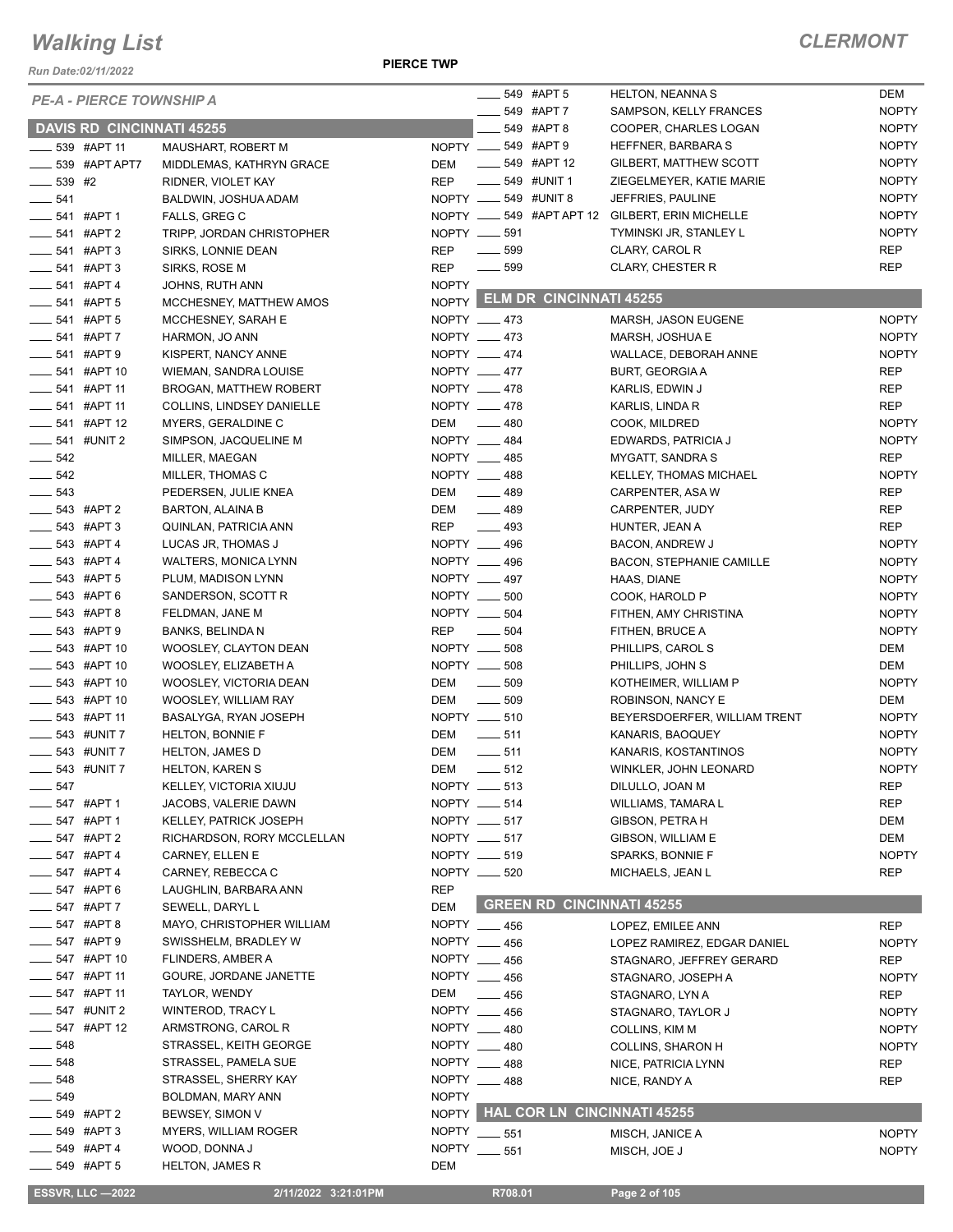*Run Date:02/11/2022*

**PIERCE TWP**

|                           | <b>PE-A - PIERCE TOWNSHIP A</b>  |                               |              |                        | 549 #APT 5                    | <b>HELTON, NEANNA S</b>                         | <b>DEM</b>                   |
|---------------------------|----------------------------------|-------------------------------|--------------|------------------------|-------------------------------|-------------------------------------------------|------------------------------|
|                           | <b>DAVIS RD CINCINNATI 45255</b> |                               |              |                        | 549 #APT 7<br>549 #APT 8      | SAMPSON, KELLY FRANCES<br>COOPER, CHARLES LOGAN | <b>NOPTY</b><br><b>NOPTY</b> |
| $\frac{1}{2}$ 539 #APT 11 |                                  | MAUSHART, ROBERT M            |              | NOPTY __ 549 #APT 9    |                               | HEFFNER, BARBARA S                              | <b>NOPTY</b>                 |
|                           | 539 #APT APT7                    | MIDDLEMAS, KATHRYN GRACE      | DEM          | $\frac{1}{2}$          | 549 #APT 12                   | GILBERT, MATTHEW SCOTT                          | <b>NOPTY</b>                 |
| $- 539$ #2                |                                  | RIDNER, VIOLET KAY            | <b>REP</b>   | $\frac{1}{2}$          | 549 #UNIT 1                   | ZIEGELMEYER, KATIE MARIE                        | <b>NOPTY</b>                 |
| $-541$                    |                                  |                               |              | NOPTY __ 549 #UNIT 8   |                               | JEFFRIES, PAULINE                               | <b>NOPTY</b>                 |
|                           |                                  | BALDWIN, JOSHUA ADAM          |              |                        |                               | NOPTY __ 549 #APT APT 12 GILBERT, ERIN MICHELLE | <b>NOPTY</b>                 |
| $-541$ #APT 1             |                                  | FALLS, GREG C                 |              |                        |                               |                                                 |                              |
| $\frac{1}{2}$ 541 #APT 2  |                                  | TRIPP, JORDAN CHRISTOPHER     |              | NOPTY <u>_</u> ___ 591 |                               | TYMINSKI JR, STANLEY L                          | <b>NOPTY</b>                 |
|                           | $-541$ #APT 3                    | SIRKS, LONNIE DEAN            | <b>REP</b>   | $\frac{1}{2}$ 599      |                               | CLARY, CAROL R                                  | <b>REP</b>                   |
|                           | $-541$ #APT 3                    | SIRKS, ROSE M                 | <b>REP</b>   | $\frac{1}{2}$ 599      |                               | <b>CLARY, CHESTER R</b>                         | <b>REP</b>                   |
| $-541$ #APT 4             |                                  | JOHNS, RUTH ANN               | <b>NOPTY</b> |                        | NOPTY ELM DR CINCINNATI 45255 |                                                 |                              |
| _____ 541 #APT 5          |                                  | MCCHESNEY, MATTHEW AMOS       |              |                        |                               |                                                 |                              |
| <b>_____ 541 #APT 5</b>   |                                  | MCCHESNEY, SARAH E            |              | NOPTY __ 473           |                               | MARSH, JASON EUGENE                             | <b>NOPTY</b>                 |
| $-541$ #APT 7             |                                  | HARMON, JO ANN                |              | NOPTY __ 473           |                               | MARSH, JOSHUA E                                 | <b>NOPTY</b>                 |
| $-541$ #APT 9             |                                  | KISPERT, NANCY ANNE           |              | NOPTY __ 474           |                               | WALLACE, DEBORAH ANNE                           | <b>NOPTY</b>                 |
|                           | _ 541 #APT 10                    | WIEMAN, SANDRA LOUISE         |              | NOPTY __ 477           |                               | <b>BURT, GEORGIA A</b>                          | <b>REP</b>                   |
|                           | $-541$ #APT 11                   | BROGAN, MATTHEW ROBERT        |              | NOPTY __ 478           |                               | KARLIS, EDWIN J                                 | REP                          |
| ____ 541 #APT 11          |                                  | COLLINS, LINDSEY DANIELLE     |              | NOPTY __ 478           |                               | KARLIS, LINDA R                                 | <b>REP</b>                   |
| $\frac{1}{2}$ 541 #APT 12 |                                  | MYERS, GERALDINE C            | DEM          | $-480$                 |                               | COOK, MILDRED                                   | <b>NOPTY</b>                 |
| $\frac{1}{2}$ 541 #UNIT 2 |                                  | SIMPSON, JACQUELINE M         |              | NOPTY __ 484           |                               | EDWARDS, PATRICIA J                             | <b>NOPTY</b>                 |
| $-542$                    |                                  | MILLER, MAEGAN                |              | NOPTY __ 485           |                               | <b>MYGATT, SANDRA S</b>                         | <b>REP</b>                   |
| $- 542$                   |                                  | MILLER, THOMAS C              |              | NOPTY __ 488           |                               | KELLEY, THOMAS MICHAEL                          | <b>NOPTY</b>                 |
| $- 543$                   |                                  | PEDERSEN, JULIE KNEA          | DEM          | $-489$                 |                               | CARPENTER, ASA W                                | <b>REP</b>                   |
| $-543$ #APT 2             |                                  | <b>BARTON, ALAINA B</b>       | DEM          | $-489$                 |                               | CARPENTER, JUDY                                 | <b>REP</b>                   |
| $-543$ #APT 3             |                                  | QUINLAN, PATRICIA ANN         | REP          | $\frac{1}{2}$ 493      |                               | HUNTER, JEAN A                                  | <b>REP</b>                   |
| $-543$ #APT 4             |                                  | LUCAS JR, THOMAS J            |              | NOPTY __ 496           |                               | <b>BACON, ANDREW J</b>                          | <b>NOPTY</b>                 |
| $-543$ #APT 4             |                                  | <b>WALTERS, MONICA LYNN</b>   |              | NOPTY __ 496           |                               | <b>BACON, STEPHANIE CAMILLE</b>                 | <b>NOPTY</b>                 |
| $- 543$ #APT 5            |                                  | PLUM, MADISON LYNN            |              | NOPTY __ 497           |                               | HAAS, DIANE                                     | <b>NOPTY</b>                 |
|                           | $-543$ #APT 6                    | SANDERSON, SCOTT R            | NOPTY __     | 500                    |                               | COOK, HAROLD P                                  | <b>NOPTY</b>                 |
|                           | $-543$ #APT 8                    | FELDMAN, JANE M               |              | NOPTY __ 504           |                               | FITHEN, AMY CHRISTINA                           | <b>NOPTY</b>                 |
|                           | $-543$ #APT 9                    | <b>BANKS, BELINDA N</b>       | REP          | $\frac{1}{2}$ 504      |                               |                                                 | <b>NOPTY</b>                 |
|                           | $-543$ #APT 10                   |                               |              | NOPTY __ 508           |                               | FITHEN, BRUCE A                                 | <b>DEM</b>                   |
|                           |                                  | WOOSLEY, CLAYTON DEAN         |              |                        |                               | PHILLIPS, CAROL S                               |                              |
| $\frac{1}{2}$ 543 #APT 10 |                                  | WOOSLEY, ELIZABETH A          |              | NOPTY __ 508           |                               | PHILLIPS, JOHN S                                | <b>DEM</b>                   |
| $\frac{1}{2}$ 543 #APT 10 |                                  | WOOSLEY, VICTORIA DEAN        | DEM          | $\frac{1}{2}$ 509      |                               | KOTHEIMER, WILLIAM P                            | <b>NOPTY</b>                 |
| $\frac{1}{2}$ 543 #APT 10 |                                  | WOOSLEY, WILLIAM RAY          | DEM          | $\frac{1}{2}$ 509      |                               | ROBINSON, NANCY E                               | <b>DEM</b>                   |
|                           | $-543$ #APT 11                   | BASALYGA, RYAN JOSEPH         |              | NOPTY __ 510           |                               | BEYERSDOERFER, WILLIAM TRENT                    | <b>NOPTY</b>                 |
| $\frac{1}{2}$ 543 #UNIT 7 |                                  | <b>HELTON, BONNIE F</b>       | DEM          | $\frac{1}{2}$ 511      |                               | KANARIS, BAOQUEY                                | <b>NOPTY</b>                 |
| $\frac{1}{2}$ 543 #UNIT 7 |                                  | <b>HELTON, JAMES D</b>        | DEM          | $\frac{1}{2}$ 511      |                               | KANARIS, KOSTANTINOS                            | <b>NOPTY</b>                 |
| $\frac{1}{2}$ 543 #UNIT 7 |                                  | <b>HELTON, KAREN S</b>        | DEM          | $-512$                 |                               | WINKLER, JOHN LEONARD                           | <b>NOPTY</b>                 |
| 547                       |                                  | <b>KELLEY, VICTORIA XIUJU</b> |              | NOPTY __ 513           |                               | DILULLO, JOAN M                                 | <b>REP</b>                   |
|                           | 547 #APT 1                       | JACOBS, VALERIE DAWN          |              | NOPTY __ 514           |                               | WILLIAMS, TAMARA L                              | <b>REP</b>                   |
|                           | 547 #APT 1                       | KELLEY, PATRICK JOSEPH        |              | NOPTY __ 517           |                               | GIBSON, PETRA H                                 | DEM                          |
|                           | _ 547 #APT 2                     | RICHARDSON, RORY MCCLELLAN    |              | NOPTY __ 517           |                               | GIBSON, WILLIAM E                               | <b>DEM</b>                   |
|                           | 547 #APT 4                       | CARNEY, ELLEN E               |              | NOPTY __ 519           |                               | SPARKS, BONNIE F                                | <b>NOPTY</b>                 |
|                           | $-547$ #APT 4                    | CARNEY, REBECCA C             |              | NOPTY __ 520           |                               | MICHAELS, JEAN L                                | <b>REP</b>                   |
|                           | _ 547 #APT 6                     | LAUGHLIN, BARBARA ANN         | <b>REP</b>   |                        |                               |                                                 |                              |
|                           | _ 547 #APT 7                     | SEWELL, DARYL L               | DEM          |                        |                               | <b>GREEN RD CINCINNATI 45255</b>                |                              |
|                           | 547 #APT 8                       | MAYO, CHRISTOPHER WILLIAM     |              | NOPTY __ 456           |                               | LOPEZ, EMILEE ANN                               | <b>REP</b>                   |
|                           | 547 #APT 9                       | SWISSHELM, BRADLEY W          |              | NOPTY __ 456           |                               | LOPEZ RAMIREZ, EDGAR DANIEL                     | <b>NOPTY</b>                 |
|                           | 547 #APT 10                      | <b>FLINDERS, AMBER A</b>      |              | NOPTY __ 456           |                               | STAGNARO, JEFFREY GERARD                        | REP                          |
|                           | 547 #APT 11                      | GOURE, JORDANE JANETTE        |              | NOPTY __ 456           |                               | STAGNARO, JOSEPH A                              | <b>NOPTY</b>                 |
|                           | <sub>–</sub> 547 #APT 11         | TAYLOR, WENDY                 | DEM          | $\frac{1}{2}$ 456      |                               | STAGNARO, LYN A                                 | <b>REP</b>                   |
|                           | _ 547 #UNIT 2                    | WINTEROD, TRACY L             |              | NOPTY __ 456           |                               | STAGNARO, TAYLOR J                              | <b>NOPTY</b>                 |
|                           | $-547$ #APT 12                   | ARMSTRONG, CAROL R            |              | NOPTY 480              |                               | COLLINS, KIM M                                  | <b>NOPTY</b>                 |
| $\frac{1}{2}$ 548         |                                  | STRASSEL, KEITH GEORGE        |              | NOPTY __ 480           |                               | <b>COLLINS, SHARON H</b>                        | <b>NOPTY</b>                 |
| 548                       |                                  | STRASSEL, PAMELA SUE          |              | NOPTY 488              |                               |                                                 |                              |
|                           |                                  |                               |              |                        |                               | NICE, PATRICIA LYNN                             | <b>REP</b>                   |
| _ 548                     |                                  | STRASSEL, SHERRY KAY          |              | NOPTY 488              |                               | NICE, RANDY A                                   | <b>REP</b>                   |
| $-549$                    |                                  | BOLDMAN, MARY ANN             | <b>NOPTY</b> |                        |                               |                                                 |                              |
|                           | $-549$ #APT 2                    | BEWSEY, SIMON V               |              |                        |                               | NOPTY HAL COR LN CINCINNATI 45255               |                              |
|                           | _ 549 #APT 3                     | <b>MYERS, WILLIAM ROGER</b>   |              | NOPTY ____ 551         |                               | MISCH, JANICE A                                 | <b>NOPTY</b>                 |
|                           | 549 #APT 4                       | WOOD, DONNA J                 | <b>NOPTY</b> | 551                    |                               | MISCH, JOE J                                    | <b>NOPTY</b>                 |
|                           | __ 549 #APT 5                    | <b>HELTON, JAMES R</b>        | DEM          |                        |                               |                                                 |                              |
|                           | <b>ESSVR, LLC -2022</b>          | 2/11/2022 3:21:01PM           |              | R708.01                |                               | Page 2 of 105                                   |                              |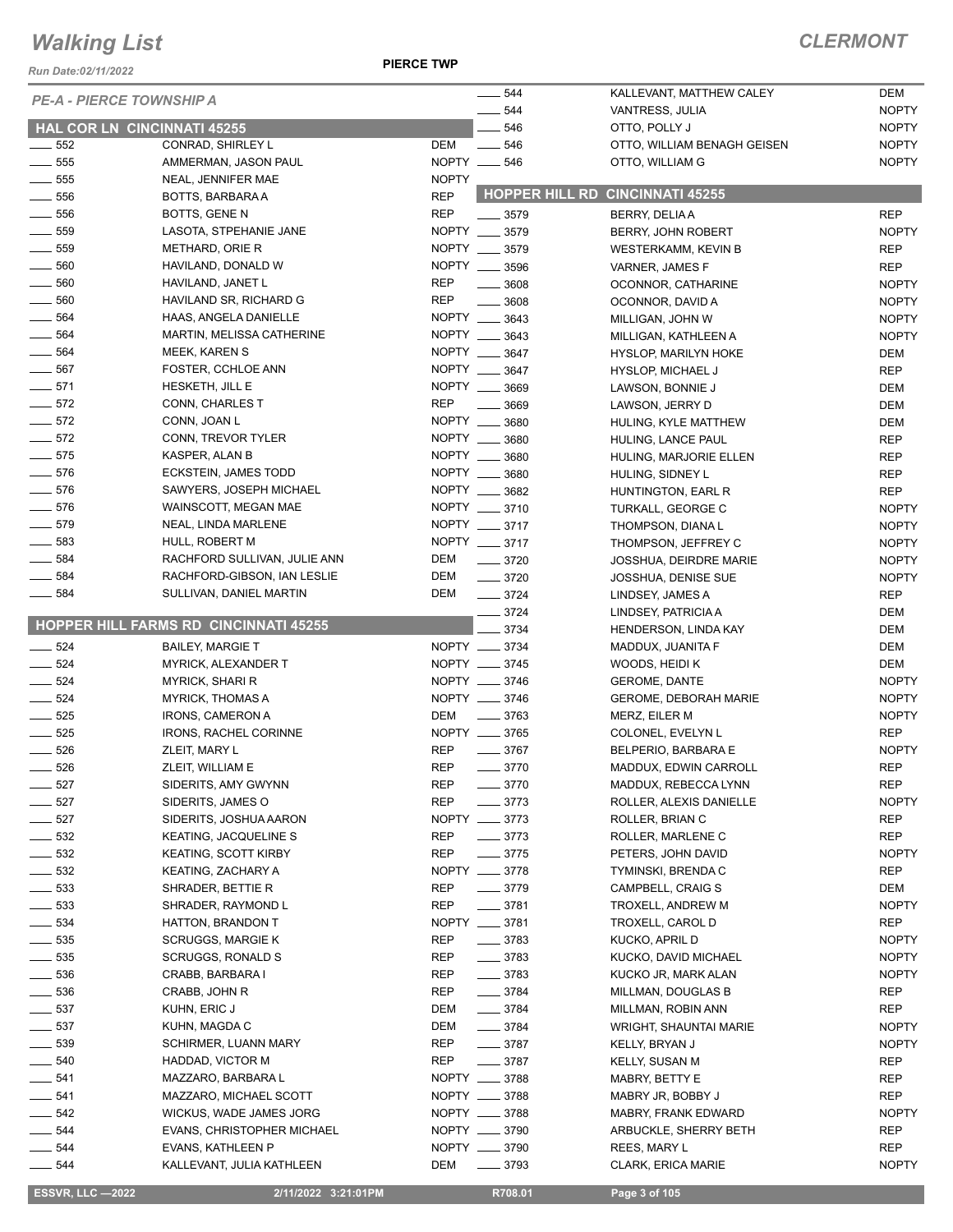*Run Date:02/11/2022*

**PIERCE TWP**

| <b>PE-A - PIERCE TOWNSHIP A</b> |                                       |              | 544                | KALLEVANT, MATTHEW CALEY               | DEM          |
|---------------------------------|---------------------------------------|--------------|--------------------|----------------------------------------|--------------|
|                                 |                                       |              | 544                | VANTRESS, JULIA                        | <b>NOPTY</b> |
|                                 | <b>HAL COR LN CINCINNATI 45255</b>    |              | 546                | OTTO, POLLY J                          | <b>NOPTY</b> |
| $\frac{1}{2}$ 552               | CONRAD, SHIRLEY L                     | DEM          | $\frac{1}{2}$ 546  | OTTO, WILLIAM BENAGH GEISEN            | <b>NOPTY</b> |
| $- 555$                         | AMMERMAN, JASON PAUL                  |              | NOPTY __ 546       | OTTO, WILLIAM G                        | <b>NOPTY</b> |
| $\frac{1}{2}$ 555               | NEAL, JENNIFER MAE                    | <b>NOPTY</b> |                    |                                        |              |
| $\frac{1}{2}$ 556               | BOTTS, BARBARA A                      | <b>REP</b>   |                    | <b>HOPPER HILL RD CINCINNATI 45255</b> |              |
| $\frac{1}{2}$ 556               | BOTTS, GENE N                         | <b>REP</b>   | $- 3579$           | BERRY, DELIA A                         | <b>REP</b>   |
| $\frac{1}{2}$ 559               | LASOTA, STPEHANIE JANE                |              | NOPTY __ 3579      | BERRY, JOHN ROBERT                     | <b>NOPTY</b> |
| $\frac{1}{2}$ 559               | METHARD, ORIE R                       |              | NOPTY __ 3579      | <b>WESTERKAMM, KEVIN B</b>             | <b>REP</b>   |
| $\frac{1}{2}$ 560               | HAVILAND, DONALD W                    |              | NOPTY __ 3596      | VARNER, JAMES F                        | <b>REP</b>   |
| $\frac{1}{2}$ 560               | HAVILAND, JANET L                     | <b>REP</b>   | $\frac{1}{2}$ 3608 | OCONNOR, CATHARINE                     | <b>NOPTY</b> |
| $\frac{1}{2}$ 560               | HAVILAND SR, RICHARD G                | <b>REP</b>   | 3608               | OCONNOR, DAVID A                       | <b>NOPTY</b> |
| $\frac{1}{2}$ 564               | HAAS, ANGELA DANIELLE                 | NOPTY __     | 3643               | MILLIGAN, JOHN W                       | <b>NOPTY</b> |
| $\frac{1}{2}$ 564               | MARTIN, MELISSA CATHERINE             |              | NOPTY __ 3643      | MILLIGAN, KATHLEEN A                   | <b>NOPTY</b> |
| $- 564$                         | MEEK, KAREN S                         |              | NOPTY __ 3647      | <b>HYSLOP, MARILYN HOKE</b>            | DEM          |
| $- 567$                         | FOSTER, CCHLOE ANN                    |              | NOPTY __ 3647      | HYSLOP, MICHAEL J                      | <b>REP</b>   |
| $-571$                          | HESKETH, JILL E                       |              | NOPTY __ 3669      | LAWSON, BONNIE J                       | DEM          |
| $\frac{1}{2}$ 572               | CONN, CHARLES T                       | <b>REP</b>   | 3669               | LAWSON, JERRY D                        | DEM          |
| $\frac{1}{2}$ 572               | CONN, JOAN L                          |              | NOPTY __ 3680      | HULING, KYLE MATTHEW                   | DEM          |
| $\frac{1}{2}$ 572               | CONN, TREVOR TYLER                    |              | NOPTY __ 3680      | HULING, LANCE PAUL                     | <b>REP</b>   |
| $-575$                          | KASPER, ALAN B                        |              | NOPTY __ 3680      | HULING, MARJORIE ELLEN                 | <b>REP</b>   |
| $\frac{1}{2}$ 576               | ECKSTEIN, JAMES TODD                  |              | NOPTY __ 3680      | HULING, SIDNEY L                       | <b>REP</b>   |
| $- 576$                         | SAWYERS, JOSEPH MICHAEL               |              | NOPTY __ 3682      | HUNTINGTON, EARL R                     | <b>REP</b>   |
| $- 576$                         | WAINSCOTT, MEGAN MAE                  |              | NOPTY __ 3710      | TURKALL, GEORGE C                      | <b>NOPTY</b> |
| $- 579$                         | NEAL, LINDA MARLENE                   |              | NOPTY __ 3717      | THOMPSON, DIANA L                      | <b>NOPTY</b> |
| $\frac{1}{2}$ 583               | HULL, ROBERT M                        |              | NOPTY __ 3717      | THOMPSON, JEFFREY C                    | <b>NOPTY</b> |
| $- 584$                         | RACHFORD SULLIVAN, JULIE ANN          | DEM          | $- 3720$           | <b>JOSSHUA, DEIRDRE MARIE</b>          | <b>NOPTY</b> |
| $- 584$                         | RACHFORD-GIBSON, IAN LESLIE           | DEM          | $\frac{1}{2}$ 3720 | JOSSHUA, DENISE SUE                    | <b>NOPTY</b> |
| $\frac{1}{2}$ 584               | SULLIVAN, DANIEL MARTIN               | DEM          | $- 3724$           | LINDSEY, JAMES A                       | <b>REP</b>   |
|                                 |                                       |              | $- 3724$           | LINDSEY, PATRICIA A                    | DEM          |
|                                 | HOPPER HILL FARMS RD CINCINNATI 45255 |              | 3734               | HENDERSON, LINDA KAY                   | DEM          |
| $\frac{1}{2}$ 524               | <b>BAILEY, MARGIE T</b>               |              | NOPTY __ 3734      | MADDUX, JUANITA F                      | DEM          |
| $-524$                          | <b>MYRICK, ALEXANDER T</b>            |              | NOPTY __ 3745      | WOODS, HEIDI K                         | DEM          |
| $\frac{1}{2}$ 524               | <b>MYRICK, SHARI R</b>                |              | NOPTY __ 3746      | <b>GEROME, DANTE</b>                   | <b>NOPTY</b> |
| $\frac{1}{2}$ 524               | <b>MYRICK, THOMAS A</b>               |              | NOPTY __ 3746      | <b>GEROME, DEBORAH MARIE</b>           | <b>NOPTY</b> |
| $\frac{1}{2}$ 525               | <b>IRONS, CAMERON A</b>               | DEM          | $\frac{1}{2}$ 3763 | MERZ, EILER M                          | <b>NOPTY</b> |
| $- 525$                         | IRONS, RACHEL CORINNE                 |              | NOPTY __ 3765      | COLONEL, EVELYN L                      | <b>REP</b>   |
| 526                             | ZLEIT, MARY L                         | <b>REP</b>   | $\frac{1}{2}$ 3767 | BELPERIO, BARBARA E                    | <b>NOPTY</b> |
| $-526$                          | ZLEIT, WILLIAM E                      | <b>REP</b>   | $- 3770$           | MADDUX, EDWIN CARROLL                  | <b>REP</b>   |
| $- 527$                         | SIDERITS, AMY GWYNN                   | <b>REP</b>   | $- 3770$           | MADDUX, REBECCA LYNN                   | <b>REP</b>   |
|                                 |                                       | <b>REP</b>   | $-3773$            | ROLLER, ALEXIS DANIELLE                |              |
| $\frac{1}{2}$ 527               | SIDERITS, JAMES O                     |              |                    |                                        | <b>NOPTY</b> |
| $\frac{1}{2}$ 527               | SIDERITS, JOSHUA AARON                |              | NOPTY __ 3773      | ROLLER, BRIAN C                        | <b>REP</b>   |
| $\frac{1}{2}$ 532               | KEATING, JACQUELINE S                 | REP          | $-3773$            | ROLLER, MARLENE C                      | <b>REP</b>   |
| $- 532$                         | <b>KEATING, SCOTT KIRBY</b>           | <b>REP</b>   | $- 3775$           | PETERS, JOHN DAVID                     | <b>NOPTY</b> |
| $- 532$                         | KEATING, ZACHARY A                    |              | NOPTY __ 3778      | TYMINSKI, BRENDA C                     | <b>REP</b>   |
| $\frac{1}{2}$ 533               | SHRADER, BETTIE R                     | <b>REP</b>   | $- 3779$           | CAMPBELL, CRAIG S                      | DEM          |
| $\frac{1}{2}$ 533               | SHRADER, RAYMOND L                    | <b>REP</b>   | $- 3781$           | TROXELL, ANDREW M                      | <b>NOPTY</b> |
| ____ 534                        | HATTON, BRANDON T                     |              | NOPTY __ 3781      | TROXELL, CAROL D                       | <b>REP</b>   |
| $\frac{1}{2}$ 535               | <b>SCRUGGS, MARGIE K</b>              | REP          | $- 3783$           | KUCKO, APRIL D                         | <b>NOPTY</b> |
| $\frac{1}{2}$ 535               | <b>SCRUGGS, RONALD S</b>              | REP          | $- 3783$           | KUCKO, DAVID MICHAEL                   | <b>NOPTY</b> |
| $\frac{1}{2}$ 536               | CRABB, BARBARA I                      | REP          | $\frac{1}{2}$ 3783 | KUCKO JR, MARK ALAN                    | <b>NOPTY</b> |
| $\frac{1}{2}$ 536               | CRABB, JOHN R                         | <b>REP</b>   | $- 3784$           | MILLMAN, DOUGLAS B                     | <b>REP</b>   |
| $\frac{1}{2}$ 537               | KUHN, ERIC J                          | DEM          | $- 3784$           | MILLMAN, ROBIN ANN                     | <b>REP</b>   |
| $\frac{1}{2}$ 537               | KUHN, MAGDA C                         | DEM          | $- 3784$           | <b>WRIGHT, SHAUNTAI MARIE</b>          | <b>NOPTY</b> |
| $\frac{1}{2}$ 539               | SCHIRMER, LUANN MARY                  | <b>REP</b>   | $\frac{1}{2}$ 3787 | KELLY, BRYAN J                         | <b>NOPTY</b> |
| $\frac{1}{2}$ 540               | HADDAD, VICTOR M                      | REP          | $- 3787$           | KELLY, SUSAN M                         | REP          |
| $- 541$                         | MAZZARO, BARBARA L                    |              | NOPTY __ 3788      | MABRY, BETTY E                         | <b>REP</b>   |
| $\frac{1}{2}$ 541               | MAZZARO, MICHAEL SCOTT                |              | NOPTY __ 3788      | MABRY JR, BOBBY J                      | <b>REP</b>   |
| $-542$                          | WICKUS, WADE JAMES JORG               |              | NOPTY __ 3788      | MABRY, FRANK EDWARD                    | <b>NOPTY</b> |
| $- 544$                         | EVANS, CHRISTOPHER MICHAEL            |              | NOPTY __ 3790      | ARBUCKLE, SHERRY BETH                  | <b>REP</b>   |
| ____ 544                        | EVANS, KATHLEEN P                     |              | NOPTY __ 3790      | REES, MARY L                           | <b>REP</b>   |
| $-544$                          | KALLEVANT, JULIA KATHLEEN             | DEM          | $- 3793$           | CLARK, ERICA MARIE                     | <b>NOPTY</b> |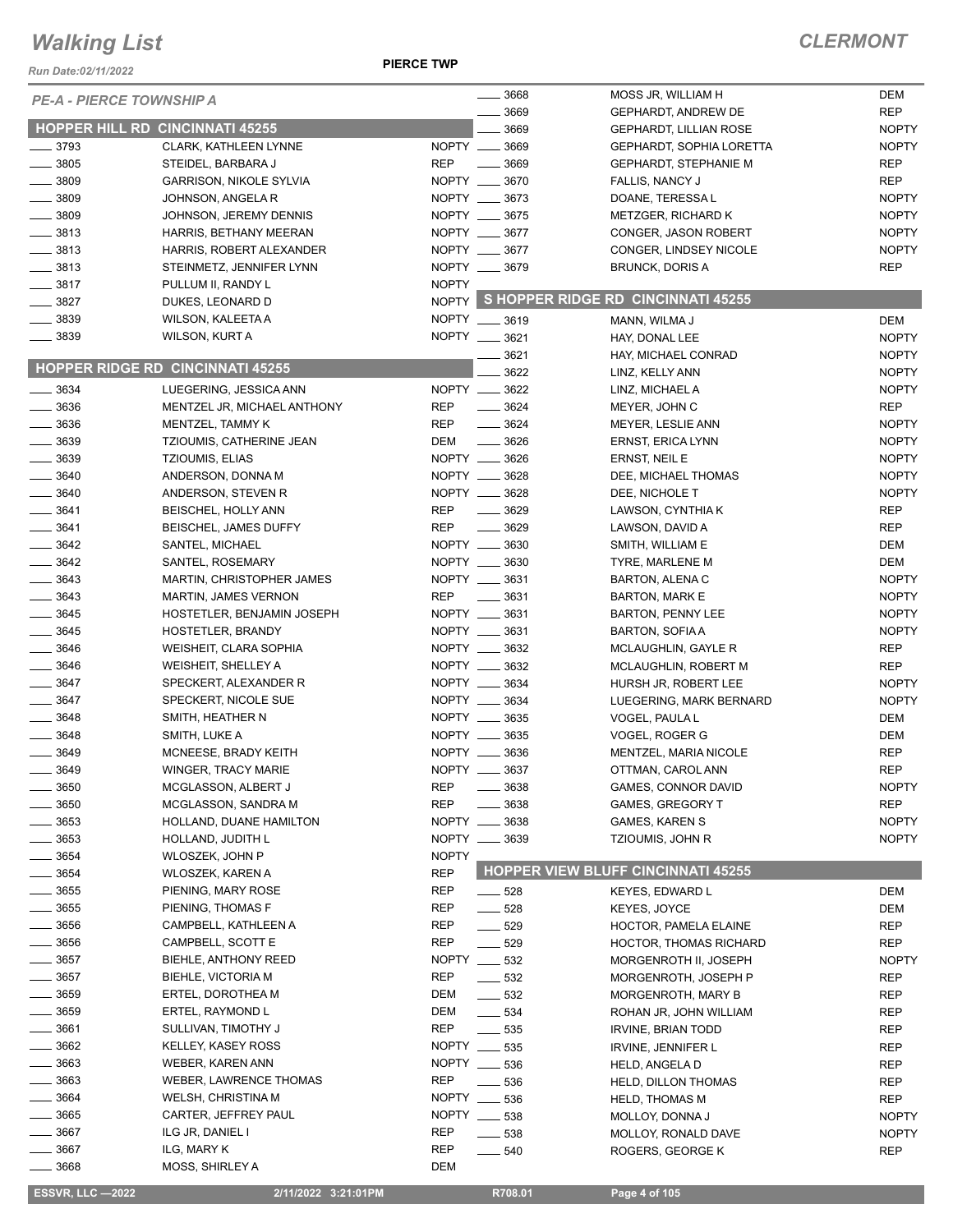*Run Date:02/11/2022*

#### **PIERCE TWP**

| <b>PE-A - PIERCE TOWNSHIP A</b> |                                                     |              | 3668               | MOSS JR, WILLIAM H                            | DEM          |
|---------------------------------|-----------------------------------------------------|--------------|--------------------|-----------------------------------------------|--------------|
|                                 |                                                     |              | 3669               | GEPHARDT, ANDREW DE                           | <b>REP</b>   |
|                                 | <b>HOPPER HILL RD CINCINNATI 45255</b>              |              | 3669               | <b>GEPHARDT, LILLIAN ROSE</b>                 | <b>NOPTY</b> |
| $-3793$                         | <b>CLARK, KATHLEEN LYNNE</b>                        | NOPTY _      | 3669               | GEPHARDT, SOPHIA LORETTA                      | <b>NOPTY</b> |
| . 3805                          | STEIDEL, BARBARA J                                  | <b>REP</b>   | 3669               | <b>GEPHARDT, STEPHANIE M</b>                  | <b>REP</b>   |
| $-3809$                         | <b>GARRISON, NIKOLE SYLVIA</b>                      |              | NOPTY __ 3670      | FALLIS, NANCY J                               | <b>REP</b>   |
| $-3809$                         | JOHNSON, ANGELA R                                   |              | NOPTY __ 3673      | DOANE, TERESSA L                              | <b>NOPTY</b> |
| $-3809$                         | JOHNSON, JEREMY DENNIS                              |              | NOPTY __ 3675      | METZGER, RICHARD K                            | <b>NOPTY</b> |
| $-3813$                         | HARRIS, BETHANY MEERAN                              |              | NOPTY __ 3677      | CONGER, JASON ROBERT                          | <b>NOPTY</b> |
| $-3813$                         | HARRIS, ROBERT ALEXANDER                            |              | NOPTY __ 3677      | CONGER, LINDSEY NICOLE                        | <b>NOPTY</b> |
| $\frac{1}{2}$ 3813              | STEINMETZ, JENNIFER LYNN                            |              | NOPTY __ 3679      | <b>BRUNCK, DORIS A</b>                        | <b>REP</b>   |
| $-3817$                         | PULLUM II, RANDY L                                  | <b>NOPTY</b> |                    |                                               |              |
| $-3827$                         | DUKES, LEONARD D                                    |              |                    | NOPTY S HOPPER RIDGE RD CINCINNATI 45255      |              |
| _ 3839                          | WILSON, KALEETA A                                   |              | NOPTY __ 3619      | MANN, WILMA J                                 | DEM          |
| 3839                            | <b>WILSON, KURT A</b>                               |              | NOPTY __ 3621      | HAY, DONAL LEE                                | <b>NOPTY</b> |
|                                 |                                                     |              | 3621               | HAY, MICHAEL CONRAD                           | <b>NOPTY</b> |
|                                 | <b>HOPPER RIDGE RD CINCINNATI 45255</b>             |              | 3622               | LINZ, KELLY ANN                               | <b>NOPTY</b> |
| $-3634$                         | LUEGERING, JESSICA ANN                              |              | NOPTY __ 3622      | LINZ, MICHAEL A                               | <b>NOPTY</b> |
| .3636                           | MENTZEL JR, MICHAEL ANTHONY                         | <b>REP</b>   | $- 3624$           | MEYER, JOHN C                                 | <b>REP</b>   |
| 3636                            | MENTZEL, TAMMY K                                    | <b>REP</b>   | $- 3624$           | MEYER, LESLIE ANN                             | <b>NOPTY</b> |
| $-3639$                         | TZIOUMIS, CATHERINE JEAN                            | DEM          | $\frac{1}{2}$ 3626 | ERNST, ERICA LYNN                             | <b>NOPTY</b> |
| $-3639$                         | <b>TZIOUMIS, ELIAS</b>                              |              | NOPTY __ 3626      | ERNST, NEIL E                                 | <b>NOPTY</b> |
| 3640                            | ANDERSON, DONNA M                                   |              | NOPTY __ 3628      | DEE, MICHAEL THOMAS                           | <b>NOPTY</b> |
| 3640                            | ANDERSON, STEVEN R                                  |              | NOPTY __ 3628      | DEE, NICHOLE T                                | <b>NOPTY</b> |
| $-3641$                         | BEISCHEL, HOLLY ANN                                 | <b>REP</b>   | 3629               | LAWSON, CYNTHIA K                             | <b>REP</b>   |
| $- 3641$                        | <b>BEISCHEL, JAMES DUFFY</b>                        | <b>REP</b>   | 3629               | LAWSON, DAVID A                               | <b>REP</b>   |
| $-3642$                         | SANTEL, MICHAEL                                     |              | NOPTY __ 3630      | SMITH, WILLIAM E                              | DEM          |
| $-3642$                         | SANTEL, ROSEMARY                                    |              | NOPTY __ 3630      | TYRE, MARLENE M                               | <b>DEM</b>   |
| $-3643$                         | MARTIN, CHRISTOPHER JAMES                           |              | NOPTY __ 3631      | <b>BARTON, ALENA C</b>                        | <b>NOPTY</b> |
| 3643                            | <b>MARTIN, JAMES VERNON</b>                         | <b>REP</b>   | $\frac{1}{2}$ 3631 | <b>BARTON, MARK E</b>                         | <b>NOPTY</b> |
| 3645                            | HOSTETLER, BENJAMIN JOSEPH                          |              | NOPTY __ 3631      | <b>BARTON, PENNY LEE</b>                      | <b>NOPTY</b> |
| $-3645$                         |                                                     |              | NOPTY __ 3631      |                                               | <b>NOPTY</b> |
| 3646                            | HOSTETLER, BRANDY<br>WEISHEIT, CLARA SOPHIA         |              | NOPTY __ 3632      | <b>BARTON, SOFIA A</b><br>MCLAUGHLIN, GAYLE R | <b>REP</b>   |
| $-3646$                         |                                                     |              | NOPTY __ 3632      |                                               | <b>REP</b>   |
| $-3647$                         | <b>WEISHEIT, SHELLEY A</b><br>SPECKERT, ALEXANDER R |              | NOPTY __ 3634      | MCLAUGHLIN, ROBERT M                          |              |
|                                 |                                                     |              |                    | HURSH JR, ROBERT LEE                          | <b>NOPTY</b> |
| $\frac{1}{2}$ 3647              | SPECKERT, NICOLE SUE                                |              | NOPTY __ 3634      | LUEGERING, MARK BERNARD                       | <b>NOPTY</b> |
| $- 3648$                        | SMITH, HEATHER N                                    |              | NOPTY __ 3635      | VOGEL, PAULA L                                | DEM          |
| 3648                            | SMITH, LUKE A                                       |              | NOPTY __ 3635      | VOGEL, ROGER G                                | DEM          |
| . 3649                          | MCNEESE, BRADY KEITH                                |              | NOPTY __ 3636      | MENTZEL, MARIA NICOLE                         | <b>REP</b>   |
| 3649                            | <b>WINGER, TRACY MARIE</b>                          |              | NOPTY __ 3637      | OTTMAN, CAROL ANN                             | <b>REP</b>   |
| 3650                            | MCGLASSON, ALBERT J                                 | REP          | 3638               | <b>GAMES, CONNOR DAVID</b>                    | <b>NOPTY</b> |
| 3650                            | MCGLASSON, SANDRA M                                 | <b>REP</b>   | 3638               | <b>GAMES, GREGORY T</b>                       | <b>REP</b>   |
| 3653                            | HOLLAND, DUANE HAMILTON                             | NOPTY _      | 3638               | GAMES, KAREN S                                | <b>NOPTY</b> |
| 3653                            | HOLLAND, JUDITH L                                   |              | NOPTY __ 3639      | <b>TZIOUMIS, JOHN R</b>                       | <b>NOPTY</b> |
| 3654                            | WLOSZEK, JOHN P                                     | <b>NOPTY</b> |                    |                                               |              |
| . 3654                          | WLOSZEK, KAREN A                                    | <b>REP</b>   |                    | <b>HOPPER VIEW BLUFF CINCINNATI 45255</b>     |              |
| $-3655$                         | PIENING, MARY ROSE                                  | <b>REP</b>   | —— 528             | <b>KEYES, EDWARD L</b>                        | DEM          |
| 3655                            | PIENING, THOMAS F                                   | <b>REP</b>   | 528                | <b>KEYES, JOYCE</b>                           | DEM          |
| .3656                           | CAMPBELL, KATHLEEN A                                | REP          | 529                | HOCTOR, PAMELA ELAINE                         | <b>REP</b>   |
| 3656                            | CAMPBELL, SCOTT E                                   | REP          | 529                | <b>HOCTOR, THOMAS RICHARD</b>                 | <b>REP</b>   |
| 3657                            | BIEHLE, ANTHONY REED                                |              | NOPTY __ 532       | MORGENROTH II, JOSEPH                         | <b>NOPTY</b> |
| 3657                            | BIEHLE, VICTORIA M                                  | <b>REP</b>   | —— 532             | MORGENROTH, JOSEPH P                          | REP          |
| 3659                            | ERTEL, DOROTHEA M                                   | DEM          | $-532$             | MORGENROTH, MARY B                            | <b>REP</b>   |
| 3659                            | ERTEL, RAYMOND L                                    | DEM          | $\equiv$ 534       | ROHAN JR, JOHN WILLIAM                        | <b>REP</b>   |
| 3661                            | SULLIVAN, TIMOTHY J                                 | <b>REP</b>   | 535                | <b>IRVINE, BRIAN TODD</b>                     | <b>REP</b>   |
| 3662                            | <b>KELLEY, KASEY ROSS</b>                           | NOPTY _      | 535                | IRVINE, JENNIFER L                            | <b>REP</b>   |
| 3663                            | WEBER, KAREN ANN                                    |              | NOPTY __ 536       | <b>HELD, ANGELA D</b>                         | REP          |
| 3663                            | WEBER, LAWRENCE THOMAS                              | <b>REP</b>   | 536                | <b>HELD, DILLON THOMAS</b>                    | <b>REP</b>   |
| . 3664                          | <b>WELSH, CHRISTINA M</b>                           | <b>NOPTY</b> | 536                | <b>HELD, THOMAS M</b>                         | <b>REP</b>   |
| 3665                            | CARTER, JEFFREY PAUL                                | <b>NOPTY</b> | $\frac{1}{2}$ 538  | MOLLOY, DONNA J                               | <b>NOPTY</b> |
| 3667                            | ILG JR, DANIEL I                                    | REP          | 538                | MOLLOY, RONALD DAVE                           | <b>NOPTY</b> |
| 3667                            | ILG, MARY K                                         | <b>REP</b>   | 540                | ROGERS, GEORGE K                              | <b>REP</b>   |
| 3668                            | MOSS, SHIRLEY A                                     | DEM          |                    |                                               |              |
|                                 |                                                     |              |                    |                                               |              |
| <b>ESSVR, LLC -2022</b>         | 2/11/2022 3:21:01PM                                 |              | R708.01            | Page 4 of 105                                 |              |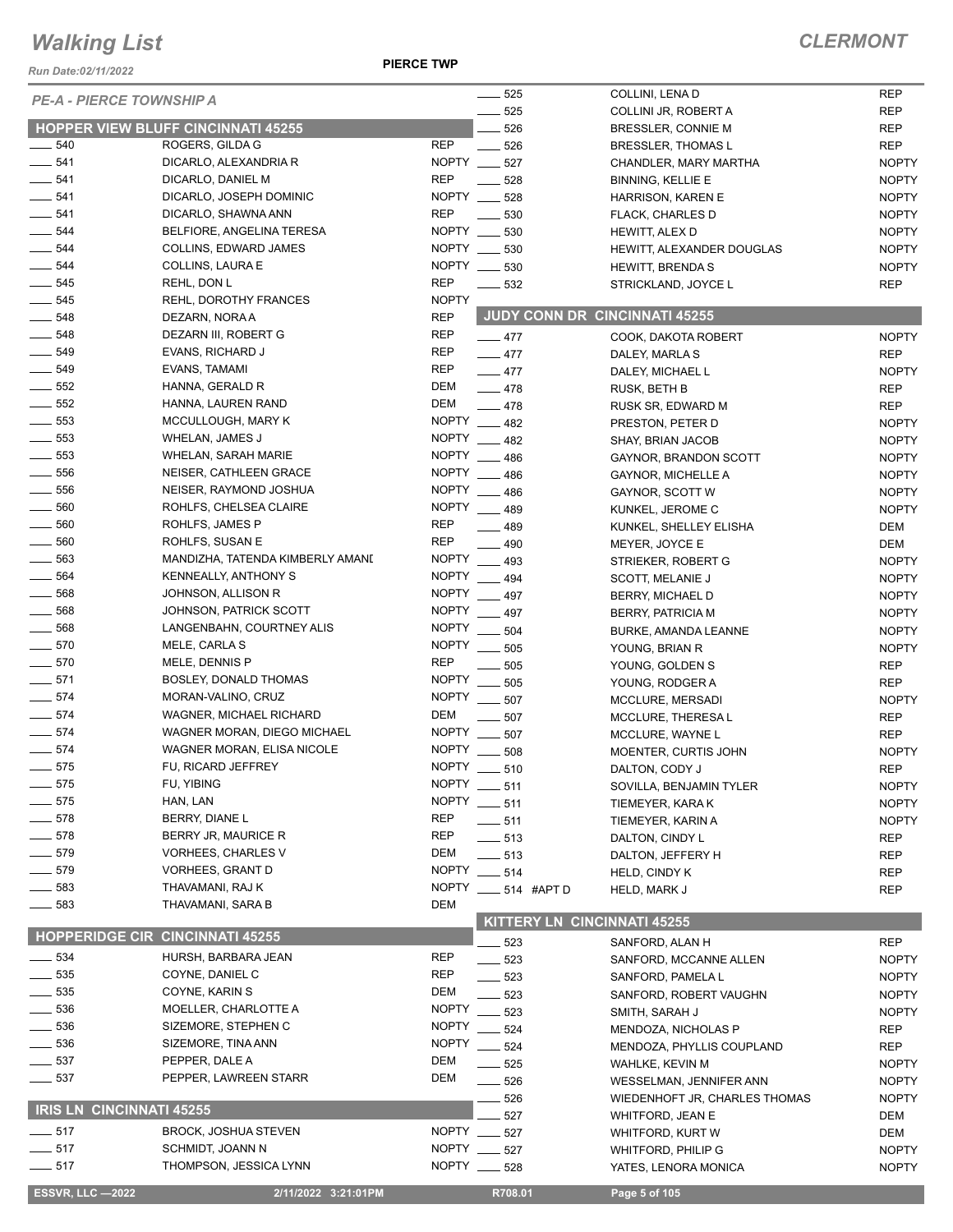*Run Date:02/11/2022*

**PIERCE TWP**

|                                 |                                        |              | 525                             | COLLINI, LENA D               | <b>REP</b>   |
|---------------------------------|----------------------------------------|--------------|---------------------------------|-------------------------------|--------------|
| <b>PE-A - PIERCE TOWNSHIP A</b> |                                        |              | 525                             | COLLINI JR, ROBERT A          | <b>REP</b>   |
|                                 | HOPPER VIEW BLUFF CINCINNATI 45255     |              | 526                             |                               | <b>REP</b>   |
| $\frac{1}{2}$ 540               | ROGERS, GILDA G                        | <b>REP</b>   | 526                             | BRESSLER, CONNIE M            |              |
|                                 |                                        |              |                                 | BRESSLER, THOMAS L            | <b>REP</b>   |
| $-541$                          | DICARLO, ALEXANDRIA R                  | NOPTY ___    | 527                             | CHANDLER, MARY MARTHA         | <b>NOPTY</b> |
| $-541$                          | DICARLO, DANIEL M                      | <b>REP</b>   | 528                             | <b>BINNING, KELLIE E</b>      | <b>NOPTY</b> |
| $-541$                          | DICARLO, JOSEPH DOMINIC                | NOPTY        | 528                             | HARRISON, KAREN E             | <b>NOPTY</b> |
| $- 541$                         | DICARLO, SHAWNA ANN                    | <b>REP</b>   | 530                             | <b>FLACK, CHARLES D</b>       | <b>NOPTY</b> |
| 544                             | BELFIORE, ANGELINA TERESA              | NOPTY __     | 530                             | HEWITT, ALEX D                | <b>NOPTY</b> |
| 544                             | COLLINS, EDWARD JAMES                  | NOPTY __     | 530                             | HEWITT, ALEXANDER DOUGLAS     | <b>NOPTY</b> |
| 544                             | COLLINS, LAURA E                       | NOPTY ___    | 530                             | <b>HEWITT, BRENDAS</b>        | <b>NOPTY</b> |
| $\frac{1}{2}$ 545               | REHL, DON L                            | <b>REP</b>   | 532                             | STRICKLAND, JOYCE L           | <b>REP</b>   |
| $\frac{1}{2}$ 545               | REHL, DOROTHY FRANCES                  | <b>NOPTY</b> |                                 |                               |              |
| $- 548$                         | DEZARN, NORA A                         | <b>REP</b>   | JUDY CONN DR CINCINNATI 45255   |                               |              |
| $\frac{1}{2}$ 548               | DEZARN III, ROBERT G                   | <b>REP</b>   | $-477$                          | COOK, DAKOTA ROBERT           | <b>NOPTY</b> |
| 549                             | EVANS, RICHARD J                       | <b>REP</b>   | $\frac{1}{2}$ 477               | DALEY, MARLA S                | <b>REP</b>   |
| $- 549$                         | EVANS, TAMAMI                          | <b>REP</b>   | $-477$                          | DALEY, MICHAEL L              | <b>NOPTY</b> |
| $-552$                          | HANNA, GERALD R                        | DEM          |                                 |                               |              |
| $\frac{1}{2}$ 552               | HANNA, LAUREN RAND                     | DEM          | $-478$                          | RUSK, BETH B                  | <b>REP</b>   |
|                                 |                                        | <b>NOPTY</b> | $-478$                          | RUSK SR, EDWARD M             | <b>REP</b>   |
| 553                             | MCCULLOUGH, MARY K                     |              | 482                             | PRESTON, PETER D              | <b>NOPTY</b> |
| 553                             | WHELAN, JAMES J                        | NOPTY __     | 482                             | SHAY, BRIAN JACOB             | <b>NOPTY</b> |
| $\frac{1}{2}$ 553               | <b>WHELAN, SARAH MARIE</b>             | <b>NOPTY</b> | 486                             | GAYNOR, BRANDON SCOTT         | <b>NOPTY</b> |
| 556                             | NEISER, CATHLEEN GRACE                 | <b>NOPTY</b> | 486                             | <b>GAYNOR, MICHELLE A</b>     | <b>NOPTY</b> |
| 556                             | NEISER, RAYMOND JOSHUA                 | <b>NOPTY</b> | 486                             | GAYNOR, SCOTT W               | <b>NOPTY</b> |
| 560                             | ROHLFS, CHELSEA CLAIRE                 | <b>NOPTY</b> | 489                             | KUNKEL, JEROME C              | <b>NOPTY</b> |
| $\frac{1}{2}$ 560               | ROHLFS, JAMES P                        | <b>REP</b>   | 489                             | KUNKEL, SHELLEY ELISHA        | DEM          |
| $\frac{1}{2}$ 560               | ROHLFS, SUSAN E                        | <b>REP</b>   | 490                             | MEYER, JOYCE E                | DEM          |
| 563                             | MANDIZHA, TATENDA KIMBERLY AMANI       | <b>NOPTY</b> | 493                             | STRIEKER, ROBERT G            | <b>NOPTY</b> |
| 564                             | KENNEALLY, ANTHONY S                   |              | NOPTY __ 494                    | <b>SCOTT, MELANIE J</b>       | <b>NOPTY</b> |
| 568                             | JOHNSON, ALLISON R                     | <b>NOPTY</b> | 497                             | BERRY, MICHAEL D              | <b>NOPTY</b> |
| 568                             | JOHNSON, PATRICK SCOTT                 | <b>NOPTY</b> | 497                             |                               | <b>NOPTY</b> |
| 568                             | LANGENBAHN, COURTNEY ALIS              | <b>NOPTY</b> | 504                             | <b>BERRY, PATRICIA M</b>      |              |
| $- 570$                         | MELE, CARLA S                          | <b>NOPTY</b> |                                 | BURKE, AMANDA LEANNE          | <b>NOPTY</b> |
|                                 |                                        |              | 505                             | YOUNG, BRIAN R                | <b>NOPTY</b> |
| $- 570$                         | MELE, DENNIS P                         | <b>REP</b>   | 505                             | YOUNG, GOLDEN S               | <b>REP</b>   |
| $- 571$                         | BOSLEY, DONALD THOMAS                  | <b>NOPTY</b> | 505                             | YOUNG, RODGER A               | <b>REP</b>   |
| $-574$                          | MORAN-VALINO, CRUZ                     | NOPTY __     | 507                             | MCCLURE, MERSADI              | <b>NOPTY</b> |
| 574                             | WAGNER, MICHAEL RICHARD                | DEM          | 507                             | MCCLURE, THERESA L            | <b>REP</b>   |
| $-574$                          | WAGNER MORAN, DIEGO MICHAEL            | <b>NOPTY</b> | 507                             | MCCLURE, WAYNE L              | <b>REP</b>   |
| $-574$                          | WAGNER MORAN, ELISA NICOLE             | <b>NOPTY</b> | 508                             | MOENTER, CURTIS JOHN          | <b>NOPTY</b> |
| $- 575$                         | FU, RICARD JEFFREY                     | <b>NOPTY</b> | 510                             | DALTON, CODY J                | <b>REP</b>   |
| 575                             | FU, YIBING                             | <b>NOPTY</b> | $-511$                          | SOVILLA, BENJAMIN TYLER       | <b>NOPTY</b> |
| 575                             | HAN, LAN                               | <b>NOPTY</b> | $-511$                          | TIEMEYER, KARA K              | <b>NOPTY</b> |
| 578                             | BERRY, DIANE L                         | REP          | $-511$                          | TIEMEYER, KARIN A             | <b>NOPTY</b> |
| 578                             | BERRY JR, MAURICE R                    | <b>REP</b>   | $- 513$                         | DALTON, CINDY L               | <b>REP</b>   |
| 579                             | <b>VORHEES, CHARLES V</b>              | DEM          | $-513$                          | DALTON, JEFFERY H             | <b>REP</b>   |
| $-579$                          | VORHEES, GRANT D                       | <b>NOPTY</b> | 514                             | HELD, CINDY K                 | <b>REP</b>   |
| $\frac{1}{2}$ 583               | THAVAMANI, RAJ K                       | <b>NOPTY</b> | 514 #APT D                      |                               |              |
| $\frac{1}{2}$ 583               | THAVAMANI, SARA B                      | DEM          |                                 | HELD, MARK J                  | <b>REP</b>   |
|                                 |                                        |              | KITTERY LN CINCINNATI 45255     |                               |              |
|                                 | <b>HOPPERIDGE CIR CINCINNATI 45255</b> |              |                                 |                               |              |
|                                 |                                        |              | 523                             | SANFORD, ALAN H               | <b>REP</b>   |
| $\equiv$ 534                    | HURSH, BARBARA JEAN                    | <b>REP</b>   | 523                             | SANFORD, MCCANNE ALLEN        | <b>NOPTY</b> |
| 535                             | COYNE, DANIEL C                        | REP          | 523                             | SANFORD, PAMELA L             | <b>NOPTY</b> |
| 535                             | COYNE, KARIN S                         | <b>DEM</b>   | 523                             | SANFORD, ROBERT VAUGHN        | <b>NOPTY</b> |
| 536                             | MOELLER, CHARLOTTE A                   | <b>NOPTY</b> | 523                             | SMITH, SARAH J                | <b>NOPTY</b> |
| 536                             | SIZEMORE, STEPHEN C                    | <b>NOPTY</b> | 524                             | MENDOZA, NICHOLAS P           | <b>REP</b>   |
| $\frac{1}{2}$ 536               | SIZEMORE, TINA ANN                     | <b>NOPTY</b> | 524                             | MENDOZA, PHYLLIS COUPLAND     | <b>REP</b>   |
| $\frac{1}{2}$ 537               | PEPPER, DALE A                         | DEM          | 525                             | WAHLKE, KEVIN M               | <b>NOPTY</b> |
| $\frac{1}{2}$ 537               | PEPPER, LAWREEN STARR                  | DEM          | 526<br>$\overline{\phantom{0}}$ | WESSELMAN, JENNIFER ANN       | <b>NOPTY</b> |
|                                 |                                        |              | 526                             | WIEDENHOFT JR, CHARLES THOMAS | <b>NOPTY</b> |
| <b>IRIS LN CINCINNATI 45255</b> |                                        |              | 527                             | WHITFORD, JEAN E              | DEM          |
| $\frac{1}{2}$ 517               | <b>BROCK, JOSHUA STEVEN</b>            | NOPTY __     | 527                             | WHITFORD, KURT W              | DEM          |
| $-517$                          | SCHMIDT, JOANN N                       |              | NOPTY _____ 527                 | <b>WHITFORD, PHILIP G</b>     | <b>NOPTY</b> |
| $-517$                          | THOMPSON, JESSICA LYNN                 |              | NOPTY __ 528                    | YATES, LENORA MONICA          | <b>NOPTY</b> |
|                                 |                                        |              |                                 |                               |              |
| <b>ESSVR, LLC -2022</b>         | 2/11/2022 3:21:01PM                    |              | R708.01                         | Page 5 of 105                 |              |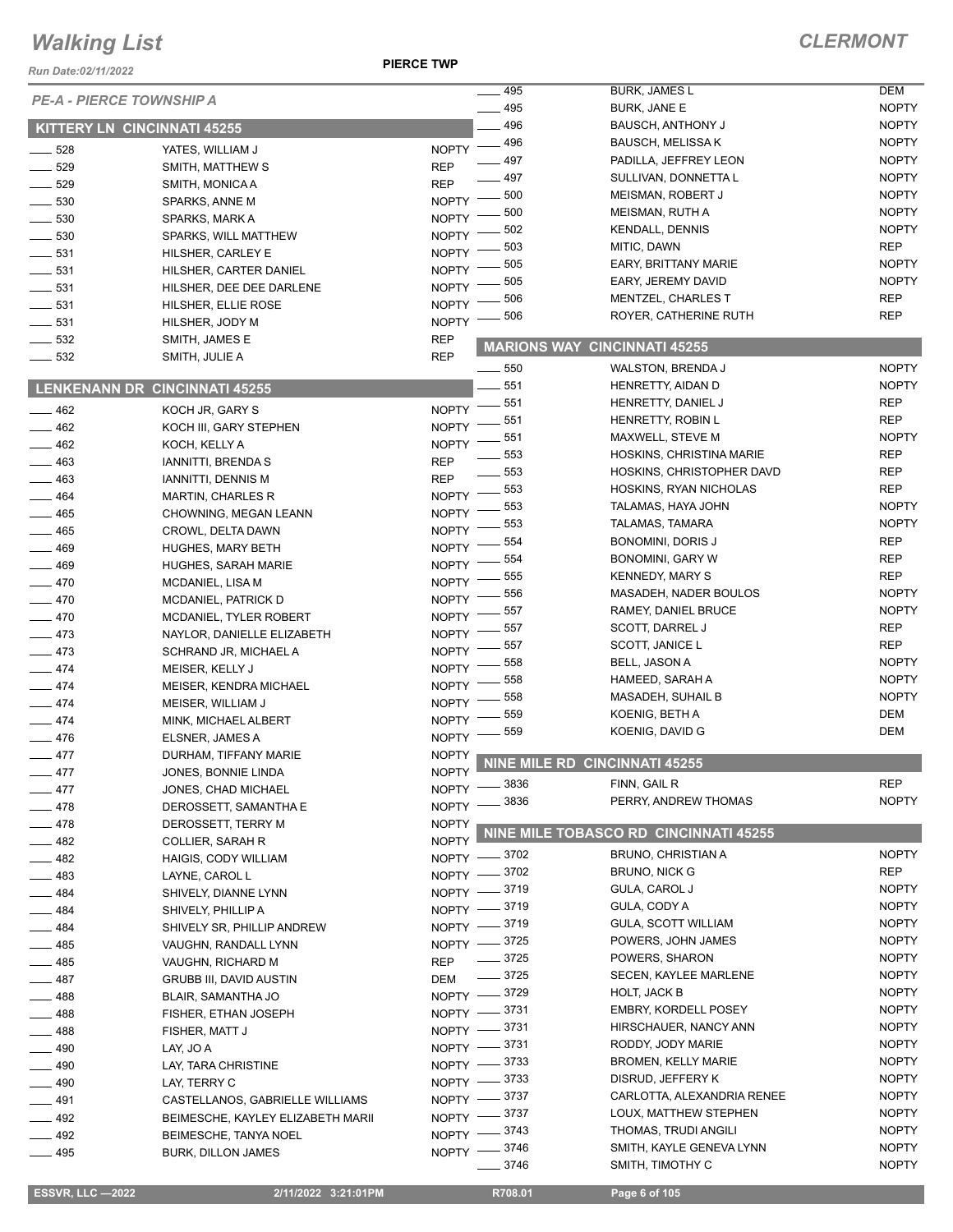*Run Date:02/11/2022*

**PIERCE TWP**

| <b>PE-A - PIERCE TOWNSHIP A</b>    |                                      |              | $\overline{\phantom{0}}$ 495 | <b>BURK, JAMES L</b>                  | DEM          |
|------------------------------------|--------------------------------------|--------------|------------------------------|---------------------------------------|--------------|
|                                    |                                      |              | $\frac{1}{2}$ 495            | <b>BURK, JANE E</b>                   | <b>NOPTY</b> |
| <b>KITTERY LN CINCINNATI 45255</b> |                                      |              | .496                         | BAUSCH, ANTHONY J                     | <b>NOPTY</b> |
| $\frac{1}{2}$ 528                  | YATES, WILLIAM J                     | <b>NOPTY</b> | $\frac{1}{2}$ 496            | <b>BAUSCH, MELISSA K</b>              | <b>NOPTY</b> |
| $\frac{1}{2}$ 529                  | SMITH, MATTHEW S                     | <b>REP</b>   | 497                          | PADILLA, JEFFREY LEON                 | <b>NOPTY</b> |
| $- 529$                            | SMITH, MONICA A                      | <b>REP</b>   | 497                          | SULLIVAN, DONNETTA L                  | <b>NOPTY</b> |
| $\frac{1}{2}$ 530                  | SPARKS, ANNE M                       | <b>NOPTY</b> | 500                          | MEISMAN, ROBERT J                     | <b>NOPTY</b> |
|                                    |                                      | <b>NOPTY</b> | 500                          | MEISMAN, RUTH A                       | <b>NOPTY</b> |
| $\frac{1}{2}$ 530                  | SPARKS, MARK A                       |              | 502                          | <b>KENDALL, DENNIS</b>                | <b>NOPTY</b> |
| $\frac{1}{2}$ 530                  | SPARKS, WILL MATTHEW                 | <b>NOPTY</b> | 503                          | MITIC, DAWN                           | <b>REP</b>   |
| 531                                | HILSHER, CARLEY E                    | <b>NOPTY</b> | 505                          | EARY, BRITTANY MARIE                  | <b>NOPTY</b> |
| $\frac{1}{2}$ 531                  | HILSHER, CARTER DANIEL               | <b>NOPTY</b> | 505                          | EARY, JEREMY DAVID                    | <b>NOPTY</b> |
| 531                                | HILSHER, DEE DEE DARLENE             | <b>NOPTY</b> | 506                          | MENTZEL, CHARLES T                    | <b>REP</b>   |
| $\frac{1}{2}$ 531                  | HILSHER, ELLIE ROSE                  | <b>NOPTY</b> | 506                          | ROYER, CATHERINE RUTH                 | <b>REP</b>   |
| $\frac{1}{2}$ 531                  | HILSHER, JODY M                      | <b>NOPTY</b> |                              |                                       |              |
| $\frac{1}{2}$ 532                  | SMITH, JAMES E                       | <b>REP</b>   |                              | <b>MARIONS WAY CINCINNATI 45255</b>   |              |
| $\frac{1}{2}$ 532                  | SMITH, JULIE A                       | <b>REP</b>   |                              |                                       |              |
|                                    |                                      |              | $\frac{1}{2}$ 550            | WALSTON, BRENDA J                     | <b>NOPTY</b> |
|                                    | <b>LENKENANN DR CINCINNATI 45255</b> |              | 551                          | HENRETTY, AIDAN D                     | <b>NOPTY</b> |
| $\frac{1}{2}$ 462                  | KOCH JR, GARY S                      | <b>NOPTY</b> | 551                          | HENRETTY, DANIEL J                    | <b>REP</b>   |
| $-462$                             | KOCH III, GARY STEPHEN               | <b>NOPTY</b> | 551                          | HENRETTY, ROBIN L                     | <b>REP</b>   |
| $-462$                             | KOCH, KELLY A                        | <b>NOPTY</b> | 551                          | MAXWELL, STEVE M                      | <b>NOPTY</b> |
| $- 463$                            | <b>IANNITTI, BRENDA S</b>            | <b>REP</b>   | 553                          | HOSKINS, CHRISTINA MARIE              | <b>REP</b>   |
| $\frac{1}{2}$ 463                  | <b>IANNITTI, DENNIS M</b>            | <b>REP</b>   | 553                          | HOSKINS, CHRISTOPHER DAVD             | <b>REP</b>   |
| 464                                | <b>MARTIN, CHARLES R</b>             | <b>NOPTY</b> | 553                          | HOSKINS, RYAN NICHOLAS                | <b>REP</b>   |
| $-465$                             | CHOWNING, MEGAN LEANN                | <b>NOPTY</b> | 553                          | TALAMAS, HAYA JOHN                    | <b>NOPTY</b> |
| $-465$                             | CROWL, DELTA DAWN                    | <b>NOPTY</b> | 553                          | TALAMAS, TAMARA                       | <b>NOPTY</b> |
| $- 469$                            |                                      | <b>NOPTY</b> | 554                          | BONOMINI, DORIS J                     | <b>REP</b>   |
| $-469$                             | <b>HUGHES, MARY BETH</b>             | <b>NOPTY</b> | 554                          | BONOMINI, GARY W                      | <b>REP</b>   |
|                                    | HUGHES, SARAH MARIE                  | <b>NOPTY</b> | 555                          | <b>KENNEDY, MARY S</b>                | <b>REP</b>   |
| $-470$                             | MCDANIEL, LISA M                     |              | 556                          | MASADEH, NADER BOULOS                 | <b>NOPTY</b> |
| $-470$                             | MCDANIEL, PATRICK D                  | <b>NOPTY</b> | 557                          | RAMEY, DANIEL BRUCE                   | <b>NOPTY</b> |
| $-470$                             | MCDANIEL, TYLER ROBERT               | <b>NOPTY</b> | 557                          | SCOTT, DARREL J                       | <b>REP</b>   |
| $-473$                             | NAYLOR, DANIELLE ELIZABETH           | <b>NOPTY</b> | 557                          | SCOTT, JANICE L                       | <b>REP</b>   |
| $-473$                             | SCHRAND JR, MICHAEL A                | <b>NOPTY</b> | 558                          | <b>BELL, JASON A</b>                  | <b>NOPTY</b> |
| $-474$                             | MEISER, KELLY J                      | <b>NOPTY</b> | 558                          | HAMEED, SARAH A                       | <b>NOPTY</b> |
| $-474$                             | MEISER, KENDRA MICHAEL               | <b>NOPTY</b> | 558                          | MASADEH, SUHAIL B                     | <b>NOPTY</b> |
| $-474$                             | MEISER, WILLIAM J                    | <b>NOPTY</b> |                              |                                       | DEM          |
| $-474$                             | MINK, MICHAEL ALBERT                 | <b>NOPTY</b> | 559                          | KOENIG, BETH A                        |              |
| $-476$                             | ELSNER, JAMES A                      | <b>NOPTY</b> | 559                          | KOENIG, DAVID G                       | DEM          |
| $-477$                             | DURHAM, TIFFANY MARIE                | <b>NOPTY</b> |                              | <b>NINE MILE RD CINCINNATI 45255</b>  |              |
| $-477$                             | JONES, BONNIE LINDA                  | <b>NOPTY</b> |                              |                                       |              |
| $-477$                             | JONES, CHAD MICHAEL                  |              | NOPTY -8836                  | FINN, GAIL R                          | <b>REP</b>   |
| $-478$                             | DEROSSETT, SAMANTHA E                | <b>NOPTY</b> | 3836                         | PERRY, ANDREW THOMAS                  | <b>NOPTY</b> |
| $-478$                             | DEROSSETT, TERRY M                   | <b>NOPTY</b> |                              |                                       |              |
| $-482$                             | <b>COLLIER, SARAH R</b>              | <b>NOPTY</b> |                              | NINE MILE TOBASCO RD CINCINNATI 45255 |              |
| $-482$                             | HAIGIS, CODY WILLIAM                 |              | NOPTY -8702                  | <b>BRUNO, CHRISTIAN A</b>             | <b>NOPTY</b> |
| $-483$                             | LAYNE, CAROL L                       | $N$ OPTY $-$ | $=$ 3702                     | <b>BRUNO, NICK G</b>                  | <b>REP</b>   |
| $-484$                             | SHIVELY, DIANNE LYNN                 |              | NOPTY -3719                  | GULA, CAROL J                         | <b>NOPTY</b> |
| $-484$                             | SHIVELY, PHILLIP A                   |              | NOPTY -8719                  | GULA, CODY A                          | <b>NOPTY</b> |
| $-484$                             | SHIVELY SR, PHILLIP ANDREW           |              | NOPTY -8719                  | <b>GULA, SCOTT WILLIAM</b>            | <b>NOPTY</b> |
|                                    | VAUGHN, RANDALL LYNN                 |              | NOPTY -8725                  | POWERS, JOHN JAMES                    | <b>NOPTY</b> |
| $-485$                             |                                      | <b>REP</b>   | $\frac{1}{2}$ 3725           | POWERS, SHARON                        | <b>NOPTY</b> |
| $-485$                             | VAUGHN, RICHARD M                    |              | $- 3725$                     | <b>SECEN, KAYLEE MARLENE</b>          | <b>NOPTY</b> |
| $-487$                             | <b>GRUBB III, DAVID AUSTIN</b>       | <b>DEM</b>   |                              | HOLT, JACK B                          | <b>NOPTY</b> |
| $-488$                             | BLAIR, SAMANTHA JO                   |              | NOPTY -8729                  | <b>EMBRY, KORDELL POSEY</b>           | <b>NOPTY</b> |
| $-488$                             | FISHER, ETHAN JOSEPH                 |              | NOPTY -8731                  |                                       |              |
| $-488$                             | FISHER, MATT J                       |              | NOPTY -8731                  | HIRSCHAUER, NANCY ANN                 | <b>NOPTY</b> |
| $-490$                             | LAY, JO A                            |              | NOPTY -8731                  | RODDY, JODY MARIE                     | <b>NOPTY</b> |
| $- 490$                            | LAY, TARA CHRISTINE                  |              | NOPTY -8733                  | <b>BROMEN, KELLY MARIE</b>            | <b>NOPTY</b> |
| $-490$                             | LAY, TERRY C                         |              | NOPTY -8733                  | DISRUD, JEFFERY K                     | <b>NOPTY</b> |
| $-491$                             | CASTELLANOS, GABRIELLE WILLIAMS      |              | NOPTY -8737                  | CARLOTTA, ALEXANDRIA RENEE            | <b>NOPTY</b> |
| $-492$                             | BEIMESCHE, KAYLEY ELIZABETH MARII    |              | NOPTY -8737                  | LOUX, MATTHEW STEPHEN                 | <b>NOPTY</b> |
| $-492$                             | BEIMESCHE, TANYA NOEL                |              | NOPTY -8743                  | THOMAS, TRUDI ANGILI                  | <b>NOPTY</b> |
| $-495$                             | <b>BURK, DILLON JAMES</b>            |              | NOPTY -8746                  | SMITH, KAYLE GENEVA LYNN              | <b>NOPTY</b> |
|                                    |                                      |              | 3746                         | SMITH, TIMOTHY C                      | <b>NOPTY</b> |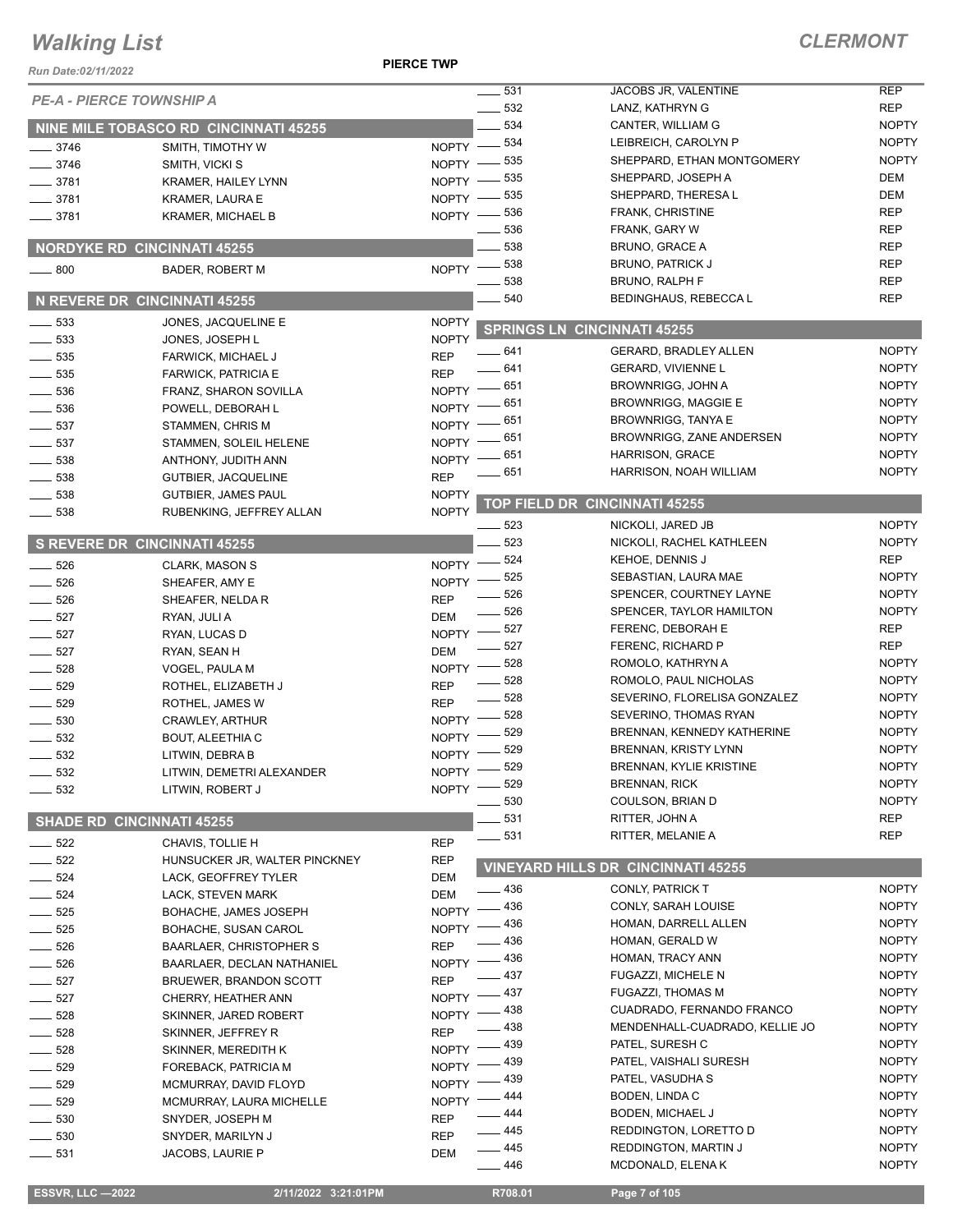#### **PIERCE TWP**

#### *CLERMONT*

| Run Date: 02/11/2022            |                                                        | FIERVE IWF                   |                          |                                                         |                              |
|---------------------------------|--------------------------------------------------------|------------------------------|--------------------------|---------------------------------------------------------|------------------------------|
| <b>PE-A - PIERCE TOWNSHIP A</b> |                                                        |                              | $\equiv$ 531             | JACOBS JR, VALENTINE                                    | <b>REP</b>                   |
|                                 |                                                        |                              | $\frac{1}{2}$ 532<br>534 | <b>LANZ. KATHRYN G</b>                                  | <b>REP</b><br><b>NOPTY</b>   |
|                                 | NINE MILE TOBASCO RD CINCINNATI 45255                  |                              |                          | CANTER, WILLIAM G<br>LEIBREICH, CAROLYN P               | <b>NOPTY</b>                 |
| $-3746$                         | SMITH, TIMOTHY W                                       |                              | NOPTY -834<br>535        | SHEPPARD, ETHAN MONTGOMERY                              | <b>NOPTY</b>                 |
| 3746                            | SMITH, VICKI S                                         | $NOPTY =$                    | 535                      | SHEPPARD, JOSEPH A                                      | DEM                          |
| $-3781$                         | <b>KRAMER, HAILEY LYNN</b>                             | $NOPTY -$<br>$NOPTY -$       | 535                      | SHEPPARD, THERESA L                                     | <b>DEM</b>                   |
| $\frac{1}{2}$ 3781              | <b>KRAMER, LAURA E</b>                                 | $NOPTY -$                    | $-536$                   | <b>FRANK, CHRISTINE</b>                                 | <b>REP</b>                   |
| $\frac{1}{2}$ 3781              | <b>KRAMER, MICHAEL B</b>                               |                              | 536                      | FRANK, GARY W                                           | <b>REP</b>                   |
|                                 | <b>NORDYKE RD CINCINNATI 45255</b>                     |                              | 538                      | BRUNO, GRACE A                                          | <b>REP</b>                   |
| $\frac{1}{2}$ 800               | <b>BADER, ROBERT M</b>                                 |                              | NOPTY -838               | <b>BRUNO, PATRICK J</b>                                 | <b>REP</b>                   |
|                                 |                                                        |                              | 538                      | BRUNO, RALPH F                                          | <b>REP</b>                   |
|                                 | N REVERE DR CINCINNATI 45255                           |                              | 540                      | BEDINGHAUS, REBECCA L                                   | <b>REP</b>                   |
| $\frac{1}{2}$ 533               | JONES, JACQUELINE E                                    | <b>NOPTY</b>                 |                          | <b>SPRINGS LN CINCINNATI 45255</b>                      |                              |
| 533                             | JONES, JOSEPH L                                        | <b>NOPTY</b>                 |                          |                                                         |                              |
| 535                             | FARWICK, MICHAEL J                                     | <b>REP</b>                   | $-641$                   | <b>GERARD, BRADLEY ALLEN</b>                            | <b>NOPTY</b>                 |
| 535                             | <b>FARWICK, PATRICIA E</b>                             | <b>REP</b>                   | $-641$                   | GERARD, VIVIENNE L                                      | <b>NOPTY</b>                 |
| 536                             | FRANZ, SHARON SOVILLA                                  | $NOPTY =$                    | _ 651                    | <b>BROWNRIGG, JOHN A</b>                                | <b>NOPTY</b>                 |
| 536                             | POWELL, DEBORAH L                                      | NOPTY -                      | 651                      | <b>BROWNRIGG, MAGGIE E</b><br><b>BROWNRIGG, TANYA E</b> | <b>NOPTY</b>                 |
| 537                             | STAMMEN, CHRIS M                                       | <b>NOPTY</b>                 | 651<br>651               | <b>BROWNRIGG, ZANE ANDERSEN</b>                         | <b>NOPTY</b><br><b>NOPTY</b> |
| $\frac{1}{2}$ 537               | STAMMEN, SOLEIL HELENE                                 | <b>NOPTY</b>                 | 651                      | HARRISON, GRACE                                         | <b>NOPTY</b>                 |
| 538                             | ANTHONY, JUDITH ANN                                    | <b>NOPTY</b>                 | 651                      | HARRISON, NOAH WILLIAM                                  | <b>NOPTY</b>                 |
| 538                             | GUTBIER, JACQUELINE                                    | <b>REP</b>                   |                          |                                                         |                              |
| 538<br>538                      | <b>GUTBIER, JAMES PAUL</b><br>RUBENKING, JEFFREY ALLAN | <b>NOPTY</b><br><b>NOPTY</b> |                          | <b>TOP FIELD DR CINCINNATI 45255</b>                    |                              |
|                                 |                                                        |                              | $\equiv$ 523             | NICKOLI, JARED JB                                       | <b>NOPTY</b>                 |
|                                 | <b>S REVERE DR CINCINNATI 45255</b>                    |                              | 523                      | NICKOLI, RACHEL KATHLEEN                                | <b>NOPTY</b>                 |
| 526                             | <b>CLARK, MASON S</b>                                  | <b>NOPTY</b>                 | 524                      | KEHOE, DENNIS J                                         | <b>REP</b>                   |
| $\frac{1}{2}$ 526               | SHEAFER, AMY E                                         | <b>NOPTY</b>                 | 525                      | SEBASTIAN, LAURA MAE                                    | <b>NOPTY</b>                 |
| 526                             | SHEAFER, NELDA R                                       | <b>REP</b>                   | 526                      | SPENCER, COURTNEY LAYNE                                 | <b>NOPTY</b>                 |
| 527                             | RYAN, JULI A                                           | <b>DEM</b>                   | 526                      | SPENCER, TAYLOR HAMILTON                                | <b>NOPTY</b>                 |
| 527                             | RYAN, LUCAS D                                          | NOPTY -                      | 527                      | FERENC, DEBORAH E                                       | <b>REP</b>                   |
| 527                             | RYAN, SEAN H                                           | <b>DEM</b>                   | 527                      | FERENC, RICHARD P                                       | <b>REP</b>                   |
| 528                             | VOGEL, PAULA M                                         | $NOPTY =$                    | 528                      | ROMOLO, KATHRYN A                                       | <b>NOPTY</b>                 |
| 529                             | ROTHEL, ELIZABETH J                                    | <b>REP</b>                   | 528                      | ROMOLO, PAUL NICHOLAS                                   | <b>NOPTY</b>                 |
| 529                             | ROTHEL, JAMES W                                        | <b>REP</b>                   | 528                      | SEVERINO, FLORELISA GONZALEZ                            | <b>NOPTY</b>                 |
| 530                             | <b>CRAWLEY, ARTHUR</b>                                 | NOPTY -                      | 528                      | SEVERINO, THOMAS RYAN                                   | <b>NOPTY</b><br><b>NOPTY</b> |
| 532                             | <b>BOUT, ALEETHIA C</b>                                | <b>NOPTY</b>                 | 529<br>529               | BRENNAN, KENNEDY KATHERINE                              | <b>NOPTY</b>                 |
| $-532$                          | LITWIN, DEBRA B                                        | $NOPTY$ –                    |                          | BRENNAN, KRISTY LYNN<br>BRENNAN, KYLIE KRISTINE         | <b>NOPTY</b>                 |
| $-532$                          | LITWIN, DEMETRI ALEXANDER                              |                              | NOPTY -829<br>_ 529      | <b>BRENNAN, RICK</b>                                    | <b>NOPTY</b>                 |
| 532                             | LITWIN, ROBERT J                                       | <b>NOPTY</b>                 | 530                      | COULSON, BRIAN D                                        | <b>NOPTY</b>                 |
|                                 | <b>SHADE RD CINCINNATI 45255</b>                       |                              | $-531$                   | RITTER, JOHN A                                          | <b>REP</b>                   |
| $\frac{1}{2}$ 522               | CHAVIS, TOLLIE H                                       | <b>REP</b>                   | $\frac{1}{2}$ 531        | RITTER, MELANIE A                                       | <b>REP</b>                   |
| $-522$                          | HUNSUCKER JR, WALTER PINCKNEY                          | <b>REP</b>                   |                          |                                                         |                              |
| $\frac{1}{2}$ 524               | LACK, GEOFFREY TYLER                                   | <b>DEM</b>                   |                          | <b>VINEYARD HILLS DR CINCINNATI 45255</b>               |                              |
| $-524$                          | LACK, STEVEN MARK                                      | <b>DEM</b>                   | $-436$                   | CONLY, PATRICK T                                        | <b>NOPTY</b>                 |
| $- 525$                         | BOHACHE, JAMES JOSEPH                                  | <b>NOPTY</b>                 | _ 436                    | CONLY, SARAH LOUISE                                     | <b>NOPTY</b>                 |
| $- 525$                         | BOHACHE, SUSAN CAROL                                   | <b>NOPTY</b>                 | - 436                    | HOMAN, DARRELL ALLEN                                    | <b>NOPTY</b>                 |
| $- 526$                         | <b>BAARLAER, CHRISTOPHER S</b>                         | <b>REP</b>                   | 436                      | HOMAN, GERALD W                                         | <b>NOPTY</b>                 |
| $\frac{1}{2}$ 526               | BAARLAER, DECLAN NATHANIEL                             | NOPTY -                      | $-436$                   | HOMAN, TRACY ANN                                        | <b>NOPTY</b>                 |
| 527                             | <b>BRUEWER, BRANDON SCOTT</b>                          | <b>REP</b>                   | $-437$                   | FUGAZZI, MICHELE N                                      | <b>NOPTY</b>                 |
| $-527$                          | CHERRY, HEATHER ANN                                    | NOPTY -                      | 437                      | <b>FUGAZZI, THOMAS M</b>                                | <b>NOPTY</b>                 |
| 528                             | SKINNER, JARED ROBERT                                  | NOPTY -                      | _ 438                    | CUADRADO, FERNANDO FRANCO                               | <b>NOPTY</b>                 |
| $-528$                          | SKINNER, JEFFREY R                                     | <b>REP</b>                   | 438<br>- 439             | MENDENHALL-CUADRADO, KELLIE JO<br>PATEL, SURESH C       | <b>NOPTY</b><br><b>NOPTY</b> |
| 528                             | SKINNER, MEREDITH K                                    | NOPTY -                      | $-439$                   | PATEL, VAISHALI SURESH                                  | <b>NOPTY</b>                 |
| 529                             | FOREBACK, PATRICIA M                                   | NOPTY $-$                    | - 439                    | PATEL, VASUDHA S                                        | <b>NOPTY</b>                 |
| 529                             | MCMURRAY, DAVID FLOYD                                  | NOPTY -                      | _ 444                    | BODEN, LINDA C                                          | <b>NOPTY</b>                 |
| 529                             | MCMURRAY, LAURA MICHELLE                               | $NOPTY =$                    | $-444$                   | <b>BODEN, MICHAEL J</b>                                 | <b>NOPTY</b>                 |
| $-530$                          | SNYDER, JOSEPH M                                       | <b>REP</b>                   | —— 445                   | REDDINGTON, LORETTO D                                   | <b>NOPTY</b>                 |
| $\sim$ 530                      | SNYDER, MARILYN J                                      | <b>REP</b><br><b>DEM</b>     | $-445$                   | REDDINGTON, MARTIN J                                    | <b>NOPTY</b>                 |
| —— 531                          | JACOBS, LAURIE P                                       |                              | $- 446$                  | MCDONALD, ELENA K                                       | <b>NOPTY</b>                 |
|                                 |                                                        |                              |                          |                                                         |                              |

 **ESSVR, LLC —2022 2/11/2022 3:21:01PM R708.01 Page 7 of 105**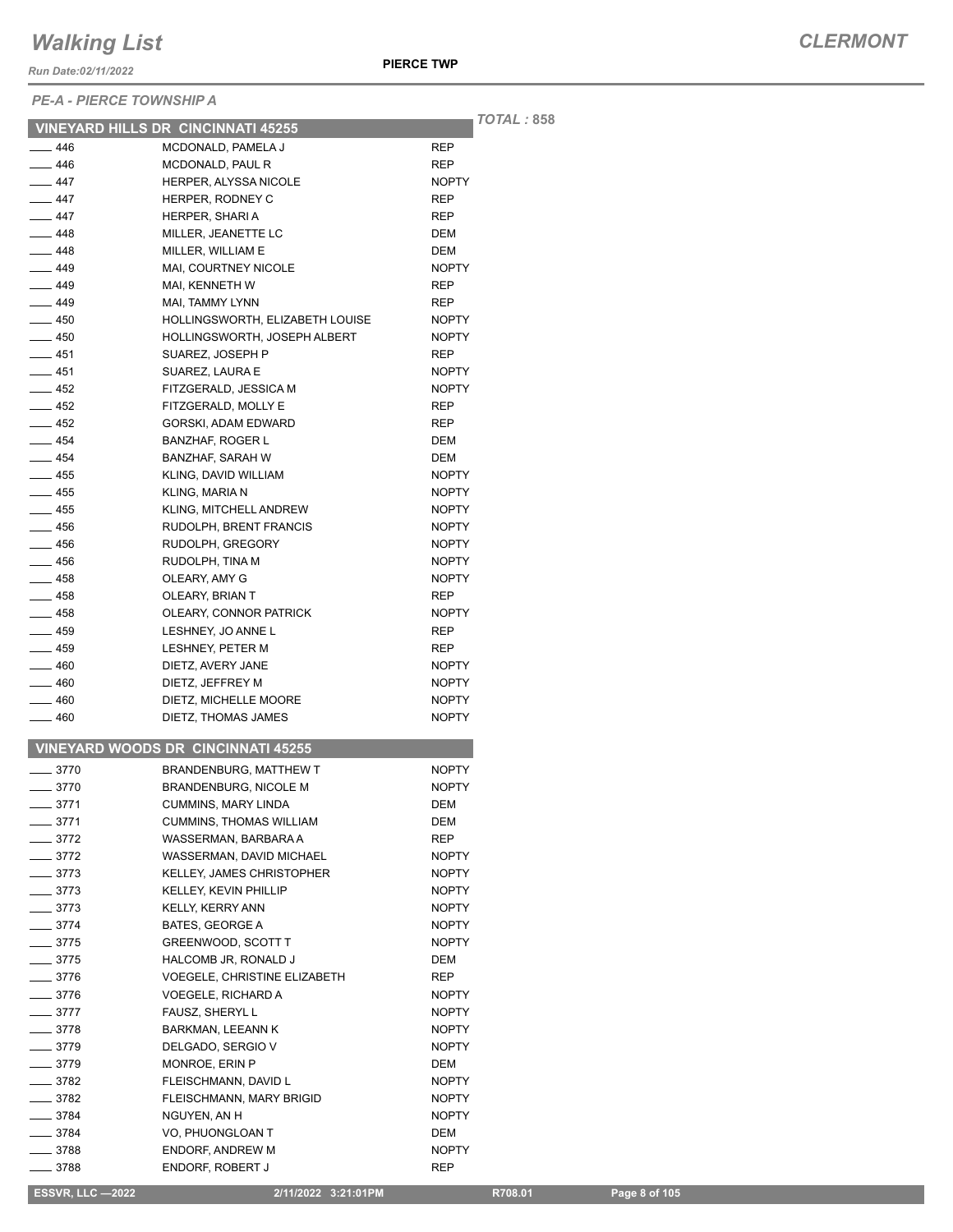*Run Date:02/11/2022*

*PE-A - PIERCE TOWNSHIP A*

*TOTAL :* **858**

|               | <b>VINEYARD HILLS DR CINCINNATI 45255</b> |              | IUIAL |
|---------------|-------------------------------------------|--------------|-------|
| $-446$        | MCDONALD, PAMELA J                        | REP          |       |
| $-446$        | MCDONALD, PAUL R                          | <b>REP</b>   |       |
| $-447$        | <b>HERPER, ALYSSA NICOLE</b>              | <b>NOPTY</b> |       |
| $-447$        | HERPER, RODNEY C                          | <b>REP</b>   |       |
| — 447         | HERPER, SHARI A                           | REP          |       |
| —— 448        | MILLER. JEANETTE LC                       | DEM          |       |
| $-448$        | MILLER, WILLIAM E                         | DEM          |       |
| $-449$        | MAI, COURTNEY NICOLE                      | <b>NOPTY</b> |       |
| $-449$        | MAI, KENNETH W                            | REP          |       |
| $-449$        | MAI, TAMMY LYNN                           | <b>REP</b>   |       |
| $-450$        | HOLLINGSWORTH, ELIZABETH LOUISE           | <b>NOPTY</b> |       |
| $-450$        | <b>HOLLINGSWORTH, JOSEPH ALBERT</b>       | <b>NOPTY</b> |       |
| — 451         | SUAREZ, JOSEPH P                          | REP          |       |
| ___ 451       | SUAREZ, LAURA E                           | <b>NOPTY</b> |       |
| — 452         | FITZGERALD, JESSICA M                     | <b>NOPTY</b> |       |
| $-452$        | FITZGERALD, MOLLY E                       | REP          |       |
| — 452         | GORSKI, ADAM EDWARD                       | <b>REP</b>   |       |
| $-454$        | <b>BANZHAF, ROGER L</b>                   | <b>DEM</b>   |       |
| $\_\_4$ 454   | <b>BANZHAF, SARAH W</b>                   | DEM          |       |
| $-455$        | KLING, DAVID WILLIAM                      | <b>NOPTY</b> |       |
| $-455$        | <b>KLING. MARIA N</b>                     | <b>NOPTY</b> |       |
| $-455$        | KLING, MITCHELL ANDREW                    | <b>NOPTY</b> |       |
| $-456$        | RUDOLPH. BRENT FRANCIS                    | <b>NOPTY</b> |       |
| $-456$        | RUDOLPH, GREGORY                          | <b>NOPTY</b> |       |
| — 456         | RUDOLPH, TINA M                           | <b>NOPTY</b> |       |
| —— 458        | OLEARY, AMY G                             | <b>NOPTY</b> |       |
| $-458$        | OLEARY, BRIAN T                           | <b>REP</b>   |       |
| $-458$        | OLEARY, CONNOR PATRICK                    | <b>NOPTY</b> |       |
| $-459$        | LESHNEY, JO ANNE L                        | REP          |       |
| $-459$        | LESHNEY, PETER M                          | <b>REP</b>   |       |
| $-460$        | DIETZ, AVERY JANE                         | <b>NOPTY</b> |       |
| —— 460        | DIETZ, JEFFREY M                          | <b>NOPTY</b> |       |
| — 460         | DIETZ, MICHELLE MOORE                     | <b>NOPTY</b> |       |
| — 460         | DIETZ, THOMAS JAMES                       | <b>NOPTY</b> |       |
|               |                                           |              |       |
|               | <b>VINEYARD WOODS DR CINCINNATI 45255</b> |              |       |
| $-3770$       | BRANDENBURG, MATTHEW T                    | <b>NOPTY</b> |       |
| $-3770$       | <b>BRANDENBURG, NICOLE M</b>              | <b>NOPTY</b> |       |
| $-3771$       | <b>CUMMINS, MARY LINDA</b>                | DEM          |       |
| $-3771$       | <b>CUMMINS, THOMAS WILLIAM</b>            | DEM          |       |
| $-3772$       | WASSERMAN, BARBARA A                      | REP          |       |
| $-3772$       | WASSERMAN, DAVID MICHAEL                  | <b>NOPTY</b> |       |
| $=$ 3773      | KELLEY, JAMES CHRISTOPHER                 | <b>NOPTY</b> |       |
| $-3773$       | <b>KELLEY, KEVIN PHILLIP</b>              | <b>NOPTY</b> |       |
| $-3773$       | <b>KELLY, KERRY ANN</b>                   | <b>NOPTY</b> |       |
| $-3774$       | BATES, GEORGE A                           | <b>NOPTY</b> |       |
| $-3775$       | GREENWOOD, SCOTT T                        | <b>NOPTY</b> |       |
| $-3775$       | HALCOMB JR, RONALD J                      | <b>DEM</b>   |       |
| $-3776$       | VOEGELE, CHRISTINE ELIZABETH              | REP          |       |
| $\equiv$ 3776 | VOEGELE, RICHARD A                        | <b>NOPTY</b> |       |
| $-3777$       | FAUSZ, SHERYL L                           | <b>NOPTY</b> |       |
| $-3778$       | BARKMAN, LEEANN K                         | <b>NOPTY</b> |       |
| ___ 3779      | DELGADO, SERGIO V                         | <b>NOPTY</b> |       |
| __ 3779       | MONROE, ERIN P                            | DEM          |       |
| ___ 3782      | FLEISCHMANN, DAVID L                      | <b>NOPTY</b> |       |
| _ 3782        | FLEISCHMANN, MARY BRIGID                  | <b>NOPTY</b> |       |
| __ 3784       | NGUYEN, AN H                              | <b>NOPTY</b> |       |
| _ 3784        | VO, PHUONGLOAN T                          | DEM          |       |
| _ 3788        | <b>ENDORF, ANDREW M</b>                   | <b>NOPTY</b> |       |
| 3788          | ENDORF, ROBERT J                          | REP          |       |

 **ESSVR, LLC —2022 2/11/2022 3:21:01PM R708.01 Page 8 of 105**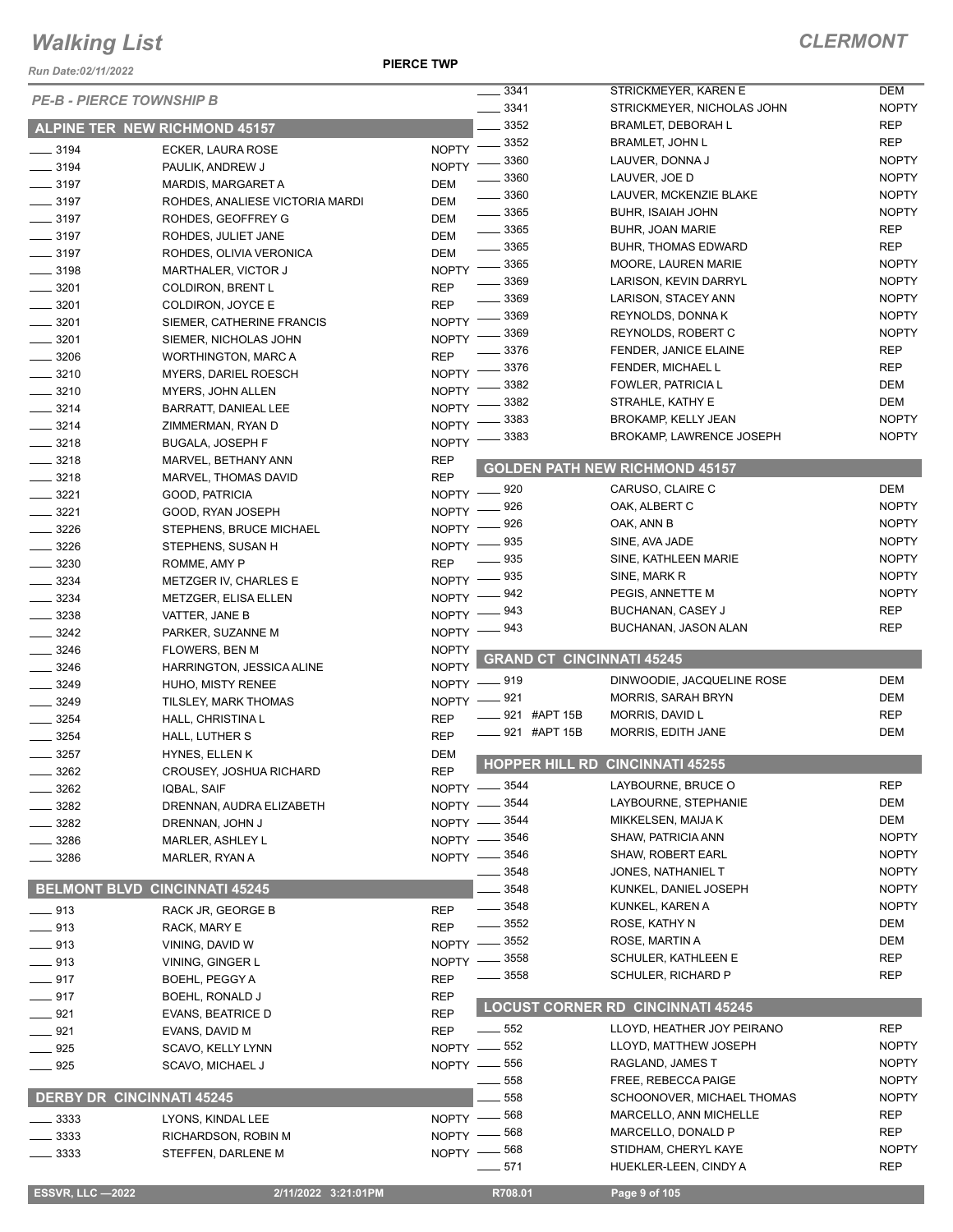*Run Date:02/11/2022*

**PIERCE TWP**

|                         | <b>PE-B - PIERCE TOWNSHIP B</b>      |                              | $- 3341$                         | STRICKMEYER, KAREN E                     | <b>DEM</b>   |
|-------------------------|--------------------------------------|------------------------------|----------------------------------|------------------------------------------|--------------|
|                         |                                      |                              | 3341                             | STRICKMEYER, NICHOLAS JOHN               | <b>NOPTY</b> |
|                         | <b>ALPINE TER NEW RICHMOND 45157</b> |                              | 3352                             | <b>BRAMLET, DEBORAH L</b>                | <b>REP</b>   |
| $\frac{1}{2}$ 3194      | ECKER, LAURA ROSE                    | <b>NOPTY</b>                 | 3352                             | <b>BRAMLET, JOHN L</b>                   | <b>REP</b>   |
| $\frac{1}{2}$ 3194      | PAULIK, ANDREW J                     | <b>NOPTY</b>                 | 3360                             | LAUVER, DONNA J                          | <b>NOPTY</b> |
| $\frac{1}{2}$ 3197      | <b>MARDIS, MARGARET A</b>            | DEM                          | 3360                             | LAUVER, JOE D                            | <b>NOPTY</b> |
| $\frac{1}{2}$ 3197      | ROHDES, ANALIESE VICTORIA MARDI      | DEM                          | 3360                             | LAUVER, MCKENZIE BLAKE                   | <b>NOPTY</b> |
| $\frac{1}{2}$ 3197      | ROHDES, GEOFFREY G                   | DEM                          | 3365                             | <b>BUHR, ISAIAH JOHN</b>                 | <b>NOPTY</b> |
| $\frac{1}{2}$ 3197      | ROHDES, JULIET JANE                  | <b>DEM</b>                   | $\frac{1}{2}$ 3365               | <b>BUHR, JOAN MARIE</b>                  | <b>REP</b>   |
| $\frac{1}{2}$ 3197      | ROHDES, OLIVIA VERONICA              | <b>DEM</b>                   | $- 3365$                         | <b>BUHR, THOMAS EDWARD</b>               | <b>REP</b>   |
| $\frac{1}{2}$ 3198      | MARTHALER, VICTOR J                  | <b>NOPTY</b>                 | 3365                             | MOORE, LAUREN MARIE                      | <b>NOPTY</b> |
| $- 3201$                | <b>COLDIRON, BRENT L</b>             | <b>REP</b>                   | 3369                             | LARISON, KEVIN DARRYL                    | <b>NOPTY</b> |
| $\frac{1}{2}$ 3201      | COLDIRON, JOYCE E                    | <b>REP</b>                   | 3369                             | LARISON, STACEY ANN                      | <b>NOPTY</b> |
| $\frac{1}{2}$ 3201      | SIEMER, CATHERINE FRANCIS            | <b>NOPTY</b>                 | 3369                             | REYNOLDS, DONNA K                        | <b>NOPTY</b> |
| $\frac{1}{2}$ 3201      | SIEMER, NICHOLAS JOHN                | <b>NOPTY</b>                 | 3369                             | REYNOLDS, ROBERT C                       | <b>NOPTY</b> |
| $- 3206$                | <b>WORTHINGTON, MARC A</b>           | <b>REP</b>                   | 3376                             | FENDER, JANICE ELAINE                    | <b>REP</b>   |
| $- 3210$                | MYERS, DARIEL ROESCH                 | <b>NOPTY</b>                 | 3376                             | FENDER, MICHAEL L                        | <b>REP</b>   |
| $- 3210$                |                                      | <b>NOPTY</b>                 | 3382                             | FOWLER, PATRICIA L                       | <b>DEM</b>   |
|                         | MYERS, JOHN ALLEN                    |                              | 3382                             | STRAHLE, KATHY E                         | <b>DEM</b>   |
| $- 3214$<br>$- 3214$    | BARRATT, DANIEAL LEE                 | <b>NOPTY</b><br><b>NOPTY</b> | 3383                             | <b>BROKAMP, KELLY JEAN</b>               | <b>NOPTY</b> |
|                         | ZIMMERMAN, RYAN D                    |                              | 3383                             | <b>BROKAMP, LAWRENCE JOSEPH</b>          | <b>NOPTY</b> |
| $- 3218$                | <b>BUGALA, JOSEPH F</b>              | <b>NOPTY</b>                 |                                  |                                          |              |
| $\frac{3218}{2}$        | MARVEL, BETHANY ANN                  | <b>REP</b>                   |                                  | <b>GOLDEN PATH NEW RICHMOND 45157</b>    |              |
| $- 3218$                | MARVEL, THOMAS DAVID                 | <b>REP</b>                   | 920                              | CARUSO, CLAIRE C                         | <b>DEM</b>   |
| $\frac{1}{2}$ 3221      | GOOD, PATRICIA                       | <b>NOPTY</b>                 | 926                              | OAK, ALBERT C                            | <b>NOPTY</b> |
| $\frac{3221}{2}$        | GOOD, RYAN JOSEPH                    | <b>NOPTY</b>                 | 926                              | OAK, ANN B                               | <b>NOPTY</b> |
| $- 3226$                | STEPHENS, BRUCE MICHAEL              | <b>NOPTY</b>                 | 935                              | SINE, AVA JADE                           | <b>NOPTY</b> |
| $- 3226$                | STEPHENS, SUSAN H                    | <b>NOPTY</b>                 | 935                              | SINE, KATHLEEN MARIE                     | <b>NOPTY</b> |
| $\frac{1}{2}$ 3230      | ROMME, AMY P                         | <b>REP</b>                   | 935                              | SINE, MARK R                             | <b>NOPTY</b> |
| $\frac{1}{2}$ 3234      | METZGER IV, CHARLES E                | <b>NOPTY</b>                 | 942                              | PEGIS, ANNETTE M                         | <b>NOPTY</b> |
| $\frac{3234}{2}$        | METZGER, ELISA ELLEN                 | <b>NOPTY</b>                 | 943                              | BUCHANAN, CASEY J                        | <b>REP</b>   |
| $- 3238$                | VATTER, JANE B                       | <b>NOPTY</b>                 | 943                              | BUCHANAN, JASON ALAN                     | <b>REP</b>   |
| $\frac{3242}{ }$        | PARKER, SUZANNE M                    | <b>NOPTY</b>                 |                                  |                                          |              |
| $- 3246$                | <b>FLOWERS, BEN M</b>                | <b>NOPTY</b>                 | <b>GRAND CT CINCINNATI 45245</b> |                                          |              |
| $- 3246$                | HARRINGTON, JESSICA ALINE            | <b>NOPTY</b>                 |                                  |                                          |              |
| $- 3249$                | HUHO, MISTY RENEE                    |                              | NOPTY -819                       | DINWOODIE, JACQUELINE ROSE               | <b>DEM</b>   |
| $- 3249$                | TILSLEY, MARK THOMAS                 | NOPTY -                      | _ 921                            | <b>MORRIS, SARAH BRYN</b>                | <b>DEM</b>   |
| $\frac{1}{2}$ 3254      | HALL, CHRISTINA L                    | <b>REP</b>                   | 921 #APT 15B                     | MORRIS, DAVID L                          | <b>REP</b>   |
| $-3254$                 | HALL, LUTHER S                       | <b>REP</b>                   | 921 #APT 15B                     | MORRIS, EDITH JANE                       | <b>DEM</b>   |
| $-3257$                 | HYNES, ELLEN K                       | <b>DEM</b>                   |                                  | HOPPER HILL RD CINCINNATI 45255          |              |
| 3262                    | <b>CROUSEY, JOSHUA RICHARD</b>       | <b>REP</b>                   |                                  |                                          |              |
| 3262                    | IQBAL, SAIF                          |                              | NOPTY -8544                      | LAYBOURNE, BRUCE O                       | <b>REP</b>   |
| 3282                    | DRENNAN, AUDRA ELIZABETH             | NOPTY -                      | 3544                             | LAYBOURNE, STEPHANIE                     | <b>DEM</b>   |
| 3282                    | DRENNAN, JOHN J                      |                              | NOPTY -8544                      | MIKKELSEN, MAIJA K                       | <b>DEM</b>   |
| 3286                    |                                      |                              |                                  |                                          |              |
|                         | MARLER, ASHLEY L                     |                              | NOPTY -8546                      | SHAW, PATRICIA ANN                       | <b>NOPTY</b> |
| 3286                    | MARLER, RYAN A                       |                              | NOPTY -8546                      | SHAW, ROBERT EARL                        | <b>NOPTY</b> |
|                         |                                      |                              | 3548                             | JONES, NATHANIEL T                       | <b>NOPTY</b> |
|                         | <b>BELMONT BLVD CINCINNATI 45245</b> |                              | 3548                             | KUNKEL, DANIEL JOSEPH                    | <b>NOPTY</b> |
| $-913$                  | RACK JR, GEORGE B                    | <b>REP</b>                   | 3548                             | KUNKEL, KAREN A                          | <b>NOPTY</b> |
| $- 913$                 | RACK, MARY E                         | <b>REP</b>                   | 3552                             | ROSE, KATHY N                            | <b>DEM</b>   |
| $- 913$                 | VINING, DAVID W                      | $NOPTY -$                    | _ 3552                           | ROSE, MARTIN A                           | <b>DEM</b>   |
|                         | VINING, GINGER L                     | NOPTY -                      | _ 3558                           | SCHULER, KATHLEEN E                      | <b>REP</b>   |
| $\frac{1}{2}$ 913       | BOEHL, PEGGY A                       | <b>REP</b>                   | 3558                             | SCHULER, RICHARD P                       | REP          |
| $-917$<br>$-917$        | BOEHL, RONALD J                      | <b>REP</b>                   |                                  |                                          |              |
|                         |                                      |                              |                                  | <b>LOCUST CORNER RD CINCINNATI 45245</b> |              |
| $-921$<br>$-921$        | EVANS, BEATRICE D                    | <b>REP</b><br><b>REP</b>     | 552                              | LLOYD, HEATHER JOY PEIRANO               | <b>REP</b>   |
| $- 925$                 | EVANS, DAVID M<br>SCAVO, KELLY LYNN  | NOPTY -                      | 552                              | LLOYD, MATTHEW JOSEPH                    | <b>NOPTY</b> |
|                         |                                      |                              | 556                              | RAGLAND, JAMES T                         | <b>NOPTY</b> |
| $- 925$                 | SCAVO, MICHAEL J                     | $NOPTY$ —                    | 558                              | FREE, REBECCA PAIGE                      | <b>NOPTY</b> |
|                         |                                      |                              | 558                              | SCHOONOVER, MICHAEL THOMAS               | <b>NOPTY</b> |
|                         | <b>DERBY DR CINCINNATI 45245</b>     |                              | 568                              | MARCELLO, ANN MICHELLE                   | <b>REP</b>   |
| _ 3333                  | LYONS, KINDAL LEE                    | NOPTY -                      | 568                              | MARCELLO, DONALD P                       | <b>REP</b>   |
| _ 3333                  | RICHARDSON, ROBIN M                  | $NOPTY -$                    | 568                              | STIDHAM, CHERYL KAYE                     | <b>NOPTY</b> |
| 3333                    | STEFFEN, DARLENE M                   | $N$ OPTY $-$                 | 571                              | HUEKLER-LEEN, CINDY A                    | <b>REP</b>   |
| <b>ESSVR, LLC -2022</b> | 2/11/2022 3:21:01PM                  |                              | R708.01                          | Page 9 of 105                            |              |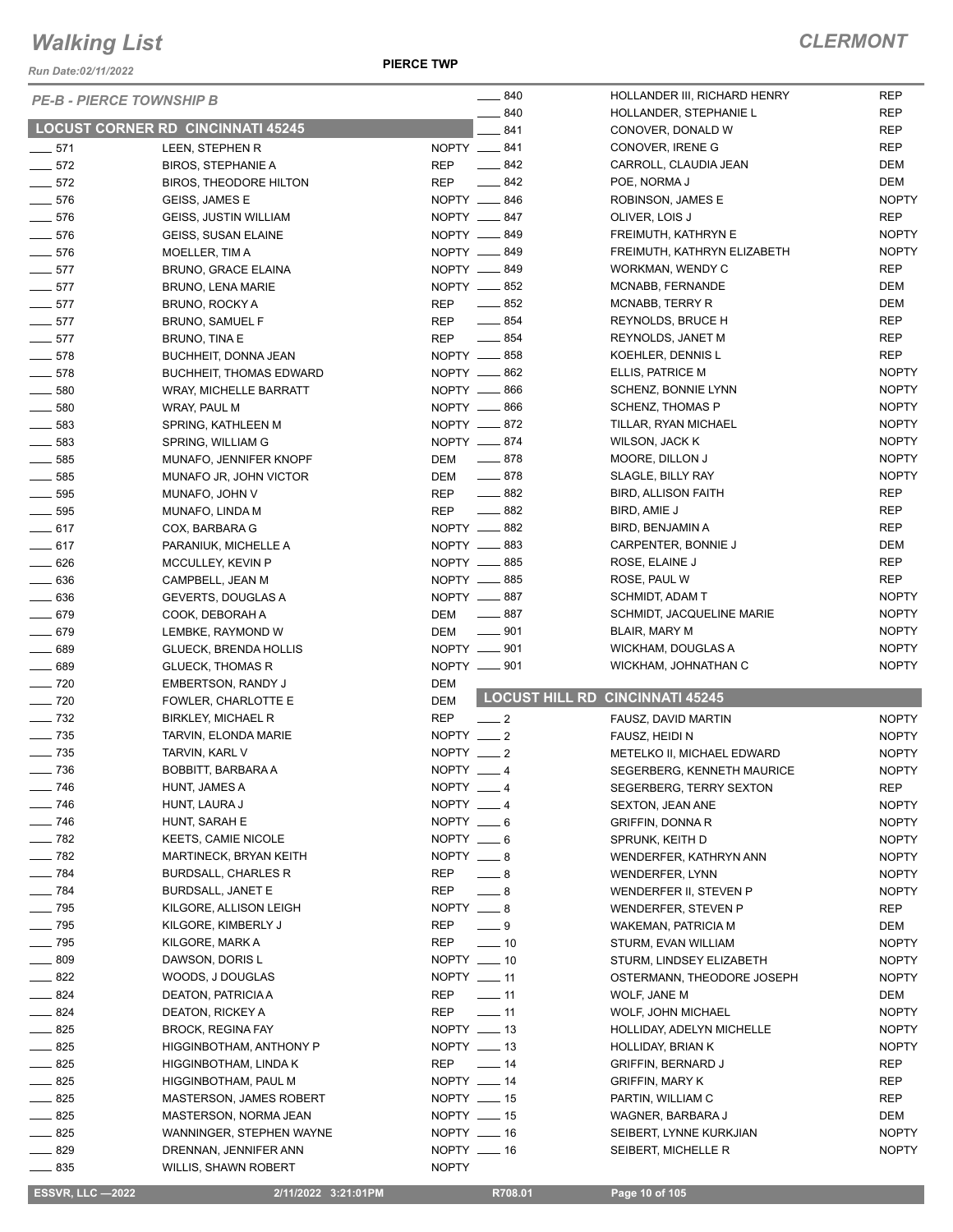*Run Date:02/11/2022*

 $PE-B -$ 

**PIERCE TWP**

|                   | <b>PE-B - PIERCE TOWNSHIP B</b>          | $-840$                          | HOLLANDER III, RICHARD HENRY           | <b>REP</b>   |
|-------------------|------------------------------------------|---------------------------------|----------------------------------------|--------------|
|                   |                                          | $-840$                          | HOLLANDER, STEPHANIE L                 | <b>REP</b>   |
|                   | <b>LOCUST CORNER RD CINCINNATI 45245</b> | $-841$                          | CONOVER, DONALD W                      | <b>REP</b>   |
| $- 571$           | LEEN, STEPHEN R                          | NOPTY __ 841                    | CONOVER, IRENE G                       | REP          |
| $\frac{1}{2}$ 572 | <b>BIROS, STEPHANIE A</b>                | REP<br>$-842$                   | CARROLL, CLAUDIA JEAN                  | DEM          |
| $\frac{1}{2}$ 572 | <b>BIROS, THEODORE HILTON</b>            | $-842$<br>REP                   | POE, NORMA J                           | DEM          |
| $- 576$           | GEISS, JAMES E                           | NOPTY __ 846                    | ROBINSON, JAMES E                      | <b>NOPTY</b> |
| $- 576$           | GEISS, JUSTIN WILLIAM                    | NOPTY __ 847                    | OLIVER, LOIS J                         | <b>REP</b>   |
| $- 576$           | <b>GEISS, SUSAN ELAINE</b>               | NOPTY __ 849                    | FREIMUTH, KATHRYN E                    | <b>NOPTY</b> |
| $- 576$           | MOELLER, TIM A                           | NOPTY __ 849                    | FREIMUTH, KATHRYN ELIZABETH            | <b>NOPTY</b> |
| $- 577$           | <b>BRUNO, GRACE ELAINA</b>               | NOPTY __ 849                    | WORKMAN, WENDY C                       | <b>REP</b>   |
| $-577$            | <b>BRUNO, LENA MARIE</b>                 | NOPTY __ 852                    | MCNABB, FERNANDE                       | DEM          |
| $-577$            | BRUNO, ROCKY A                           | $-852$<br>REP                   | MCNABB, TERRY R                        | DEM          |
| $\frac{1}{2}$ 577 | <b>BRUNO, SAMUEL F</b>                   | $\frac{1}{2}$ 854<br>REP        | REYNOLDS, BRUCE H                      | REP          |
| $-577$            | <b>BRUNO, TINA E</b>                     | $\frac{1}{2}$ 854<br>REP        | REYNOLDS, JANET M                      | <b>REP</b>   |
| $-578$            | BUCHHEIT, DONNA JEAN                     | NOPTY __ 858                    | KOEHLER, DENNIS L                      | <b>REP</b>   |
| $- 578$           | <b>BUCHHEIT, THOMAS EDWARD</b>           | NOPTY <u>__</u> 862             | ELLIS, PATRICE M                       | <b>NOPTY</b> |
| $\frac{1}{2}$ 580 | WRAY, MICHELLE BARRATT                   | NOPTY __ 866                    | SCHENZ, BONNIE LYNN                    | <b>NOPTY</b> |
| $\frac{1}{2}$ 580 | WRAY, PAUL M                             | NOPTY __ 866                    | <b>SCHENZ, THOMAS P</b>                | <b>NOPTY</b> |
| $\frac{1}{2}$ 583 | SPRING, KATHLEEN M                       | NOPTY __ 872                    | TILLAR, RYAN MICHAEL                   | <b>NOPTY</b> |
| $- 583$           | SPRING, WILLIAM G                        | NOPTY __ 874                    | WILSON, JACK K                         | <b>NOPTY</b> |
| $\frac{1}{2}$ 585 | MUNAFO, JENNIFER KNOPF                   | DEM __ 878                      | MOORE, DILLON J                        | <b>NOPTY</b> |
| $\frac{1}{2}$ 585 | MUNAFO JR, JOHN VICTOR                   | $-878$<br>DEM                   | SLAGLE, BILLY RAY                      | <b>NOPTY</b> |
| $\frac{1}{2}$ 595 | MUNAFO, JOHN V                           | $-882$<br>REP                   | <b>BIRD, ALLISON FAITH</b>             | <b>REP</b>   |
| $\frac{1}{2}$ 595 | MUNAFO, LINDA M                          | $-882$<br>REP                   | BIRD, AMIE J                           | <b>REP</b>   |
| $-617$            | COX, BARBARA G                           | NOPTY __ 882                    | BIRD, BENJAMIN A                       | <b>REP</b>   |
| $-617$            | PARANIUK, MICHELLE A                     | NOPTY __ 883                    | CARPENTER, BONNIE J                    | DEM          |
| $- 626$           | MCCULLEY, KEVIN P                        | NOPTY __ 885                    | ROSE, ELAINE J                         | <b>REP</b>   |
| $- 636$           | CAMPBELL, JEAN M                         | NOPTY __ 885                    | ROSE, PAUL W                           | <b>REP</b>   |
| $\frac{1}{2}$ 636 | GEVERTS, DOUGLAS A                       | NOPTY __ 887                    | SCHMIDT, ADAM T                        | <b>NOPTY</b> |
| $- 679$           | COOK, DEBORAH A                          | $-887$<br>DEM                   | SCHMIDT, JACQUELINE MARIE              | <b>NOPTY</b> |
| $- 679$           | LEMBKE, RAYMOND W                        | $\frac{1}{2}$ 901<br>DEM        | BLAIR, MARY M                          | <b>NOPTY</b> |
| $- 689$           | GLUECK, BRENDA HOLLIS                    | NOPTY __ 901                    | WICKHAM, DOUGLAS A                     | <b>NOPTY</b> |
| $- 689$           | <b>GLUECK, THOMAS R</b>                  | NOPTY __ 901                    | WICKHAM, JOHNATHAN C                   | <b>NOPTY</b> |
| $- 720$           | <b>EMBERTSON, RANDY J</b>                | <b>DEM</b>                      |                                        |              |
| $\sim$ 720        | FOWLER, CHARLOTTE E                      | <b>DEM</b>                      | <b>LOCUST HILL RD CINCINNATI 45245</b> |              |
| $\frac{1}{2}$ 732 | <b>BIRKLEY, MICHAEL R</b>                | <b>REP</b><br>$\frac{1}{2}$     | FAUSZ, DAVID MARTIN                    | <b>NOPTY</b> |
| $\frac{1}{2}$ 735 | TARVIN, ELONDA MARIE                     | NOPTY $-2$                      | FAUSZ, HEIDI N                         | <b>NOPTY</b> |
| $\frac{1}{2}$ 735 | TARVIN, KARL V                           | NOPTY __ 2                      | METELKO II, MICHAEL EDWARD             | <b>NOPTY</b> |
| $- 736$           | BOBBITT, BARBARA A                       | NOPTY __ 4                      | SEGERBERG, KENNETH MAURICE             | <b>NOPTY</b> |
| $\frac{1}{2}$ 746 | HUNT, JAMES A                            | NOPTY $-4$                      | SEGERBERG, TERRY SEXTON                | <b>REP</b>   |
| $\frac{1}{2}$ 746 | HUNT, LAURA J                            | NOPTY __ 4                      | SEXTON, JEAN ANE                       | <b>NOPTY</b> |
| $\frac{1}{2}$ 746 | HUNT, SARAH E                            | NOPTY $-6$                      | <b>GRIFFIN, DONNA R</b>                | <b>NOPTY</b> |
| $- 782$           | <b>KEETS, CAMIE NICOLE</b>               | $NOPTY = 6$                     | SPRUNK, KEITH D                        | <b>NOPTY</b> |
| $- 782$           | MARTINECK, BRYAN KEITH                   | $NOPTY = 8$                     | WENDERFER, KATHRYN ANN                 | <b>NOPTY</b> |
| $- 784$           | <b>BURDSALL, CHARLES R</b>               | REP<br>$-8$                     | <b>WENDERFER, LYNN</b>                 | <b>NOPTY</b> |
| $- 784$           | <b>BURDSALL, JANET E</b>                 | REP<br>$-8$                     | WENDERFER II, STEVEN P                 | <b>NOPTY</b> |
| $\frac{1}{2}$ 795 | KILGORE, ALLISON LEIGH                   | NOPTY $-8$                      | WENDERFER, STEVEN P                    | REP          |
| $\equiv$ 795      | KILGORE, KIMBERLY J                      | $-9$<br>REP                     | <b>WAKEMAN, PATRICIA M</b>             | DEM          |
| $\frac{1}{2}$ 795 | KILGORE, MARK A                          | REP<br>$\sim$ 10                | STURM, EVAN WILLIAM                    | <b>NOPTY</b> |
| $- 809$           | DAWSON, DORIS L                          | $NOPTY$ ____ 10                 | STURM, LINDSEY ELIZABETH               | <b>NOPTY</b> |
| $-822$            | WOODS, J DOUGLAS                         | $NOPTY$ $\_\_$ 11               | OSTERMANN, THEODORE JOSEPH             | <b>NOPTY</b> |
| $-824$            | DEATON, PATRICIA A                       | <b>REP</b><br>$\frac{1}{2}$ 11  |                                        |              |
| $-824$            |                                          | <b>REP</b>                      | WOLF, JANE M                           | DEM          |
| $-825$            | DEATON, RICKEY A                         | $\frac{1}{2}$ 11<br>NOPTY __ 13 | <b>WOLF, JOHN MICHAEL</b>              | <b>NOPTY</b> |
|                   | <b>BROCK, REGINA FAY</b>                 |                                 | HOLLIDAY, ADELYN MICHELLE              | <b>NOPTY</b> |
| $-825$            | HIGGINBOTHAM, ANTHONY P                  | NOPTY __ 13                     | HOLLIDAY, BRIAN K                      | <b>NOPTY</b> |
| $-825$            | HIGGINBOTHAM, LINDA K                    | $\frac{1}{2}$ 14<br>REP         | <b>GRIFFIN, BERNARD J</b>              | <b>REP</b>   |
| $-825$            | HIGGINBOTHAM, PAUL M                     | NOPTY __ 14                     | <b>GRIFFIN, MARY K</b>                 | REP          |
| $-825$            | <b>MASTERSON, JAMES ROBERT</b>           | NOPTY $- 15$                    | PARTIN, WILLIAM C                      | REP          |
| $- 825$           | MASTERSON, NORMA JEAN                    | NOPTY $- 15$                    | WAGNER, BARBARA J                      | DEM          |
| $-825$            | WANNINGER, STEPHEN WAYNE                 | NOPTY __ 16                     | SEIBERT, LYNNE KURKJIAN                | <b>NOPTY</b> |
| $- 829$           | DRENNAN, JENNIFER ANN                    | NOPTY __ 16                     | SEIBERT, MICHELLE R                    | <b>NOPTY</b> |
| $-835$            | <b>WILLIS, SHAWN ROBERT</b>              | <b>NOPTY</b>                    |                                        |              |

 **ESSVR, LLC —2022 2/11/2022 3:21:01PM R708.01 Page 10 of 105**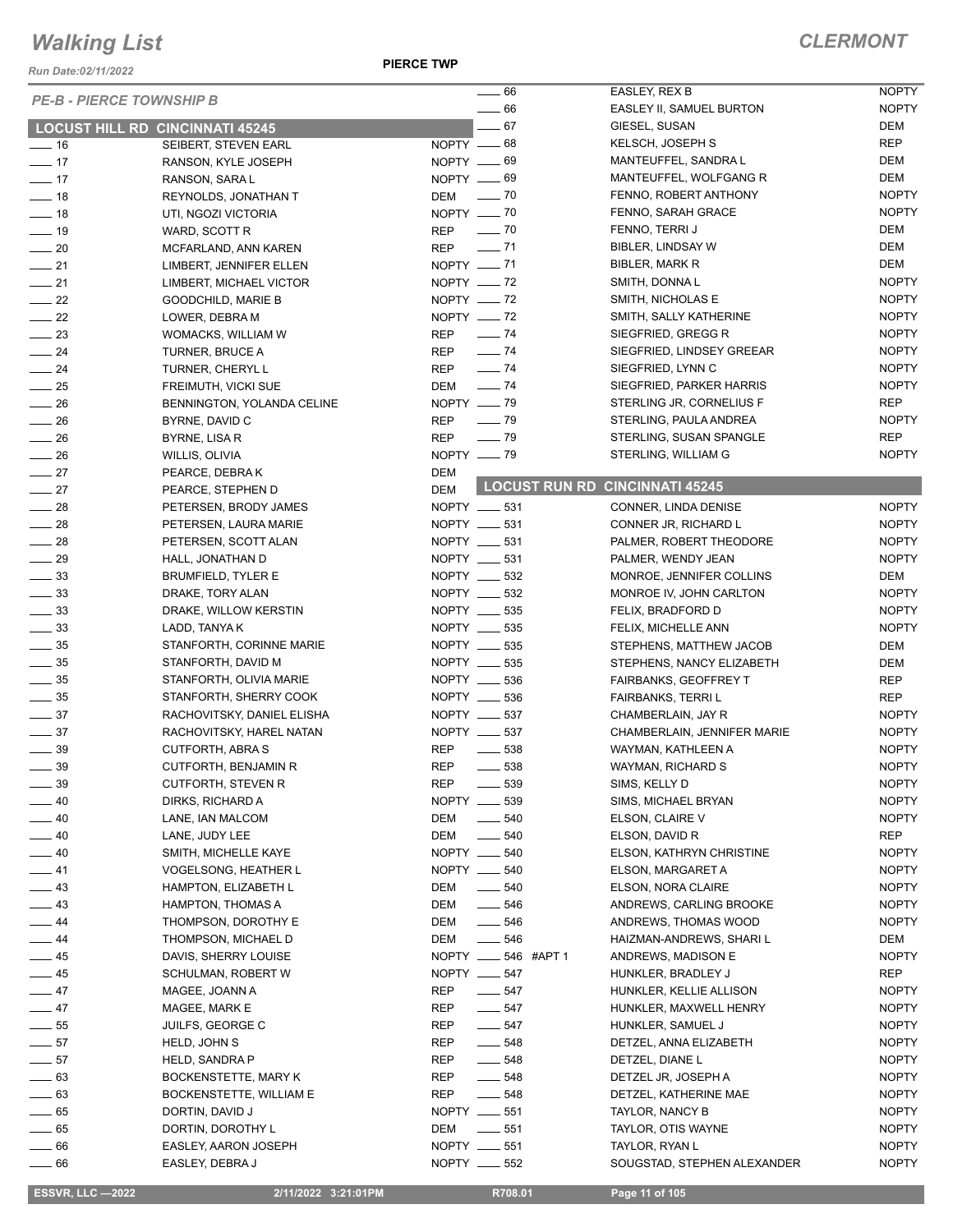*Run Date:02/11/2022*

**PIERCE TWP**

|                  |                                        | $\frac{1}{2}$ 66                | EASLEY, REX B                         | <b>NOPTY</b> |
|------------------|----------------------------------------|---------------------------------|---------------------------------------|--------------|
|                  | <b>PE-B - PIERCE TOWNSHIP B</b>        |                                 |                                       |              |
|                  |                                        | $\sim$ 66                       | EASLEY II, SAMUEL BURTON              | <b>NOPTY</b> |
|                  | <b>LOCUST HILL RD CINCINNATI 45245</b> | $-67$                           | GIESEL, SUSAN                         | DEM          |
| $-16$            | SEIBERT, STEVEN EARL                   | NOPTY $-68$                     | KELSCH, JOSEPH S                      | <b>REP</b>   |
| $\frac{1}{2}$ 17 | RANSON, KYLE JOSEPH                    | NOPTY -69                       | MANTEUFFEL, SANDRA L                  | DEM          |
| $\frac{1}{2}$ 17 | RANSON, SARA L                         | NOPTY __ 69                     | MANTEUFFEL, WOLFGANG R                | DEM          |
| $-18$            | REYNOLDS, JONATHAN T                   | DEM - 70                        | FENNO, ROBERT ANTHONY                 | <b>NOPTY</b> |
| $-18$            | UTI, NGOZI VICTORIA                    | NOPTY $- 70$                    | FENNO, SARAH GRACE                    | <b>NOPTY</b> |
| $-19$            | WARD, SCOTT R                          | $REP$ $\_\_$ 70                 | FENNO, TERRI J                        | DEM          |
| $\sim$ 20        | MCFARLAND, ANN KAREN                   | <b>REP</b><br>$- 71$            | BIBLER, LINDSAY W                     | DEM          |
| $-21$            | LIMBERT, JENNIFER ELLEN                | NOPTY __ 71                     | BIBLER, MARK R                        | DEM          |
| $\frac{1}{21}$   | LIMBERT, MICHAEL VICTOR                | NOPTY - 72                      | SMITH, DONNAL                         | <b>NOPTY</b> |
| $\frac{1}{22}$   | <b>GOODCHILD, MARIE B</b>              | NOPTY -72                       | SMITH, NICHOLAS E                     | <b>NOPTY</b> |
| $-22$            | LOWER, DEBRA M                         | NOPTY -72                       | SMITH, SALLY KATHERINE                | <b>NOPTY</b> |
| $\frac{1}{2}$ 23 | WOMACKS, WILLIAM W                     | REP - 74                        | SIEGFRIED, GREGG R                    | <b>NOPTY</b> |
| $-24$            | TURNER, BRUCE A                        | $\frac{1}{2}$ 74<br>REP         | SIEGFRIED, LINDSEY GREEAR             | <b>NOPTY</b> |
| $-24$            | TURNER, CHERYL L                       | $\frac{1}{2}$ 74<br><b>REP</b>  | SIEGFRIED, LYNN C                     | <b>NOPTY</b> |
| $\frac{1}{25}$   | FREIMUTH, VICKI SUE                    | DEM - 74                        | SIEGFRIED, PARKER HARRIS              | <b>NOPTY</b> |
| $\frac{1}{26}$   | BENNINGTON, YOLANDA CELINE             | NOPTY __ 79                     | STERLING JR, CORNELIUS F              | <b>REP</b>   |
| $\frac{1}{26}$   |                                        | $\frac{1}{2}$ 79<br><b>REP</b>  | STERLING, PAULA ANDREA                | <b>NOPTY</b> |
|                  | BYRNE, DAVID C                         |                                 |                                       | <b>REP</b>   |
| $\frac{1}{26}$   | BYRNE, LISA R                          | $\frac{1}{2}$ 79<br><b>REP</b>  | STERLING, SUSAN SPANGLE               |              |
| $\frac{1}{26}$   | WILLIS, OLIVIA                         | NOPTY $-$ 79                    | STERLING, WILLIAM G                   | <b>NOPTY</b> |
| $\frac{1}{27}$   | PEARCE, DEBRAK                         | DEM                             | <b>LOCUST RUN RD CINCINNATI 45245</b> |              |
| $-27$            | PEARCE, STEPHEN D                      | <b>DEM</b>                      |                                       |              |
| $\frac{1}{28}$   | PETERSEN, BRODY JAMES                  | NOPTY __ 531                    | CONNER, LINDA DENISE                  | <b>NOPTY</b> |
| $\frac{1}{28}$   | PETERSEN, LAURA MARIE                  | NOPTY __ 531                    | CONNER JR, RICHARD L                  | <b>NOPTY</b> |
| $\sim$ 28        | PETERSEN, SCOTT ALAN                   | NOPTY __ 531                    | PALMER, ROBERT THEODORE               | <b>NOPTY</b> |
| $\frac{1}{29}$   | HALL, JONATHAN D                       | NOPTY __ 531                    | PALMER, WENDY JEAN                    | <b>NOPTY</b> |
| $\frac{33}{2}$   | BRUMFIELD, TYLER E                     | NOPTY _____ 532                 | MONROE, JENNIFER COLLINS              | DEM          |
| $\frac{1}{2}$ 33 | DRAKE, TORY ALAN                       | NOPTY __ 532                    | MONROE IV, JOHN CARLTON               | <b>NOPTY</b> |
| $\frac{1}{2}$ 33 | DRAKE, WILLOW KERSTIN                  | NOPTY __ 535                    | FELIX, BRADFORD D                     | <b>NOPTY</b> |
| $\frac{1}{2}$ 33 | LADD, TANYA K                          | NOPTY __ 535                    | FELIX, MICHELLE ANN                   | <b>NOPTY</b> |
| $\frac{1}{2}$ 35 | STANFORTH, CORINNE MARIE               | NOPTY __ 535                    | STEPHENS, MATTHEW JACOB               | DEM          |
| $\frac{1}{2}$ 35 | STANFORTH, DAVID M                     | NOPTY __ 535                    | STEPHENS, NANCY ELIZABETH             | DEM          |
| $\frac{1}{2}$ 35 | STANFORTH, OLIVIA MARIE                | NOPTY __ 536                    | <b>FAIRBANKS, GEOFFREY T</b>          | REP          |
| $\frac{1}{2}$ 35 | STANFORTH, SHERRY COOK                 | NOPTY __ 536                    | FAIRBANKS, TERRI L                    | <b>REP</b>   |
| $\frac{1}{2}$ 37 | RACHOVITSKY, DANIEL ELISHA             | NOPTY __ 537                    | CHAMBERLAIN, JAY R                    | <b>NOPTY</b> |
| $\frac{1}{2}$ 37 | RACHOVITSKY, HAREL NATAN               | NOPTY __ 537                    | CHAMBERLAIN, JENNIFER MARIE           | <b>NOPTY</b> |
| $\frac{1}{2}$ 39 | CUTFORTH, ABRA S                       | REP<br>$\frac{1}{2}$ 538        | WAYMAN, KATHLEEN A                    | <b>NOPTY</b> |
| $\frac{1}{2}$ 39 | CUTFORTH, BENJAMIN R                   | <b>REP</b><br>$\frac{1}{2}$ 538 | WAYMAN, RICHARD S                     | <b>NOPTY</b> |
|                  |                                        |                                 |                                       |              |
| $\frac{1}{2}$ 39 | CUTFORTH, STEVEN R                     | REP<br>$\frac{1}{2}$ 539        | SIMS, KELLY D                         | <b>NOPTY</b> |
| $-40$            | DIRKS, RICHARD A                       | NOPTY __ 539                    | SIMS, MICHAEL BRYAN                   | <b>NOPTY</b> |
| $-40$            | LANE, IAN MALCOM                       | DEM<br>$\frac{1}{2}$ 540        | ELSON, CLAIRE V                       | <b>NOPTY</b> |
| $-40$            | LANE, JUDY LEE                         | DEM<br>$\frac{1}{2}$ 540        | ELSON, DAVID R                        | REP          |
| $-40$            | SMITH, MICHELLE KAYE                   | NOPTY __ 540                    | ELSON, KATHRYN CHRISTINE              | <b>NOPTY</b> |
| $-41$            | VOGELSONG, HEATHER L                   | NOPTY __ 540                    | ELSON, MARGARET A                     | <b>NOPTY</b> |
| $\frac{1}{2}$ 43 | <b>HAMPTON, ELIZABETH L</b>            | $\frac{1}{2}$ 540<br>DEM        | ELSON, NORA CLAIRE                    | <b>NOPTY</b> |
| $\frac{1}{2}$ 43 | <b>HAMPTON, THOMAS A</b>               | $\frac{1}{2}$ 546<br>DEM        | ANDREWS, CARLING BROOKE               | <b>NOPTY</b> |
| $-44$            | THOMPSON, DOROTHY E                    | DEM<br>$\frac{1}{2}$ 546        | ANDREWS, THOMAS WOOD                  | <b>NOPTY</b> |
| $-44$            | THOMPSON, MICHAEL D                    | DEM<br>$\frac{1}{2}$ 546        | HAIZMAN-ANDREWS, SHARI L              | DEM          |
| $\frac{1}{2}$ 45 | DAVIS, SHERRY LOUISE                   | NOPTY __ 546 #APT 1             | ANDREWS, MADISON E                    | <b>NOPTY</b> |
| $\frac{1}{2}$ 45 | SCHULMAN, ROBERT W                     | NOPTY __ 547                    | HUNKLER, BRADLEY J                    | REP          |
| $-47$            | MAGEE, JOANN A                         | $-547$<br>REP                   | HUNKLER, KELLIE ALLISON               | <b>NOPTY</b> |
| $-47$            | MAGEE, MARK E                          | $\frac{1}{2}$ 547<br>REP        | HUNKLER, MAXWELL HENRY                | <b>NOPTY</b> |
| $\frac{1}{2}$ 55 | JUILFS, GEORGE C                       | $- 547$<br>REP                  | HUNKLER, SAMUEL J                     | <b>NOPTY</b> |
| $\frac{1}{2}$ 57 | HELD, JOHN S                           | REP<br>$\frac{1}{2}$ 548        | DETZEL, ANNA ELIZABETH                | <b>NOPTY</b> |
| $-57$            | HELD, SANDRA P                         | REP<br>$- 548$                  | DETZEL, DIANE L                       | <b>NOPTY</b> |
| $\frac{1}{2}$ 63 | BOCKENSTETTE, MARY K                   | $\frac{1}{2}$ 548<br>REP        | DETZEL JR, JOSEPH A                   | <b>NOPTY</b> |
| $\frac{1}{2}$ 63 | BOCKENSTETTE, WILLIAM E                | REP<br>$- 548$                  | DETZEL, KATHERINE MAE                 | <b>NOPTY</b> |
| $\frac{1}{2}$ 65 | DORTIN, DAVID J                        | NOPTY __ 551                    | TAYLOR, NANCY B                       | <b>NOPTY</b> |
| $\frac{1}{2}$ 65 | DORTIN, DOROTHY L                      | DEM<br>$\frac{1}{2}$ 551        | TAYLOR, OTIS WAYNE                    | <b>NOPTY</b> |
| $\frac{1}{2}$ 66 | EASLEY, AARON JOSEPH                   | NOPTY __ 551                    | TAYLOR, RYAN L                        | <b>NOPTY</b> |
|                  |                                        |                                 |                                       |              |

 **ESSVR, LLC —2022 2/11/2022 3:21:01PM R708.01 Page 11 of 105**

\_\_ 66 EASLEY, DEBRA J NOPTY \_\_\_\_ 552

SOUGSTAD, STEPHEN ALEXANDER NOPTY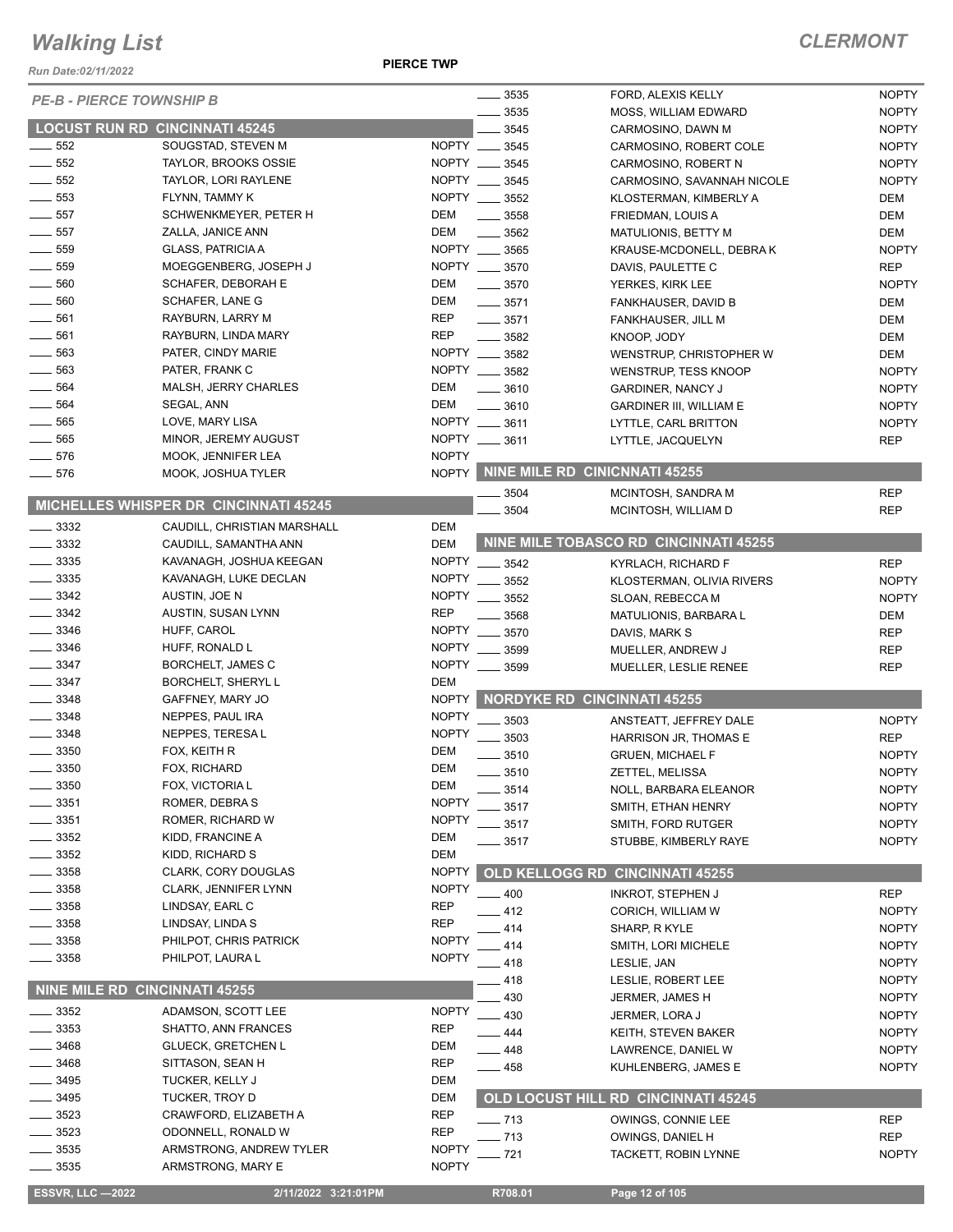*Run Date:02/11/2022*

**PIERCE TWP**

| <b>PE-B - PIERCE TOWNSHIP B</b>       |                                       |              | 3535               | FORD, ALEXIS KELLY                    | <b>NOPTY</b> |
|---------------------------------------|---------------------------------------|--------------|--------------------|---------------------------------------|--------------|
|                                       |                                       |              | 3535               | MOSS, WILLIAM EDWARD                  | <b>NOPTY</b> |
| <b>LOCUST RUN RD CINCINNATI 45245</b> |                                       |              | 3545               | CARMOSINO, DAWN M                     | <b>NOPTY</b> |
| $\frac{1}{2}$ 552                     | SOUGSTAD, STEVEN M                    | NOPTY ___    | 3545               | CARMOSINO, ROBERT COLE                | <b>NOPTY</b> |
| 552                                   | <b>TAYLOR, BROOKS OSSIE</b>           | NOPTY __     | 3545               | CARMOSINO, ROBERT N                   | <b>NOPTY</b> |
| $-552$                                | TAYLOR, LORI RAYLENE                  |              | NOPTY __ 3545      | CARMOSINO, SAVANNAH NICOLE            | <b>NOPTY</b> |
| 553                                   | FLYNN, TAMMY K                        |              | NOPTY __ 3552      | KLOSTERMAN, KIMBERLY A                | DEM          |
| $\frac{1}{2}$ 557                     | SCHWENKMEYER, PETER H                 | DEM          | $\frac{1}{2}$ 3558 | FRIEDMAN, LOUIS A                     | DEM          |
| $-557$                                | ZALLA, JANICE ANN                     | DEM          | $\frac{1}{2}$ 3562 |                                       | DEM          |
|                                       |                                       |              |                    | MATULIONIS, BETTY M                   |              |
| 559                                   | <b>GLASS, PATRICIA A</b>              |              | NOPTY __ 3565      | KRAUSE-MCDONELL, DEBRA K              | <b>NOPTY</b> |
| 559                                   | MOEGGENBERG, JOSEPH J                 |              | NOPTY __ 3570      | DAVIS, PAULETTE C                     | <b>REP</b>   |
| 560                                   | SCHAFER, DEBORAH E                    | DEM          | $- 3570$           | YERKES, KIRK LEE                      | <b>NOPTY</b> |
| $\frac{1}{2}$ 560                     | SCHAFER, LANE G                       | DEM          | $\frac{1}{2}$ 3571 | FANKHAUSER, DAVID B                   | DEM          |
| $- 561$                               | RAYBURN, LARRY M                      | <b>REP</b>   | $- 3571$           | FANKHAUSER, JILL M                    | DEM          |
| 561<br>$\frac{1}{2}$                  | RAYBURN, LINDA MARY                   | <b>REP</b>   | $\frac{1}{2}$ 3582 | KNOOP, JODY                           | DEM          |
| $\frac{1}{2}$ 563                     | PATER, CINDY MARIE                    |              | NOPTY __ 3582      | WENSTRUP, CHRISTOPHER W               | DEM          |
| 563                                   | PATER, FRANK C                        | NOPTY __     | 3582               |                                       | <b>NOPTY</b> |
|                                       |                                       |              |                    | WENSTRUP, TESS KNOOP                  |              |
| 564                                   | MALSH, JERRY CHARLES                  | DEM          | 3610               | <b>GARDINER, NANCY J</b>              | <b>NOPTY</b> |
| 564                                   | SEGAL, ANN                            | <b>DEM</b>   | 3610               | <b>GARDINER III, WILLIAM E</b>        | <b>NOPTY</b> |
| 565                                   | LOVE, MARY LISA                       | NOPTY        | 3611               | LYTTLE, CARL BRITTON                  | <b>NOPTY</b> |
| 565                                   | MINOR, JEREMY AUGUST                  |              | NOPTY __ 3611      | LYTTLE, JACQUELYN                     | <b>REP</b>   |
| 576                                   | MOOK, JENNIFER LEA                    | <b>NOPTY</b> |                    |                                       |              |
| $\frac{1}{2}$ 576                     | MOOK, JOSHUA TYLER                    | <b>NOPTY</b> |                    | NINE MILE RD CINICNNATI 45255         |              |
|                                       |                                       |              | 3504               | MCINTOSH, SANDRA M                    | <b>REP</b>   |
|                                       | MICHELLES WHISPER DR CINCINNATI 45245 |              | 3504               | MCINTOSH, WILLIAM D                   | <b>REP</b>   |
| $\frac{1}{2}$ 3332                    | CAUDILL. CHRISTIAN MARSHALL           | DEM          |                    |                                       |              |
| $\frac{3332}{2}$                      | CAUDILL, SAMANTHA ANN                 | <b>DEM</b>   |                    | NINE MILE TOBASCO RD CINCINNATI 45255 |              |
|                                       |                                       |              |                    |                                       |              |
| $\frac{1}{2}$ 3335                    | KAVANAGH, JOSHUA KEEGAN               | <b>NOPTY</b> | 3542               | <b>KYRLACH, RICHARD F</b>             | <b>REP</b>   |
| $\frac{1}{2}$ 3335                    | KAVANAGH, LUKE DECLAN                 | <b>NOPTY</b> | 3552               | KLOSTERMAN, OLIVIA RIVERS             | <b>NOPTY</b> |
| 3342                                  | AUSTIN, JOE N                         | <b>NOPTY</b> | 3552               | SLOAN, REBECCA M                      | <b>NOPTY</b> |
| 3342                                  | AUSTIN, SUSAN LYNN                    | <b>REP</b>   | 3568               | MATULIONIS, BARBARA L                 | DEM          |
| $-3346$                               | HUFF, CAROL                           | <b>NOPTY</b> | 3570               | DAVIS, MARK S                         | <b>REP</b>   |
| 3346                                  | HUFF, RONALD L                        | <b>NOPTY</b> | 3599               |                                       | <b>REP</b>   |
| $\frac{1}{2}$ 3347                    | BORCHELT, JAMES C                     | <b>NOPTY</b> |                    | MUELLER, ANDREW J                     |              |
|                                       |                                       |              | 3599               | MUELLER, LESLIE RENEE                 | <b>REP</b>   |
| $\frac{1}{2}$ 3347                    | <b>BORCHELT, SHERYL L</b>             | <b>DEM</b>   |                    |                                       |              |
| $\frac{1}{2}$ 3348                    | GAFFNEY, MARY JO                      | <b>NOPTY</b> |                    | <b>NORDYKE RD CINCINNATI 45255</b>    |              |
| 3348                                  | NEPPES, PAUL IRA                      | <b>NOPTY</b> | 3503               | ANSTEATT, JEFFREY DALE                | <b>NOPTY</b> |
| $\frac{1}{2}$ 3348                    | NEPPES, TERESA L                      | <b>NOPTY</b> | 3503               | HARRISON JR, THOMAS E                 | <b>REP</b>   |
| $-3350$                               | FOX, KEITH R                          | DEM          | 3510               | <b>GRUEN, MICHAEL F</b>               | <b>NOPTY</b> |
| 3350                                  | FOX, RICHARD                          | <b>DEM</b>   |                    |                                       |              |
| 3350                                  | FOX, VICTORIA L                       | DEM          | 3510               | ZETTEL, MELISSA                       | <b>NOPTY</b> |
|                                       |                                       |              | 3514               | NOLL, BARBARA ELEANOR                 | <b>NOPTY</b> |
| 3351                                  | ROMER, DEBRA S                        | <b>NOPTY</b> | 3517               | SMITH, ETHAN HENRY                    | <b>NOPTY</b> |
| 3351                                  | ROMER, RICHARD W                      | <b>NOPTY</b> | 3517               | SMITH, FORD RUTGER                    | <b>NOPTY</b> |
| 3352                                  | KIDD, FRANCINE A                      | DEM          | 3517               | STUBBE, KIMBERLY RAYE                 | <b>NOPTY</b> |
| 3352                                  | KIDD, RICHARD S                       | DEM          |                    |                                       |              |
| - 3358                                | CLARK, CORY DOUGLAS                   | <b>NOPTY</b> |                    | OLD KELLOGG RD CINCINNATI 45255       |              |
| 3358                                  | CLARK, JENNIFER LYNN                  | <b>NOPTY</b> | 400                | <b>INKROT, STEPHEN J</b>              | <b>REP</b>   |
| 3358                                  | LINDSAY, EARL C                       | <b>REP</b>   |                    |                                       |              |
| 3358                                  | LINDSAY, LINDA S                      | <b>REP</b>   | 412                | CORICH, WILLIAM W                     | <b>NOPTY</b> |
|                                       |                                       |              | 414                | SHARP, R KYLE                         | <b>NOPTY</b> |
| 3358                                  | PHILPOT, CHRIS PATRICK                | <b>NOPTY</b> | 414                | SMITH, LORI MICHELE                   | <b>NOPTY</b> |
| 3358                                  | PHILPOT, LAURA L                      | <b>NOPTY</b> | 418                | LESLIE, JAN                           | <b>NOPTY</b> |
|                                       |                                       |              | 418                | LESLIE, ROBERT LEE                    | <b>NOPTY</b> |
| NINE MILE RD CINCINNATI 45255         |                                       |              | 430                | JERMER, JAMES H                       | <b>NOPTY</b> |
| 3352                                  | ADAMSON, SCOTT LEE                    | <b>NOPTY</b> | 430                | JERMER, LORA J                        | <b>NOPTY</b> |
| 3353                                  | SHATTO, ANN FRANCES                   | <b>REP</b>   | 444                | KEITH, STEVEN BAKER                   | <b>NOPTY</b> |
| 3468                                  | <b>GLUECK, GRETCHEN L</b>             | DEM          |                    |                                       |              |
| 3468                                  | SITTASON, SEAN H                      | <b>REP</b>   | 448                | LAWRENCE, DANIEL W                    | <b>NOPTY</b> |
| 3495                                  | TUCKER, KELLY J                       | DEM          | 458                | KUHLENBERG, JAMES E                   | <b>NOPTY</b> |
|                                       |                                       |              |                    |                                       |              |
| 3495                                  | TUCKER, TROY D                        | DEM          |                    | OLD LOCUST HILL RD CINCINNATI 45245   |              |
| 3523                                  | CRAWFORD, ELIZABETH A                 | <b>REP</b>   | $-713$             | OWINGS, CONNIE LEE                    | <b>REP</b>   |
| 3523                                  | ODONNELL, RONALD W                    | <b>REP</b>   | $-713$             | OWINGS, DANIEL H                      | <b>REP</b>   |
| 3535                                  | ARMSTRONG, ANDREW TYLER               | <b>NOPTY</b> | . 721              | TACKETT, ROBIN LYNNE                  | <b>NOPTY</b> |
| 3535                                  | ARMSTRONG, MARY E                     | <b>NOPTY</b> |                    |                                       |              |
|                                       |                                       |              |                    |                                       |              |
| <b>ESSVR, LLC -2022</b>               | 2/11/2022 3:21:01PM                   |              | R708.01            | Page 12 of 105                        |              |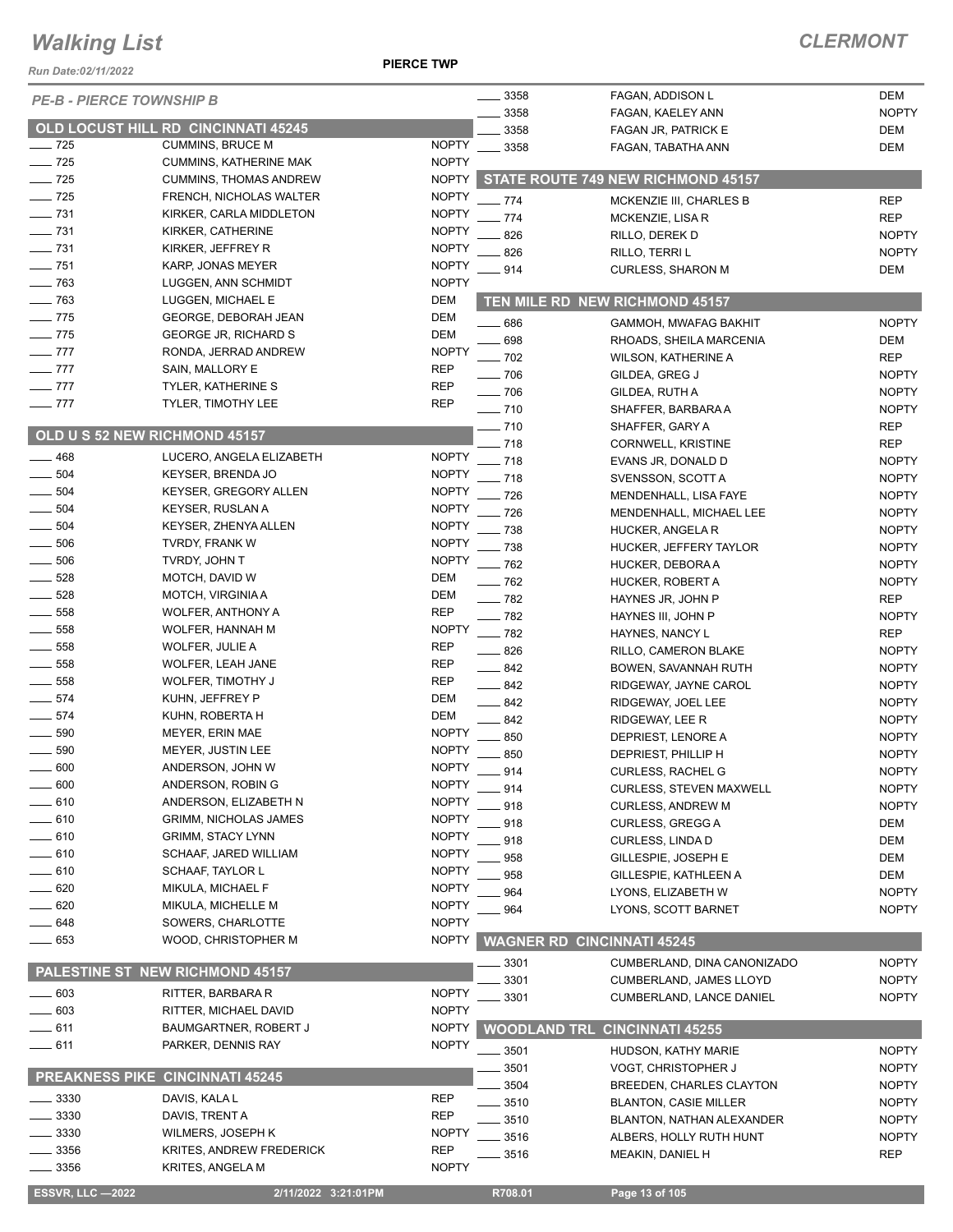#### **PIERCE TWP**

| Run Date:02/11/2022             |                                        | <b>PIERCE TWP</b> |                   |                                      |              |
|---------------------------------|----------------------------------------|-------------------|-------------------|--------------------------------------|--------------|
| <b>PE-B - PIERCE TOWNSHIP B</b> |                                        |                   | $-3358$           | FAGAN, ADDISON L                     | DEM          |
|                                 |                                        |                   | 3358              | FAGAN, KAELEY ANN                    | <b>NOPTY</b> |
|                                 | OLD LOCUST HILL RD CINCINNATI 45245    |                   | 3358              | FAGAN JR, PATRICK E                  | DEM          |
| $\frac{1}{2}$ 725               | <b>CUMMINS, BRUCE M</b>                | <b>NOPTY</b>      | 3358              | FAGAN, TABATHA ANN                   | DEM          |
| $\frac{1}{2}$ 725               | <b>CUMMINS, KATHERINE MAK</b>          | <b>NOPTY</b>      |                   |                                      |              |
| $\frac{1}{2}$ 725               | <b>CUMMINS, THOMAS ANDREW</b>          | <b>NOPTY</b>      |                   | STATE ROUTE 749 NEW RICHMOND 45157   |              |
| $\frac{1}{2}$ 725               | FRENCH, NICHOLAS WALTER                | <b>NOPTY</b>      | $-774$            | MCKENZIE III, CHARLES B              | <b>REP</b>   |
| $\frac{1}{2}$ 731               | KIRKER, CARLA MIDDLETON                | <b>NOPTY</b>      | . 774             | MCKENZIE, LISA R                     | <b>REP</b>   |
| $- 731$                         | KIRKER, CATHERINE                      | <b>NOPTY</b>      | 826               | RILLO, DEREK D                       | <b>NOPTY</b> |
| $\frac{1}{2}$ 731               | KIRKER, JEFFREY R                      | <b>NOPTY</b>      | 826               | RILLO, TERRI L                       | <b>NOPTY</b> |
| $- 751$                         | KARP, JONAS MEYER                      | <b>NOPTY</b>      | 914               | <b>CURLESS, SHARON M</b>             | DEM          |
| $-763$                          | LUGGEN, ANN SCHMIDT                    | <b>NOPTY</b>      |                   |                                      |              |
| $\frac{1}{2}$ 763               | LUGGEN, MICHAEL E                      | DEM               |                   | TEN MILE RD NEW RICHMOND 45157       |              |
| $\frac{1}{2}$ 775               | GEORGE, DEBORAH JEAN                   | <b>DEM</b>        | .686              | <b>GAMMOH, MWAFAG BAKHIT</b>         | <b>NOPTY</b> |
| $\frac{1}{2}$ 775               | <b>GEORGE JR, RICHARD S</b>            | <b>DEM</b>        | 698               | RHOADS, SHEILA MARCENIA              | DEM          |
| $-777$                          | RONDA, JERRAD ANDREW                   | <b>NOPTY</b>      | $-702$            | <b>WILSON, KATHERINE A</b>           | <b>REP</b>   |
| $-777$                          | SAIN, MALLORY E                        | <b>REP</b>        | $\sim$ 706        | GILDEA, GREG J                       | <b>NOPTY</b> |
| $-777$                          | <b>TYLER, KATHERINE S</b>              | <b>REP</b>        | $\frac{1}{2}$ 706 | GILDEA, RUTH A                       | <b>NOPTY</b> |
| $-777$                          | TYLER, TIMOTHY LEE                     | <b>REP</b>        | $- 710$           | SHAFFER, BARBARA A                   | <b>NOPTY</b> |
|                                 |                                        |                   | $- 710$           | SHAFFER, GARY A                      | REP          |
|                                 | OLD U S 52 NEW RICHMOND 45157          |                   | $-718$            | <b>CORNWELL, KRISTINE</b>            | <b>REP</b>   |
| $-468$                          | LUCERO, ANGELA ELIZABETH               | <b>NOPTY</b>      | $-718$            | EVANS JR, DONALD D                   | <b>NOPTY</b> |
| 504                             | KEYSER, BRENDA JO                      | <b>NOPTY</b>      | $-718$            | SVENSSON, SCOTT A                    | <b>NOPTY</b> |
| 504                             | <b>KEYSER, GREGORY ALLEN</b>           | <b>NOPTY</b>      | $-726$            | MENDENHALL, LISA FAYE                | <b>NOPTY</b> |
| 504                             | KEYSER, RUSLAN A                       | <b>NOPTY</b>      | $-726$            | MENDENHALL, MICHAEL LEE              | <b>NOPTY</b> |
| 504                             | KEYSER, ZHENYA ALLEN                   | <b>NOPTY</b>      | - 738             | HUCKER, ANGELA R                     | <b>NOPTY</b> |
| 506                             | TVRDY, FRANK W                         | <b>NOPTY</b>      | $-738$            | HUCKER, JEFFERY TAYLOR               | <b>NOPTY</b> |
| 506                             | TVRDY, JOHN T                          | <b>NOPTY</b>      | $-762$            | HUCKER, DEBORA A                     | <b>NOPTY</b> |
| 528                             | MOTCH, DAVID W                         | <b>DEM</b>        | $-762$            | HUCKER, ROBERT A                     | <b>NOPTY</b> |
| 528                             | MOTCH, VIRGINIA A                      | DEM               | $-782$            | HAYNES JR, JOHN P                    | <b>REP</b>   |
| 558                             | <b>WOLFER, ANTHONY A</b>               | <b>REP</b>        | $-782$            | HAYNES III, JOHN P                   | <b>NOPTY</b> |
| 558                             | WOLFER, HANNAH M                       | <b>NOPTY</b>      | $-$ 782           | HAYNES, NANCY L                      | <b>REP</b>   |
| 558                             | <b>WOLFER, JULIE A</b>                 | <b>REP</b>        | $-826$            | RILLO, CAMERON BLAKE                 | <b>NOPTY</b> |
| 558                             | WOLFER, LEAH JANE                      | <b>REP</b>        | $-842$            | BOWEN, SAVANNAH RUTH                 | <b>NOPTY</b> |
| 558                             | WOLFER, TIMOTHY J                      | <b>REP</b>        | $-842$            | RIDGEWAY, JAYNE CAROL                | <b>NOPTY</b> |
| 574                             | KUHN, JEFFREY P                        | <b>DEM</b>        | $-842$            | RIDGEWAY, JOEL LEE                   | <b>NOPTY</b> |
| 574                             | KUHN, ROBERTA H                        | <b>DEM</b>        | 842               | RIDGEWAY, LEE R                      | <b>NOPTY</b> |
| 590                             | <b>MEYER, ERIN MAE</b>                 | <b>NOPTY</b>      | 850               | DEPRIEST, LENORE A                   | <b>NOPTY</b> |
| 590                             | MEYER, JUSTIN LEE                      | <b>NOPTY</b>      | 850               | DEPRIEST. PHILLIP H                  | <b>NOPTY</b> |
| 600                             | ANDERSON, JOHN W                       | <b>NOPTY</b>      | 914               | <b>CURLESS, RACHEL G</b>             | <b>NOPTY</b> |
| 600                             | ANDERSON, ROBIN G                      | <b>NOPTY</b>      | 914               | <b>CURLESS, STEVEN MAXWELL</b>       | <b>NOPTY</b> |
| 610                             | ANDERSON, ELIZABETH N                  | <b>NOPTY</b>      | 918               | <b>CURLESS, ANDREW M</b>             | <b>NOPTY</b> |
| 610                             | <b>GRIMM, NICHOLAS JAMES</b>           | <b>NOPTY</b>      | 918               | <b>CURLESS, GREGG A</b>              | DEM          |
| 610                             | <b>GRIMM, STACY LYNN</b>               | <b>NOPTY</b>      | 918               | CURLESS, LINDA D                     | DEM          |
| $-610$                          | SCHAAF, JARED WILLIAM                  | <b>NOPTY</b>      | 958               | GILLESPIE, JOSEPH E                  | DEM          |
| $-610$                          | <b>SCHAAF, TAYLOR L</b>                | <b>NOPTY</b>      | 958               | GILLESPIE, KATHLEEN A                | DEM          |
| $-620$                          | MIKULA, MICHAEL F                      | <b>NOPTY</b>      | 964               | LYONS, ELIZABETH W                   | <b>NOPTY</b> |
| _ 620                           | MIKULA, MICHELLE M                     | <b>NOPTY</b>      | 964               | LYONS, SCOTT BARNET                  | <b>NOPTY</b> |
| _ 648                           | SOWERS, CHARLOTTE                      | <b>NOPTY</b>      |                   |                                      |              |
| —— 653                          | WOOD, CHRISTOPHER M                    | <b>NOPTY</b>      |                   | <b>WAGNER RD CINCINNATI 45245</b>    |              |
|                                 |                                        |                   | 3301              | CUMBERLAND, DINA CANONIZADO          | <b>NOPTY</b> |
|                                 | PALESTINE ST NEW RICHMOND 45157        |                   | 3301              | <b>CUMBERLAND, JAMES LLOYD</b>       | <b>NOPTY</b> |
| $-603$                          | RITTER, BARBARA R                      | <b>NOPTY</b>      | 3301              | CUMBERLAND, LANCE DANIEL             | <b>NOPTY</b> |
| 603                             | RITTER, MICHAEL DAVID                  | <b>NOPTY</b>      |                   |                                      |              |
| $-611$                          | BAUMGARTNER, ROBERT J                  | <b>NOPTY</b>      |                   | <b>WOODLAND TRL CINCINNATI 45255</b> |              |
| —— 611                          | PARKER, DENNIS RAY                     | <b>NOPTY</b>      | . 3501            | HUDSON, KATHY MARIE                  | <b>NOPTY</b> |
|                                 |                                        |                   | 3501              | VOGT, CHRISTOPHER J                  | <b>NOPTY</b> |
|                                 | <b>PREAKNESS PIKE CINCINNATI 45245</b> |                   | 3504              | BREEDEN, CHARLES CLAYTON             | <b>NOPTY</b> |
| 3330                            | DAVIS, KALA L                          | REP               | .3510             | <b>BLANTON, CASIE MILLER</b>         | <b>NOPTY</b> |
| 3330                            | DAVIS, TRENT A                         | <b>REP</b>        | 3510              | BLANTON, NATHAN ALEXANDER            | <b>NOPTY</b> |
| - 3330                          | WILMERS, JOSEPH K                      | <b>NOPTY</b>      | 3516              | ALBERS, HOLLY RUTH HUNT              | <b>NOPTY</b> |
| 3356                            | KRITES, ANDREW FREDERICK               | <b>REP</b>        | - 3516            | MEAKIN, DANIEL H                     | REP          |
| _ 3356                          | KRITES, ANGELA M                       | <b>NOPTY</b>      |                   |                                      |              |
| <b>ESSVR, LLC -2022</b>         | 2/11/2022 3:21:01PM                    |                   | R708.01           | Page 13 of 105                       |              |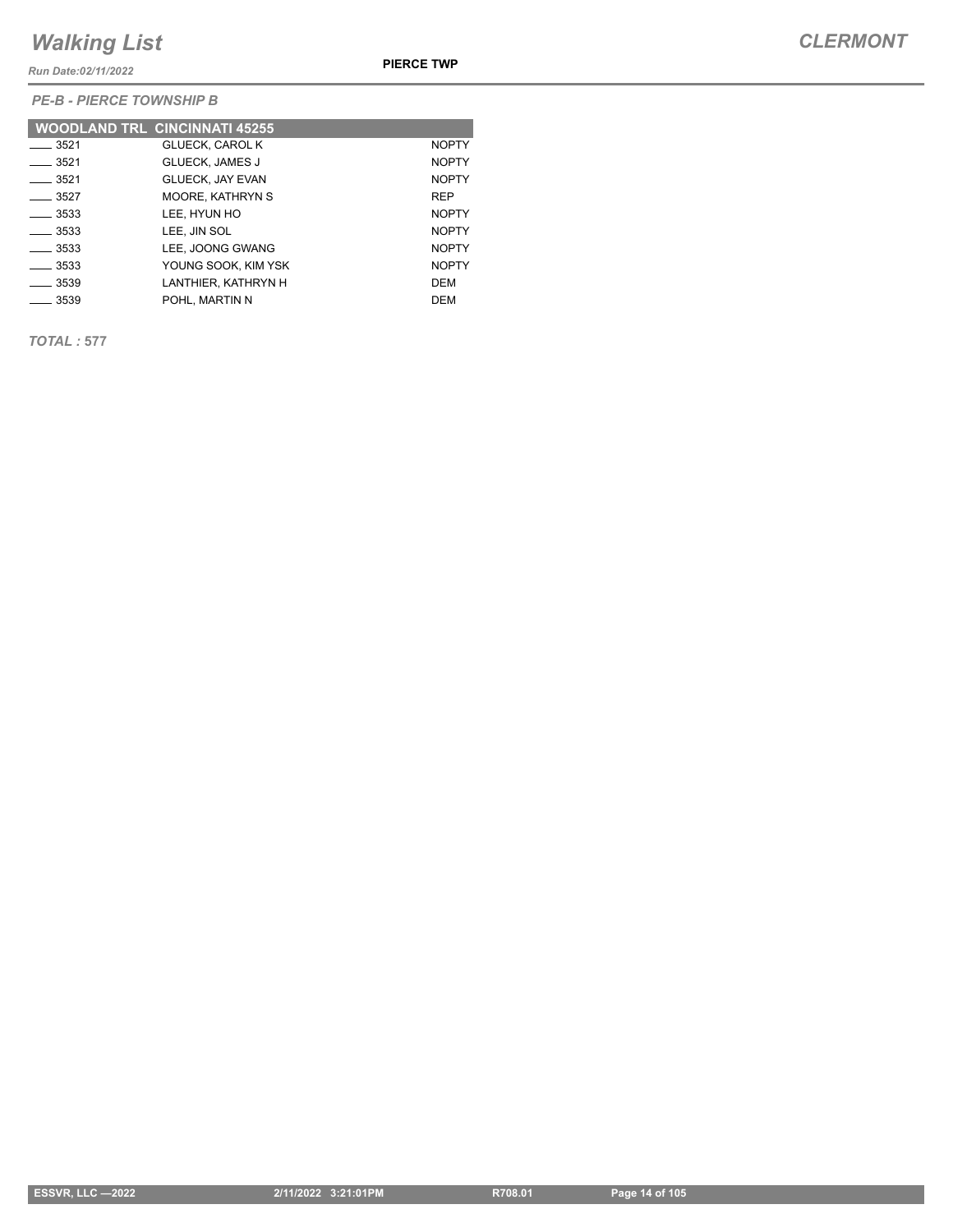*Run Date:02/11/2022*

**PIERCE TWP**

*PE-B - PIERCE TOWNSHIP B*

|                  | <b>WOODLAND TRL CINCINNATI 45255</b> |              |
|------------------|--------------------------------------|--------------|
| 3521             | <b>GLUECK, CAROL K</b>               | <b>NOPTY</b> |
| $-3521$          | <b>GLUECK. JAMES J</b>               | <b>NOPTY</b> |
| ___ 3521         | <b>GLUECK, JAY EVAN</b>              | <b>NOPTY</b> |
| $-3527$          | <b>MOORE, KATHRYN S</b>              | <b>REP</b>   |
| $-3533$          | LEE. HYUN HO                         | <b>NOPTY</b> |
| $\frac{1}{3533}$ | LEE, JIN SOL                         | <b>NOPTY</b> |
| ____ 3533        | LEE. JOONG GWANG                     | <b>NOPTY</b> |
| 3533             | YOUNG SOOK, KIM YSK                  | <b>NOPTY</b> |
| __ 3539          | LANTHIER. KATHRYN H                  | <b>DEM</b>   |
| $-3539$          | POHL, MARTIN N                       | <b>DEM</b>   |

*TOTAL :* **577**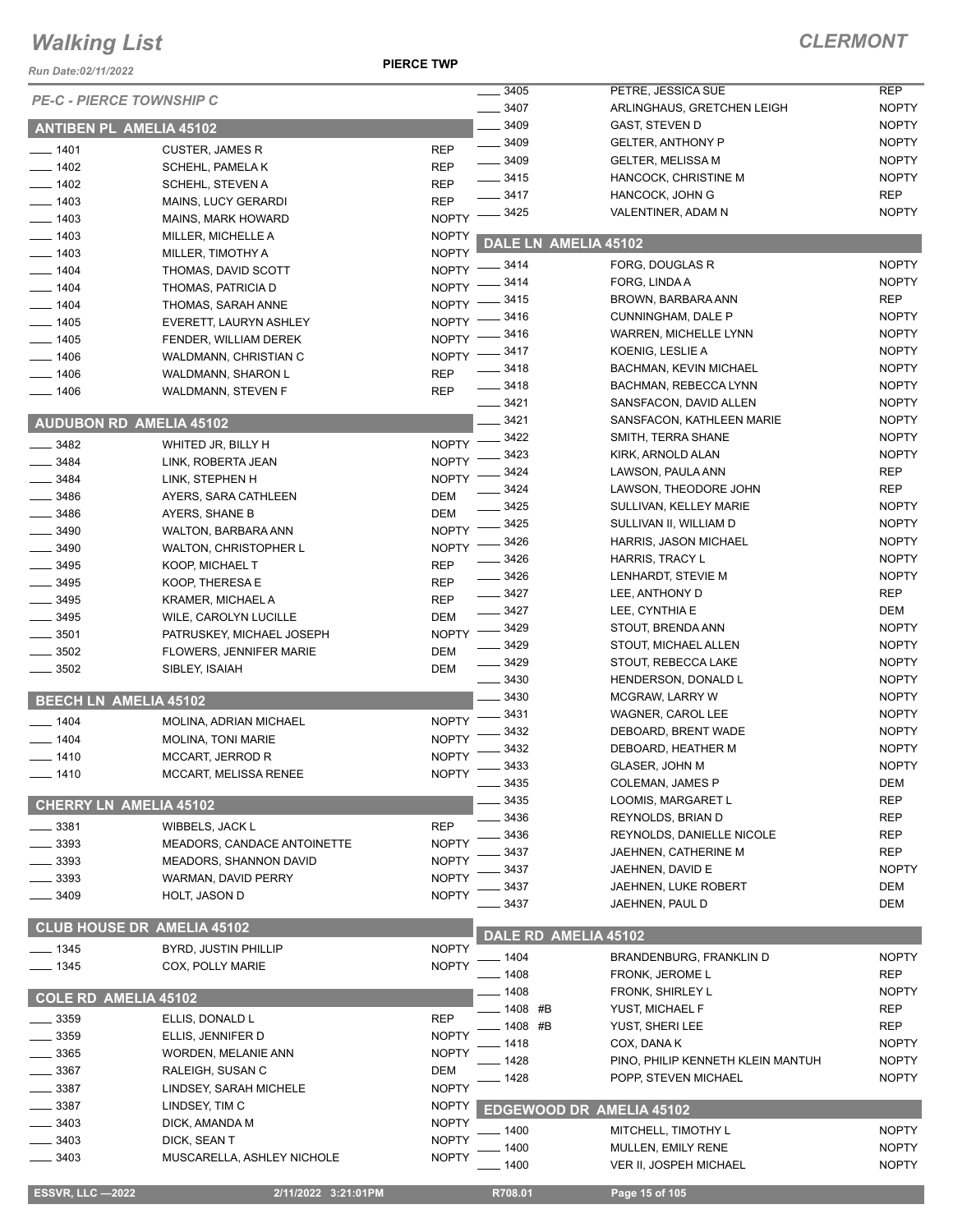#### *Run Date:02/11/2022*

**PIERCE TWP**

| <b>Run Date:02/11/2022</b>        |                              |              |                      |                                   |              |
|-----------------------------------|------------------------------|--------------|----------------------|-----------------------------------|--------------|
| <b>PE-C - PIERCE TOWNSHIP C</b>   |                              |              | 3405                 | PETRE, JESSICA SUE                | <b>REP</b>   |
|                                   |                              |              | 3407                 | ARLINGHAUS, GRETCHEN LEIGH        | <b>NOPTY</b> |
| <b>ANTIBEN PL AMELIA 45102</b>    |                              |              | 3409                 | GAST, STEVEN D                    | <b>NOPTY</b> |
| $-1401$                           | <b>CUSTER, JAMES R</b>       | <b>REP</b>   | $- 3409$             | <b>GELTER, ANTHONY P</b>          | <b>NOPTY</b> |
| $-1402$                           | SCHEHL, PAMELA K             | <b>REP</b>   | $- 3409$             | <b>GELTER, MELISSA M</b>          | <b>NOPTY</b> |
| $-1402$                           | SCHEHL, STEVEN A             | <b>REP</b>   | $\frac{1}{2}$ 3415   | HANCOCK, CHRISTINE M              | <b>NOPTY</b> |
| 1403                              | <b>MAINS, LUCY GERARDI</b>   | <b>REP</b>   | 3417                 | HANCOCK, JOHN G                   | <b>REP</b>   |
| $-1403$                           | <b>MAINS, MARK HOWARD</b>    | <b>NOPTY</b> | 3425                 | VALENTINER, ADAM N                | <b>NOPTY</b> |
| $-1403$                           | MILLER, MICHELLE A           | <b>NOPTY</b> | DALE LN AMELIA 45102 |                                   |              |
| $-1403$                           | MILLER, TIMOTHY A            | <b>NOPTY</b> |                      |                                   |              |
| $-1404$                           | THOMAS, DAVID SCOTT          | <b>NOPTY</b> | _ 3414               | FORG, DOUGLAS R                   | <b>NOPTY</b> |
| $-1404$                           | THOMAS, PATRICIA D           | <b>NOPTY</b> | 3414                 | FORG, LINDA A                     | <b>NOPTY</b> |
| $-1404$                           | THOMAS, SARAH ANNE           | <b>NOPTY</b> | 3415                 | BROWN, BARBARA ANN                | <b>REP</b>   |
| $-1405$                           | EVERETT, LAURYN ASHLEY       | <b>NOPTY</b> | 3416                 | <b>CUNNINGHAM, DALE P</b>         | <b>NOPTY</b> |
| 1405                              | FENDER, WILLIAM DEREK        | <b>NOPTY</b> | 3416                 | WARREN, MICHELLE LYNN             | <b>NOPTY</b> |
| 1406                              | WALDMANN, CHRISTIAN C        | NOPTY -      | 3417                 | KOENIG, LESLIE A                  | <b>NOPTY</b> |
| 1406                              | WALDMANN, SHARON L           | <b>REP</b>   | 3418                 | <b>BACHMAN, KEVIN MICHAEL</b>     | <b>NOPTY</b> |
| $-1406$                           | WALDMANN, STEVEN F           | <b>REP</b>   | $-3418$              | BACHMAN, REBECCA LYNN             | <b>NOPTY</b> |
|                                   |                              |              | $- 3421$             | SANSFACON, DAVID ALLEN            | <b>NOPTY</b> |
| <b>AUDUBON RD AMELIA 45102</b>    |                              |              | 3421                 | SANSFACON, KATHLEEN MARIE         | <b>NOPTY</b> |
| 3482                              | WHITED JR, BILLY H           | <b>NOPTY</b> | 3422                 | SMITH, TERRA SHANE                | <b>NOPTY</b> |
| $-3484$                           | LINK, ROBERTA JEAN           | <b>NOPTY</b> | 3423                 | KIRK, ARNOLD ALAN                 | <b>NOPTY</b> |
| 3484                              | LINK, STEPHEN H              | <b>NOPTY</b> | 3424                 | LAWSON, PAULA ANN                 | <b>REP</b>   |
| $-3486$                           | AYERS, SARA CATHLEEN         | <b>DEM</b>   | 3424                 | LAWSON, THEODORE JOHN             | <b>REP</b>   |
| 3486                              | AYERS, SHANE B               | <b>DEM</b>   | 3425                 | SULLIVAN, KELLEY MARIE            | <b>NOPTY</b> |
| 3490                              | WALTON, BARBARA ANN          | <b>NOPTY</b> | 3425                 | SULLIVAN II, WILLIAM D            | <b>NOPTY</b> |
| 3490                              | <b>WALTON, CHRISTOPHER L</b> | <b>NOPTY</b> | 3426                 | HARRIS, JASON MICHAEL             | <b>NOPTY</b> |
| 3495                              | KOOP, MICHAEL T              | <b>REP</b>   | 3426                 | HARRIS, TRACY L                   | <b>NOPTY</b> |
| 3495                              | KOOP, THERESA E              | <b>REP</b>   | $-3426$              | LENHARDT, STEVIE M                | <b>NOPTY</b> |
| 3495                              | KRAMER, MICHAEL A            | <b>REP</b>   | $-3427$              | LEE, ANTHONY D                    | <b>REP</b>   |
| 3495                              | WILE, CAROLYN LUCILLE        | <b>DEM</b>   | 3427                 | LEE, CYNTHIA E                    | <b>DEM</b>   |
| 3501                              | PATRUSKEY, MICHAEL JOSEPH    | <b>NOPTY</b> | 3429                 | STOUT, BRENDA ANN                 | <b>NOPTY</b> |
| 3502                              | FLOWERS, JENNIFER MARIE      | <b>DEM</b>   | 3429                 | STOUT, MICHAEL ALLEN              | <b>NOPTY</b> |
| 3502                              | SIBLEY, ISAIAH               | <b>DEM</b>   | $-3429$              | STOUT, REBECCA LAKE               | <b>NOPTY</b> |
|                                   |                              |              | $- 3430$             | HENDERSON, DONALD L               | <b>NOPTY</b> |
| <b>BEECH LN AMELIA 45102</b>      |                              |              | 3430                 | MCGRAW, LARRY W                   | <b>NOPTY</b> |
| 1404                              | MOLINA, ADRIAN MICHAEL       | <b>NOPTY</b> | 3431                 | WAGNER, CAROL LEE                 | <b>NOPTY</b> |
| $-1404$                           | <b>MOLINA, TONI MARIE</b>    | <b>NOPTY</b> | 3432                 | DEBOARD, BRENT WADE               | <b>NOPTY</b> |
| $-1410$                           | MCCART, JERROD R             | <b>NOPTY</b> | 3432                 | DEBOARD, HEATHER M                | <b>NOPTY</b> |
| __ 1410                           | MCCART, MELISSA RENEE        | <b>NOPTY</b> | 3433                 | GLASER, JOHN M                    | <b>NOPTY</b> |
|                                   |                              |              | $-3435$              | <b>COLEMAN, JAMES P</b>           | <b>DEM</b>   |
| <b>CHERRY LN AMELIA 45102</b>     |                              |              | 3435                 | LOOMIS, MARGARET L                | <b>REP</b>   |
| 3381                              | WIBBELS, JACK L              | <b>REP</b>   | 3436                 | REYNOLDS, BRIAN D                 | <b>REP</b>   |
| 3393                              | MEADORS, CANDACE ANTOINETTE  | <b>NOPTY</b> | 3436                 | REYNOLDS, DANIELLE NICOLE         | <b>REP</b>   |
| 3393                              | MEADORS, SHANNON DAVID       | <b>NOPTY</b> | 3437                 | JAEHNEN, CATHERINE M              | <b>REP</b>   |
| 3393                              | WARMAN, DAVID PERRY          | <b>NOPTY</b> | 3437                 | JAEHNEN, DAVID E                  | <b>NOPTY</b> |
| 3409                              | HOLT, JASON D                | <b>NOPTY</b> | 3437                 | JAEHNEN, LUKE ROBERT              | <b>DEM</b>   |
|                                   |                              |              | 3437                 | JAEHNEN, PAUL D                   | <b>DEM</b>   |
| <b>CLUB HOUSE DR AMELIA 45102</b> |                              |              |                      |                                   |              |
| $- 1345$                          | BYRD, JUSTIN PHILLIP         | <b>NOPTY</b> | DALE RD AMELIA 45102 |                                   |              |
| $- 1345$                          | COX, POLLY MARIE             | <b>NOPTY</b> | - 1404               | BRANDENBURG, FRANKLIN D           | <b>NOPTY</b> |
|                                   |                              |              | - 1408               | FRONK, JEROME L                   | <b>REP</b>   |
| <b>COLE RD AMELIA 45102</b>       |                              |              | _ 1408               | FRONK, SHIRLEY L                  | <b>NOPTY</b> |
| 3359                              | ELLIS, DONALD L              | <b>REP</b>   | _ 1408 #B            | YUST, MICHAEL F                   | <b>REP</b>   |
|                                   |                              | <b>NOPTY</b> | - 1408 #B            | YUST, SHERI LEE                   | <b>REP</b>   |
| 3359                              | ELLIS, JENNIFER D            |              | 1418                 | COX, DANA K                       | <b>NOPTY</b> |
| 3365                              | <b>WORDEN, MELANIE ANN</b>   | <b>NOPTY</b> | 1428                 | PINO, PHILIP KENNETH KLEIN MANTUH | <b>NOPTY</b> |
| 3367                              | RALEIGH, SUSAN C             | <b>DEM</b>   | 1428                 | POPP, STEVEN MICHAEL              | <b>NOPTY</b> |
| 3387                              | LINDSEY, SARAH MICHELE       | <b>NOPTY</b> |                      |                                   |              |
| 3387                              | LINDSEY, TIM C               | <b>NOPTY</b> |                      | <b>EDGEWOOD DR AMELIA 45102</b>   |              |
| 3403                              | DICK, AMANDA M               | <b>NOPTY</b> | 1400                 | MITCHELL, TIMOTHY L               | <b>NOPTY</b> |
| 3403                              | DICK, SEAN T                 | <b>NOPTY</b> | 1400                 | MULLEN, EMILY RENE                | <b>NOPTY</b> |
| 3403                              | MUSCARELLA, ASHLEY NICHOLE   | <b>NOPTY</b> | $-1400$              | <b>VER II, JOSPEH MICHAEL</b>     | <b>NOPTY</b> |
|                                   |                              |              |                      |                                   |              |
| <b>ESSVR, LLC -2022</b>           | 2/11/2022 3:21:01PM          |              | R708.01              | Page 15 of 105                    |              |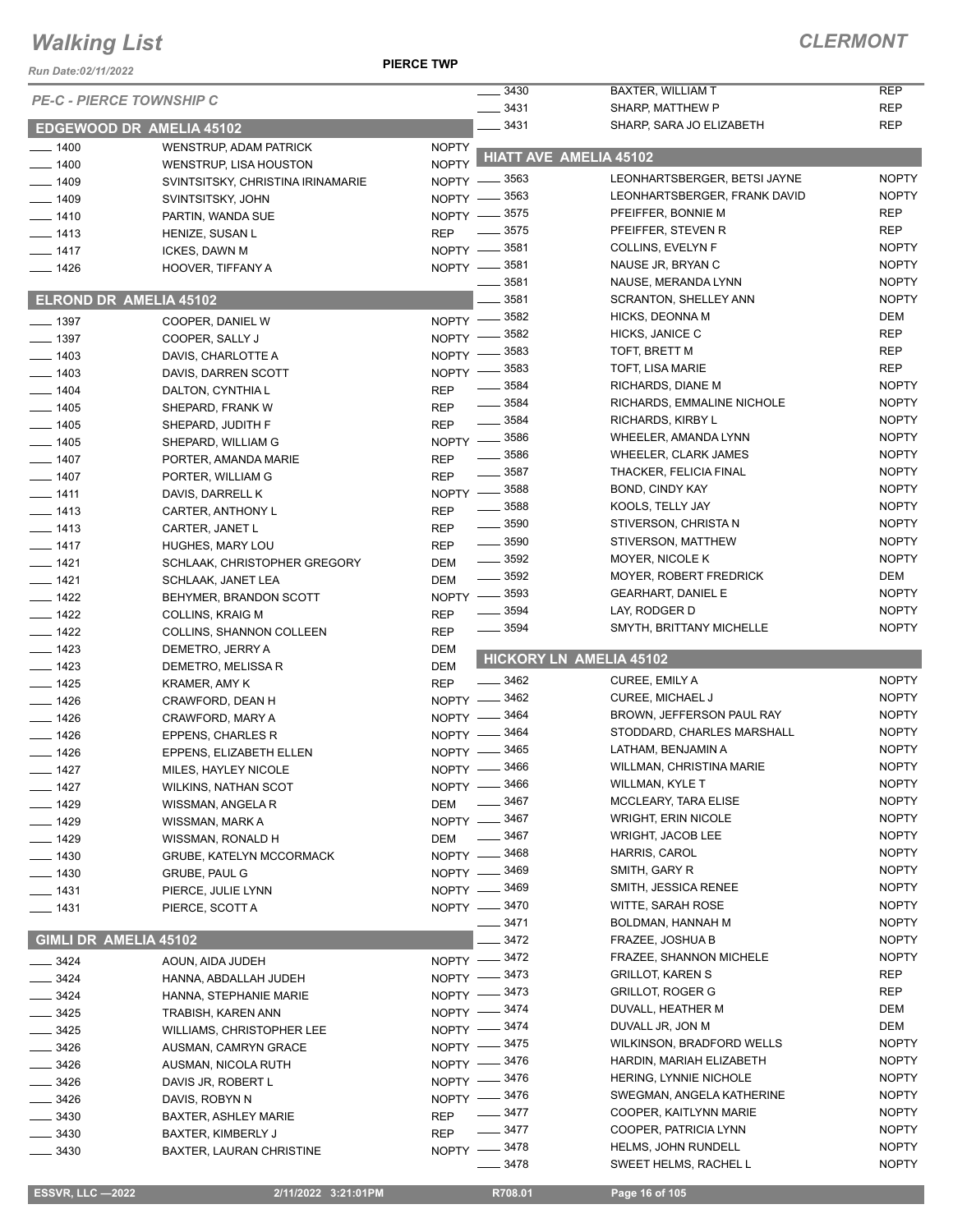#### **PIERCE TWP**

| Run Date:02/11/2022             |                                                 |                          |                                          |                                                  |                              |
|---------------------------------|-------------------------------------------------|--------------------------|------------------------------------------|--------------------------------------------------|------------------------------|
| <b>PE-C - PIERCE TOWNSHIP C</b> |                                                 |                          | 3430<br>$- 3431$                         | <b>BAXTER, WILLIAM T</b><br>SHARP, MATTHEW P     | <b>REP</b><br><b>REP</b>     |
| <b>EDGEWOOD DR AMELIA 45102</b> |                                                 |                          | $-3431$                                  | SHARP, SARA JO ELIZABETH                         | <b>REP</b>                   |
| $- 1400$                        | WENSTRUP, ADAM PATRICK                          | <b>NOPTY</b>             |                                          |                                                  |                              |
| $-1400$                         | <b>WENSTRUP, LISA HOUSTON</b>                   | <b>NOPTY</b>             |                                          | <b>HIATT AVE AMELIA 45102</b>                    |                              |
| $- 1409$                        | SVINTSITSKY, CHRISTINA IRINAMARIE               |                          | NOPTY -8563                              | LEONHARTSBERGER, BETSI JAYNE                     | <b>NOPTY</b>                 |
| $-1409$                         | SVINTSITSKY, JOHN                               |                          | NOPTY -8563                              | LEONHARTSBERGER, FRANK DAVID                     | <b>NOPTY</b>                 |
| $-1410$                         | PARTIN, WANDA SUE                               |                          | NOPTY -8575                              | PFEIFFER, BONNIE M                               | <b>REP</b>                   |
| $- 1413$                        | HENIZE, SUSAN L                                 | <b>REP</b>               | $\frac{1}{2}$ 3575                       | PFEIFFER, STEVEN R                               | <b>REP</b>                   |
| $- 1417$                        | ICKES, DAWN M                                   |                          | NOPTY -8581                              | COLLINS, EVELYN F                                | <b>NOPTY</b>                 |
| $- 1426$                        | HOOVER, TIFFANY A                               | $NOPTY -$                | . 3581<br>3581                           | NAUSE JR, BRYAN C<br>NAUSE, MERANDA LYNN         | <b>NOPTY</b><br><b>NOPTY</b> |
| <b>ELROND DR AMELIA 45102</b>   |                                                 |                          | 3581                                     | <b>SCRANTON, SHELLEY ANN</b>                     | <b>NOPTY</b>                 |
|                                 |                                                 |                          | NOPTY -8582                              | HICKS, DEONNA M                                  | <b>DEM</b>                   |
| $-1397$<br>$-1397$              | COOPER, DANIEL W<br>COOPER, SALLY J             | NOPTY -                  | _ 3582                                   | HICKS, JANICE C                                  | <b>REP</b>                   |
| $-1403$                         | DAVIS, CHARLOTTE A                              | $NOPTY -$                | 3583                                     | TOFT, BRETT M                                    | <b>REP</b>                   |
| $-1403$                         | DAVIS, DARREN SCOTT                             | $N$ OPTY $-$             | 3583                                     | <b>TOFT, LISA MARIE</b>                          | <b>REP</b>                   |
| $-1404$                         | DALTON, CYNTHIA L                               | <b>REP</b>               | 3584                                     | RICHARDS, DIANE M                                | <b>NOPTY</b>                 |
| $-1405$                         | SHEPARD, FRANK W                                | <b>REP</b>               | $\frac{1}{2}$ 3584                       | RICHARDS, EMMALINE NICHOLE                       | <b>NOPTY</b>                 |
| $- 1405$                        | SHEPARD, JUDITH F                               | <b>REP</b>               | $\frac{1}{2}$ 3584                       | RICHARDS, KIRBY L                                | <b>NOPTY</b>                 |
| $- 1405$                        | SHEPARD, WILLIAM G                              |                          | NOPTY -8586                              | WHEELER, AMANDA LYNN                             | <b>NOPTY</b>                 |
| $- 1407$                        | PORTER, AMANDA MARIE                            | <b>REP</b>               | $\frac{1}{2}$ 3586                       | WHEELER, CLARK JAMES                             | <b>NOPTY</b>                 |
| $- 1407$                        | PORTER, WILLIAM G                               | <b>REP</b>               | $\frac{1}{2}$ 3587                       | THACKER, FELICIA FINAL                           | <b>NOPTY</b>                 |
| $- 1411$                        | DAVIS, DARRELL K                                |                          | NOPTY -8588                              | BOND, CINDY KAY                                  | <b>NOPTY</b>                 |
| $- 1413$                        | CARTER, ANTHONY L                               | <b>REP</b>               | ____ 3588                                | KOOLS, TELLY JAY                                 | <b>NOPTY</b>                 |
| $- 1413$                        | CARTER, JANET L                                 | <b>REP</b>               | $\frac{1}{2}$ 3590                       | STIVERSON, CHRISTA N                             | <b>NOPTY</b>                 |
| $- 1417$                        | HUGHES, MARY LOU                                | <b>REP</b>               | $\frac{1}{2}$ 3590                       | STIVERSON, MATTHEW                               | <b>NOPTY</b>                 |
| $- 1421$                        | SCHLAAK, CHRISTOPHER GREGORY                    | <b>DEM</b>               | $\frac{1}{2}$ 3592<br>$\frac{1}{2}$ 3592 | MOYER, NICOLE K<br>MOYER, ROBERT FREDRICK        | <b>NOPTY</b><br>DEM          |
| $-1421$                         | SCHLAAK, JANET LEA                              | <b>DEM</b>               |                                          | <b>GEARHART, DANIEL E</b>                        | <b>NOPTY</b>                 |
| $-1422$                         | BEHYMER, BRANDON SCOTT                          |                          | NOPTY -8593<br>3594                      | LAY, RODGER D                                    | <b>NOPTY</b>                 |
| $- 1422$                        | <b>COLLINS, KRAIG M</b>                         | <b>REP</b>               | $\frac{1}{2}$ 3594                       | SMYTH, BRITTANY MICHELLE                         | <b>NOPTY</b>                 |
| $- 1422$<br>$- 1423$            | COLLINS, SHANNON COLLEEN<br>DEMETRO, JERRY A    | <b>REP</b><br><b>DEM</b> |                                          |                                                  |                              |
| $- 1423$                        | DEMETRO, MELISSA R                              | <b>DEM</b>               |                                          | <b>HICKORY LN AMELIA 45102</b>                   |                              |
| $- 1425$                        | <b>KRAMER, AMY K</b>                            | <b>REP</b>               | $\frac{1}{2}$ 3462                       | CUREE, EMILY A                                   | <b>NOPTY</b>                 |
| $- 1426$                        | CRAWFORD, DEAN H                                |                          | NOPTY -8462                              | <b>CUREE, MICHAEL J</b>                          | <b>NOPTY</b>                 |
| $- 1426$                        | CRAWFORD, MARY A                                | $N$ OPTY $-$             | 3464                                     | BROWN, JEFFERSON PAUL RAY                        | <b>NOPTY</b>                 |
| $- 1426$                        | EPPENS, CHARLES R                               | NOPTY -                  | 3464                                     | STODDARD, CHARLES MARSHALL                       | <b>NOPTY</b>                 |
| $- 1426$                        | EPPENS, ELIZABETH ELLEN                         |                          | NOPTY -8465                              | LATHAM, BENJAMIN A                               | <b>NOPTY</b>                 |
| $- 1427$                        | MILES, HAYLEY NICOLE                            |                          | NOPTY -8466                              | WILLMAN, CHRISTINA MARIE                         | <b>NOPTY</b>                 |
| $- 1427$                        | <b>WILKINS, NATHAN SCOT</b>                     |                          | NOPTY -8466                              | <b>WILLMAN, KYLE T</b>                           | <b>NOPTY</b>                 |
| $- 1429$                        | WISSMAN, ANGELA R                               | DEM                      | $\frac{1}{2}$ 3467                       | MCCLEARY, TARA ELISE                             | <b>NOPTY</b>                 |
| $- 1429$                        | WISSMAN, MARK A                                 |                          | NOPTY -8467                              | <b>WRIGHT, ERIN NICOLE</b>                       | <b>NOPTY</b>                 |
| __ 1429                         | WISSMAN, RONALD H                               | DEM                      | $\frac{1}{2}$ 3467                       | <b>WRIGHT, JACOB LEE</b>                         | <b>NOPTY</b>                 |
| $- 1430$                        | <b>GRUBE, KATELYN MCCORMACK</b>                 |                          | NOPTY -8468                              | <b>HARRIS, CAROL</b>                             | <b>NOPTY</b>                 |
| $- 1430$                        | <b>GRUBE, PAUL G</b>                            |                          | NOPTY -8469                              | SMITH, GARY R                                    | <b>NOPTY</b>                 |
| $- 1431$                        | PIERCE, JULIE LYNN                              |                          | NOPTY -8469                              | SMITH, JESSICA RENEE<br><b>WITTE, SARAH ROSE</b> | <b>NOPTY</b><br><b>NOPTY</b> |
| $- 1431$                        | PIERCE, SCOTT A                                 |                          | NOPTY -8470<br>3471                      | BOLDMAN, HANNAH M                                | <b>NOPTY</b>                 |
| GIMLI DR AMELIA 45102           |                                                 |                          | 3472                                     | FRAZEE, JOSHUA B                                 | <b>NOPTY</b>                 |
|                                 |                                                 |                          | NOPTY -8472                              | <b>FRAZEE, SHANNON MICHELE</b>                   | <b>NOPTY</b>                 |
| $-3424$<br>$-3424$              | AOUN, AIDA JUDEH                                | NOPTY -                  | 3473                                     | <b>GRILLOT, KAREN S</b>                          | <b>REP</b>                   |
| __ 3424                         | HANNA, ABDALLAH JUDEH<br>HANNA, STEPHANIE MARIE | $NOPTY =$                | _ 3473                                   | <b>GRILLOT, ROGER G</b>                          | REP                          |
| $- 3425$                        | TRABISH, KAREN ANN                              |                          | NOPTY -8474                              | DUVALL, HEATHER M                                | DEM                          |
| _ 3425                          | WILLIAMS, CHRISTOPHER LEE                       |                          | NOPTY -8474                              | DUVALL JR, JON M                                 | DEM                          |
| $-3426$                         | AUSMAN, CAMRYN GRACE                            |                          | NOPTY -8475                              | WILKINSON, BRADFORD WELLS                        | <b>NOPTY</b>                 |
| $-3426$                         | AUSMAN, NICOLA RUTH                             |                          | NOPTY -8476                              | HARDIN, MARIAH ELIZABETH                         | <b>NOPTY</b>                 |
| __ 3426                         | DAVIS JR, ROBERT L                              |                          | NOPTY -8476                              | HERING, LYNNIE NICHOLE                           | <b>NOPTY</b>                 |
| $-3426$                         | DAVIS, ROBYN N                                  |                          | NOPTY -8476                              | SWEGMAN, ANGELA KATHERINE                        | <b>NOPTY</b>                 |
| $=$ 3430                        | <b>BAXTER, ASHLEY MARIE</b>                     | <b>REP</b>               | _ 3477                                   | COOPER, KAITLYNN MARIE                           | <b>NOPTY</b>                 |
| _ 3430                          | BAXTER, KIMBERLY J                              | <b>REP</b>               | $\frac{1}{2}$ 3477                       | COOPER, PATRICIA LYNN                            | <b>NOPTY</b>                 |
| _ 3430                          | <b>BAXTER, LAURAN CHRISTINE</b>                 |                          | NOPTY -8478                              | HELMS, JOHN RUNDELL                              | <b>NOPTY</b>                 |
|                                 |                                                 |                          | $- 3478$                                 | SWEET HELMS, RACHEL L                            | <b>NOPTY</b>                 |
|                                 | 2/11/2022 3:21:01PM                             |                          | R708.01                                  | Page 16 of 105                                   |                              |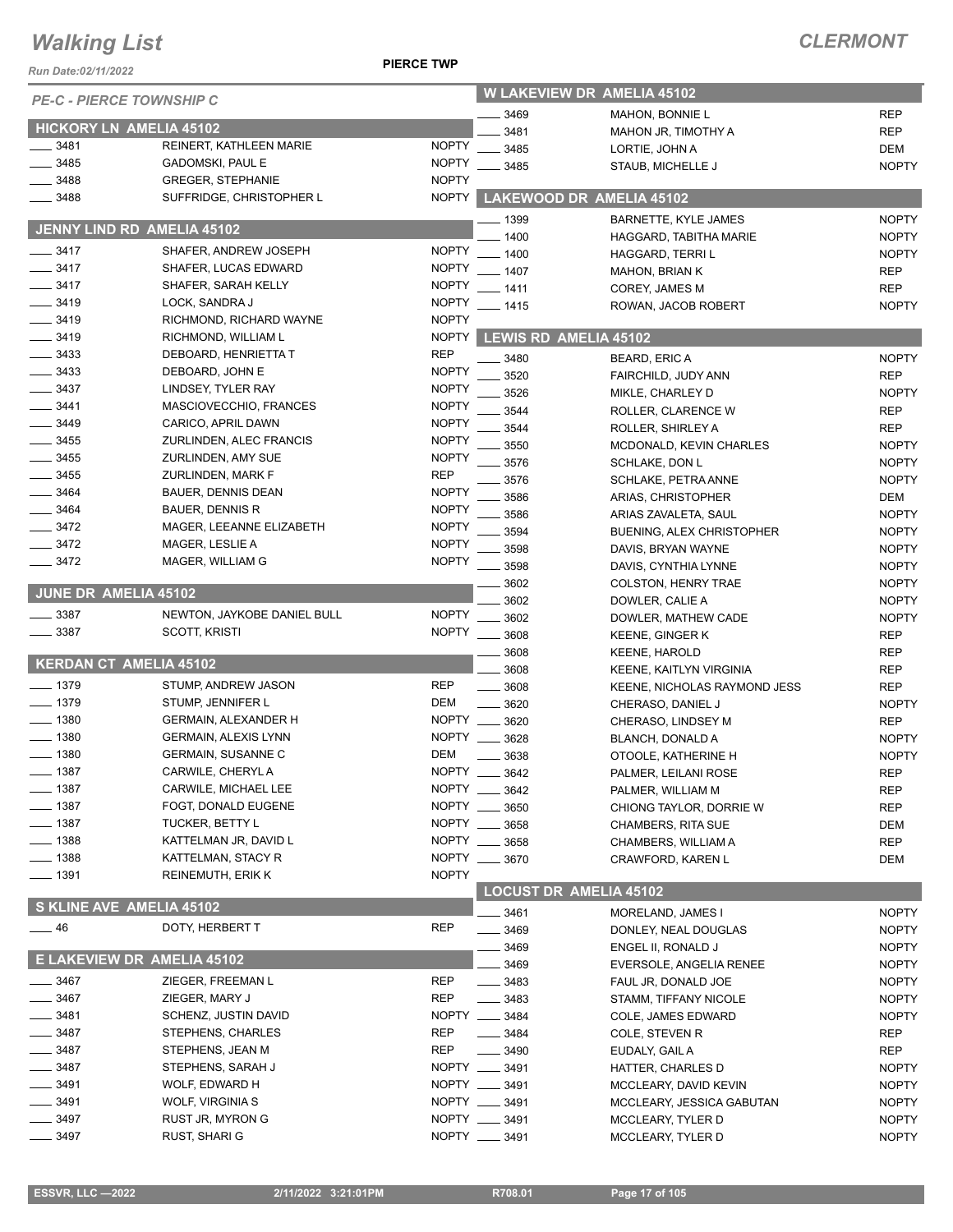#### **PIERCE TWP**

| Run Date:02/11/2022        |                                                    | <b>PIERCE TWP</b>            |               |                                                          |                              |
|----------------------------|----------------------------------------------------|------------------------------|---------------|----------------------------------------------------------|------------------------------|
|                            | <b>PE-C - PIERCE TOWNSHIP C</b>                    |                              |               | <b>W LAKEVIEW DR AMELIA 45102</b>                        |                              |
|                            |                                                    |                              | 3469          | <b>MAHON, BONNIE L</b>                                   | <b>REP</b>                   |
|                            | HICKORY LN AMELIA 45102                            |                              | 3481          | MAHON JR, TIMOTHY A                                      | <b>REP</b>                   |
| $-3481$<br>3485            | REINERT, KATHLEEN MARIE<br><b>GADOMSKI, PAUL E</b> | <b>NOPTY</b><br><b>NOPTY</b> | 3485          | LORTIE, JOHN A                                           | <b>DEM</b>                   |
| 3488                       | <b>GREGER, STEPHANIE</b>                           | <b>NOPTY</b>                 | 3485          | STAUB, MICHELLE J                                        | <b>NOPTY</b>                 |
| 3488                       | SUFFRIDGE, CHRISTOPHER L                           | <b>NOPTY</b>                 |               | LAKEWOOD DR AMELIA 45102                                 |                              |
|                            |                                                    |                              | _ 1399        | <b>BARNETTE, KYLE JAMES</b>                              | <b>NOPTY</b>                 |
|                            | JENNY LIND RD AMELIA 45102                         |                              | 1400          | HAGGARD, TABITHA MARIE                                   | <b>NOPTY</b>                 |
| $\frac{3417}{2}$           | SHAFER, ANDREW JOSEPH                              | <b>NOPTY</b>                 | $-1400$       | HAGGARD, TERRI L                                         | <b>NOPTY</b>                 |
| $- 3417$                   | SHAFER, LUCAS EDWARD                               | <b>NOPTY</b>                 | $-1407$       | <b>MAHON, BRIAN K</b>                                    | <b>REP</b>                   |
| $-3417$                    | SHAFER, SARAH KELLY                                | <b>NOPTY</b>                 | $-1411$       | COREY, JAMES M                                           | <b>REP</b>                   |
| $- 3419$                   | LOCK, SANDRA J                                     | <b>NOPTY</b>                 | $-1415$       | ROWAN, JACOB ROBERT                                      | <b>NOPTY</b>                 |
| $-3419$                    | RICHMOND, RICHARD WAYNE                            | <b>NOPTY</b>                 |               |                                                          |                              |
| $- 3419$                   | RICHMOND, WILLIAM L                                | <b>NOPTY</b>                 |               | <b>LEWIS RD AMELIA 45102</b>                             |                              |
| $\frac{1}{2}$ 3433<br>3433 | DEBOARD, HENRIETTA T                               | <b>REP</b><br><b>NOPTY</b>   | 3480          | <b>BEARD, ERIC A</b>                                     | <b>NOPTY</b>                 |
| 3437                       | DEBOARD, JOHN E<br>LINDSEY, TYLER RAY              | <b>NOPTY</b>                 | 3520          | FAIRCHILD, JUDY ANN                                      | <b>REP</b>                   |
| 3441                       | MASCIOVECCHIO, FRANCES                             | <b>NOPTY</b>                 | 3526          | MIKLE, CHARLEY D                                         | <b>NOPTY</b>                 |
| 3449                       | CARICO, APRIL DAWN                                 | <b>NOPTY</b>                 | 3544          | ROLLER, CLARENCE W                                       | <b>REP</b>                   |
| $-3455$                    | ZURLINDEN, ALEC FRANCIS                            | <b>NOPTY</b>                 | 3544          | ROLLER, SHIRLEY A                                        | <b>REP</b>                   |
| 3455                       | ZURLINDEN, AMY SUE                                 | <b>NOPTY</b>                 | 3550          | MCDONALD, KEVIN CHARLES                                  | <b>NOPTY</b>                 |
| 3455                       | ZURLINDEN, MARK F                                  | <b>REP</b>                   | 3576          | <b>SCHLAKE, DON L</b>                                    | <b>NOPTY</b>                 |
| 3464                       | <b>BAUER, DENNIS DEAN</b>                          | <b>NOPTY</b>                 | 3576          | SCHLAKE, PETRA ANNE                                      | <b>NOPTY</b><br><b>DEM</b>   |
| 3464                       | <b>BAUER, DENNIS R</b>                             | <b>NOPTY</b>                 | 3586          | ARIAS, CHRISTOPHER                                       |                              |
| $-3472$                    | MAGER, LEEANNE ELIZABETH                           | <b>NOPTY</b>                 | 3586<br>3594  | ARIAS ZAVALETA, SAUL<br><b>BUENING, ALEX CHRISTOPHER</b> | <b>NOPTY</b><br><b>NOPTY</b> |
| $- 3472$                   | MAGER, LESLIE A                                    | <b>NOPTY</b>                 | 3598          | DAVIS, BRYAN WAYNE                                       | <b>NOPTY</b>                 |
| $\frac{3472}{2}$           | MAGER, WILLIAM G                                   | <b>NOPTY</b>                 | 3598          | DAVIS, CYNTHIA LYNNE                                     | <b>NOPTY</b>                 |
|                            |                                                    |                              | 3602          | <b>COLSTON, HENRY TRAE</b>                               | <b>NOPTY</b>                 |
| JUNE DR AMELIA 45102       |                                                    |                              | 3602          | DOWLER, CALIE A                                          | <b>NOPTY</b>                 |
| $\frac{1}{2}$ 3387         | NEWTON, JAYKOBE DANIEL BULL                        | <b>NOPTY</b>                 | 3602          | DOWLER, MATHEW CADE                                      | <b>NOPTY</b>                 |
| $- 3387$                   | SCOTT, KRISTI                                      | <b>NOPTY</b>                 | 3608          | <b>KEENE, GINGER K</b>                                   | <b>REP</b>                   |
|                            |                                                    |                              | 3608          | <b>KEENE, HAROLD</b>                                     | <b>REP</b>                   |
|                            | <b>KERDAN CT AMELIA 45102</b>                      |                              | 3608          | <b>KEENE, KAITLYN VIRGINIA</b>                           | <b>REP</b>                   |
| $- 1379$                   | STUMP, ANDREW JASON                                | <b>REP</b>                   | 3608          | KEENE, NICHOLAS RAYMOND JESS                             | <b>REP</b>                   |
| $-1379$                    | STUMP, JENNIFER L                                  | <b>DEM</b>                   | 3620          | CHERASO, DANIEL J                                        | <b>NOPTY</b>                 |
| $- 1380$                   | <b>GERMAIN, ALEXANDER H</b>                        | <b>NOPTY</b>                 | 3620          | CHERASO, LINDSEY M                                       | <b>REP</b>                   |
| $\frac{1}{2}$ 1380         | <b>GERMAIN, ALEXIS LYNN</b>                        | <b>NOPTY</b>                 | 3628          | BLANCH, DONALD A                                         | <b>NOPTY</b>                 |
| $\frac{1}{2}$ 1380         | <b>GERMAIN, SUSANNE C</b>                          | DEM                          | 3638          | OTOOLE, KATHERINE H                                      | <b>NOPTY</b>                 |
| _ 1387                     | CARWILE, CHERYL A                                  |                              | NOPTY __ 3642 | PALMER, LEILANI ROSE                                     | <b>REP</b>                   |
| 1387                       | CARWILE, MICHAEL LEE                               | NOPTY ___                    | 3642          | PALMER, WILLIAM M                                        | <b>REP</b>                   |
| $-1387$                    | FOGT, DONALD EUGENE                                |                              | NOPTY __ 3650 | CHIONG TAYLOR, DORRIE W                                  | <b>REP</b>                   |
| $-1387$                    | <b>TUCKER, BETTY L</b>                             | NOPTY                        | 3658          | <b>CHAMBERS, RITA SUE</b>                                | DEM                          |
| $-1388$                    | KATTELMAN JR, DAVID L                              | NOPTY ___                    | 3658          | CHAMBERS, WILLIAM A                                      | <b>REP</b>                   |
| $- 1388$                   | KATTELMAN, STACY R                                 | <b>NOPTY</b>                 | $- 3670$      | CRAWFORD, KAREN L                                        | DEM                          |
| $- 1391$                   | REINEMUTH, ERIK K                                  | <b>NOPTY</b>                 |               | <b>LOCUST DR AMELIA 45102</b>                            |                              |
|                            | S KLINE AVE AMELIA 45102                           |                              |               |                                                          |                              |
| $\frac{1}{2}$ 46           | DOTY, HERBERT T                                    | <b>REP</b>                   | 3461<br>3469  | MORELAND, JAMES I<br>DONLEY, NEAL DOUGLAS                | <b>NOPTY</b><br><b>NOPTY</b> |
|                            |                                                    |                              | 3469          | ENGEL II, RONALD J                                       | <b>NOPTY</b>                 |
|                            | E LAKEVIEW DR AMELIA 45102                         |                              | 3469          | EVERSOLE, ANGELIA RENEE                                  | <b>NOPTY</b>                 |
| $=$ 3467                   | ZIEGER, FREEMAN L                                  | <b>REP</b>                   | _____ 3483    | FAUL JR, DONALD JOE                                      | <b>NOPTY</b>                 |
| 3467                       | ZIEGER, MARY J                                     | <b>REP</b>                   | $- 3483$      | STAMM, TIFFANY NICOLE                                    | <b>NOPTY</b>                 |
| 3481                       | SCHENZ, JUSTIN DAVID                               |                              | NOPTY __ 3484 | COLE, JAMES EDWARD                                       | <b>NOPTY</b>                 |
| 3487                       | STEPHENS, CHARLES                                  | <b>REP</b>                   | _ 3484        | COLE, STEVEN R                                           | <b>REP</b>                   |
| 3487                       | STEPHENS, JEAN M                                   | REP                          | 3490          | EUDALY, GAIL A                                           | REP                          |
| 3487                       | STEPHENS, SARAH J                                  |                              | NOPTY __ 3491 | HATTER, CHARLES D                                        | <b>NOPTY</b>                 |
| 3491                       | WOLF, EDWARD H                                     |                              | NOPTY __ 3491 | MCCLEARY, DAVID KEVIN                                    | <b>NOPTY</b>                 |
| 3491                       | WOLF, VIRGINIA S                                   |                              | NOPTY __ 3491 | MCCLEARY, JESSICA GABUTAN                                | <b>NOPTY</b>                 |
| 3497                       | RUST JR, MYRON G                                   |                              | NOPTY __ 3491 | MCCLEARY, TYLER D                                        | <b>NOPTY</b>                 |
| 3497                       | RUST, SHARI G                                      |                              | NOPTY __ 3491 | MCCLEARY, TYLER D                                        | <b>NOPTY</b>                 |
|                            |                                                    |                              |               |                                                          |                              |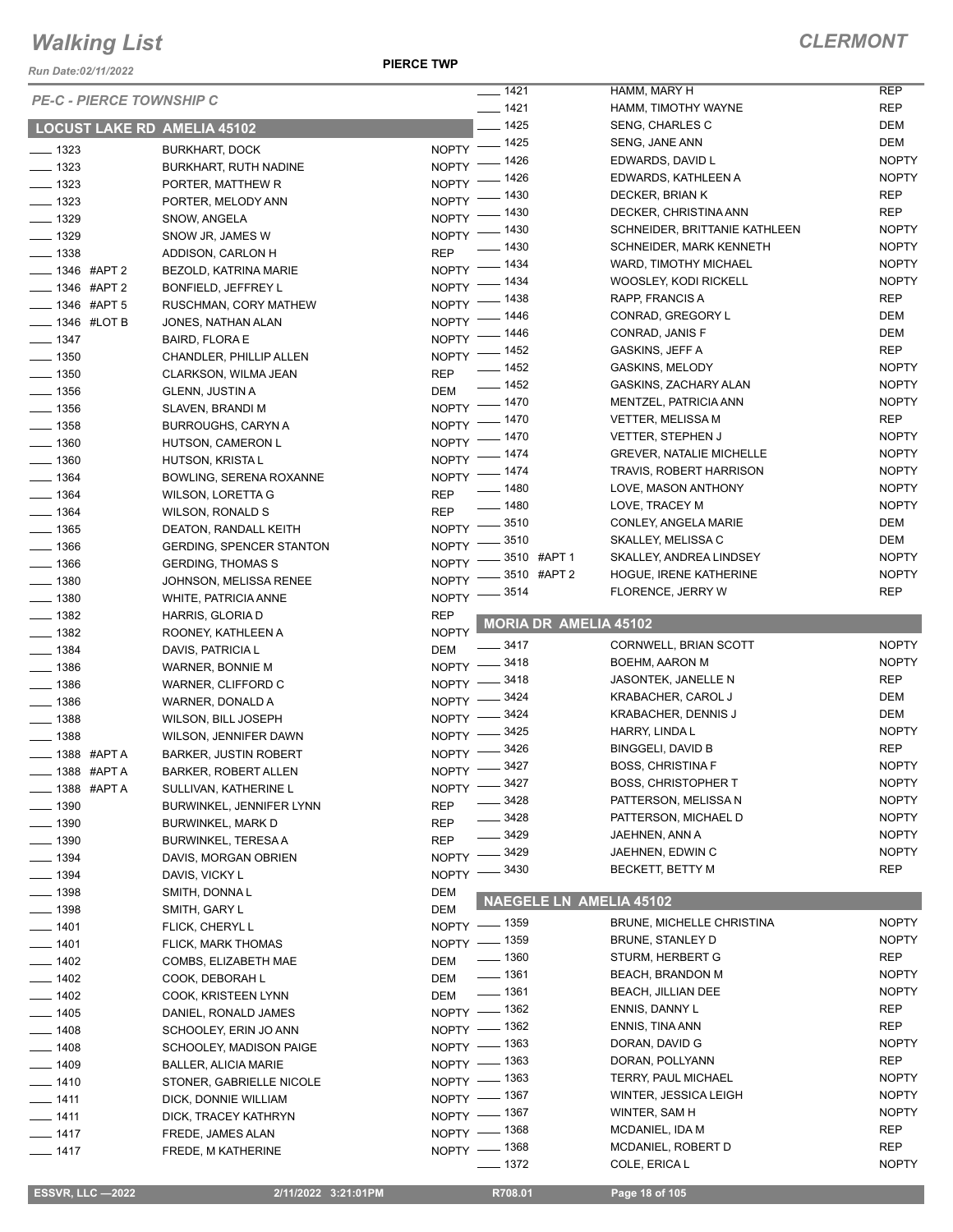*Run Date:02/11/2022*

**PIERCE TWP**

|                                        |                                        |              | $- 1421$                       | HAMM, MARY H                                   | <b>REP</b>                   |
|----------------------------------------|----------------------------------------|--------------|--------------------------------|------------------------------------------------|------------------------------|
| <b>PE-C - PIERCE TOWNSHIP C</b>        |                                        |              | $- 1421$                       | HAMM, TIMOTHY WAYNE                            | <b>REP</b>                   |
| <b>LOCUST LAKE RD AMELIA 45102</b>     |                                        |              | $-1425$                        | <b>SENG, CHARLES C</b>                         | DEM                          |
|                                        |                                        | NOPTY $-$    | $-1425$                        | SENG, JANE ANN                                 | DEM                          |
| $- 1323$                               | <b>BURKHART, DOCK</b>                  | NOPTY -      | _ 1426                         | EDWARDS, DAVID L                               | <b>NOPTY</b>                 |
| $\frac{1}{2}$ 1323                     | BURKHART, RUTH NADINE                  |              | 1426                           | EDWARDS, KATHLEEN A                            | <b>NOPTY</b>                 |
| $\frac{1}{2}$ 1323                     | PORTER, MATTHEW R                      | <b>NOPTY</b> | NOPTY - 1430                   | DECKER, BRIAN K                                | <b>REP</b>                   |
| $\frac{1}{2}$ 1323                     | PORTER, MELODY ANN                     |              | NOPTY - 1430                   | DECKER, CHRISTINA ANN                          | <b>REP</b>                   |
| $- 1329$                               | SNOW, ANGELA                           |              | NOPTY - 1430                   | SCHNEIDER, BRITTANIE KATHLEEN                  | <b>NOPTY</b>                 |
| $\frac{1}{2}$ 1329                     | SNOW JR, JAMES W                       |              | $- 1430$                       | <b>SCHNEIDER, MARK KENNETH</b>                 | <b>NOPTY</b>                 |
| $\frac{1}{2}$ 1338                     | ADDISON, CARLON H                      | <b>REP</b>   | $-1434$                        | WARD, TIMOTHY MICHAEL                          | <b>NOPTY</b>                 |
| -1346 #APT 2                           | BEZOLD, KATRINA MARIE                  | $NOPTY$ -    | NOPTY - 1434                   | <b>WOOSLEY, KODI RICKELL</b>                   | <b>NOPTY</b>                 |
| ___ 1346 #APT 2                        | BONFIELD, JEFFREY L                    |              |                                | RAPP, FRANCIS A                                | <b>REP</b>                   |
| -01346 #APT 5                          | RUSCHMAN, CORY MATHEW                  |              | NOPTY - 1438                   | CONRAD, GREGORY L                              | DEM                          |
| $\frac{1}{2}$ 1346 #LOT B              | JONES, NATHAN ALAN                     |              | NOPTY - 1446                   | CONRAD, JANIS F                                | DEM                          |
| $- 1347$                               | <b>BAIRD, FLORA E</b>                  |              | NOPTY - 1446                   | GASKINS, JEFF A                                | <b>REP</b>                   |
| $- 1350$                               | CHANDLER, PHILLIP ALLEN                |              | NOPTY - 1452<br>$- 1452$       | <b>GASKINS, MELODY</b>                         | <b>NOPTY</b>                 |
| $\frac{1}{2}$ 1350                     | CLARKSON, WILMA JEAN                   | <b>REP</b>   | $- 1452$                       |                                                | <b>NOPTY</b>                 |
| $\frac{1}{2}$ 1356                     | <b>GLENN, JUSTIN A</b>                 | DEM          |                                | GASKINS, ZACHARY ALAN<br>MENTZEL, PATRICIA ANN | <b>NOPTY</b>                 |
| $\frac{1}{2}$ 1356                     | SLAVEN, BRANDI M                       |              | NOPTY - 1470                   |                                                |                              |
| $- 1358$                               | <b>BURROUGHS, CARYN A</b>              |              | NOPTY - 1470                   | <b>VETTER, MELISSA M</b>                       | <b>REP</b>                   |
| $- 1360$                               | HUTSON, CAMERON L                      |              | NOPTY - 1470                   | <b>VETTER, STEPHEN J</b>                       | <b>NOPTY</b><br><b>NOPTY</b> |
| $- 1360$                               | HUTSON, KRISTA L                       |              | NOPTY - 1474                   | <b>GREVER, NATALIE MICHELLE</b>                | <b>NOPTY</b>                 |
| $- 1364$                               | BOWLING, SERENA ROXANNE                |              | NOPTY - 1474                   | TRAVIS, ROBERT HARRISON                        |                              |
| $- 1364$                               | <b>WILSON, LORETTA G</b>               | <b>REP</b>   | $- 1480$                       | LOVE, MASON ANTHONY                            | <b>NOPTY</b>                 |
| $- 1364$                               | <b>WILSON, RONALD S</b>                | <b>REP</b>   | $- 1480$                       | LOVE, TRACEY M                                 | <b>NOPTY</b>                 |
| $\frac{1}{2}$ 1365                     | DEATON, RANDALL KEITH                  |              | NOPTY -8510                    | CONLEY, ANGELA MARIE                           | DEM                          |
| $\frac{1}{2}$ 1366                     | <b>GERDING, SPENCER STANTON</b>        |              | NOPTY -8510                    | SKALLEY, MELISSA C                             | DEM                          |
| $\frac{1}{2}$ 1366                     | <b>GERDING, THOMAS S</b>               | <b>NOPTY</b> | 3510 #APT 1                    | SKALLEY, ANDREA LINDSEY                        | <b>NOPTY</b>                 |
| $- 1380$                               | JOHNSON, MELISSA RENEE                 | <b>NOPTY</b> | - 3510 #APT 2                  | HOGUE, IRENE KATHERINE                         | <b>NOPTY</b>                 |
| $\frac{1}{2}$ 1380                     | <b>WHITE, PATRICIA ANNE</b>            | <b>NOPTY</b> | 3514                           | FLORENCE, JERRY W                              | <b>REP</b>                   |
|                                        |                                        | <b>REP</b>   |                                |                                                |                              |
|                                        | HARRIS, GLORIA D                       |              |                                |                                                |                              |
| $\frac{1}{2}$ 1382                     | ROONEY, KATHLEEN A                     | <b>NOPTY</b> | <b>MORIA DR AMELIA 45102</b>   |                                                |                              |
| $\frac{1}{2}$ 1382                     | DAVIS, PATRICIA L                      | DEM          | $- 3417$                       | CORNWELL, BRIAN SCOTT                          | <b>NOPTY</b>                 |
| $- 1384$                               |                                        |              |                                | BOEHM, AARON M                                 | <b>NOPTY</b>                 |
| $\frac{1}{2}$ 1386<br>$\frac{1386}{2}$ | WARNER, BONNIE M<br>WARNER, CLIFFORD C |              | NOPTY -8418                    | JASONTEK, JANELLE N                            | <b>REP</b>                   |
|                                        |                                        |              | NOPTY -8418                    | KRABACHER, CAROL J                             | DEM                          |
| $- 1386$                               | WARNER, DONALD A                       |              | NOPTY -8424                    | <b>KRABACHER, DENNIS J</b>                     | DEM                          |
| $\frac{1}{2}$ 1388                     | WILSON, BILL JOSEPH                    |              | NOPTY -8424                    | HARRY, LINDA L                                 | <b>NOPTY</b>                 |
| $\frac{1}{2}$ 1388                     | WILSON, JENNIFER DAWN                  |              | NOPTY -8425<br>3426            | BINGGELI, DAVID B                              | <b>REP</b>                   |
| <b>_____ 1388 #APT A</b>               | <b>BARKER, JUSTIN ROBERT</b>           | $NOPTY$ -    |                                | <b>BOSS, CHRISTINA F</b>                       | <b>NOPTY</b>                 |
| -488 #APTA                             | <b>BARKER, ROBERT ALLEN</b>            |              | NOPTY -8427                    | <b>BOSS, CHRISTOPHER T</b>                     | <b>NOPTY</b>                 |
| <b>_____ 1388 #APT A</b>               | SULLIVAN, KATHERINE L                  |              | NOPTY -8427<br>3428            | PATTERSON, MELISSA N                           | <b>NOPTY</b>                 |
| $\frac{1}{2}$ 1390                     | BURWINKEL, JENNIFER LYNN               | <b>REP</b>   | _ 3428                         | PATTERSON, MICHAEL D                           | <b>NOPTY</b>                 |
| $- 1390$                               | BURWINKEL, MARK D                      | <b>REP</b>   | 3429                           | JAEHNEN, ANN A                                 | <b>NOPTY</b>                 |
| $\frac{1}{2}$ 1390                     | <b>BURWINKEL, TERESA A</b>             | <b>REP</b>   | .3429                          | JAEHNEN, EDWIN C                               | <b>NOPTY</b>                 |
| $- 1394$                               | DAVIS, MORGAN OBRIEN                   | NOPTY =      | .3430                          | BECKETT, BETTY M                               | <b>REP</b>                   |
| $- 1394$                               | DAVIS, VICKY L                         | NOPTY -      |                                |                                                |                              |
| $\frac{1}{2}$ 1398                     | SMITH, DONNAL                          | DEM          | <b>NAEGELE LN AMELIA 45102</b> |                                                |                              |
| $\frac{1}{2}$ 1398                     | SMITH, GARY L                          | DEM          |                                |                                                |                              |
| $- 1401$                               | FLICK, CHERYL L                        |              | NOPTY - 1359                   | <b>BRUNE, MICHELLE CHRISTINA</b>               | <b>NOPTY</b>                 |
| $- 1401$                               | FLICK, MARK THOMAS                     |              | NOPTY - 1359                   | BRUNE, STANLEY D                               | <b>NOPTY</b>                 |
| $\frac{1}{2}$ 1402                     | COMBS, ELIZABETH MAE                   | DEM          | $\frac{1}{2}$ 1360             | STURM, HERBERT G                               | REP                          |
| $\frac{1}{2}$ 1402                     | COOK, DEBORAH L                        | DEM          | $- 1361$                       | <b>BEACH, BRANDON M</b>                        | <b>NOPTY</b>                 |
| $- 1402$                               | COOK, KRISTEEN LYNN                    | DEM          | $\frac{1}{2}$ 1361             | BEACH, JILLIAN DEE                             | <b>NOPTY</b>                 |
| $- 1405$                               | DANIEL, RONALD JAMES                   |              | NOPTY - 1362                   | ENNIS, DANNY L                                 | REP                          |
| $- 1408$                               | SCHOOLEY, ERIN JO ANN                  |              | NOPTY - 1362                   | ENNIS, TINA ANN                                | <b>REP</b>                   |
| $- 1408$                               | SCHOOLEY, MADISON PAIGE                |              | NOPTY - 1363                   | DORAN, DAVID G                                 | <b>NOPTY</b>                 |
| $- 1409$                               | <b>BALLER, ALICIA MARIE</b>            |              | NOPTY - 1363                   | DORAN, POLLYANN                                | <b>REP</b>                   |
| $- 1410$                               | STONER, GABRIELLE NICOLE               |              | NOPTY - 1363                   | <b>TERRY, PAUL MICHAEL</b>                     | <b>NOPTY</b>                 |
| $- 1411$                               | DICK, DONNIE WILLIAM                   |              | NOPTY - 1367                   | WINTER, JESSICA LEIGH                          | <b>NOPTY</b>                 |
| $- 1411$                               | DICK, TRACEY KATHRYN                   |              | NOPTY - 1367                   | WINTER, SAM H                                  | <b>NOPTY</b>                 |
| $- 1417$                               | FREDE, JAMES ALAN                      |              | NOPTY - 1368                   | MCDANIEL, IDA M                                | <b>REP</b>                   |
| $- 1417$                               | FREDE, M KATHERINE                     |              | NOPTY - 1368<br>$- 1372$       | MCDANIEL, ROBERT D<br>COLE, ERICA L            | <b>REP</b><br><b>NOPTY</b>   |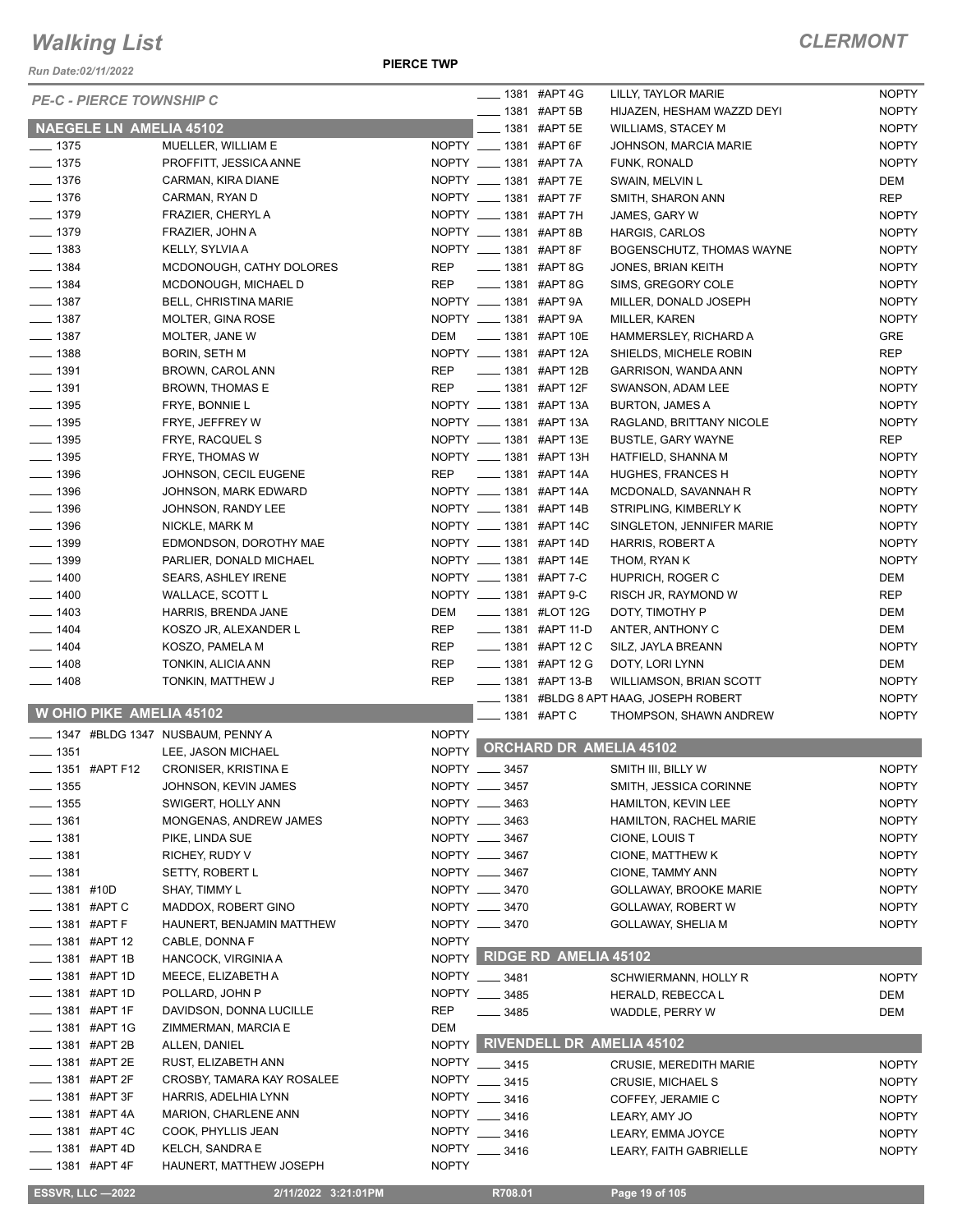*Run Date:02/11/2022*

**PIERCE TWP**

|                            | <b>PE-C - PIERCE TOWNSHIP C</b> |                                  |              | <b>LEGGIO 1381 #APT 4G</b>  |                              | LILLY, TAYLOR MARIE                      | <b>NOPTY</b> |
|----------------------------|---------------------------------|----------------------------------|--------------|-----------------------------|------------------------------|------------------------------------------|--------------|
|                            |                                 |                                  |              | ____ 1381 #APT 5B           |                              | HIJAZEN, HESHAM WAZZD DEYI               | <b>NOPTY</b> |
|                            | <b>NAEGELE LN AMELIA 45102</b>  |                                  |              | ___ 1381 #APT 5E            |                              | <b>WILLIAMS, STACEY M</b>                | <b>NOPTY</b> |
| $\frac{1}{2}$ 1375         |                                 | MUELLER, WILLIAM E               |              | NOPTY __ 1381 #APT 6F       |                              | JOHNSON, MARCIA MARIE                    | <b>NOPTY</b> |
| $\frac{1}{2}$ 1375         |                                 | PROFFITT, JESSICA ANNE           |              | NOPTY __ 1381 #APT 7A       |                              | FUNK, RONALD                             | <b>NOPTY</b> |
| $- 1376$                   |                                 | CARMAN, KIRA DIANE               |              | NOPTY __ 1381 #APT 7E       |                              | SWAIN, MELVIN L                          | DEM          |
| $\frac{1}{2}$ 1376         |                                 | CARMAN, RYAN D                   |              | NOPTY __ 1381 #APT 7F       |                              | SMITH, SHARON ANN                        | <b>REP</b>   |
| $- 1379$                   |                                 | FRAZIER, CHERYL A                |              | NOPTY _____ 1381 #APT 7H    |                              | JAMES, GARY W                            | <b>NOPTY</b> |
| $- 1379$                   |                                 | FRAZIER, JOHN A                  |              | NOPTY __ 1381 #APT 8B       |                              | <b>HARGIS, CARLOS</b>                    | <b>NOPTY</b> |
| $\frac{1}{2}$ 1383         |                                 | KELLY, SYLVIA A                  |              | NOPTY __ 1381 #APT 8F       |                              | BOGENSCHUTZ, THOMAS WAYNE                | <b>NOPTY</b> |
| $- 1384$                   |                                 | MCDONOUGH, CATHY DOLORES         | REP          | <b>EXAMPLE 1381 #APT 8G</b> |                              | JONES, BRIAN KEITH                       | <b>NOPTY</b> |
| $- 1384$                   |                                 | MCDONOUGH, MICHAEL D             | REP          | ____ 1381 #APT 8G           |                              | SIMS, GREGORY COLE                       | <b>NOPTY</b> |
| $- 1387$                   |                                 | <b>BELL, CHRISTINA MARIE</b>     |              | NOPTY __ 1381 #APT 9A       |                              | MILLER, DONALD JOSEPH                    | <b>NOPTY</b> |
| $\frac{1}{2}$ 1387         |                                 | MOLTER, GINA ROSE                |              | NOPTY _____ 1381 #APT 9A    |                              | MILLER, KAREN                            | <b>NOPTY</b> |
| $\frac{1}{2}$ 1387         |                                 | MOLTER, JANE W                   | DEM          | ____ 1381 #APT 10E          |                              | HAMMERSLEY, RICHARD A                    | GRE          |
| $- 1388$                   |                                 | <b>BORIN, SETH M</b>             |              | NOPTY __ 1381 #APT 12A      |                              | SHIELDS, MICHELE ROBIN                   | <b>REP</b>   |
| $- 1391$                   |                                 | BROWN, CAROL ANN                 | <b>REP</b>   | ____ 1381 #APT 12B          |                              | GARRISON, WANDA ANN                      | <b>NOPTY</b> |
| $\frac{1}{2}$ 1391         |                                 | BROWN, THOMAS E                  | REP          | -81381 #APT 12F             |                              | SWANSON, ADAM LEE                        | <b>NOPTY</b> |
| $\frac{1}{2}$ 1395         |                                 | FRYE, BONNIE L                   |              | NOPTY __ 1381 #APT 13A      |                              | <b>BURTON, JAMES A</b>                   | <b>NOPTY</b> |
| $\frac{1}{2}$ 1395         |                                 | FRYE, JEFFREY W                  |              | NOPTY __ 1381 #APT 13A      |                              | RAGLAND, BRITTANY NICOLE                 | <b>NOPTY</b> |
| $\frac{1}{2}$ 1395         |                                 | FRYE, RACQUEL S                  |              | NOPTY ____ 1381 #APT 13E    |                              | <b>BUSTLE, GARY WAYNE</b>                | <b>REP</b>   |
| $\frac{1}{2}$ 1395         |                                 | FRYE, THOMAS W                   |              | NOPTY __ 1381 #APT 13H      |                              | HATFIELD, SHANNA M                       | <b>NOPTY</b> |
| $- 1396$                   |                                 | JOHNSON, CECIL EUGENE            | <b>REP</b>   | _____ 1381   #APT 14A       |                              | HUGHES, FRANCES H                        | <b>NOPTY</b> |
| $- 1396$                   |                                 | JOHNSON, MARK EDWARD             |              | NOPTY __ 1381 #APT 14A      |                              | MCDONALD, SAVANNAH R                     | <b>NOPTY</b> |
| $- 1396$                   |                                 | JOHNSON, RANDY LEE               |              | NOPTY __ 1381 #APT 14B      |                              | STRIPLING, KIMBERLY K                    | <b>NOPTY</b> |
| $- 1396$                   |                                 | NICKLE, MARK M                   |              | NOPTY __ 1381 #APT 14C      |                              | SINGLETON, JENNIFER MARIE                | <b>NOPTY</b> |
| $\frac{1}{2}$ 1399         |                                 | EDMONDSON, DOROTHY MAE           |              | NOPTY __ 1381 #APT 14D      |                              | HARRIS, ROBERT A                         | <b>NOPTY</b> |
| $- 1399$                   |                                 | PARLIER, DONALD MICHAEL          |              | NOPTY __ 1381 #APT 14E      |                              | THOM, RYAN K                             | <b>NOPTY</b> |
| $\frac{1}{2}$ 1400         |                                 | <b>SEARS, ASHLEY IRENE</b>       |              | NOPTY ____ 1381 #APT 7-C    |                              | HUPRICH, ROGER C                         | DEM          |
| $- 1400$                   |                                 | WALLACE, SCOTT L                 |              | NOPTY __ 1381 #APT 9-C      |                              | RISCH JR, RAYMOND W                      | <b>REP</b>   |
| $- 1403$                   |                                 | HARRIS, BRENDA JANE              | DEM          |                             | <b>______ 1381 #LOT 12G</b>  | DOTY, TIMOTHY P                          | DEM          |
| $- 1404$                   |                                 | KOSZO JR, ALEXANDER L            | <b>REP</b>   |                             | $\frac{1}{2}$ 1381 #APT 11-D | ANTER, ANTHONY C                         | DEM          |
| $- 1404$                   |                                 | KOSZO, PAMELA M                  | <b>REP</b>   |                             | $\frac{1}{2}$ 1381 #APT 12 C | SILZ, JAYLA BREANN                       | <b>NOPTY</b> |
| $- 1408$                   |                                 | TONKIN, ALICIA ANN               | <b>REP</b>   |                             | <b>LEGGE 1381 #APT 12 G</b>  | DOTY, LORI LYNN                          | DEM          |
| $- 1408$                   |                                 | TONKIN, MATTHEW J                | <b>REP</b>   |                             | ____ 1381 #APT 13-B          | WILLIAMSON, BRIAN SCOTT                  | <b>NOPTY</b> |
|                            |                                 |                                  |              |                             |                              | ___ 1381 #BLDG 8 APT HAAG, JOSEPH ROBERT | <b>NOPTY</b> |
|                            | <b>W OHIO PIKE AMELIA 45102</b> |                                  |              | ____ 1381 #APT C            |                              | THOMPSON, SHAWN ANDREW                   | <b>NOPTY</b> |
|                            |                                 | 1347 #BLDG 1347 NUSBAUM, PENNY A | <b>NOPTY</b> |                             |                              |                                          |              |
| $\frac{1}{2}$ 1351         |                                 | LEE, JASON MICHAEL               |              |                             |                              | NOPTY ORCHARD DR AMELIA 45102            |              |
| ____ 1351 #APT F12         |                                 | <b>CRONISER, KRISTINA E</b>      |              | NOPTY __ 3457               |                              | SMITH III, BILLY W                       | <b>NOPTY</b> |
| $- 1355$                   |                                 | JOHNSON, KEVIN JAMES             |              | NOPTY __ 3457               |                              | SMITH, JESSICA CORINNE                   | <b>NOPTY</b> |
| $\frac{1}{2}$ 1355         |                                 | SWIGERT, HOLLY ANN               |              | NOPTY __ 3463               |                              | HAMILTON, KEVIN LEE                      | <b>NOPTY</b> |
| $- 1361$                   |                                 | MONGENAS, ANDREW JAMES           |              | NOPTY __ 3463               |                              | HAMILTON, RACHEL MARIE                   | <b>NOPTY</b> |
| $-1381$                    |                                 | PIKE, LINDA SUE                  |              | NOPTY __ 3467               |                              | CIONE, LOUIS T                           | <b>NOPTY</b> |
| $- 1381$                   |                                 | RICHEY, RUDY V                   |              | NOPTY __ 3467               |                              | CIONE, MATTHEW K                         | <b>NOPTY</b> |
| $- 1381$                   |                                 | <b>SETTY, ROBERT L</b>           |              | NOPTY __ 3467               |                              | CIONE, TAMMY ANN                         | <b>NOPTY</b> |
| $\frac{1}{2}$ 1381 #10D    |                                 | SHAY, TIMMY L                    |              | NOPTY __ 3470               |                              | <b>GOLLAWAY, BROOKE MARIE</b>            | <b>NOPTY</b> |
| ____ 1381 #APT C           |                                 | MADDOX, ROBERT GINO              |              | NOPTY __ 3470               |                              | GOLLAWAY, ROBERT W                       | <b>NOPTY</b> |
|                            | $-1381$ #APT F                  | HAUNERT, BENJAMIN MATTHEW        |              | NOPTY __ 3470               |                              | GOLLAWAY, SHELIA M                       | <b>NOPTY</b> |
|                            | _ 1381 #APT 12                  | CABLE, DONNA F                   | <b>NOPTY</b> |                             |                              |                                          |              |
|                            | _ 1381 #APT 1B                  | HANCOCK, VIRGINIA A              |              |                             | NOPTY RIDGE RD AMELIA 45102  |                                          |              |
|                            | _ 1381 #APT 1D                  | MEECE, ELIZABETH A               |              | NOPTY __ 3481               |                              | SCHWIERMANN, HOLLY R                     | <b>NOPTY</b> |
|                            | __ 1381 #APT 1D                 | POLLARD, JOHN P                  |              | NOPTY __ 3485               |                              | <b>HERALD, REBECCAL</b>                  | DEM          |
|                            | __ 1381 #APT 1F                 | DAVIDSON, DONNA LUCILLE          | REP          | $- 3485$                    |                              | WADDLE, PERRY W                          | DEM          |
| $\frac{1}{2}$ 1381 #APT 1G |                                 | ZIMMERMAN, MARCIA E              | DEM          |                             |                              |                                          |              |
| ____ 1381 #APT 2B          |                                 | ALLEN, DANIEL                    | <b>NOPTY</b> |                             |                              | <b>RIVENDELL DR AMELIA 45102</b>         |              |
|                            | __ 1381 #APT 2E                 | RUST, ELIZABETH ANN              | <b>NOPTY</b> | $- 3415$                    |                              | <b>CRUSIE, MEREDITH MARIE</b>            | <b>NOPTY</b> |
| ____ 1381 #APT 2F          |                                 | CROSBY, TAMARA KAY ROSALEE       | <b>NOPTY</b> | 3415                        |                              | CRUSIE, MICHAEL S                        | <b>NOPTY</b> |
|                            | — 1381 #APT 3F                  | HARRIS, ADELHIA LYNN             | <b>NOPTY</b> | 3416                        |                              | COFFEY, JERAMIE C                        | <b>NOPTY</b> |
| $\frac{1}{2}$ 1381 #APT 4A |                                 | MARION, CHARLENE ANN             | <b>NOPTY</b> | 3416                        |                              | LEARY, AMY JO                            | <b>NOPTY</b> |
| ____ 1381 #APT 4C          |                                 | COOK, PHYLLIS JEAN               | <b>NOPTY</b> | 3416                        |                              | LEARY, EMMA JOYCE                        | <b>NOPTY</b> |
| $\frac{1}{2}$ 1381 #APT 4D |                                 | KELCH, SANDRA E                  | <b>NOPTY</b> | $- 3416$                    |                              | LEARY, FAITH GABRIELLE                   | <b>NOPTY</b> |
| ____ 1381 #APT 4F          |                                 | HAUNERT, MATTHEW JOSEPH          | <b>NOPTY</b> |                             |                              |                                          |              |
|                            |                                 | 2/11/2022 3:21:01PM              |              | R708.01                     |                              |                                          |              |
| <b>ESSVR, LLC -2022</b>    |                                 |                                  |              |                             |                              | Page 19 of 105                           |              |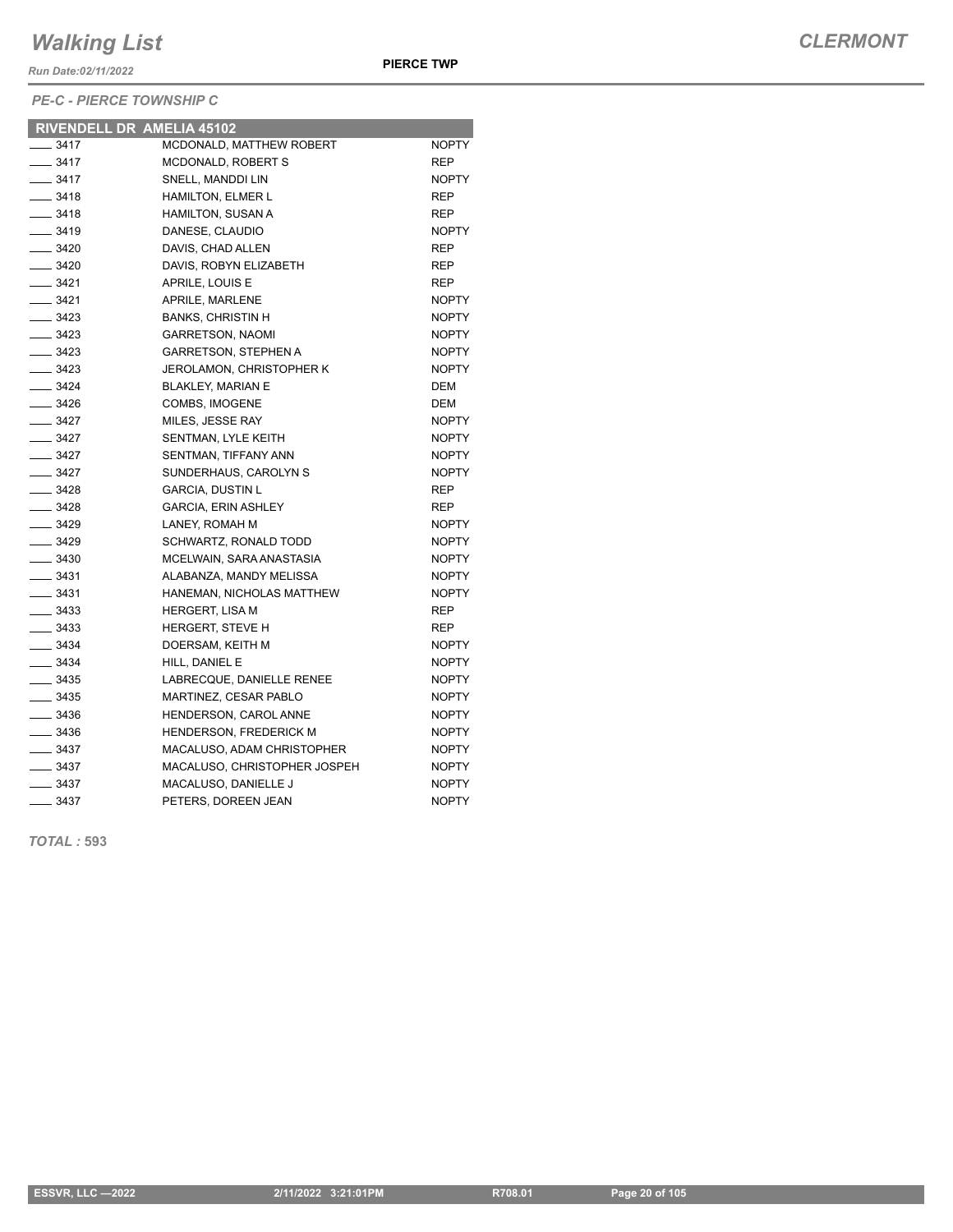*Run Date:02/11/2022*

*PE-C - PIERCE TOWNSHIP C*

|                    | RIVENDELL DR AMELIA 45102     |              |
|--------------------|-------------------------------|--------------|
| $- 3417$           | MCDONALD, MATTHEW ROBERT      | <b>NOPTY</b> |
| $\frac{1}{2}$ 3417 | MCDONALD, ROBERT S            | <b>REP</b>   |
| $\frac{1}{2}$ 3417 | SNELL, MANDDI LIN             | <b>NOPTY</b> |
| $- 3418$           | <b>HAMILTON, ELMER L</b>      | REP          |
| $- 3418$           | <b>HAMILTON, SUSAN A</b>      | <b>REP</b>   |
| $\frac{1}{2}$ 3419 | DANESE, CLAUDIO               | <b>NOPTY</b> |
| $\frac{1}{2}$ 3420 | DAVIS, CHAD ALLEN             | <b>REP</b>   |
| $\frac{1}{2}$ 3420 | DAVIS, ROBYN ELIZABETH        | <b>REP</b>   |
| $- 3421$           | APRILE, LOUIS E               | <b>REP</b>   |
| $- 3421$           | APRILE, MARLENE               | <b>NOPTY</b> |
| $\frac{3423}{2}$   | <b>BANKS, CHRISTIN H</b>      | <b>NOPTY</b> |
| $- 3423$           | <b>GARRETSON, NAOMI</b>       | <b>NOPTY</b> |
| $\frac{1}{2}$ 3423 | <b>GARRETSON, STEPHEN A</b>   | <b>NOPTY</b> |
| $- 3423$           | JEROLAMON, CHRISTOPHER K      | <b>NOPTY</b> |
| $- 3424$           | <b>BLAKLEY, MARIAN E</b>      | <b>DEM</b>   |
| $\frac{3426}{5}$   | COMBS, IMOGENE                | <b>DEM</b>   |
| $-3427$            | MILES, JESSE RAY              | <b>NOPTY</b> |
| $\frac{3427}{2}$   | SENTMAN, LYLE KEITH           | <b>NOPTY</b> |
| $- 3427$           | SENTMAN, TIFFANY ANN          | <b>NOPTY</b> |
| $\frac{1}{2}$ 3427 | SUNDERHAUS, CAROLYN S         | <b>NOPTY</b> |
| $- 3428$           | <b>GARCIA, DUSTIN L</b>       | <b>REP</b>   |
| $\frac{1}{2}$ 3428 | <b>GARCIA, ERIN ASHLEY</b>    | <b>REP</b>   |
| $\frac{3429}{2}$   | LANEY, ROMAH M                | <b>NOPTY</b> |
| $- 3429$           | <b>SCHWARTZ, RONALD TODD</b>  | <b>NOPTY</b> |
| $\frac{1}{2}$ 3430 | MCELWAIN, SARA ANASTASIA      | <b>NOPTY</b> |
| $\frac{1}{2}$ 3431 | ALABANZA, MANDY MELISSA       | <b>NOPTY</b> |
| $\frac{1}{2}$ 3431 | HANEMAN, NICHOLAS MATTHEW     | <b>NOPTY</b> |
| $\frac{1}{2}$ 3433 | HERGERT, LISA M               | <b>REP</b>   |
| $\frac{1}{2}$ 3433 | <b>HERGERT, STEVE H</b>       | <b>REP</b>   |
| $- 3434$           | DOERSAM, KEITH M              | <b>NOPTY</b> |
| $\frac{1}{2}$ 3434 | HILL, DANIEL E                | <b>NOPTY</b> |
| $\frac{1}{2}$ 3435 | LABRECQUE, DANIELLE RENEE     | <b>NOPTY</b> |
| $\frac{1}{2}$ 3435 | MARTINEZ, CESAR PABLO         | <b>NOPTY</b> |
| $\frac{1}{2}$ 3436 | HENDERSON, CAROL ANNE         | <b>NOPTY</b> |
| $\frac{1}{2}$ 3436 | <b>HENDERSON, FREDERICK M</b> | <b>NOPTY</b> |
| $- 3437$           | MACALUSO, ADAM CHRISTOPHER    | <b>NOPTY</b> |
| $\frac{1}{2}$ 3437 | MACALUSO, CHRISTOPHER JOSPEH  | <b>NOPTY</b> |
| $\frac{1}{2}$ 3437 | MACALUSO, DANIELLE J          | <b>NOPTY</b> |
| $\frac{1}{2}$ 3437 | PETERS, DOREEN JEAN           | <b>NOPTY</b> |
|                    |                               |              |

*TOTAL :* **593**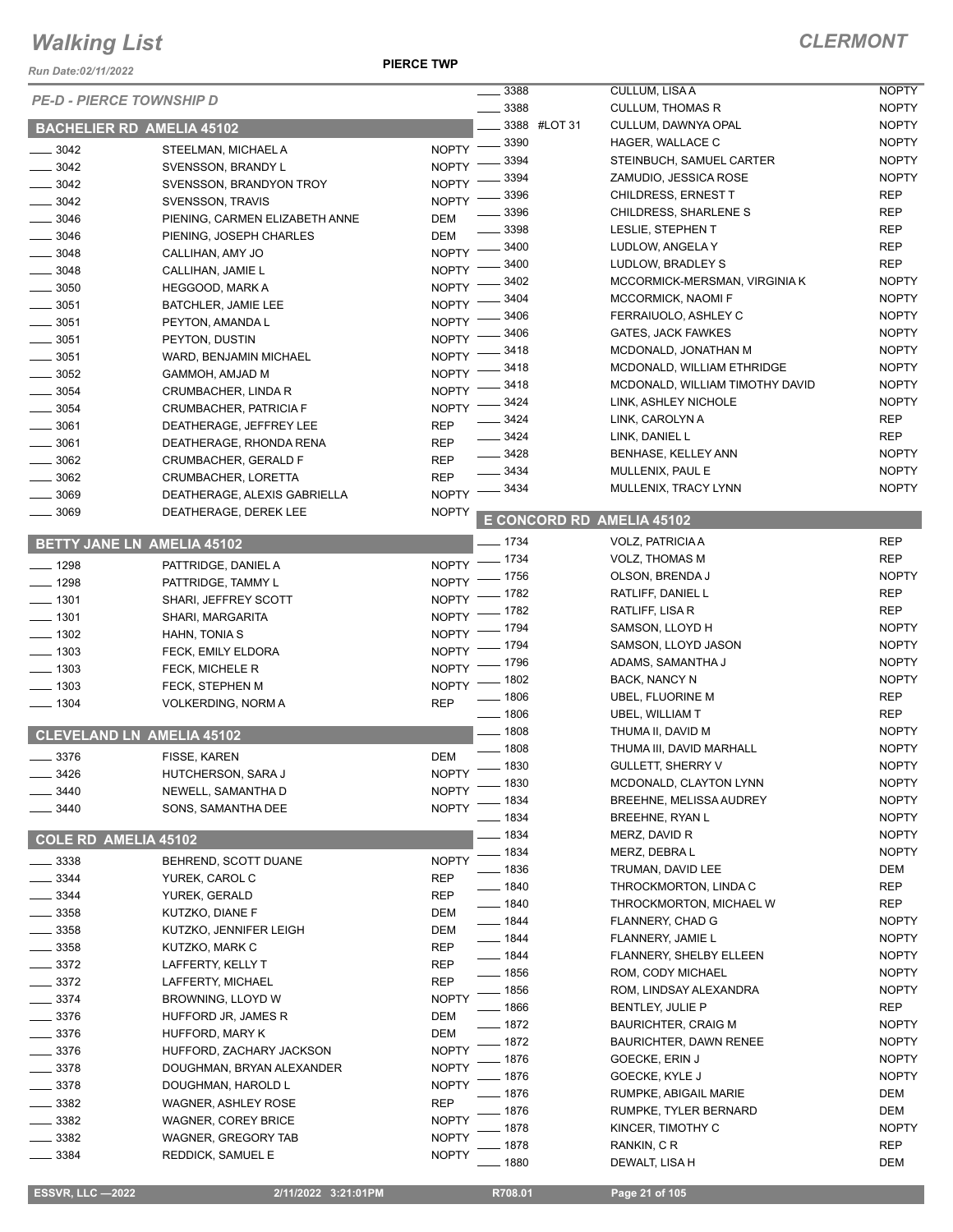*Run Date:02/11/2022*

**PIERCE TWP**

| <b>PE-D - PIERCE TOWNSHIP D</b> |                                  |              | $\frac{1}{2}$ 3388        | CULLUM, LISA A                             | <b>NOPTY</b> |
|---------------------------------|----------------------------------|--------------|---------------------------|--------------------------------------------|--------------|
|                                 |                                  |              | 3388                      | <b>CULLUM, THOMAS R</b>                    | <b>NOPTY</b> |
|                                 | <b>BACHELIER RD AMELIA 45102</b> |              | 3388 #LOT 31              | CULLUM, DAWNYA OPAL                        | <b>NOPTY</b> |
| $- 3042$                        | STEELMAN, MICHAEL A              | $NOPTY$ -    | .3390                     | HAGER, WALLACE C                           | <b>NOPTY</b> |
| 3042                            | SVENSSON, BRANDY L               | <b>NOPTY</b> | 3394                      | STEINBUCH, SAMUEL CARTER                   | <b>NOPTY</b> |
| $-3042$                         | SVENSSON, BRANDYON TROY          | <b>NOPTY</b> | 3394                      | ZAMUDIO, JESSICA ROSE                      | <b>NOPTY</b> |
| $\frac{1}{2}$ 3042              | SVENSSON, TRAVIS                 | <b>NOPTY</b> | 3396                      | CHILDRESS, ERNEST T                        | <b>REP</b>   |
| $\frac{1}{2}$ 3046              | PIENING, CARMEN ELIZABETH ANNE   | <b>DEM</b>   | 3396                      | CHILDRESS, SHARLENE S                      | <b>REP</b>   |
| $- 3046$                        | PIENING, JOSEPH CHARLES          | <b>DEM</b>   | 3398                      | LESLIE, STEPHEN T                          | <b>REP</b>   |
| 3048                            | CALLIHAN, AMY JO                 | <b>NOPTY</b> | 3400                      | LUDLOW, ANGELA Y                           | <b>REP</b>   |
| $\frac{1}{2}$ 3048              | CALLIHAN, JAMIE L                | <b>NOPTY</b> | 3400                      | LUDLOW, BRADLEY S                          | <b>REP</b>   |
| $\frac{1}{2}$ 3050              | HEGGOOD, MARK A                  | <b>NOPTY</b> | 3402                      | MCCORMICK-MERSMAN, VIRGINIA K              | <b>NOPTY</b> |
| $\frac{1}{2}$ 3051              | BATCHLER, JAMIE LEE              | <b>NOPTY</b> | 3404                      | MCCORMICK, NAOMI F                         | <b>NOPTY</b> |
| $\frac{1}{2}$ 3051              | PEYTON, AMANDA L                 | <b>NOPTY</b> | 3406                      | FERRAIUOLO, ASHLEY C                       | <b>NOPTY</b> |
| 3051                            | PEYTON, DUSTIN                   | <b>NOPTY</b> | 3406                      | <b>GATES, JACK FAWKES</b>                  | <b>NOPTY</b> |
| $\frac{1}{2}$ 3051              | WARD, BENJAMIN MICHAEL           | <b>NOPTY</b> | 3418                      | MCDONALD, JONATHAN M                       | <b>NOPTY</b> |
| 3052                            | GAMMOH, AMJAD M                  | <b>NOPTY</b> | 3418                      | MCDONALD, WILLIAM ETHRIDGE                 | <b>NOPTY</b> |
| 3054                            | CRUMBACHER, LINDA R              | <b>NOPTY</b> | 3418                      | MCDONALD, WILLIAM TIMOTHY DAVID            | <b>NOPTY</b> |
|                                 |                                  |              | 3424                      | LINK, ASHLEY NICHOLE                       | <b>NOPTY</b> |
| $\frac{1}{2}$ 3054              | <b>CRUMBACHER, PATRICIA F</b>    | <b>NOPTY</b> | 3424                      | LINK, CAROLYN A                            | <b>REP</b>   |
| 3061                            | DEATHERAGE, JEFFREY LEE          | <b>REP</b>   | 3424                      | LINK, DANIEL L                             | <b>REP</b>   |
| 3061                            | DEATHERAGE, RHONDA RENA          | <b>REP</b>   | 3428                      | BENHASE, KELLEY ANN                        | <b>NOPTY</b> |
| 3062                            | CRUMBACHER, GERALD F             | <b>REP</b>   | 3434                      | MULLENIX, PAUL E                           | <b>NOPTY</b> |
| 3062                            | CRUMBACHER, LORETTA              | <b>REP</b>   | 3434                      | MULLENIX, TRACY LYNN                       | <b>NOPTY</b> |
| 3069                            | DEATHERAGE, ALEXIS GABRIELLA     | <b>NOPTY</b> |                           |                                            |              |
| 3069                            | DEATHERAGE, DEREK LEE            | <b>NOPTY</b> | E CONCORD RD AMELIA 45102 |                                            |              |
|                                 | BETTY JANE LN AMELIA 45102       |              | $- 1734$                  | VOLZ, PATRICIA A                           | <b>REP</b>   |
|                                 |                                  |              | NOPTY - 1734              | <b>VOLZ, THOMAS M</b>                      | <b>REP</b>   |
| $- 1298$                        | PATTRIDGE, DANIEL A              |              | $-1756$                   | OLSON, BRENDA J                            | <b>NOPTY</b> |
| $- 1298$                        | PATTRIDGE, TAMMY L               | <b>NOPTY</b> | 1782                      | RATLIFF, DANIEL L                          | <b>REP</b>   |
| $\frac{1}{2}$ 1301              | SHARI, JEFFREY SCOTT             | <b>NOPTY</b> | 1782                      | RATLIFF, LISA R                            | <b>REP</b>   |
| $- 1301$                        | SHARI, MARGARITA                 | <b>NOPTY</b> | . 1794                    | SAMSON, LLOYD H                            | <b>NOPTY</b> |
| $- 1302$                        | HAHN, TONIA S                    | <b>NOPTY</b> | - 1794                    | SAMSON, LLOYD JASON                        | <b>NOPTY</b> |
| $\frac{1}{2}$ 1303              | FECK, EMILY ELDORA               | <b>NOPTY</b> | - 1796                    | ADAMS, SAMANTHA J                          | <b>NOPTY</b> |
| $-1303$                         | FECK, MICHELE R                  | <b>NOPTY</b> | - 1802                    | BACK, NANCY N                              | <b>NOPTY</b> |
| $-1303$                         | FECK, STEPHEN M                  | <b>NOPTY</b> | $-1806$                   | UBEL, FLUORINE M                           | <b>REP</b>   |
| $- 1304$                        | <b>VOLKERDING, NORM A</b>        | <b>REP</b>   | $- 1806$                  | UBEL, WILLIAM T                            | <b>REP</b>   |
|                                 |                                  |              | $- 1808$                  | THUMA II, DAVID M                          | <b>NOPTY</b> |
|                                 | <b>CLEVELAND LN AMELIA 45102</b> |              | $- 1808$                  | THUMA III, DAVID MARHALL                   | <b>NOPTY</b> |
| 3376                            | FISSE, KAREN                     | <b>DEM</b>   | $\frac{1}{2}$ 1830        | <b>GULLETT, SHERRY V</b>                   | <b>NOPTY</b> |
| 3426                            | HUTCHERSON, SARA J               | <b>NOPTY</b> | _ 1830                    | MCDONALD, CLAYTON LYNN                     | <b>NOPTY</b> |
| 3440                            | NEWELL, SAMANTHA D               | <b>NOPTY</b> | . 1834                    | BREEHNE, MELISSA AUDREY                    | <b>NOPTY</b> |
| 3440                            | SONS, SAMANTHA DEE               | <b>NOPTY</b> | _ 1834                    | <b>BREEHNE, RYAN L</b>                     | <b>NOPTY</b> |
|                                 |                                  |              | $-1834$                   | MERZ, DAVID R                              | <b>NOPTY</b> |
| COLE RD AMELIA 45102            |                                  |              | $-1834$                   |                                            | <b>NOPTY</b> |
| 3338                            | BEHREND, SCOTT DUANE             | <b>NOPTY</b> | $-1836$                   | MERZ, DEBRA L                              |              |
| 3344                            | YUREK, CAROL C                   | <b>REP</b>   |                           | TRUMAN, DAVID LEE<br>THROCKMORTON, LINDA C | DEM          |
| 3344                            | YUREK, GERALD                    | <b>REP</b>   | $- 1840$                  |                                            | <b>REP</b>   |
| 3358                            | KUTZKO, DIANE F                  | <b>DEM</b>   | $- 1840$                  | THROCKMORTON, MICHAEL W                    | <b>REP</b>   |
| $=$ 3358                        | KUTZKO, JENNIFER LEIGH           | DEM          | ___ 1844                  | FLANNERY, CHAD G                           | <b>NOPTY</b> |
| $=$ 3358                        | KUTZKO, MARK C                   | <b>REP</b>   | $- 1844$                  | FLANNERY, JAMIE L                          | <b>NOPTY</b> |
| $-3372$                         | LAFFERTY, KELLY T                | <b>REP</b>   | $-1844$                   | <b>FLANNERY, SHELBY ELLEEN</b>             | <b>NOPTY</b> |
| $-3372$                         | LAFFERTY, MICHAEL                | <b>REP</b>   | $- 1856$                  | ROM, CODY MICHAEL                          | <b>NOPTY</b> |
| 3374                            | BROWNING, LLOYD W                | <b>NOPTY</b> | $-1856$                   | ROM, LINDSAY ALEXANDRA                     | <b>NOPTY</b> |
| 3376                            | HUFFORD JR, JAMES R              | DEM          | $-1866$                   | BENTLEY, JULIE P                           | <b>REP</b>   |
| 3376                            | HUFFORD, MARY K                  | <b>DEM</b>   | . 1872                    | <b>BAURICHTER, CRAIG M</b>                 | <b>NOPTY</b> |
| 3376                            | HUFFORD, ZACHARY JACKSON         | <b>NOPTY</b> | 1872                      | BAURICHTER, DAWN RENEE                     | <b>NOPTY</b> |
| $-3378$                         | DOUGHMAN, BRYAN ALEXANDER        | <b>NOPTY</b> | 1876                      | GOECKE, ERIN J                             | <b>NOPTY</b> |
| 3378                            | DOUGHMAN, HAROLD L               | <b>NOPTY</b> | 1876                      | GOECKE, KYLE J                             | <b>NOPTY</b> |
| 3382                            | WAGNER, ASHLEY ROSE              | <b>REP</b>   | 1876                      | RUMPKE, ABIGAIL MARIE                      | DEM          |
| 3382                            | <b>WAGNER, COREY BRICE</b>       | <b>NOPTY</b> | 1876                      | RUMPKE, TYLER BERNARD                      | DEM          |
| 3382                            | WAGNER, GREGORY TAB              | <b>NOPTY</b> | 1878                      | KINCER, TIMOTHY C                          | <b>NOPTY</b> |
| 3384                            | REDDICK, SAMUEL E                | <b>NOPTY</b> | 1878                      | RANKIN, C R                                | <b>REP</b>   |
|                                 |                                  |              | . 1880                    | DEWALT, LISA H                             | DEM          |

 **ESSVR, LLC —2022 2/11/2022 3:21:01PM R708.01 Page 21 of 105**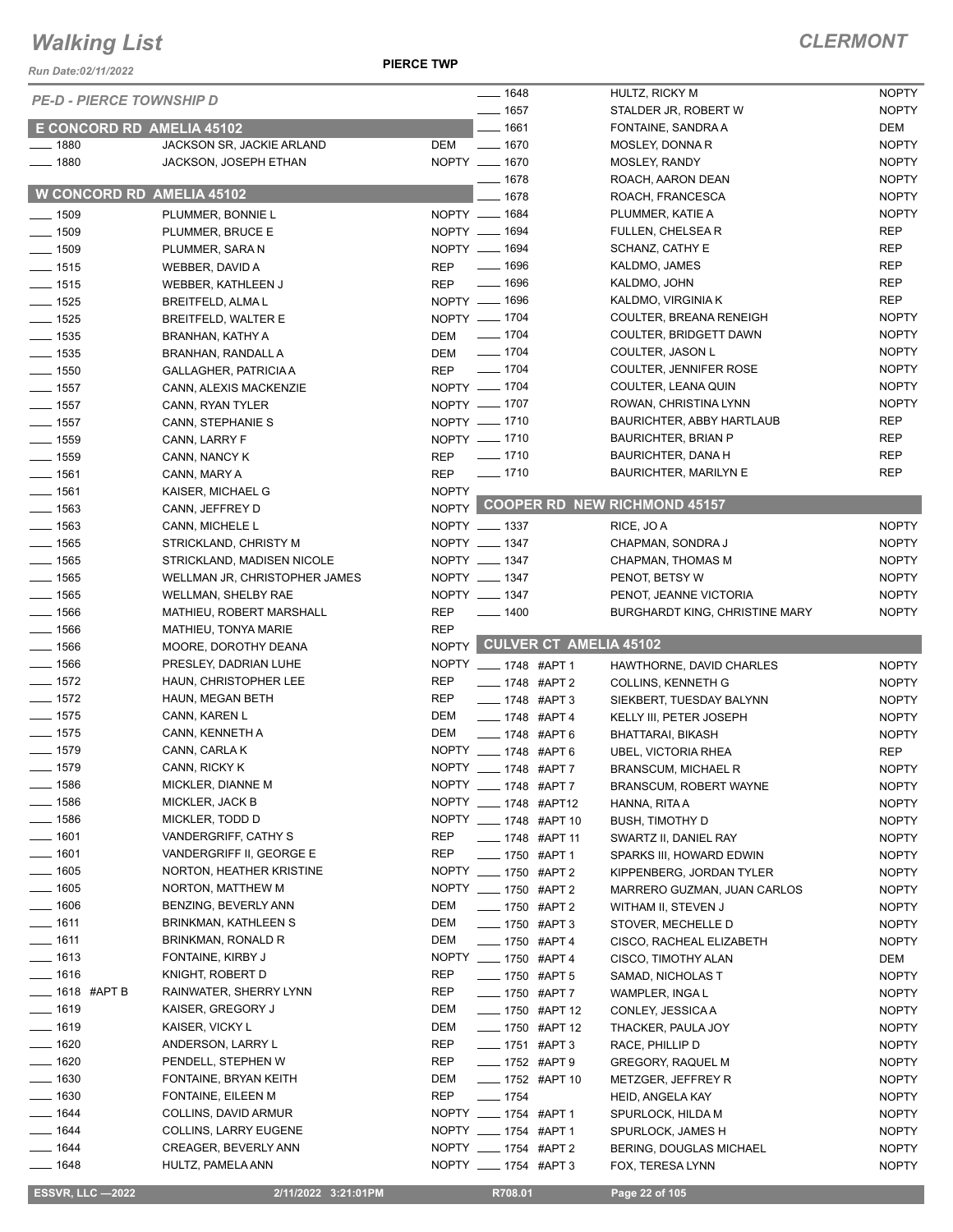*Run Date:02/11/2022*

**PIERCE TWP**

|                                  |                               |              | $- 1648$                   |                              | HULTZ, RICKY M                        | <b>NOPTY</b> |
|----------------------------------|-------------------------------|--------------|----------------------------|------------------------------|---------------------------------------|--------------|
| <b>PE-D - PIERCE TOWNSHIP D</b>  |                               |              | $- 1657$                   |                              | STALDER JR, ROBERT W                  | <b>NOPTY</b> |
| E CONCORD RD AMELIA 45102        |                               |              | $-1661$                    |                              | FONTAINE, SANDRA A                    | DEM          |
| $- 1880$                         | JACKSON SR, JACKIE ARLAND     | DEM          | $- 1670$                   |                              | MOSLEY, DONNA R                       | <b>NOPTY</b> |
| $- 1880$                         | JACKSON, JOSEPH ETHAN         |              | NOPTY __ 1670              |                              |                                       |              |
|                                  |                               |              |                            |                              | MOSLEY, RANDY                         | <b>NOPTY</b> |
| <b>W CONCORD RD AMELIA 45102</b> |                               |              | $- 1678$                   |                              | ROACH, AARON DEAN                     | <b>NOPTY</b> |
|                                  |                               |              | 1678                       |                              | ROACH, FRANCESCA                      | <b>NOPTY</b> |
| $\frac{1}{2}$ 1509               | PLUMMER, BONNIE L             |              | NOPTY __ 1684              |                              | PLUMMER, KATIE A                      | <b>NOPTY</b> |
| $- 1509$                         | PLUMMER, BRUCE E              |              | NOPTY __ 1694              |                              | FULLEN, CHELSEA R                     | <b>REP</b>   |
| $- 1509$                         | PLUMMER, SARA N               |              | NOPTY - 1694               |                              | SCHANZ, CATHY E                       | <b>REP</b>   |
| $- 1515$                         | WEBBER, DAVID A               | <b>REP</b>   | $- 1696$                   |                              | KALDMO, JAMES                         | <b>REP</b>   |
| $- 1515$                         | WEBBER, KATHLEEN J            | <b>REP</b>   | $- 1696$                   |                              | KALDMO, JOHN                          | <b>REP</b>   |
| $- 1525$                         | <b>BREITFELD, ALMA L</b>      |              | NOPTY __ 1696              |                              | KALDMO, VIRGINIA K                    | <b>REP</b>   |
| $- 1525$                         | BREITFELD, WALTER E           |              | NOPTY __ 1704              |                              | COULTER, BREANA RENEIGH               | <b>NOPTY</b> |
| $\frac{1}{2}$ 1535               | BRANHAN, KATHY A              | DEM          | $\frac{1}{2}$ 1704         |                              | COULTER, BRIDGETT DAWN                | <b>NOPTY</b> |
| $\frac{1}{2}$ 1535               |                               |              | $\frac{1}{2}$ 1704         |                              | COULTER, JASON L                      | <b>NOPTY</b> |
|                                  | BRANHAN, RANDALL A            | DEM          |                            |                              |                                       |              |
| $- 1550$                         | <b>GALLAGHER, PATRICIA A</b>  | <b>REP</b>   | $- 1704$                   |                              | COULTER, JENNIFER ROSE                | <b>NOPTY</b> |
| $- 1557$                         | CANN, ALEXIS MACKENZIE        |              | NOPTY - 1704               |                              | COULTER, LEANA QUIN                   | <b>NOPTY</b> |
| $-1557$                          | CANN, RYAN TYLER              |              | NOPTY __ 1707              |                              | ROWAN, CHRISTINA LYNN                 | <b>NOPTY</b> |
| $\frac{1}{2}$ 1557               | CANN, STEPHANIE S             |              | NOPTY __ 1710              |                              | BAURICHTER, ABBY HARTLAUB             | <b>REP</b>   |
| $\frac{1}{2}$ 1559               | CANN, LARRY F                 |              | NOPTY - 1710               |                              | <b>BAURICHTER, BRIAN P</b>            | <b>REP</b>   |
| $- 1559$                         | CANN, NANCY K                 | <b>REP</b>   | $- 1710$                   |                              | <b>BAURICHTER, DANA H</b>             | <b>REP</b>   |
| $- 1561$                         | CANN, MARY A                  | <b>REP</b>   | $- 1710$                   |                              | <b>BAURICHTER, MARILYN E</b>          | <b>REP</b>   |
| $- 1561$                         | KAISER, MICHAEL G             | <b>NOPTY</b> |                            |                              |                                       |              |
| $- 1563$                         | CANN, JEFFREY D               |              |                            |                              | NOPTY COOPER RD NEW RICHMOND 45157    |              |
| $- 1563$                         | CANN, MICHELE L               |              | NOPTY __ 1337              |                              | RICE, JO A                            | <b>NOPTY</b> |
|                                  |                               |              | NOPTY __ 1347              |                              |                                       |              |
| $- 1565$                         | STRICKLAND, CHRISTY M         |              |                            |                              | CHAPMAN, SONDRA J                     | <b>NOPTY</b> |
| $- 1565$                         | STRICKLAND, MADISEN NICOLE    |              | NOPTY __ 1347              |                              | CHAPMAN, THOMAS M                     | <b>NOPTY</b> |
| $\frac{1}{2}$ 1565               | WELLMAN JR, CHRISTOPHER JAMES |              | NOPTY __ 1347              |                              | PENOT, BETSY W                        | <b>NOPTY</b> |
| $- 1565$                         | WELLMAN, SHELBY RAE           |              | NOPTY __ 1347              |                              | PENOT, JEANNE VICTORIA                | <b>NOPTY</b> |
| $\frac{1}{2}$ 1566               | MATHIEU, ROBERT MARSHALL      | <b>REP</b>   | $- 1400$                   |                              | <b>BURGHARDT KING, CHRISTINE MARY</b> | <b>NOPTY</b> |
| $- 1566$                         | MATHIEU, TONYA MARIE          | <b>REP</b>   |                            |                              |                                       |              |
| $- 1566$                         | MOORE, DOROTHY DEANA          |              |                            | NOPTY CULVER CT AMELIA 45102 |                                       |              |
| $- 1566$                         | PRESLEY, DADRIAN LUHE         |              | NOPTY __ 1748 #APT 1       |                              | HAWTHORNE, DAVID CHARLES              | <b>NOPTY</b> |
| $- 1572$                         | HAUN, CHRISTOPHER LEE         | <b>REP</b>   | ___ 1748 #APT 2            |                              | <b>COLLINS, KENNETH G</b>             | <b>NOPTY</b> |
| $\frac{1}{2}$ 1572               | HAUN, MEGAN BETH              | <b>REP</b>   | $\frac{1}{2}$ 1748 #APT 3  |                              | SIEKBERT, TUESDAY BALYNN              | <b>NOPTY</b> |
| $- 1575$                         | CANN, KAREN L                 | DEM          | $- 1748$ #APT 4            |                              | KELLY III, PETER JOSEPH               | <b>NOPTY</b> |
| $\frac{1}{2}$ 1575               | CANN, KENNETH A               | DEM          |                            |                              |                                       |              |
| $- 1579$                         |                               |              | $- 1748$ #APT 6            |                              | BHATTARAI, BIKASH                     | <b>NOPTY</b> |
|                                  | CANN, CARLA K                 |              | NOPTY __ 1748 #APT 6       |                              | UBEL, VICTORIA RHEA                   | <b>REP</b>   |
| $- 1579$                         | CANN, RICKY K                 |              | NOPTY __ 1748 #APT 7       |                              | <b>BRANSCUM, MICHAEL R</b>            | <b>NOPTY</b> |
| __ 1586                          | MICKLER, DIANNE M             |              | NOPTY __ 1748 #APT 7       |                              | <b>BRANSCUM, ROBERT WAYNE</b>         | <b>NOPTY</b> |
| $- 1586$                         | MICKLER, JACK B               |              | NOPTY __ 1748 #APT12       |                              | HANNA, RITA A                         | <b>NOPTY</b> |
| $- 1586$                         | MICKLER, TODD D               |              | NOPTY __ 1748 #APT 10      |                              | <b>BUSH, TIMOTHY D</b>                | <b>NOPTY</b> |
| $- 1601$                         | VANDERGRIFF, CATHY S          | REP          | ____ 1748 #APT 11          |                              | SWARTZ II, DANIEL RAY                 | <b>NOPTY</b> |
| $- 1601$                         | VANDERGRIFF II, GEORGE E      | REP          | ____ 1750   #APT 1         |                              | SPARKS III, HOWARD EDWIN              | <b>NOPTY</b> |
| $- 1605$                         | NORTON, HEATHER KRISTINE      |              | NOPTY __ 1750 #APT 2       |                              | KIPPENBERG, JORDAN TYLER              | <b>NOPTY</b> |
| $- 1605$                         | NORTON, MATTHEW M             |              | NOPTY __ 1750 #APT 2       |                              | MARRERO GUZMAN, JUAN CARLOS           | <b>NOPTY</b> |
| $- 1606$                         | BENZING, BEVERLY ANN          | DEM          | - 1750 #APT 2              |                              | WITHAM II, STEVEN J                   | <b>NOPTY</b> |
| $- 1611$                         | BRINKMAN, KATHLEEN S          | DEM          | $\frac{1}{2}$ 1750 #APT 3  |                              | STOVER, MECHELLE D                    | <b>NOPTY</b> |
| $- 1611$                         | BRINKMAN, RONALD R            | DEM          |                            |                              |                                       |              |
|                                  |                               |              | ___ 1750 #APT 4            |                              | CISCO, RACHEAL ELIZABETH              | <b>NOPTY</b> |
| $- 1613$                         | FONTAINE, KIRBY J             |              | NOPTY __ 1750 #APT 4       |                              | CISCO, TIMOTHY ALAN                   | DEM          |
| $- 1616$                         | KNIGHT, ROBERT D              | REP          | ____ 1750 #APT 5           |                              | SAMAD, NICHOLAS T                     | <b>NOPTY</b> |
| _____ 1618 #APT B                | RAINWATER, SHERRY LYNN        | REP          | ____ 1750 #APT 7           |                              | WAMPLER, INGA L                       | <b>NOPTY</b> |
| $-1619$                          | KAISER, GREGORY J             | DEM          | <b>______ 1750 #APT 12</b> |                              | CONLEY, JESSICA A                     | <b>NOPTY</b> |
| $- 1619$                         | KAISER, VICKY L               | DEM          | ___ 1750 #APT 12           |                              | THACKER, PAULA JOY                    | <b>NOPTY</b> |
| $- 1620$                         | ANDERSON, LARRY L             | REP          | $- 1751$ #APT 3            |                              | RACE, PHILLIP D                       | <b>NOPTY</b> |
| $- 1620$                         | PENDELL, STEPHEN W            | REP          | <b>_____ 1752 #APT 9</b>   |                              | <b>GREGORY, RAQUEL M</b>              | <b>NOPTY</b> |
| $- 1630$                         | FONTAINE, BRYAN KEITH         | DEM          | ____ 1752 #APT 10          |                              | METZGER, JEFFREY R                    | <b>NOPTY</b> |
| $-1630$                          | FONTAINE, EILEEN M            | <b>REP</b>   | $- 1754$                   |                              | <b>HEID, ANGELA KAY</b>               | <b>NOPTY</b> |
| $- 1644$                         | COLLINS, DAVID ARMUR          |              | NOPTY __ 1754 #APT 1       |                              | SPURLOCK, HILDA M                     | <b>NOPTY</b> |
| $- 1644$                         | COLLINS, LARRY EUGENE         |              | NOPTY __ 1754 #APT 1       |                              |                                       |              |
|                                  |                               |              |                            |                              | SPURLOCK, JAMES H                     | <b>NOPTY</b> |
| $- 1644$                         | <b>CREAGER, BEVERLY ANN</b>   |              | NOPTY __ 1754 #APT 2       |                              | BERING, DOUGLAS MICHAEL               | <b>NOPTY</b> |
| $- 1648$                         | HULTZ, PAMELA ANN             |              | NOPTY __ 1754 #APT 3       |                              | FOX, TERESA LYNN                      | <b>NOPTY</b> |
| <b>ESSVR, LLC -2022</b>          | 2/11/2022 3:21:01PM           |              | R708.01                    |                              | Page 22 of 105                        |              |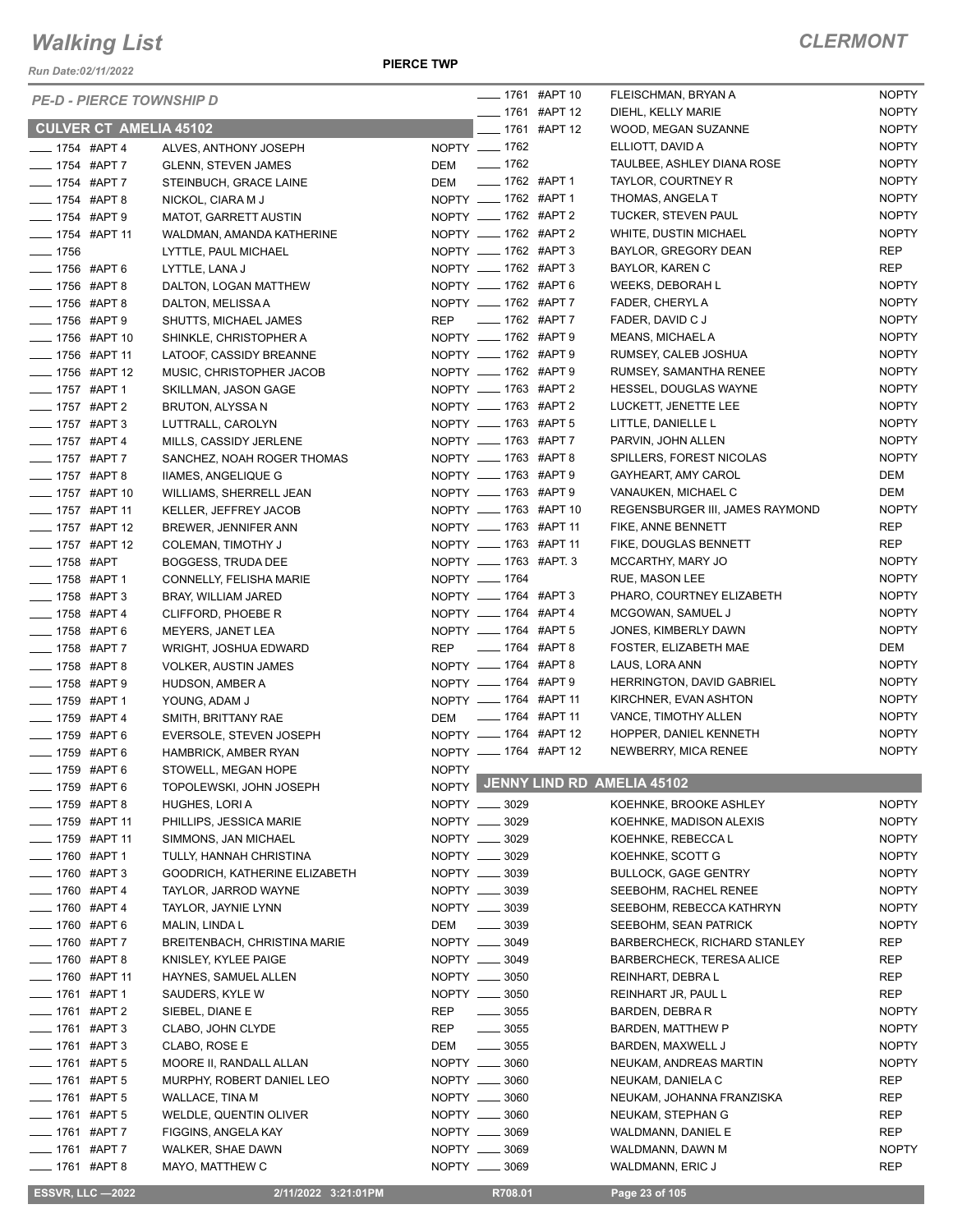*Run Date:02/11/2022*

|                                  | <b>PE-D - PIERCE TOWNSHIP D</b> |                                                      |              |                                | ___ 1761 #APT 10                             | FLEISCHMAN, BRYAN A                      | <b>NOPTY</b>                 |
|----------------------------------|---------------------------------|------------------------------------------------------|--------------|--------------------------------|----------------------------------------------|------------------------------------------|------------------------------|
|                                  |                                 |                                                      |              |                                | ____ 1761 #APT 12                            | DIEHL, KELLY MARIE                       | <b>NOPTY</b>                 |
|                                  | <b>CULVER CT AMELIA 45102</b>   |                                                      |              |                                | $- 1761$ #APT 12                             | WOOD, MEGAN SUZANNE                      | <b>NOPTY</b>                 |
| ____ 1754 #APT 4                 |                                 | ALVES, ANTHONY JOSEPH                                |              | NOPTY - 1762                   |                                              | ELLIOTT, DAVID A                         | <b>NOPTY</b>                 |
| ___ 1754 #APT 7                  |                                 | <b>GLENN, STEVEN JAMES</b>                           |              | DEM - 1762                     |                                              | TAULBEE, ASHLEY DIANA ROSE               | <b>NOPTY</b>                 |
| ____ 1754 #APT 7                 |                                 | STEINBUCH, GRACE LAINE                               |              | DEM __ 1762 #APT 1             |                                              | TAYLOR, COURTNEY R                       | <b>NOPTY</b>                 |
| ____ 1754 #APT 8                 |                                 | NICKOL, CIARA M J                                    |              |                                | NOPTY __ 1762 #APT 1                         | THOMAS, ANGELA T                         | <b>NOPTY</b>                 |
| ___ 1754 #APT 9                  |                                 | <b>MATOT, GARRETT AUSTIN</b>                         |              |                                | NOPTY __ 1762 #APT 2                         | TUCKER, STEVEN PAUL                      | <b>NOPTY</b>                 |
| -1754 #APT 11                    |                                 | WALDMAN, AMANDA KATHERINE                            |              |                                | NOPTY __ 1762 #APT 2                         | WHITE, DUSTIN MICHAEL                    | <b>NOPTY</b>                 |
| $- 1756$                         |                                 | LYTTLE, PAUL MICHAEL                                 |              |                                | NOPTY __ 1762 #APT 3                         | BAYLOR, GREGORY DEAN                     | <b>REP</b>                   |
| ___ 1756 #APT 6                  |                                 | LYTTLE, LANA J                                       |              |                                | NOPTY __ 1762 #APT 3                         | <b>BAYLOR, KAREN C</b>                   | <b>REP</b>                   |
| -1756 #APT 8                     |                                 | DALTON, LOGAN MATTHEW                                |              |                                | NOPTY __ 1762 #APT 6                         | WEEKS, DEBORAH L                         | <b>NOPTY</b>                 |
| ____ 1756 #APT 8                 |                                 | DALTON, MELISSA A                                    |              |                                | NOPTY __ 1762 #APT 7                         | FADER, CHERYL A                          | <b>NOPTY</b>                 |
| -1756 #APT 9                     |                                 | SHUTTS, MICHAEL JAMES                                |              |                                | REP __ 1762 #APT 7                           | FADER, DAVID C J                         | <b>NOPTY</b>                 |
| -8 1756 #APT 10                  |                                 | SHINKLE, CHRISTOPHER A                               |              |                                | NOPTY __ 1762 #APT 9                         | MEANS, MICHAEL A                         | <b>NOPTY</b>                 |
| -1756 #APT 11                    |                                 | LATOOF, CASSIDY BREANNE                              |              |                                | NOPTY __ 1762 #APT 9                         | RUMSEY, CALEB JOSHUA                     | <b>NOPTY</b>                 |
| -1756 #APT 12                    |                                 | MUSIC, CHRISTOPHER JACOB                             |              |                                | NOPTY __ 1762 #APT 9<br>NOPTY __ 1763 #APT 2 | RUMSEY, SAMANTHA RENEE                   | <b>NOPTY</b>                 |
| ___ 1757 #APT 1                  |                                 | SKILLMAN, JASON GAGE                                 |              |                                |                                              | HESSEL, DOUGLAS WAYNE                    | <b>NOPTY</b><br><b>NOPTY</b> |
| ____ 1757 #APT 2                 |                                 | <b>BRUTON, ALYSSA N</b>                              |              |                                | NOPTY __ 1763 #APT 2<br>NOPTY __ 1763 #APT 5 | LUCKETT, JENETTE LEE                     | <b>NOPTY</b>                 |
| ____ 1757 #APT 3                 |                                 | LUTTRALL, CAROLYN                                    |              |                                | NOPTY __ 1763 #APT 7                         | LITTLE, DANIELLE L<br>PARVIN, JOHN ALLEN | <b>NOPTY</b>                 |
| $\frac{1}{2}$ 1757 #APT 4        |                                 | MILLS, CASSIDY JERLENE                               |              |                                |                                              | SPILLERS, FOREST NICOLAS                 | <b>NOPTY</b>                 |
| - 1757 #APT 7<br>___ 1757 #APT 8 |                                 | SANCHEZ, NOAH ROGER THOMAS                           |              |                                | NOPTY __ 1763 #APT 8<br>NOPTY __ 1763 #APT 9 | GAYHEART, AMY CAROL                      | DEM                          |
| - 1757 #APT 10                   |                                 | IIAMES, ANGELIQUE G                                  |              |                                | NOPTY __ 1763 #APT 9                         | VANAUKEN, MICHAEL C                      | DEM                          |
| ___ 1757 #APT 11                 |                                 | WILLIAMS, SHERRELL JEAN                              |              |                                | NOPTY __ 1763 #APT 10                        | REGENSBURGER III, JAMES RAYMOND          | <b>NOPTY</b>                 |
| ____ 1757 #APT 12                |                                 | KELLER, JEFFREY JACOB<br><b>BREWER, JENNIFER ANN</b> |              |                                | NOPTY __ 1763 #APT 11                        | FIKE, ANNE BENNETT                       | <b>REP</b>                   |
| ____ 1757 #APT 12                |                                 | <b>COLEMAN, TIMOTHY J</b>                            |              |                                | NOPTY __ 1763 #APT 11                        | FIKE, DOUGLAS BENNETT                    | <b>REP</b>                   |
| ___ 1758 #APT                    |                                 | <b>BOGGESS, TRUDA DEE</b>                            |              |                                | NOPTY __ 1763 #APT. 3                        | MCCARTHY, MARY JO                        | <b>NOPTY</b>                 |
| -1758 #APT 1                     |                                 | CONNELLY, FELISHA MARIE                              |              | NOPTY - 1764                   |                                              | RUE, MASON LEE                           | <b>NOPTY</b>                 |
| -8 #APT 3                        |                                 | BRAY, WILLIAM JARED                                  |              |                                | NOPTY __ 1764 #APT 3                         | PHARO, COURTNEY ELIZABETH                | <b>NOPTY</b>                 |
| ___ 1758 #APT 4                  |                                 | CLIFFORD, PHOEBE R                                   |              |                                | NOPTY __ 1764 #APT 4                         | MCGOWAN, SAMUEL J                        | <b>NOPTY</b>                 |
| -1758 #APT 6                     |                                 | MEYERS, JANET LEA                                    |              |                                | NOPTY __ 1764 #APT 5                         | JONES, KIMBERLY DAWN                     | <b>NOPTY</b>                 |
| ___ 1758 #APT 7                  |                                 | WRIGHT, JOSHUA EDWARD                                |              |                                | REP __ 1764 #APT 8                           | FOSTER, ELIZABETH MAE                    | DEM                          |
| - 1758 #APT 8                    |                                 | <b>VOLKER, AUSTIN JAMES</b>                          |              |                                | NOPTY __ 1764 #APT 8                         | LAUS, LORA ANN                           | <b>NOPTY</b>                 |
| -8 #APT 9                        |                                 | HUDSON, AMBER A                                      |              |                                | NOPTY __ 1764 #APT 9                         | HERRINGTON, DAVID GABRIEL                | <b>NOPTY</b>                 |
| -1759 #APT 1                     |                                 | YOUNG, ADAM J                                        |              |                                | NOPTY __ 1764 #APT 11                        | KIRCHNER, EVAN ASHTON                    | <b>NOPTY</b>                 |
| - 1759 #APT 4                    |                                 | SMITH, BRITTANY RAE                                  | DEM          |                                | _____ 1764 #APT 11                           | VANCE, TIMOTHY ALLEN                     | <b>NOPTY</b>                 |
| ___ 1759 #APT 6                  |                                 | EVERSOLE, STEVEN JOSEPH                              |              |                                | NOPTY __ 1764 #APT 12                        | HOPPER, DANIEL KENNETH                   | <b>NOPTY</b>                 |
| $\frac{1}{2}$ 1759 #APT 6        |                                 | HAMBRICK, AMBER RYAN                                 |              |                                | NOPTY __ 1764 #APT 12                        | NEWBERRY, MICA RENEE                     | <b>NOPTY</b>                 |
| - 1759 #APT 6                    |                                 | STOWELL, MEGAN HOPE                                  | <b>NOPTY</b> |                                |                                              |                                          |                              |
| ____ 1759 #APT 6                 |                                 | TOPOLEWSKI, JOHN JOSEPH                              |              |                                |                                              | NOPTY JENNY LIND RD AMELIA 45102         |                              |
| $- 1759$ #APT 8                  |                                 | HUGHES, LORIA                                        |              | NOPTY __ 3029                  |                                              | KOEHNKE, BROOKE ASHLEY                   | <b>NOPTY</b>                 |
| <b>LETTER 1759 #APT 11</b>       |                                 | PHILLIPS, JESSICA MARIE                              |              | NOPTY __ 3029                  |                                              | KOEHNKE, MADISON ALEXIS                  | <b>NOPTY</b>                 |
| -1759 #APT 11                    |                                 | SIMMONS, JAN MICHAEL                                 |              | NOPTY __ 3029                  |                                              | KOEHNKE, REBECCA L                       | <b>NOPTY</b>                 |
| ____ 1760 #APT 1                 |                                 | TULLY, HANNAH CHRISTINA                              |              | NOPTY __ 3029                  |                                              | KOEHNKE, SCOTT G                         | <b>NOPTY</b>                 |
| $\frac{1}{2}$ 1760 #APT 3        |                                 | GOODRICH, KATHERINE ELIZABETH                        |              | NOPTY __ 3039                  |                                              | <b>BULLOCK, GAGE GENTRY</b>              | <b>NOPTY</b>                 |
| -1760 #APT 4                     |                                 | TAYLOR, JARROD WAYNE                                 |              | NOPTY __ 3039                  |                                              | SEEBOHM, RACHEL RENEE                    | <b>NOPTY</b>                 |
| <b>LEGGE 1760 #APT 4</b>         |                                 | TAYLOR, JAYNIE LYNN                                  |              | NOPTY __ 3039                  |                                              | SEEBOHM, REBECCA KATHRYN                 | <b>NOPTY</b>                 |
| - 1760 #APT 6                    |                                 | MALIN, LINDA L                                       | DEM          | $\frac{1}{2}$ 3039             |                                              | SEEBOHM, SEAN PATRICK                    | <b>NOPTY</b>                 |
| -8760 #APT 7                     |                                 | <b>BREITENBACH, CHRISTINA MARIE</b>                  |              | NOPTY __ 3049                  |                                              | <b>BARBERCHECK, RICHARD STANLEY</b>      | REP                          |
| ____ 1760 #APT 8                 |                                 | KNISLEY, KYLEE PAIGE                                 |              | NOPTY __ 3049                  |                                              | <b>BARBERCHECK, TERESA ALICE</b>         | REP                          |
| ____ 1760 #APT 11                |                                 | HAYNES, SAMUEL ALLEN                                 |              | NOPTY __ 3050                  |                                              | REINHART, DEBRA L                        | REP                          |
| ___ 1761 #APT 1                  |                                 | SAUDERS, KYLE W                                      |              | NOPTY __ 3050                  |                                              | REINHART JR, PAUL L                      | REP                          |
| -1761 #APT 2                     |                                 | SIEBEL, DIANE E                                      | REP          | $\frac{1}{2}$ 3055             |                                              | <b>BARDEN, DEBRA R</b>                   | <b>NOPTY</b>                 |
| -81761 #APT 3                    |                                 | CLABO, JOHN CLYDE                                    | REP          | $\frac{1}{2}$ 3055             |                                              | <b>BARDEN, MATTHEW P</b>                 | <b>NOPTY</b>                 |
| -81761 #APT 3                    |                                 | CLABO, ROSE E                                        | DEM          | $\frac{1}{2}$ 3055             |                                              | BARDEN, MAXWELL J                        | <b>NOPTY</b>                 |
| -81761 #APT 5                    |                                 | MOORE II, RANDALL ALLAN                              |              | NOPTY __ 3060                  |                                              | NEUKAM, ANDREAS MARTIN                   | <b>NOPTY</b>                 |
| ____ 1761 #APT 5                 |                                 | MURPHY, ROBERT DANIEL LEO                            |              | NOPTY __ 3060                  |                                              | NEUKAM, DANIELA C                        | REP                          |
| $\frac{1}{2}$ 1761 #APT 5        |                                 | WALLACE, TINA M                                      |              | NOPTY __ 3060                  |                                              | NEUKAM, JOHANNA FRANZISKA                | REP                          |
| ____ 1761 #APT 5                 |                                 | WELDLE, QUENTIN OLIVER                               |              | NOPTY __ 3060                  |                                              | NEUKAM, STEPHAN G                        | <b>REP</b>                   |
| $- 1761$ #APT 7<br>-1761 #APT 7  |                                 | FIGGINS, ANGELA KAY                                  |              | NOPTY __ 3069<br>NOPTY __ 3069 |                                              | WALDMANN, DANIEL E                       | REP<br><b>NOPTY</b>          |
| ___ 1761 #APT 8                  |                                 | WALKER, SHAE DAWN<br>MAYO, MATTHEW C                 |              | NOPTY __ 3069                  |                                              | WALDMANN, DAWN M<br>WALDMANN, ERIC J     | <b>REP</b>                   |
|                                  |                                 |                                                      |              |                                |                                              |                                          |                              |

 **ESSVR, LLC —2022 2/11/2022 3:21:01PM R708.01 Page 23 of 105**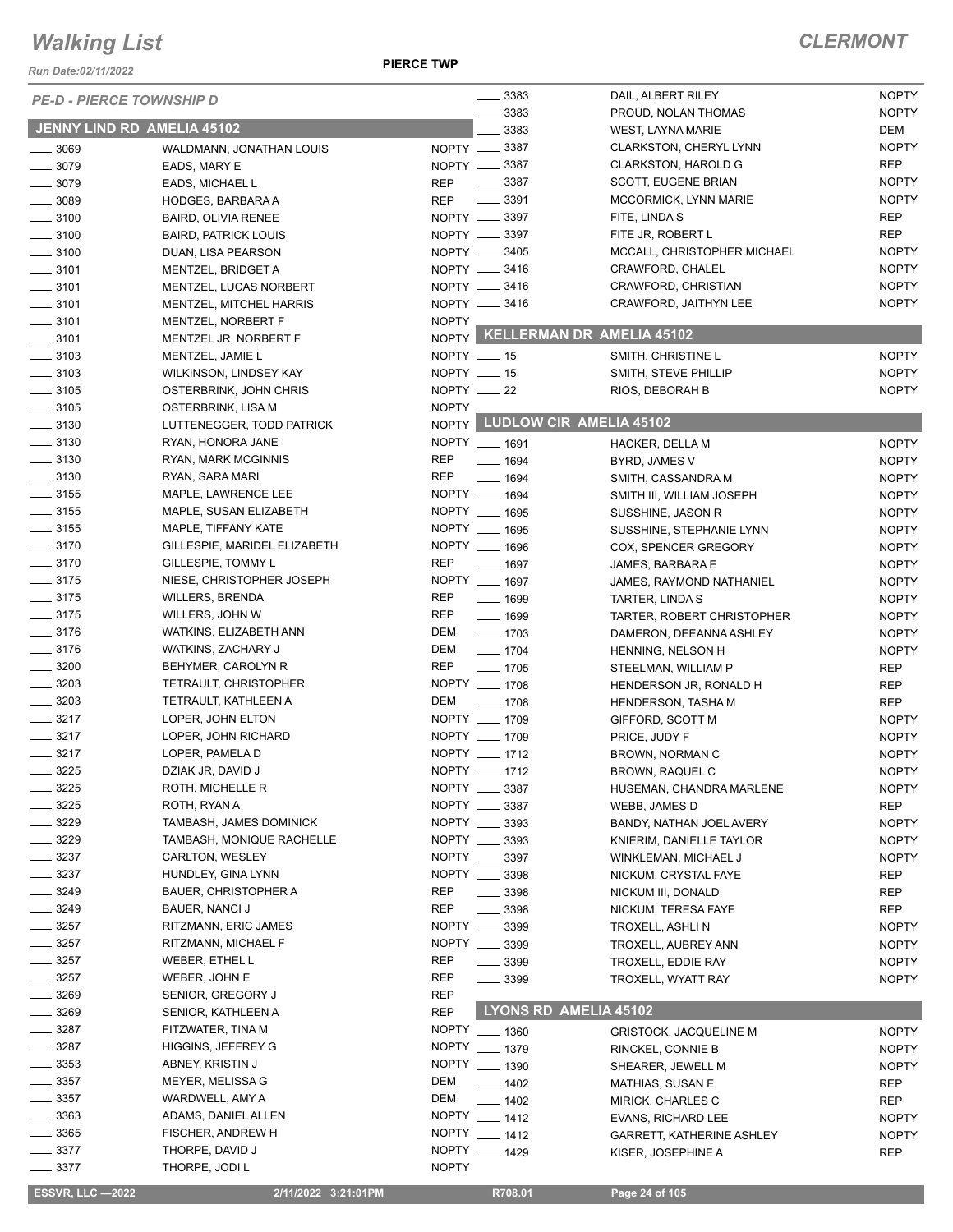*Run Date:02/11/2022*

#### **PIERCE TWP**

| <b>JENNY LIND RD AMELIA 45102</b><br>3383<br>DEM<br><b>WEST, LAYNA MARIE</b><br>NOPTY __ 3387<br><b>NOPTY</b><br>CLARKSTON, CHERYL LYNN<br>$\frac{1}{2}$ 3069<br>WALDMANN, JONATHAN LOUIS<br>NOPTY __ 3387<br><b>REP</b><br>$- 3079$<br><b>CLARKSTON, HAROLD G</b><br>EADS, MARY E<br>$\frac{1}{2}$ 3387<br><b>NOPTY</b><br>$\frac{1}{2}$ 3079<br><b>REP</b><br>SCOTT, EUGENE BRIAN<br>EADS, MICHAEL L<br>$\frac{1}{2}$ 3391<br><b>NOPTY</b><br>$\frac{1}{2}$ 3089<br><b>REP</b><br>MCCORMICK, LYNN MARIE<br>HODGES, BARBARA A<br>NOPTY __ 3397<br><b>REP</b><br>FITE, LINDA S<br>$\frac{1}{2}$ 3100<br><b>BAIRD, OLIVIA RENEE</b><br><b>REP</b><br>NOPTY __ 3397<br>FITE JR, ROBERT L<br>$\frac{1}{2}$ 3100<br><b>BAIRD, PATRICK LOUIS</b><br><b>NOPTY</b><br>NOPTY __ 3405<br>MCCALL, CHRISTOPHER MICHAEL<br>$\frac{1}{2}$ 3100<br>DUAN, LISA PEARSON<br>NOPTY __ 3416<br><b>NOPTY</b><br>$\frac{1}{2}$ 3101<br>CRAWFORD, CHALEL<br>MENTZEL, BRIDGET A<br>NOPTY __ 3416<br><b>NOPTY</b><br>CRAWFORD, CHRISTIAN<br>$- 3101$<br>MENTZEL, LUCAS NORBERT<br><b>NOPTY</b><br>NOPTY -8416<br>CRAWFORD, JAITHYN LEE<br>$\frac{1}{2}$ 3101<br>MENTZEL, MITCHEL HARRIS<br><b>NOPTY</b><br>$\frac{1}{2}$ 3101<br>MENTZEL, NORBERT F<br>NOPTY KELLERMAN DR AMELIA 45102<br>$\frac{1}{2}$ 3101<br>MENTZEL JR, NORBERT F<br>$\frac{1}{2}$ 3103<br>NOPTY __ 15<br><b>NOPTY</b><br>MENTZEL, JAMIE L<br>SMITH, CHRISTINE L<br>NOPTY __ 15<br><b>NOPTY</b><br>$\frac{1}{2}$ 3103<br>WILKINSON, LINDSEY KAY<br>SMITH, STEVE PHILLIP<br>$\frac{1}{2}$ 3105<br>NOPTY $-22$<br><b>NOPTY</b><br>OSTERBRINK, JOHN CHRIS<br>RIOS, DEBORAH B<br>$\frac{1}{2}$ 3105<br><b>NOPTY</b><br>OSTERBRINK, LISA M<br>NOPTY LUDLOW CIR AMELIA 45102<br>$\frac{1}{2}$ 3130<br>LUTTENEGGER, TODD PATRICK<br>$\frac{1}{2}$ 3130<br>NOPTY __ 1691<br>RYAN, HONORA JANE<br><b>NOPTY</b><br>HACKER, DELLA M<br>$\frac{1}{2}$ 3130<br><b>REP</b><br>RYAN, MARK MCGINNIS<br>$- 1694$<br><b>NOPTY</b><br>BYRD, JAMES V<br>$\frac{1}{2}$ 3130<br><b>REP</b><br>RYAN, SARA MARI<br>$- 1694$<br><b>NOPTY</b><br>SMITH, CASSANDRA M<br>$\frac{1}{2}$ 3155<br>NOPTY __ 1694<br>MAPLE, LAWRENCE LEE<br><b>NOPTY</b><br>SMITH III, WILLIAM JOSEPH<br>$\frac{1}{2}$ 3155<br>NOPTY __ 1695<br>MAPLE, SUSAN ELIZABETH<br><b>NOPTY</b><br>SUSSHINE, JASON R<br>$\frac{1}{2}$ 3155<br>NOPTY __ 1695<br>MAPLE, TIFFANY KATE<br><b>NOPTY</b><br>SUSSHINE, STEPHANIE LYNN<br>$- 3170$<br>NOPTY __ 1696<br>GILLESPIE, MARIDEL ELIZABETH<br><b>NOPTY</b><br>COX, SPENCER GREGORY<br>$- 3170$<br><b>REP</b><br>GILLESPIE, TOMMY L<br>$- 1697$<br><b>NOPTY</b><br>JAMES, BARBARA E<br>$\frac{1}{2}$ 3175<br>NIESE, CHRISTOPHER JOSEPH<br>NOPTY __ 1697<br><b>NOPTY</b><br>JAMES, RAYMOND NATHANIEL<br>$\frac{1}{2}$ 3175<br><b>REP</b><br><b>WILLERS, BRENDA</b><br>$- 1699$<br><b>NOPTY</b><br>TARTER, LINDA S<br>$\frac{1}{2}$ 3175<br><b>REP</b><br>WILLERS, JOHN W<br>$- 1699$<br><b>NOPTY</b><br>TARTER, ROBERT CHRISTOPHER<br>$- 3176$<br><b>DEM</b><br>WATKINS, ELIZABETH ANN<br>$- 1703$<br><b>NOPTY</b><br>DAMERON, DEEANNA ASHLEY<br>$- 3176$<br>DEM<br>$- 1704$<br>WATKINS, ZACHARY J<br><b>NOPTY</b><br>HENNING, NELSON H<br>$\frac{1}{2}$ 3200<br><b>REP</b><br>BEHYMER, CAROLYN R<br>$- 1705$<br><b>REP</b><br>STEELMAN, WILLIAM P<br>$\frac{1}{2}$ 3203<br>NOPTY __ 1708<br><b>TETRAULT, CHRISTOPHER</b><br><b>REP</b><br>HENDERSON JR, RONALD H<br>$\frac{1}{2}$ 3203<br>TETRAULT, KATHLEEN A<br>DEM<br>$- 1708$<br><b>REP</b><br><b>HENDERSON, TASHA M</b><br>$- 3217$<br>NOPTY __ 1709<br>LOPER, JOHN ELTON<br><b>NOPTY</b><br>GIFFORD, SCOTT M<br>$- 3217$<br>NOPTY __ 1709<br>LOPER, JOHN RICHARD<br><b>NOPTY</b><br>PRICE, JUDY F<br>NOPTY __ 1712<br>$\frac{3217}{2}$<br>LOPER, PAMELA D<br><b>NOPTY</b><br>BROWN, NORMAN C<br>NOPTY __ 1712<br>$-3225$<br>DZIAK JR, DAVID J<br><b>NOPTY</b><br>BROWN, RAQUEL C<br>3225<br>ROTH, MICHELLE R<br>NOPTY __ 3387<br>HUSEMAN, CHANDRA MARLENE<br><b>NOPTY</b><br>3225<br>ROTH, RYAN A<br>NOPTY __ 3387<br><b>REP</b><br>WEBB, JAMES D<br>3229<br>TAMBASH, JAMES DOMINICK<br>NOPTY __ 3393<br><b>NOPTY</b><br>BANDY, NATHAN JOEL AVERY<br>3229<br>NOPTY __ 3393<br>TAMBASH, MONIQUE RACHELLE<br><b>NOPTY</b><br>KNIERIM, DANIELLE TAYLOR<br>$= 3237$<br>CARLTON, WESLEY<br>NOPTY __<br>3397<br><b>NOPTY</b><br>WINKLEMAN, MICHAEL J<br>$-3237$<br>NOPTY __ 3398<br>HUNDLEY, GINA LYNN<br>NICKUM, CRYSTAL FAYE<br>REP<br>3249<br><b>REP</b><br><b>BAUER, CHRISTOPHER A</b><br>3398<br><b>REP</b><br>NICKUM III, DONALD<br>$-3249$<br><b>REP</b><br>BAUER, NANCI J<br>3398<br><b>REP</b><br>NICKUM, TERESA FAYE<br>3257<br>NOPTY __<br>RITZMANN, ERIC JAMES<br>3399<br><b>NOPTY</b><br>TROXELL, ASHLI N<br>3257<br>RITZMANN, MICHAEL F<br>NOPTY __ 3399<br><b>NOPTY</b><br>TROXELL, AUBREY ANN<br>3257<br>WEBER, ETHEL L<br><b>REP</b><br>3399<br>TROXELL, EDDIE RAY<br><b>NOPTY</b><br>3257<br><b>REP</b><br>WEBER, JOHN E<br>3399<br><b>NOPTY</b><br>TROXELL, WYATT RAY<br>3269<br><b>REP</b><br>SENIOR, GREGORY J<br>LYONS RD AMELIA 45102<br>3269<br><b>REP</b><br>SENIOR, KATHLEEN A<br>3287<br>FITZWATER, TINA M<br>NOPTY __ 1360<br><b>NOPTY</b><br><b>GRISTOCK, JACQUELINE M</b><br>3287<br>HIGGINS, JEFFREY G<br><b>NOPTY</b><br>$- 1379$<br><b>NOPTY</b><br>RINCKEL, CONNIE B<br>3353<br>ABNEY, KRISTIN J<br><b>NOPTY</b><br>$- 1390$<br><b>NOPTY</b><br>SHEARER, JEWELL M<br>_ 3357<br>MEYER, MELISSA G<br>DEM<br>$- 1402$<br><b>REP</b><br>MATHIAS, SUSAN E<br>3357<br><b>DEM</b><br>WARDWELL, AMY A<br>$-1402$<br><b>REP</b><br>MIRICK, CHARLES C<br>_ 3363<br>ADAMS, DANIEL ALLEN<br><b>NOPTY</b><br>$-1412$<br>EVANS, RICHARD LEE<br><b>NOPTY</b><br>$-3365$<br><b>NOPTY</b><br>FISCHER, ANDREW H<br>$-1412$<br><b>NOPTY</b><br><b>GARRETT, KATHERINE ASHLEY</b><br>$\frac{1}{2}$ 3377<br>THORPE, DAVID J<br><b>NOPTY</b><br>$-1429$<br>KISER, JOSEPHINE A<br>REP<br>$- 3377$<br>THORPE, JODI L<br><b>NOPTY</b><br><b>ESSVR, LLC -2022</b><br>R708.01<br>2/11/2022 3:21:01PM<br>Page 24 of 105 | <b>PE-D - PIERCE TOWNSHIP D</b> |  | $\frac{1}{2}$ 3383 | DAIL, ALBERT RILEY  | <b>NOPTY</b> |
|----------------------------------------------------------------------------------------------------------------------------------------------------------------------------------------------------------------------------------------------------------------------------------------------------------------------------------------------------------------------------------------------------------------------------------------------------------------------------------------------------------------------------------------------------------------------------------------------------------------------------------------------------------------------------------------------------------------------------------------------------------------------------------------------------------------------------------------------------------------------------------------------------------------------------------------------------------------------------------------------------------------------------------------------------------------------------------------------------------------------------------------------------------------------------------------------------------------------------------------------------------------------------------------------------------------------------------------------------------------------------------------------------------------------------------------------------------------------------------------------------------------------------------------------------------------------------------------------------------------------------------------------------------------------------------------------------------------------------------------------------------------------------------------------------------------------------------------------------------------------------------------------------------------------------------------------------------------------------------------------------------------------------------------------------------------------------------------------------------------------------------------------------------------------------------------------------------------------------------------------------------------------------------------------------------------------------------------------------------------------------------------------------------------------------------------------------------------------------------------------------------------------------------------------------------------------------------------------------------------------------------------------------------------------------------------------------------------------------------------------------------------------------------------------------------------------------------------------------------------------------------------------------------------------------------------------------------------------------------------------------------------------------------------------------------------------------------------------------------------------------------------------------------------------------------------------------------------------------------------------------------------------------------------------------------------------------------------------------------------------------------------------------------------------------------------------------------------------------------------------------------------------------------------------------------------------------------------------------------------------------------------------------------------------------------------------------------------------------------------------------------------------------------------------------------------------------------------------------------------------------------------------------------------------------------------------------------------------------------------------------------------------------------------------------------------------------------------------------------------------------------------------------------------------------------------------------------------------------------------------------------------------------------------------------------------------------------------------------------------------------------------------------------------------------------------------------------------------------------------------------------------------------------------------------------------------------------------------------------------------------------------------------------------------------------------------------------------------------------------------------------------------------------------------------------------------------------------------------------------------------------------------------------------------------------------------------------------------------------------------------------------------------------------------------------------------------------------------------------------------------------------------------------------------------------------------------------------------------------------------------------------------------------------------------------------------------------------------------------------------------------------------------------------------------------------------------------------------------------------------------------------------------------------------------------------------------------------------------------------------------------------------------------------------------------------------------------------------------------------------------------------------------------------------------------------------------------------------------------------------------------------------------------------------------------------------------------------------------------------------------------------|---------------------------------|--|--------------------|---------------------|--------------|
|                                                                                                                                                                                                                                                                                                                                                                                                                                                                                                                                                                                                                                                                                                                                                                                                                                                                                                                                                                                                                                                                                                                                                                                                                                                                                                                                                                                                                                                                                                                                                                                                                                                                                                                                                                                                                                                                                                                                                                                                                                                                                                                                                                                                                                                                                                                                                                                                                                                                                                                                                                                                                                                                                                                                                                                                                                                                                                                                                                                                                                                                                                                                                                                                                                                                                                                                                                                                                                                                                                                                                                                                                                                                                                                                                                                                                                                                                                                                                                                                                                                                                                                                                                                                                                                                                                                                                                                                                                                                                                                                                                                                                                                                                                                                                                                                                                                                                                                                                                                                                                                                                                                                                                                                                                                                                                                                                                                                                                                                                                                                                                                                                                                                                                                                                                                                                                                                                                                                                                                                                |                                 |  | 3383               | PROUD, NOLAN THOMAS | <b>NOPTY</b> |
|                                                                                                                                                                                                                                                                                                                                                                                                                                                                                                                                                                                                                                                                                                                                                                                                                                                                                                                                                                                                                                                                                                                                                                                                                                                                                                                                                                                                                                                                                                                                                                                                                                                                                                                                                                                                                                                                                                                                                                                                                                                                                                                                                                                                                                                                                                                                                                                                                                                                                                                                                                                                                                                                                                                                                                                                                                                                                                                                                                                                                                                                                                                                                                                                                                                                                                                                                                                                                                                                                                                                                                                                                                                                                                                                                                                                                                                                                                                                                                                                                                                                                                                                                                                                                                                                                                                                                                                                                                                                                                                                                                                                                                                                                                                                                                                                                                                                                                                                                                                                                                                                                                                                                                                                                                                                                                                                                                                                                                                                                                                                                                                                                                                                                                                                                                                                                                                                                                                                                                                                                |                                 |  |                    |                     |              |
|                                                                                                                                                                                                                                                                                                                                                                                                                                                                                                                                                                                                                                                                                                                                                                                                                                                                                                                                                                                                                                                                                                                                                                                                                                                                                                                                                                                                                                                                                                                                                                                                                                                                                                                                                                                                                                                                                                                                                                                                                                                                                                                                                                                                                                                                                                                                                                                                                                                                                                                                                                                                                                                                                                                                                                                                                                                                                                                                                                                                                                                                                                                                                                                                                                                                                                                                                                                                                                                                                                                                                                                                                                                                                                                                                                                                                                                                                                                                                                                                                                                                                                                                                                                                                                                                                                                                                                                                                                                                                                                                                                                                                                                                                                                                                                                                                                                                                                                                                                                                                                                                                                                                                                                                                                                                                                                                                                                                                                                                                                                                                                                                                                                                                                                                                                                                                                                                                                                                                                                                                |                                 |  |                    |                     |              |
|                                                                                                                                                                                                                                                                                                                                                                                                                                                                                                                                                                                                                                                                                                                                                                                                                                                                                                                                                                                                                                                                                                                                                                                                                                                                                                                                                                                                                                                                                                                                                                                                                                                                                                                                                                                                                                                                                                                                                                                                                                                                                                                                                                                                                                                                                                                                                                                                                                                                                                                                                                                                                                                                                                                                                                                                                                                                                                                                                                                                                                                                                                                                                                                                                                                                                                                                                                                                                                                                                                                                                                                                                                                                                                                                                                                                                                                                                                                                                                                                                                                                                                                                                                                                                                                                                                                                                                                                                                                                                                                                                                                                                                                                                                                                                                                                                                                                                                                                                                                                                                                                                                                                                                                                                                                                                                                                                                                                                                                                                                                                                                                                                                                                                                                                                                                                                                                                                                                                                                                                                |                                 |  |                    |                     |              |
|                                                                                                                                                                                                                                                                                                                                                                                                                                                                                                                                                                                                                                                                                                                                                                                                                                                                                                                                                                                                                                                                                                                                                                                                                                                                                                                                                                                                                                                                                                                                                                                                                                                                                                                                                                                                                                                                                                                                                                                                                                                                                                                                                                                                                                                                                                                                                                                                                                                                                                                                                                                                                                                                                                                                                                                                                                                                                                                                                                                                                                                                                                                                                                                                                                                                                                                                                                                                                                                                                                                                                                                                                                                                                                                                                                                                                                                                                                                                                                                                                                                                                                                                                                                                                                                                                                                                                                                                                                                                                                                                                                                                                                                                                                                                                                                                                                                                                                                                                                                                                                                                                                                                                                                                                                                                                                                                                                                                                                                                                                                                                                                                                                                                                                                                                                                                                                                                                                                                                                                                                |                                 |  |                    |                     |              |
|                                                                                                                                                                                                                                                                                                                                                                                                                                                                                                                                                                                                                                                                                                                                                                                                                                                                                                                                                                                                                                                                                                                                                                                                                                                                                                                                                                                                                                                                                                                                                                                                                                                                                                                                                                                                                                                                                                                                                                                                                                                                                                                                                                                                                                                                                                                                                                                                                                                                                                                                                                                                                                                                                                                                                                                                                                                                                                                                                                                                                                                                                                                                                                                                                                                                                                                                                                                                                                                                                                                                                                                                                                                                                                                                                                                                                                                                                                                                                                                                                                                                                                                                                                                                                                                                                                                                                                                                                                                                                                                                                                                                                                                                                                                                                                                                                                                                                                                                                                                                                                                                                                                                                                                                                                                                                                                                                                                                                                                                                                                                                                                                                                                                                                                                                                                                                                                                                                                                                                                                                |                                 |  |                    |                     |              |
|                                                                                                                                                                                                                                                                                                                                                                                                                                                                                                                                                                                                                                                                                                                                                                                                                                                                                                                                                                                                                                                                                                                                                                                                                                                                                                                                                                                                                                                                                                                                                                                                                                                                                                                                                                                                                                                                                                                                                                                                                                                                                                                                                                                                                                                                                                                                                                                                                                                                                                                                                                                                                                                                                                                                                                                                                                                                                                                                                                                                                                                                                                                                                                                                                                                                                                                                                                                                                                                                                                                                                                                                                                                                                                                                                                                                                                                                                                                                                                                                                                                                                                                                                                                                                                                                                                                                                                                                                                                                                                                                                                                                                                                                                                                                                                                                                                                                                                                                                                                                                                                                                                                                                                                                                                                                                                                                                                                                                                                                                                                                                                                                                                                                                                                                                                                                                                                                                                                                                                                                                |                                 |  |                    |                     |              |
|                                                                                                                                                                                                                                                                                                                                                                                                                                                                                                                                                                                                                                                                                                                                                                                                                                                                                                                                                                                                                                                                                                                                                                                                                                                                                                                                                                                                                                                                                                                                                                                                                                                                                                                                                                                                                                                                                                                                                                                                                                                                                                                                                                                                                                                                                                                                                                                                                                                                                                                                                                                                                                                                                                                                                                                                                                                                                                                                                                                                                                                                                                                                                                                                                                                                                                                                                                                                                                                                                                                                                                                                                                                                                                                                                                                                                                                                                                                                                                                                                                                                                                                                                                                                                                                                                                                                                                                                                                                                                                                                                                                                                                                                                                                                                                                                                                                                                                                                                                                                                                                                                                                                                                                                                                                                                                                                                                                                                                                                                                                                                                                                                                                                                                                                                                                                                                                                                                                                                                                                                |                                 |  |                    |                     |              |
|                                                                                                                                                                                                                                                                                                                                                                                                                                                                                                                                                                                                                                                                                                                                                                                                                                                                                                                                                                                                                                                                                                                                                                                                                                                                                                                                                                                                                                                                                                                                                                                                                                                                                                                                                                                                                                                                                                                                                                                                                                                                                                                                                                                                                                                                                                                                                                                                                                                                                                                                                                                                                                                                                                                                                                                                                                                                                                                                                                                                                                                                                                                                                                                                                                                                                                                                                                                                                                                                                                                                                                                                                                                                                                                                                                                                                                                                                                                                                                                                                                                                                                                                                                                                                                                                                                                                                                                                                                                                                                                                                                                                                                                                                                                                                                                                                                                                                                                                                                                                                                                                                                                                                                                                                                                                                                                                                                                                                                                                                                                                                                                                                                                                                                                                                                                                                                                                                                                                                                                                                |                                 |  |                    |                     |              |
|                                                                                                                                                                                                                                                                                                                                                                                                                                                                                                                                                                                                                                                                                                                                                                                                                                                                                                                                                                                                                                                                                                                                                                                                                                                                                                                                                                                                                                                                                                                                                                                                                                                                                                                                                                                                                                                                                                                                                                                                                                                                                                                                                                                                                                                                                                                                                                                                                                                                                                                                                                                                                                                                                                                                                                                                                                                                                                                                                                                                                                                                                                                                                                                                                                                                                                                                                                                                                                                                                                                                                                                                                                                                                                                                                                                                                                                                                                                                                                                                                                                                                                                                                                                                                                                                                                                                                                                                                                                                                                                                                                                                                                                                                                                                                                                                                                                                                                                                                                                                                                                                                                                                                                                                                                                                                                                                                                                                                                                                                                                                                                                                                                                                                                                                                                                                                                                                                                                                                                                                                |                                 |  |                    |                     |              |
|                                                                                                                                                                                                                                                                                                                                                                                                                                                                                                                                                                                                                                                                                                                                                                                                                                                                                                                                                                                                                                                                                                                                                                                                                                                                                                                                                                                                                                                                                                                                                                                                                                                                                                                                                                                                                                                                                                                                                                                                                                                                                                                                                                                                                                                                                                                                                                                                                                                                                                                                                                                                                                                                                                                                                                                                                                                                                                                                                                                                                                                                                                                                                                                                                                                                                                                                                                                                                                                                                                                                                                                                                                                                                                                                                                                                                                                                                                                                                                                                                                                                                                                                                                                                                                                                                                                                                                                                                                                                                                                                                                                                                                                                                                                                                                                                                                                                                                                                                                                                                                                                                                                                                                                                                                                                                                                                                                                                                                                                                                                                                                                                                                                                                                                                                                                                                                                                                                                                                                                                                |                                 |  |                    |                     |              |
|                                                                                                                                                                                                                                                                                                                                                                                                                                                                                                                                                                                                                                                                                                                                                                                                                                                                                                                                                                                                                                                                                                                                                                                                                                                                                                                                                                                                                                                                                                                                                                                                                                                                                                                                                                                                                                                                                                                                                                                                                                                                                                                                                                                                                                                                                                                                                                                                                                                                                                                                                                                                                                                                                                                                                                                                                                                                                                                                                                                                                                                                                                                                                                                                                                                                                                                                                                                                                                                                                                                                                                                                                                                                                                                                                                                                                                                                                                                                                                                                                                                                                                                                                                                                                                                                                                                                                                                                                                                                                                                                                                                                                                                                                                                                                                                                                                                                                                                                                                                                                                                                                                                                                                                                                                                                                                                                                                                                                                                                                                                                                                                                                                                                                                                                                                                                                                                                                                                                                                                                                |                                 |  |                    |                     |              |
|                                                                                                                                                                                                                                                                                                                                                                                                                                                                                                                                                                                                                                                                                                                                                                                                                                                                                                                                                                                                                                                                                                                                                                                                                                                                                                                                                                                                                                                                                                                                                                                                                                                                                                                                                                                                                                                                                                                                                                                                                                                                                                                                                                                                                                                                                                                                                                                                                                                                                                                                                                                                                                                                                                                                                                                                                                                                                                                                                                                                                                                                                                                                                                                                                                                                                                                                                                                                                                                                                                                                                                                                                                                                                                                                                                                                                                                                                                                                                                                                                                                                                                                                                                                                                                                                                                                                                                                                                                                                                                                                                                                                                                                                                                                                                                                                                                                                                                                                                                                                                                                                                                                                                                                                                                                                                                                                                                                                                                                                                                                                                                                                                                                                                                                                                                                                                                                                                                                                                                                                                |                                 |  |                    |                     |              |
|                                                                                                                                                                                                                                                                                                                                                                                                                                                                                                                                                                                                                                                                                                                                                                                                                                                                                                                                                                                                                                                                                                                                                                                                                                                                                                                                                                                                                                                                                                                                                                                                                                                                                                                                                                                                                                                                                                                                                                                                                                                                                                                                                                                                                                                                                                                                                                                                                                                                                                                                                                                                                                                                                                                                                                                                                                                                                                                                                                                                                                                                                                                                                                                                                                                                                                                                                                                                                                                                                                                                                                                                                                                                                                                                                                                                                                                                                                                                                                                                                                                                                                                                                                                                                                                                                                                                                                                                                                                                                                                                                                                                                                                                                                                                                                                                                                                                                                                                                                                                                                                                                                                                                                                                                                                                                                                                                                                                                                                                                                                                                                                                                                                                                                                                                                                                                                                                                                                                                                                                                |                                 |  |                    |                     |              |
|                                                                                                                                                                                                                                                                                                                                                                                                                                                                                                                                                                                                                                                                                                                                                                                                                                                                                                                                                                                                                                                                                                                                                                                                                                                                                                                                                                                                                                                                                                                                                                                                                                                                                                                                                                                                                                                                                                                                                                                                                                                                                                                                                                                                                                                                                                                                                                                                                                                                                                                                                                                                                                                                                                                                                                                                                                                                                                                                                                                                                                                                                                                                                                                                                                                                                                                                                                                                                                                                                                                                                                                                                                                                                                                                                                                                                                                                                                                                                                                                                                                                                                                                                                                                                                                                                                                                                                                                                                                                                                                                                                                                                                                                                                                                                                                                                                                                                                                                                                                                                                                                                                                                                                                                                                                                                                                                                                                                                                                                                                                                                                                                                                                                                                                                                                                                                                                                                                                                                                                                                |                                 |  |                    |                     |              |
|                                                                                                                                                                                                                                                                                                                                                                                                                                                                                                                                                                                                                                                                                                                                                                                                                                                                                                                                                                                                                                                                                                                                                                                                                                                                                                                                                                                                                                                                                                                                                                                                                                                                                                                                                                                                                                                                                                                                                                                                                                                                                                                                                                                                                                                                                                                                                                                                                                                                                                                                                                                                                                                                                                                                                                                                                                                                                                                                                                                                                                                                                                                                                                                                                                                                                                                                                                                                                                                                                                                                                                                                                                                                                                                                                                                                                                                                                                                                                                                                                                                                                                                                                                                                                                                                                                                                                                                                                                                                                                                                                                                                                                                                                                                                                                                                                                                                                                                                                                                                                                                                                                                                                                                                                                                                                                                                                                                                                                                                                                                                                                                                                                                                                                                                                                                                                                                                                                                                                                                                                |                                 |  |                    |                     |              |
|                                                                                                                                                                                                                                                                                                                                                                                                                                                                                                                                                                                                                                                                                                                                                                                                                                                                                                                                                                                                                                                                                                                                                                                                                                                                                                                                                                                                                                                                                                                                                                                                                                                                                                                                                                                                                                                                                                                                                                                                                                                                                                                                                                                                                                                                                                                                                                                                                                                                                                                                                                                                                                                                                                                                                                                                                                                                                                                                                                                                                                                                                                                                                                                                                                                                                                                                                                                                                                                                                                                                                                                                                                                                                                                                                                                                                                                                                                                                                                                                                                                                                                                                                                                                                                                                                                                                                                                                                                                                                                                                                                                                                                                                                                                                                                                                                                                                                                                                                                                                                                                                                                                                                                                                                                                                                                                                                                                                                                                                                                                                                                                                                                                                                                                                                                                                                                                                                                                                                                                                                |                                 |  |                    |                     |              |
|                                                                                                                                                                                                                                                                                                                                                                                                                                                                                                                                                                                                                                                                                                                                                                                                                                                                                                                                                                                                                                                                                                                                                                                                                                                                                                                                                                                                                                                                                                                                                                                                                                                                                                                                                                                                                                                                                                                                                                                                                                                                                                                                                                                                                                                                                                                                                                                                                                                                                                                                                                                                                                                                                                                                                                                                                                                                                                                                                                                                                                                                                                                                                                                                                                                                                                                                                                                                                                                                                                                                                                                                                                                                                                                                                                                                                                                                                                                                                                                                                                                                                                                                                                                                                                                                                                                                                                                                                                                                                                                                                                                                                                                                                                                                                                                                                                                                                                                                                                                                                                                                                                                                                                                                                                                                                                                                                                                                                                                                                                                                                                                                                                                                                                                                                                                                                                                                                                                                                                                                                |                                 |  |                    |                     |              |
|                                                                                                                                                                                                                                                                                                                                                                                                                                                                                                                                                                                                                                                                                                                                                                                                                                                                                                                                                                                                                                                                                                                                                                                                                                                                                                                                                                                                                                                                                                                                                                                                                                                                                                                                                                                                                                                                                                                                                                                                                                                                                                                                                                                                                                                                                                                                                                                                                                                                                                                                                                                                                                                                                                                                                                                                                                                                                                                                                                                                                                                                                                                                                                                                                                                                                                                                                                                                                                                                                                                                                                                                                                                                                                                                                                                                                                                                                                                                                                                                                                                                                                                                                                                                                                                                                                                                                                                                                                                                                                                                                                                                                                                                                                                                                                                                                                                                                                                                                                                                                                                                                                                                                                                                                                                                                                                                                                                                                                                                                                                                                                                                                                                                                                                                                                                                                                                                                                                                                                                                                |                                 |  |                    |                     |              |
|                                                                                                                                                                                                                                                                                                                                                                                                                                                                                                                                                                                                                                                                                                                                                                                                                                                                                                                                                                                                                                                                                                                                                                                                                                                                                                                                                                                                                                                                                                                                                                                                                                                                                                                                                                                                                                                                                                                                                                                                                                                                                                                                                                                                                                                                                                                                                                                                                                                                                                                                                                                                                                                                                                                                                                                                                                                                                                                                                                                                                                                                                                                                                                                                                                                                                                                                                                                                                                                                                                                                                                                                                                                                                                                                                                                                                                                                                                                                                                                                                                                                                                                                                                                                                                                                                                                                                                                                                                                                                                                                                                                                                                                                                                                                                                                                                                                                                                                                                                                                                                                                                                                                                                                                                                                                                                                                                                                                                                                                                                                                                                                                                                                                                                                                                                                                                                                                                                                                                                                                                |                                 |  |                    |                     |              |
|                                                                                                                                                                                                                                                                                                                                                                                                                                                                                                                                                                                                                                                                                                                                                                                                                                                                                                                                                                                                                                                                                                                                                                                                                                                                                                                                                                                                                                                                                                                                                                                                                                                                                                                                                                                                                                                                                                                                                                                                                                                                                                                                                                                                                                                                                                                                                                                                                                                                                                                                                                                                                                                                                                                                                                                                                                                                                                                                                                                                                                                                                                                                                                                                                                                                                                                                                                                                                                                                                                                                                                                                                                                                                                                                                                                                                                                                                                                                                                                                                                                                                                                                                                                                                                                                                                                                                                                                                                                                                                                                                                                                                                                                                                                                                                                                                                                                                                                                                                                                                                                                                                                                                                                                                                                                                                                                                                                                                                                                                                                                                                                                                                                                                                                                                                                                                                                                                                                                                                                                                |                                 |  |                    |                     |              |
|                                                                                                                                                                                                                                                                                                                                                                                                                                                                                                                                                                                                                                                                                                                                                                                                                                                                                                                                                                                                                                                                                                                                                                                                                                                                                                                                                                                                                                                                                                                                                                                                                                                                                                                                                                                                                                                                                                                                                                                                                                                                                                                                                                                                                                                                                                                                                                                                                                                                                                                                                                                                                                                                                                                                                                                                                                                                                                                                                                                                                                                                                                                                                                                                                                                                                                                                                                                                                                                                                                                                                                                                                                                                                                                                                                                                                                                                                                                                                                                                                                                                                                                                                                                                                                                                                                                                                                                                                                                                                                                                                                                                                                                                                                                                                                                                                                                                                                                                                                                                                                                                                                                                                                                                                                                                                                                                                                                                                                                                                                                                                                                                                                                                                                                                                                                                                                                                                                                                                                                                                |                                 |  |                    |                     |              |
|                                                                                                                                                                                                                                                                                                                                                                                                                                                                                                                                                                                                                                                                                                                                                                                                                                                                                                                                                                                                                                                                                                                                                                                                                                                                                                                                                                                                                                                                                                                                                                                                                                                                                                                                                                                                                                                                                                                                                                                                                                                                                                                                                                                                                                                                                                                                                                                                                                                                                                                                                                                                                                                                                                                                                                                                                                                                                                                                                                                                                                                                                                                                                                                                                                                                                                                                                                                                                                                                                                                                                                                                                                                                                                                                                                                                                                                                                                                                                                                                                                                                                                                                                                                                                                                                                                                                                                                                                                                                                                                                                                                                                                                                                                                                                                                                                                                                                                                                                                                                                                                                                                                                                                                                                                                                                                                                                                                                                                                                                                                                                                                                                                                                                                                                                                                                                                                                                                                                                                                                                |                                 |  |                    |                     |              |
|                                                                                                                                                                                                                                                                                                                                                                                                                                                                                                                                                                                                                                                                                                                                                                                                                                                                                                                                                                                                                                                                                                                                                                                                                                                                                                                                                                                                                                                                                                                                                                                                                                                                                                                                                                                                                                                                                                                                                                                                                                                                                                                                                                                                                                                                                                                                                                                                                                                                                                                                                                                                                                                                                                                                                                                                                                                                                                                                                                                                                                                                                                                                                                                                                                                                                                                                                                                                                                                                                                                                                                                                                                                                                                                                                                                                                                                                                                                                                                                                                                                                                                                                                                                                                                                                                                                                                                                                                                                                                                                                                                                                                                                                                                                                                                                                                                                                                                                                                                                                                                                                                                                                                                                                                                                                                                                                                                                                                                                                                                                                                                                                                                                                                                                                                                                                                                                                                                                                                                                                                |                                 |  |                    |                     |              |
|                                                                                                                                                                                                                                                                                                                                                                                                                                                                                                                                                                                                                                                                                                                                                                                                                                                                                                                                                                                                                                                                                                                                                                                                                                                                                                                                                                                                                                                                                                                                                                                                                                                                                                                                                                                                                                                                                                                                                                                                                                                                                                                                                                                                                                                                                                                                                                                                                                                                                                                                                                                                                                                                                                                                                                                                                                                                                                                                                                                                                                                                                                                                                                                                                                                                                                                                                                                                                                                                                                                                                                                                                                                                                                                                                                                                                                                                                                                                                                                                                                                                                                                                                                                                                                                                                                                                                                                                                                                                                                                                                                                                                                                                                                                                                                                                                                                                                                                                                                                                                                                                                                                                                                                                                                                                                                                                                                                                                                                                                                                                                                                                                                                                                                                                                                                                                                                                                                                                                                                                                |                                 |  |                    |                     |              |
|                                                                                                                                                                                                                                                                                                                                                                                                                                                                                                                                                                                                                                                                                                                                                                                                                                                                                                                                                                                                                                                                                                                                                                                                                                                                                                                                                                                                                                                                                                                                                                                                                                                                                                                                                                                                                                                                                                                                                                                                                                                                                                                                                                                                                                                                                                                                                                                                                                                                                                                                                                                                                                                                                                                                                                                                                                                                                                                                                                                                                                                                                                                                                                                                                                                                                                                                                                                                                                                                                                                                                                                                                                                                                                                                                                                                                                                                                                                                                                                                                                                                                                                                                                                                                                                                                                                                                                                                                                                                                                                                                                                                                                                                                                                                                                                                                                                                                                                                                                                                                                                                                                                                                                                                                                                                                                                                                                                                                                                                                                                                                                                                                                                                                                                                                                                                                                                                                                                                                                                                                |                                 |  |                    |                     |              |
|                                                                                                                                                                                                                                                                                                                                                                                                                                                                                                                                                                                                                                                                                                                                                                                                                                                                                                                                                                                                                                                                                                                                                                                                                                                                                                                                                                                                                                                                                                                                                                                                                                                                                                                                                                                                                                                                                                                                                                                                                                                                                                                                                                                                                                                                                                                                                                                                                                                                                                                                                                                                                                                                                                                                                                                                                                                                                                                                                                                                                                                                                                                                                                                                                                                                                                                                                                                                                                                                                                                                                                                                                                                                                                                                                                                                                                                                                                                                                                                                                                                                                                                                                                                                                                                                                                                                                                                                                                                                                                                                                                                                                                                                                                                                                                                                                                                                                                                                                                                                                                                                                                                                                                                                                                                                                                                                                                                                                                                                                                                                                                                                                                                                                                                                                                                                                                                                                                                                                                                                                |                                 |  |                    |                     |              |
|                                                                                                                                                                                                                                                                                                                                                                                                                                                                                                                                                                                                                                                                                                                                                                                                                                                                                                                                                                                                                                                                                                                                                                                                                                                                                                                                                                                                                                                                                                                                                                                                                                                                                                                                                                                                                                                                                                                                                                                                                                                                                                                                                                                                                                                                                                                                                                                                                                                                                                                                                                                                                                                                                                                                                                                                                                                                                                                                                                                                                                                                                                                                                                                                                                                                                                                                                                                                                                                                                                                                                                                                                                                                                                                                                                                                                                                                                                                                                                                                                                                                                                                                                                                                                                                                                                                                                                                                                                                                                                                                                                                                                                                                                                                                                                                                                                                                                                                                                                                                                                                                                                                                                                                                                                                                                                                                                                                                                                                                                                                                                                                                                                                                                                                                                                                                                                                                                                                                                                                                                |                                 |  |                    |                     |              |
|                                                                                                                                                                                                                                                                                                                                                                                                                                                                                                                                                                                                                                                                                                                                                                                                                                                                                                                                                                                                                                                                                                                                                                                                                                                                                                                                                                                                                                                                                                                                                                                                                                                                                                                                                                                                                                                                                                                                                                                                                                                                                                                                                                                                                                                                                                                                                                                                                                                                                                                                                                                                                                                                                                                                                                                                                                                                                                                                                                                                                                                                                                                                                                                                                                                                                                                                                                                                                                                                                                                                                                                                                                                                                                                                                                                                                                                                                                                                                                                                                                                                                                                                                                                                                                                                                                                                                                                                                                                                                                                                                                                                                                                                                                                                                                                                                                                                                                                                                                                                                                                                                                                                                                                                                                                                                                                                                                                                                                                                                                                                                                                                                                                                                                                                                                                                                                                                                                                                                                                                                |                                 |  |                    |                     |              |
|                                                                                                                                                                                                                                                                                                                                                                                                                                                                                                                                                                                                                                                                                                                                                                                                                                                                                                                                                                                                                                                                                                                                                                                                                                                                                                                                                                                                                                                                                                                                                                                                                                                                                                                                                                                                                                                                                                                                                                                                                                                                                                                                                                                                                                                                                                                                                                                                                                                                                                                                                                                                                                                                                                                                                                                                                                                                                                                                                                                                                                                                                                                                                                                                                                                                                                                                                                                                                                                                                                                                                                                                                                                                                                                                                                                                                                                                                                                                                                                                                                                                                                                                                                                                                                                                                                                                                                                                                                                                                                                                                                                                                                                                                                                                                                                                                                                                                                                                                                                                                                                                                                                                                                                                                                                                                                                                                                                                                                                                                                                                                                                                                                                                                                                                                                                                                                                                                                                                                                                                                |                                 |  |                    |                     |              |
|                                                                                                                                                                                                                                                                                                                                                                                                                                                                                                                                                                                                                                                                                                                                                                                                                                                                                                                                                                                                                                                                                                                                                                                                                                                                                                                                                                                                                                                                                                                                                                                                                                                                                                                                                                                                                                                                                                                                                                                                                                                                                                                                                                                                                                                                                                                                                                                                                                                                                                                                                                                                                                                                                                                                                                                                                                                                                                                                                                                                                                                                                                                                                                                                                                                                                                                                                                                                                                                                                                                                                                                                                                                                                                                                                                                                                                                                                                                                                                                                                                                                                                                                                                                                                                                                                                                                                                                                                                                                                                                                                                                                                                                                                                                                                                                                                                                                                                                                                                                                                                                                                                                                                                                                                                                                                                                                                                                                                                                                                                                                                                                                                                                                                                                                                                                                                                                                                                                                                                                                                |                                 |  |                    |                     |              |
|                                                                                                                                                                                                                                                                                                                                                                                                                                                                                                                                                                                                                                                                                                                                                                                                                                                                                                                                                                                                                                                                                                                                                                                                                                                                                                                                                                                                                                                                                                                                                                                                                                                                                                                                                                                                                                                                                                                                                                                                                                                                                                                                                                                                                                                                                                                                                                                                                                                                                                                                                                                                                                                                                                                                                                                                                                                                                                                                                                                                                                                                                                                                                                                                                                                                                                                                                                                                                                                                                                                                                                                                                                                                                                                                                                                                                                                                                                                                                                                                                                                                                                                                                                                                                                                                                                                                                                                                                                                                                                                                                                                                                                                                                                                                                                                                                                                                                                                                                                                                                                                                                                                                                                                                                                                                                                                                                                                                                                                                                                                                                                                                                                                                                                                                                                                                                                                                                                                                                                                                                |                                 |  |                    |                     |              |
|                                                                                                                                                                                                                                                                                                                                                                                                                                                                                                                                                                                                                                                                                                                                                                                                                                                                                                                                                                                                                                                                                                                                                                                                                                                                                                                                                                                                                                                                                                                                                                                                                                                                                                                                                                                                                                                                                                                                                                                                                                                                                                                                                                                                                                                                                                                                                                                                                                                                                                                                                                                                                                                                                                                                                                                                                                                                                                                                                                                                                                                                                                                                                                                                                                                                                                                                                                                                                                                                                                                                                                                                                                                                                                                                                                                                                                                                                                                                                                                                                                                                                                                                                                                                                                                                                                                                                                                                                                                                                                                                                                                                                                                                                                                                                                                                                                                                                                                                                                                                                                                                                                                                                                                                                                                                                                                                                                                                                                                                                                                                                                                                                                                                                                                                                                                                                                                                                                                                                                                                                |                                 |  |                    |                     |              |
|                                                                                                                                                                                                                                                                                                                                                                                                                                                                                                                                                                                                                                                                                                                                                                                                                                                                                                                                                                                                                                                                                                                                                                                                                                                                                                                                                                                                                                                                                                                                                                                                                                                                                                                                                                                                                                                                                                                                                                                                                                                                                                                                                                                                                                                                                                                                                                                                                                                                                                                                                                                                                                                                                                                                                                                                                                                                                                                                                                                                                                                                                                                                                                                                                                                                                                                                                                                                                                                                                                                                                                                                                                                                                                                                                                                                                                                                                                                                                                                                                                                                                                                                                                                                                                                                                                                                                                                                                                                                                                                                                                                                                                                                                                                                                                                                                                                                                                                                                                                                                                                                                                                                                                                                                                                                                                                                                                                                                                                                                                                                                                                                                                                                                                                                                                                                                                                                                                                                                                                                                |                                 |  |                    |                     |              |
|                                                                                                                                                                                                                                                                                                                                                                                                                                                                                                                                                                                                                                                                                                                                                                                                                                                                                                                                                                                                                                                                                                                                                                                                                                                                                                                                                                                                                                                                                                                                                                                                                                                                                                                                                                                                                                                                                                                                                                                                                                                                                                                                                                                                                                                                                                                                                                                                                                                                                                                                                                                                                                                                                                                                                                                                                                                                                                                                                                                                                                                                                                                                                                                                                                                                                                                                                                                                                                                                                                                                                                                                                                                                                                                                                                                                                                                                                                                                                                                                                                                                                                                                                                                                                                                                                                                                                                                                                                                                                                                                                                                                                                                                                                                                                                                                                                                                                                                                                                                                                                                                                                                                                                                                                                                                                                                                                                                                                                                                                                                                                                                                                                                                                                                                                                                                                                                                                                                                                                                                                |                                 |  |                    |                     |              |
|                                                                                                                                                                                                                                                                                                                                                                                                                                                                                                                                                                                                                                                                                                                                                                                                                                                                                                                                                                                                                                                                                                                                                                                                                                                                                                                                                                                                                                                                                                                                                                                                                                                                                                                                                                                                                                                                                                                                                                                                                                                                                                                                                                                                                                                                                                                                                                                                                                                                                                                                                                                                                                                                                                                                                                                                                                                                                                                                                                                                                                                                                                                                                                                                                                                                                                                                                                                                                                                                                                                                                                                                                                                                                                                                                                                                                                                                                                                                                                                                                                                                                                                                                                                                                                                                                                                                                                                                                                                                                                                                                                                                                                                                                                                                                                                                                                                                                                                                                                                                                                                                                                                                                                                                                                                                                                                                                                                                                                                                                                                                                                                                                                                                                                                                                                                                                                                                                                                                                                                                                |                                 |  |                    |                     |              |
|                                                                                                                                                                                                                                                                                                                                                                                                                                                                                                                                                                                                                                                                                                                                                                                                                                                                                                                                                                                                                                                                                                                                                                                                                                                                                                                                                                                                                                                                                                                                                                                                                                                                                                                                                                                                                                                                                                                                                                                                                                                                                                                                                                                                                                                                                                                                                                                                                                                                                                                                                                                                                                                                                                                                                                                                                                                                                                                                                                                                                                                                                                                                                                                                                                                                                                                                                                                                                                                                                                                                                                                                                                                                                                                                                                                                                                                                                                                                                                                                                                                                                                                                                                                                                                                                                                                                                                                                                                                                                                                                                                                                                                                                                                                                                                                                                                                                                                                                                                                                                                                                                                                                                                                                                                                                                                                                                                                                                                                                                                                                                                                                                                                                                                                                                                                                                                                                                                                                                                                                                |                                 |  |                    |                     |              |
|                                                                                                                                                                                                                                                                                                                                                                                                                                                                                                                                                                                                                                                                                                                                                                                                                                                                                                                                                                                                                                                                                                                                                                                                                                                                                                                                                                                                                                                                                                                                                                                                                                                                                                                                                                                                                                                                                                                                                                                                                                                                                                                                                                                                                                                                                                                                                                                                                                                                                                                                                                                                                                                                                                                                                                                                                                                                                                                                                                                                                                                                                                                                                                                                                                                                                                                                                                                                                                                                                                                                                                                                                                                                                                                                                                                                                                                                                                                                                                                                                                                                                                                                                                                                                                                                                                                                                                                                                                                                                                                                                                                                                                                                                                                                                                                                                                                                                                                                                                                                                                                                                                                                                                                                                                                                                                                                                                                                                                                                                                                                                                                                                                                                                                                                                                                                                                                                                                                                                                                                                |                                 |  |                    |                     |              |
|                                                                                                                                                                                                                                                                                                                                                                                                                                                                                                                                                                                                                                                                                                                                                                                                                                                                                                                                                                                                                                                                                                                                                                                                                                                                                                                                                                                                                                                                                                                                                                                                                                                                                                                                                                                                                                                                                                                                                                                                                                                                                                                                                                                                                                                                                                                                                                                                                                                                                                                                                                                                                                                                                                                                                                                                                                                                                                                                                                                                                                                                                                                                                                                                                                                                                                                                                                                                                                                                                                                                                                                                                                                                                                                                                                                                                                                                                                                                                                                                                                                                                                                                                                                                                                                                                                                                                                                                                                                                                                                                                                                                                                                                                                                                                                                                                                                                                                                                                                                                                                                                                                                                                                                                                                                                                                                                                                                                                                                                                                                                                                                                                                                                                                                                                                                                                                                                                                                                                                                                                |                                 |  |                    |                     |              |
|                                                                                                                                                                                                                                                                                                                                                                                                                                                                                                                                                                                                                                                                                                                                                                                                                                                                                                                                                                                                                                                                                                                                                                                                                                                                                                                                                                                                                                                                                                                                                                                                                                                                                                                                                                                                                                                                                                                                                                                                                                                                                                                                                                                                                                                                                                                                                                                                                                                                                                                                                                                                                                                                                                                                                                                                                                                                                                                                                                                                                                                                                                                                                                                                                                                                                                                                                                                                                                                                                                                                                                                                                                                                                                                                                                                                                                                                                                                                                                                                                                                                                                                                                                                                                                                                                                                                                                                                                                                                                                                                                                                                                                                                                                                                                                                                                                                                                                                                                                                                                                                                                                                                                                                                                                                                                                                                                                                                                                                                                                                                                                                                                                                                                                                                                                                                                                                                                                                                                                                                                |                                 |  |                    |                     |              |
|                                                                                                                                                                                                                                                                                                                                                                                                                                                                                                                                                                                                                                                                                                                                                                                                                                                                                                                                                                                                                                                                                                                                                                                                                                                                                                                                                                                                                                                                                                                                                                                                                                                                                                                                                                                                                                                                                                                                                                                                                                                                                                                                                                                                                                                                                                                                                                                                                                                                                                                                                                                                                                                                                                                                                                                                                                                                                                                                                                                                                                                                                                                                                                                                                                                                                                                                                                                                                                                                                                                                                                                                                                                                                                                                                                                                                                                                                                                                                                                                                                                                                                                                                                                                                                                                                                                                                                                                                                                                                                                                                                                                                                                                                                                                                                                                                                                                                                                                                                                                                                                                                                                                                                                                                                                                                                                                                                                                                                                                                                                                                                                                                                                                                                                                                                                                                                                                                                                                                                                                                |                                 |  |                    |                     |              |
|                                                                                                                                                                                                                                                                                                                                                                                                                                                                                                                                                                                                                                                                                                                                                                                                                                                                                                                                                                                                                                                                                                                                                                                                                                                                                                                                                                                                                                                                                                                                                                                                                                                                                                                                                                                                                                                                                                                                                                                                                                                                                                                                                                                                                                                                                                                                                                                                                                                                                                                                                                                                                                                                                                                                                                                                                                                                                                                                                                                                                                                                                                                                                                                                                                                                                                                                                                                                                                                                                                                                                                                                                                                                                                                                                                                                                                                                                                                                                                                                                                                                                                                                                                                                                                                                                                                                                                                                                                                                                                                                                                                                                                                                                                                                                                                                                                                                                                                                                                                                                                                                                                                                                                                                                                                                                                                                                                                                                                                                                                                                                                                                                                                                                                                                                                                                                                                                                                                                                                                                                |                                 |  |                    |                     |              |
|                                                                                                                                                                                                                                                                                                                                                                                                                                                                                                                                                                                                                                                                                                                                                                                                                                                                                                                                                                                                                                                                                                                                                                                                                                                                                                                                                                                                                                                                                                                                                                                                                                                                                                                                                                                                                                                                                                                                                                                                                                                                                                                                                                                                                                                                                                                                                                                                                                                                                                                                                                                                                                                                                                                                                                                                                                                                                                                                                                                                                                                                                                                                                                                                                                                                                                                                                                                                                                                                                                                                                                                                                                                                                                                                                                                                                                                                                                                                                                                                                                                                                                                                                                                                                                                                                                                                                                                                                                                                                                                                                                                                                                                                                                                                                                                                                                                                                                                                                                                                                                                                                                                                                                                                                                                                                                                                                                                                                                                                                                                                                                                                                                                                                                                                                                                                                                                                                                                                                                                                                |                                 |  |                    |                     |              |
|                                                                                                                                                                                                                                                                                                                                                                                                                                                                                                                                                                                                                                                                                                                                                                                                                                                                                                                                                                                                                                                                                                                                                                                                                                                                                                                                                                                                                                                                                                                                                                                                                                                                                                                                                                                                                                                                                                                                                                                                                                                                                                                                                                                                                                                                                                                                                                                                                                                                                                                                                                                                                                                                                                                                                                                                                                                                                                                                                                                                                                                                                                                                                                                                                                                                                                                                                                                                                                                                                                                                                                                                                                                                                                                                                                                                                                                                                                                                                                                                                                                                                                                                                                                                                                                                                                                                                                                                                                                                                                                                                                                                                                                                                                                                                                                                                                                                                                                                                                                                                                                                                                                                                                                                                                                                                                                                                                                                                                                                                                                                                                                                                                                                                                                                                                                                                                                                                                                                                                                                                |                                 |  |                    |                     |              |
|                                                                                                                                                                                                                                                                                                                                                                                                                                                                                                                                                                                                                                                                                                                                                                                                                                                                                                                                                                                                                                                                                                                                                                                                                                                                                                                                                                                                                                                                                                                                                                                                                                                                                                                                                                                                                                                                                                                                                                                                                                                                                                                                                                                                                                                                                                                                                                                                                                                                                                                                                                                                                                                                                                                                                                                                                                                                                                                                                                                                                                                                                                                                                                                                                                                                                                                                                                                                                                                                                                                                                                                                                                                                                                                                                                                                                                                                                                                                                                                                                                                                                                                                                                                                                                                                                                                                                                                                                                                                                                                                                                                                                                                                                                                                                                                                                                                                                                                                                                                                                                                                                                                                                                                                                                                                                                                                                                                                                                                                                                                                                                                                                                                                                                                                                                                                                                                                                                                                                                                                                |                                 |  |                    |                     |              |
|                                                                                                                                                                                                                                                                                                                                                                                                                                                                                                                                                                                                                                                                                                                                                                                                                                                                                                                                                                                                                                                                                                                                                                                                                                                                                                                                                                                                                                                                                                                                                                                                                                                                                                                                                                                                                                                                                                                                                                                                                                                                                                                                                                                                                                                                                                                                                                                                                                                                                                                                                                                                                                                                                                                                                                                                                                                                                                                                                                                                                                                                                                                                                                                                                                                                                                                                                                                                                                                                                                                                                                                                                                                                                                                                                                                                                                                                                                                                                                                                                                                                                                                                                                                                                                                                                                                                                                                                                                                                                                                                                                                                                                                                                                                                                                                                                                                                                                                                                                                                                                                                                                                                                                                                                                                                                                                                                                                                                                                                                                                                                                                                                                                                                                                                                                                                                                                                                                                                                                                                                |                                 |  |                    |                     |              |
|                                                                                                                                                                                                                                                                                                                                                                                                                                                                                                                                                                                                                                                                                                                                                                                                                                                                                                                                                                                                                                                                                                                                                                                                                                                                                                                                                                                                                                                                                                                                                                                                                                                                                                                                                                                                                                                                                                                                                                                                                                                                                                                                                                                                                                                                                                                                                                                                                                                                                                                                                                                                                                                                                                                                                                                                                                                                                                                                                                                                                                                                                                                                                                                                                                                                                                                                                                                                                                                                                                                                                                                                                                                                                                                                                                                                                                                                                                                                                                                                                                                                                                                                                                                                                                                                                                                                                                                                                                                                                                                                                                                                                                                                                                                                                                                                                                                                                                                                                                                                                                                                                                                                                                                                                                                                                                                                                                                                                                                                                                                                                                                                                                                                                                                                                                                                                                                                                                                                                                                                                |                                 |  |                    |                     |              |
|                                                                                                                                                                                                                                                                                                                                                                                                                                                                                                                                                                                                                                                                                                                                                                                                                                                                                                                                                                                                                                                                                                                                                                                                                                                                                                                                                                                                                                                                                                                                                                                                                                                                                                                                                                                                                                                                                                                                                                                                                                                                                                                                                                                                                                                                                                                                                                                                                                                                                                                                                                                                                                                                                                                                                                                                                                                                                                                                                                                                                                                                                                                                                                                                                                                                                                                                                                                                                                                                                                                                                                                                                                                                                                                                                                                                                                                                                                                                                                                                                                                                                                                                                                                                                                                                                                                                                                                                                                                                                                                                                                                                                                                                                                                                                                                                                                                                                                                                                                                                                                                                                                                                                                                                                                                                                                                                                                                                                                                                                                                                                                                                                                                                                                                                                                                                                                                                                                                                                                                                                |                                 |  |                    |                     |              |
|                                                                                                                                                                                                                                                                                                                                                                                                                                                                                                                                                                                                                                                                                                                                                                                                                                                                                                                                                                                                                                                                                                                                                                                                                                                                                                                                                                                                                                                                                                                                                                                                                                                                                                                                                                                                                                                                                                                                                                                                                                                                                                                                                                                                                                                                                                                                                                                                                                                                                                                                                                                                                                                                                                                                                                                                                                                                                                                                                                                                                                                                                                                                                                                                                                                                                                                                                                                                                                                                                                                                                                                                                                                                                                                                                                                                                                                                                                                                                                                                                                                                                                                                                                                                                                                                                                                                                                                                                                                                                                                                                                                                                                                                                                                                                                                                                                                                                                                                                                                                                                                                                                                                                                                                                                                                                                                                                                                                                                                                                                                                                                                                                                                                                                                                                                                                                                                                                                                                                                                                                |                                 |  |                    |                     |              |
|                                                                                                                                                                                                                                                                                                                                                                                                                                                                                                                                                                                                                                                                                                                                                                                                                                                                                                                                                                                                                                                                                                                                                                                                                                                                                                                                                                                                                                                                                                                                                                                                                                                                                                                                                                                                                                                                                                                                                                                                                                                                                                                                                                                                                                                                                                                                                                                                                                                                                                                                                                                                                                                                                                                                                                                                                                                                                                                                                                                                                                                                                                                                                                                                                                                                                                                                                                                                                                                                                                                                                                                                                                                                                                                                                                                                                                                                                                                                                                                                                                                                                                                                                                                                                                                                                                                                                                                                                                                                                                                                                                                                                                                                                                                                                                                                                                                                                                                                                                                                                                                                                                                                                                                                                                                                                                                                                                                                                                                                                                                                                                                                                                                                                                                                                                                                                                                                                                                                                                                                                |                                 |  |                    |                     |              |
|                                                                                                                                                                                                                                                                                                                                                                                                                                                                                                                                                                                                                                                                                                                                                                                                                                                                                                                                                                                                                                                                                                                                                                                                                                                                                                                                                                                                                                                                                                                                                                                                                                                                                                                                                                                                                                                                                                                                                                                                                                                                                                                                                                                                                                                                                                                                                                                                                                                                                                                                                                                                                                                                                                                                                                                                                                                                                                                                                                                                                                                                                                                                                                                                                                                                                                                                                                                                                                                                                                                                                                                                                                                                                                                                                                                                                                                                                                                                                                                                                                                                                                                                                                                                                                                                                                                                                                                                                                                                                                                                                                                                                                                                                                                                                                                                                                                                                                                                                                                                                                                                                                                                                                                                                                                                                                                                                                                                                                                                                                                                                                                                                                                                                                                                                                                                                                                                                                                                                                                                                |                                 |  |                    |                     |              |
|                                                                                                                                                                                                                                                                                                                                                                                                                                                                                                                                                                                                                                                                                                                                                                                                                                                                                                                                                                                                                                                                                                                                                                                                                                                                                                                                                                                                                                                                                                                                                                                                                                                                                                                                                                                                                                                                                                                                                                                                                                                                                                                                                                                                                                                                                                                                                                                                                                                                                                                                                                                                                                                                                                                                                                                                                                                                                                                                                                                                                                                                                                                                                                                                                                                                                                                                                                                                                                                                                                                                                                                                                                                                                                                                                                                                                                                                                                                                                                                                                                                                                                                                                                                                                                                                                                                                                                                                                                                                                                                                                                                                                                                                                                                                                                                                                                                                                                                                                                                                                                                                                                                                                                                                                                                                                                                                                                                                                                                                                                                                                                                                                                                                                                                                                                                                                                                                                                                                                                                                                |                                 |  |                    |                     |              |
|                                                                                                                                                                                                                                                                                                                                                                                                                                                                                                                                                                                                                                                                                                                                                                                                                                                                                                                                                                                                                                                                                                                                                                                                                                                                                                                                                                                                                                                                                                                                                                                                                                                                                                                                                                                                                                                                                                                                                                                                                                                                                                                                                                                                                                                                                                                                                                                                                                                                                                                                                                                                                                                                                                                                                                                                                                                                                                                                                                                                                                                                                                                                                                                                                                                                                                                                                                                                                                                                                                                                                                                                                                                                                                                                                                                                                                                                                                                                                                                                                                                                                                                                                                                                                                                                                                                                                                                                                                                                                                                                                                                                                                                                                                                                                                                                                                                                                                                                                                                                                                                                                                                                                                                                                                                                                                                                                                                                                                                                                                                                                                                                                                                                                                                                                                                                                                                                                                                                                                                                                |                                 |  |                    |                     |              |
|                                                                                                                                                                                                                                                                                                                                                                                                                                                                                                                                                                                                                                                                                                                                                                                                                                                                                                                                                                                                                                                                                                                                                                                                                                                                                                                                                                                                                                                                                                                                                                                                                                                                                                                                                                                                                                                                                                                                                                                                                                                                                                                                                                                                                                                                                                                                                                                                                                                                                                                                                                                                                                                                                                                                                                                                                                                                                                                                                                                                                                                                                                                                                                                                                                                                                                                                                                                                                                                                                                                                                                                                                                                                                                                                                                                                                                                                                                                                                                                                                                                                                                                                                                                                                                                                                                                                                                                                                                                                                                                                                                                                                                                                                                                                                                                                                                                                                                                                                                                                                                                                                                                                                                                                                                                                                                                                                                                                                                                                                                                                                                                                                                                                                                                                                                                                                                                                                                                                                                                                                |                                 |  |                    |                     |              |
|                                                                                                                                                                                                                                                                                                                                                                                                                                                                                                                                                                                                                                                                                                                                                                                                                                                                                                                                                                                                                                                                                                                                                                                                                                                                                                                                                                                                                                                                                                                                                                                                                                                                                                                                                                                                                                                                                                                                                                                                                                                                                                                                                                                                                                                                                                                                                                                                                                                                                                                                                                                                                                                                                                                                                                                                                                                                                                                                                                                                                                                                                                                                                                                                                                                                                                                                                                                                                                                                                                                                                                                                                                                                                                                                                                                                                                                                                                                                                                                                                                                                                                                                                                                                                                                                                                                                                                                                                                                                                                                                                                                                                                                                                                                                                                                                                                                                                                                                                                                                                                                                                                                                                                                                                                                                                                                                                                                                                                                                                                                                                                                                                                                                                                                                                                                                                                                                                                                                                                                                                |                                 |  |                    |                     |              |
|                                                                                                                                                                                                                                                                                                                                                                                                                                                                                                                                                                                                                                                                                                                                                                                                                                                                                                                                                                                                                                                                                                                                                                                                                                                                                                                                                                                                                                                                                                                                                                                                                                                                                                                                                                                                                                                                                                                                                                                                                                                                                                                                                                                                                                                                                                                                                                                                                                                                                                                                                                                                                                                                                                                                                                                                                                                                                                                                                                                                                                                                                                                                                                                                                                                                                                                                                                                                                                                                                                                                                                                                                                                                                                                                                                                                                                                                                                                                                                                                                                                                                                                                                                                                                                                                                                                                                                                                                                                                                                                                                                                                                                                                                                                                                                                                                                                                                                                                                                                                                                                                                                                                                                                                                                                                                                                                                                                                                                                                                                                                                                                                                                                                                                                                                                                                                                                                                                                                                                                                                |                                 |  |                    |                     |              |
|                                                                                                                                                                                                                                                                                                                                                                                                                                                                                                                                                                                                                                                                                                                                                                                                                                                                                                                                                                                                                                                                                                                                                                                                                                                                                                                                                                                                                                                                                                                                                                                                                                                                                                                                                                                                                                                                                                                                                                                                                                                                                                                                                                                                                                                                                                                                                                                                                                                                                                                                                                                                                                                                                                                                                                                                                                                                                                                                                                                                                                                                                                                                                                                                                                                                                                                                                                                                                                                                                                                                                                                                                                                                                                                                                                                                                                                                                                                                                                                                                                                                                                                                                                                                                                                                                                                                                                                                                                                                                                                                                                                                                                                                                                                                                                                                                                                                                                                                                                                                                                                                                                                                                                                                                                                                                                                                                                                                                                                                                                                                                                                                                                                                                                                                                                                                                                                                                                                                                                                                                |                                 |  |                    |                     |              |
|                                                                                                                                                                                                                                                                                                                                                                                                                                                                                                                                                                                                                                                                                                                                                                                                                                                                                                                                                                                                                                                                                                                                                                                                                                                                                                                                                                                                                                                                                                                                                                                                                                                                                                                                                                                                                                                                                                                                                                                                                                                                                                                                                                                                                                                                                                                                                                                                                                                                                                                                                                                                                                                                                                                                                                                                                                                                                                                                                                                                                                                                                                                                                                                                                                                                                                                                                                                                                                                                                                                                                                                                                                                                                                                                                                                                                                                                                                                                                                                                                                                                                                                                                                                                                                                                                                                                                                                                                                                                                                                                                                                                                                                                                                                                                                                                                                                                                                                                                                                                                                                                                                                                                                                                                                                                                                                                                                                                                                                                                                                                                                                                                                                                                                                                                                                                                                                                                                                                                                                                                |                                 |  |                    |                     |              |
|                                                                                                                                                                                                                                                                                                                                                                                                                                                                                                                                                                                                                                                                                                                                                                                                                                                                                                                                                                                                                                                                                                                                                                                                                                                                                                                                                                                                                                                                                                                                                                                                                                                                                                                                                                                                                                                                                                                                                                                                                                                                                                                                                                                                                                                                                                                                                                                                                                                                                                                                                                                                                                                                                                                                                                                                                                                                                                                                                                                                                                                                                                                                                                                                                                                                                                                                                                                                                                                                                                                                                                                                                                                                                                                                                                                                                                                                                                                                                                                                                                                                                                                                                                                                                                                                                                                                                                                                                                                                                                                                                                                                                                                                                                                                                                                                                                                                                                                                                                                                                                                                                                                                                                                                                                                                                                                                                                                                                                                                                                                                                                                                                                                                                                                                                                                                                                                                                                                                                                                                                |                                 |  |                    |                     |              |
|                                                                                                                                                                                                                                                                                                                                                                                                                                                                                                                                                                                                                                                                                                                                                                                                                                                                                                                                                                                                                                                                                                                                                                                                                                                                                                                                                                                                                                                                                                                                                                                                                                                                                                                                                                                                                                                                                                                                                                                                                                                                                                                                                                                                                                                                                                                                                                                                                                                                                                                                                                                                                                                                                                                                                                                                                                                                                                                                                                                                                                                                                                                                                                                                                                                                                                                                                                                                                                                                                                                                                                                                                                                                                                                                                                                                                                                                                                                                                                                                                                                                                                                                                                                                                                                                                                                                                                                                                                                                                                                                                                                                                                                                                                                                                                                                                                                                                                                                                                                                                                                                                                                                                                                                                                                                                                                                                                                                                                                                                                                                                                                                                                                                                                                                                                                                                                                                                                                                                                                                                |                                 |  |                    |                     |              |
|                                                                                                                                                                                                                                                                                                                                                                                                                                                                                                                                                                                                                                                                                                                                                                                                                                                                                                                                                                                                                                                                                                                                                                                                                                                                                                                                                                                                                                                                                                                                                                                                                                                                                                                                                                                                                                                                                                                                                                                                                                                                                                                                                                                                                                                                                                                                                                                                                                                                                                                                                                                                                                                                                                                                                                                                                                                                                                                                                                                                                                                                                                                                                                                                                                                                                                                                                                                                                                                                                                                                                                                                                                                                                                                                                                                                                                                                                                                                                                                                                                                                                                                                                                                                                                                                                                                                                                                                                                                                                                                                                                                                                                                                                                                                                                                                                                                                                                                                                                                                                                                                                                                                                                                                                                                                                                                                                                                                                                                                                                                                                                                                                                                                                                                                                                                                                                                                                                                                                                                                                |                                 |  |                    |                     |              |
|                                                                                                                                                                                                                                                                                                                                                                                                                                                                                                                                                                                                                                                                                                                                                                                                                                                                                                                                                                                                                                                                                                                                                                                                                                                                                                                                                                                                                                                                                                                                                                                                                                                                                                                                                                                                                                                                                                                                                                                                                                                                                                                                                                                                                                                                                                                                                                                                                                                                                                                                                                                                                                                                                                                                                                                                                                                                                                                                                                                                                                                                                                                                                                                                                                                                                                                                                                                                                                                                                                                                                                                                                                                                                                                                                                                                                                                                                                                                                                                                                                                                                                                                                                                                                                                                                                                                                                                                                                                                                                                                                                                                                                                                                                                                                                                                                                                                                                                                                                                                                                                                                                                                                                                                                                                                                                                                                                                                                                                                                                                                                                                                                                                                                                                                                                                                                                                                                                                                                                                                                |                                 |  |                    |                     |              |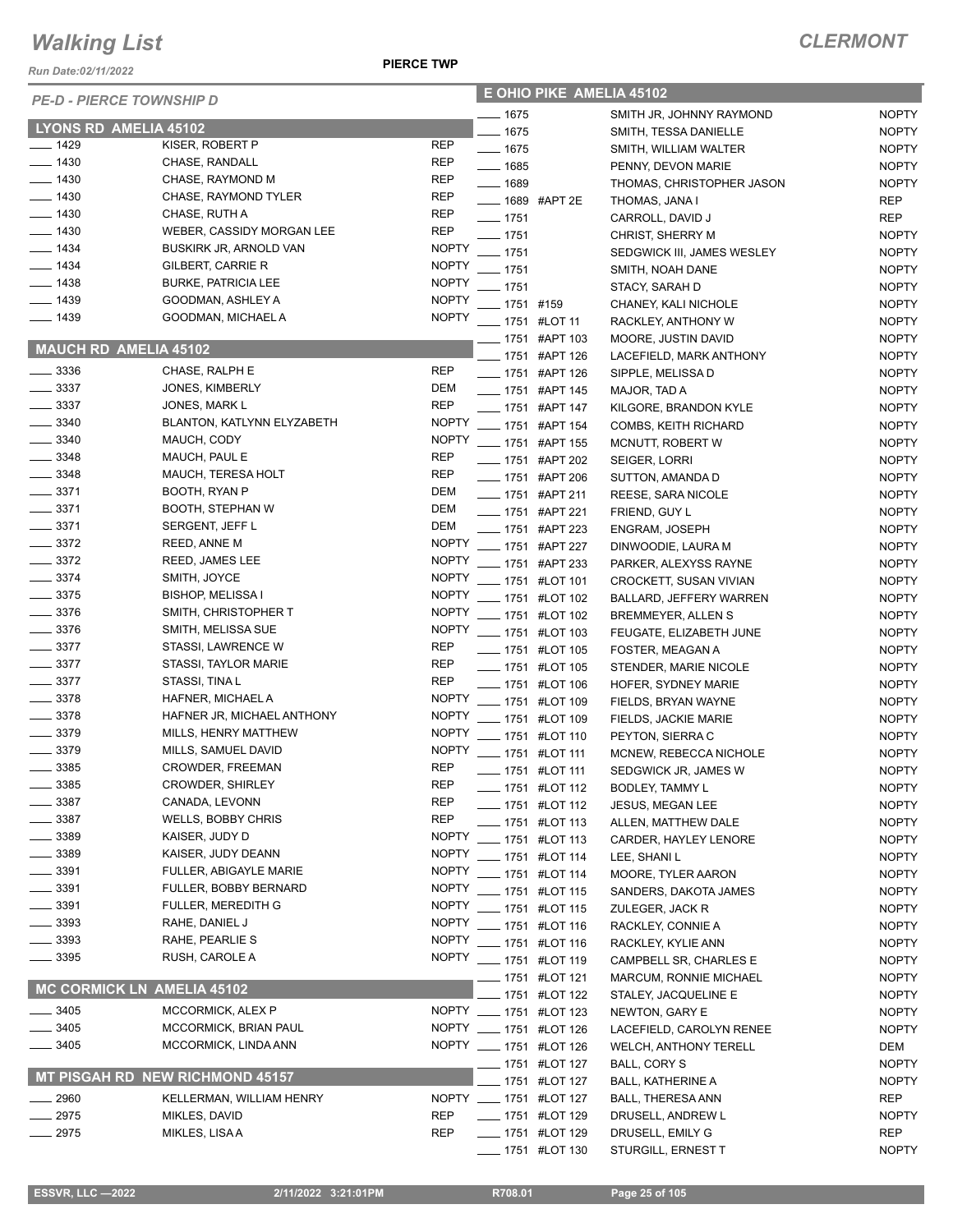*Run Date:02/11/2022*

 **E OHIO PIKE AMELIA 45102**

| <b>PE-D - PIERCE TOWNSHIP D</b> |                                   |              | E UHIU PINE AMELIA 4510Z    |                                |              |  |
|---------------------------------|-----------------------------------|--------------|-----------------------------|--------------------------------|--------------|--|
|                                 |                                   |              | —— 1675                     | SMITH JR, JOHNNY RAYMOND       | <b>NOPTY</b> |  |
| <b>LYONS RD AMELIA 45102</b>    |                                   |              | $- 1675$                    | SMITH, TESSA DANIELLE          | <b>NOPTY</b> |  |
| $- 1429$                        | KISER, ROBERT P                   | <b>REP</b>   | $- 1675$                    | SMITH, WILLIAM WALTER          | <b>NOPTY</b> |  |
| $- 1430$                        | CHASE, RANDALL                    | <b>REP</b>   | $- 1685$                    | PENNY, DEVON MARIE             | <b>NOPTY</b> |  |
| $- 1430$                        | CHASE, RAYMOND M                  | <b>REP</b>   | $- 1689$                    | THOMAS, CHRISTOPHER JASON      | <b>NOPTY</b> |  |
| $- 1430$                        | CHASE, RAYMOND TYLER              | <b>REP</b>   | ____ 1689 #APT 2E           | THOMAS, JANA I                 | REP          |  |
| $-1430$                         | CHASE, RUTH A                     | <b>REP</b>   | $- 1751$                    | CARROLL, DAVID J               | <b>REP</b>   |  |
| $-1430$                         | WEBER, CASSIDY MORGAN LEE         | <b>REP</b>   | $- 1751$                    | CHRIST, SHERRY M               | <b>NOPTY</b> |  |
| $-1434$                         | BUSKIRK JR, ARNOLD VAN            | <b>NOPTY</b> | $-1751$                     | SEDGWICK III, JAMES WESLEY     | <b>NOPTY</b> |  |
| $- 1434$                        | GILBERT, CARRIE R                 | <b>NOPTY</b> | $-1751$                     | SMITH, NOAH DANE               | <b>NOPTY</b> |  |
| $- 1438$                        | <b>BURKE, PATRICIA LEE</b>        | <b>NOPTY</b> | $-1751$                     | STACY, SARAH D                 | <b>NOPTY</b> |  |
| $-1439$                         | GOODMAN, ASHLEY A                 | <b>NOPTY</b> | $- 1751$ #159               | CHANEY, KALI NICHOLE           | <b>NOPTY</b> |  |
| $- 1439$                        | GOODMAN, MICHAEL A                | <b>NOPTY</b> | -1751 #LOT 11               | RACKLEY, ANTHONY W             | <b>NOPTY</b> |  |
|                                 |                                   |              | LAPT 103                    | MOORE, JUSTIN DAVID            | <b>NOPTY</b> |  |
| <b>MAUCH RD AMELIA 45102</b>    |                                   |              | ____ 1751 #APT 126          | LACEFIELD, MARK ANTHONY        | <b>NOPTY</b> |  |
| $\frac{1}{2}$ 3336              | CHASE, RALPH E                    | <b>REP</b>   | ___ 1751 #APT 126           | SIPPLE, MELISSA D              | <b>NOPTY</b> |  |
| $\frac{1}{2}$ 3337              | JONES, KIMBERLY                   | DEM          | -1751 #APT 145              | MAJOR, TAD A                   | <b>NOPTY</b> |  |
| $\frac{1}{2}$ 3337              | JONES, MARK L                     | <b>REP</b>   | ____ 1751 #APT 147          | KILGORE, BRANDON KYLE          | <b>NOPTY</b> |  |
| $\frac{1}{2}$ 3340              | BLANTON, KATLYNN ELYZABETH        | <b>NOPTY</b> | LAPT 154                    | <b>COMBS, KEITH RICHARD</b>    | <b>NOPTY</b> |  |
| 3340                            | MAUCH, CODY                       | <b>NOPTY</b> | <b>LEGGE 1751 #APT 155</b>  | MCNUTT, ROBERT W               | <b>NOPTY</b> |  |
| $-3348$                         | MAUCH, PAUL E                     | <b>REP</b>   | ___ 1751 #APT 202           | SEIGER, LORRI                  | <b>NOPTY</b> |  |
| $-3348$                         | MAUCH, TERESA HOLT                | <b>REP</b>   | ____ 1751 #APT 206          | SUTTON, AMANDA D               | <b>NOPTY</b> |  |
| $-3371$                         | BOOTH, RYAN P                     | DEM          | ____ 1751 #APT 211          | REESE, SARA NICOLE             | <b>NOPTY</b> |  |
| $\frac{1}{2}$ 3371              | <b>BOOTH, STEPHAN W</b>           | DEM          | ____ 1751 #APT 221          | FRIEND, GUY L                  | <b>NOPTY</b> |  |
| $- 3371$                        | SERGENT, JEFF L                   | DEM          |                             |                                |              |  |
| $\frac{3372}{2}$                | <b>REED, ANNE M</b>               | <b>NOPTY</b> | -1751 #APT 223              | <b>ENGRAM, JOSEPH</b>          | <b>NOPTY</b> |  |
| $\frac{1}{2}$ 3372              | REED, JAMES LEE                   | <b>NOPTY</b> | -8751 #APT 227              | DINWOODIE, LAURA M             | <b>NOPTY</b> |  |
| $\frac{1}{2}$ 3374              | SMITH, JOYCE                      | <b>NOPTY</b> | <b>LEGGE 1751 #APT 233</b>  | PARKER, ALEXYSS RAYNE          | <b>NOPTY</b> |  |
| $\frac{1}{2}$ 3375              | <b>BISHOP, MELISSA I</b>          | <b>NOPTY</b> | <b>____</b> 1751 #LOT 101   | CROCKETT, SUSAN VIVIAN         | <b>NOPTY</b> |  |
| $- 3376$                        | SMITH, CHRISTOPHER T              | <b>NOPTY</b> | ____ 1751 #LOT 102          | <b>BALLARD, JEFFERY WARREN</b> | <b>NOPTY</b> |  |
| $\frac{1}{2}$ 3376              |                                   | <b>NOPTY</b> | -1751 #LOT 102              | BREMMEYER, ALLEN S             | <b>NOPTY</b> |  |
| $\frac{1}{2}$ 3377              | SMITH, MELISSA SUE                |              | - 1751 #LOT 103             | FEUGATE, ELIZABETH JUNE        | <b>NOPTY</b> |  |
|                                 | STASSI, LAWRENCE W                | <b>REP</b>   | <b>LEGGE 1751 #LOT 105</b>  | FOSTER, MEAGAN A               | <b>NOPTY</b> |  |
| $-3377$                         | STASSI, TAYLOR MARIE              | <b>REP</b>   | <b>_____</b> 1751 #LOT 105  | STENDER, MARIE NICOLE          | <b>NOPTY</b> |  |
| $\frac{1}{2}$ 3377              | STASSI, TINA L                    | <b>REP</b>   | <b>LEGGE 1751 #LOT 106</b>  | HOFER, SYDNEY MARIE            | <b>NOPTY</b> |  |
| $- 3378$                        | HAFNER, MICHAEL A                 | <b>NOPTY</b> | - 1751 #LOT 109             | FIELDS, BRYAN WAYNE            | <b>NOPTY</b> |  |
| $\frac{1}{2}$ 3378              | HAFNER JR, MICHAEL ANTHONY        | <b>NOPTY</b> | <b>______ 1751 #LOT 109</b> | FIELDS, JACKIE MARIE           | <b>NOPTY</b> |  |
| $- 3379$                        | MILLS, HENRY MATTHEW              | <b>NOPTY</b> | -1751 #LOT 110              | PEYTON, SIERRA C               | <b>NOPTY</b> |  |
| 3379                            | MILLS, SAMUEL DAVID               | <b>NOPTY</b> | -1751 #LOT 111              | MCNEW, REBECCA NICHOLE         | <b>NOPTY</b> |  |
| 3385                            | CROWDER, FREEMAN                  | <b>REP</b>   | <b>LEGGE 1751 #LOT 111</b>  | SEDGWICK JR, JAMES W           | <b>NOPTY</b> |  |
| 3385                            | <b>CROWDER, SHIRLEY</b>           | <b>REP</b>   | 1751 #LOT 112               | <b>BODLEY, TAMMY L</b>         | <b>NOPTY</b> |  |
| - 3387                          | CANADA, LEVONN                    | <b>REP</b>   | <b>____</b> 1751 #LOT 112   | JESUS, MEGAN LEE               | <b>NOPTY</b> |  |
| 3387                            | <b>WELLS, BOBBY CHRIS</b>         | <b>REP</b>   | $-1751$ #LOT 113            | ALLEN, MATTHEW DALE            | <b>NOPTY</b> |  |
| 3389                            | KAISER, JUDY D                    | <b>NOPTY</b> | _ 1751 #LOT 113             | CARDER, HAYLEY LENORE          | <b>NOPTY</b> |  |
| $-3389$                         | KAISER, JUDY DEANN                | <b>NOPTY</b> | ___ 1751 #LOT 114           | LEE, SHANI L                   | <b>NOPTY</b> |  |
| 3391                            | FULLER, ABIGAYLE MARIE            | <b>NOPTY</b> | -1751 #LOT 114              | <b>MOORE, TYLER AARON</b>      | <b>NOPTY</b> |  |
| 3391                            | FULLER, BOBBY BERNARD             | <b>NOPTY</b> | <b>____</b> 1751 #LOT 115   | SANDERS, DAKOTA JAMES          | <b>NOPTY</b> |  |
| $-3391$                         | <b>FULLER, MEREDITH G</b>         | <b>NOPTY</b> | - 1751 #LOT 115             | ZULEGER, JACK R                | <b>NOPTY</b> |  |
| $-3393$                         | RAHE, DANIEL J                    | <b>NOPTY</b> | <b>____</b> 1751 #LOT 116   | RACKLEY, CONNIE A              | <b>NOPTY</b> |  |
| $-3393$                         | RAHE, PEARLIE S                   | <b>NOPTY</b> | <b>___</b> 1751 #LOT 116    | RACKLEY, KYLIE ANN             | <b>NOPTY</b> |  |
| 3395                            | RUSH, CAROLE A                    |              | NOPTY __ 1751 #LOT 119      | CAMPBELL SR, CHARLES E         | <b>NOPTY</b> |  |
|                                 |                                   |              | <b>LETT</b> 1751 #LOT 121   | MARCUM, RONNIE MICHAEL         | <b>NOPTY</b> |  |
|                                 | <b>MC CORMICK LN AMELIA 45102</b> |              | _ 1751 #LOT 122             | STALEY, JACQUELINE E           | <b>NOPTY</b> |  |
| 3405                            | MCCORMICK, ALEX P                 |              | NOPTY __ 1751 #LOT 123      | NEWTON, GARY E                 | <b>NOPTY</b> |  |
| 3405                            | MCCORMICK, BRIAN PAUL             |              | NOPTY __ 1751 #LOT 126      | LACEFIELD, CAROLYN RENEE       | <b>NOPTY</b> |  |
| 3405                            | MCCORMICK, LINDA ANN              |              | NOPTY __ 1751 #LOT 126      | <b>WELCH, ANTHONY TERELL</b>   | DEM          |  |
|                                 |                                   |              | ____ 1751 #LOT 127          | <b>BALL, CORY S</b>            | <b>NOPTY</b> |  |
|                                 | MT PISGAH RD NEW RICHMOND 45157   |              | _ 1751 #LOT 127             | <b>BALL, KATHERINE A</b>       | <b>NOPTY</b> |  |
| 2960                            | KELLERMAN, WILLIAM HENRY          |              | NOPTY __ 1751 #LOT 127      | <b>BALL, THERESA ANN</b>       | REP          |  |
| 2975                            | MIKLES, DAVID                     | <b>REP</b>   | <b>IMPLE 1751 #LOT 129</b>  | DRUSELL, ANDREW L              | <b>NOPTY</b> |  |
| 2975                            | MIKLES, LISA A                    | REP          | - 1751 #LOT 129             | DRUSELL, EMILY G               | <b>REP</b>   |  |
|                                 |                                   |              | <b>_____</b> 1751 #LOT 130  | STURGILL, ERNEST T             | <b>NOPTY</b> |  |
|                                 |                                   |              |                             |                                |              |  |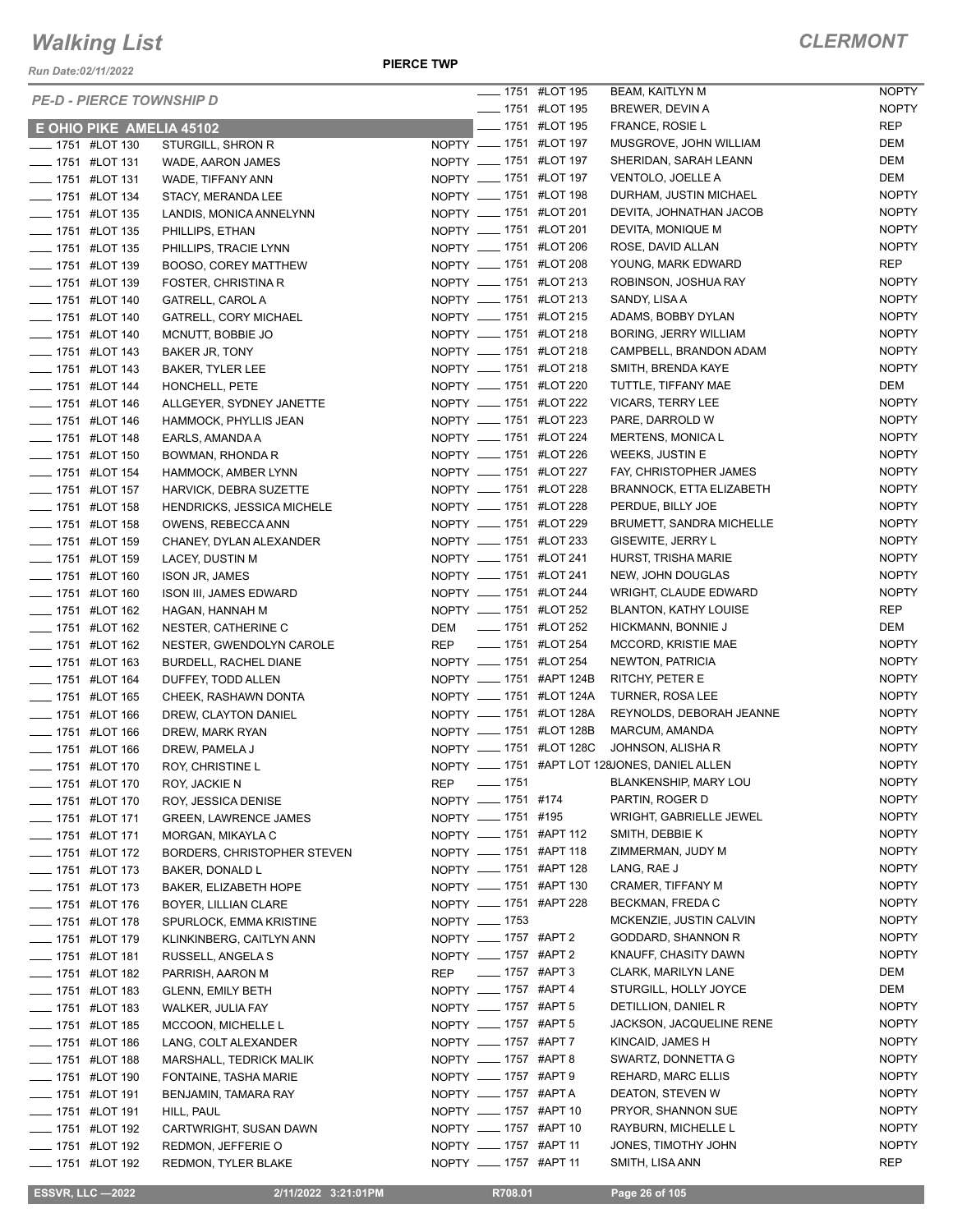*Run Date:02/11/2022*

|                            | <b>PE-D - PIERCE TOWNSHIP D</b> |                                    |                        |                  | <b>______ 1751 #LOT 195</b> | BEAM, KAITLYN M                               | <b>NOPTY</b> |
|----------------------------|---------------------------------|------------------------------------|------------------------|------------------|-----------------------------|-----------------------------------------------|--------------|
|                            |                                 |                                    |                        |                  | <b>IMPLE 1751 #LOT 195</b>  | BREWER, DEVIN A                               | <b>NOPTY</b> |
|                            | E OHIO PIKE AMELIA 45102        |                                    |                        |                  | - 1751 #LOT 195             | FRANCE, ROSIE L                               | <b>REP</b>   |
| <b>_____</b> 1751 #LOT 130 |                                 | STURGILL, SHRON R                  | NOPTY __ 1751 #LOT 197 |                  |                             | MUSGROVE, JOHN WILLIAM                        | <b>DEM</b>   |
| <b>____</b> 1751 #LOT 131  |                                 | WADE, AARON JAMES                  | NOPTY __ 1751 #LOT 197 |                  |                             | SHERIDAN, SARAH LEANN                         | <b>DEM</b>   |
| <b>LET 1751 #LOT 131</b>   |                                 | WADE, TIFFANY ANN                  | NOPTY __ 1751 #LOT 197 |                  |                             | VENTOLO, JOELLE A                             | DEM          |
| - 1751 #LOT 134            |                                 | STACY, MERANDA LEE                 | NOPTY __ 1751 #LOT 198 |                  |                             | DURHAM, JUSTIN MICHAEL                        | <b>NOPTY</b> |
| <b>_____</b> 1751 #LOT 135 |                                 | LANDIS, MONICA ANNELYNN            | NOPTY __ 1751 #LOT 201 |                  |                             | DEVITA, JOHNATHAN JACOB                       | <b>NOPTY</b> |
| <b>_____</b> 1751 #LOT 135 |                                 | PHILLIPS, ETHAN                    | NOPTY __ 1751 #LOT 201 |                  |                             | DEVITA, MONIQUE M                             | <b>NOPTY</b> |
| <b>LEGGE 1751 #LOT 135</b> |                                 | PHILLIPS, TRACIE LYNN              | NOPTY __ 1751 #LOT 206 |                  |                             | ROSE, DAVID ALLAN                             | <b>NOPTY</b> |
| <b>LEGGE 1751 #LOT 139</b> |                                 | BOOSO, COREY MATTHEW               | NOPTY __ 1751 #LOT 208 |                  |                             | YOUNG, MARK EDWARD                            | <b>REP</b>   |
| - 1751 #LOT 139            |                                 | <b>FOSTER, CHRISTINA R</b>         | NOPTY __ 1751 #LOT 213 |                  |                             | ROBINSON, JOSHUA RAY                          | <b>NOPTY</b> |
| - 1751 #LOT 140            |                                 | <b>GATRELL, CAROL A</b>            | NOPTY __ 1751 #LOT 213 |                  |                             | SANDY, LISA A                                 | <b>NOPTY</b> |
| <b>____</b> 1751 #LOT 140  |                                 | <b>GATRELL, CORY MICHAEL</b>       | NOPTY __ 1751 #LOT 215 |                  |                             | ADAMS, BOBBY DYLAN                            | <b>NOPTY</b> |
| -1751 #LOT 140             |                                 | MCNUTT, BOBBIE JO                  | NOPTY __ 1751 #LOT 218 |                  |                             | <b>BORING, JERRY WILLIAM</b>                  | <b>NOPTY</b> |
| ___ 1751 #LOT 143          |                                 | BAKER JR, TONY                     | NOPTY __ 1751 #LOT 218 |                  |                             | CAMPBELL, BRANDON ADAM                        | <b>NOPTY</b> |
| <b>LEGGE 1751 #LOT 143</b> |                                 | <b>BAKER, TYLER LEE</b>            | NOPTY __ 1751 #LOT 218 |                  |                             | SMITH, BRENDA KAYE                            | <b>NOPTY</b> |
| -1751 #LOT 144             |                                 | HONCHELL, PETE                     | NOPTY __ 1751 #LOT 220 |                  |                             | TUTTLE, TIFFANY MAE                           | DEM          |
| - 1751 #LOT 146            |                                 | ALLGEYER, SYDNEY JANETTE           | NOPTY __ 1751 #LOT 222 |                  |                             | VICARS, TERRY LEE                             | <b>NOPTY</b> |
| - 1751 #LOT 146            |                                 | HAMMOCK, PHYLLIS JEAN              | NOPTY __ 1751 #LOT 223 |                  |                             | PARE, DARROLD W                               | <b>NOPTY</b> |
| <b>____</b> 1751 #LOT 148  |                                 | EARLS, AMANDA A                    | NOPTY __ 1751 #LOT 224 |                  |                             | <b>MERTENS, MONICAL</b>                       | <b>NOPTY</b> |
| <b>LEGGE 1751 #LOT 150</b> |                                 | BOWMAN, RHONDA R                   | NOPTY __ 1751 #LOT 226 |                  |                             | WEEKS, JUSTIN E                               | <b>NOPTY</b> |
| <b>LEGGE 1751 #LOT 154</b> |                                 | HAMMOCK, AMBER LYNN                | NOPTY __ 1751 #LOT 227 |                  |                             | FAY, CHRISTOPHER JAMES                        | <b>NOPTY</b> |
| <b>LEGGE 1751 #LOT 157</b> |                                 | HARVICK, DEBRA SUZETTE             | NOPTY __ 1751 #LOT 228 |                  |                             | <b>BRANNOCK, ETTA ELIZABETH</b>               | <b>NOPTY</b> |
| -6751 #LOT 158             |                                 | <b>HENDRICKS, JESSICA MICHELE</b>  | NOPTY __ 1751 #LOT 228 |                  |                             | PERDUE, BILLY JOE                             | <b>NOPTY</b> |
| <b>____</b> 1751 #LOT 158  |                                 | OWENS, REBECCA ANN                 | NOPTY __ 1751 #LOT 229 |                  |                             | BRUMETT, SANDRA MICHELLE                      | <b>NOPTY</b> |
| - 1751 #LOT 159            |                                 | CHANEY, DYLAN ALEXANDER            | NOPTY __ 1751 #LOT 233 |                  |                             | GISEWITE, JERRY L                             | <b>NOPTY</b> |
| <b>____</b> 1751 #LOT 159  |                                 | LACEY, DUSTIN M                    | NOPTY __ 1751 #LOT 241 |                  |                             | HURST, TRISHA MARIE                           | <b>NOPTY</b> |
| ____ 1751 #LOT 160         |                                 | <b>ISON JR, JAMES</b>              | NOPTY __ 1751 #LOT 241 |                  |                             | NEW, JOHN DOUGLAS                             | <b>NOPTY</b> |
| -60 1751 #LOT 160          |                                 | ISON III, JAMES EDWARD             | NOPTY __ 1751 #LOT 244 |                  |                             | WRIGHT, CLAUDE EDWARD                         | <b>NOPTY</b> |
| <b>____</b> 1751 #LOT 162  |                                 | HAGAN, HANNAH M                    | NOPTY __ 1751 #LOT 252 |                  |                             | <b>BLANTON, KATHY LOUISE</b>                  | REP          |
| - 1751 #LOT 162            |                                 | NESTER, CATHERINE C                | DEM                    |                  | ____ 1751 #LOT 252          | HICKMANN, BONNIE J                            | DEM          |
| - 1751 #LOT 162            |                                 | NESTER, GWENDOLYN CAROLE           | REP                    |                  | <b>______ 1751 #LOT 254</b> | MCCORD, KRISTIE MAE                           | <b>NOPTY</b> |
| <b>____</b> 1751 #LOT 163  |                                 | BURDELL, RACHEL DIANE              | NOPTY __ 1751 #LOT 254 |                  |                             | NEWTON, PATRICIA                              | <b>NOPTY</b> |
| <b>_____</b> 1751 #LOT 164 |                                 | DUFFEY, TODD ALLEN                 |                        |                  | NOPTY __ 1751 #APT 124B     | RITCHY, PETER E                               | <b>NOPTY</b> |
| <b>LEGGE 1751 #LOT 165</b> |                                 | CHEEK, RASHAWN DONTA               |                        |                  | NOPTY __ 1751 #LOT 124A     | TURNER, ROSA LEE                              | <b>NOPTY</b> |
| <b>LEGGE 1751 #LOT 166</b> |                                 | DREW, CLAYTON DANIEL               |                        |                  | NOPTY __ 1751 #LOT 128A     | REYNOLDS, DEBORAH JEANNE                      | <b>NOPTY</b> |
| - 1751 #LOT 166            |                                 | DREW, MARK RYAN                    |                        |                  | NOPTY __ 1751 #LOT 128B     | MARCUM, AMANDA                                | <b>NOPTY</b> |
| - 1751 #LOT 166            |                                 | DREW, PAMELA J                     |                        |                  | NOPTY __ 1751 #LOT 128C     | JOHNSON, ALISHA R                             | <b>NOPTY</b> |
| <b>____ 1751 #LOT 170</b>  |                                 | ROY, CHRISTINE L                   |                        |                  |                             | NOPTY __ 1751 #APT LOT 128JONES, DANIEL ALLEN | <b>NOPTY</b> |
| ___ 1751 #LOT 170          |                                 | ROY, JACKIE N                      | REP __ 1751            |                  |                             | BLANKENSHIP, MARY LOU                         | <b>NOPTY</b> |
| <b>_____</b> 1751 #LOT 170 |                                 | ROY, JESSICA DENISE                | NOPTY __ 1751 #174     |                  |                             | PARTIN, ROGER D                               | <b>NOPTY</b> |
| <b>____</b> 1751 #LOT 171  |                                 | <b>GREEN, LAWRENCE JAMES</b>       | NOPTY __ 1751 #195     |                  |                             | WRIGHT, GABRIELLE JEWEL                       | <b>NOPTY</b> |
| -1751 #LOT 171             |                                 | MORGAN, MIKAYLA C                  | NOPTY __ 1751 #APT 112 |                  |                             | SMITH, DEBBIE K                               | <b>NOPTY</b> |
| <b>____</b> 1751 #LOT 172  |                                 | <b>BORDERS, CHRISTOPHER STEVEN</b> | NOPTY __ 1751 #APT 118 |                  |                             | ZIMMERMAN, JUDY M                             | <b>NOPTY</b> |
| - 1751 #LOT 173            |                                 | <b>BAKER, DONALD L</b>             | NOPTY __ 1751 #APT 128 |                  |                             | LANG, RAE J                                   | <b>NOPTY</b> |
| -41751 #LOT 173            |                                 | BAKER, ELIZABETH HOPE              | NOPTY __ 1751 #APT 130 |                  |                             | CRAMER, TIFFANY M                             | <b>NOPTY</b> |
| - 1751 #LOT 176            |                                 | BOYER, LILLIAN CLARE               | NOPTY __ 1751 #APT 228 |                  |                             | BECKMAN, FREDA C                              | <b>NOPTY</b> |
| <b>____</b> 1751 #LOT 178  |                                 | SPURLOCK, EMMA KRISTINE            | NOPTY - 1753           |                  |                             | MCKENZIE, JUSTIN CALVIN                       | <b>NOPTY</b> |
| -6751 #LOT 179             |                                 | KLINKINBERG, CAITLYN ANN           | NOPTY __ 1757 #APT 2   |                  |                             | GODDARD, SHANNON R                            | <b>NOPTY</b> |
| <b>LEGGE 1751 #LOT 181</b> |                                 | RUSSELL, ANGELA S                  | NOPTY __ 1757 #APT 2   |                  |                             | KNAUFF, CHASITY DAWN                          | <b>NOPTY</b> |
| - 1751 #LOT 182            |                                 | PARRISH, AARON M                   | REP                    | ____ 1757 #APT 3 |                             | CLARK, MARILYN LANE                           | DEM          |
| -83 #LOT 183               |                                 | <b>GLENN, EMILY BETH</b>           | NOPTY __ 1757 #APT 4   |                  |                             | STURGILL, HOLLY JOYCE                         | DEM          |
| - 1751 #LOT 183            |                                 | WALKER, JULIA FAY                  | NOPTY __ 1757 #APT 5   |                  |                             | DETILLION, DANIEL R                           | <b>NOPTY</b> |
| <b>_____</b> 1751 #LOT 185 |                                 | MCCOON, MICHELLE L                 | NOPTY __ 1757 #APT 5   |                  |                             | JACKSON, JACQUELINE RENE                      | <b>NOPTY</b> |
| LOT 186                    |                                 | LANG, COLT ALEXANDER               | NOPTY __ 1757 #APT 7   |                  |                             | KINCAID, JAMES H                              | <b>NOPTY</b> |
| - 1751 #LOT 188            |                                 | MARSHALL, TEDRICK MALIK            | NOPTY __ 1757 #APT 8   |                  |                             | SWARTZ, DONNETTA G                            | <b>NOPTY</b> |
| <b>____ 1751 #LOT 190</b>  |                                 | FONTAINE, TASHA MARIE              | NOPTY __ 1757 #APT 9   |                  |                             | REHARD, MARC ELLIS                            | <b>NOPTY</b> |
| -4LOT 191                  |                                 | BENJAMIN, TAMARA RAY               | NOPTY __ 1757 #APTA    |                  |                             | DEATON, STEVEN W                              | <b>NOPTY</b> |
| -41751 #LOT 191            |                                 | HILL, PAUL                         | NOPTY __ 1757 #APT 10  |                  |                             | PRYOR, SHANNON SUE                            | <b>NOPTY</b> |
| <b>LEGGE 1751 #LOT 192</b> |                                 | CARTWRIGHT, SUSAN DAWN             | NOPTY __ 1757 #APT 10  |                  |                             | RAYBURN, MICHELLE L                           | <b>NOPTY</b> |
| <b>_____</b> 1751 #LOT 192 |                                 | REDMON, JEFFERIE O                 | NOPTY __ 1757 #APT 11  |                  |                             | JONES, TIMOTHY JOHN                           | <b>NOPTY</b> |
| <b>____ 1751 #LOT 192</b>  |                                 |                                    | NOPTY __ 1757 #APT 11  |                  |                             | SMITH, LISA ANN                               | <b>REP</b>   |
|                            |                                 | REDMON, TYLER BLAKE                |                        |                  |                             |                                               |              |

 **ESSVR, LLC —2022 2/11/2022 3:21:01PM R708.01 Page 26 of 105**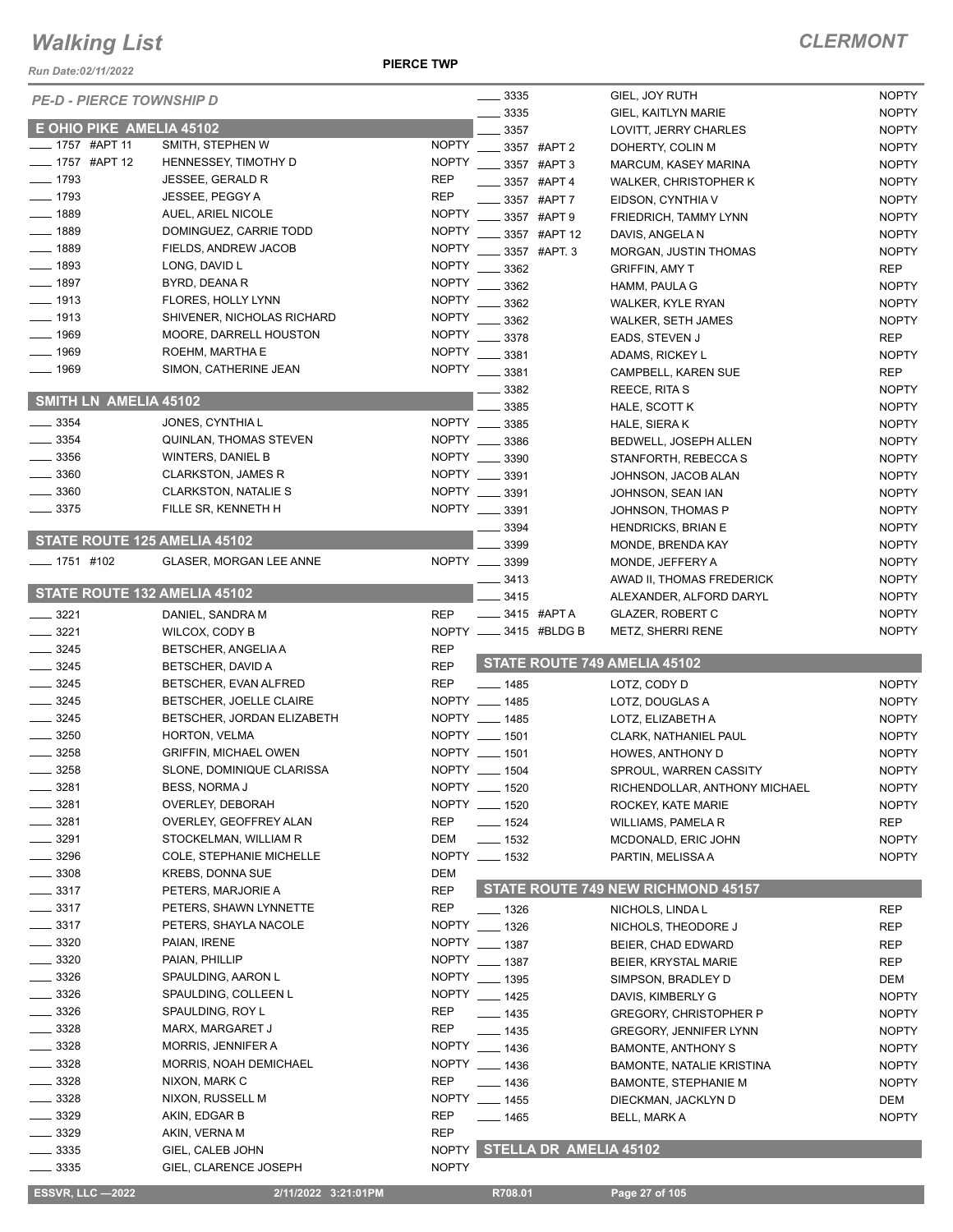*Run Date:02/11/2022*

**PIERCE TWP**

| <b>PE-D - PIERCE TOWNSHIP D</b> |                                 |              | $\frac{1}{2}$ 3335 |                        | GIEL, JOY RUTH                     | <b>NOPTY</b> |
|---------------------------------|---------------------------------|--------------|--------------------|------------------------|------------------------------------|--------------|
|                                 |                                 |              | 3335               |                        | <b>GIEL, KAITLYN MARIE</b>         | <b>NOPTY</b> |
| E OHIO PIKE AMELIA 45102        |                                 |              | 3357               |                        | LOVITT, JERRY CHARLES              | <b>NOPTY</b> |
| _ 1757 #APT 11                  | SMITH, STEPHEN W                | <b>NOPTY</b> |                    | 3357 #APT 2            | DOHERTY, COLIN M                   | <b>NOPTY</b> |
| $-1757$ #APT 12                 | HENNESSEY, TIMOTHY D            | <b>NOPTY</b> |                    | 3357 #APT 3            | MARCUM, KASEY MARINA               | <b>NOPTY</b> |
| $-1793$                         | <b>JESSEE, GERALD R</b>         | <b>REP</b>   |                    | 3357 #APT 4            | WALKER, CHRISTOPHER K              | <b>NOPTY</b> |
| $-1793$                         | JESSEE, PEGGY A                 | <b>REP</b>   |                    | 3357 #APT 7            | EIDSON, CYNTHIA V                  | <b>NOPTY</b> |
| $-1889$                         | AUEL, ARIEL NICOLE              | <b>NOPTY</b> |                    | 3357 #APT 9            | FRIEDRICH, TAMMY LYNN              | <b>NOPTY</b> |
| $-1889$                         | DOMINGUEZ, CARRIE TODD          | <b>NOPTY</b> |                    | 3357 #APT 12           | DAVIS, ANGELA N                    | <b>NOPTY</b> |
| $-1889$                         | FIELDS, ANDREW JACOB            | <b>NOPTY</b> |                    | 3357 #APT. 3           | MORGAN, JUSTIN THOMAS              | <b>NOPTY</b> |
| _ 1893                          | LONG, DAVID L                   | <b>NOPTY</b> | 3362               |                        |                                    |              |
| $-1897$                         | BYRD, DEANA R                   | <b>NOPTY</b> |                    |                        | <b>GRIFFIN, AMY T</b>              | <b>REP</b>   |
|                                 |                                 |              | 3362               |                        | HAMM, PAULA G                      | <b>NOPTY</b> |
| $-1913$                         | FLORES, HOLLY LYNN              | <b>NOPTY</b> | 3362               |                        | WALKER, KYLE RYAN                  | <b>NOPTY</b> |
| __ 1913                         | SHIVENER, NICHOLAS RICHARD      | <b>NOPTY</b> | 3362               |                        | <b>WALKER, SETH JAMES</b>          | <b>NOPTY</b> |
| $-1969$                         | MOORE, DARRELL HOUSTON          | <b>NOPTY</b> | 3378               |                        | EADS, STEVEN J                     | <b>REP</b>   |
| 1969                            | ROEHM, MARTHA E                 | <b>NOPTY</b> | 3381               |                        | ADAMS, RICKEY L                    | <b>NOPTY</b> |
| 1969                            | SIMON, CATHERINE JEAN           | <b>NOPTY</b> | 3381               |                        | CAMPBELL, KAREN SUE                | <b>REP</b>   |
|                                 |                                 |              | 3382               |                        | REECE, RITA S                      | <b>NOPTY</b> |
| SMITH LN AMELIA 45102           |                                 |              | 3385               |                        | HALE, SCOTT K                      | <b>NOPTY</b> |
| 3354                            | JONES, CYNTHIA L                | <b>NOPTY</b> | 3385               |                        | HALE, SIERA K                      | <b>NOPTY</b> |
| 3354                            | QUINLAN, THOMAS STEVEN          | <b>NOPTY</b> | 3386               |                        | BEDWELL, JOSEPH ALLEN              | <b>NOPTY</b> |
| $-3356$                         | <b>WINTERS, DANIEL B</b>        | <b>NOPTY</b> | 3390               |                        | STANFORTH, REBECCA S               | <b>NOPTY</b> |
| 3360                            | <b>CLARKSTON, JAMES R</b>       |              | NOPTY __ 3391      |                        | JOHNSON, JACOB ALAN                | <b>NOPTY</b> |
| 3360                            | <b>CLARKSTON, NATALIE S</b>     |              | NOPTY __ 3391      |                        |                                    |              |
|                                 |                                 |              |                    |                        | JOHNSON, SEAN IAN                  | <b>NOPTY</b> |
| 3375                            | FILLE SR, KENNETH H             |              | NOPTY __ 3391      |                        | JOHNSON, THOMAS P                  | <b>NOPTY</b> |
| STATE ROUTE 125 AMELIA 45102    |                                 |              | 3394               |                        | <b>HENDRICKS, BRIAN E</b>          | <b>NOPTY</b> |
|                                 |                                 |              | 3399               |                        | MONDE, BRENDA KAY                  | <b>NOPTY</b> |
| ____ 1751 #102                  | <b>GLASER, MORGAN LEE ANNE</b>  |              | NOPTY __ 3399      |                        | MONDE, JEFFERY A                   | <b>NOPTY</b> |
|                                 |                                 |              | 3413               |                        | AWAD II, THOMAS FREDERICK          | <b>NOPTY</b> |
| STATE ROUTE 132 AMELIA 45102    |                                 |              | 3415               |                        | ALEXANDER, ALFORD DARYL            | <b>NOPTY</b> |
| 3221                            | DANIEL, SANDRA M                | <b>REP</b>   | _____ 3415 #APT A  |                        | <b>GLAZER, ROBERT C</b>            | <b>NOPTY</b> |
| 3221                            | WILCOX, CODY B                  |              |                    | NOPTY __ 3415 #BLDG B  | METZ, SHERRI RENE                  | <b>NOPTY</b> |
|                                 |                                 |              |                    |                        |                                    |              |
|                                 |                                 |              |                    |                        |                                    |              |
| 3245                            | <b>BETSCHER, ANGELIA A</b>      | <b>REP</b>   |                    |                        | STATE ROUTE 749 AMELIA 45102       |              |
| $-3245$                         | BETSCHER, DAVID A               | <b>REP</b>   |                    |                        |                                    |              |
| $-3245$                         | BETSCHER, EVAN ALFRED           | <b>REP</b>   | $- 1485$           |                        | LOTZ, CODY D                       | <b>NOPTY</b> |
| $-3245$                         | BETSCHER, JOELLE CLAIRE         |              | NOPTY __ 1485      |                        | LOTZ, DOUGLAS A                    | <b>NOPTY</b> |
| $\frac{1}{2}$ 3245              | BETSCHER, JORDAN ELIZABETH      |              | NOPTY __ 1485      |                        | LOTZ, ELIZABETH A                  | <b>NOPTY</b> |
| 3250                            | HORTON, VELMA                   |              | NOPTY __ 1501      |                        | CLARK, NATHANIEL PAUL              | <b>NOPTY</b> |
| 3258                            | <b>GRIFFIN, MICHAEL OWEN</b>    |              | NOPTY __ 1501      |                        | HOWES, ANTHONY D                   | <b>NOPTY</b> |
| 3258                            | SLONE, DOMINIQUE CLARISSA       |              | NOPTY __ 1504      |                        | SPROUL, WARREN CASSITY             | <b>NOPTY</b> |
| 3281                            | <b>BESS, NORMA J</b>            |              | NOPTY __ 1520      |                        | RICHENDOLLAR, ANTHONY MICHAEL      | <b>NOPTY</b> |
| 3281                            | OVERLEY, DEBORAH                |              | NOPTY __ 1520      |                        | ROCKEY, KATE MARIE                 | <b>NOPTY</b> |
| 3281                            | OVERLEY, GEOFFREY ALAN          | <b>REP</b>   | $- 1524$           |                        | WILLIAMS, PAMELA R                 | <b>REP</b>   |
| 3291                            | STOCKELMAN, WILLIAM R           | DEM          | $\frac{1}{2}$ 1532 |                        | MCDONALD, ERIC JOHN                | <b>NOPTY</b> |
| 3296                            | <b>COLE, STEPHANIE MICHELLE</b> |              | NOPTY __ 1532      |                        | PARTIN, MELISSA A                  | <b>NOPTY</b> |
|                                 |                                 |              |                    |                        |                                    |              |
| 3308                            | <b>KREBS, DONNA SUE</b>         | DEM          |                    |                        |                                    |              |
| $-3317$                         | PETERS, MARJORIE A              | <b>REP</b>   |                    |                        | STATE ROUTE 749 NEW RICHMOND 45157 |              |
| $\frac{1}{2}$ 3317              | PETERS, SHAWN LYNNETTE          | <b>REP</b>   | ___ 1326           |                        | NICHOLS, LINDA L                   | <b>REP</b>   |
| _ 3317                          | PETERS, SHAYLA NACOLE           |              | NOPTY __ 1326      |                        | NICHOLS, THEODORE J                | <b>REP</b>   |
| $-3320$                         | PAIAN, IRENE                    |              | NOPTY __ 1387      |                        | BEIER, CHAD EDWARD                 | REP          |
| 3320                            | PAIAN, PHILLIP                  |              | NOPTY __ 1387      |                        | <b>BEIER, KRYSTAL MARIE</b>        | <b>REP</b>   |
| 3326                            | SPAULDING, AARON L              |              | NOPTY __ 1395      |                        | SIMPSON, BRADLEY D                 | DEM          |
| 3326                            | SPAULDING, COLLEEN L            |              | NOPTY __ 1425      |                        | DAVIS, KIMBERLY G                  | <b>NOPTY</b> |
| 3326                            | SPAULDING, ROY L                | <b>REP</b>   | ____ 1435          |                        | <b>GREGORY, CHRISTOPHER P</b>      | <b>NOPTY</b> |
| 3328                            | MARX, MARGARET J                | <b>REP</b>   | $- 1435$           |                        | <b>GREGORY, JENNIFER LYNN</b>      | <b>NOPTY</b> |
| 3328                            | <b>MORRIS, JENNIFER A</b>       |              | NOPTY __ 1436      |                        | <b>BAMONTE, ANTHONY S</b>          | <b>NOPTY</b> |
| 3328                            | MORRIS, NOAH DEMICHAEL          |              |                    |                        |                                    | <b>NOPTY</b> |
| 3328                            | NIXON, MARK C                   | <b>REP</b>   | NOPTY __ 1436      |                        | BAMONTE, NATALIE KRISTINA          |              |
| 3328                            | NIXON, RUSSELL M                |              | $- 1436$           |                        | <b>BAMONTE, STEPHANIE M</b>        | <b>NOPTY</b> |
|                                 |                                 |              | NOPTY __ 1455      |                        | DIECKMAN, JACKLYN D                | DEM          |
| $-3329$                         | AKIN, EDGAR B                   | <b>REP</b>   | ___ 1465           |                        | BELL, MARK A                       | <b>NOPTY</b> |
| $= 3329$                        | AKIN, VERNA M                   | <b>REP</b>   |                    |                        |                                    |              |
| 3335                            | GIEL, CALEB JOHN                | <b>NOPTY</b> |                    | STELLA DR AMELIA 45102 |                                    |              |
| 3335                            | GIEL, CLARENCE JOSEPH           | <b>NOPTY</b> |                    |                        |                                    |              |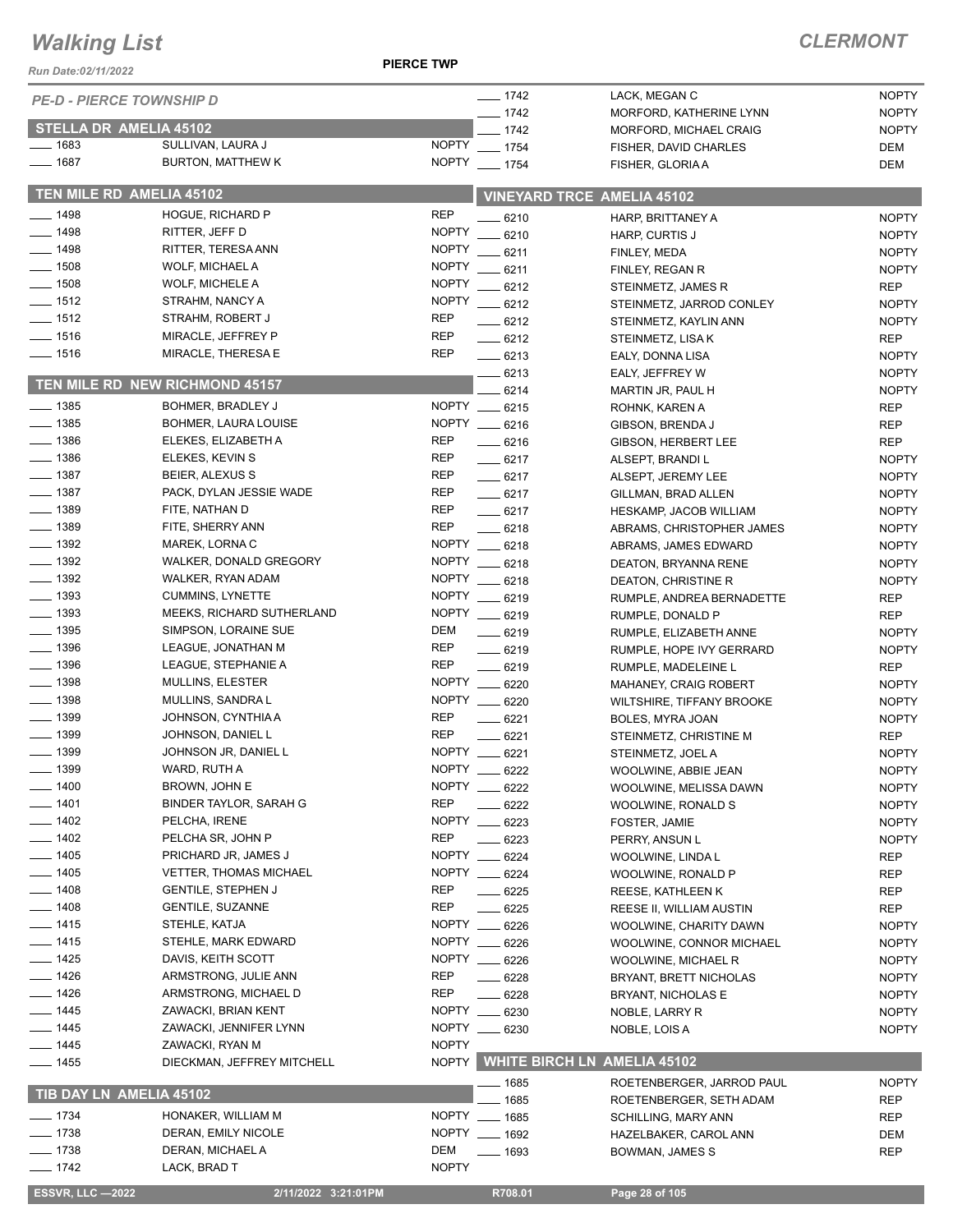*Run Date:02/11/2022*

**PIERCE TWP**

|                         | <b>PE-D - PIERCE TOWNSHIP D</b>  |                              | $- 1742$      | LACK, MEGAN C                     | <b>NOPTY</b> |
|-------------------------|----------------------------------|------------------------------|---------------|-----------------------------------|--------------|
|                         |                                  |                              | $- 1742$      | MORFORD, KATHERINE LYNN           | <b>NOPTY</b> |
|                         | <b>STELLA DR AMELIA 45102</b>    |                              | $-1742$       | MORFORD, MICHAEL CRAIG            | <b>NOPTY</b> |
| $- 1683$                | SULLIVAN, LAURA J                | <b>NOPTY</b>                 | $- 1754$      | FISHER, DAVID CHARLES             | DEM          |
| $- 1687$                | <b>BURTON, MATTHEW K</b>         | <b>NOPTY</b>                 | $- 1754$      | FISHER, GLORIA A                  | DEM          |
|                         | TEN MILE RD AMELIA 45102         |                              |               | <b>VINEYARD TRCE AMELIA 45102</b> |              |
| $- 1498$                | <b>HOGUE, RICHARD P</b>          | <b>REP</b>                   | $-6210$       | HARP, BRITTANEY A                 | <b>NOPTY</b> |
| $-1498$                 | RITTER, JEFF D                   | <b>NOPTY</b>                 | .6210         | HARP, CURTIS J                    | <b>NOPTY</b> |
| $- 1498$                | RITTER, TERESA ANN               | <b>NOPTY</b>                 | 6211          | FINLEY, MEDA                      | <b>NOPTY</b> |
| $- 1508$                | WOLF, MICHAEL A                  | <b>NOPTY</b>                 | 6211          | FINLEY, REGAN R                   | <b>NOPTY</b> |
| $- 1508$                | WOLF, MICHELE A                  | <b>NOPTY</b>                 | $-6212$       | STEINMETZ, JAMES R                | <b>REP</b>   |
| $- 1512$                | STRAHM, NANCY A                  | <b>NOPTY</b>                 | $-6212$       | STEINMETZ, JARROD CONLEY          | <b>NOPTY</b> |
| $- 1512$                | STRAHM, ROBERT J                 | <b>REP</b>                   | $-6212$       | STEINMETZ, KAYLIN ANN             | <b>NOPTY</b> |
| $- 1516$                | MIRACLE, JEFFREY P               | <b>REP</b>                   | $-6212$       | STEINMETZ, LISA K                 | <b>REP</b>   |
| $- 1516$                | MIRACLE, THERESA E               | <b>REP</b>                   | $-6213$       | EALY, DONNA LISA                  | <b>NOPTY</b> |
|                         | TEN MILE RD NEW RICHMOND 45157   |                              | 6213          | EALY, JEFFREY W                   | <b>NOPTY</b> |
|                         |                                  |                              | 6214          | MARTIN JR, PAUL H                 | <b>NOPTY</b> |
| $\frac{1}{2}$ 1385      | BOHMER, BRADLEY J                |                              | NOPTY __ 6215 | ROHNK, KAREN A                    | <b>REP</b>   |
| $\frac{1}{2}$ 1385      | <b>BOHMER, LAURA LOUISE</b>      |                              | NOPTY __ 6216 | GIBSON, BRENDA J                  | <b>REP</b>   |
| $\frac{1}{2}$ 1386      | ELEKES, ELIZABETH A              | REP                          | $-6216$       | GIBSON, HERBERT LEE               | <b>REP</b>   |
| $\frac{1}{2}$ 1386      | ELEKES, KEVIN S                  | <b>REP</b>                   | $-6217$       | ALSEPT, BRANDI L                  | <b>NOPTY</b> |
| $- 1387$                | BEIER, ALEXUS S                  | <b>REP</b>                   | $-6217$       | ALSEPT, JEREMY LEE                | <b>NOPTY</b> |
| $\frac{1}{2}$ 1387      | PACK, DYLAN JESSIE WADE          | <b>REP</b>                   | $-6217$       | GILLMAN, BRAD ALLEN               | <b>NOPTY</b> |
| $- 1389$                | FITE, NATHAN D                   | <b>REP</b>                   | $-6217$       | HESKAMP, JACOB WILLIAM            | <b>NOPTY</b> |
| $- 1389$                | FITE, SHERRY ANN                 | <b>REP</b>                   | $-6218$       | ABRAMS, CHRISTOPHER JAMES         | <b>NOPTY</b> |
| $\frac{1}{2}$ 1392      | MAREK, LORNA C                   |                              | NOPTY __ 6218 | ABRAMS, JAMES EDWARD              | <b>NOPTY</b> |
| $\frac{1}{2}$ 1392      | WALKER, DONALD GREGORY           |                              | NOPTY __ 6218 | DEATON, BRYANNA RENE              | <b>NOPTY</b> |
| $\frac{1}{2}$ 1392      | WALKER, RYAN ADAM                |                              | NOPTY __ 6218 | DEATON, CHRISTINE R               | <b>NOPTY</b> |
| $- 1393$                | <b>CUMMINS, LYNETTE</b>          |                              | NOPTY __ 6219 | RUMPLE, ANDREA BERNADETTE         | <b>REP</b>   |
| $- 1393$                | <b>MEEKS, RICHARD SUTHERLAND</b> |                              | NOPTY __ 6219 | RUMPLE, DONALD P                  | <b>REP</b>   |
| $\frac{1}{2}$ 1395      | SIMPSON, LORAINE SUE             | DEM                          | $- 6219$      | RUMPLE, ELIZABETH ANNE            | <b>NOPTY</b> |
| $- 1396$                | LEAGUE, JONATHAN M               | <b>REP</b>                   | $-6219$       | RUMPLE, HOPE IVY GERRARD          | <b>NOPTY</b> |
| $\frac{1}{2}$ 1396      | LEAGUE, STEPHANIE A              | <b>REP</b>                   | $-6219$       | RUMPLE, MADELEINE L               | REP          |
| $- 1398$                | MULLINS, ELESTER                 |                              | NOPTY __ 6220 | MAHANEY, CRAIG ROBERT             | <b>NOPTY</b> |
| $- 1398$                | MULLINS, SANDRA L                |                              | NOPTY __ 6220 | WILTSHIRE, TIFFANY BROOKE         | <b>NOPTY</b> |
| $-1399$                 | JOHNSON, CYNTHIA A               | <b>REP</b>                   | 6221          | BOLES, MYRA JOAN                  | <b>NOPTY</b> |
| $- 1399$                | JOHNSON, DANIEL L                | <b>REP</b>                   | 6221          | STEINMETZ, CHRISTINE M            | <b>REP</b>   |
| $- 1399$                | JOHNSON JR, DANIEL L             | <b>NOPTY</b>                 | $-6221$       | STEINMETZ, JOEL A                 | <b>NOPTY</b> |
| 1399                    | WARD, RUTH A                     | <b>NOPTY</b>                 | $-6222$       | WOOLWINE, ABBIE JEAN              | <b>NOPTY</b> |
| $- 1400$                | BROWN, JOHN E                    |                              | NOPTY __ 6222 | WOOLWINE, MELISSA DAWN            | <b>NOPTY</b> |
| 1401                    | BINDER TAYLOR, SARAH G           | <b>REP</b>                   | 6222          | WOOLWINE, RONALD S                | <b>NOPTY</b> |
| $-1402$                 | PELCHA, IRENE                    | <b>NOPTY</b>                 | 6223          | FOSTER, JAMIE                     | <b>NOPTY</b> |
| $-1402$                 | PELCHA SR, JOHN P                | <b>REP</b>                   | 6223          | PERRY, ANSUN L                    | <b>NOPTY</b> |
| _ 1405                  | PRICHARD JR, JAMES J             | <b>NOPTY</b>                 | 6224          | WOOLWINE, LINDA L                 | <b>REP</b>   |
| $-1405$                 | <b>VETTER, THOMAS MICHAEL</b>    |                              | NOPTY __ 6224 | WOOLWINE, RONALD P                | <b>REP</b>   |
| $- 1408$                | <b>GENTILE, STEPHEN J</b>        | REP                          | $-6225$       | REESE, KATHLEEN K                 | <b>REP</b>   |
| $- 1408$                | <b>GENTILE, SUZANNE</b>          | REP                          | $- 6225$      | REESE II, WILLIAM AUSTIN          | REP          |
| $- 1415$                | STEHLE, KATJA                    |                              | NOPTY __ 6226 | WOOLWINE, CHARITY DAWN            | <b>NOPTY</b> |
| $- 1415$                | STEHLE, MARK EDWARD              |                              | NOPTY __ 6226 | WOOLWINE, CONNOR MICHAEL          | NOPTY        |
| $- 1425$                | DAVIS, KEITH SCOTT               |                              | NOPTY __ 6226 | WOOLWINE, MICHAEL R               | <b>NOPTY</b> |
| $- 1426$                | ARMSTRONG, JULIE ANN             | <b>REP</b>                   | $-6228$       | BRYANT, BRETT NICHOLAS            | <b>NOPTY</b> |
| $- 1426$                | ARMSTRONG, MICHAEL D             | <b>REP</b>                   | — 6228        | <b>BRYANT, NICHOLAS E</b>         | <b>NOPTY</b> |
| $- 1445$                | ZAWACKI, BRIAN KENT              |                              | NOPTY __ 6230 | NOBLE, LARRY R                    | <b>NOPTY</b> |
| $- 1445$                | ZAWACKI, JENNIFER LYNN           | <b>NOPTY</b><br><b>NOPTY</b> | $-6230$       | NOBLE, LOIS A                     | <b>NOPTY</b> |
| —— 1445                 | ZAWACKI, RYAN M                  |                              |               | NOPTY WHITE BIRCH LN AMELIA 45102 |              |
| __ 1455                 | DIECKMAN, JEFFREY MITCHELL       |                              | _ 1685        | ROETENBERGER, JARROD PAUL         | <b>NOPTY</b> |
| TIB DAY LN AMELIA 45102 |                                  |                              | 1685          | ROETENBERGER, SETH ADAM           | REP          |
| $- 1734$                | HONAKER, WILLIAM M               |                              | NOPTY __ 1685 | <b>SCHILLING, MARY ANN</b>        | <b>REP</b>   |
| $- 1738$                | DERAN, EMILY NICOLE              |                              | NOPTY __ 1692 | HAZELBAKER, CAROL ANN             | DEM          |
| $- 1738$                | DERAN, MICHAEL A                 | DEM                          | ____ 1693     | BOWMAN, JAMES S                   | REP          |
| $- 1742$                | LACK, BRAD T                     | <b>NOPTY</b>                 |               |                                   |              |
| <b>ESSVR, LLC -2022</b> | 2/11/2022 3:21:01PM              |                              | R708.01       | Page 28 of 105                    |              |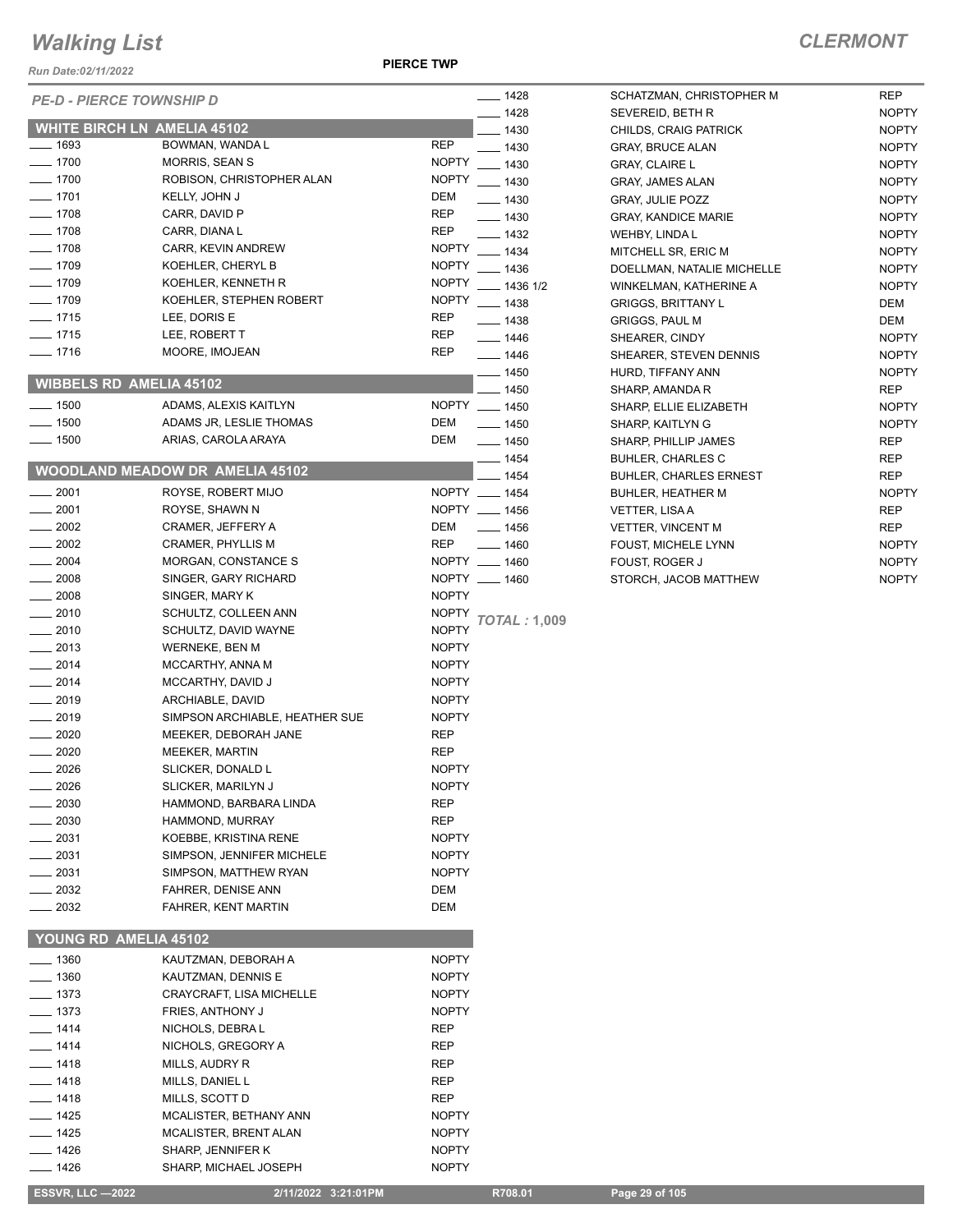*Run Date:02/11/2022*

**PIERCE TWP**

| <b>PE-D - PIERCE TOWNSHIP D</b>                |                                                |                              | $- 1428$            | SCHATZMAN, CI                                   |
|------------------------------------------------|------------------------------------------------|------------------------------|---------------------|-------------------------------------------------|
|                                                |                                                |                              | $- 1428$            | SEVEREID, BETI                                  |
| <b>WHITE BIRCH LN AMELIA 45102</b><br>___ 1693 | BOWMAN, WANDA L                                | <b>REP</b>                   | $- 1430$            | CHILDS, CRAIG                                   |
| $- 1700$                                       | <b>MORRIS, SEAN S</b>                          | <b>NOPTY</b>                 | $- 1430$            | <b>GRAY, BRUCE AI</b>                           |
| $- 1700$                                       | ROBISON, CHRISTOPHER ALAN                      | <b>NOPTY</b>                 | $- 1430$<br>$-1430$ | <b>GRAY, CLAIRE L</b>                           |
| $- 1701$                                       | KELLY, JOHN J                                  | <b>DEM</b>                   | $- 1430$            | <b>GRAY, JAMES AL</b><br><b>GRAY, JULIE PO.</b> |
| $-1708$                                        | CARR, DAVID P                                  | <b>REP</b>                   | $- 1430$            | <b>GRAY, KANDICE</b>                            |
| $- 1708$                                       | CARR, DIANA L                                  | <b>REP</b>                   | __ 1432             | WEHBY, LINDA L                                  |
| $-1708$                                        | CARR, KEVIN ANDREW                             | <b>NOPTY</b>                 | $-1434$             | MITCHELL SR, E                                  |
| $-1709$                                        | KOEHLER, CHERYL B                              | <b>NOPTY</b>                 | $-1436$             | DOELLMAN, NAT                                   |
| $- 1709$                                       | KOEHLER, KENNETH R                             | <b>NOPTY</b>                 | $- 1436$ 1/2        | WINKELMAN, KA                                   |
| $- 1709$                                       | KOEHLER, STEPHEN ROBERT                        | <b>NOPTY</b>                 | $- 1438$            | <b>GRIGGS, BRITTA</b>                           |
| $-1715$                                        | LEE, DORIS E                                   | REP                          | $\frac{1}{2}$ 1438  | <b>GRIGGS, PAUL M</b>                           |
| $=$ 1715                                       | LEE, ROBERT T                                  | REP                          | —— 1446             | SHEARER, CIND                                   |
| ___ 1716                                       | MOORE, IMOJEAN                                 | REP                          | $- 1446$            | SHEARER, STE\                                   |
|                                                |                                                |                              | $-1450$             | HURD, TIFFANY                                   |
| <b>WIBBELS RD AMELIA 45102</b>                 |                                                |                              | $=$ 1450            | SHARP, AMAND/                                   |
| $\equiv$ 1500                                  | ADAMS, ALEXIS KAITLYN                          | NOPTY __ 1450                |                     | SHARP, ELLIE EI                                 |
| $- 1500$                                       | ADAMS JR, LESLIE THOMAS                        | DEM                          | $- 1450$            | SHARP, KAITLYN                                  |
| $- 1500$                                       | ARIAS, CAROLA ARAYA                            | DEM                          | $- 1450$            | SHARP, PHILLIP                                  |
|                                                |                                                |                              | __ 1454             | <b>BUHLER, CHARI</b>                            |
|                                                | <b>WOODLAND MEADOW DR AMELIA 45102</b>         |                              | $=$ 1454            | <b>BUHLER, CHARI</b>                            |
| $-2001$                                        | ROYSE, ROBERT MIJO                             | NOPTY __ 1454                |                     | <b>BUHLER, HEATH</b>                            |
| $-2001$                                        | ROYSE, SHAWN N                                 | NOPTY __ 1456                |                     | <b>VETTER, LISAA</b>                            |
| $-2002$                                        | CRAMER, JEFFERY A                              | DEM                          | $- 1456$            | <b>VETTER, VINCEI</b>                           |
| 2002                                           | CRAMER, PHYLLIS M                              | REP                          | $- 1460$            | <b>FOUST, MICHEL</b>                            |
| $-2004$                                        | MORGAN, CONSTANCE S                            | NOPTY __ 1460                |                     | FOUST, ROGER                                    |
| $-2008$                                        | SINGER, GARY RICHARD                           | NOPTY __ 1460                |                     | STORCH, JACOE                                   |
| $-2008$                                        | SINGER, MARY K                                 | <b>NOPTY</b>                 |                     |                                                 |
| $-2010$<br>$-2010$                             | SCHULTZ, COLLEEN ANN                           | <b>NOPTY</b><br><b>NOPTY</b> | <b>TOTAL: 1,009</b> |                                                 |
| $-2013$                                        | SCHULTZ, DAVID WAYNE<br>WERNEKE, BEN M         | <b>NOPTY</b>                 |                     |                                                 |
| $-2014$                                        | MCCARTHY, ANNA M                               | <b>NOPTY</b>                 |                     |                                                 |
| $-2014$                                        | MCCARTHY, DAVID J                              | <b>NOPTY</b>                 |                     |                                                 |
| $-2019$                                        | ARCHIABLE, DAVID                               | <b>NOPTY</b>                 |                     |                                                 |
| $-2019$                                        | SIMPSON ARCHIABLE, HEATHER SUE                 | <b>NOPTY</b>                 |                     |                                                 |
| $-2020$                                        | MEEKER, DEBORAH JANE                           | REP                          |                     |                                                 |
| 2020                                           | <b>MEEKER, MARTIN</b>                          | REP                          |                     |                                                 |
| 2026                                           | SLICKER, DONALD L                              | <b>NOPTY</b>                 |                     |                                                 |
| 2026                                           | SLICKER, MARILYN J                             | <b>NOPTY</b>                 |                     |                                                 |
| 2030                                           | HAMMOND, BARBARA LINDA                         | REP                          |                     |                                                 |
| 2030                                           | HAMMOND, MURRAY                                | REP                          |                     |                                                 |
| 2031                                           | KOEBBE, KRISTINA RENE                          | <b>NOPTY</b>                 |                     |                                                 |
| 2031                                           | SIMPSON, JENNIFER MICHELE                      | <b>NOPTY</b>                 |                     |                                                 |
| 2031                                           | SIMPSON, MATTHEW RYAN                          | <b>NOPTY</b>                 |                     |                                                 |
| 2032                                           | <b>FAHRER, DENISE ANN</b>                      | DEM                          |                     |                                                 |
| 2032                                           | FAHRER, KENT MARTIN                            | DEM                          |                     |                                                 |
| YOUNG RD AMELIA 45102                          |                                                |                              |                     |                                                 |
|                                                |                                                |                              |                     |                                                 |
| - 1360<br>___ 1360                             | KAUTZMAN, DEBORAH A                            | <b>NOPTY</b>                 |                     |                                                 |
| __ 1373                                        | KAUTZMAN, DENNIS E<br>CRAYCRAFT, LISA MICHELLE | <b>NOPTY</b><br><b>NOPTY</b> |                     |                                                 |
| $-1373$                                        | FRIES, ANTHONY J                               | <b>NOPTY</b>                 |                     |                                                 |
| ___ 1414                                       | NICHOLS, DEBRA L                               | REP                          |                     |                                                 |
| __ 1414                                        | NICHOLS, GREGORY A                             | REP                          |                     |                                                 |
| $-$ 1418                                       | MILLS, AUDRY R                                 | REP                          |                     |                                                 |
| _ 1418                                         | MILLS, DANIEL L                                | REP                          |                     |                                                 |
| _ 1418                                         | MILLS, SCOTT D                                 | REP                          |                     |                                                 |
| $-1425$                                        | MCALISTER, BETHANY ANN                         | <b>NOPTY</b>                 |                     |                                                 |
| - 1425                                         | MCALISTER, BRENT ALAN                          | <b>NOPTY</b>                 |                     |                                                 |
| __ 1426                                        | SHARP, JENNIFER K                              | <b>NOPTY</b>                 |                     |                                                 |
| 1426                                           | SHARP, MICHAEL JOSEPH                          | <b>NOPTY</b>                 |                     |                                                 |
| <b>ESSVR, LLC -2022</b>                        | 2/11/2022 3:21:01PM                            |                              | R708.01             | Page 29 of 105                                  |
|                                                |                                                |                              |                     |                                                 |

| 1428     | SCHATZMAN, CHRISTOPHER M      | <b>REP</b>   |
|----------|-------------------------------|--------------|
| 1428     | SEVEREID, BETH R              | <b>NOPTY</b> |
| 1430     | CHILDS, CRAIG PATRICK         | <b>NOPTY</b> |
| 1430     | <b>GRAY, BRUCE ALAN</b>       | <b>NOPTY</b> |
| 1430     | <b>GRAY, CLAIRE L</b>         | <b>NOPTY</b> |
| 1430     | <b>GRAY. JAMES ALAN</b>       | <b>NOPTY</b> |
| 1430     | <b>GRAY, JULIE POZZ</b>       | <b>NOPTY</b> |
| 1430     | <b>GRAY, KANDICE MARIE</b>    | <b>NOPTY</b> |
| 1432     | WEHBY, LINDA L                | <b>NOPTY</b> |
| 1434     | <b>MITCHELL SR. ERIC M</b>    | <b>NOPTY</b> |
| 1436     | DOELLMAN. NATALIE MICHELLE    | <b>NOPTY</b> |
| 1436 1/2 | WINKELMAN, KATHERINE A        | <b>NOPTY</b> |
| 1438     | <b>GRIGGS, BRITTANY L</b>     | <b>DEM</b>   |
| 1438     | <b>GRIGGS, PAUL M</b>         | <b>DEM</b>   |
| 1446     | SHEARER, CINDY                | <b>NOPTY</b> |
| 1446     | SHEARER, STEVEN DENNIS        | <b>NOPTY</b> |
| 1450     | HURD, TIFFANY ANN             | <b>NOPTY</b> |
| 1450     | SHARP, AMANDA R               | <b>REP</b>   |
| 1450     | SHARP, ELLIE ELIZABETH        | <b>NOPTY</b> |
| 1450     | SHARP, KAITLYN G              | <b>NOPTY</b> |
| 1450     | SHARP, PHILLIP JAMES          | <b>REP</b>   |
| 1454     | <b>BUHLER, CHARLES C</b>      | REP          |
| 1454     | <b>BUHLER, CHARLES ERNEST</b> | <b>REP</b>   |
| 1454     | <b>BUHLER, HEATHER M</b>      | <b>NOPTY</b> |
| 1456     | <b>VETTER, LISAA</b>          | <b>REP</b>   |
| 1456     | <b>VETTER, VINCENT M</b>      | <b>REP</b>   |
| 1460     | FOUST, MICHELE LYNN           | <b>NOPTY</b> |
| 1460     | <b>FOUST, ROGER J</b>         | <b>NOPTY</b> |
| 1460     | STORCH, JACOB MATTHEW         | <b>NOPTY</b> |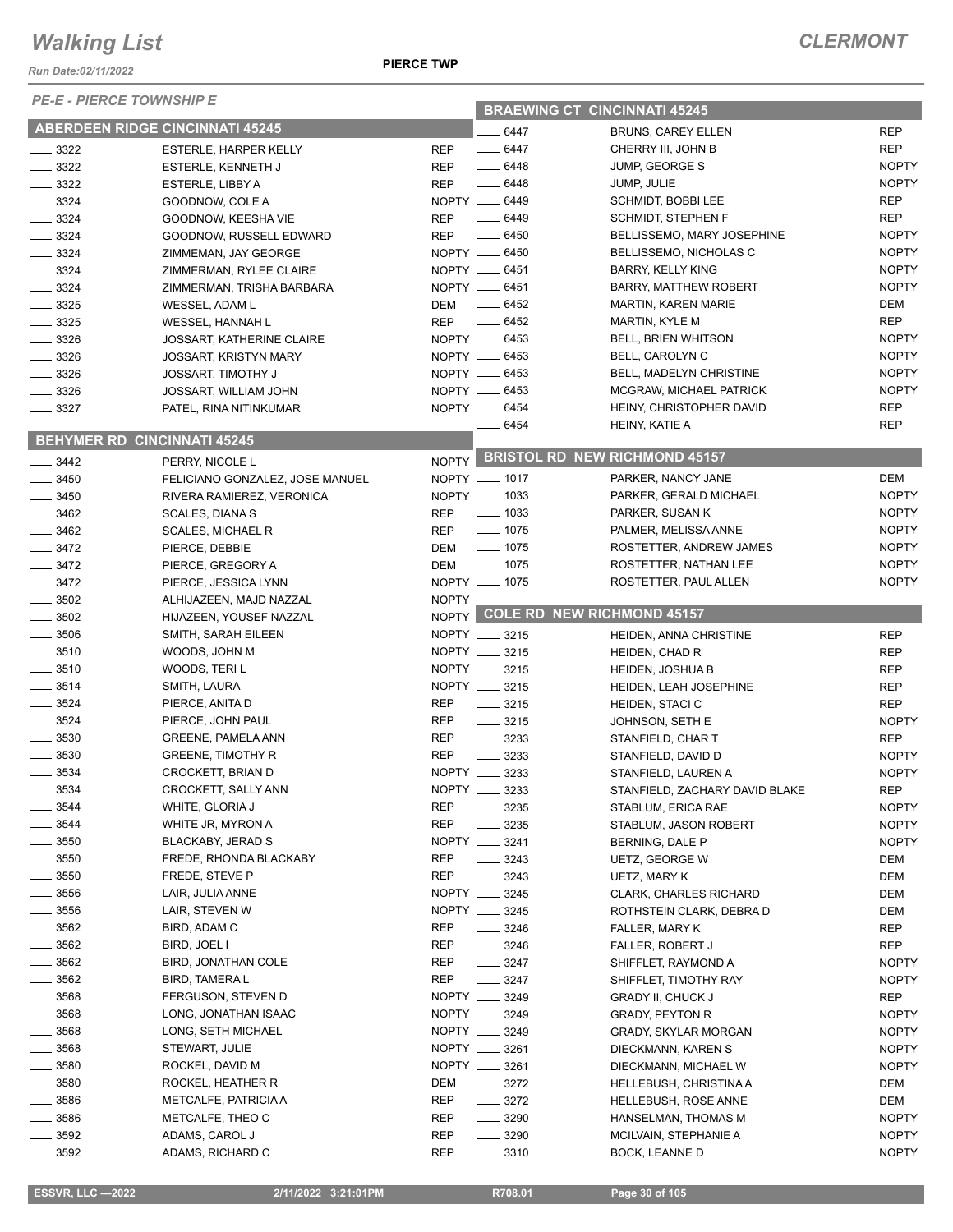*Run Date:02/11/2022*

*PE-E - PIERCE TOWNSHIP E*

| PE-E - PIERUE TOWNSHIP E                 |                                        |              | <b>BRAEWING CT CINCINNATI 45245</b> |                                                   |                              |  |
|------------------------------------------|----------------------------------------|--------------|-------------------------------------|---------------------------------------------------|------------------------------|--|
|                                          | <b>ABERDEEN RIDGE CINCINNATI 45245</b> |              | $-6447$                             | <b>BRUNS, CAREY ELLEN</b>                         | <b>REP</b>                   |  |
| $\frac{1}{2}$ 3322                       | <b>ESTERLE, HARPER KELLY</b>           | <b>REP</b>   | $- 6447$                            | CHERRY III, JOHN B                                | <b>REP</b>                   |  |
| $\frac{3322}{2}$                         | ESTERLE, KENNETH J                     | <b>REP</b>   | $-6448$                             | JUMP, GEORGE S                                    | <b>NOPTY</b>                 |  |
| $\frac{1}{2}$ 3322                       | ESTERLE, LIBBY A                       | <b>REP</b>   | $- 6448$                            | JUMP, JULIE                                       | <b>NOPTY</b>                 |  |
| $\frac{3324}{2}$                         | GOODNOW, COLE A                        |              | NOPTY __ 6449                       | SCHMIDT, BOBBI LEE                                | REP                          |  |
| $\frac{3324}{ }$                         | GOODNOW, KEESHA VIE                    | <b>REP</b>   | $- 6449$                            | <b>SCHMIDT, STEPHEN F</b>                         | <b>REP</b>                   |  |
| $- 3324$                                 | GOODNOW, RUSSELL EDWARD                | <b>REP</b>   | $- 6450$                            | BELLISSEMO, MARY JOSEPHINE                        | <b>NOPTY</b>                 |  |
| $\frac{1}{2}$ 3324                       | ZIMMEMAN, JAY GEORGE                   |              | NOPTY __ 6450                       | BELLISSEMO, NICHOLAS C                            | <b>NOPTY</b>                 |  |
| $\frac{3324}{2}$                         | ZIMMERMAN, RYLEE CLAIRE                |              | NOPTY __ 6451                       | <b>BARRY, KELLY KING</b>                          | <b>NOPTY</b>                 |  |
| $\frac{1}{2}$ 3324                       | ZIMMERMAN, TRISHA BARBARA              |              | NOPTY __ 6451                       | <b>BARRY, MATTHEW ROBERT</b>                      | <b>NOPTY</b>                 |  |
| $\frac{1}{2}$ 3325                       | WESSEL, ADAM L                         | DEM          | $\frac{1}{2}$ 6452                  | <b>MARTIN, KAREN MARIE</b>                        | DEM                          |  |
| $- 3325$                                 | WESSEL, HANNAH L                       | <b>REP</b>   | $-6452$                             | <b>MARTIN, KYLE M</b>                             | <b>REP</b>                   |  |
| $\frac{3326}{2}$                         | <b>JOSSART, KATHERINE CLAIRE</b>       |              | NOPTY __ 6453                       | BELL, BRIEN WHITSON                               | <b>NOPTY</b>                 |  |
| $- 3326$                                 | <b>JOSSART, KRISTYN MARY</b>           |              | NOPTY __ 6453                       | BELL, CAROLYN C                                   | <b>NOPTY</b>                 |  |
| $\frac{1}{2}$ 3326                       | <b>JOSSART, TIMOTHY J</b>              |              | NOPTY __ 6453                       | BELL, MADELYN CHRISTINE                           | <b>NOPTY</b>                 |  |
| $- 3326$                                 | JOSSART, WILLIAM JOHN                  |              | NOPTY __ 6453                       | MCGRAW, MICHAEL PATRICK                           | <b>NOPTY</b>                 |  |
| $\frac{1}{2}$ 3327                       | PATEL, RINA NITINKUMAR                 |              | NOPTY __ 6454                       | HEINY, CHRISTOPHER DAVID                          | REP                          |  |
|                                          |                                        |              | __ 6454                             | HEINY, KATIE A                                    | <b>REP</b>                   |  |
|                                          | <b>BEHYMER RD CINCINNATI 45245</b>     |              |                                     | NOPTY BRISTOL RD NEW RICHMOND 45157               |                              |  |
| $\frac{1}{2}$ 3442                       | PERRY, NICOLE L                        |              |                                     |                                                   |                              |  |
| $- 3450$                                 | FELICIANO GONZALEZ, JOSE MANUEL        |              | NOPTY __ 1017                       | PARKER, NANCY JANE                                | DEM                          |  |
| $\frac{1}{2}$ 3450                       | RIVERA RAMIEREZ, VERONICA              |              | NOPTY __ 1033                       | PARKER, GERALD MICHAEL                            | <b>NOPTY</b>                 |  |
| $\frac{1}{2}$ 3462                       | <b>SCALES, DIANA S</b>                 | REP          | $\frac{1}{2}$ 1033                  | PARKER, SUSAN K                                   | <b>NOPTY</b>                 |  |
| $\frac{1}{2}$ 3462                       | <b>SCALES, MICHAEL R</b>               | REP          | $- 1075$                            | PALMER, MELISSA ANNE                              | <b>NOPTY</b>                 |  |
| $- 3472$                                 | PIERCE, DEBBIE                         | <b>DEM</b>   | $- 1075$<br>$- 1075$                | ROSTETTER, ANDREW JAMES                           | <b>NOPTY</b>                 |  |
| $\frac{3472}{2}$                         | PIERCE, GREGORY A                      | DEM          | NOPTY __ 1075                       | ROSTETTER, NATHAN LEE                             | <b>NOPTY</b><br><b>NOPTY</b> |  |
| $- 3472$                                 | PIERCE, JESSICA LYNN                   | <b>NOPTY</b> |                                     | ROSTETTER, PAUL ALLEN                             |                              |  |
| $\frac{1}{2}$ 3502<br>$\frac{1}{2}$ 3502 | ALHIJAZEEN, MAJD NAZZAL                |              |                                     | NOPTY COLE RD NEW RICHMOND 45157                  |                              |  |
| $\frac{1}{2}$ 3506                       | HIJAZEEN, YOUSEF NAZZAL                |              | NOPTY __ 3215                       |                                                   |                              |  |
| $\frac{1}{2}$ 3510                       | SMITH, SARAH EILEEN                    |              | NOPTY __ 3215                       | HEIDEN, ANNA CHRISTINE                            | <b>REP</b>                   |  |
| $\frac{1}{2}$ 3510                       | WOODS, JOHN M<br>WOODS, TERI L         |              | NOPTY __ 3215                       | HEIDEN, CHAD R                                    | <b>REP</b><br><b>REP</b>     |  |
| $\frac{1}{2}$ 3514                       | SMITH, LAURA                           |              | NOPTY __ 3215                       | <b>HEIDEN, JOSHUA B</b><br>HEIDEN, LEAH JOSEPHINE | <b>REP</b>                   |  |
| $- 3524$                                 | PIERCE, ANITA D                        | <b>REP</b>   | $\frac{1}{2}$ 3215                  | HEIDEN, STACI C                                   | <b>REP</b>                   |  |
| $- 3524$                                 | PIERCE, JOHN PAUL                      | <b>REP</b>   | $\frac{1}{2}$ 3215                  | JOHNSON, SETH E                                   | <b>NOPTY</b>                 |  |
| $\frac{1}{2}$ 3530                       | <b>GREENE, PAMELA ANN</b>              | <b>REP</b>   | $\frac{1}{2}$ 3233                  | STANFIELD, CHAR T                                 | <b>REP</b>                   |  |
| $\frac{1}{2}$ 3530                       | <b>GREENE, TIMOTHY R</b>               | <b>REP</b>   | $\frac{1}{2}$ 3233                  | STANFIELD, DAVID D                                | <b>NOPTY</b>                 |  |
| 3534                                     | CROCKETT, BRIAN D                      |              | NOPTY __ 3233                       | STANFIELD, LAUREN A                               | <b>NOPTY</b>                 |  |
| $-3534$                                  | CROCKETT, SALLY ANN                    |              | NOPTY __ 3233                       | STANFIELD, ZACHARY DAVID BLAKE                    | <b>REP</b>                   |  |
| _ 3544                                   | WHITE, GLORIA J                        | REP          | $- 3235$                            | STABLUM, ERICA RAE                                | <b>NOPTY</b>                 |  |
| $-3544$                                  | WHITE JR, MYRON A                      | <b>REP</b>   | 3235                                | STABLUM, JASON ROBERT                             | <b>NOPTY</b>                 |  |
| $\frac{1}{2}$ 3550                       | BLACKABY, JERAD S                      |              | NOPTY __ 3241                       | BERNING, DALE P                                   | <b>NOPTY</b>                 |  |
| $\frac{1}{2}$ 3550                       | FREDE, RHONDA BLACKABY                 | REP          | $- 3243$                            | UETZ, GEORGE W                                    | DEM                          |  |
| $=$ 3550                                 | FREDE, STEVE P                         | REP          | $- 3243$                            | UETZ, MARY K                                      | DEM                          |  |
| $\frac{1}{2}$ 3556                       | LAIR, JULIA ANNE                       |              | NOPTY __ 3245                       | <b>CLARK, CHARLES RICHARD</b>                     | DEM                          |  |
| $=$ 3556                                 | LAIR, STEVEN W                         |              | NOPTY __ 3245                       | ROTHSTEIN CLARK, DEBRA D                          | DEM                          |  |
| $\frac{1}{2}$ 3562                       | BIRD, ADAM C                           | REP          | $- 3246$                            | FALLER, MARY K                                    | REP                          |  |
| $\frac{1}{2}$ 3562                       | BIRD, JOEL I                           | REP          | $\frac{3246}{5}$                    | FALLER, ROBERT J                                  | REP                          |  |
| $- 3562$                                 | BIRD, JONATHAN COLE                    | REP          | $- 3247$                            | SHIFFLET, RAYMOND A                               | <b>NOPTY</b>                 |  |
| $- 3562$                                 | <b>BIRD, TAMERAL</b>                   | REP          | $- 3247$                            | SHIFFLET, TIMOTHY RAY                             | <b>NOPTY</b>                 |  |
| $= 3568$                                 | FERGUSON, STEVEN D                     |              | NOPTY __ 3249                       | <b>GRADY II, CHUCK J</b>                          | REP                          |  |
| _ 3568                                   | LONG, JONATHAN ISAAC                   |              | NOPTY __ 3249                       | <b>GRADY, PEYTON R</b>                            | <b>NOPTY</b>                 |  |
| $-3568$                                  | LONG, SETH MICHAEL                     |              | NOPTY __ 3249                       | GRADY, SKYLAR MORGAN                              | <b>NOPTY</b>                 |  |
| _ 3568                                   | STEWART, JULIE                         |              | NOPTY __ 3261                       | DIECKMANN, KAREN S                                | <b>NOPTY</b>                 |  |
| $-3580$                                  | ROCKEL, DAVID M                        |              | NOPTY __ 3261                       | DIECKMANN, MICHAEL W                              | <b>NOPTY</b>                 |  |
| $\frac{1}{2}$ 3580                       | ROCKEL, HEATHER R                      | DEM          | $\frac{3272}{ }$                    | HELLEBUSH, CHRISTINA A                            | DEM                          |  |
| ____ 3586                                | METCALFE, PATRICIA A                   | REP          | $- 3272$                            | <b>HELLEBUSH, ROSE ANNE</b>                       | DEM                          |  |
| $-3586$                                  | METCALFE, THEO C                       | REP          | $\frac{1}{2}$ 3290                  | HANSELMAN, THOMAS M                               | <b>NOPTY</b>                 |  |
| $-3592$                                  | ADAMS, CAROL J                         | REP          | $\frac{1}{2}$ 3290                  | MCILVAIN, STEPHANIE A                             | <b>NOPTY</b>                 |  |
| 3592                                     | ADAMS, RICHARD C                       | REP          | 3310                                | BOCK, LEANNE D                                    | <b>NOPTY</b>                 |  |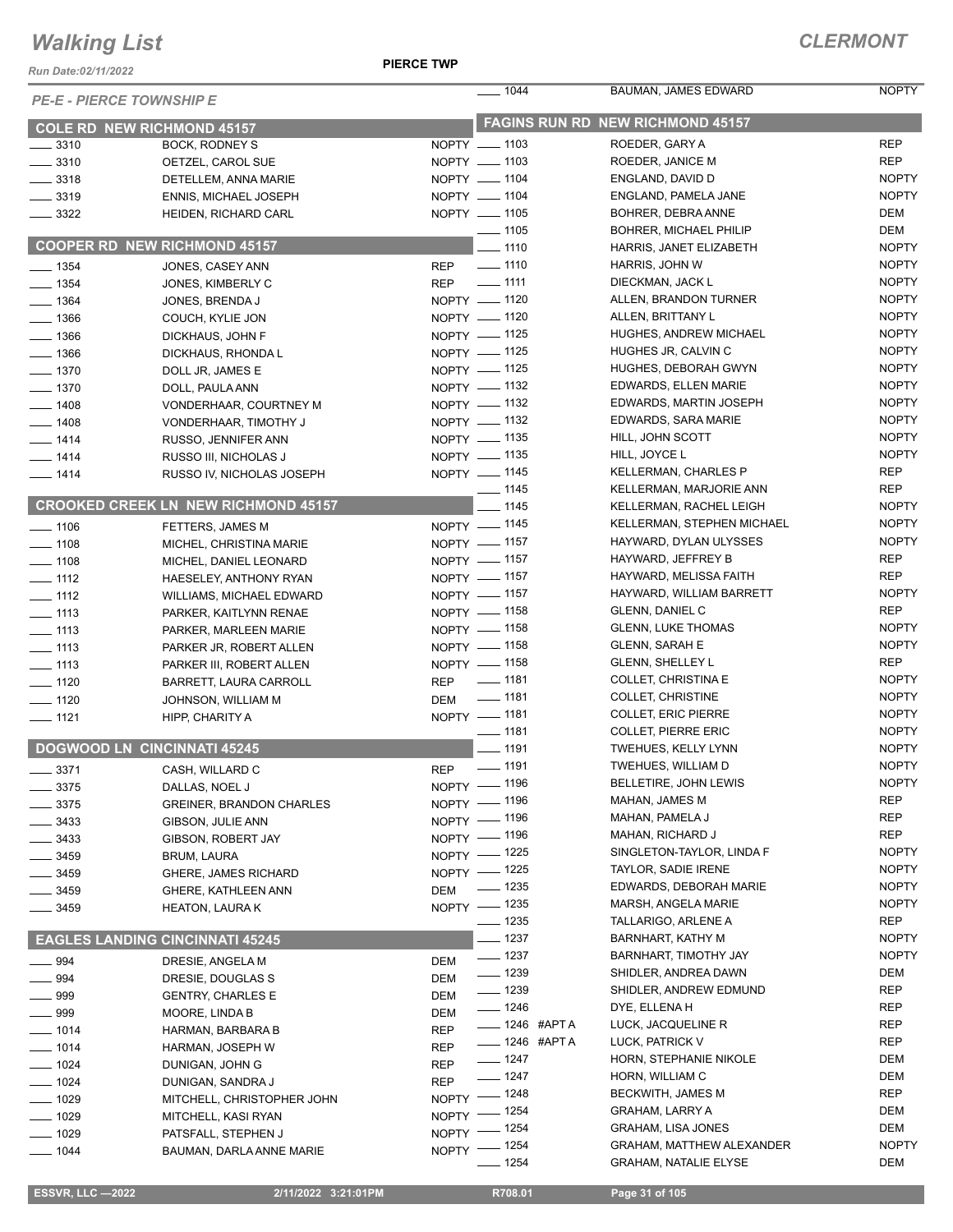*Run Date:02/11/2022*

#### **PIERCE TWP**

| <b>PE-E - PIERCE TOWNSHIP E</b>    |                                                   |            | $\frac{1}{2}$ 1044                      | BAUMAN, JAMES EDWARD                             | <b>NOPTY</b>                 |  |
|------------------------------------|---------------------------------------------------|------------|-----------------------------------------|--------------------------------------------------|------------------------------|--|
| <b>COLE RD NEW RICHMOND 45157</b>  |                                                   |            | <b>FAGINS RUN RD NEW RICHMOND 45157</b> |                                                  |                              |  |
| $\frac{1}{2}$ 3310                 | BOCK, RODNEY S                                    |            | NOPTY __ 1103                           | ROEDER, GARY A                                   | <b>REP</b>                   |  |
| $\frac{1}{2}$ 3310                 | OETZEL, CAROL SUE                                 |            | NOPTY __ 1103                           | ROEDER, JANICE M                                 | <b>REP</b>                   |  |
| $\frac{3318}{2}$                   | DETELLEM, ANNA MARIE                              |            | NOPTY __ 1104                           | ENGLAND, DAVID D                                 | <b>NOPTY</b>                 |  |
| $\frac{1}{2}$ 3319                 | <b>ENNIS, MICHAEL JOSEPH</b>                      |            | NOPTY __ 1104                           | ENGLAND, PAMELA JANE                             | <b>NOPTY</b>                 |  |
| $\frac{3322}{2}$                   | HEIDEN, RICHARD CARL                              |            | NOPTY __ 1105                           | BOHRER, DEBRA ANNE                               | DEM                          |  |
|                                    |                                                   |            | $- 1105$                                | BOHRER, MICHAEL PHILIP                           | DEM                          |  |
|                                    | <b>COOPER RD NEW RICHMOND 45157</b>               |            | $\frac{1}{110}$                         | HARRIS, JANET ELIZABETH                          | <b>NOPTY</b>                 |  |
| $- 1354$                           | JONES, CASEY ANN                                  | <b>REP</b> | $\frac{1}{2}$ 1110                      | HARRIS, JOHN W                                   | <b>NOPTY</b>                 |  |
| $- 1354$                           | JONES, KIMBERLY C                                 |            | REP - 1111                              | DIECKMAN, JACK L                                 | <b>NOPTY</b>                 |  |
| $-1364$                            | JONES, BRENDA J                                   |            | NOPTY - 1120                            | ALLEN, BRANDON TURNER                            | <b>NOPTY</b>                 |  |
| $- 1366$                           | COUCH, KYLIE JON                                  |            | NOPTY - 1120                            | ALLEN, BRITTANY L                                | <b>NOPTY</b>                 |  |
| $- 1366$                           | DICKHAUS, JOHN F                                  |            | NOPTY -1125                             | HUGHES, ANDREW MICHAEL                           | <b>NOPTY</b>                 |  |
| $\frac{1}{2}$ 1366                 | DICKHAUS, RHONDA L                                |            | NOPTY - 1125                            | HUGHES JR, CALVIN C                              | <b>NOPTY</b>                 |  |
| $- 1370$                           | DOLL JR, JAMES E                                  |            | NOPTY - 1125                            | HUGHES, DEBORAH GWYN                             | <b>NOPTY</b>                 |  |
| $- 1370$                           | DOLL, PAULA ANN                                   |            | NOPTY - 1132                            | EDWARDS, ELLEN MARIE                             | <b>NOPTY</b>                 |  |
| $- 1408$                           | VONDERHAAR, COURTNEY M                            |            | NOPTY - 1132                            | EDWARDS, MARTIN JOSEPH                           | <b>NOPTY</b>                 |  |
| $- 1408$                           | VONDERHAAR, TIMOTHY J                             |            | NOPTY - 1132                            | EDWARDS, SARA MARIE                              | <b>NOPTY</b>                 |  |
| $- 1414$                           | RUSSO, JENNIFER ANN                               |            | NOPTY - 1135                            | HILL, JOHN SCOTT                                 | <b>NOPTY</b>                 |  |
| $- 1414$                           | RUSSO III, NICHOLAS J                             |            | NOPTY - 1135                            | HILL, JOYCE L                                    | <b>NOPTY</b>                 |  |
| $- 1414$                           | RUSSO IV, NICHOLAS JOSEPH                         |            | NOPTY - 1145                            | <b>KELLERMAN, CHARLES P</b>                      | <b>REP</b>                   |  |
|                                    |                                                   |            | $- 1145$                                | KELLERMAN, MARJORIE ANN                          | <b>REP</b>                   |  |
|                                    | <b>CROOKED CREEK LN NEW RICHMOND 45157</b>        |            | $- 1145$                                | KELLERMAN, RACHEL LEIGH                          | <b>NOPTY</b>                 |  |
| $\frac{1}{2}$ 1106                 | FETTERS, JAMES M                                  |            | NOPTY - 1145                            | KELLERMAN, STEPHEN MICHAEL                       | <b>NOPTY</b>                 |  |
| $- 1108$                           | MICHEL, CHRISTINA MARIE                           |            | NOPTY - 1157                            | HAYWARD, DYLAN ULYSSES                           | <b>NOPTY</b>                 |  |
| $- 1108$                           | MICHEL, DANIEL LEONARD                            |            | NOPTY -1157                             | HAYWARD, JEFFREY B                               | REP                          |  |
| $\frac{1}{2}$ 1112                 | HAESELEY, ANTHONY RYAN                            |            | NOPTY - 1157                            | HAYWARD, MELISSA FAITH                           | <b>REP</b>                   |  |
| $- 1112$                           | WILLIAMS, MICHAEL EDWARD                          |            | NOPTY - 1157                            | HAYWARD, WILLIAM BARRETT                         | <b>NOPTY</b>                 |  |
| $\frac{1}{2}$ 1113                 | PARKER, KAITLYNN RENAE                            |            | NOPTY - 1158                            | GLENN, DANIEL C                                  | <b>REP</b>                   |  |
| $- 1113$                           | PARKER, MARLEEN MARIE                             |            | NOPTY - 1158                            | <b>GLENN, LUKE THOMAS</b>                        | <b>NOPTY</b><br><b>NOPTY</b> |  |
| $\frac{1}{2}$ 1113                 | PARKER JR, ROBERT ALLEN                           |            | NOPTY - 1158<br>NOPTY - 1158            | <b>GLENN, SARAH E</b><br><b>GLENN, SHELLEY L</b> | REP                          |  |
| $- 1113$                           | PARKER III, ROBERT ALLEN                          |            | REP - 1181                              | COLLET, CHRISTINA E                              | <b>NOPTY</b>                 |  |
| $- 1120$                           | BARRETT, LAURA CARROLL                            |            | $\frac{1}{2}$ 1181                      | COLLET, CHRISTINE                                | <b>NOPTY</b>                 |  |
| $\frac{1}{2}$ 1120                 | JOHNSON, WILLIAM M                                | <b>DEM</b> | NOPTY - 1181                            | <b>COLLET, ERIC PIERRE</b>                       | <b>NOPTY</b>                 |  |
| $- 1121$                           | HIPP, CHARITY A                                   |            | $- 1181$                                | <b>COLLET, PIERRE ERIC</b>                       | <b>NOPTY</b>                 |  |
| <b>DOGWOOD LN CINCINNATI 45245</b> |                                                   |            | $\frac{1}{2}$ 1191                      | TWEHUES, KELLY LYNN                              | <b>NOPTY</b>                 |  |
|                                    |                                                   | <b>REP</b> | $\frac{1}{2}$ 1191                      | TWEHUES, WILLIAM D                               | <b>NOPTY</b>                 |  |
| $\frac{1}{2}$ 3371                 | CASH, WILLARD C                                   |            | NOPTY - 1196                            | BELLETIRE, JOHN LEWIS                            | <b>NOPTY</b>                 |  |
| $\frac{1}{2}$ 3375                 | DALLAS, NOEL J<br><b>GREINER, BRANDON CHARLES</b> |            | NOPTY - 1196                            | MAHAN, JAMES M                                   | <b>REP</b>                   |  |
| $\frac{1}{2}$ 3375                 | GIBSON, JULIE ANN                                 |            | NOPTY - 1196                            | MAHAN, PAMELA J                                  | <b>REP</b>                   |  |
| __ 3433<br>__ 3433                 | GIBSON, ROBERT JAY                                |            | NOPTY - 1196                            | MAHAN, RICHARD J                                 | <b>REP</b>                   |  |
| _ 3459                             | BRUM, LAURA                                       |            | NOPTY - 1225                            | SINGLETON-TAYLOR, LINDA F                        | <b>NOPTY</b>                 |  |
| __ 3459                            | <b>GHERE, JAMES RICHARD</b>                       |            | NOPTY - 1225                            | <b>TAYLOR, SADIE IRENE</b>                       | <b>NOPTY</b>                 |  |
| 3459                               | GHERE, KATHLEEN ANN                               | <b>DEM</b> | $- 1235$                                | EDWARDS, DEBORAH MARIE                           | <b>NOPTY</b>                 |  |
| 3459                               | <b>HEATON, LAURAK</b>                             |            | NOPTY - 1235                            | MARSH, ANGELA MARIE                              | <b>NOPTY</b>                 |  |
|                                    |                                                   |            | $- 1235$                                | TALLARIGO, ARLENE A                              | REP                          |  |
|                                    | <b>EAGLES LANDING CINCINNATI 45245</b>            |            | —— 1237                                 | BARNHART, KATHY M                                | <b>NOPTY</b>                 |  |
| $-994$                             | DRESIE, ANGELA M                                  | DEM        | $- 1237$                                | BARNHART, TIMOTHY JAY                            | <b>NOPTY</b>                 |  |
| $\frac{1}{2}$ 994                  | DRESIE, DOUGLAS S                                 | <b>DEM</b> | $- 1239$                                | SHIDLER, ANDREA DAWN                             | DEM                          |  |
| $\_\_$ 999                         | <b>GENTRY, CHARLES E</b>                          | DEM        | $\frac{1}{2}$ 1239                      | SHIDLER, ANDREW EDMUND                           | <b>REP</b>                   |  |
| __ 999                             | MOORE, LINDA B                                    | DEM        | $- 1246$                                | DYE, ELLENA H                                    | REP                          |  |
| $- 1014$                           | HARMAN, BARBARA B                                 | REP        | <b>______ 1246 #APT A</b>               | LUCK, JACQUELINE R                               | REP                          |  |
| $- 1014$                           | HARMAN, JOSEPH W                                  | REP        | <b>_____ 1246 #APT A</b>                | LUCK, PATRICK V                                  | REP                          |  |
| $- 1024$                           | DUNIGAN, JOHN G                                   | REP        | $- 1247$                                | HORN, STEPHANIE NIKOLE                           | DEM                          |  |
| $- 1024$                           | DUNIGAN, SANDRA J                                 | <b>REP</b> | $- 1247$                                | HORN, WILLIAM C                                  | DEM                          |  |
| $- 1029$                           | MITCHELL, CHRISTOPHER JOHN                        |            | NOPTY - 1248                            | BECKWITH, JAMES M                                | <b>REP</b>                   |  |
| $\frac{1}{2}$ 1029                 | MITCHELL, KASI RYAN                               | $NOPTY =$  | _ 1254                                  | <b>GRAHAM, LARRY A</b>                           | DEM                          |  |
| $-1029$                            | PATSFALL, STEPHEN J                               |            | NOPTY - 1254                            | GRAHAM, LISA JONES                               | DEM                          |  |
| $- 1044$                           | BAUMAN, DARLA ANNE MARIE                          |            | NOPTY - 1254                            | GRAHAM, MATTHEW ALEXANDER                        | <b>NOPTY</b>                 |  |
|                                    |                                                   |            | - 1254                                  | <b>GRAHAM, NATALIE ELYSE</b>                     | DEM                          |  |

 **ESSVR, LLC —2022 2/11/2022 3:21:01PM R708.01 Page 31 of 105**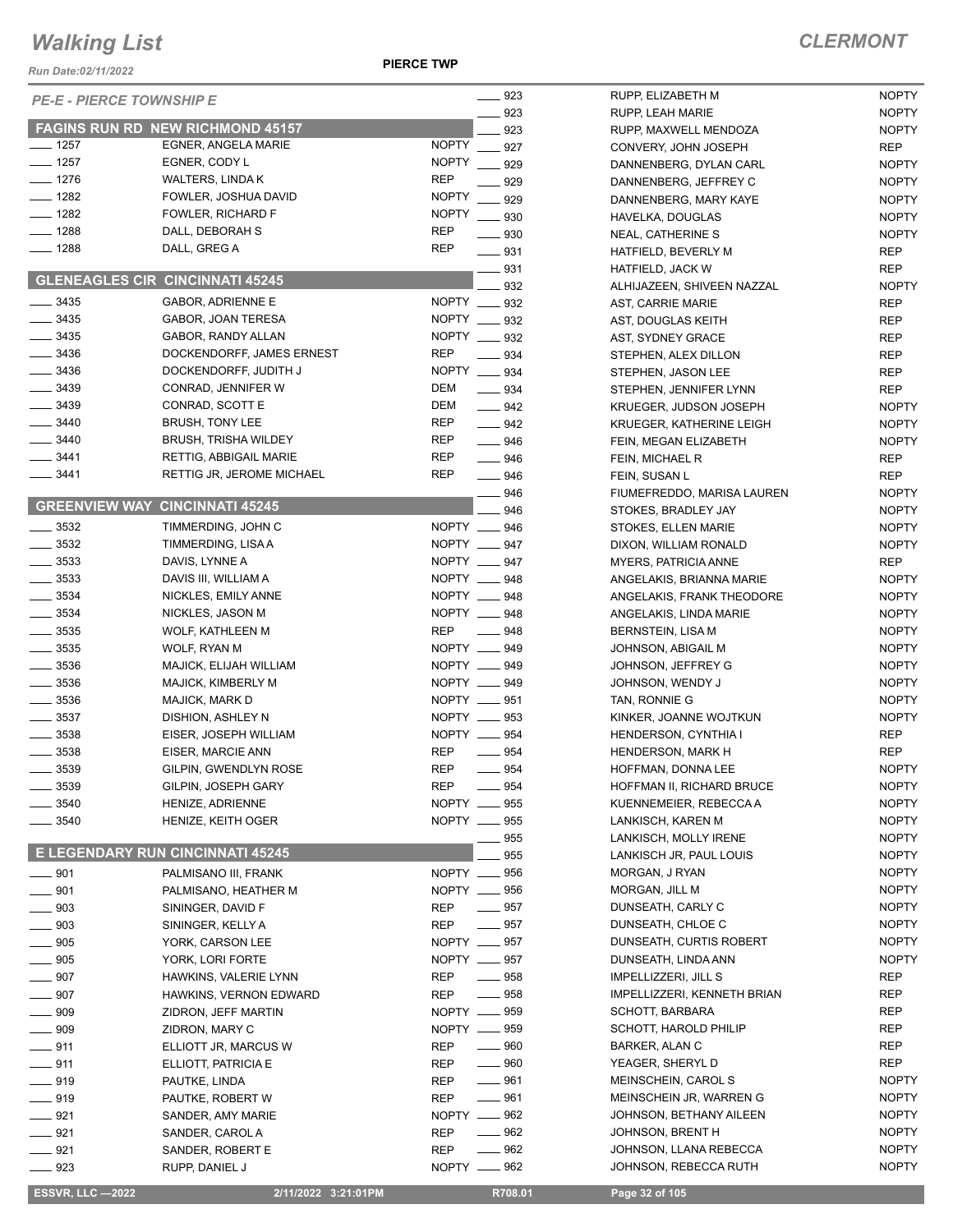**PIERCE TWP**

| Run Date:02/11/2022       |                                            | <b>PIERCE TWP</b>            |                     |                                    |
|---------------------------|--------------------------------------------|------------------------------|---------------------|------------------------------------|
|                           | <b>PE-E - PIERCE TOWNSHIP E</b>            |                              | _ 923               | RUPP, EL                           |
|                           |                                            |                              | $-923$              | RUPP, LE                           |
|                           | <b>FAGINS RUN RD NEW RICHMOND 45157</b>    |                              | 923                 | RUPP, M/                           |
| $-1257$                   | EGNER, ANGELA MARIE                        | <b>NOPTY</b><br><b>NOPTY</b> | 927                 | <b>CONVER</b>                      |
| $- 1257$<br>$- 1276$      | EGNER, CODY L                              | <b>REP</b>                   | 929                 | <b>DANNEN</b>                      |
| $- 1282$                  | WALTERS, LINDA K<br>FOWLER, JOSHUA DAVID   | <b>NOPTY</b>                 | 929                 | <b>DANNEN</b>                      |
| $- 1282$                  | FOWLER, RICHARD F                          | <b>NOPTY</b>                 | 929                 | <b>DANNEN</b>                      |
| ___ 1288                  | DALL, DEBORAH S                            | <b>REP</b>                   | 930                 | <b>HAVELKA</b>                     |
| $- 1288$                  | DALL, GREG A                               | <b>REP</b>                   | 930                 | NEAL, CA                           |
|                           |                                            |                              | $\equiv$ 931<br>931 | <b>HATFIELD</b><br><b>HATFIELI</b> |
|                           | <b>GLENEAGLES CIR CINCINNATI 45245</b>     |                              | 932                 | ALHIJAZE                           |
| $- 3435$                  | <b>GABOR, ADRIENNE E</b>                   | <b>NOPTY</b>                 | 932                 | AST, CAF                           |
| $- 3435$                  | GABOR, JOAN TERESA                         | <b>NOPTY</b>                 | $=932$              | AST, DOL                           |
| $- 3435$                  | GABOR, RANDY ALLAN                         | <b>NOPTY</b>                 | 932                 | AST, SYD                           |
| $- 3436$                  | DOCKENDORFF, JAMES ERNEST                  | <b>REP</b>                   | 934                 | <b>STEPHEN</b>                     |
| ____ 3436                 | DOCKENDORFF, JUDITH J                      | <b>NOPTY</b>                 | $\frac{1}{2}$ 934   | <b>STEPHEN</b>                     |
| _ 3439                    | CONRAD, JENNIFER W                         | DEM                          | $-934$              | <b>STEPHEN</b>                     |
| $-$ 3439                  | CONRAD, SCOTT E                            | DEM                          | _ 942               | <b>KRUEGE</b>                      |
| $-3440$                   | <b>BRUSH, TONY LEE</b>                     | REP                          | $-942$              | <b>KRUEGE</b>                      |
| $-3440$                   | <b>BRUSH, TRISHA WILDEY</b>                | REP                          | $-946$              | FEIN, ME                           |
| ____ 3441                 | RETTIG, ABBIGAIL MARIE                     | REP                          | $\frac{1}{2}$ 946   | FEIN, MIC                          |
| ___ 3441                  | RETTIG JR, JEROME MICHAEL                  | REP                          | 946                 | FEIN, SU                           |
|                           |                                            |                              | 946                 | <b>FIUMEFR</b>                     |
|                           | <b>GREENVIEW WAY CINCINNATI 45245</b>      |                              | 946                 | STOKES,                            |
| $-3532$                   | TIMMERDING, JOHN C                         | NOPTY __ 946                 |                     | STOKES,                            |
| $\frac{1}{2}$ 3532        | TIMMERDING, LISA A                         | NOPTY __ 947                 |                     | DIXON, V                           |
| $\frac{1}{2}$ 3533        | DAVIS, LYNNE A                             | NOPTY __ 947                 |                     | MYERS, I                           |
| $- 3533$                  | DAVIS III, WILLIAM A                       | NOPTY __ 948                 |                     | ANGELAI                            |
| $\equiv$ 3534             | NICKLES, EMILY ANNE                        | NOPTY __ 948                 |                     | ANGELAI                            |
| $- 3534$                  | NICKLES, JASON M                           | NOPTY _                      | ___ 948             | ANGELAI                            |
| $=$ 3535                  | WOLF, KATHLEEN M                           | <b>REP</b>                   | $-948$              | <b>BERNSTI</b>                     |
| $\frac{1}{2}$ 3535        | WOLF, RYAN M                               | <b>NOPTY</b>                 | 949                 | <b>JOHNSO</b>                      |
| $-3536$                   | MAJICK, ELIJAH WILLIAM                     | NOPTY __ 949                 |                     | <b>JOHNSO</b>                      |
| $\frac{1}{2}$ 3536        | MAJICK, KIMBERLY M                         | NOPTY __ 949                 |                     | <b>JOHNSO</b>                      |
| $- 3536$                  | MAJICK, MARK D                             | NOPTY __ 951                 |                     | TAN, RON                           |
| $\equiv$ 3537<br>$- 3538$ | DISHION, ASHLEY N<br>EISER, JOSEPH WILLIAM | NOPTY __ 953<br><b>NOPTY</b> |                     | KINKER,                            |
| - 3538                    | EISER, MARCIE ANN                          | <b>REP</b>                   | $-954$<br>$-954$    | <b>HENDER</b><br><b>HENDER</b>     |
| _ 3539                    | GILPIN, GWENDLYN ROSE                      | REP                          | $\equiv$ 954        | <b>HOFFMA</b>                      |
| 3539                      | GILPIN, JOSEPH GARY                        | REP                          | 954                 | <b>HOFFMA</b>                      |
| . 3540                    | HENIZE, ADRIENNE                           | NOPTY __ 955                 |                     | <b>KUENNEI</b>                     |
| $-3540$                   | HENIZE, KEITH OGER                         | <b>NOPTY</b>                 | 955                 | LANKISC                            |
|                           |                                            |                              | 955                 | LANKISC                            |
|                           | E LEGENDARY RUN CINCINNATI 45245           |                              | 955                 | LANKISC                            |
| ___ 901                   | PALMISANO III, FRANK                       | NOPTY __ 956                 |                     | <b>MORGAN</b>                      |
| $- 901$                   | PALMISANO, HEATHER M                       | NOPTY __ 956                 |                     | <b>MORGAN</b>                      |
| ____ 903                  | SININGER, DAVID F                          | REP                          | $- 957$             | <b>DUNSEA</b>                      |
| $-903$                    | SININGER, KELLY A                          | <b>REP</b>                   | $-957$              | <b>DUNSEA</b>                      |
| $\equiv$ 905              | YORK, CARSON LEE                           | NOPTY __ 957                 |                     | <b>DUNSEA</b>                      |
| $\equiv$ 905              | YORK, LORI FORTE                           | NOPTY _                      | $-957$              | <b>DUNSEA</b>                      |
| $-907$                    | HAWKINS, VALERIE LYNN                      | <b>REP</b>                   | $\_\_$ 958          | <b>IMPELLIZ</b>                    |
| $=907$                    | HAWKINS, VERNON EDWARD                     | REP                          | $= 958$             | <b>IMPELLIZ</b>                    |
| $-909$                    | ZIDRON, JEFF MARTIN                        | NOPTY __ 959                 |                     | SCHOTT,                            |
| $-909$                    | ZIDRON, MARY C                             | NOPTY __ 959                 |                     | SCHOTT,                            |
| $- 911$                   | ELLIOTT JR, MARCUS W                       | REP                          | $- 960$             | BARKER,                            |
| $- 911$                   | ELLIOTT, PATRICIA E                        | REP                          | $- 960$             | YEAGER,                            |
| ____ 919                  | PAUTKE, LINDA                              | REP                          | ____ 961            | <b>MEINSCH</b>                     |
| ___ 919                   | PAUTKE, ROBERT W                           | REP                          | $-961$              | <b>MEINSCH</b>                     |
| ___ 921                   | SANDER, AMY MARIE                          | NOPTY __ 962                 |                     | <b>JOHNSO</b>                      |
| ____ 921                  | SANDER, CAROL A                            | REP                          | $-962$              | <b>JOHNSO</b>                      |
| __ 921                    | SANDER, ROBERT E                           | REP                          | ____ 962            | <b>JOHNSO</b>                      |
| __ 923                    | RUPP, DANIEL J                             | NOPTY .                      | 962                 | <b>JOHNSO</b>                      |
|                           |                                            |                              |                     |                                    |

| 923        | RUPP, ELIZABETH M                      | <b>NOPTY</b>          |
|------------|----------------------------------------|-----------------------|
| 923        | RUPP, LEAH MARIE                       | <b>NOPTY</b>          |
| 923        | RUPP, MAXWELL MENDOZA                  | NOPTY                 |
| 927        | CONVERY, JOHN JOSEPH                   | REP                   |
| 929        | DANNENBERG, DYLAN CARL                 | <b>NOPTY</b>          |
| 929        | DANNENBERG. JEFFREY C                  | <b>NOPTY</b>          |
| 929        | DANNENBERG, MARY KAYE                  | <b>NOPTY</b>          |
| 930        | HAVELKA, DOUGLAS                       | <b>NOPTY</b>          |
| 930        | NEAL, CATHERINE S                      | <b>NOPTY</b>          |
| 931        | HATFIELD, BEVERLY M                    | REP                   |
| 931        | <b>HATFIELD, JACK W</b>                | REP                   |
| 932        | ALHIJAZEEN, SHIVEEN NAZZAL             | <b>NOPTY</b>          |
| 932        | <b>AST, CARRIE MARIE</b>               | REP                   |
| 932        | AST, DOUGLAS KEITH                     | <b>REP</b>            |
| 932        | AST, SYDNEY GRACE                      | <b>REP</b>            |
| 934        | STEPHEN, ALEX DILLON                   | REP                   |
| 934        | STEPHEN, JASON LEE                     | REP                   |
| 934        | STEPHEN. JENNIFER LYNN                 | REP                   |
| 942        | KRUEGER, JUDSON JOSEPH                 | <b>NOPTY</b>          |
| 942        | <b>KRUEGER, KATHERINE LEIGH</b>        | <b>NOPTY</b>          |
| 946        | FEIN, MEGAN ELIZABETH                  | <b>NOPTY</b>          |
| 946        | <b>FEIN. MICHAEL R</b>                 | REP                   |
| 946        | FEIN, SUSAN L                          | REP                   |
| 946        | FIUMEFREDDO, MARISA LAUREN             | <b>NOPTY</b>          |
| 946        | STOKES, BRADLEY JAY                    | <b>NOPTY</b>          |
| 946        | STOKES, ELLEN MARIE                    | <b>NOPTY</b>          |
| 947        | DIXON, WILLIAM RONALD                  | <b>NOPTY</b>          |
| 947        | <b>MYERS, PATRICIA ANNE</b>            | <b>REP</b>            |
| 948        | ANGELAKIS, BRIANNA MARIE               | <b>NOPTY</b>          |
| 948        | ANGELAKIS, FRANK THEODORE              | <b>NOPTY</b>          |
| 948        | ANGELAKIS, LINDA MARIE                 | <b>NOPTY</b>          |
| 948        | BERNSTEIN, LISA M                      | <b>NOPTY</b>          |
| 949        | JOHNSON, ABIGAIL M                     | <b>NOPTY</b>          |
| 949        | JOHNSON, JEFFREY G                     | <b>NOPTY</b>          |
| 949        | JOHNSON, WENDY J                       | <b>NOPTY</b>          |
| 951        | <b>TAN. RONNIE G</b>                   | <b>NOPTY</b>          |
| 953        | KINKER, JOANNE WOJTKUN                 | <b>NOPTY</b>          |
| 954        | HENDERSON, CYNTHIA I                   | <b>REP</b>            |
| 954        | <b>HENDERSON, MARK H</b>               | REP                   |
| 954        | HOFFMAN, DONNA LEE                     | <b>NOPTY</b>          |
| 954        | HOFFMAN II, RICHARD BRUCE              | NOPTY                 |
| 955        | KUENNEMEIER, REBECCA A                 | NOPTY                 |
| 955        | LANKISCH, KAREN M                      | NOPTY                 |
| 955        | LANKISCH, MOLLY IRENE                  | NOPTY                 |
| 955        | LANKISCH JR, PAUL LOUIS                | <b>NOPTY</b>          |
| 956        | MORGAN, J RYAN                         | <b>NOPTY</b>          |
| 956        | MORGAN, JILL M                         | <b>NOPTY</b>          |
| 957        | DUNSEATH, CARLY C<br>DUNSEATH, CHLOE C | <b>NOPTY</b>          |
| 957        | DUNSEATH, CURTIS ROBERT                | NOPTY<br><b>NOPTY</b> |
| 957<br>957 | DUNSEATH, LINDA ANN                    | <b>NOPTY</b>          |
| 958        | IMPELLIZZERI, JILL S                   | REP                   |
| 958        | IMPELLIZZERI, KENNETH BRIAN            | REP                   |
| 959        | SCHOTT, BARBARA                        | <b>REP</b>            |
| 959        | SCHOTT, HAROLD PHILIP                  | REP                   |
| 960        | <b>BARKER, ALAN C</b>                  | REP                   |
| 960        | YEAGER, SHERYL D                       | REP                   |
| 961        | MEINSCHEIN, CAROL S                    | <b>NOPTY</b>          |
| 961        | MEINSCHEIN JR, WARREN G                | <b>NOPTY</b>          |
| 962        | JOHNSON, BETHANY AILEEN                | NOPTY                 |
| 962        | JOHNSON, BRENT H                       | <b>NOPTY</b>          |
| 962        | JOHNSON, LLANA REBECCA                 | <b>NOPTY</b>          |
| 962        | JOHNSON, REBECCA RUTH                  | NOPTY                 |
|            |                                        |                       |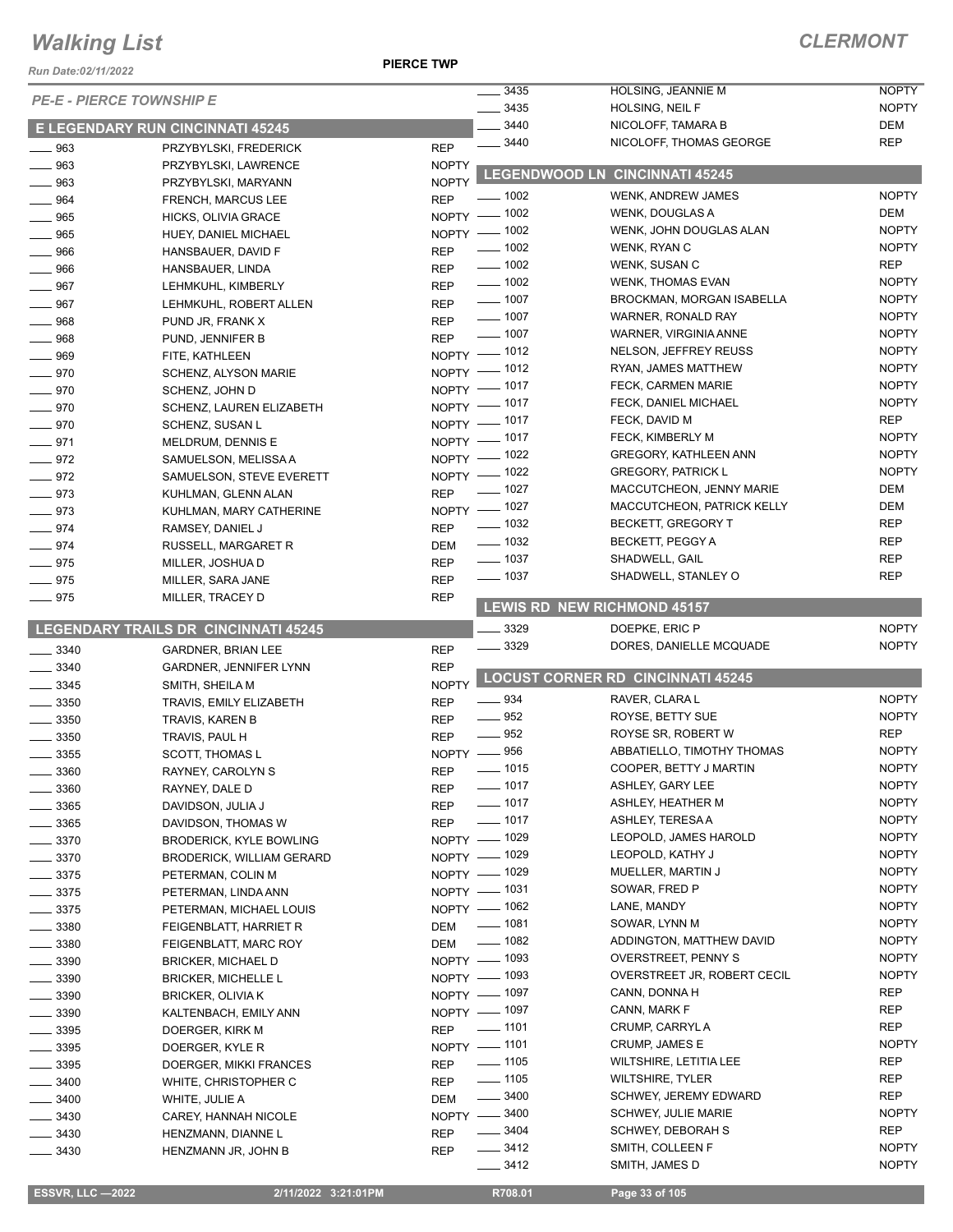*Run Date:02/11/2022*

**PIERCE TWP**

|                                 |                                         |              | $- 3435$                                 | HOLSING, JEANNIE M                       | <b>NOPTY</b>                 |
|---------------------------------|-----------------------------------------|--------------|------------------------------------------|------------------------------------------|------------------------------|
| <b>PE-E - PIERCE TOWNSHIP E</b> |                                         |              | $-3435$                                  | HOLSING, NEIL F                          | <b>NOPTY</b>                 |
|                                 | <b>E LEGENDARY RUN CINCINNATI 45245</b> |              | 3440                                     | NICOLOFF, TAMARA B                       | DEM                          |
| $\frac{1}{2}$ 963               | PRZYBYLSKI, FREDERICK                   | <b>REP</b>   | $\frac{1}{2}$ 3440                       | NICOLOFF, THOMAS GEORGE                  | <b>REP</b>                   |
| $\equiv$ 963                    | PRZYBYLSKI, LAWRENCE                    | <b>NOPTY</b> |                                          |                                          |                              |
| $\equiv$ 963                    | PRZYBYLSKI, MARYANN                     | <b>NOPTY</b> |                                          | LEGENDWOOD LN CINCINNATI 45245           |                              |
| $- 964$                         | <b>FRENCH, MARCUS LEE</b>               | <b>REP</b>   | —— 1002                                  | WENK, ANDREW JAMES                       | <b>NOPTY</b>                 |
| $- 965$                         | HICKS, OLIVIA GRACE                     |              | NOPTY - 1002                             | WENK, DOUGLAS A                          | DEM                          |
| $- 965$                         | HUEY, DANIEL MICHAEL                    |              | NOPTY - 1002                             | WENK, JOHN DOUGLAS ALAN                  | <b>NOPTY</b>                 |
| $\frac{1}{2}$ 966               | HANSBAUER, DAVID F                      | <b>REP</b>   | $\frac{1}{2}$ 1002                       | WENK, RYAN C                             | <b>NOPTY</b>                 |
| $\equiv$ 966                    | HANSBAUER, LINDA                        | REP          | $\frac{1}{2}$ 1002                       | WENK, SUSAN C                            | <b>REP</b>                   |
| $- 967$                         | LEHMKUHL, KIMBERLY                      | <b>REP</b>   | $\frac{1}{2}$ 1002                       | <b>WENK, THOMAS EVAN</b>                 | <b>NOPTY</b>                 |
| $- 967$                         | LEHMKUHL, ROBERT ALLEN                  | <b>REP</b>   | $\frac{1}{2}$ 1007                       | BROCKMAN, MORGAN ISABELLA                | <b>NOPTY</b>                 |
| $- 968$                         | PUND JR, FRANK X                        | <b>REP</b>   | $\frac{1}{2}$ 1007                       | WARNER, RONALD RAY                       | <b>NOPTY</b>                 |
| $- 968$                         | PUND, JENNIFER B                        | <b>REP</b>   | $\frac{1}{2}$ 1007                       | WARNER, VIRGINIA ANNE                    | <b>NOPTY</b>                 |
| $- 969$                         | FITE, KATHLEEN                          |              | NOPTY - 1012                             | NELSON, JEFFREY REUSS                    | <b>NOPTY</b>                 |
| $- 970$                         | SCHENZ, ALYSON MARIE                    |              | NOPTY - 1012                             | RYAN, JAMES MATTHEW                      | <b>NOPTY</b>                 |
| $- 970$                         | SCHENZ, JOHN D                          |              | NOPTY - 1017                             | FECK, CARMEN MARIE                       | <b>NOPTY</b>                 |
| $- 970$                         | SCHENZ, LAUREN ELIZABETH                |              | NOPTY - 1017                             | FECK, DANIEL MICHAEL                     | <b>NOPTY</b>                 |
| $- 970$                         | SCHENZ, SUSAN L                         |              | NOPTY - 1017                             | FECK, DAVID M                            | <b>REP</b>                   |
| $-971$                          | MELDRUM, DENNIS E                       |              | NOPTY - 1017                             | FECK, KIMBERLY M                         | <b>NOPTY</b>                 |
| $-972$                          | SAMUELSON, MELISSA A                    |              | NOPTY - 1022                             | <b>GREGORY, KATHLEEN ANN</b>             | <b>NOPTY</b>                 |
| $-972$                          | SAMUELSON, STEVE EVERETT                |              | NOPTY - 1022                             | <b>GREGORY, PATRICK L</b>                | <b>NOPTY</b>                 |
| $- 973$                         | KUHLMAN, GLENN ALAN                     | <b>REP</b>   | $\frac{1}{2}$ 1027                       | MACCUTCHEON, JENNY MARIE                 | DEM                          |
| $\equiv$ 973                    | KUHLMAN, MARY CATHERINE                 |              | NOPTY - 1027                             | MACCUTCHEON, PATRICK KELLY               | DEM                          |
| $-974$                          | RAMSEY, DANIEL J                        | <b>REP</b>   | $\frac{1}{2}$ 1032                       | BECKETT, GREGORY T                       | <b>REP</b>                   |
| $-974$                          | RUSSELL, MARGARET R                     | <b>DEM</b>   | $\frac{1}{2}$ 1032                       | BECKETT, PEGGY A                         | <b>REP</b>                   |
| $- 975$                         | MILLER, JOSHUA D                        | <b>REP</b>   | $- 1037$                                 | SHADWELL, GAIL                           | <b>REP</b>                   |
| $- 975$                         | MILLER, SARA JANE                       | <b>REP</b>   | $- 1037$                                 | SHADWELL, STANLEY O                      | <b>REP</b>                   |
| $- 975$                         | MILLER, TRACEY D                        | <b>REP</b>   |                                          | <b>LEWIS RD NEW RICHMOND 45157</b>       |                              |
|                                 |                                         |              |                                          |                                          |                              |
|                                 | LEGENDARY TRAILS DR CINCINNATI 45245    |              | 3329                                     | DOEPKE, ERIC P                           | <b>NOPTY</b>                 |
| $\frac{1}{2}$ 3340              | <b>GARDNER, BRIAN LEE</b>               | <b>REP</b>   | $- 3329$                                 | DORES, DANIELLE MCQUADE                  | <b>NOPTY</b>                 |
| $\frac{1}{2}$ 3340              | GARDNER, JENNIFER LYNN                  | <b>REP</b>   |                                          | <b>LOCUST CORNER RD CINCINNATI 45245</b> |                              |
| $\frac{1}{2}$ 3345              | SMITH, SHEILA M                         | <b>NOPTY</b> |                                          |                                          |                              |
| $\frac{1}{2}$ 3350              | TRAVIS, EMILY ELIZABETH                 | <b>REP</b>   | $\frac{1}{2}$ 934                        | RAVER, CLARA L                           | <b>NOPTY</b>                 |
| $\frac{1}{2}$ 3350              | TRAVIS, KAREN B                         | <b>REP</b>   | $\frac{1}{2}$ 952                        | ROYSE, BETTY SUE                         | <b>NOPTY</b>                 |
| 3350                            | TRAVIS, PAUL H                          | <b>REP</b>   | $\frac{1}{2}$ 952                        | ROYSE SR, ROBERT W                       | <b>REP</b><br><b>NOPTY</b>   |
| 3355                            | <b>SCOTT, THOMAS L</b>                  |              | NOPTY -856                               | ABBATIELLO, TIMOTHY THOMAS               | <b>NOPTY</b>                 |
| $-3360$                         | RAYNEY, CAROLYN S                       | <b>REP</b>   | - 1015                                   | COOPER, BETTY J MARTIN                   |                              |
| $\frac{1}{2}$ 3360              | RAYNEY, DALE D                          | REP          | $\frac{1}{2}$ 1017<br>$\frac{1}{2}$ 1017 | ASHLEY, GARY LEE                         | <b>NOPTY</b><br><b>NOPTY</b> |
| $\frac{1}{2}$ 3365              | DAVIDSON, JULIA J                       | REP          |                                          | ASHLEY, HEATHER M                        |                              |
| $\frac{1}{2}$ 3365              | DAVIDSON, THOMAS W                      | <b>REP</b>   | $\frac{1}{2}$ 1017                       | ASHLEY, TERESA A                         | <b>NOPTY</b><br><b>NOPTY</b> |
| $=$ 3370                        | <b>BRODERICK, KYLE BOWLING</b>          |              | NOPTY - 1029                             | LEOPOLD, JAMES HAROLD                    | <b>NOPTY</b>                 |
| $\frac{1}{2}$ 3370              | <b>BRODERICK, WILLIAM GERARD</b>        |              | NOPTY - 1029<br>NOPTY - 1029             | LEOPOLD, KATHY J<br>MUELLER, MARTIN J    | <b>NOPTY</b>                 |
| $-3375$                         | PETERMAN, COLIN M                       |              | NOPTY - 1031                             | SOWAR, FRED P                            | <b>NOPTY</b>                 |
| $\frac{1}{2}$ 3375              | PETERMAN, LINDA ANN                     |              |                                          | LANE, MANDY                              | <b>NOPTY</b>                 |
| $\frac{1}{2}$ 3375              | PETERMAN, MICHAEL LOUIS                 |              | NOPTY - 1062<br>$\frac{1}{2}$ 1081       | SOWAR, LYNN M                            | <b>NOPTY</b>                 |
| $-3380$                         | FEIGENBLATT, HARRIET R                  | DEM          | $- 1082$                                 | ADDINGTON, MATTHEW DAVID                 | <b>NOPTY</b>                 |
| $\frac{1}{2}$ 3380              | FEIGENBLATT, MARC ROY                   | DEM          |                                          |                                          | <b>NOPTY</b>                 |
| $\frac{1}{2}$ 3390              | <b>BRICKER, MICHAEL D</b>               |              | NOPTY - 1093                             | <b>OVERSTREET, PENNY S</b>               | <b>NOPTY</b>                 |
| $\frac{1}{2}$ 3390              | <b>BRICKER, MICHELLE L</b>              |              | NOPTY - 1093<br>NOPTY - 1097             | OVERSTREET JR, ROBERT CECIL              | <b>REP</b>                   |
| $\frac{1}{2}$ 3390              | <b>BRICKER, OLIVIA K</b>                |              |                                          | CANN, DONNA H                            | <b>REP</b>                   |
| $=$ 3390                        | KALTENBACH, EMILY ANN                   |              | NOPTY - 1097<br>$- 1101$                 | CANN, MARK F                             | REP                          |
| $\frac{1}{2}$ 3395              | DOERGER, KIRK M                         | <b>REP</b>   |                                          | CRUMP, CARRYL A<br>CRUMP, JAMES E        | <b>NOPTY</b>                 |
| $\frac{1}{2}$ 3395              | DOERGER, KYLE R                         |              | NOPTY - 1101<br>$\frac{1}{2}$ 1105       | WILTSHIRE, LETITIA LEE                   | REP                          |
| $\frac{1}{2}$ 3395              | DOERGER, MIKKI FRANCES                  | <b>REP</b>   | $\frac{1}{2}$ 1105                       | <b>WILTSHIRE, TYLER</b>                  | <b>REP</b>                   |
| $\frac{1}{2}$ 3400              | WHITE, CHRISTOPHER C                    | REP          | $\frac{1}{2}$ 3400                       | SCHWEY, JEREMY EDWARD                    | <b>REP</b>                   |
| $-3400$                         | WHITE, JULIE A                          | DEM          |                                          | <b>SCHWEY, JULIE MARIE</b>               | <b>NOPTY</b>                 |
| __ 3430                         | CAREY, HANNAH NICOLE                    |              | NOPTY -8400<br>$\frac{1}{2}$ 3404        | <b>SCHWEY, DEBORAH S</b>                 | <b>REP</b>                   |
| $-3430$                         | HENZMANN, DIANNE L                      | <b>REP</b>   | $\frac{3412}{2}$                         | SMITH, COLLEEN F                         | <b>NOPTY</b>                 |
| $- 3430$                        | HENZMANN JR, JOHN B                     | <b>REP</b>   | $- 3412$                                 | SMITH, JAMES D                           | <b>NOPTY</b>                 |
|                                 |                                         |              |                                          |                                          |                              |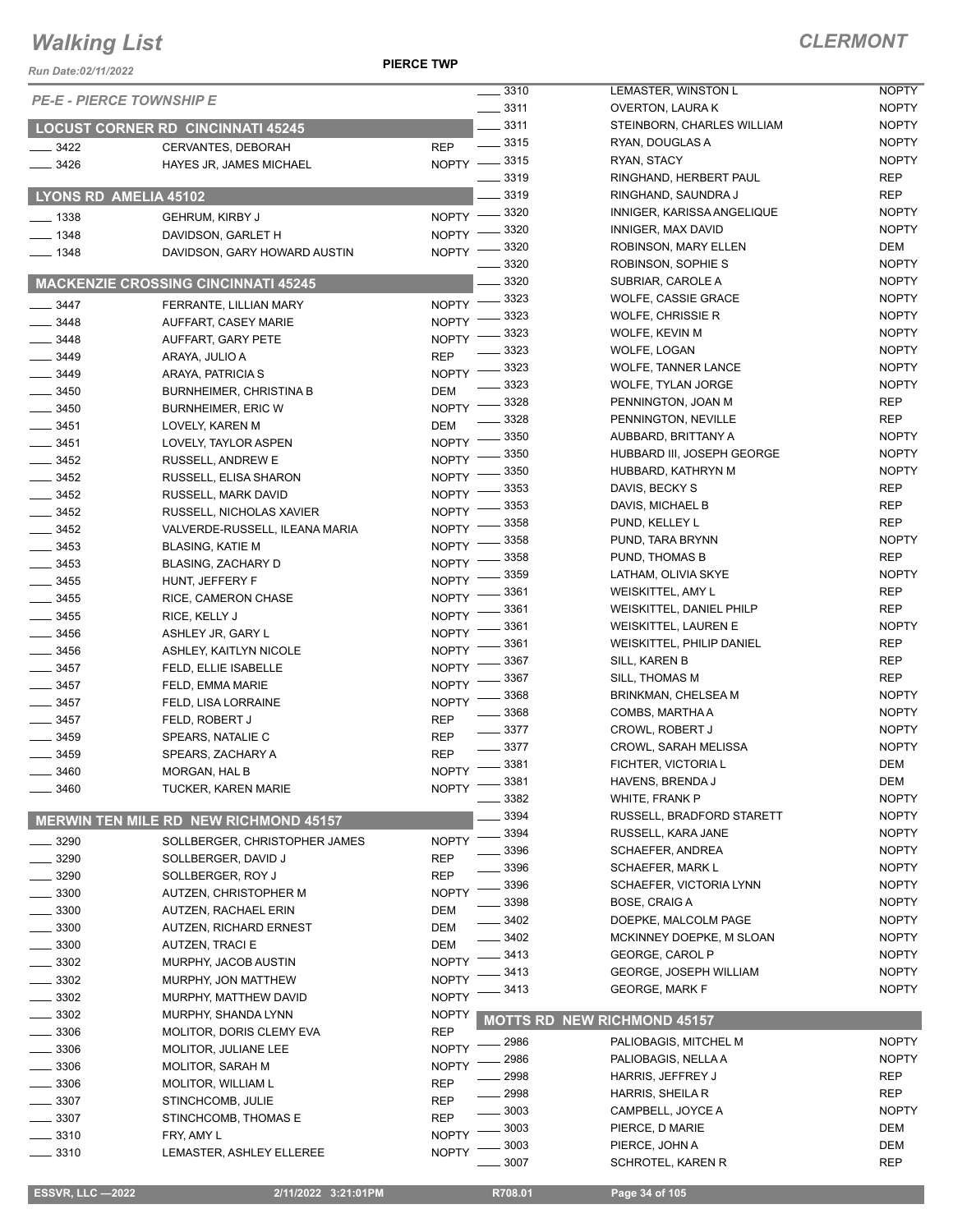**PIERCE TWP**

| Run Date:02/11/2022             |                                                |                                      |                                                |                              |
|---------------------------------|------------------------------------------------|--------------------------------------|------------------------------------------------|------------------------------|
| <b>PE-E - PIERCE TOWNSHIP E</b> |                                                | . 3310                               | LEMASTER, WINSTON L                            | <b>NOPTY</b>                 |
|                                 |                                                | $\frac{1}{2}$ 3311<br>$-3311$        | OVERTON, LAURA K<br>STEINBORN, CHARLES WILLIAM | <b>NOPTY</b><br><b>NOPTY</b> |
|                                 | <b>LOCUST CORNER RD CINCINNATI 45245</b>       | $\frac{1}{2}$ 3315                   | RYAN, DOUGLAS A                                | <b>NOPTY</b>                 |
| 3422                            | CERVANTES, DEBORAH                             | <b>REP</b><br>NOPTY -8315            | RYAN, STACY                                    | <b>NOPTY</b>                 |
| 3426                            | HAYES JR, JAMES MICHAEL                        | $-3319$                              | RINGHAND, HERBERT PAUL                         | <b>REP</b>                   |
|                                 | LYONS RD AMELIA 45102                          | 3319                                 | RINGHAND, SAUNDRA J                            | <b>REP</b>                   |
|                                 |                                                | _ 3320                               | INNIGER, KARISSA ANGELIQUE                     | <b>NOPTY</b>                 |
| $=$ 1338                        | <b>GEHRUM, KIRBY J</b>                         | $N$ OPTY $-$<br>3320                 | INNIGER, MAX DAVID                             | <b>NOPTY</b>                 |
| $-1348$<br>$-1348$              | DAVIDSON, GARLET H                             | NOPTY -<br>3320<br><b>NOPTY</b>      | ROBINSON, MARY ELLEN                           | DEM                          |
|                                 | DAVIDSON, GARY HOWARD AUSTIN                   | 3320                                 | ROBINSON, SOPHIE S                             | <b>NOPTY</b>                 |
|                                 | <b>MACKENZIE CROSSING CINCINNATI 45245</b>     | 3320                                 | SUBRIAR, CAROLE A                              | <b>NOPTY</b>                 |
| 3447                            | FERRANTE, LILLIAN MARY                         | 3323<br><b>NOPTY</b>                 | WOLFE, CASSIE GRACE                            | <b>NOPTY</b>                 |
| 3448                            | AUFFART, CASEY MARIE                           | 3323<br><b>NOPTY</b>                 | WOLFE, CHRISSIE R                              | <b>NOPTY</b>                 |
| 3448                            | AUFFART, GARY PETE                             | 3323<br><b>NOPTY</b>                 | WOLFE, KEVIN M                                 | <b>NOPTY</b>                 |
| $-3449$                         | ARAYA, JULIO A                                 | 3323<br><b>REP</b>                   | WOLFE, LOGAN                                   | <b>NOPTY</b>                 |
| 3449                            | ARAYA, PATRICIA S                              | 3323<br><b>NOPTY</b>                 | <b>WOLFE, TANNER LANCE</b>                     | <b>NOPTY</b>                 |
| $-3450$                         | <b>BURNHEIMER, CHRISTINA B</b>                 | 3323<br><b>DEM</b>                   | WOLFE, TYLAN JORGE                             | <b>NOPTY</b>                 |
| $-3450$                         | <b>BURNHEIMER, ERIC W</b>                      | 3328<br><b>NOPTY</b>                 | PENNINGTON, JOAN M                             | <b>REP</b>                   |
| $\frac{1}{2}$ 3451              | LOVELY, KAREN M                                | 3328<br><b>DEM</b>                   | PENNINGTON, NEVILLE                            | <b>REP</b>                   |
| $\frac{1}{2}$ 3451              | LOVELY, TAYLOR ASPEN                           | 3350<br><b>NOPTY</b>                 | AUBBARD, BRITTANY A                            | <b>NOPTY</b>                 |
| 3452                            | RUSSELL, ANDREW E                              | 3350<br><b>NOPTY</b><br>3350         | HUBBARD III, JOSEPH GEORGE                     | <b>NOPTY</b><br><b>NOPTY</b> |
| $-3452$                         | RUSSELL, ELISA SHARON                          | <b>NOPTY</b><br>3353                 | HUBBARD, KATHRYN M<br>DAVIS, BECKY S           | <b>REP</b>                   |
| $-3452$                         | RUSSELL, MARK DAVID                            | <b>NOPTY</b><br>3353                 | DAVIS, MICHAEL B                               | <b>REP</b>                   |
| $\frac{1}{2}$ 3452              | RUSSELL, NICHOLAS XAVIER                       | <b>NOPTY</b><br>3358                 | PUND, KELLEY L                                 | <b>REP</b>                   |
| $\frac{1}{2}$ 3452              | VALVERDE-RUSSELL, ILEANA MARIA                 | <b>NOPTY</b><br>3358                 | PUND, TARA BRYNN                               | <b>NOPTY</b>                 |
| 3453                            | <b>BLASING, KATIE M</b>                        | <b>NOPTY</b><br>3358                 | PUND, THOMAS B                                 | <b>REP</b>                   |
| 3453                            | BLASING, ZACHARY D                             | <b>NOPTY</b><br>3359                 | LATHAM, OLIVIA SKYE                            | <b>NOPTY</b>                 |
| $-3455$<br>$-3455$              | HUNT, JEFFERY F                                | <b>NOPTY</b><br>3361<br><b>NOPTY</b> | WEISKITTEL, AMY L                              | <b>REP</b>                   |
| $\frac{1}{2}$ 3455              | RICE, CAMERON CHASE<br>RICE, KELLY J           | 3361<br><b>NOPTY</b>                 | WEISKITTEL, DANIEL PHILP                       | <b>REP</b>                   |
| 3456                            | ASHLEY JR, GARY L                              | 3361<br><b>NOPTY</b>                 | <b>WEISKITTEL, LAUREN E</b>                    | <b>NOPTY</b>                 |
| $\frac{1}{2}$ 3456              | ASHLEY, KAITLYN NICOLE                         | 3361<br><b>NOPTY</b>                 | <b>WEISKITTEL, PHILIP DANIEL</b>               | <b>REP</b>                   |
| $\frac{1}{2}$ 3457              | FELD, ELLIE ISABELLE                           | 3367<br><b>NOPTY</b>                 | SILL, KAREN B                                  | <b>REP</b>                   |
| $\frac{1}{2}$ 3457              | FELD, EMMA MARIE                               | 3367<br><b>NOPTY</b>                 | SILL, THOMAS M                                 | <b>REP</b>                   |
| $\frac{1}{2}$ 3457              | FELD, LISA LORRAINE                            | 3368<br><b>NOPTY</b>                 | BRINKMAN, CHELSEA M                            | <b>NOPTY</b>                 |
| $-3457$                         | FELD, ROBERT J                                 | 3368<br><b>REP</b>                   | COMBS, MARTHA A                                | <b>NOPTY</b>                 |
| 3459                            | SPEARS, NATALIE C                              | $-3377$<br><b>REP</b>                | CROWL, ROBERT J                                | <b>NOPTY</b>                 |
| 3459                            | SPEARS, ZACHARY A                              | $-3377$<br><b>REP</b>                | <b>CROWL, SARAH MELISSA</b>                    | <b>NOPTY</b>                 |
| 3460                            | MORGAN, HAL B                                  | 3381<br><b>NOPTY</b><br>3381         | FICHTER, VICTORIA L                            | DEM<br>DEM                   |
| 3460                            | <b>TUCKER, KAREN MARIE</b>                     | <b>NOPTY</b><br>3382                 | HAVENS, BRENDA J<br><b>WHITE, FRANK P</b>      | <b>NOPTY</b>                 |
|                                 |                                                | 3394                                 | RUSSELL, BRADFORD STARETT                      | <b>NOPTY</b>                 |
|                                 | <b>MERWIN TEN MILE RD NEW RICHMOND 45157</b>   | 3394                                 | RUSSELL, KARA JANE                             | <b>NOPTY</b>                 |
| 3290                            | SOLLBERGER, CHRISTOPHER JAMES                  | <b>NOPTY</b><br>3396                 | SCHAEFER, ANDREA                               | <b>NOPTY</b>                 |
| 3290                            | SOLLBERGER, DAVID J                            | <b>REP</b><br>3396                   | SCHAEFER, MARK L                               | <b>NOPTY</b>                 |
| _ 3290                          | SOLLBERGER, ROY J                              | <b>REP</b><br>3396                   | SCHAEFER, VICTORIA LYNN                        | <b>NOPTY</b>                 |
| - 3300                          | AUTZEN, CHRISTOPHER M                          | <b>NOPTY</b><br>3398                 | BOSE, CRAIG A                                  | <b>NOPTY</b>                 |
| 3300<br>3300                    | AUTZEN, RACHAEL ERIN<br>AUTZEN, RICHARD ERNEST | <b>DEM</b><br>3402<br><b>DEM</b>     | DOEPKE, MALCOLM PAGE                           | <b>NOPTY</b>                 |
| 3300                            | <b>AUTZEN, TRACI E</b>                         | 3402<br><b>DEM</b>                   | MCKINNEY DOEPKE, M SLOAN                       | <b>NOPTY</b>                 |
| 3302                            | MURPHY, JACOB AUSTIN                           | 3413<br><b>NOPTY</b>                 | GEORGE, CAROL P                                | <b>NOPTY</b>                 |
| 3302                            | MURPHY, JON MATTHEW                            | 3413<br><b>NOPTY</b>                 | <b>GEORGE, JOSEPH WILLIAM</b>                  | <b>NOPTY</b>                 |
| 3302                            | MURPHY, MATTHEW DAVID                          | 3413<br><b>NOPTY</b>                 | <b>GEORGE, MARK F</b>                          | <b>NOPTY</b>                 |
| 3302                            | MURPHY, SHANDA LYNN                            | <b>NOPTY</b>                         |                                                |                              |
| 3306                            | MOLITOR, DORIS CLEMY EVA                       | <b>REP</b>                           | <b>MOTTS RD NEW RICHMOND 45157</b>             |                              |
| 3306                            | MOLITOR, JULIANE LEE                           | $-2986$<br><b>NOPTY</b>              | PALIOBAGIS, MITCHEL M                          | <b>NOPTY</b>                 |
| _ 3306                          | <b>MOLITOR, SARAH M</b>                        | 2986<br><b>NOPTY</b>                 | PALIOBAGIS, NELLA A                            | <b>NOPTY</b>                 |
| 3306                            | MOLITOR, WILLIAM L                             | 2998<br><b>REP</b>                   | HARRIS, JEFFREY J                              | <b>REP</b>                   |
| $= 3307$                        | STINCHCOMB, JULIE                              | 2998<br><b>REP</b>                   | HARRIS, SHEILA R                               | <b>REP</b>                   |
| 3307                            | STINCHCOMB, THOMAS E                           | 3003<br><b>REP</b><br>3003           | CAMPBELL, JOYCE A                              | <b>NOPTY</b>                 |
| 3310                            | FRY, AMY L                                     | <b>NOPTY</b><br>3003                 | PIERCE, D MARIE<br>PIERCE, JOHN A              | DEM<br>DEM                   |
| $-3310$                         | LEMASTER, ASHLEY ELLEREE                       | <b>NOPTY</b><br>3007                 | <b>SCHROTEL, KAREN R</b>                       | <b>REP</b>                   |
|                                 |                                                |                                      |                                                |                              |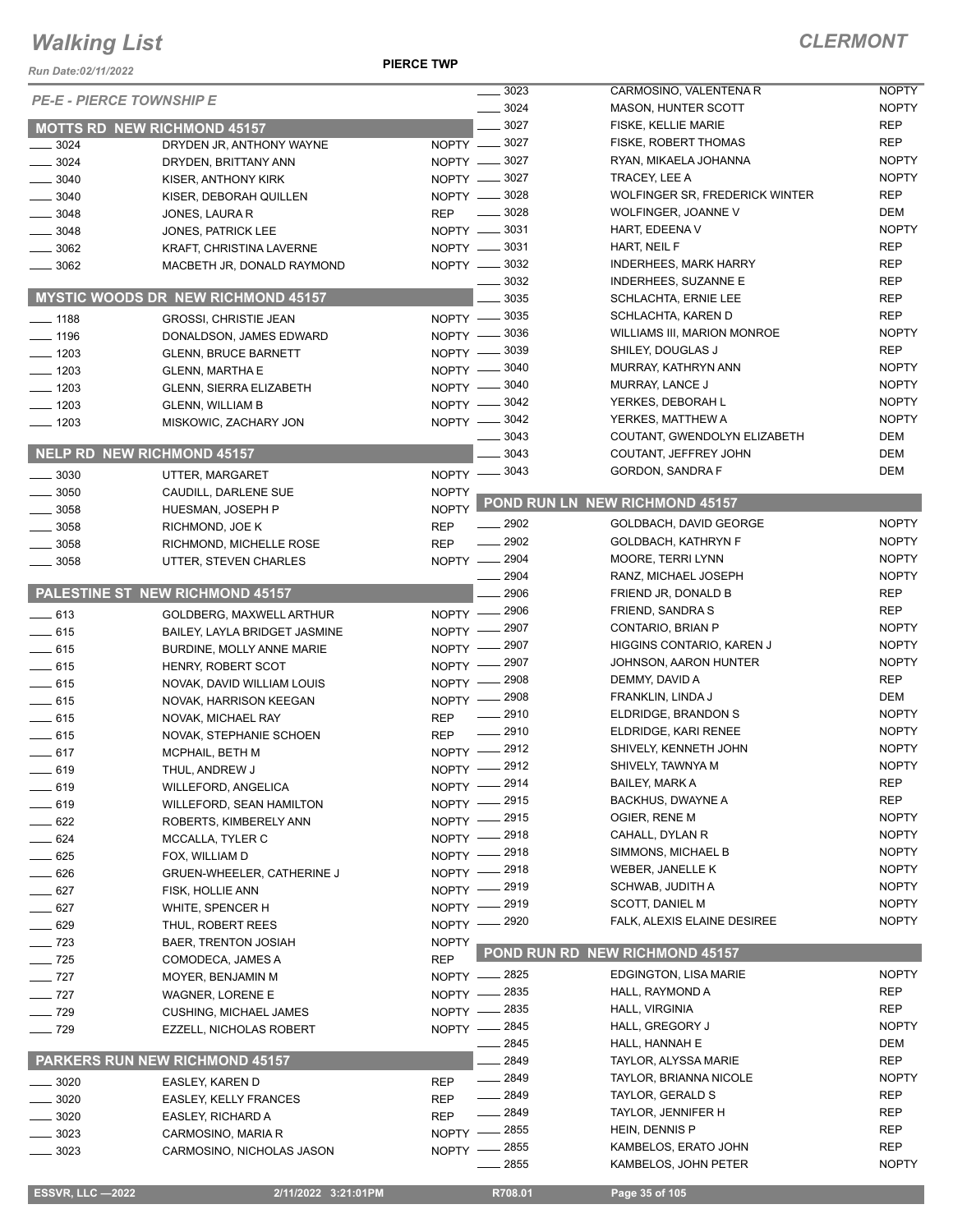#### **PIERCE TWP**

| Run Date:02/11/2022               |                                                      | <b>PIERCE TWP</b>         |                                  |                                           |                              |
|-----------------------------------|------------------------------------------------------|---------------------------|----------------------------------|-------------------------------------------|------------------------------|
|                                   |                                                      |                           | 3023                             | CARMOSINO, VALENTENA R                    | <b>NOPTY</b>                 |
| <b>PE-E - PIERCE TOWNSHIP E</b>   |                                                      |                           | 3024                             | <b>MASON, HUNTER SCOTT</b>                | <b>NOPTY</b>                 |
|                                   | <b>MOTTS RD NEW RICHMOND 45157</b>                   |                           | 3027                             | <b>FISKE, KELLIE MARIE</b>                | <b>REP</b>                   |
| 3024                              | DRYDEN JR, ANTHONY WAYNE                             |                           | NOPTY -8027                      | FISKE, ROBERT THOMAS                      | <b>REP</b>                   |
| 3024                              | DRYDEN, BRITTANY ANN                                 |                           | NOPTY -8027                      | RYAN, MIKAELA JOHANNA                     | <b>NOPTY</b>                 |
| 3040                              | KISER, ANTHONY KIRK                                  |                           | NOPTY -8027                      | TRACEY, LEE A                             | <b>NOPTY</b>                 |
| 3040                              | KISER, DEBORAH QUILLEN                               |                           | NOPTY -8028                      | WOLFINGER SR, FREDERICK WINTER            | <b>REP</b>                   |
| $-3048$                           | JONES, LAURA R                                       | <b>REP</b>                | 3028<br>$\overline{\phantom{a}}$ | WOLFINGER, JOANNE V                       | DEM                          |
| 3048                              | JONES, PATRICK LEE                                   |                           | NOPTY -8031                      | HART, EDEENA V                            | <b>NOPTY</b>                 |
| 3062                              | KRAFT, CHRISTINA LAVERNE                             |                           | NOPTY -8031                      | HART, NEIL F                              | <b>REP</b>                   |
| 3062                              | MACBETH JR, DONALD RAYMOND                           |                           | NOPTY -8032                      | <b>INDERHEES, MARK HARRY</b>              | <b>REP</b>                   |
|                                   |                                                      |                           | 3032                             | INDERHEES, SUZANNE E                      | <b>REP</b>                   |
|                                   | <b>MYSTIC WOODS DR NEW RICHMOND 45157</b>            |                           | 3035                             | SCHLACHTA, ERNIE LEE                      | <b>REP</b>                   |
| $\frac{1}{2}$ 1188                | <b>GROSSI, CHRISTIE JEAN</b>                         |                           | NOPTY -8035                      | SCHLACHTA, KAREN D                        | <b>REP</b>                   |
| $- 1196$                          | DONALDSON, JAMES EDWARD                              |                           | NOPTY -8036                      | WILLIAMS III, MARION MONROE               | <b>NOPTY</b>                 |
| $- 1203$                          | <b>GLENN, BRUCE BARNETT</b>                          | NOPTY -                   | 3039                             | SHILEY, DOUGLAS J                         | <b>REP</b>                   |
| $- 1203$                          | <b>GLENN, MARTHA E</b>                               |                           | NOPTY - 3040                     | MURRAY, KATHRYN ANN                       | <b>NOPTY</b>                 |
| $-1203$                           | <b>GLENN, SIERRA ELIZABETH</b>                       | NOPTY -                   | 3040                             | MURRAY, LANCE J                           | <b>NOPTY</b>                 |
| 1203                              | <b>GLENN, WILLIAM B</b>                              |                           | NOPTY -8042                      | YERKES, DEBORAH L                         | <b>NOPTY</b>                 |
| 1203                              | MISKOWIC, ZACHARY JON                                |                           | NOPTY -8042                      | YERKES, MATTHEW A                         | <b>NOPTY</b>                 |
|                                   |                                                      |                           | 3043                             | COUTANT, GWENDOLYN ELIZABETH              | DEM                          |
| <b>NELP RD NEW RICHMOND 45157</b> |                                                      |                           | 3043                             | COUTANT, JEFFREY JOHN                     | DEM                          |
| 3030                              | UTTER, MARGARET                                      | $N$ OPTY $-$              | 3043                             | GORDON, SANDRA F                          | DEM                          |
| 3050                              | CAUDILL, DARLENE SUE                                 | <b>NOPTY</b>              |                                  | POND RUN LN NEW RICHMOND 45157            |                              |
| 3058                              | HUESMAN, JOSEPH P                                    | <b>NOPTY</b>              |                                  |                                           |                              |
| 3058                              | RICHMOND, JOE K                                      | <b>REP</b>                | 2902<br>$-2902$                  | GOLDBACH, DAVID GEORGE                    | <b>NOPTY</b>                 |
| $-3058$                           | RICHMOND, MICHELLE ROSE                              | <b>REP</b>                |                                  | <b>GOLDBACH, KATHRYN F</b>                | <b>NOPTY</b><br><b>NOPTY</b> |
| 3058                              | UTTER, STEVEN CHARLES                                |                           | NOPTY -2904<br>2904              | MOORE, TERRI LYNN<br>RANZ, MICHAEL JOSEPH | <b>NOPTY</b>                 |
|                                   | <b>PALESTINE ST NEW RICHMOND 45157</b>               |                           | 2906                             | FRIEND JR, DONALD B                       | <b>REP</b>                   |
|                                   |                                                      |                           | NOPTY -2906                      | FRIEND, SANDRA S                          | <b>REP</b>                   |
| $-613$                            | GOLDBERG, MAXWELL ARTHUR                             |                           | 2907                             | CONTARIO, BRIAN P                         | <b>NOPTY</b>                 |
| $-615$                            | BAILEY, LAYLA BRIDGET JASMINE                        | $N$ OPTY $-$              | 2907                             | HIGGINS CONTARIO, KAREN J                 | <b>NOPTY</b>                 |
| $-615$                            | BURDINE, MOLLY ANNE MARIE                            | $N$ OPTY $-$              | 2907                             | JOHNSON, AARON HUNTER                     | <b>NOPTY</b>                 |
| $-615$<br>$-615$                  | HENRY, ROBERT SCOT                                   | $N$ OPTY $-$<br>$NOPTY =$ | 2908                             | DEMMY, DAVID A                            | <b>REP</b>                   |
| $-615$                            | NOVAK, DAVID WILLIAM LOUIS<br>NOVAK, HARRISON KEEGAN | $NOPTY$ –                 | 2908                             | FRANKLIN, LINDA J                         | DEM                          |
| $-615$                            | NOVAK, MICHAEL RAY                                   | <b>REP</b>                | 2910                             | ELDRIDGE, BRANDON S                       | <b>NOPTY</b>                 |
| $-615$                            | NOVAK, STEPHANIE SCHOEN                              | <b>REP</b>                | 2910                             | ELDRIDGE, KARI RENEE                      | <b>NOPTY</b>                 |
| _ 617                             | MCPHAIL, BETH M                                      |                           | NOPTY -2912                      | SHIVELY, KENNETH JOHN                     | <b>NOPTY</b>                 |
| _ 619                             | THUL, ANDREW J                                       |                           | NOPTY -2912                      | SHIVELY, TAWNYA M                         | <b>NOPTY</b>                 |
| 619                               | <b>WILLEFORD, ANGELICA</b>                           | $NOPTY$ -                 | 2914                             | BAILEY, MARK A                            | <b>REP</b>                   |
| $-619$                            | <b>WILLEFORD, SEAN HAMILTON</b>                      | $NOPTY$ –                 | 2915                             | <b>BACKHUS, DWAYNE A</b>                  | <b>REP</b>                   |
| $-622$                            | ROBERTS, KIMBERELY ANN                               | $N$ OPTY $-$              | 2915                             | OGIER, RENE M                             | <b>NOPTY</b>                 |
| $-624$                            | MCCALLA, TYLER C                                     | $N$ OPTY $-$              | 2918                             | CAHALL, DYLAN R                           | <b>NOPTY</b>                 |
| 625                               | FOX, WILLIAM D                                       | $N$ OPTY $-$              | _ 2918                           | SIMMONS, MICHAEL B                        | <b>NOPTY</b>                 |
| $- 626$                           | GRUEN-WHEELER, CATHERINE J                           |                           | NOPTY -2918                      | WEBER, JANELLE K                          | <b>NOPTY</b>                 |
| 627                               | FISK, HOLLIE ANN                                     | $NOPTY$ -                 | 2919                             | SCHWAB, JUDITH A                          | <b>NOPTY</b>                 |
| $\equiv$ 627                      | WHITE, SPENCER H                                     | $N$ OPTY $-$              | 2919                             | SCOTT, DANIEL M                           | <b>NOPTY</b>                 |
| $- 629$                           | THUL, ROBERT REES                                    |                           | NOPTY - 2920                     | FALK, ALEXIS ELAINE DESIREE               | <b>NOPTY</b>                 |
| $\frac{1}{2}$ 723                 | BAER, TRENTON JOSIAH                                 | <b>NOPTY</b>              |                                  |                                           |                              |
| $\frac{1}{2}$ 725                 | COMODECA, JAMES A                                    | <b>REP</b>                |                                  | POND RUN RD NEW RICHMOND 45157            |                              |
| $- 727$                           | MOYER, BENJAMIN M                                    |                           | NOPTY - 2825                     | <b>EDGINGTON, LISA MARIE</b>              | <b>NOPTY</b>                 |
| $\frac{1}{2}$ 727                 | WAGNER, LORENE E                                     |                           | NOPTY - 2835                     | HALL, RAYMOND A                           | <b>REP</b>                   |
| $\frac{1}{2}$ 729                 | <b>CUSHING, MICHAEL JAMES</b>                        | NOPTY -                   | 2835                             | HALL, VIRGINIA                            | <b>REP</b>                   |
| $-729$                            | <b>EZZELL, NICHOLAS ROBERT</b>                       |                           | NOPTY - 2845                     | HALL, GREGORY J                           | <b>NOPTY</b>                 |
|                                   |                                                      |                           | 2845                             | HALL, HANNAH E                            | DEM                          |
|                                   | PARKERS RUN NEW RICHMOND 45157                       |                           | 2849                             | <b>TAYLOR, ALYSSA MARIE</b>               | <b>REP</b>                   |
| 3020                              | EASLEY, KAREN D                                      | <b>REP</b>                | 2849                             | <b>TAYLOR, BRIANNA NICOLE</b>             | <b>NOPTY</b>                 |
| 3020                              | <b>EASLEY, KELLY FRANCES</b>                         | <b>REP</b>                | __ 2849                          | TAYLOR, GERALD S                          | REP                          |
| 3020                              | EASLEY, RICHARD A                                    | <b>REP</b>                | 2849                             | TAYLOR, JENNIFER H                        | REP                          |
| 3023                              | CARMOSINO, MARIA R                                   | NOPTY -                   | 2855                             | HEIN, DENNIS P                            | <b>REP</b>                   |
| 3023                              | CARMOSINO, NICHOLAS JASON                            | $NOPTY -$                 | 2855                             | KAMBELOS, ERATO JOHN                      | <b>REP</b>                   |
|                                   |                                                      |                           | 2855                             | KAMBELOS, JOHN PETER                      | <b>NOPTY</b>                 |
| <b>ESSVR, LLC-2022</b>            | 2/11/2022 3:21:01PM                                  |                           | R708.01                          | Page 35 of 105                            |                              |
|                                   |                                                      |                           |                                  |                                           |                              |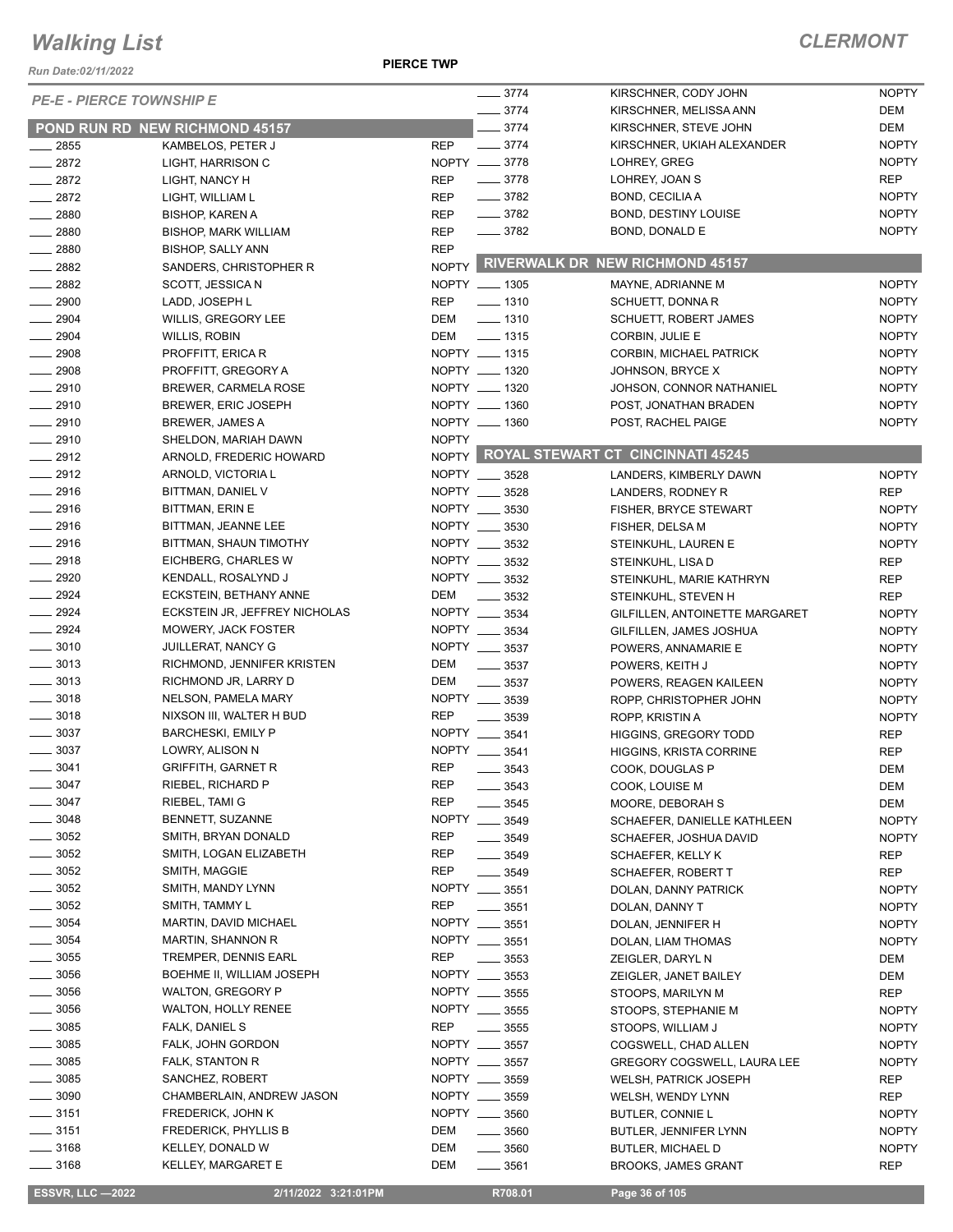#### *Run Date:02/11/2022*

**PIERCE TWP**

#### *CLERMONT*

| <b>PE-E - PIERCE TOWNSHIP E</b> |                                | $-3774$       | KIRSCHNER, CODY JOHN | <b>NOPTY</b>                            |              |
|---------------------------------|--------------------------------|---------------|----------------------|-----------------------------------------|--------------|
|                                 |                                |               | 3774                 | KIRSCHNER, MELISSA ANN                  | DEM          |
|                                 | POND RUN RD NEW RICHMOND 45157 |               | $-3774$              | KIRSCHNER, STEVE JOHN                   | DEM          |
| $\frac{1}{2855}$                | KAMBELOS, PETER J              | <b>REP</b>    | $-3774$              | KIRSCHNER, UKIAH ALEXANDER              | <b>NOPTY</b> |
| $-2872$                         | LIGHT, HARRISON C              | NOPTY __ 3778 |                      | LOHREY, GREG                            | <b>NOPTY</b> |
| $-2872$                         | LIGHT, NANCY H                 | <b>REP</b>    | $- 3778$             | LOHREY, JOAN S                          | <b>REP</b>   |
| $-2872$                         | LIGHT, WILLIAM L               | <b>REP</b>    | $- 3782$             | BOND, CECILIAA                          | <b>NOPTY</b> |
| $- 2880$                        | <b>BISHOP, KAREN A</b>         | <b>REP</b>    | $\frac{1}{2}$ 3782   | <b>BOND, DESTINY LOUISE</b>             | <b>NOPTY</b> |
| $\frac{1}{2880}$                | <b>BISHOP, MARK WILLIAM</b>    | <b>REP</b>    | $\frac{1}{2}$ 3782   | BOND, DONALD E                          | <b>NOPTY</b> |
| $-2880$                         | <b>BISHOP, SALLY ANN</b>       | <b>REP</b>    |                      |                                         |              |
| $-2882$                         | SANDERS, CHRISTOPHER R         |               |                      | NOPTY RIVERWALK DR NEW RICHMOND 45157   |              |
| $-2882$                         | SCOTT, JESSICA N               | NOPTY __ 1305 |                      | MAYNE, ADRIANNE M                       | <b>NOPTY</b> |
| $\frac{1}{2900}$                | LADD, JOSEPH L                 | <b>REP</b>    | $- 1310$             | SCHUETT, DONNA R                        | <b>NOPTY</b> |
| $\frac{1}{2904}$                | WILLIS, GREGORY LEE            | DEM           | $\frac{1}{2}$ 1310   | <b>SCHUETT, ROBERT JAMES</b>            | <b>NOPTY</b> |
| $\frac{1}{2904}$                | WILLIS, ROBIN                  | DEM           | $\frac{1}{2}$ 1315   | CORBIN, JULIE E                         | <b>NOPTY</b> |
| $\frac{1}{2908}$                | PROFFITT, ERICA R              | NOPTY __ 1315 |                      | CORBIN, MICHAEL PATRICK                 | <b>NOPTY</b> |
| $\frac{2908}{2000}$             | PROFFITT, GREGORY A            | NOPTY __ 1320 |                      | JOHNSON, BRYCE X                        | <b>NOPTY</b> |
| $-2910$                         | <b>BREWER, CARMELA ROSE</b>    | NOPTY __ 1320 |                      | JOHSON, CONNOR NATHANIEL                | <b>NOPTY</b> |
| $\frac{1}{2910}$                | BREWER, ERIC JOSEPH            | NOPTY __ 1360 |                      | POST, JONATHAN BRADEN                   | <b>NOPTY</b> |
| $-2910$                         | <b>BREWER, JAMES A</b>         | NOPTY __ 1360 |                      | POST, RACHEL PAIGE                      | <b>NOPTY</b> |
| $-2910$                         | SHELDON, MARIAH DAWN           | <b>NOPTY</b>  |                      |                                         |              |
| $-2912$                         | ARNOLD, FREDERIC HOWARD        |               |                      | NOPTY ROYAL STEWART CT CINCINNATI 45245 |              |
| $-2912$                         | ARNOLD, VICTORIA L             | NOPTY __ 3528 |                      | LANDERS, KIMBERLY DAWN                  | <b>NOPTY</b> |
| $-2916$                         | BITTMAN, DANIEL V              | NOPTY __ 3528 |                      | LANDERS, RODNEY R                       | <b>REP</b>   |
| $-2916$                         | BITTMAN, ERIN E                | NOPTY __ 3530 |                      | <b>FISHER, BRYCE STEWART</b>            | <b>NOPTY</b> |
| $-2916$                         | BITTMAN, JEANNE LEE            | NOPTY __ 3530 |                      | FISHER, DELSA M                         | <b>NOPTY</b> |
| $-2916$                         | BITTMAN, SHAUN TIMOTHY         | NOPTY __ 3532 |                      | STEINKUHL, LAUREN E                     | <b>NOPTY</b> |
| $-2918$                         | EICHBERG, CHARLES W            | NOPTY __ 3532 |                      | STEINKUHL, LISA D                       | <b>REP</b>   |
| $\frac{1}{2920}$                | KENDALL, ROSALYND J            | NOPTY __ 3532 |                      | STEINKUHL, MARIE KATHRYN                | <b>REP</b>   |
| $\frac{2924}{2}$                | ECKSTEIN, BETHANY ANNE         | DEM           | .3532                | STEINKUHL, STEVEN H                     | <b>REP</b>   |
| $-2924$                         | ECKSTEIN JR, JEFFREY NICHOLAS  | NOPTY __ 3534 |                      | <b>GILFILLEN, ANTOINETTE MARGARET</b>   | <b>NOPTY</b> |
| $-2924$                         | MOWERY, JACK FOSTER            | NOPTY __ 3534 |                      | GILFILLEN, JAMES JOSHUA                 | <b>NOPTY</b> |
| $\frac{1}{2}$ 3010              | <b>JUILLERAT, NANCY G</b>      | NOPTY __ 3537 |                      | POWERS, ANNAMARIE E                     | <b>NOPTY</b> |
| $\frac{1}{2}$ 3013              | RICHMOND, JENNIFER KRISTEN     | DEM           | $\frac{1}{2}$ 3537   | POWERS, KEITH J                         | <b>NOPTY</b> |
| $\frac{1}{2}$ 3013              | RICHMOND JR, LARRY D           | DEM           | $\frac{1}{2}$ 3537   | POWERS, REAGEN KAILEEN                  | <b>NOPTY</b> |
| $- 3018$                        | NELSON, PAMELA MARY            | NOPTY __ 3539 |                      | ROPP, CHRISTOPHER JOHN                  | <b>NOPTY</b> |
| $\frac{1}{2}$ 3018              | NIXSON III, WALTER H BUD       | <b>REP</b>    | 3539                 | ROPP, KRISTIN A                         | <b>NOPTY</b> |
| $\frac{1}{2}$ 3037              | <b>BARCHESKI, EMILY P</b>      | NOPTY __ 3541 |                      | <b>HIGGINS, GREGORY TODD</b>            | <b>REP</b>   |
| 3037                            | LOWRY, ALISON N                | NOPTY __ 3541 |                      | <b>HIGGINS, KRISTA CORRINE</b>          | <b>REP</b>   |
| 3041                            | <b>GRIFFITH, GARNET R</b>      | <b>REP</b>    | 3543                 | COOK, DOUGLAS P                         | <b>DEM</b>   |
| $-3047$                         | RIEBEL, RICHARD P              | REP           | $\frac{1}{2}$ 3543   | COOK, LOUISE M                          | DEM          |
| 3047                            | RIEBEL, TAMI G                 | <b>REP</b>    | $- 3545$             | MOORE, DEBORAH S                        | DEM          |
| $= 3048$                        | BENNETT, SUZANNE               | NOPTY __ 3549 |                      | SCHAEFER, DANIELLE KATHLEEN             | <b>NOPTY</b> |
| $-3052$                         | SMITH, BRYAN DONALD            | <b>REP</b>    | $- 3549$             | SCHAEFER, JOSHUA DAVID                  | <b>NOPTY</b> |
| 3052                            | SMITH, LOGAN ELIZABETH         | REP           | $\frac{1}{2}$ 3549   | SCHAEFER, KELLY K                       | <b>REP</b>   |
| $=$ 3052                        | SMITH, MAGGIE                  | <b>REP</b>    | $- 3549$             | SCHAEFER, ROBERT T                      | <b>REP</b>   |
| 3052                            | SMITH, MANDY LYNN              | NOPTY __ 3551 |                      | DOLAN, DANNY PATRICK                    | <b>NOPTY</b> |
| $\frac{1}{2}$ 3052              | SMITH, TAMMY L                 | REP           | $\frac{1}{2}$ 3551   | DOLAN, DANNY T                          | <b>NOPTY</b> |
| $\frac{1}{2}$ 3054              | MARTIN, DAVID MICHAEL          | NOPTY __ 3551 |                      | DOLAN, JENNIFER H                       | <b>NOPTY</b> |
| $\frac{1}{2}$ 3054              | <b>MARTIN, SHANNON R</b>       | NOPTY __ 3551 |                      | DOLAN, LIAM THOMAS                      | <b>NOPTY</b> |
| $\frac{1}{2}$ 3055              | <b>TREMPER, DENNIS EARL</b>    | <b>REP</b>    | $\frac{1}{2}$ 3553   | ZEIGLER, DARYL N                        | DEM          |
| $\frac{1}{2}$ 3056              | BOEHME II, WILLIAM JOSEPH      | NOPTY __ 3553 |                      | ZEIGLER, JANET BAILEY                   | DEM          |
| $\frac{1}{2}$ 3056              | <b>WALTON, GREGORY P</b>       | NOPTY __ 3555 |                      | STOOPS, MARILYN M                       | REP          |
| 3056                            | <b>WALTON, HOLLY RENEE</b>     | NOPTY __ 3555 |                      | STOOPS, STEPHANIE M                     | <b>NOPTY</b> |
| 3085                            | FALK, DANIEL S                 | <b>REP</b>    | $\frac{1}{2}$ 3555   | STOOPS, WILLIAM J                       | <b>NOPTY</b> |
| $-3085$                         | FALK, JOHN GORDON              | NOPTY __ 3557 |                      | COGSWELL, CHAD ALLEN                    | <b>NOPTY</b> |
| 3085                            | FALK, STANTON R                | NOPTY __ 3557 |                      | <b>GREGORY COGSWELL, LAURA LEE</b>      | <b>NOPTY</b> |
| $=3085$                         | SANCHEZ, ROBERT                | NOPTY __ 3559 |                      | <b>WELSH, PATRICK JOSEPH</b>            | <b>REP</b>   |
| $-3090$                         | CHAMBERLAIN, ANDREW JASON      | NOPTY __ 3559 |                      | WELSH, WENDY LYNN                       | <b>REP</b>   |
| $- 3151$                        | FREDERICK, JOHN K              | NOPTY __ 3560 |                      | BUTLER, CONNIE L                        | <b>NOPTY</b> |
| $\frac{1}{2}$ 3151              | <b>FREDERICK, PHYLLIS B</b>    | DEM           | $\frac{1}{2}$ 3560   | BUTLER, JENNIFER LYNN                   | <b>NOPTY</b> |
| $-3168$                         | KELLEY, DONALD W               | DEM           | $\frac{1}{2}$ 3560   | <b>BUTLER, MICHAEL D</b>                | <b>NOPTY</b> |
| $=$ 3168                        | <b>KELLEY, MARGARET E</b>      | DEM           | ____ 3561            | <b>BROOKS, JAMES GRANT</b>              | <b>REP</b>   |
|                                 |                                |               |                      |                                         |              |

 **ESSVR, LLC —2022 2/11/2022 3:21:01PM R708.01 Page 36 of 105**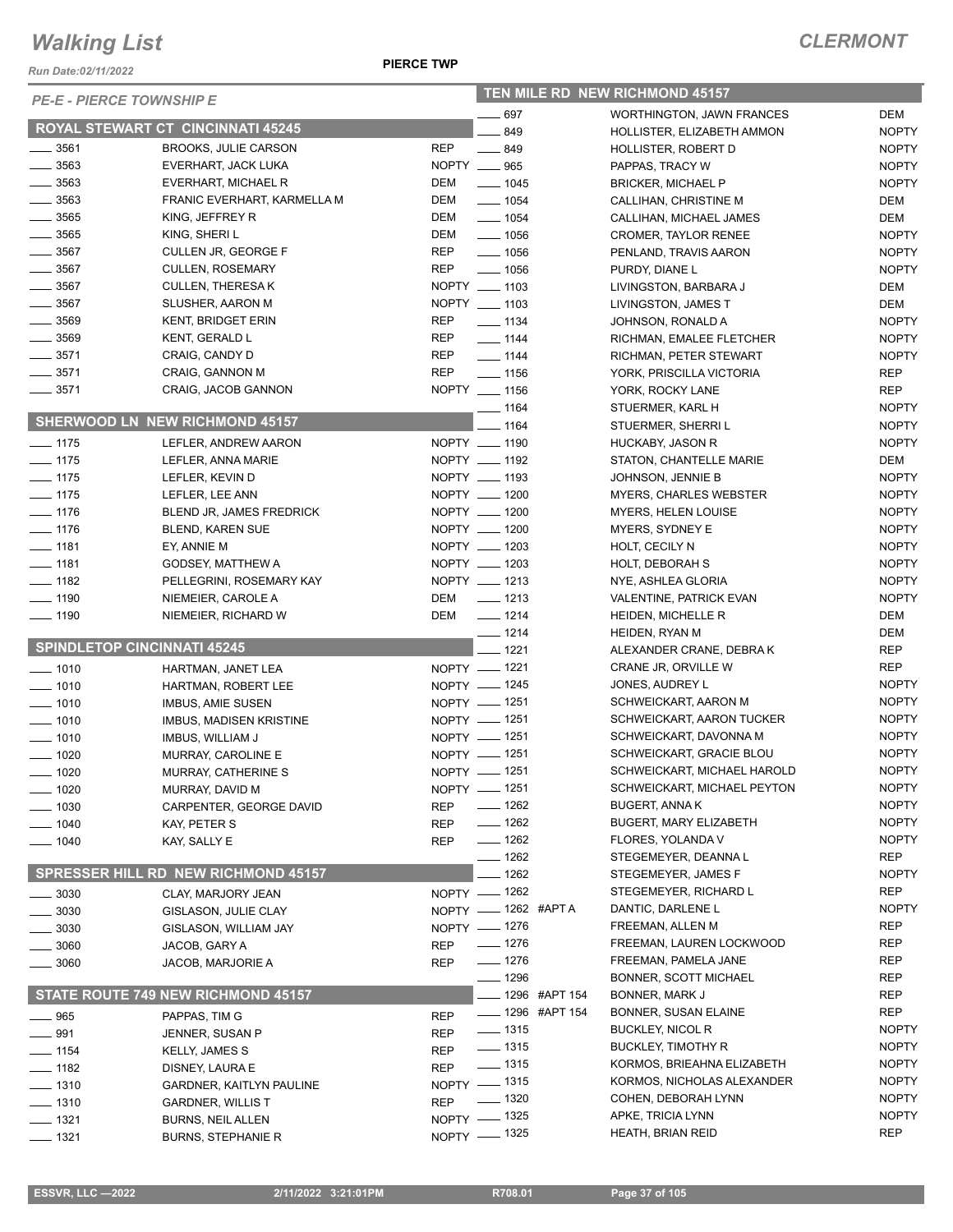*Run Date:02/11/2022*

#### **PIERCE TWP**

| <b>PE-E - PIERCE TOWNSHIP E</b>    |                                                    |                          | <b>TEN MILE RD NEW RICHMOND 45157</b> |                                              |                            |  |  |
|------------------------------------|----------------------------------------------------|--------------------------|---------------------------------------|----------------------------------------------|----------------------------|--|--|
|                                    |                                                    |                          | $-697$                                | <b>WORTHINGTON, JAWN FRANCES</b>             | DEM                        |  |  |
|                                    | <b>ROYAL STEWART CT CINCINNATI 45245</b>           |                          | 849                                   | HOLLISTER, ELIZABETH AMMON                   | <b>NOPTY</b>               |  |  |
| $- 3561$                           | <b>BROOKS, JULIE CARSON</b>                        | <b>REP</b>               | $-849$                                | <b>HOLLISTER, ROBERT D</b>                   | <b>NOPTY</b>               |  |  |
| $\frac{1}{2}$ 3563                 | EVERHART, JACK LUKA                                |                          | NOPTY __ 965                          | PAPPAS, TRACY W                              | <b>NOPTY</b>               |  |  |
| $\frac{1}{2}$ 3563                 | EVERHART, MICHAEL R                                | DEM                      | $- 1045$                              | <b>BRICKER, MICHAEL P</b>                    | <b>NOPTY</b>               |  |  |
| $-3563$                            | FRANIC EVERHART, KARMELLA M                        | DEM                      | $- 1054$                              | CALLIHAN, CHRISTINE M                        | DEM                        |  |  |
| $\frac{1}{2}$ 3565                 | KING, JEFFREY R                                    | DEM                      | $- 1054$                              | CALLIHAN, MICHAEL JAMES                      | DEM                        |  |  |
| $\frac{1}{2}$ 3565                 | KING, SHERI L                                      | DEM                      | $\frac{1}{2}$ 1056                    | <b>CROMER, TAYLOR RENEE</b>                  | <b>NOPTY</b>               |  |  |
| $\frac{1}{2}$ 3567<br>$- 3567$     | CULLEN JR, GEORGE F                                | <b>REP</b><br><b>REP</b> | $- 1056$                              | PENLAND, TRAVIS AARON                        | <b>NOPTY</b>               |  |  |
| $-3567$                            | <b>CULLEN, ROSEMARY</b><br><b>CULLEN, THERESAK</b> |                          | $- 1056$                              | PURDY, DIANE L                               | <b>NOPTY</b>               |  |  |
| $\frac{1}{2}$ 3567                 | SLUSHER, AARON M                                   |                          | NOPTY __ 1103<br>NOPTY __ 1103        | LIVINGSTON, BARBARA J                        | DEM<br>DEM                 |  |  |
| $\frac{1}{2}$ 3569                 | <b>KENT, BRIDGET ERIN</b>                          | <b>REP</b>               | $- 1134$                              | LIVINGSTON, JAMES T<br>JOHNSON, RONALD A     | <b>NOPTY</b>               |  |  |
| $- 3569$                           | KENT, GERALD L                                     | <b>REP</b>               | $- 1144$                              | RICHMAN, EMALEE FLETCHER                     | <b>NOPTY</b>               |  |  |
| $- 3571$                           | CRAIG, CANDY D                                     | REP                      | $- 1144$                              | RICHMAN, PETER STEWART                       | <b>NOPTY</b>               |  |  |
| $\frac{1}{2}$ 3571                 | CRAIG, GANNON M                                    | <b>REP</b>               | $- 1156$                              | YORK, PRISCILLA VICTORIA                     | REP                        |  |  |
| $\frac{1}{2}$ 3571                 | CRAIG, JACOB GANNON                                |                          | NOPTY __ 1156                         | YORK, ROCKY LANE                             | <b>REP</b>                 |  |  |
|                                    |                                                    |                          | $- 1164$                              | STUERMER, KARL H                             | <b>NOPTY</b>               |  |  |
|                                    | SHERWOOD LN NEW RICHMOND 45157                     |                          | $-1164$                               | STUERMER, SHERRIL                            | <b>NOPTY</b>               |  |  |
| $- 1175$                           | LEFLER, ANDREW AARON                               |                          | NOPTY __ 1190                         | HUCKABY, JASON R                             | <b>NOPTY</b>               |  |  |
| $- 1175$                           | LEFLER, ANNA MARIE                                 |                          | NOPTY __ 1192                         | STATON, CHANTELLE MARIE                      | DEM                        |  |  |
| $- 1175$                           | LEFLER, KEVIN D                                    |                          | NOPTY __ 1193                         | JOHNSON, JENNIE B                            | <b>NOPTY</b>               |  |  |
| $- 1175$                           | LEFLER, LEE ANN                                    |                          | NOPTY __ 1200                         | <b>MYERS, CHARLES WEBSTER</b>                | <b>NOPTY</b>               |  |  |
| $- 1176$                           | BLEND JR, JAMES FREDRICK                           |                          | NOPTY __ 1200                         | <b>MYERS, HELEN LOUISE</b>                   | <b>NOPTY</b>               |  |  |
| $- 1176$                           | <b>BLEND, KAREN SUE</b>                            |                          | NOPTY __ 1200                         | <b>MYERS, SYDNEY E</b>                       | <b>NOPTY</b>               |  |  |
| $- 1181$                           | EY, ANNIE M                                        |                          | NOPTY __ 1203                         | HOLT, CECILY N                               | <b>NOPTY</b>               |  |  |
| $-1181$                            | GODSEY, MATTHEW A                                  |                          | NOPTY __ 1203                         | HOLT, DEBORAH S                              | <b>NOPTY</b>               |  |  |
| $- 1182$                           | PELLEGRINI, ROSEMARY KAY                           |                          | NOPTY __ 1213                         | NYE, ASHLEA GLORIA                           | <b>NOPTY</b>               |  |  |
| $\frac{1}{2}$ 1190                 | NIEMEIER, CAROLE A                                 | DEM                      | $\frac{1}{2}$ 1213                    | VALENTINE, PATRICK EVAN                      | <b>NOPTY</b>               |  |  |
| $- 1190$                           | NIEMEIER, RICHARD W                                | DEM                      | $- 1214$                              | HEIDEN, MICHELLE R                           | DEM                        |  |  |
|                                    |                                                    |                          | $- 1214$                              | HEIDEN, RYAN M                               | DEM                        |  |  |
| <b>SPINDLETOP CINCINNATI 45245</b> |                                                    |                          | $- 1221$                              | ALEXANDER CRANE, DEBRA K                     | REP                        |  |  |
| $- 1010$                           | HARTMAN, JANET LEA                                 |                          | NOPTY __ 1221                         | CRANE JR, ORVILLE W                          | <b>REP</b>                 |  |  |
| $- 1010$                           | HARTMAN, ROBERT LEE                                |                          | NOPTY __ 1245                         | JONES, AUDREY L                              | <b>NOPTY</b>               |  |  |
| $- 1010$                           | <b>IMBUS, AMIE SUSEN</b>                           |                          | NOPTY - 1251                          | SCHWEICKART, AARON M                         | <b>NOPTY</b>               |  |  |
| $- 1010$                           | <b>IMBUS, MADISEN KRISTINE</b>                     |                          | NOPTY __ 1251                         | SCHWEICKART, AARON TUCKER                    | <b>NOPTY</b>               |  |  |
| $- 1010$                           | IMBUS, WILLIAM J                                   |                          | NOPTY - 1251                          | SCHWEICKART, DAVONNA M                       | <b>NOPTY</b>               |  |  |
| $- 1020$                           | MURRAY, CAROLINE E                                 |                          | NOPTY - 1251                          | SCHWEICKART, GRACIE BLOU                     | <b>NOPTY</b>               |  |  |
| $- 1020$                           | MURRAY, CATHERINE S                                |                          | NOPTY __ 1251                         | SCHWEICKART, MICHAEL HAROLD                  | <b>NOPTY</b>               |  |  |
| ___ 1020                           | MURRAY, DAVID M                                    |                          | NOPTY - 1251                          | SCHWEICKART, MICHAEL PEYTON                  | <b>NOPTY</b>               |  |  |
| —— 1030                            | CARPENTER, GEORGE DAVID                            | REP                      | $- 1262$                              | <b>BUGERT, ANNAK</b>                         | <b>NOPTY</b>               |  |  |
| $- 1040$                           | KAY, PETER S                                       | <b>REP</b>               | $- 1262$                              | <b>BUGERT, MARY ELIZABETH</b>                | <b>NOPTY</b>               |  |  |
| ____ 1040                          | KAY, SALLY E                                       | <b>REP</b>               | $- 1262$                              | FLORES, YOLANDA V                            | <b>NOPTY</b>               |  |  |
|                                    | <b>SPRESSER HILL RD NEW RICHMOND 45157</b>         |                          | $- 1262$                              | STEGEMEYER, DEANNA L                         | <b>REP</b>                 |  |  |
|                                    |                                                    |                          | $-1262$                               | STEGEMEYER, JAMES F                          | <b>NOPTY</b>               |  |  |
| $- 3030$                           | CLAY, MARJORY JEAN                                 |                          | NOPTY - 1262                          | STEGEMEYER, RICHARD L<br>DANTIC, DARLENE L   | <b>REP</b><br><b>NOPTY</b> |  |  |
| 3030                               | GISLASON, JULIE CLAY                               |                          | NOPTY - 1262 #APTA                    |                                              | <b>REP</b>                 |  |  |
| 3030                               | GISLASON, WILLIAM JAY                              |                          | NOPTY - 1276<br>$- 1276$              | FREEMAN, ALLEN M<br>FREEMAN, LAUREN LOCKWOOD | <b>REP</b>                 |  |  |
| 3060                               | JACOB, GARY A                                      | <b>REP</b>               | $- 1276$                              | FREEMAN, PAMELA JANE                         | <b>REP</b>                 |  |  |
| 3060                               | JACOB, MARJORIE A                                  | <b>REP</b>               | $- 1296$                              | <b>BONNER, SCOTT MICHAEL</b>                 | REP                        |  |  |
|                                    | STATE ROUTE 749 NEW RICHMOND 45157                 |                          | __ 1296 #APT 154                      | BONNER, MARK J                               | <b>REP</b>                 |  |  |
|                                    |                                                    |                          | ____ 1296 #APT 154                    | <b>BONNER, SUSAN ELAINE</b>                  | <b>REP</b>                 |  |  |
| __ 965                             | PAPPAS, TIM G                                      | <b>REP</b>               | $- 1315$                              | <b>BUCKLEY, NICOL R</b>                      | <b>NOPTY</b>               |  |  |
| $\frac{1}{2}$ 991                  | JENNER, SUSAN P                                    | <b>REP</b>               | $- 1315$                              | <b>BUCKLEY, TIMOTHY R</b>                    | <b>NOPTY</b>               |  |  |
| $- 1154$<br>$- 1182$               | <b>KELLY, JAMES S</b>                              | <b>REP</b><br><b>REP</b> | $- 1315$                              | KORMOS, BRIEAHNA ELIZABETH                   | <b>NOPTY</b>               |  |  |
| $- 1310$                           | DISNEY, LAURA E<br><b>GARDNER, KAITLYN PAULINE</b> |                          | NOPTY - 1315                          | KORMOS, NICHOLAS ALEXANDER                   | <b>NOPTY</b>               |  |  |
| $- 1310$                           | <b>GARDNER, WILLIS T</b>                           | <b>REP</b>               | $\frac{1}{2}$ 1320                    | COHEN, DEBORAH LYNN                          | <b>NOPTY</b>               |  |  |
| $- 1321$                           | <b>BURNS, NEIL ALLEN</b>                           |                          | NOPTY - 1325                          | APKE, TRICIA LYNN                            | <b>NOPTY</b>               |  |  |
| $- 1321$                           | BURNS, STEPHANIE R                                 |                          | NOPTY - 1325                          | <b>HEATH, BRIAN REID</b>                     | <b>REP</b>                 |  |  |
|                                    |                                                    |                          |                                       |                                              |                            |  |  |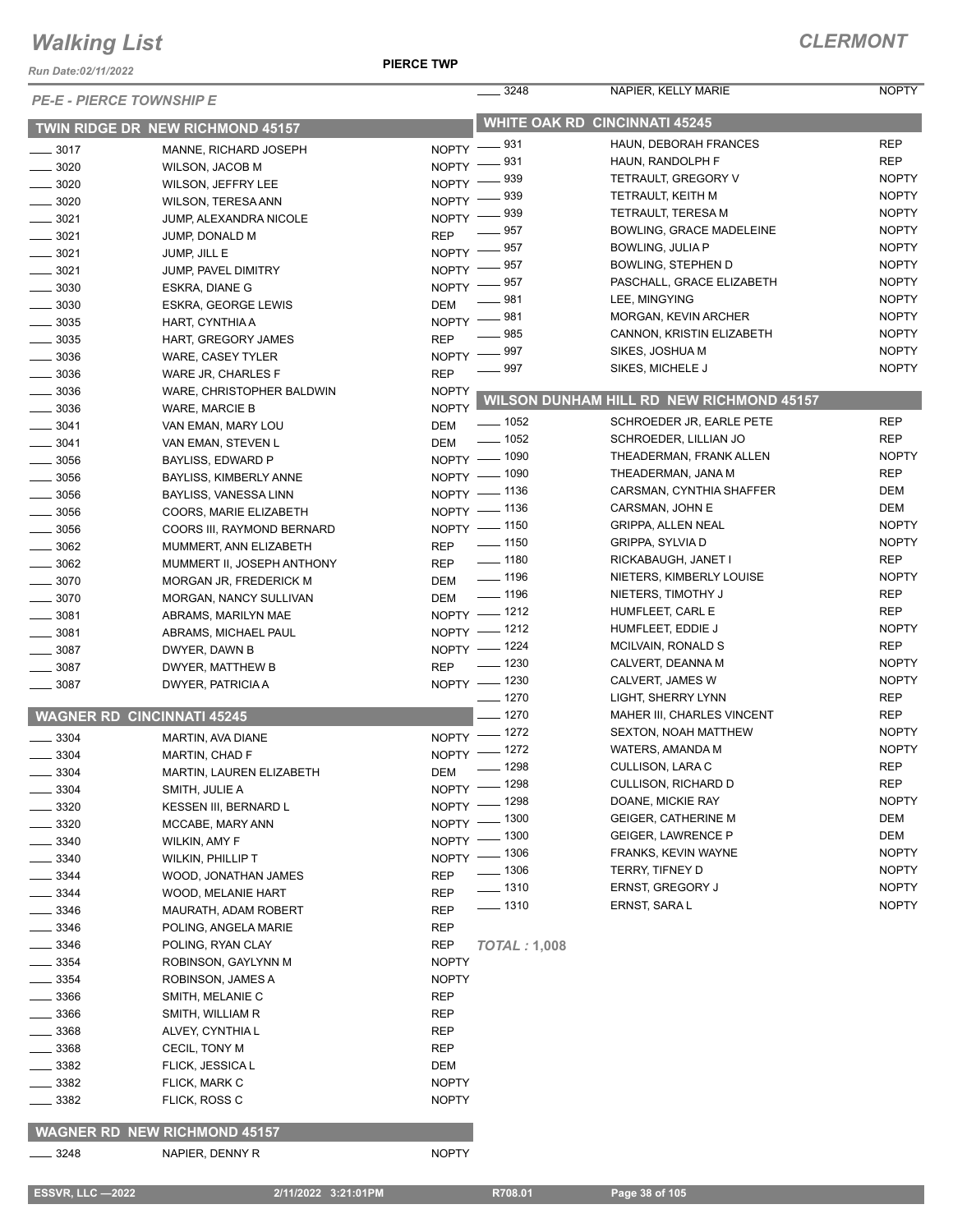*Run Date:02/11/2022*

| <b>PE-E - PIERCE TOWNSHIP E</b>   |                                                 |              | 3248                 | NAPIER, KELLY MARIE                      | <b>NOPTY</b> |
|-----------------------------------|-------------------------------------------------|--------------|----------------------|------------------------------------------|--------------|
|                                   | TWIN RIDGE DR NEW RICHMOND 45157                |              |                      | <b>WHITE OAK RD CINCINNATI 45245</b>     |              |
| $\frac{1}{2}$ 3017                | MANNE, RICHARD JOSEPH                           | NOPTY -831   |                      | HAUN, DEBORAH FRANCES                    | <b>REP</b>   |
| 3020                              | <b>WILSON, JACOB M</b>                          | NOPTY -      | 931                  | HAUN, RANDOLPH F                         | <b>REP</b>   |
| $- 3020$                          | WILSON, JEFFRY LEE                              | <b>NOPTY</b> | 939                  | <b>TETRAULT, GREGORY V</b>               | <b>NOPTY</b> |
| $\frac{1}{2}$ 3020                | <b>WILSON, TERESA ANN</b>                       | NOPTY -      | 939                  | TETRAULT, KEITH M                        | <b>NOPTY</b> |
| $\frac{1}{2}$ 3021                | JUMP, ALEXANDRA NICOLE                          | $NOPTY$ –    | 939                  | <b>TETRAULT, TERESA M</b>                | <b>NOPTY</b> |
| $- 3021$                          | JUMP, DONALD M                                  | <b>REP</b>   | 957                  | BOWLING, GRACE MADELEINE                 | <b>NOPTY</b> |
| $\frac{1}{2}$ 3021                | JUMP, JILL E                                    | $NOPTY =$    | $=957$               | BOWLING, JULIA P                         | <b>NOPTY</b> |
| $\frac{1}{2}$ 3021                | JUMP, PAVEL DIMITRY                             | NOPTY -      | 957                  | <b>BOWLING, STEPHEN D</b>                | <b>NOPTY</b> |
| $\frac{1}{2}$ 3030                | ESKRA, DIANE G                                  | NOPTY $-$    | 957                  | PASCHALL, GRACE ELIZABETH                | <b>NOPTY</b> |
| $\frac{1}{2}$ 3030                | <b>ESKRA, GEORGE LEWIS</b>                      | <b>DEM</b>   | 981                  | LEE, MINGYING                            | <b>NOPTY</b> |
| $\frac{1}{2}$ 3035                | HART, CYNTHIA A                                 | $N$ OPTY $-$ | 981                  | MORGAN, KEVIN ARCHER                     | <b>NOPTY</b> |
| $\frac{1}{2}$ 3035                | HART, GREGORY JAMES                             | <b>REP</b>   | 985                  | CANNON, KRISTIN ELIZABETH                | <b>NOPTY</b> |
| $\frac{1}{2}$ 3036                |                                                 | <b>NOPTY</b> | 997                  | SIKES, JOSHUA M                          | <b>NOPTY</b> |
| $\frac{1}{2}$ 3036                | WARE, CASEY TYLER                               | <b>REP</b>   | 997                  | SIKES, MICHELE J                         | <b>NOPTY</b> |
| $\frac{1}{2}$ 3036                | WARE JR, CHARLES F<br>WARE, CHRISTOPHER BALDWIN | <b>NOPTY</b> |                      |                                          |              |
| $\frac{1}{2}$ 3036                | WARE, MARCIE B                                  | <b>NOPTY</b> |                      | WILSON DUNHAM HILL RD NEW RICHMOND 45157 |              |
| $\frac{1}{2}$ 3041                | VAN EMAN, MARY LOU                              | <b>DEM</b>   | $\frac{1}{2}$ 1052   | SCHROEDER JR, EARLE PETE                 | <b>REP</b>   |
| $\frac{1}{2}$ 3041                |                                                 | <b>DEM</b>   | $\frac{1}{2}$ 1052   | SCHROEDER, LILLIAN JO                    | <b>REP</b>   |
|                                   | VAN EMAN, STEVEN L                              |              | NOPTY - 1090         | THEADERMAN, FRANK ALLEN                  | <b>NOPTY</b> |
| $\frac{1}{2}$ 3056                | BAYLISS, EDWARD P                               |              | NOPTY - 1090         | THEADERMAN, JANA M                       | <b>REP</b>   |
| $\frac{1}{2}$ 3056                | BAYLISS, KIMBERLY ANNE                          |              | NOPTY - 1136         | CARSMAN, CYNTHIA SHAFFER                 | <b>DEM</b>   |
| $\frac{1}{2}$ 3056                | <b>BAYLISS, VANESSA LINN</b>                    |              | NOPTY - 1136         | CARSMAN, JOHN E                          | <b>DEM</b>   |
| $\frac{1}{2}$ 3056                | COORS, MARIE ELIZABETH                          |              | NOPTY - 1150         | <b>GRIPPA, ALLEN NEAL</b>                | <b>NOPTY</b> |
| $\frac{1}{2}$ 3056                | COORS III, RAYMOND BERNARD                      | <b>REP</b>   | $\frac{1}{2}$ 1150   | <b>GRIPPA, SYLVIA D</b>                  | <b>NOPTY</b> |
| $\frac{1}{2}$ 3062                | MUMMERT, ANN ELIZABETH                          |              | $\frac{1}{2}$ 1180   | RICKABAUGH, JANET I                      | <b>REP</b>   |
| $\frac{1}{2}$ 3062                | MUMMERT II, JOSEPH ANTHONY                      | <b>REP</b>   | $\frac{1}{100}$ 1196 | NIETERS, KIMBERLY LOUISE                 | <b>NOPTY</b> |
| $\frac{1}{2}$ 3070                | MORGAN JR, FREDERICK M                          | DEM          | $\frac{1}{100}$ 1196 | NIETERS, TIMOTHY J                       | <b>REP</b>   |
| $\frac{1}{2}$ 3070                | MORGAN, NANCY SULLIVAN                          | <b>DEM</b>   | NOPTY - 1212         | HUMFLEET, CARL E                         | <b>REP</b>   |
| $\frac{1}{2}$ 3081                | ABRAMS, MARILYN MAE                             |              | NOPTY - 1212         | HUMFLEET, EDDIE J                        | <b>NOPTY</b> |
| 3081<br>$\overline{\phantom{0}}$  | ABRAMS, MICHAEL PAUL                            |              | NOPTY - 1224         | MCILVAIN, RONALD S                       | <b>REP</b>   |
| $\frac{1}{2}$ 3087                | DWYER, DAWN B                                   |              | $- 1230$             | CALVERT, DEANNA M                        | <b>NOPTY</b> |
| $\frac{1}{2}$ 3087                | DWYER, MATTHEW B                                | <b>REP</b>   | NOPTY - 1230         | CALVERT, JAMES W                         | <b>NOPTY</b> |
| 3087                              | DWYER, PATRICIA A                               |              | $- 1270$             | LIGHT, SHERRY LYNN                       | <b>REP</b>   |
| <b>WAGNER RD CINCINNATI 45245</b> |                                                 |              | $-1270$              | MAHER III, CHARLES VINCENT               | <b>REP</b>   |
|                                   |                                                 |              | NOPTY - 1272         | <b>SEXTON, NOAH MATTHEW</b>              | <b>NOPTY</b> |
| 3304                              | MARTIN, AVA DIANE                               |              | $-1272$              | WATERS, AMANDA M                         | <b>NOPTY</b> |
| 3304                              | MARTIN, CHAD F                                  | $N$ OPTY -   | $-1298$              | CULLISON, LARA C                         | <b>REP</b>   |
| 3304                              | MARTIN, LAUREN ELIZABETH                        | DEM          |                      | CULLISON, RICHARD D                      | REP          |
| 3304                              | SMITH, JULIE A                                  |              | NOPTY - 1298<br>1298 | DOANE, MICKIE RAY                        | <b>NOPTY</b> |
| 3320                              | KESSEN III, BERNARD L                           | <b>NOPTY</b> | 1300                 | <b>GEIGER, CATHERINE M</b>               | DEM          |
| 3320                              | MCCABE, MARY ANN                                | <b>NOPTY</b> | 1300                 | <b>GEIGER, LAWRENCE P</b>                | DEM          |
| 3340                              | WILKIN, AMY F                                   | <b>NOPTY</b> | - 1306               | FRANKS, KEVIN WAYNE                      | <b>NOPTY</b> |
| 3340                              | WILKIN, PHILLIP T                               | <b>NOPTY</b> | $-1306$              | TERRY, TIFNEY D                          | <b>NOPTY</b> |
| 3344                              | WOOD, JONATHAN JAMES                            | <b>REP</b>   | $- 1310$             | ERNST, GREGORY J                         | <b>NOPTY</b> |
| 3344                              | WOOD, MELANIE HART                              | <b>REP</b>   | $- 1310$             | ERNST, SARA L                            | <b>NOPTY</b> |
| 3346                              | MAURATH, ADAM ROBERT                            | <b>REP</b>   |                      |                                          |              |
| _ 3346                            | POLING, ANGELA MARIE                            | REP          |                      |                                          |              |
| $-3346$                           | POLING, RYAN CLAY                               | <b>REP</b>   | <b>TOTAL: 1,008</b>  |                                          |              |
| 3354                              | ROBINSON, GAYLYNN M                             | <b>NOPTY</b> |                      |                                          |              |
| 3354                              | ROBINSON, JAMES A                               | <b>NOPTY</b> |                      |                                          |              |
| 3366                              | SMITH, MELANIE C                                | REP          |                      |                                          |              |
| 3366                              | SMITH, WILLIAM R                                | REP          |                      |                                          |              |
| 3368                              | ALVEY, CYNTHIA L                                | <b>REP</b>   |                      |                                          |              |
| 3368                              | CECIL, TONY M                                   | <b>REP</b>   |                      |                                          |              |
| 3382                              | FLICK, JESSICA L                                | DEM          |                      |                                          |              |
| 3382                              | FLICK, MARK C                                   | <b>NOPTY</b> |                      |                                          |              |
| __ 3382                           | FLICK, ROSS C                                   | <b>NOPTY</b> |                      |                                          |              |
|                                   | <b>WAGNER RD NEW RICHMOND 45157</b>             |              |                      |                                          |              |
|                                   |                                                 |              |                      |                                          |              |
| _____ 3248                        | NAPIER, DENNY R                                 | <b>NOPTY</b> |                      |                                          |              |

 **ESSVR, LLC —2022 2/11/2022 3:21:01PM R708.01 Page 38 of 105**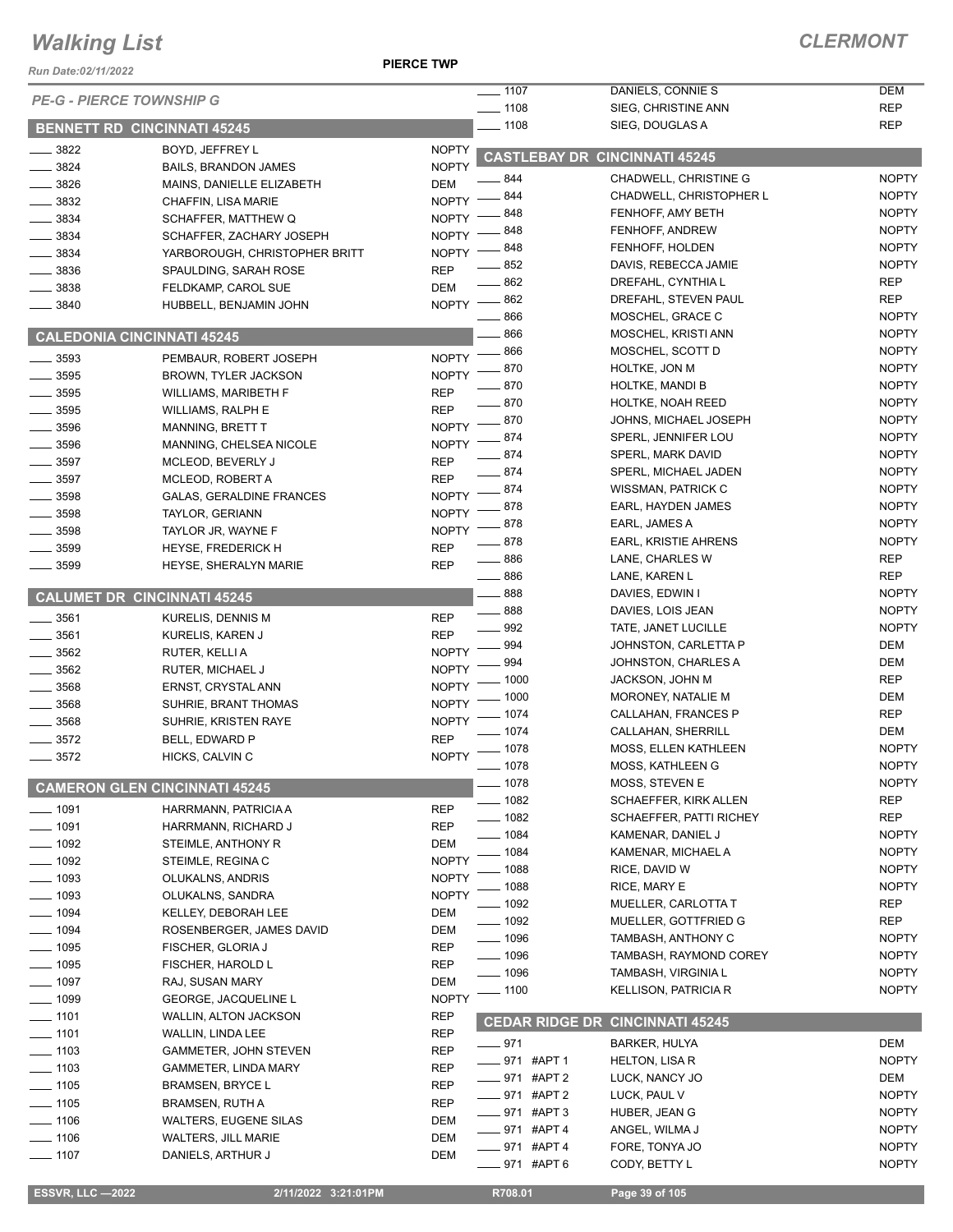#### **PIERCE TWP**

| Run Date:02/11/2022             |                                                              | FILNVL IWF                   |                       |                                          |                              |
|---------------------------------|--------------------------------------------------------------|------------------------------|-----------------------|------------------------------------------|------------------------------|
| <b>PE-G - PIERCE TOWNSHIP G</b> |                                                              |                              | $- 1107$              | DANIELS, CONNIE S                        | <b>DEM</b>                   |
|                                 |                                                              |                              | $- 1108$<br>$-1108$   | SIEG, CHRISTINE ANN<br>SIEG, DOUGLAS A   | <b>REP</b><br><b>REP</b>     |
| 3822                            | <b>BENNETT RD CINCINNATI 45245</b><br><b>BOYD. JEFFREY L</b> |                              |                       |                                          |                              |
| 3824                            | <b>BAILS, BRANDON JAMES</b>                                  | <b>NOPTY</b><br><b>NOPTY</b> |                       | <b>CASTLEBAY DR CINCINNATI 45245</b>     |                              |
| $\frac{1}{2}$ 3826              | MAINS, DANIELLE ELIZABETH                                    | <b>DEM</b>                   | 844                   | CHADWELL, CHRISTINE G                    | <b>NOPTY</b>                 |
| 3832                            | CHAFFIN, LISA MARIE                                          | <b>NOPTY</b>                 | . 844                 | <b>CHADWELL, CHRISTOPHER L</b>           | <b>NOPTY</b>                 |
| 3834                            | SCHAFFER, MATTHEW Q                                          | <b>NOPTY</b>                 | $-848$                | FENHOFF, AMY BETH                        | <b>NOPTY</b>                 |
| 3834                            | SCHAFFER, ZACHARY JOSEPH                                     | <b>NOPTY</b>                 | 848                   | FENHOFF, ANDREW                          | <b>NOPTY</b>                 |
| 3834                            | YARBOROUGH, CHRISTOPHER BRITT                                | NOPTY -                      | . 848                 | FENHOFF, HOLDEN                          | <b>NOPTY</b>                 |
| 3836                            | SPAULDING, SARAH ROSE                                        | <b>REP</b>                   | .852                  | DAVIS, REBECCA JAMIE                     | <b>NOPTY</b>                 |
| 3838                            | FELDKAMP, CAROL SUE                                          | <b>DEM</b>                   | - 862                 | DREFAHL, CYNTHIA L                       | <b>REP</b>                   |
| 3840                            | HUBBELL, BENJAMIN JOHN                                       | <b>NOPTY</b>                 | $-862$<br>866         | DREFAHL, STEVEN PAUL<br>MOSCHEL, GRACE C | <b>REP</b><br><b>NOPTY</b>   |
|                                 |                                                              |                              | - 866                 | MOSCHEL, KRISTI ANN                      | <b>NOPTY</b>                 |
|                                 | <b>CALEDONIA CINCINNATI 45245</b>                            |                              | 866                   | MOSCHEL, SCOTT D                         | <b>NOPTY</b>                 |
| 3593                            | PEMBAUR, ROBERT JOSEPH                                       | $NOPTY$ -                    | 870                   | <b>HOLTKE, JON M</b>                     | <b>NOPTY</b>                 |
| 3595                            | <b>BROWN, TYLER JACKSON</b>                                  | <b>NOPTY</b>                 | 870                   | <b>HOLTKE, MANDI B</b>                   | <b>NOPTY</b>                 |
| $\frac{1}{2}$ 3595              | <b>WILLIAMS, MARIBETH F</b>                                  | <b>REP</b>                   | 870                   | HOLTKE, NOAH REED                        | <b>NOPTY</b>                 |
| 3595                            | <b>WILLIAMS, RALPH E</b>                                     | <b>REP</b>                   | 870                   | JOHNS, MICHAEL JOSEPH                    | <b>NOPTY</b>                 |
| 3596                            | <b>MANNING, BRETT T</b>                                      | <b>NOPTY</b>                 | 874                   | SPERL, JENNIFER LOU                      | <b>NOPTY</b>                 |
| $\frac{1}{2}$ 3596              | MANNING, CHELSEA NICOLE                                      | <b>NOPTY</b>                 | - 874                 | SPERL, MARK DAVID                        | <b>NOPTY</b>                 |
| 3597<br>3597                    | MCLEOD, BEVERLY J                                            | <b>REP</b><br><b>REP</b>     | $-874$                | SPERL, MICHAEL JADEN                     | <b>NOPTY</b>                 |
| 3598                            | MCLEOD, ROBERT A<br><b>GALAS, GERALDINE FRANCES</b>          | <b>NOPTY</b>                 | $-874$                | WISSMAN, PATRICK C                       | <b>NOPTY</b>                 |
| $\frac{1}{2}$ 3598              | TAYLOR, GERIANN                                              | NOPTY -                      | - 878                 | EARL, HAYDEN JAMES                       | <b>NOPTY</b>                 |
| $\frac{1}{2}$ 3598              | TAYLOR JR, WAYNE F                                           | <b>NOPTY</b>                 | 878                   | EARL, JAMES A                            | <b>NOPTY</b>                 |
| 3599                            | <b>HEYSE, FREDERICK H</b>                                    | <b>REP</b>                   | _ 878                 | <b>EARL, KRISTIE AHRENS</b>              | <b>NOPTY</b>                 |
| 3599                            | HEYSE, SHERALYN MARIE                                        | <b>REP</b>                   | $\frac{1}{2}$ 886     | LANE, CHARLES W                          | <b>REP</b>                   |
|                                 |                                                              |                              | $\equiv$ 886          | LANE, KAREN L                            | <b>REP</b>                   |
|                                 | <b>CALUMET DR CINCINNATI 45245</b>                           |                              | $-888$                | DAVIES, EDWIN I                          | <b>NOPTY</b>                 |
| $\frac{1}{2}$ 3561              | KURELIS, DENNIS M                                            | <b>REP</b>                   | $-888$                | DAVIES, LOIS JEAN                        | <b>NOPTY</b>                 |
| $- 3561$                        | KURELIS, KAREN J                                             | <b>REP</b>                   | 992                   | TATE, JANET LUCILLE                      | <b>NOPTY</b>                 |
| 3562                            | RUTER, KELLI A                                               | <b>NOPTY</b>                 | 994                   | JOHNSTON, CARLETTA P                     | DEM                          |
| $\frac{1}{2}$ 3562              | <b>RUTER, MICHAEL J</b>                                      | <b>NOPTY</b>                 | 994                   | JOHNSTON, CHARLES A                      | DEM                          |
| 3568                            | ERNST, CRYSTAL ANN                                           | <b>NOPTY</b>                 | 1000                  | <b>JACKSON, JOHN M</b>                   | <b>REP</b>                   |
| 3568                            | SUHRIE, BRANT THOMAS                                         | <b>NOPTY</b>                 | 1000                  | MORONEY, NATALIE M                       | DEM                          |
| 3568                            | SUHRIE, KRISTEN RAYE                                         | <b>NOPTY</b>                 | . 1074                | CALLAHAN, FRANCES P                      | <b>REP</b>                   |
| 3572                            | BELL, EDWARD P                                               | <b>REP</b>                   | $-1074$               | <b>CALLAHAN, SHERRILL</b>                | DEM                          |
| 3572                            | HICKS, CALVIN C                                              | <b>NOPTY</b>                 | $= 1078$              | <b>MOSS, ELLEN KATHLEEN</b>              | <b>NOPTY</b><br><b>NOPTY</b> |
|                                 |                                                              |                              | $- 1078$<br>__ 1078   | MOSS, KATHLEEN G<br>MOSS, STEVEN E       | <b>NOPTY</b>                 |
|                                 | <b>CAMERON GLEN CINCINNATI 45245</b>                         |                              | $-1082$               | <b>SCHAEFFER, KIRK ALLEN</b>             | <b>REP</b>                   |
| $- 1091$                        | HARRMANN, PATRICIA A                                         | <b>REP</b>                   | $- 1082$              | <b>SCHAEFFER, PATTI RICHEY</b>           | <b>REP</b>                   |
| $- 1091$                        | HARRMANN, RICHARD J                                          | <b>REP</b>                   | $- 1084$              | KAMENAR, DANIEL J                        | <b>NOPTY</b>                 |
| $\frac{1}{2}$ 1092              | STEIMLE, ANTHONY R                                           | DEM                          | $-1084$               | KAMENAR, MICHAEL A                       | <b>NOPTY</b>                 |
| $\frac{1}{2}$ 1092              | STEIMLE, REGINA C                                            | <b>NOPTY</b>                 | 1088                  | RICE, DAVID W                            | <b>NOPTY</b>                 |
| $- 1093$                        | OLUKALNS, ANDRIS                                             | <b>NOPTY</b>                 | 1088                  | RICE, MARY E                             | <b>NOPTY</b>                 |
| $-1093$                         | OLUKALNS, SANDRA                                             | <b>NOPTY</b>                 | - 1092                | MUELLER, CARLOTTA T                      | <b>REP</b>                   |
| $- 1094$                        | KELLEY, DEBORAH LEE                                          | DEM                          | $-1092$               | MUELLER, GOTTFRIED G                     | <b>REP</b>                   |
| $- 1094$                        | ROSENBERGER, JAMES DAVID                                     | <b>DEM</b>                   | $-1096$               | TAMBASH, ANTHONY C                       | <b>NOPTY</b>                 |
| $\frac{1}{2}$ 1095              | FISCHER, GLORIA J                                            | <b>REP</b>                   | $- 1096$              | TAMBASH, RAYMOND COREY                   | <b>NOPTY</b>                 |
| $\frac{1}{2}$ 1095              | FISCHER, HAROLD L                                            | <b>REP</b>                   | — 1096                | TAMBASH, VIRGINIA L                      | <b>NOPTY</b>                 |
| $- 1097$<br>$-1099$             | RAJ, SUSAN MARY                                              | DEM<br><b>NOPTY</b>          | $- 1100$              | <b>KELLISON, PATRICIA R</b>              | <b>NOPTY</b>                 |
| $-1101$                         | GEORGE, JACQUELINE L                                         | <b>REP</b>                   |                       |                                          |                              |
| $- 1101$                        | <b>WALLIN, ALTON JACKSON</b><br>WALLIN, LINDA LEE            | <b>REP</b>                   | <b>CEDAR RIDGE DR</b> | <b>CINCINNATI 45245</b>                  |                              |
| $\frac{1}{2}$ 1103              | GAMMETER, JOHN STEVEN                                        | <b>REP</b>                   | $-971$                | <b>BARKER, HULYA</b>                     | <b>DEM</b>                   |
| $- 1103$                        | <b>GAMMETER, LINDA MARY</b>                                  | REP                          | ___971 #APT 1         | <b>HELTON, LISA R</b>                    | <b>NOPTY</b>                 |
| $\frac{1}{2}$ 1105              | <b>BRAMSEN, BRYCE L</b>                                      | <b>REP</b>                   | ___ 971 #APT 2        | LUCK, NANCY JO                           | DEM                          |
| $- 1105$                        | <b>BRAMSEN, RUTH A</b>                                       | <b>REP</b>                   | ____ 971 #APT 2       | LUCK, PAUL V                             | <b>NOPTY</b>                 |
| $- 1106$                        | <b>WALTERS, EUGENE SILAS</b>                                 | DEM                          | —— 971 #APT 3         | HUBER, JEAN G                            | <b>NOPTY</b>                 |
| $- 1106$                        | <b>WALTERS, JILL MARIE</b>                                   | <b>DEM</b>                   | . 971 #APT 4          | ANGEL, WILMA J                           | <b>NOPTY</b>                 |
| — 1107                          | DANIELS, ARTHUR J                                            | DEM                          | _971 #APT4            | FORE, TONYA JO                           | <b>NOPTY</b>                 |
|                                 |                                                              |                              | _ 971   #APT 6        | CODY, BETTY L                            | <b>NOPTY</b>                 |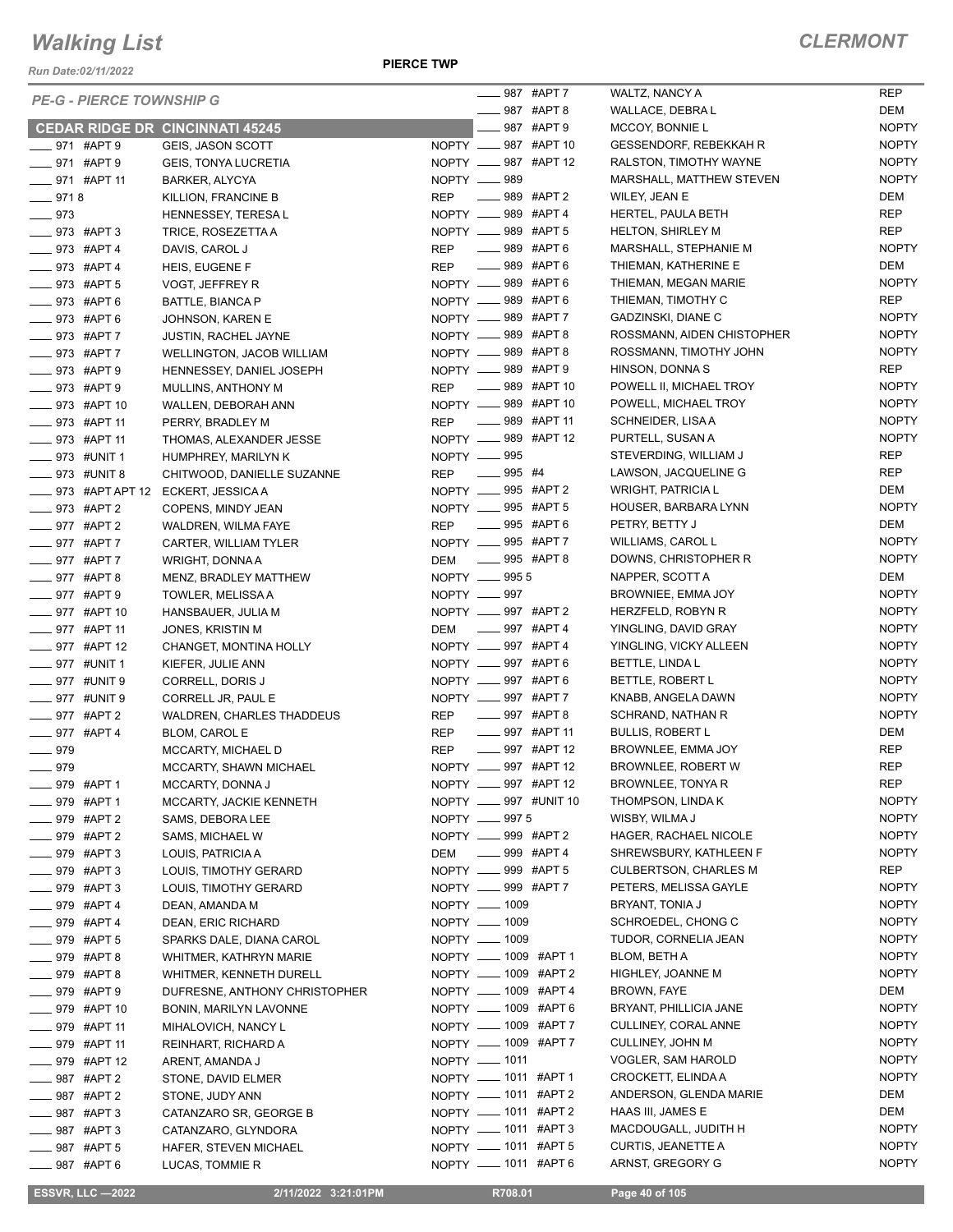*Run Date:02/11/2022*

**PIERCE TWP**

|                     | <b>PE-G - PIERCE TOWNSHIP G</b> |                                        |            |                                          | <sub>–</sub> 987 #APT 7 |
|---------------------|---------------------------------|----------------------------------------|------------|------------------------------------------|-------------------------|
|                     |                                 |                                        |            | _____ 987 #APT 8                         |                         |
|                     |                                 | <b>CEDAR RIDGE DR CINCINNATI 45245</b> |            | ____987 #APT9                            |                         |
| ____ 971 #APT 9     |                                 | GEIS, JASON SCOTT                      |            | NOPTY __ 987 #APT 10                     |                         |
| ____ 971 #APT 9     |                                 | <b>GEIS, TONYA LUCRETIA</b>            |            | NOPTY _____ 987 #APT 12                  |                         |
|                     | $971$ #APT 11                   | <b>BARKER, ALYCYA</b>                  |            | NOPTY __ 989                             |                         |
| $-9718$             |                                 | KILLION, FRANCINE B                    | <b>REP</b> | _____ 989 #APT 2                         |                         |
| $-973$              |                                 | HENNESSEY, TERESAL                     |            | NOPTY __ 989 #APT 4                      |                         |
| _____ 973 #APT 3    |                                 | TRICE, ROSEZETTA A                     |            | NOPTY __ 989 #APT 5                      |                         |
| _____ 973 #APT 4    |                                 | DAVIS, CAROL J                         | <b>REP</b> | <b>LE 989 #APT 6</b>                     |                         |
| ____ 973 #APT 4     |                                 | HEIS, EUGENE F                         | <b>REP</b> | <b>____</b> 989 #APT 6                   |                         |
| ____ 973 #APT 5     |                                 | VOGT, JEFFREY R                        |            | NOPTY _____ 989 #APT 6                   |                         |
|                     | __ 973 #APT 6                   | BATTLE, BIANCA P                       |            | NOPTY __ 989 #APT 6                      |                         |
| —— 973 #APT 6       |                                 | JOHNSON, KAREN E                       |            | NOPTY ____ 989 #APT 7                    |                         |
| ____ 973 #APT 7     |                                 | <b>JUSTIN, RACHEL JAYNE</b>            |            | NOPTY __ 989 #APT 8                      |                         |
| ____ 973 #APT 7     |                                 | WELLINGTON, JACOB WILLIAM              |            | NOPTY __ 989 #APT 8                      |                         |
| _____ 973 #APT 9    |                                 | HENNESSEY, DANIEL JOSEPH               |            | NOPTY __ 989 #APT 9                      |                         |
|                     |                                 |                                        | <b>REP</b> | $\frac{1}{2}$ 989 #APT 10                |                         |
| ___ 973 #APT 9      |                                 | MULLINS, ANTHONY M                     |            | NOPTY __ 989 #APT 10                     |                         |
|                     | ____ 973 #APT 10                | WALLEN, DEBORAH ANN                    |            | _____ 989 #APT 11                        |                         |
| ____ 973 #APT 11    |                                 | PERRY, BRADLEY M                       | REP        | NOPTY __ 989 #APT 12                     |                         |
|                     | ____ 973 #APT 11                | THOMAS, ALEXANDER JESSE                |            |                                          |                         |
| ____ 973 #UNIT 1    |                                 | HUMPHREY, MARILYN K                    |            | NOPTY __ 995                             |                         |
|                     | ____ 973 #UNIT 8                | CHITWOOD, DANIELLE SUZANNE             | <b>REP</b> | _______ 995 #4                           |                         |
|                     | ____ 973 #APT APT 12            | ECKERT, JESSICA A                      |            | NOPTY __ 995 #APT 2                      |                         |
| _____ 973 #APT 2    |                                 | COPENS, MINDY JEAN                     |            | NOPTY __ 995 #APT 5                      |                         |
| ____ 977 #APT 2     |                                 | <b>WALDREN, WILMA FAYE</b>             | <b>REP</b> | ______ 995 #APT 6<br>NOPTY __ 995 #APT 7 |                         |
| _____ 977 #APT 7    |                                 | CARTER, WILLIAM TYLER                  |            |                                          |                         |
| ___ 977 #APT 7      |                                 | WRIGHT, DONNA A                        | <b>DEM</b> | $- 995$ #APT 8                           |                         |
| ____ 977 #APT 8     |                                 | MENZ, BRADLEY MATTHEW                  |            | NOPTY __ 9955                            |                         |
| ____ 977 #APT 9     |                                 | TOWLER, MELISSA A                      |            | NOPTY -897                               |                         |
|                     | ____ 977 #APT 10                | HANSBAUER, JULIA M                     |            | NOPTY _____ 997 #APT 2                   |                         |
|                     | ____ 977 #APT 11                | JONES, KRISTIN M                       | DEM        | _____ 997   #APT 4                       |                         |
|                     | ___ 977 #APT 12                 | CHANGET, MONTINA HOLLY                 |            | NOPTY __ 997 #APT 4                      |                         |
| _____ 977   #UNIT 1 |                                 | KIEFER, JULIE ANN                      |            | NOPTY ____ 997 #APT 6                    |                         |
| ____ 977 #UNIT 9    |                                 | CORRELL, DORIS J                       |            | NOPTY __ 997 #APT 6                      |                         |
| ____ 977 #UNIT 9    |                                 | CORRELL JR, PAUL E                     |            | NOPTY __ 997 #APT 7                      |                         |
| _____ 977 #APT 2    |                                 | <b>WALDREN, CHARLES THADDEUS</b>       | REP        | _____ 997 #APT 8                         |                         |
| ____ 977 #APT 4     |                                 | <b>BLOM, CAROL E</b>                   | REP        | $\frac{1}{2}$ 997 #APT 11                |                         |
| ___ 979             |                                 | MCCARTY, MICHAEL D                     | <b>REP</b> | $-$ 997 #APT 12                          |                         |
| $\equiv$ 979        |                                 | MCCARTY, SHAWN MICHAEL                 |            | NOPTY __ 997 #APT 12                     |                         |
|                     | 979 #APT 1                      | MCCARTY, DONNA J                       | NOPTY -    |                                          | 997 #APT 12             |
| _____ 979 #APT 1    |                                 | MCCARTY, JACKIE KENNETH                |            | NOPTY __ 997 #UNIT 10                    |                         |
| ____ 979 #APT 2     |                                 | SAMS, DEBORA LEE                       |            | NOPTY <u>- 997</u> 5                     |                         |
| ____ 979 #APT 2     |                                 | SAMS, MICHAEL W                        |            | NOPTY __ 999 #APT 2                      |                         |
| _____ 979 #APT 3    |                                 | LOUIS, PATRICIA A                      |            | DEM ______ 999 #APT 4                    |                         |
| ____ 979 #APT 3     |                                 | LOUIS, TIMOTHY GERARD                  |            | NOPTY __ 999 #APT 5                      |                         |
| _____ 979 #APT 3    |                                 | LOUIS, TIMOTHY GERARD                  |            | NOPTY __ 999 #APT 7                      |                         |
| ____ 979 #APT 4     |                                 | DEAN, AMANDA M                         |            | NOPTY - 1009                             |                         |
| ____ 979 #APT 4     |                                 | DEAN, ERIC RICHARD                     |            | NOPTY __ 1009                            |                         |
| _____ 979 #APT 5    |                                 | SPARKS DALE, DIANA CAROL               |            | NOPTY - 1009                             |                         |
| 979 #APT 8          |                                 | WHITMER, KATHRYN MARIE                 |            | NOPTY __ 1009 #APT 1                     |                         |
| ____979 #APT8       |                                 | WHITMER, KENNETH DURELL                |            | NOPTY __ 1009 #APT 2                     |                         |
| ____ 979 #APT 9     |                                 | DUFRESNE, ANTHONY CHRISTOPHER          |            | NOPTY __ 1009 #APT 4                     |                         |
| _____ 979 #APT 10   |                                 | BONIN, MARILYN LAVONNE                 |            | NOPTY __ 1009 #APT 6                     |                         |
| _____ 979 #APT 11   |                                 | MIHALOVICH, NANCY L                    |            | NOPTY __ 1009 #APT 7                     |                         |
| ____ 979 #APT 11    |                                 | REINHART, RICHARD A                    |            | NOPTY __ 1009 #APT 7                     |                         |
| _____ 979 #APT 12   |                                 | ARENT, AMANDA J                        |            | NOPTY - 1011                             |                         |
| ____ 987 #APT 2     |                                 | STONE, DAVID ELMER                     |            | NOPTY __ 1011 #APT 1                     |                         |
| ____ 987 #APT 2     |                                 | STONE, JUDY ANN                        |            | NOPTY __ 1011 #APT 2                     |                         |
| _____ 987 #APT 3    |                                 | CATANZARO SR, GEORGE B                 |            | NOPTY __ 1011 #APT 2                     |                         |
| ___ 987 #APT 3      |                                 | CATANZARO, GLYNDORA                    |            | NOPTY __ 1011 #APT 3                     |                         |
| _____ 987 #APT 5    |                                 | HAFER, STEVEN MICHAEL                  |            | NOPTY __ 1011 #APT 5                     |                         |
| —— 987 #APT 6       |                                 | LUCAS, TOMMIE R                        |            | NOPTY __ 1011 #APT 6                     |                         |

|    | <sub>-</sub> 987 #APT 7   | WALTZ, NANCY A                | REP          |
|----|---------------------------|-------------------------------|--------------|
|    | $- 987$ #APT 8            | WALLACE, DEBRA L              | DEM          |
|    | ____ 987 #APT 9           | MCCOY, BONNIE L               | <b>NOPTY</b> |
|    | )PTY _____ 987 #APT 10    | <b>GESSENDORF, REBEKKAH R</b> | <b>NOPTY</b> |
|    | PTY ____ 987 #APT 12      | RALSTON, TIMOTHY WAYNE        | <b>NOPTY</b> |
|    | PTY __ 989                | MARSHALL, MATTHEW STEVEN      | <b>NOPTY</b> |
| P: | ____ 989 #APT 2           | WILEY, JEAN E                 | DEM          |
|    | PTY __ 989 #APT 4         | HERTEL, PAULA BETH            | REP          |
|    | PTY ___ 989 #APT 5        | <b>HELTON, SHIRLEY M</b>      | REP          |
| P: | $-$ 989 #APT 6            | MARSHALL, STEPHANIE M         | <b>NOPTY</b> |
| :P | ____ 989 #APT 6           | THIEMAN, KATHERINE E          | DEM          |
|    | PTY ____ 989 #APT 6       | THIEMAN, MEGAN MARIE          | <b>NOPTY</b> |
|    | PTY __ 989 #APT 6         | THIEMAN, TIMOTHY C            | REP          |
|    | PTY ____989 #APT 7        | GADZINSKI, DIANE C            | <b>NOPTY</b> |
|    | PTY __ 989 #APT 8         | ROSSMANN, AIDEN CHISTOPHER    | <b>NOPTY</b> |
|    | PTY ____ 989 #APT 8       | ROSSMANN, TIMOTHY JOHN        | <b>NOPTY</b> |
|    | PTY ____ 989 #APT 9       | HINSON, DONNA S               | REP          |
| P: | $-$ 989 #APT 10           | POWELL II, MICHAEL TROY       | <b>NOPTY</b> |
|    | PTY ____ 989 #APT 10      | POWELL, MICHAEL TROY          | <b>NOPTY</b> |
| P: | ____ 989 #APT 11          | SCHNEIDER, LISA A             | <b>NOPTY</b> |
|    | PTY ____ 989 #APT 12      | PURTELL, SUSAN A              | <b>NOPTY</b> |
|    | PTY <u>__</u> 995         | STEVERDING, WILLIAM J         | REP          |
| :P | $- 995$ #4                | LAWSON, JACQUELINE G          | <b>REP</b>   |
|    | PTY _____ 995 #APT 2      | <b>WRIGHT, PATRICIA L</b>     | DEM          |
|    | PTY ____ 995 #APT 5       | HOUSER, BARBARA LYNN          | <b>NOPTY</b> |
| :P | $-$ 995 #APT 6            | PETRY, BETTY J                | DEM          |
|    | PTY ____ 995 #APT 7       | WILLIAMS, CAROL L             | <b>NOPTY</b> |
| M  | -895 #APT 8               | DOWNS, CHRISTOPHER R          | <b>NOPTY</b> |
|    | PTY <u>_</u> 995 5        | NAPPER, SCOTT A               | DEM          |
|    | PTY <u>_</u> 997          | BROWNIEE, EMMA JOY            | <b>NOPTY</b> |
|    | PTY ____ 997 #APT 2       | HERZFELD, ROBYN R             | <b>NOPTY</b> |
| M  | $- 997$ #APT 4            | YINGLING, DAVID GRAY          | <b>NOPTY</b> |
|    | PTY __ 997 #APT 4         | YINGLING, VICKY ALLEEN        | <b>NOPTY</b> |
|    | PTY ____997 #APT 6        | BETTLE, LINDA L               | <b>NOPTY</b> |
|    | PTY __ 997 #APT 6         | BETTLE, ROBERT L              | <b>NOPTY</b> |
|    | PTY ____ 997 #APT 7       | KNABB, ANGELA DAWN            | <b>NOPTY</b> |
| P: | $\frac{1}{2}$ 997 #APT 8  | SCHRAND, NATHAN R             | <b>NOPTY</b> |
| :P | $\frac{1}{2}$ 997 #APT 11 | <b>BULLIS, ROBERT L</b>       | <b>DEM</b>   |
| :P | ____ 997 #APT 12          | BROWNLEE, EMMA JOY            | REP          |
|    | PTY __ 997 #APT 12        | BROWNLEE, ROBERT W            | <b>REP</b>   |
|    | PTY __ 997 #APT 12        | BROWNLEE, TONYA R             | REP          |
|    | PTY ____ 997 #UNIT 10     | THOMPSON, LINDA K             | <b>NOPTY</b> |
|    | PTY <u>__</u> 9975        | WISBY, WILMA J                | <b>NOPTY</b> |
|    | )PTY _____ 999 #APT 2     | HAGER, RACHAEL NICOLE         | <b>NOPTY</b> |
| :M | $-$ 999 #APT 4            | SHREWSBURY, KATHLEEN F        | <b>NOPTY</b> |
|    | PTY ____ 999 #APT 5       | <b>CULBERTSON, CHARLES M</b>  | REP          |
|    | PTY ____ 999 #APT 7       | PETERS, MELISSA GAYLE         | <b>NOPTY</b> |
|    | PTY - 1009                | BRYANT, TONIA J               | <b>NOPTY</b> |
|    | PTY __ 1009               | SCHROEDEL, CHONG C            | <b>NOPTY</b> |
|    | PTY — 1009                | TUDOR, CORNELIA JEAN          | <b>NOPTY</b> |
|    | PTY __ 1009 #APT 1        | BLOM, BETH A                  | <b>NOPTY</b> |
|    | PTY ____ 1009 #APT 2      | HIGHLEY, JOANNE M             | <b>NOPTY</b> |
|    | PTY __ 1009 #APT 4        | <b>BROWN, FAYE</b>            | DEM          |
|    | PTY ____ 1009 #APT 6      | BRYANT, PHILLICIA JANE        | <b>NOPTY</b> |
|    | PTY __ 1009 #APT 7        | CULLINEY, CORAL ANNE          | <b>NOPTY</b> |
|    | PTY __ 1009 #APT 7        |                               |              |
|    |                           | CULLINEY, JOHN M              | <b>NOPTY</b> |
|    | PTY — 1011                | VOGLER, SAM HAROLD            | <b>NOPTY</b> |
|    | PTY ____ 1011 #APT 1      | CROCKETT, ELINDA A            | <b>NOPTY</b> |
|    | PTY ____ 1011 #APT 2      | ANDERSON, GLENDA MARIE        | DEM          |
|    | PTY ____ 1011 #APT 2      | HAAS III, JAMES E             | DEM          |
|    | PTY __ 1011 #APT 3        | MACDOUGALL, JUDITH H          | <b>NOPTY</b> |
|    | PTY __ 1011 #APT 5        | <b>CURTIS, JEANETTE A</b>     | <b>NOPTY</b> |
|    | PTY ____ 1011 #APT 6      | ARNST, GREGORY G              | <b>NOPTY</b> |

 **ESSVR, LLC —2022 2/11/2022 3:21:01PM R708.01 Page 40 of 105**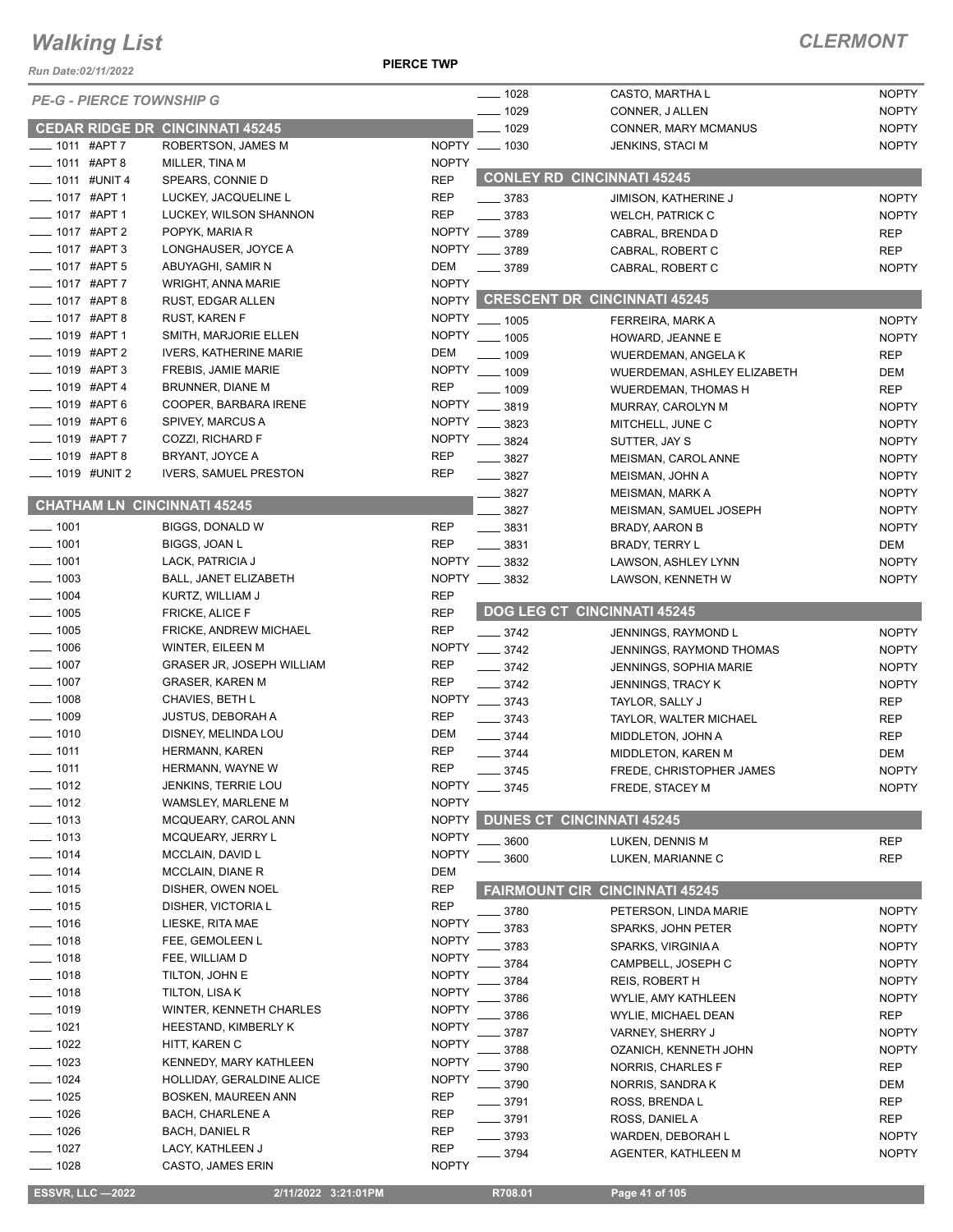*Run Date:02/11/2022*

#### **PIERCE TWP**

### *CLERMONT*

| <b>PE-G - PIERCE TOWNSHIP G</b>    |                                        |              | $- 1028$                           | CASTO, MARTHA L                       | <b>NOPTY</b> |
|------------------------------------|----------------------------------------|--------------|------------------------------------|---------------------------------------|--------------|
|                                    |                                        |              | $- 1029$                           | CONNER, J ALLEN                       | <b>NOPTY</b> |
|                                    | <b>CEDAR RIDGE DR CINCINNATI 45245</b> |              | $- 1029$                           | CONNER, MARY MCMANUS                  | <b>NOPTY</b> |
| _ 1011 #APT 7                      | ROBERTSON, JAMES M                     |              | NOPTY __ 1030                      | <b>JENKINS, STACI M</b>               | <b>NOPTY</b> |
| 1011 #APT 8                        | MILLER, TINA M                         | <b>NOPTY</b> | <b>CONLEY RD CINCINNATI 45245</b>  |                                       |              |
| $-1011$ #UNIT 4                    | SPEARS, CONNIE D                       | <b>REP</b>   |                                    |                                       |              |
| $-1017$ #APT 1                     | LUCKEY, JACQUELINE L                   | <b>REP</b>   | $- 3783$                           | JIMISON, KATHERINE J                  | <b>NOPTY</b> |
| ___ 1017 #APT 1                    | LUCKEY, WILSON SHANNON                 | <b>REP</b>   | $\frac{1}{2}$ 3783                 | <b>WELCH, PATRICK C</b>               | <b>NOPTY</b> |
| ____ 1017 #APT 2                   | POPYK, MARIA R                         |              | NOPTY __ 3789                      | CABRAL, BRENDA D                      | <b>REP</b>   |
| $\frac{1}{2}$ 1017 #APT 3          | LONGHAUSER, JOYCE A                    |              | NOPTY __ 3789                      | CABRAL, ROBERT C                      | <b>REP</b>   |
| $\frac{1}{2}$ 1017 #APT 5          | ABUYAGHI, SAMIR N                      | DEM          | $- 3789$                           | CABRAL, ROBERT C                      | <b>NOPTY</b> |
| $-1017$ #APT 7                     | WRIGHT, ANNA MARIE                     | <b>NOPTY</b> |                                    |                                       |              |
| $\frac{1}{2}$ 1017 #APT 8          | RUST, EDGAR ALLEN                      |              |                                    | NOPTY CRESCENT DR CINCINNATI 45245    |              |
| ____ 1017 #APT 8                   | <b>RUST, KAREN F</b>                   |              | NOPTY __ 1005                      | FERREIRA, MARK A                      | <b>NOPTY</b> |
| $\frac{1}{2}$ 1019 #APT 1          | SMITH, MARJORIE ELLEN                  |              | NOPTY __ 1005                      | HOWARD, JEANNE E                      | <b>NOPTY</b> |
| $\frac{1}{2}$ 1019 #APT 2          | <b>IVERS, KATHERINE MARIE</b>          | DEM          | $\frac{1}{2}$ 1009                 | WUERDEMAN, ANGELA K                   | <b>REP</b>   |
| _ 1019 #APT 3                      | FREBIS, JAMIE MARIE                    | <b>NOPTY</b> | $- 1009$                           | WUERDEMAN, ASHLEY ELIZABETH           | DEM          |
| _ 1019 #APT 4                      | BRUNNER, DIANE M                       | <b>REP</b>   | $\frac{1009}{1000}$                | <b>WUERDEMAN, THOMAS H</b>            | <b>REP</b>   |
| $-1019$ #APT 6                     | COOPER, BARBARA IRENE                  | <b>NOPTY</b> | $- 3819$                           | MURRAY, CAROLYN M                     | <b>NOPTY</b> |
| $-1019$ #APT 6                     | SPIVEY, MARCUS A                       | <b>NOPTY</b> | 3823                               | MITCHELL, JUNE C                      | <b>NOPTY</b> |
| $-1019$ #APT 7                     | COZZI, RICHARD F                       |              | NOPTY __ 3824                      | SUTTER, JAY S                         | <b>NOPTY</b> |
| __ 1019 #APT 8                     | BRYANT, JOYCE A                        | <b>REP</b>   | $- 3827$                           | MEISMAN, CAROL ANNE                   | <b>NOPTY</b> |
| $\frac{1}{2}$ 1019 #UNIT 2         | <b>IVERS, SAMUEL PRESTON</b>           | <b>REP</b>   | $\frac{1}{2}$ 3827                 | MEISMAN, JOHN A                       | <b>NOPTY</b> |
|                                    |                                        |              | $\frac{3827}{2}$                   | <b>MEISMAN, MARK A</b>                | <b>NOPTY</b> |
| <b>CHATHAM LN CINCINNATI 45245</b> |                                        |              |                                    |                                       |              |
| $- 1001$                           |                                        |              | $- 3827$                           | MEISMAN, SAMUEL JOSEPH                | <b>NOPTY</b> |
|                                    | BIGGS, DONALD W                        | <b>REP</b>   | $\frac{1}{2}$ 3831                 | BRADY, AARON B                        | <b>NOPTY</b> |
| $-1001$                            | BIGGS, JOAN L                          | <b>REP</b>   | $- 3831$                           | <b>BRADY, TERRY L</b>                 | DEM          |
| $-1001$                            | LACK, PATRICIA J                       |              | NOPTY __ 3832                      | LAWSON, ASHLEY LYNN                   | <b>NOPTY</b> |
| $\frac{1}{2}$ 1003                 | BALL, JANET ELIZABETH                  |              | NOPTY __ 3832                      | LAWSON, KENNETH W                     | <b>NOPTY</b> |
| $\frac{1}{2}$ 1004                 | KURTZ, WILLIAM J                       | <b>REP</b>   |                                    |                                       |              |
| $-1005$                            | <b>FRICKE, ALICE F</b>                 | <b>REP</b>   | <b>DOG LEG CT CINCINNATI 45245</b> |                                       |              |
| $-1005$                            | FRICKE, ANDREW MICHAEL                 | <b>REP</b>   | $\frac{3742}{2}$                   | JENNINGS, RAYMOND L                   | <b>NOPTY</b> |
| $-1006$                            | WINTER, EILEEN M                       | <b>NOPTY</b> | $-3742$                            | JENNINGS, RAYMOND THOMAS              | <b>NOPTY</b> |
| $-1007$                            | <b>GRASER JR, JOSEPH WILLIAM</b>       | <b>REP</b>   | $-3742$                            | JENNINGS, SOPHIA MARIE                | <b>NOPTY</b> |
| $-1007$                            | <b>GRASER, KAREN M</b>                 | <b>REP</b>   | $-3742$                            | JENNINGS, TRACY K                     | <b>NOPTY</b> |
| $- 1008$                           | CHAVIES, BETH L                        | <b>NOPTY</b> | $- 3743$                           | TAYLOR, SALLY J                       | <b>REP</b>   |
| $\frac{1}{2}$ 1009                 | <b>JUSTUS, DEBORAH A</b>               | <b>REP</b>   | $- 3743$                           | TAYLOR, WALTER MICHAEL                | <b>REP</b>   |
| $- 1010$                           | DISNEY, MELINDA LOU                    | DEM          | $- 3744$                           | MIDDLETON, JOHN A                     | <b>REP</b>   |
| $- 1011$                           | HERMANN, KAREN                         | <b>REP</b>   | $- 3744$                           | MIDDLETON, KAREN M                    | <b>DEM</b>   |
| $- 1011$                           | HERMANN, WAYNE W                       | <b>REP</b>   | $- 3745$                           | FREDE, CHRISTOPHER JAMES              | <b>NOPTY</b> |
| _ 1012                             | <b>JENKINS, TERRIE LOU</b>             | <b>NOPTY</b> | $-3745$                            | FREDE, STACEY M                       | <b>NOPTY</b> |
| 1012                               | WAMSLEY, MARLENE M                     | <b>NOPTY</b> |                                    |                                       |              |
| $-1013$                            | MCQUEARY, CAROL ANN                    |              | NOPTY DUNES CT CINCINNATI 45245    |                                       |              |
| $- 1013$                           | MCQUEARY, JERRY L                      | <b>NOPTY</b> | 3600                               | LUKEN, DENNIS M                       | <b>REP</b>   |
| $-1014$                            | MCCLAIN, DAVID L                       | <b>NOPTY</b> | 3600                               | LUKEN, MARIANNE C                     | <b>REP</b>   |
| $-1014$                            | <b>MCCLAIN, DIANE R</b>                | DEM          |                                    |                                       |              |
| $-1015$                            | DISHER, OWEN NOEL                      | <b>REP</b>   |                                    | <b>FAIRMOUNT CIR CINCINNATI 45245</b> |              |
| $-1015$                            | DISHER, VICTORIA L                     | <b>REP</b>   |                                    |                                       |              |
| $- 1016$                           | LIESKE, RITA MAE                       | <b>NOPTY</b> | 3780                               | PETERSON, LINDA MARIE                 | <b>NOPTY</b> |
| $- 1018$                           | FEE, GEMOLEEN L                        | <b>NOPTY</b> | 3783                               | SPARKS, JOHN PETER                    | <b>NOPTY</b> |
| — 1018                             | FEE, WILLIAM D                         | <b>NOPTY</b> | 3783                               | SPARKS, VIRGINIA A                    | <b>NOPTY</b> |
| _ 1018                             | TILTON, JOHN E                         | <b>NOPTY</b> | 3784                               | CAMPBELL, JOSEPH C                    | <b>NOPTY</b> |
| 1018                               | TILTON, LISA K                         | <b>NOPTY</b> | 3784                               | REIS, ROBERT H                        | <b>NOPTY</b> |
| 1019                               |                                        | <b>NOPTY</b> | 3786                               | WYLIE, AMY KATHLEEN                   | <b>NOPTY</b> |
| $-1021$                            | WINTER, KENNETH CHARLES                | <b>NOPTY</b> | 3786                               | WYLIE, MICHAEL DEAN                   | <b>REP</b>   |
|                                    | HEESTAND, KIMBERLY K                   | <b>NOPTY</b> | 3787                               | VARNEY, SHERRY J                      | <b>NOPTY</b> |
| _ 1022                             | HITT, KAREN C                          |              | 3788                               | OZANICH, KENNETH JOHN                 | <b>NOPTY</b> |
| $-1023$                            | KENNEDY, MARY KATHLEEN                 | <b>NOPTY</b> | 3790                               | NORRIS, CHARLES F                     | <b>REP</b>   |
| $-1024$                            | HOLLIDAY, GERALDINE ALICE              | <b>NOPTY</b> | 3790                               | NORRIS, SANDRA K                      | DEM          |
| $-1025$                            | <b>BOSKEN, MAUREEN ANN</b>             | REP          | $-3791$                            | ROSS, BRENDA L                        | REP          |
| 1026                               | BACH, CHARLENE A                       | <b>REP</b>   | $-3791$                            | ROSS, DANIEL A                        | <b>REP</b>   |
| $= 1026$                           | <b>BACH, DANIEL R</b>                  | REP          | _ 3793                             | WARDEN, DEBORAH L                     | <b>NOPTY</b> |
| _ 1027                             | LACY, KATHLEEN J                       | <b>REP</b>   | $-3794$                            | AGENTER, KATHLEEN M                   | <b>NOPTY</b> |
| 1028                               | CASTO, JAMES ERIN                      | <b>NOPTY</b> |                                    |                                       |              |

 **ESSVR, LLC —2022 2/11/2022 3:21:01PM R708.01 Page 41 of 105**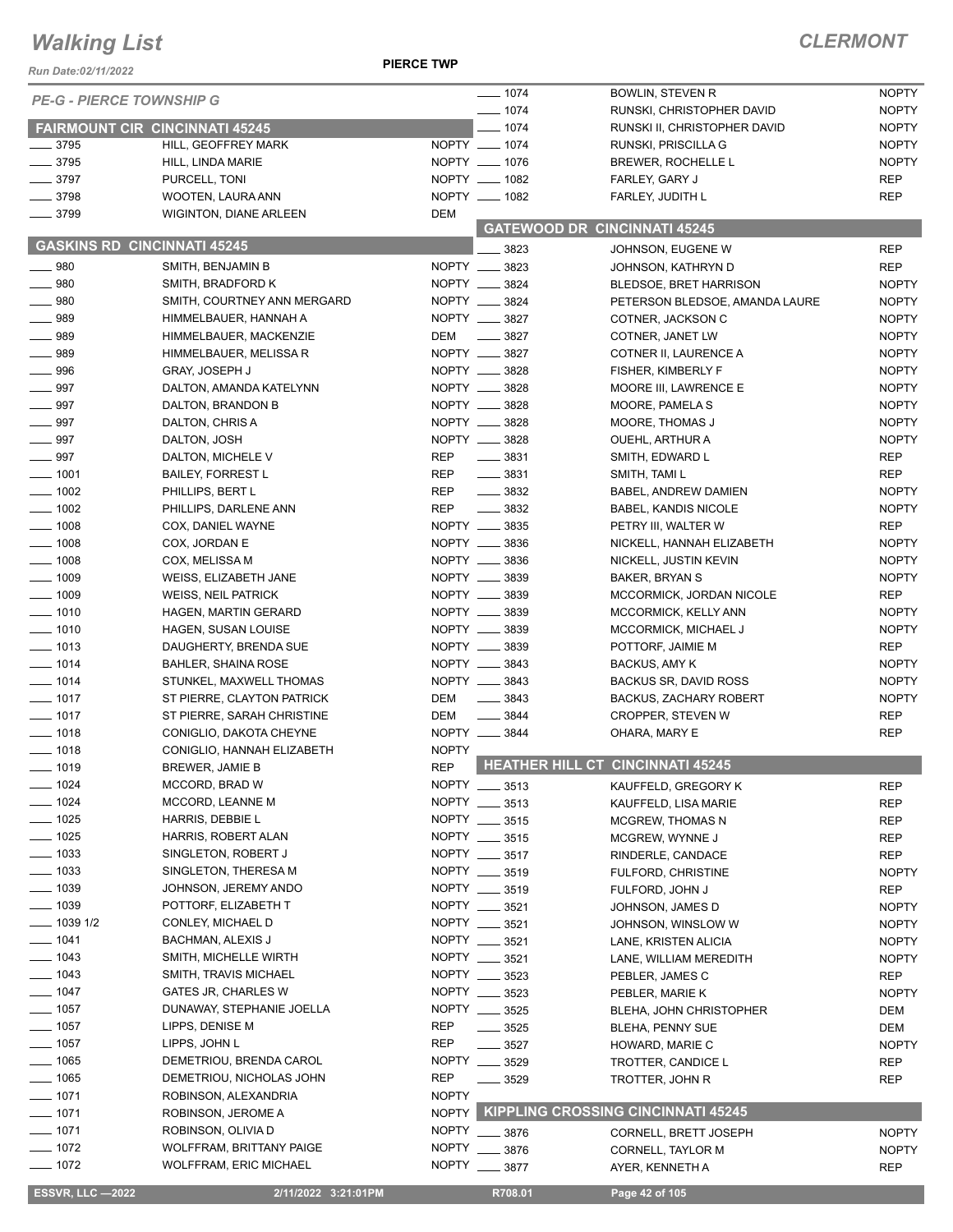**PIERCE TWP**

| Run Date:02/11/2022                      |                                              |                   |                                          |                                                  |                              |
|------------------------------------------|----------------------------------------------|-------------------|------------------------------------------|--------------------------------------------------|------------------------------|
| <b>PE-G - PIERCE TOWNSHIP G</b>          |                                              |                   | $- 1074$                                 | <b>BOWLIN, STEVEN R</b>                          | <b>NOPTY</b>                 |
|                                          |                                              |                   | $- 1074$                                 | RUNSKI, CHRISTOPHER DAVID                        | <b>NOPTY</b>                 |
| <b>FAIRMOUNT CIR CINCINNATI 45245</b>    |                                              |                   | $- 1074$                                 | RUNSKI II, CHRISTOPHER DAVID                     | <b>NOPTY</b>                 |
| $\frac{1}{2}$ 3795<br>$\frac{1}{2}$ 3795 | HILL, GEOFFREY MARK<br>HILL, LINDA MARIE     |                   | NOPTY __ 1074<br>NOPTY __ 1076           | RUNSKI, PRISCILLA G<br><b>BREWER, ROCHELLE L</b> | <b>NOPTY</b><br><b>NOPTY</b> |
| $\frac{1}{2}$ 3797                       | PURCELL, TONI                                |                   | NOPTY __ 1082                            | FARLEY, GARY J                                   | <b>REP</b>                   |
| $- 3798$                                 | WOOTEN, LAURA ANN                            |                   | NOPTY __ 1082                            | FARLEY, JUDITH L                                 | <b>REP</b>                   |
| $- 3799$                                 | <b>WIGINTON, DIANE ARLEEN</b>                | <b>DEM</b>        |                                          |                                                  |                              |
|                                          |                                              |                   |                                          | <b>GATEWOOD DR CINCINNATI 45245</b>              |                              |
| <b>GASKINS RD CINCINNATI 45245</b>       |                                              |                   | 3823                                     | JOHNSON, EUGENE W                                | <b>REP</b>                   |
| $\frac{1}{2}$ 980                        | SMITH, BENJAMIN B                            |                   | NOPTY __ 3823                            | JOHNSON, KATHRYN D                               | <b>REP</b>                   |
| $- 980$                                  | SMITH, BRADFORD K                            |                   | NOPTY __ 3824                            | <b>BLEDSOE, BRET HARRISON</b>                    | <b>NOPTY</b>                 |
| $\frac{1}{2}$ 980                        | SMITH, COURTNEY ANN MERGARD                  |                   | NOPTY __ 3824                            | PETERSON BLEDSOE, AMANDA LAURE                   | <b>NOPTY</b>                 |
| $\frac{1}{2}$ 989                        | HIMMELBAUER, HANNAH A                        |                   | NOPTY __ 3827                            | COTNER, JACKSON C                                | <b>NOPTY</b>                 |
| $- 989$                                  | HIMMELBAUER, MACKENZIE                       | DEM               | $\frac{1}{2}$ 3827                       | COTNER, JANET LW                                 | <b>NOPTY</b>                 |
| $- 989$                                  | HIMMELBAUER, MELISSA R                       |                   | NOPTY __ 3827                            | COTNER II, LAURENCE A                            | <b>NOPTY</b>                 |
| $- 996$                                  | <b>GRAY, JOSEPH J</b>                        |                   | NOPTY __ 3828                            | FISHER, KIMBERLY F                               | <b>NOPTY</b>                 |
| $\frac{1}{2}$ 997                        | DALTON, AMANDA KATELYNN                      |                   | NOPTY __ 3828                            | MOORE III, LAWRENCE E                            | <b>NOPTY</b>                 |
| $- 997$                                  | DALTON, BRANDON B                            |                   | NOPTY __ 3828                            | MOORE, PAMELA S                                  | <b>NOPTY</b>                 |
| $- 997$                                  | DALTON, CHRIS A                              |                   | NOPTY __ 3828                            | MOORE, THOMAS J                                  | <b>NOPTY</b>                 |
| $- 997$                                  | DALTON, JOSH                                 |                   | NOPTY __ 3828                            | OUEHL, ARTHUR A                                  | <b>NOPTY</b>                 |
| $- 997$                                  | DALTON, MICHELE V                            | REP               | $\frac{1}{2}$ 3831                       | SMITH, EDWARD L                                  | <b>REP</b>                   |
| $\frac{1}{2}$ 1001<br>$\frac{1}{2}$ 1002 | <b>BAILEY, FORREST L</b>                     | REP<br><b>REP</b> | $\frac{1}{2}$ 3831<br>$\frac{1}{2}$ 3832 | SMITH, TAMI L<br>BABEL, ANDREW DAMIEN            | <b>REP</b><br><b>NOPTY</b>   |
| $- 1002$                                 | PHILLIPS, BERT L<br>PHILLIPS, DARLENE ANN    | <b>REP</b>        | $\frac{1}{2}$ 3832                       | <b>BABEL, KANDIS NICOLE</b>                      | <b>NOPTY</b>                 |
| $\frac{1}{2}$ 1008                       | COX, DANIEL WAYNE                            |                   | NOPTY __ 3835                            | PETRY III, WALTER W                              | <b>REP</b>                   |
| $- 1008$                                 | COX, JORDAN E                                |                   | NOPTY __ 3836                            | NICKELL, HANNAH ELIZABETH                        | <b>NOPTY</b>                 |
| $- 1008$                                 | COX, MELISSA M                               |                   | NOPTY __ 3836                            | NICKELL, JUSTIN KEVIN                            | <b>NOPTY</b>                 |
| $- 1009$                                 | WEISS, ELIZABETH JANE                        |                   | NOPTY __ 3839                            | BAKER, BRYAN S                                   | <b>NOPTY</b>                 |
| $- 1009$                                 | <b>WEISS, NEIL PATRICK</b>                   |                   | NOPTY __ 3839                            | MCCORMICK, JORDAN NICOLE                         | <b>REP</b>                   |
| $- 1010$                                 | HAGEN, MARTIN GERARD                         |                   | NOPTY __ 3839                            | MCCORMICK, KELLY ANN                             | <b>NOPTY</b>                 |
| $- 1010$                                 | <b>HAGEN, SUSAN LOUISE</b>                   |                   | NOPTY __ 3839                            | MCCORMICK, MICHAEL J                             | <b>NOPTY</b>                 |
| $- 1013$                                 | DAUGHERTY, BRENDA SUE                        |                   | NOPTY __ 3839                            | POTTORF, JAIMIE M                                | <b>REP</b>                   |
| $- 1014$                                 | BAHLER, SHAINA ROSE                          |                   | NOPTY __ 3843                            | <b>BACKUS, AMY K</b>                             | <b>NOPTY</b>                 |
| $- 1014$                                 | STUNKEL, MAXWELL THOMAS                      |                   | NOPTY __ 3843                            | BACKUS SR, DAVID ROSS                            | <b>NOPTY</b>                 |
| $- 1017$                                 | ST PIERRE, CLAYTON PATRICK                   | DEM               | $\frac{1}{2}$ 3843                       | <b>BACKUS, ZACHARY ROBERT</b>                    | <b>NOPTY</b>                 |
| $- 1017$                                 | ST PIERRE, SARAH CHRISTINE                   | DEM               | $- 3844$                                 | CROPPER, STEVEN W                                | <b>REP</b>                   |
| $\frac{1}{2}$ 1018                       | CONIGLIO, DAKOTA CHEYNE                      |                   | NOPTY __ 3844                            | OHARA, MARY E                                    | <b>REP</b>                   |
| $- 1018$                                 | CONIGLIO, HANNAH ELIZABETH                   | <b>NOPTY</b>      |                                          |                                                  |                              |
| $- 1019$                                 | BREWER, JAMIE B                              | <b>REP</b>        |                                          | HEATHER HILL CT CINCINNATI 45245                 |                              |
| $- 1024$                                 | MCCORD, BRAD W                               |                   | NOPTY __ 3513                            | KAUFFELD, GREGORY K                              | <b>REP</b>                   |
| $- 1024$                                 | MCCORD, LEANNE M                             |                   | NOPTY __ 3513                            | KAUFFELD, LISA MARIE                             | <b>REP</b>                   |
| $- 1025$                                 | HARRIS, DEBBIE L                             |                   | NOPTY __ 3515                            | <b>MCGREW, THOMAS N</b>                          | REP                          |
| $\frac{1}{2}$ 1025                       | HARRIS, ROBERT ALAN                          |                   | NOPTY __ 3515                            | MCGREW, WYNNE J                                  | <b>REP</b>                   |
| $\frac{1}{2}$ 1033                       | SINGLETON, ROBERT J                          |                   | NOPTY __ 3517                            | RINDERLE, CANDACE                                | REP                          |
| $- 1033$                                 | SINGLETON, THERESA M                         |                   | NOPTY __ 3519                            | FULFORD, CHRISTINE                               | <b>NOPTY</b>                 |
| $-1039$                                  | JOHNSON, JEREMY ANDO                         |                   | NOPTY __ 3519                            | FULFORD, JOHN J                                  | <b>REP</b>                   |
| $-1039$                                  | POTTORF, ELIZABETH T                         |                   | NOPTY __ 3521                            | JOHNSON, JAMES D                                 | <b>NOPTY</b>                 |
| $-10391/2$                               | CONLEY, MICHAEL D                            |                   | NOPTY __ 3521                            | JOHNSON, WINSLOW W                               | <b>NOPTY</b>                 |
| $- 1041$                                 | <b>BACHMAN, ALEXIS J</b>                     |                   | NOPTY __ 3521                            | LANE, KRISTEN ALICIA                             | <b>NOPTY</b>                 |
| $- 1043$<br>$- 1043$                     | SMITH, MICHELLE WIRTH                        |                   | NOPTY __ 3521                            | LANE, WILLIAM MEREDITH                           | <b>NOPTY</b>                 |
| $- 1047$                                 | SMITH, TRAVIS MICHAEL<br>GATES JR, CHARLES W |                   | NOPTY __ 3523<br>NOPTY __ 3523           | PEBLER, JAMES C                                  | <b>REP</b>                   |
| $- 1057$                                 | DUNAWAY, STEPHANIE JOELLA                    |                   | NOPTY __ 3525                            | PEBLER, MARIE K                                  | <b>NOPTY</b>                 |
| $\frac{1}{2}$ 1057                       | LIPPS, DENISE M                              | <b>REP</b>        | $\frac{1}{2}$ 3525                       | BLEHA, JOHN CHRISTOPHER                          | DEM<br>DEM                   |
| $- 1057$                                 | LIPPS, JOHN L                                | <b>REP</b>        | $- 3527$                                 | BLEHA, PENNY SUE<br>HOWARD, MARIE C              | <b>NOPTY</b>                 |
| $- 1065$                                 | DEMETRIOU, BRENDA CAROL                      |                   | NOPTY __ 3529                            | TROTTER, CANDICE L                               | REP                          |
| $- 1065$                                 | DEMETRIOU, NICHOLAS JOHN                     | REP               | ____ 3529                                | TROTTER, JOHN R                                  | REP                          |
| $- 1071$                                 | ROBINSON, ALEXANDRIA                         | <b>NOPTY</b>      |                                          |                                                  |                              |
| $-1071$                                  | ROBINSON, JEROME A                           |                   |                                          | NOPTY KIPPLING CROSSING CINCINNATI 45245         |                              |
| $-1071$                                  | ROBINSON, OLIVIA D                           | <b>NOPTY</b>      | $- 3876$                                 | CORNELL, BRETT JOSEPH                            | <b>NOPTY</b>                 |
| $- 1072$                                 | WOLFFRAM, BRITTANY PAIGE                     | <b>NOPTY</b>      | 3876                                     | CORNELL, TAYLOR M                                | <b>NOPTY</b>                 |
| $- 1072$                                 | <b>WOLFFRAM, ERIC MICHAEL</b>                |                   | NOPTY __ 3877                            | AYER, KENNETH A                                  | <b>REP</b>                   |
|                                          |                                              |                   |                                          |                                                  |                              |
| <b>ESSVR, LLC-2022</b>                   | 2/11/2022 3:21:01PM                          |                   | R708.01                                  | Page 42 of 105                                   |                              |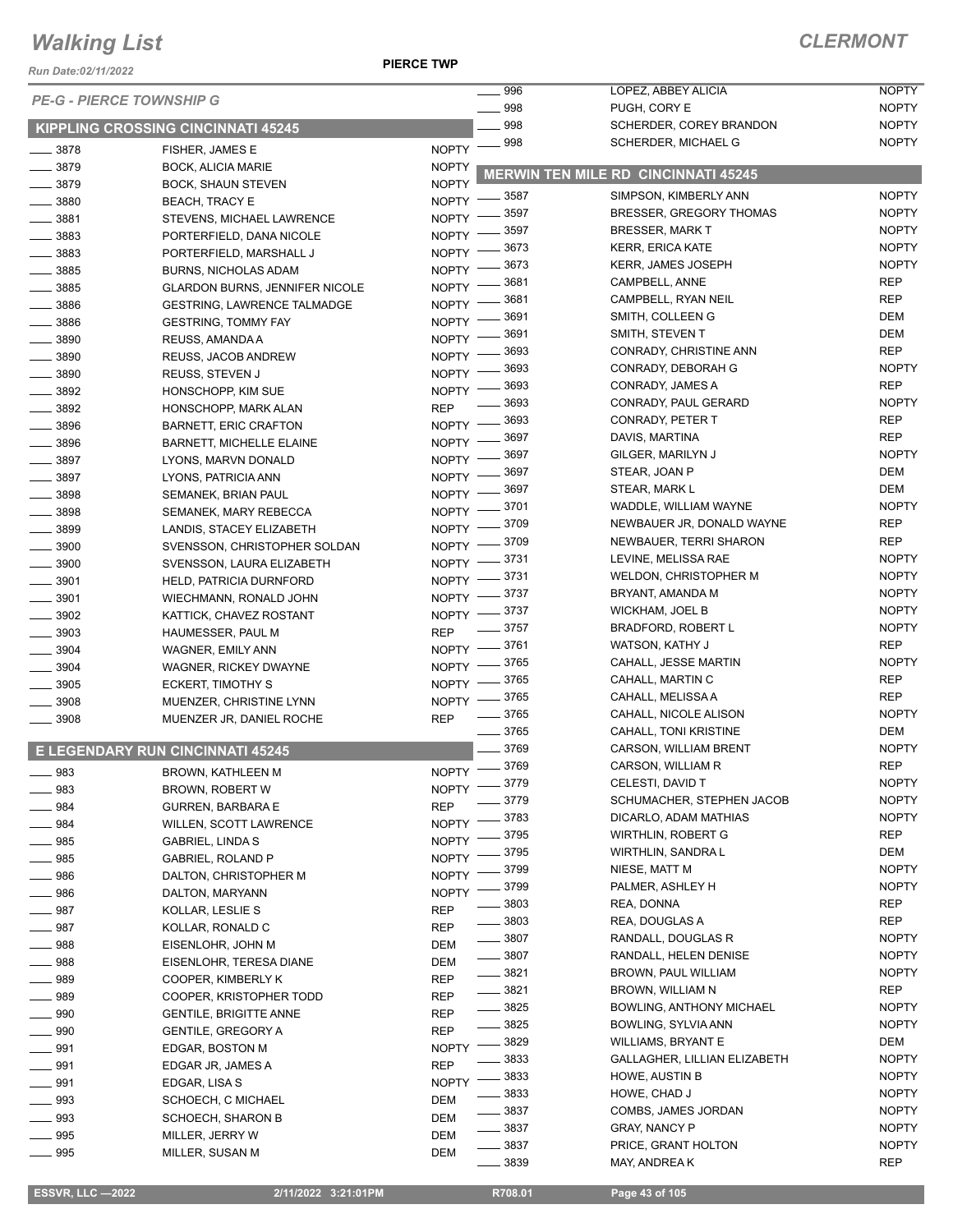#### *Run Date:02/11/2022*

**PIERCE TWP**

### *CLERMONT*

| <i>Run Date:02/11/2022</i> | <b>PE-G - PIERCE TOWNSHIP G</b>         |                             | 996        | LOPEZ, ABBEY ALICIA                        | <b>NOPTY</b>                 |
|----------------------------|-----------------------------------------|-----------------------------|------------|--------------------------------------------|------------------------------|
|                            |                                         |                             | 998<br>998 | PUGH, CORY E<br>SCHERDER, COREY BRANDON    | <b>NOPTY</b><br><b>NOPTY</b> |
|                            | KIPPLING CROSSING CINCINNATI 45245      |                             | 998        | SCHERDER, MICHAEL G                        | <b>NOPTY</b>                 |
| 3878                       | FISHER, JAMES E                         | <b>NOPTY</b>                |            |                                            |                              |
| $- 3879$                   | <b>BOCK, ALICIA MARIE</b>               | <b>NOPTY</b>                |            | <b>MERWIN TEN MILE RD CINCINNATI 45245</b> |                              |
| 3879                       | <b>BOCK, SHAUN STEVEN</b>               | <b>NOPTY</b><br>NOPTY -8587 |            | SIMPSON, KIMBERLY ANN                      | <b>NOPTY</b>                 |
| $-3880$                    | <b>BEACH, TRACY E</b>                   |                             | 3597       | <b>BRESSER, GREGORY THOMAS</b>             | <b>NOPTY</b>                 |
| $\frac{1}{2}$ 3881         | STEVENS, MICHAEL LAWRENCE               | NOPTY -                     | 3597       | <b>BRESSER, MARK T</b>                     | <b>NOPTY</b>                 |
| 3883                       | PORTERFIELD, DANA NICOLE                | <b>NOPTY</b>                | 3673       | <b>KERR, ERICA KATE</b>                    | <b>NOPTY</b>                 |
| $\frac{1}{2}$ 3883         | PORTERFIELD, MARSHALL J                 | <b>NOPTY</b>                | 3673       | <b>KERR, JAMES JOSEPH</b>                  | <b>NOPTY</b>                 |
| $- 3885$                   | <b>BURNS, NICHOLAS ADAM</b>             | NOPTY -                     | 3681       | CAMPBELL, ANNE                             | <b>REP</b>                   |
| 3885                       | <b>GLARDON BURNS, JENNIFER NICOLE</b>   | NOPTY -                     | 3681       | CAMPBELL, RYAN NEIL                        | <b>REP</b>                   |
| $-3886$                    | <b>GESTRING, LAWRENCE TALMADGE</b>      | NOPTY -                     | 3691       | SMITH, COLLEEN G                           | <b>DEM</b>                   |
| _3886                      | <b>GESTRING, TOMMY FAY</b>              | NOPTY -                     | 3691       | SMITH, STEVEN T                            | <b>DEM</b>                   |
| $\frac{1}{2}$ 3890         | REUSS, AMANDA A                         | <b>NOPTY</b>                | 3693       | CONRADY, CHRISTINE ANN                     | <b>REP</b>                   |
| 3890                       | <b>REUSS, JACOB ANDREW</b>              | NOPTY -                     | 3693       | CONRADY, DEBORAH G                         | <b>NOPTY</b>                 |
| $\frac{1}{2}$ 3890         | <b>REUSS, STEVEN J</b>                  | NOPTY -                     | 3693       | CONRADY, JAMES A                           | <b>REP</b>                   |
| $\frac{1}{2}$ 3892         | HONSCHOPP, KIM SUE                      | NOPTY -                     | 3693       | CONRADY, PAUL GERARD                       | <b>NOPTY</b>                 |
| 3892                       | HONSCHOPP, MARK ALAN                    | <b>REP</b>                  | 3693       | CONRADY, PETER T                           | <b>REP</b>                   |
| $-3896$                    | <b>BARNETT, ERIC CRAFTON</b>            | NOPTY =                     | 3697       | DAVIS, MARTINA                             | <b>REP</b>                   |
| $\frac{1}{2}$ 3896         | <b>BARNETT, MICHELLE ELAINE</b>         | NOPTY $-$                   | 3697       | GILGER, MARILYN J                          | <b>NOPTY</b>                 |
| $\frac{1}{2}$ 3897         | LYONS, MARVN DONALD                     | NOPTY -                     | 3697       | STEAR, JOAN P                              | <b>DEM</b>                   |
| $\frac{1}{2}$ 3897         | LYONS, PATRICIA ANN                     | NOPTY -                     | 3697       | STEAR, MARK L                              | <b>DEM</b>                   |
| 3898                       | SEMANEK, BRIAN PAUL                     | NOPTY -                     | 3701       | WADDLE, WILLIAM WAYNE                      | <b>NOPTY</b>                 |
| 3898                       | SEMANEK, MARY REBECCA                   | <b>NOPTY</b>                | 3709       | NEWBAUER JR, DONALD WAYNE                  | <b>REP</b>                   |
| 3899                       | LANDIS, STACEY ELIZABETH                | <b>NOPTY</b>                | 3709       | NEWBAUER, TERRI SHARON                     | <b>REP</b>                   |
| 3900                       | SVENSSON, CHRISTOPHER SOLDAN            | NOPTY -                     | 3731       | LEVINE, MELISSA RAE                        | <b>NOPTY</b>                 |
| $\frac{1}{2}$ 3900         | SVENSSON, LAURA ELIZABETH               | NOPTY -                     | 3731       | <b>WELDON, CHRISTOPHER M</b>               | <b>NOPTY</b>                 |
| 3901                       | HELD, PATRICIA DURNFORD                 | NOPTY -                     | 3737       | BRYANT, AMANDA M                           | <b>NOPTY</b>                 |
| $-3901$                    | WIECHMANN, RONALD JOHN                  | <b>NOPTY</b>                | 3737       | WICKHAM, JOEL B                            | <b>NOPTY</b>                 |
| $-3902$                    | KATTICK, CHAVEZ ROSTANT                 | NOPTY -                     | 3757       | <b>BRADFORD, ROBERT L</b>                  | <b>NOPTY</b>                 |
| 3903                       | HAUMESSER, PAUL M                       | <b>REP</b>                  | _ 3761     | WATSON, KATHY J                            | <b>REP</b>                   |
| $-3904$                    | WAGNER, EMILY ANN                       | $N$ OPTY $-$                | 3765       | CAHALL, JESSE MARTIN                       | <b>NOPTY</b>                 |
| $-3904$                    | WAGNER, RICKEY DWAYNE                   | $NOPTY$ –                   | _ 3765     | CAHALL, MARTIN C                           | <b>REP</b>                   |
| $\frac{1}{2}$ 3905         | ECKERT, TIMOTHY S                       | $N$ OPTY $-$                | _ 3765     | CAHALL, MELISSA A                          | <b>REP</b>                   |
| 3908                       | MUENZER, CHRISTINE LYNN                 | $N$ OPTY $-$                | $-3765$    | CAHALL, NICOLE ALISON                      | <b>NOPTY</b>                 |
| $-3908$                    | MUENZER JR, DANIEL ROCHE                | <b>REP</b>                  | $-3765$    | CAHALL, TONI KRISTINE                      | <b>DEM</b>                   |
|                            | <b>E LEGENDARY RUN CINCINNATI 45245</b> |                             | 3769       | <b>CARSON, WILLIAM BRENT</b>               | <b>NOPTY</b>                 |
|                            |                                         |                             | 3769       | CARSON, WILLIAM R                          | <b>REP</b>                   |
| _ 983                      | BROWN, KATHLEEN M                       | <b>NOPTY</b>                | 3779       | CELESTI, DAVID T                           | <b>NOPTY</b>                 |
| - 983                      | BROWN, ROBERT W                         | NOPTY -                     | 3779       | SCHUMACHER, STEPHEN JACOB                  | <b>NOPTY</b>                 |
| _ 984                      | <b>GURREN, BARBARA E</b>                | <b>REP</b>                  | 3783       | DICARLO, ADAM MATHIAS                      | <b>NOPTY</b>                 |
| _ 984                      | WILLEN, SCOTT LAWRENCE                  | <b>NOPTY</b>                | 3795       | WIRTHLIN, ROBERT G                         | REP                          |
| $-985$                     | <b>GABRIEL, LINDA S</b>                 | <b>NOPTY</b>                | 3795       | WIRTHLIN, SANDRA L                         | DEM                          |
| $-985$                     | <b>GABRIEL, ROLAND P</b>                | <b>NOPTY</b>                | 3799       | NIESE, MATT M                              | <b>NOPTY</b>                 |
| _ 986                      | DALTON, CHRISTOPHER M                   | <b>NOPTY</b>                | 3799       | PALMER, ASHLEY H                           | <b>NOPTY</b>                 |
| _ 986                      | DALTON, MARYANN                         | <b>NOPTY</b>                | 3803       | REA, DONNA                                 | REP                          |
| _ 987                      | KOLLAR, LESLIE S                        | <b>REP</b>                  | 3803       | REA, DOUGLAS A                             | REP                          |
| _ 987                      | KOLLAR, RONALD C                        | <b>REP</b>                  | 3807       | RANDALL, DOUGLAS R                         | <b>NOPTY</b>                 |
| 988                        | EISENLOHR, JOHN M                       | DEM                         | 3807       | RANDALL, HELEN DENISE                      | <b>NOPTY</b>                 |
| _ 988                      | EISENLOHR, TERESA DIANE                 | DEM                         | _ 3821     | BROWN, PAUL WILLIAM                        | <b>NOPTY</b>                 |
| _ 989                      | COOPER, KIMBERLY K                      | <b>REP</b>                  | __ 3821    | BROWN, WILLIAM N                           | <b>REP</b>                   |
| _ 989                      | COOPER, KRISTOPHER TODD                 | <b>REP</b>                  | 3825       | <b>BOWLING, ANTHONY MICHAEL</b>            | <b>NOPTY</b>                 |
| - 990                      | <b>GENTILE, BRIGITTE ANNE</b>           | REP                         | 3825       | BOWLING, SYLVIA ANN                        | <b>NOPTY</b>                 |
| _ 990                      | <b>GENTILE, GREGORY A</b>               | <b>REP</b>                  | 3829       | WILLIAMS, BRYANT E                         | DEM                          |
| ____ 991                   | EDGAR, BOSTON M                         | <b>NOPTY</b>                | 3833       | GALLAGHER, LILLIAN ELIZABETH               | <b>NOPTY</b>                 |
| $-991$                     | EDGAR JR, JAMES A                       | <b>REP</b>                  | 3833       | <b>HOWE, AUSTIN B</b>                      | <b>NOPTY</b>                 |
| _ 991                      | EDGAR, LISA S                           | <b>NOPTY</b>                | 3833       | HOWE, CHAD J                               | <b>NOPTY</b>                 |
| $-993$                     | SCHOECH, C MICHAEL                      | DEM                         | 3837       | COMBS, JAMES JORDAN                        | <b>NOPTY</b>                 |
| .993                       | SCHOECH, SHARON B                       | DEM                         | 3837       | <b>GRAY, NANCY P</b>                       | <b>NOPTY</b>                 |
| _ 995                      | MILLER, JERRY W                         | <b>DEM</b>                  | 3837       | PRICE, GRANT HOLTON                        | <b>NOPTY</b>                 |
| $- 995$                    | MILLER, SUSAN M                         | <b>DEM</b>                  |            |                                            | <b>REP</b>                   |
|                            |                                         |                             | 3839       | MAY, ANDREA K                              |                              |

 **ESSVR, LLC —2022 2/11/2022 3:21:01PM R708.01 Page 43 of 105**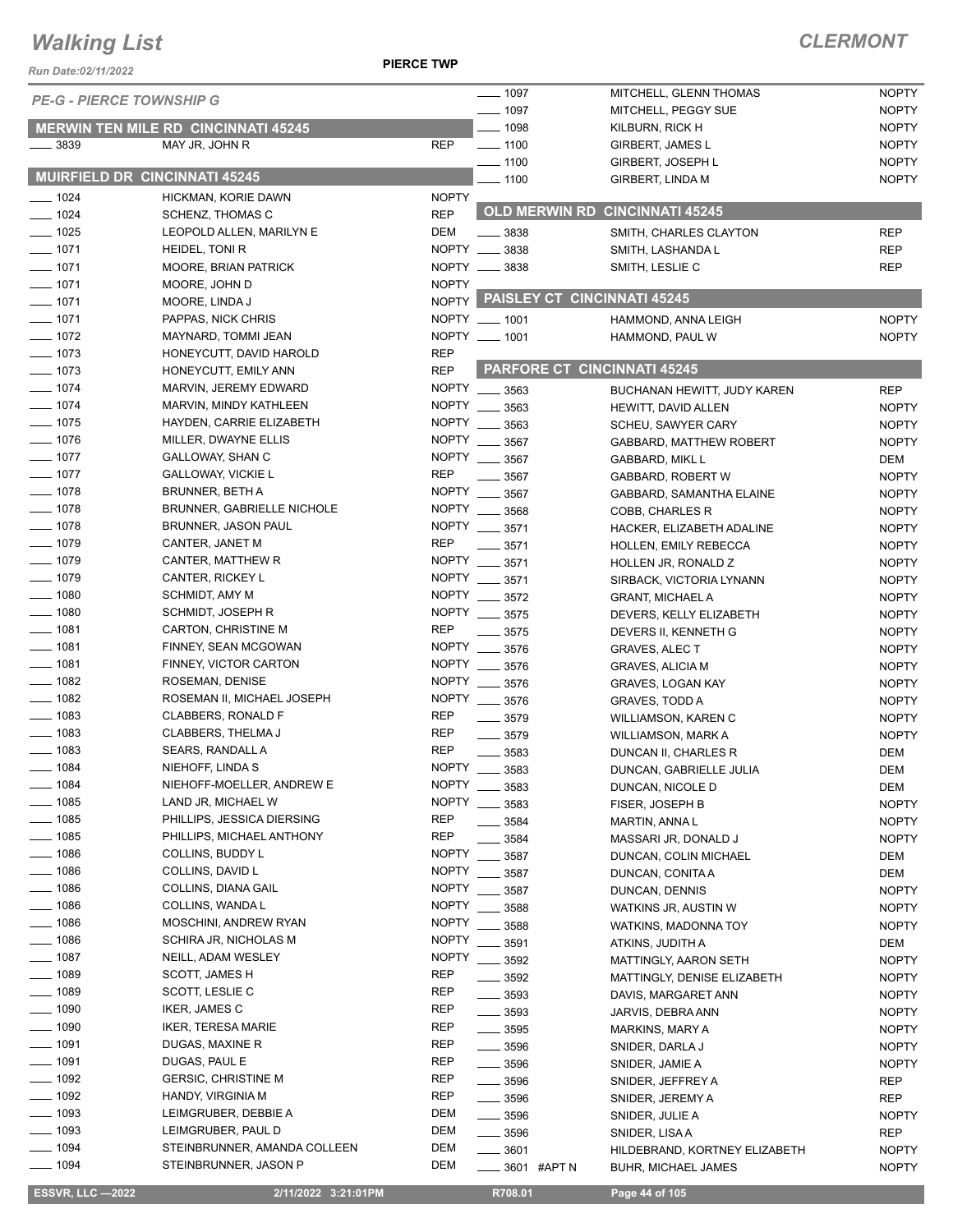**PIERCE TWP**

### *CLERMONT*

| Run Date:02/11/2022             |                                                     |                            |                            |                                                 |                   |
|---------------------------------|-----------------------------------------------------|----------------------------|----------------------------|-------------------------------------------------|-------------------|
| <b>PE-G - PIERCE TOWNSHIP G</b> |                                                     |                            | $- 1097$                   | MITCHELL, GLENN THOMAS                          | <b>NOPTY</b>      |
|                                 |                                                     |                            | $- 1097$                   | MITCHELL, PEGGY SUE                             | <b>NOPTY</b>      |
|                                 | <b>MERWIN TEN MILE RD CINCINNATI 45245</b>          |                            | $- 1098$                   | KILBURN, RICK H                                 | <b>NOPTY</b>      |
| $\frac{1}{2}$ 3839              | MAY JR, JOHN R                                      | <b>REP</b>                 | $\frac{1}{2}$ 1100         | GIRBERT, JAMES L                                | <b>NOPTY</b>      |
|                                 | MUIRFIELD DR CINCINNATI 45245                       |                            | $- 1100$                   | <b>GIRBERT, JOSEPH L</b>                        | <b>NOPTY</b>      |
|                                 |                                                     |                            | $- 1100$                   | GIRBERT, LINDA M                                | <b>NOPTY</b>      |
| $- 1024$                        | HICKMAN, KORIE DAWN                                 | <b>NOPTY</b><br><b>REP</b> |                            | <b>OLD MERWIN RD CINCINNATI 45245</b>           |                   |
| $- 1024$<br>$- 1025$            | <b>SCHENZ, THOMAS C</b><br>LEOPOLD ALLEN, MARILYN E | DEM                        | $\frac{1}{2}$ 3838         |                                                 | <b>REP</b>        |
| $- 1071$                        | HEIDEL, TONI R                                      | NOPTY __ 3838              |                            | SMITH, CHARLES CLAYTON<br>SMITH, LASHANDA L     | <b>REP</b>        |
| $\frac{1}{2}$ 1071              | MOORE, BRIAN PATRICK                                | NOPTY __ 3838              |                            | SMITH, LESLIE C                                 | <b>REP</b>        |
| $- 1071$                        | MOORE, JOHN D                                       | <b>NOPTY</b>               |                            |                                                 |                   |
| $- 1071$                        | MOORE, LINDA J                                      |                            |                            | NOPTY PAISLEY CT CINCINNATI 45245               |                   |
| 1071                            | PAPPAS, NICK CHRIS                                  | NOPTY __ 1001              |                            | HAMMOND, ANNA LEIGH                             | <b>NOPTY</b>      |
| $- 1072$                        | MAYNARD, TOMMI JEAN                                 | NOPTY __ 1001              |                            | HAMMOND, PAUL W                                 | <b>NOPTY</b>      |
| $- 1073$                        | HONEYCUTT, DAVID HAROLD                             | <b>REP</b>                 |                            |                                                 |                   |
| $\frac{1}{2}$ 1073              | HONEYCUTT, EMILY ANN                                | <b>REP</b>                 |                            | <b>PARFORE CT CINCINNATI 45245</b>              |                   |
| $- 1074$                        | MARVIN, JEREMY EDWARD                               | NOPTY __ 3563              |                            | BUCHANAN HEWITT, JUDY KAREN                     | <b>REP</b>        |
| $- 1074$                        | MARVIN, MINDY KATHLEEN                              | <b>NOPTY</b>               | $\frac{1}{2}$ 3563         | HEWITT, DAVID ALLEN                             | <b>NOPTY</b>      |
| $- 1075$                        | HAYDEN, CARRIE ELIZABETH                            | <b>NOPTY</b>               | 3563                       | SCHEU, SAWYER CARY                              | <b>NOPTY</b>      |
| $- 1076$                        | MILLER, DWAYNE ELLIS                                | <b>NOPTY</b>               | 3567                       | <b>GABBARD, MATTHEW ROBERT</b>                  | <b>NOPTY</b>      |
| $- 1077$                        | GALLOWAY, SHAN C                                    | <b>NOPTY</b>               | 3567                       | GABBARD, MIKL L                                 | DEM               |
| $\frac{1}{2}$ 1077              | <b>GALLOWAY, VICKIE L</b>                           | <b>REP</b>                 | 3567                       | GABBARD, ROBERT W                               | <b>NOPTY</b>      |
| $- 1078$                        | <b>BRUNNER, BETH A</b>                              | NOPTY                      | 3567                       | GABBARD, SAMANTHA ELAINE                        | <b>NOPTY</b>      |
| $- 1078$                        | <b>BRUNNER, GABRIELLE NICHOLE</b>                   | NOPTY __ 3568              |                            | COBB, CHARLES R                                 | <b>NOPTY</b>      |
| $- 1078$                        | BRUNNER, JASON PAUL                                 | <b>NOPTY</b>               | $- 3571$                   | HACKER, ELIZABETH ADALINE                       | <b>NOPTY</b>      |
| $-1079$                         | CANTER, JANET M                                     | <b>REP</b>                 | 3571                       | HOLLEN, EMILY REBECCA                           | <b>NOPTY</b>      |
| $-1079$                         | CANTER, MATTHEW R                                   | <b>NOPTY</b>               | 3571                       | HOLLEN JR, RONALD Z                             | <b>NOPTY</b>      |
| $- 1079$                        | CANTER, RICKEY L                                    | <b>NOPTY</b>               | 3571                       | SIRBACK, VICTORIA LYNANN                        | <b>NOPTY</b>      |
| $- 1080$                        | SCHMIDT, AMY M                                      | <b>NOPTY</b>               | 3572                       | <b>GRANT, MICHAEL A</b>                         | <b>NOPTY</b>      |
| $\frac{1}{2}$ 1080              | SCHMIDT, JOSEPH R                                   | NOPTY __ 3575              |                            | DEVERS, KELLY ELIZABETH                         | <b>NOPTY</b>      |
| $- 1081$                        | CARTON, CHRISTINE M                                 | REP                        | $- 3575$                   | DEVERS II, KENNETH G                            | <b>NOPTY</b>      |
| $- 1081$                        | FINNEY, SEAN MCGOWAN                                | NOPTY __                   | 3576                       | <b>GRAVES, ALEC T</b>                           | <b>NOPTY</b>      |
| $- 1081$                        | FINNEY, VICTOR CARTON                               | <b>NOPTY</b>               | 3576                       | <b>GRAVES, ALICIA M</b>                         | <b>NOPTY</b>      |
| $- 1082$<br>$\frac{1}{2}$ 1082  | ROSEMAN, DENISE                                     | NOPTY __ 3576              |                            | GRAVES, LOGAN KAY                               | <b>NOPTY</b>      |
| $- 1083$                        | ROSEMAN II, MICHAEL JOSEPH                          | NOPTY __ 3576<br>REP       |                            | <b>GRAVES, TODD A</b>                           | <b>NOPTY</b>      |
| $- 1083$                        | CLABBERS, RONALD F<br><b>CLABBERS, THELMA J</b>     | <b>REP</b>                 | $- 3579$                   | <b>WILLIAMSON, KAREN C</b>                      | <b>NOPTY</b>      |
| $\frac{1}{2}$ 1083              | SEARS, RANDALL A                                    | <b>REP</b>                 | $- 3579$                   | WILLIAMSON, MARK A                              | <b>NOPTY</b>      |
| $- 1084$                        | NIEHOFF, LINDA S                                    | <b>NOPTY</b>               | $\frac{1}{2}$ 3583         | DUNCAN II, CHARLES R<br>DUNCAN, GABRIELLE JULIA | <b>DEM</b>        |
| $- 1084$                        | NIEHOFF-MOELLER, ANDREW E                           | <b>NOPTY</b>               | $\frac{1}{2}$ 3583<br>3583 | DUNCAN, NICOLE D                                | DEM<br><b>DEM</b> |
| $- 1085$                        | LAND JR, MICHAEL W                                  | <b>NOPTY</b>               | 3583                       | FISER, JOSEPH B                                 | <b>NOPTY</b>      |
| $- 1085$                        | PHILLIPS, JESSICA DIERSING                          | <b>REP</b>                 | 3584                       | MARTIN, ANNA L                                  | <b>NOPTY</b>      |
| $\frac{1}{2}$ 1085              | PHILLIPS, MICHAEL ANTHONY                           | <b>REP</b>                 | 3584                       | MASSARI JR, DONALD J                            | <b>NOPTY</b>      |
| $- 1086$                        | COLLINS, BUDDY L                                    | <b>NOPTY</b>               | 3587                       | DUNCAN, COLIN MICHAEL                           | DEM               |
| $-1086$                         | COLLINS, DAVID L                                    | <b>NOPTY</b>               | 3587                       | DUNCAN, CONITA A                                | DEM               |
| $-1086$                         | COLLINS, DIANA GAIL                                 | <b>NOPTY</b>               | 3587                       | DUNCAN, DENNIS                                  | <b>NOPTY</b>      |
| $-1086$                         | COLLINS, WANDA L                                    | <b>NOPTY</b>               | 3588                       | <b>WATKINS JR, AUSTIN W</b>                     | <b>NOPTY</b>      |
| $-1086$                         | MOSCHINI, ANDREW RYAN                               | <b>NOPTY</b>               | 3588                       | WATKINS, MADONNA TOY                            | <b>NOPTY</b>      |
| $- 1086$                        | SCHIRA JR, NICHOLAS M                               | <b>NOPTY</b>               | 3591                       | ATKINS, JUDITH A                                | DEM               |
| $- 1087$                        | NEILL, ADAM WESLEY                                  | NOPTY __ 3592              |                            | MATTINGLY, AARON SETH                           | <b>NOPTY</b>      |
| $- 1089$                        | SCOTT, JAMES H                                      | REP                        | $- 3592$                   | MATTINGLY, DENISE ELIZABETH                     | <b>NOPTY</b>      |
| $- 1089$                        | SCOTT, LESLIE C                                     | <b>REP</b>                 | $\frac{1}{2}$ 3593         | DAVIS, MARGARET ANN                             | <b>NOPTY</b>      |
| $-1090$                         | IKER, JAMES C                                       | <b>REP</b>                 | $\frac{1}{2}$ 3593         | JARVIS, DEBRA ANN                               | <b>NOPTY</b>      |
| $- 1090$                        | <b>IKER, TERESA MARIE</b>                           | <b>REP</b>                 | $\frac{1}{2}$ 3595         | MARKINS, MARY A                                 | <b>NOPTY</b>      |
| $- 1091$                        | DUGAS, MAXINE R                                     | <b>REP</b>                 | $\frac{1}{2}$ 3596         | SNIDER, DARLA J                                 | <b>NOPTY</b>      |
| $- 1091$                        | DUGAS, PAUL E                                       | REP                        | $\frac{1}{2}$ 3596         | SNIDER, JAMIE A                                 | <b>NOPTY</b>      |
| $- 1092$                        | <b>GERSIC, CHRISTINE M</b>                          | REP                        | $\frac{1}{2}$ 3596         | SNIDER, JEFFREY A                               | REP               |
| $-1092$                         | HANDY, VIRGINIA M                                   | <b>REP</b>                 | $\frac{1}{2}$ 3596         | SNIDER, JEREMY A                                | REP               |
| $-1093$                         | LEIMGRUBER, DEBBIE A                                | DEM                        | $\frac{1}{2}$ 3596         | SNIDER, JULIE A                                 | <b>NOPTY</b>      |
| $-1093$                         | LEIMGRUBER, PAUL D                                  | <b>DEM</b>                 | $\frac{1}{2}$ 3596         | SNIDER, LISA A                                  | REP               |
| $- 1094$                        | STEINBRUNNER, AMANDA COLLEEN                        | DEM                        | $- 3601$                   | HILDEBRAND, KORTNEY ELIZABETH                   | <b>NOPTY</b>      |
| $- 1094$                        | STEINBRUNNER, JASON P                               | DEM                        | _____ 3601 #APT N          | BUHR, MICHAEL JAMES                             | <b>NOPTY</b>      |

 **ESSVR, LLC —2022 2/11/2022 3:21:01PM R708.01 Page 44 of 105**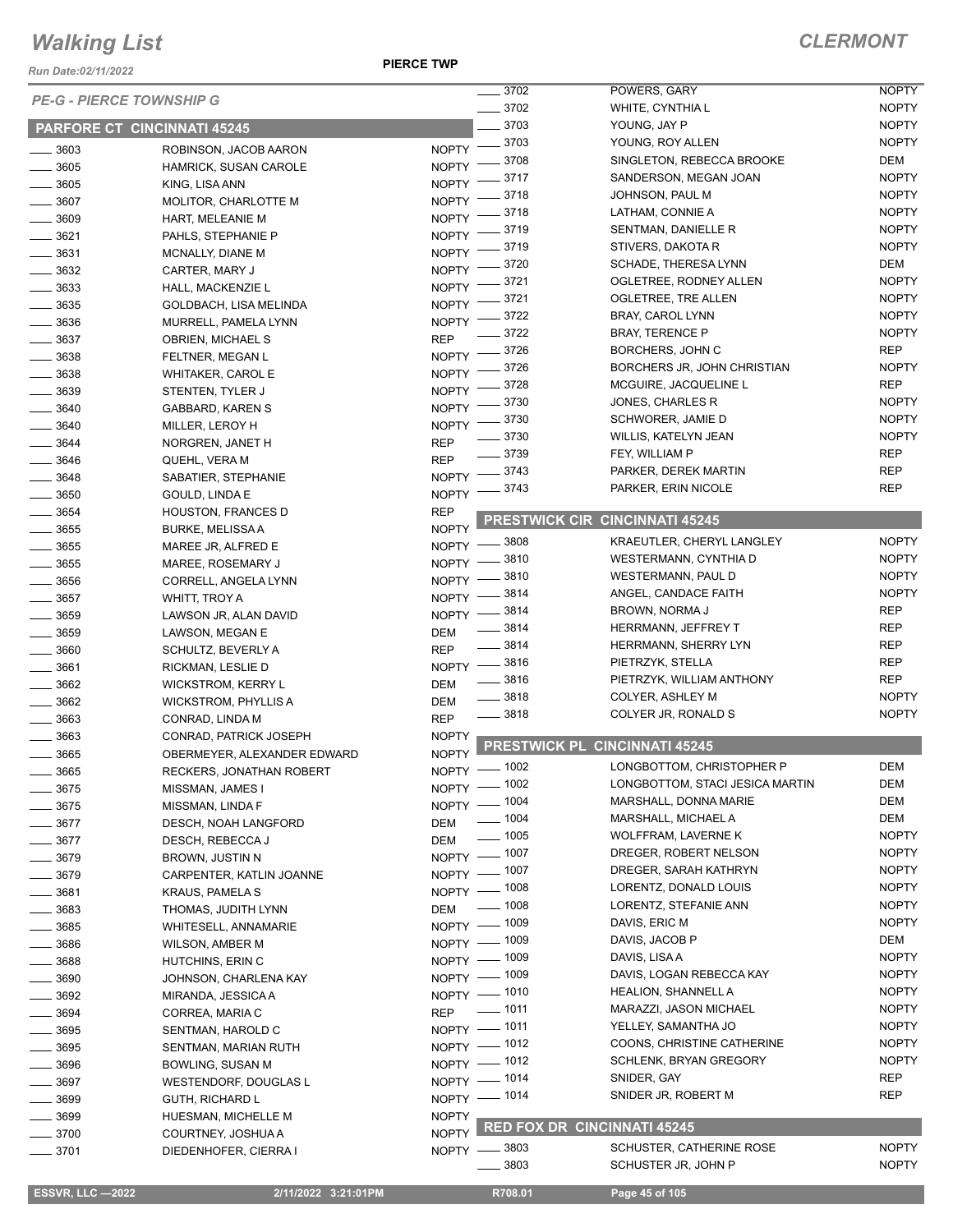*Run Date:02/11/2022*

|                                 |                             |                    | $\frac{1}{2}$ 3702      | POWERS, GARY                                       | <b>NOPTY</b>                 |
|---------------------------------|-----------------------------|--------------------|-------------------------|----------------------------------------------------|------------------------------|
| <b>PE-G - PIERCE TOWNSHIP G</b> |                             |                    | $- 3702$                | WHITE, CYNTHIA L                                   | <b>NOPTY</b>                 |
|                                 |                             |                    | . 3703                  | YOUNG, JAY P                                       | <b>NOPTY</b>                 |
| PARFORE CT CINCINNATI 45245     |                             |                    | $= 3703$                | YOUNG, ROY ALLEN                                   | <b>NOPTY</b>                 |
| $- 3603$                        | ROBINSON, JACOB AARON       | <b>NOPTY</b>       |                         |                                                    | DEM                          |
| $- 3605$                        | HAMRICK, SUSAN CAROLE       | <b>NOPTY</b>       | 3708                    | SINGLETON, REBECCA BROOKE<br>SANDERSON, MEGAN JOAN | <b>NOPTY</b>                 |
| $\frac{1}{2}$ 3605              | KING, LISA ANN              | <b>NOPTY</b>       | 3717                    |                                                    |                              |
| 3607                            | MOLITOR, CHARLOTTE M        | <b>NOPTY</b>       | 3718                    | JOHNSON, PAUL M                                    | <b>NOPTY</b>                 |
| $-3609$                         | HART, MELEANIE M            | <b>NOPTY</b>       | 3718                    | LATHAM, CONNIE A                                   | <b>NOPTY</b>                 |
| 3621                            | PAHLS, STEPHANIE P          | <b>NOPTY</b>       | 3719                    | SENTMAN, DANIELLE R                                | <b>NOPTY</b>                 |
| $\frac{1}{2}$ 3631              | MCNALLY, DIANE M            | <b>NOPTY</b>       | 3719                    | STIVERS, DAKOTA R                                  | <b>NOPTY</b>                 |
| $- 3632$                        | CARTER, MARY J              | <b>NOPTY</b>       | 3720                    | SCHADE, THERESA LYNN                               | DEM                          |
| 3633                            | HALL, MACKENZIE L           | <b>NOPTY</b>       | 3721                    | OGLETREE, RODNEY ALLEN                             | <b>NOPTY</b>                 |
| 3635                            | GOLDBACH, LISA MELINDA      | <b>NOPTY</b>       | 3721                    | OGLETREE, TRE ALLEN                                | <b>NOPTY</b>                 |
| 3636                            | MURRELL, PAMELA LYNN        | <b>NOPTY</b>       | 3722                    | BRAY, CAROL LYNN                                   | <b>NOPTY</b>                 |
| $- 3637$                        | OBRIEN, MICHAEL S           | <b>REP</b>         | 3722                    | <b>BRAY, TERENCE P</b>                             | <b>NOPTY</b>                 |
| $- 3638$                        |                             | <b>NOPTY</b>       | 3726                    | BORCHERS, JOHN C                                   | <b>REP</b>                   |
|                                 | FELTNER, MEGAN L            | <b>NOPTY</b>       | 3726                    | BORCHERS JR, JOHN CHRISTIAN                        | <b>NOPTY</b>                 |
| $\frac{1}{2}$ 3638              | WHITAKER, CAROL E           |                    | 3728                    | MCGUIRE, JACQUELINE L                              | <b>REP</b>                   |
| $- 3639$                        | STENTEN, TYLER J            | <b>NOPTY</b>       | 3730                    | JONES, CHARLES R                                   | <b>NOPTY</b>                 |
| 3640                            | GABBARD, KAREN S            | <b>NOPTY</b>       | 3730                    | SCHWORER, JAMIE D                                  | <b>NOPTY</b>                 |
| 3640                            | MILLER, LEROY H             | <b>NOPTY</b>       | 3730                    | WILLIS, KATELYN JEAN                               | <b>NOPTY</b>                 |
| 3644                            | NORGREN, JANET H            | <b>REP</b>         |                         |                                                    |                              |
| 3646                            | QUEHL, VERA M               | <b>REP</b>         | 3739                    | FEY, WILLIAM P                                     | <b>REP</b>                   |
| $- 3648$                        | SABATIER, STEPHANIE         | <b>NOPTY</b>       | 3743                    | PARKER, DEREK MARTIN                               | <b>REP</b>                   |
| 3650                            | <b>GOULD, LINDA E</b>       | <b>NOPTY</b>       | 3743                    | PARKER, ERIN NICOLE                                | <b>REP</b>                   |
| $- 3654$                        | <b>HOUSTON, FRANCES D</b>   | <b>REP</b>         |                         |                                                    |                              |
| 3655                            | <b>BURKE, MELISSA A</b>     | <b>NOPTY</b>       | <b>PRESTWICK CIR</b>    | <b>CINCINNATI 45245</b>                            |                              |
| 3655                            | MAREE JR, ALFRED E          |                    | NOPTY -8808             | KRAEUTLER, CHERYL LANGLEY                          | <b>NOPTY</b>                 |
| $- 3655$                        | MAREE, ROSEMARY J           | $NOPTY =$          | 3810                    | WESTERMANN, CYNTHIA D                              | <b>NOPTY</b>                 |
| $- 3656$                        | CORRELL, ANGELA LYNN        | $N$ OPTY $-$       | 3810                    | WESTERMANN, PAUL D                                 | <b>NOPTY</b>                 |
| $\frac{1}{2}$ 3657              | WHITT, TROY A               | $NOPTY =$          | 3814                    | ANGEL, CANDACE FAITH                               | <b>NOPTY</b>                 |
| $- 3659$                        |                             | NOPTY $-$          | _ 3814                  | BROWN, NORMA J                                     | <b>REP</b>                   |
|                                 | LAWSON JR, ALAN DAVID       |                    | $-3814$                 | HERRMANN, JEFFREY T                                | <b>REP</b>                   |
| 3659                            | LAWSON, MEGAN E             | DEM                | $-3814$                 | <b>HERRMANN, SHERRY LYN</b>                        | <b>REP</b>                   |
| 3660                            | SCHULTZ, BEVERLY A          | <b>REP</b>         |                         | PIETRZYK, STELLA                                   | <b>REP</b>                   |
| 3661                            | RICKMAN, LESLIE D           |                    | NOPTY -8816<br>$- 3816$ | PIETRZYK, WILLIAM ANTHONY                          | <b>REP</b>                   |
| 3662                            | WICKSTROM, KERRY L          | DEM                | 3818                    | COLYER, ASHLEY M                                   | <b>NOPTY</b>                 |
| $- 3662$                        | <b>WICKSTROM, PHYLLIS A</b> | DEM                |                         |                                                    |                              |
| 3663                            | CONRAD, LINDA M             | <b>REP</b>         | $\frac{1}{2}$ 3818      | COLYER JR, RONALD S                                | <b>NOPTY</b>                 |
| 3663                            | CONRAD, PATRICK JOSEPH      | <b>NOPTY</b>       | <b>PRESTWICK PL</b>     | <b>CINCINNATI 45245</b>                            |                              |
| 3665                            | OBERMEYER, ALEXANDER EDWARD | <b>NOPTY</b>       |                         |                                                    |                              |
| 3665                            | RECKERS, JONATHAN ROBERT    |                    | NOPTY - 1002            | LONGBOTTOM, CHRISTOPHER P                          | <b>DEM</b>                   |
| $- 3675$                        | MISSMAN, JAMES I            |                    | NOPTY - 1002            | LONGBOTTOM, STACI JESICA MARTIN                    | DEM                          |
| 3675                            | MISSMAN, LINDA F            |                    | NOPTY - 1004            | MARSHALL, DONNA MARIE                              | DEM                          |
| $\frac{1}{2}$ 3677              | DESCH, NOAH LANGFORD        | DEM                | $\frac{1}{2}$ 1004      | MARSHALL, MICHAEL A                                | <b>DEM</b>                   |
| $- 3677$                        | DESCH, REBECCA J            | <b>DEM</b>         | $\frac{1}{2}$ 1005      | <b>WOLFFRAM, LAVERNE K</b>                         | <b>NOPTY</b>                 |
| $- 3679$                        | BROWN, JUSTIN N             |                    | NOPTY - 1007            | DREGER, ROBERT NELSON                              | <b>NOPTY</b>                 |
| $- 3679$                        | CARPENTER, KATLIN JOANNE    |                    | NOPTY - 1007            | DREGER, SARAH KATHRYN                              | <b>NOPTY</b>                 |
|                                 |                             |                    | NOPTY - 1008            | LORENTZ, DONALD LOUIS                              | <b>NOPTY</b>                 |
| $-3681$                         | KRAUS, PAMELA S             |                    | $\frac{1}{2}$ 1008      | LORENTZ, STEFANIE ANN                              | <b>NOPTY</b>                 |
| $- 3683$                        | THOMAS, JUDITH LYNN         | DEM                | NOPTY - 1009            | DAVIS, ERIC M                                      | <b>NOPTY</b>                 |
| $- 3685$                        | WHITESELL, ANNAMARIE        |                    |                         |                                                    |                              |
| ____ 3686                       | WILSON, AMBER M             |                    | NOPTY - 1009            | DAVIS, JACOB P                                     | DEM                          |
| $\frac{1}{2}$ 3688              | HUTCHINS, ERIN C            |                    | NOPTY - 1009            | DAVIS, LISA A                                      | <b>NOPTY</b>                 |
| $\frac{1}{2}$ 3690              | JOHNSON, CHARLENA KAY       |                    | NOPTY - 1009            | DAVIS, LOGAN REBECCA KAY                           | <b>NOPTY</b>                 |
| $- 3692$                        | MIRANDA, JESSICA A          |                    | NOPTY - 1010            | <b>HEALION, SHANNELL A</b>                         | <b>NOPTY</b>                 |
| 3694                            | CORREA, MARIA C             | <b>REP</b>         | $\frac{1}{2}$ 1011      | MARAZZI, JASON MICHAEL                             | <b>NOPTY</b>                 |
| $- 3695$                        | SENTMAN, HAROLD C           |                    | NOPTY - 1011            | YELLEY, SAMANTHA JO                                | <b>NOPTY</b>                 |
| $- 3695$                        | SENTMAN, MARIAN RUTH        |                    | NOPTY - 1012            | COONS, CHRISTINE CATHERINE                         | <b>NOPTY</b>                 |
| $-3696$                         | BOWLING, SUSAN M            |                    | NOPTY - 1012            | SCHLENK, BRYAN GREGORY                             | <b>NOPTY</b>                 |
| $- 3697$                        | WESTENDORF, DOUGLAS L       |                    | NOPTY - 1014            | SNIDER, GAY                                        | REP                          |
| $- 3699$                        | <b>GUTH, RICHARD L</b>      |                    | NOPTY - 1014            | SNIDER JR, ROBERT M                                | REP                          |
| $\frac{1}{2}$ 3699              |                             | <b>NOPTY</b>       |                         |                                                    |                              |
|                                 | HUESMAN, MICHELLE M         |                    |                         | <b>RED FOX DR CINCINNATI 45245</b>                 |                              |
| $- 3700$                        | COURTNEY, JOSHUA A          | NOPTY <sup>1</sup> |                         |                                                    |                              |
|                                 |                             |                    |                         |                                                    |                              |
| $- 3701$                        | DIEDENHOFER, CIERRA I       |                    | NOPTY -8803<br>3803     | SCHUSTER, CATHERINE ROSE<br>SCHUSTER JR, JOHN P    | <b>NOPTY</b><br><b>NOPTY</b> |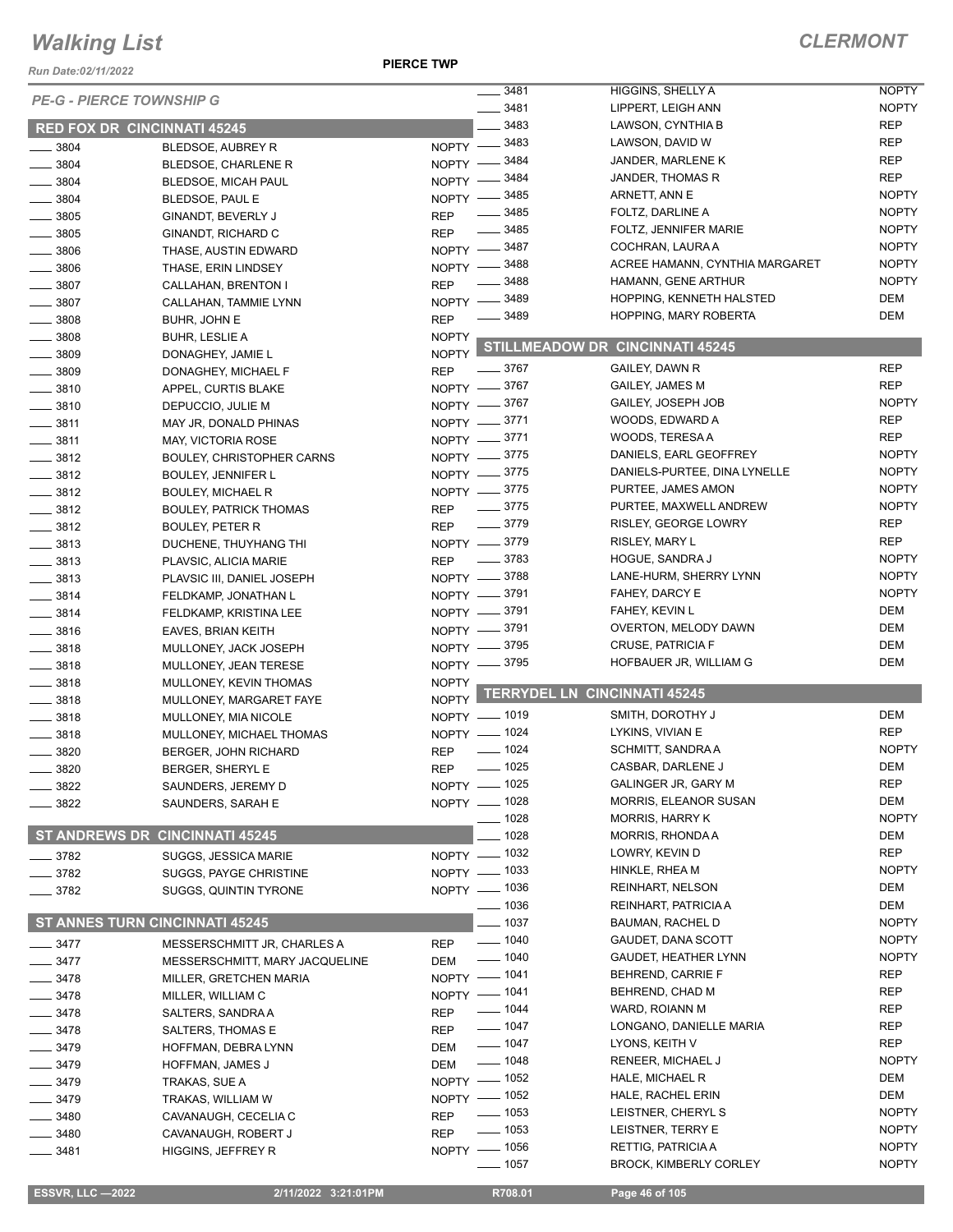*Run Date:02/11/2022*

**PIERCE TWP**

|                                       |                                       |              | 3481<br>$\frac{1}{2}$ | HIGGINS, SHELLY A                         | <b>NOPTY</b> |
|---------------------------------------|---------------------------------------|--------------|-----------------------|-------------------------------------------|--------------|
| <b>PE-G - PIERCE TOWNSHIP G</b>       |                                       | 3481         | LIPPERT, LEIGH ANN    | <b>NOPTY</b>                              |              |
| <b>RED FOX DR CINCINNATI 45245</b>    |                                       |              | 3483                  | LAWSON, CYNTHIA B                         | <b>REP</b>   |
| $- 3804$                              | BLEDSOE, AUBREY R                     |              | NOPTY -8483           | LAWSON, DAVID W                           | <b>REP</b>   |
| 3804                                  | BLEDSOE, CHARLENE R                   | $NOPTY -$    | 3484                  | JANDER, MARLENE K                         | <b>REP</b>   |
| $- 3804$                              | BLEDSOE, MICAH PAUL                   | $NOPTY -$    | 3484                  | JANDER, THOMAS R                          | <b>REP</b>   |
| 3804                                  | BLEDSOE, PAUL E                       |              | NOPTY -8485           | ARNETT, ANN E                             | <b>NOPTY</b> |
| $\frac{1}{2}$ 3805                    | GINANDT, BEVERLY J                    | <b>REP</b>   | 3485                  | FOLTZ, DARLINE A                          | <b>NOPTY</b> |
| $- 3805$                              | GINANDT, RICHARD C                    | <b>REP</b>   | 3485                  | FOLTZ, JENNIFER MARIE                     | <b>NOPTY</b> |
| $\frac{1}{2}$ 3806                    | THASE, AUSTIN EDWARD                  |              | NOPTY -8487           | COCHRAN, LAURA A                          | <b>NOPTY</b> |
| $\frac{1}{2}$ 3806                    | THASE, ERIN LINDSEY                   |              | NOPTY -8488           | ACREE HAMANN, CYNTHIA MARGARET            | <b>NOPTY</b> |
| 3807                                  | CALLAHAN, BRENTON I                   | <b>REP</b>   | 3488                  | HAMANN, GENE ARTHUR                       | <b>NOPTY</b> |
| $\frac{1}{2}$ 3807                    | CALLAHAN, TAMMIE LYNN                 |              | NOPTY -8489           | HOPPING, KENNETH HALSTED                  | <b>DEM</b>   |
| $\frac{1}{2}$ 3808                    | BUHR, JOHN E                          | <b>REP</b>   | 3489                  | <b>HOPPING, MARY ROBERTA</b>              | <b>DEM</b>   |
| $\frac{1}{2}$ 3808                    | <b>BUHR, LESLIE A</b>                 | <b>NOPTY</b> |                       |                                           |              |
| $\frac{1}{2}$ 3809                    | DONAGHEY, JAMIE L                     | <b>NOPTY</b> |                       | <b>STILLMEADOW DR CINCINNATI 45245</b>    |              |
| 3809                                  | DONAGHEY, MICHAEL F                   | <b>REP</b>   | $\frac{1}{2}$ 3767    | GAILEY, DAWN R                            | <b>REP</b>   |
| $- 3810$                              | APPEL, CURTIS BLAKE                   |              | NOPTY -8767           | <b>GAILEY, JAMES M</b>                    | <b>REP</b>   |
| $\frac{1}{2}$ 3810                    | DEPUCCIO, JULIE M                     |              | NOPTY -8767           | GAILEY, JOSEPH JOB                        | <b>NOPTY</b> |
| $- 3811$                              | MAY JR, DONALD PHINAS                 |              | NOPTY -8771           | WOODS, EDWARD A                           | <b>REP</b>   |
| $- 3811$                              | MAY, VICTORIA ROSE                    |              | NOPTY -8771           | WOODS, TERESA A                           | <b>REP</b>   |
| $- 3812$                              | BOULEY, CHRISTOPHER CARNS             |              | NOPTY -8775           | DANIELS, EARL GEOFFREY                    | <b>NOPTY</b> |
| $\frac{1}{2}$ 3812                    | <b>BOULEY, JENNIFER L</b>             |              | NOPTY -8775           | DANIELS-PURTEE, DINA LYNELLE              | <b>NOPTY</b> |
| $\frac{3812}{2}$                      | <b>BOULEY, MICHAEL R</b>              |              | NOPTY -8775           | PURTEE, JAMES AMON                        | <b>NOPTY</b> |
| $\frac{3812}{2}$                      | <b>BOULEY, PATRICK THOMAS</b>         | <b>REP</b>   | $- 3775$              | PURTEE, MAXWELL ANDREW                    | <b>NOPTY</b> |
| $- 3812$                              | <b>BOULEY, PETER R</b>                | <b>REP</b>   | $- 3779$              | RISLEY, GEORGE LOWRY                      | <b>REP</b>   |
| $- 3813$                              | DUCHENE, THUYHANG THI                 |              | NOPTY -8779           | RISLEY, MARY L                            | <b>REP</b>   |
| $\frac{1}{2}$ 3813                    | PLAVSIC, ALICIA MARIE                 | <b>REP</b>   | $\frac{1}{2}$ 3783    | HOGUE, SANDRA J                           | <b>NOPTY</b> |
| $\frac{1}{2}$ 3813                    |                                       |              | NOPTY -8788           | LANE-HURM, SHERRY LYNN                    | <b>NOPTY</b> |
|                                       | PLAVSIC III, DANIEL JOSEPH            |              | NOPTY -3791           | FAHEY, DARCY E                            | <b>NOPTY</b> |
| $- 3814$                              | FELDKAMP, JONATHAN L                  |              | NOPTY - 3791          | FAHEY, KEVIN L                            | DEM          |
| $- 3814$                              | FELDKAMP, KRISTINA LEE                |              | NOPTY -8791           | OVERTON, MELODY DAWN                      | <b>DEM</b>   |
| $\frac{1}{2}$ 3816                    | EAVES, BRIAN KEITH                    |              | NOPTY -8795           | <b>CRUSE, PATRICIA F</b>                  | <b>DEM</b>   |
| $\frac{1}{2}$ 3818                    | MULLONEY, JACK JOSEPH                 |              | NOPTY -8795           | HOFBAUER JR, WILLIAM G                    | <b>DEM</b>   |
| $- 3818$                              | MULLONEY, JEAN TERESE                 | <b>NOPTY</b> |                       |                                           |              |
| $\frac{1}{2}$ 3818                    | MULLONEY, KEVIN THOMAS                |              |                       | NOPTY <b>TERRYDEL LN CINCINNATI 45245</b> |              |
| $\frac{1}{2}$ 3818                    | MULLONEY, MARGARET FAYE               |              | NOPTY - 1019          | SMITH, DOROTHY J                          | DEM          |
| $- 3818$                              | MULLONEY, MIA NICOLE                  |              | NOPTY - 1024          | LYKINS, VIVIAN E                          | <b>REP</b>   |
| $\frac{1}{2}$ 3818                    | MULLONEY, MICHAEL THOMAS              |              | $- 1024$              | SCHMITT, SANDRA A                         | <b>NOPTY</b> |
| 3820                                  | BERGER, JOHN RICHARD                  | <b>REP</b>   | $- 1025$              | CASBAR, DARLENE J                         | <b>DEM</b>   |
| $-3820$                               | BERGER, SHERYL E                      | <b>REP</b>   |                       |                                           | REP          |
| 3822                                  | SAUNDERS, JEREMY D                    |              | NOPTY - 1025          | GALINGER JR, GARY M                       | <b>DEM</b>   |
| 3822                                  | SAUNDERS, SARAH E                     |              | NOPTY - 1028          | MORRIS, ELEANOR SUSAN                     |              |
|                                       | <b>ST ANDREWS DR CINCINNATI 45245</b> |              | 1028                  | <b>MORRIS, HARRY K</b>                    | <b>NOPTY</b> |
|                                       |                                       |              | 1028                  | MORRIS, RHONDA A                          | DEM          |
| $- 3782$                              | SUGGS, JESSICA MARIE                  |              | NOPTY - 1032          | LOWRY, KEVIN D                            | <b>REP</b>   |
| $- 3782$                              | SUGGS, PAYGE CHRISTINE                |              | NOPTY - 1033          | HINKLE, RHEA M                            | <b>NOPTY</b> |
| $- 3782$                              | SUGGS, QUINTIN TYRONE                 |              | NOPTY - 1036          | REINHART, NELSON                          | DEM          |
|                                       |                                       |              | $\frac{1}{2}$ 1036    | REINHART, PATRICIA A                      | <b>DEM</b>   |
| <b>ST ANNES TURN CINCINNATI 45245</b> |                                       |              | $-1037$               | <b>BAUMAN, RACHEL D</b>                   | <b>NOPTY</b> |
| $\frac{3477}{2}$                      | MESSERSCHMITT JR, CHARLES A           | <b>REP</b>   | $- 1040$              | GAUDET, DANA SCOTT                        | <b>NOPTY</b> |
| $- 3477$                              | MESSERSCHMITT, MARY JACQUELINE        | DEM          | ____ 1040             | GAUDET, HEATHER LYNN                      | <b>NOPTY</b> |
| _ 3478                                | MILLER, GRETCHEN MARIA                | $N$ OPTY $-$ | _ 1041                | <b>BEHREND, CARRIE F</b>                  | REP          |
| __ 3478                               | MILLER, WILLIAM C                     |              | NOPTY - 1041          | BEHREND, CHAD M                           | REP          |
| 3478                                  | SALTERS, SANDRA A                     | <b>REP</b>   | $- 1044$              | WARD, ROIANN M                            | REP          |
| $-3478$                               | SALTERS, THOMAS E                     | REP          | $- 1047$              | LONGANO, DANIELLE MARIA                   | <b>REP</b>   |
| _ 3479                                | HOFFMAN, DEBRA LYNN                   | DEM          | $- 1047$              | LYONS, KEITH V                            | <b>REP</b>   |
| _ 3479                                | HOFFMAN, JAMES J                      | DEM          | $- 1048$              | RENEER, MICHAEL J                         | <b>NOPTY</b> |
| $-3479$                               | TRAKAS, SUE A                         |              | NOPTY - 1052          | HALE, MICHAEL R                           | DEM          |
| 3479                                  | TRAKAS, WILLIAM W                     |              | NOPTY - 1052          | HALE, RACHEL ERIN                         | <b>DEM</b>   |
| 3480                                  | CAVANAUGH, CECELIA C                  | <b>REP</b>   | $- 1053$              | LEISTNER, CHERYL S                        | <b>NOPTY</b> |
| 3480                                  | CAVANAUGH, ROBERT J                   | <b>REP</b>   | $\frac{1}{2}$ 1053    | LEISTNER, TERRY E                         | <b>NOPTY</b> |
| 3481                                  | HIGGINS, JEFFREY R                    |              | NOPTY - 1056          | RETTIG, PATRICIA A                        | <b>NOPTY</b> |
|                                       |                                       |              | $\frac{1}{2}$ 1057    | <b>BROCK, KIMBERLY CORLEY</b>             | <b>NOPTY</b> |
| <b>ESSVR, LLC -2022</b>               |                                       |              | R708.01               |                                           |              |
|                                       | 2/11/2022 3:21:01PM                   |              |                       | Page 46 of 105                            |              |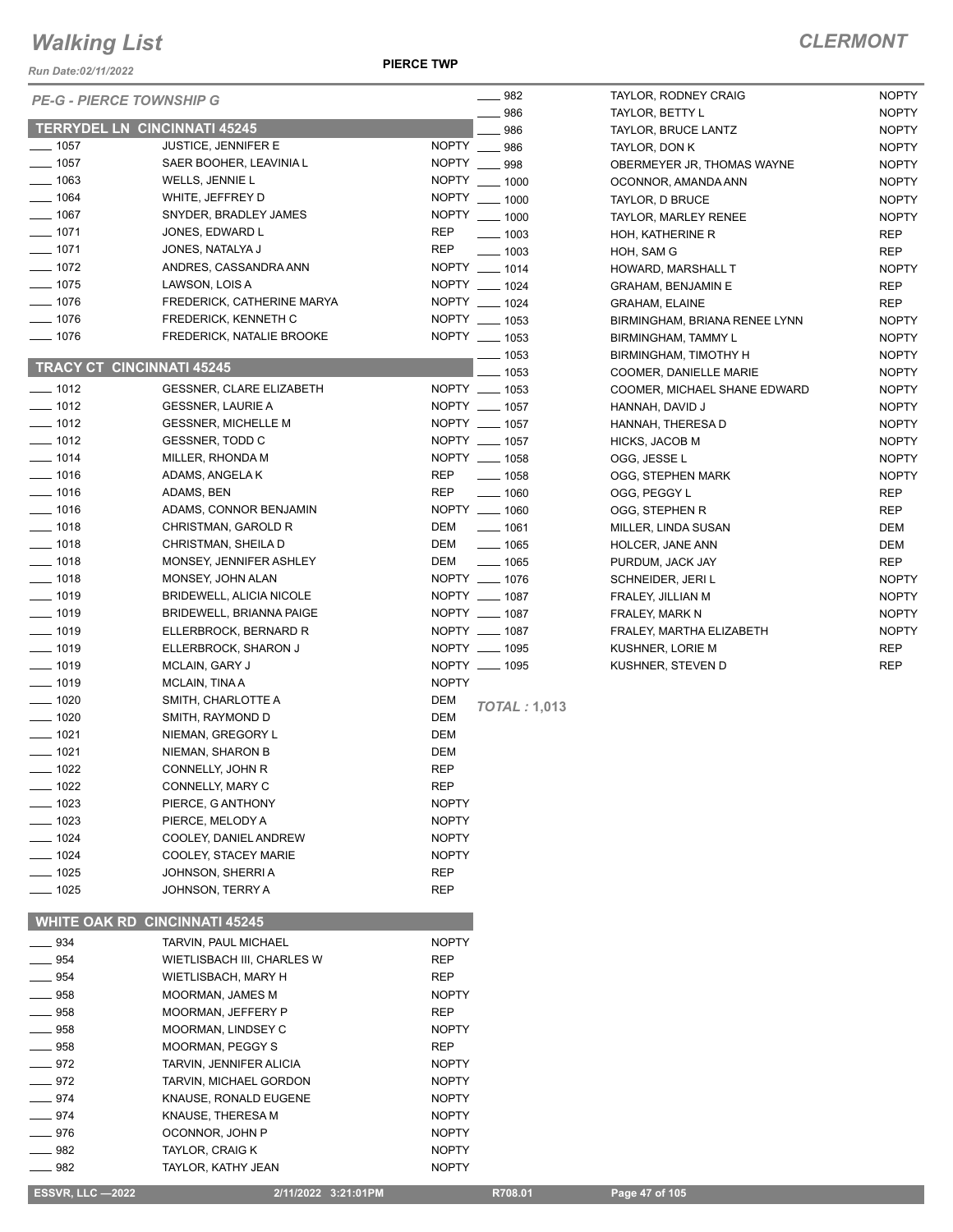*Run Date:02/11/2022*

| <b>PE-G - PIERCE TOWNSHIP G</b>      |                                 |              | $\frac{1}{2}$ 982   | TAYLOR, RODNE         |
|--------------------------------------|---------------------------------|--------------|---------------------|-----------------------|
|                                      |                                 |              | 986                 | TAYLOR, BETTY         |
| <b>TERRYDEL LN CINCINNATI 45245</b>  |                                 |              | 986                 | <b>TAYLOR, BRUCE</b>  |
| $-$ 1057                             | <b>JUSTICE, JENNIFER E</b>      | NOPTY __ 986 |                     | TAYLOR, DON K         |
| — 1057                               | SAER BOOHER, LEAVINIA L         | <b>NOPTY</b> | $\equiv$ 998        | <b>OBERMEYER JR</b>   |
| $-1063$                              | WELLS, JENNIE L                 |              | NOPTY __ 1000       | OCONNOR, AMA          |
| $- 1064$                             | WHITE, JEFFREY D                |              | NOPTY __ 1000       | TAYLOR, D BRU         |
| $- 1067$                             | SNYDER, BRADLEY JAMES           |              | NOPTY __ 1000       | TAYLOR, MARLE         |
| $- 1071$                             | JONES, EDWARD L                 | <b>REP</b>   | $\frac{1003}{2}$    | HOH, KATHERIN         |
| $- 1071$                             | JONES, NATALYA J                | REP          | $\frac{1}{2}$ 1003  | HOH, SAM G            |
| $- 1072$                             | ANDRES, CASSANDRA ANN           |              | NOPTY __ 1014       | <b>HOWARD, MARS</b>   |
| ___ 1075                             | LAWSON, LOIS A                  |              | NOPTY __ 1024       | <b>GRAHAM, BENJ</b>   |
| $- 1076$                             | FREDERICK, CATHERINE MARYA      |              | NOPTY __ 1024       | <b>GRAHAM, ELAIN</b>  |
| $- 1076$                             | FREDERICK, KENNETH C            |              | NOPTY __ 1053       | BIRMINGHAM, B         |
| $- 1076$                             | FREDERICK, NATALIE BROOKE       |              | NOPTY __ 1053       | BIRMINGHAM, TA        |
|                                      |                                 |              | $- 1053$            | <b>BIRMINGHAM, T</b>  |
| <b>TRACY CT CINCINNATI 45245</b>     |                                 |              | $- 1053$            | <b>COOMER, DANIE</b>  |
| $-1012$                              | <b>GESSNER, CLARE ELIZABETH</b> |              | NOPTY __ 1053       | COOMER, MICH.         |
| $- 1012$                             | <b>GESSNER, LAURIE A</b>        |              | NOPTY __ 1057       | HANNAH, DAVID         |
| $- 1012$                             | <b>GESSNER, MICHELLE M</b>      |              | NOPTY __ 1057       | HANNAH, THERI         |
| $- 1012$                             | GESSNER, TODD C                 |              | NOPTY __ 1057       | HICKS, JACOB N        |
| $- 1014$                             | MILLER, RHONDA M                |              | NOPTY __ 1058       | OGG, JESSE L          |
| $- 1016$                             | ADAMS, ANGELA K                 | <b>REP</b>   | $- 1058$            | OGG, STEPHEN          |
| $- 1016$                             | ADAMS, BEN                      | REP          | $- 1060$            | OGG, PEGGY L          |
| $- 1016$                             | ADAMS, CONNOR BENJAMIN          |              | NOPTY __ 1060       | OGG, STEPHEN          |
| $- 1018$                             | CHRISTMAN, GAROLD R             | DEM          | $- 1061$            | MILLER, LINDA S       |
| $- 1018$                             | CHRISTMAN, SHEILA D             | DEM          | $- 1065$            | HOLCER, JANE          |
| $- 1018$                             |                                 |              | $- 1065$            |                       |
| $- 1018$                             | MONSEY, JENNIFER ASHLEY         | DEM          | NOPTY __ 1076       | PURDUM, JACK          |
|                                      | MONSEY, JOHN ALAN               |              |                     | SCHNEIDER, JE         |
| $- 1019$                             | BRIDEWELL, ALICIA NICOLE        |              | NOPTY __ 1087       | FRALEY, JILLIAN       |
| $- 1019$                             | <b>BRIDEWELL, BRIANNA PAIGE</b> |              | NOPTY __ 1087       | <b>FRALEY, MARK I</b> |
| $- 1019$                             | ELLERBROCK, BERNARD R           |              | NOPTY __ 1087       | FRALEY, MARTH         |
| $- 1019$                             | ELLERBROCK, SHARON J            |              | NOPTY __ 1095       | KUSHNER, LORI         |
| $- 1019$                             | MCLAIN, GARY J                  |              | NOPTY __ 1095       | KUSHNER, STE\         |
| $- 1019$                             | MCLAIN, TINA A                  | <b>NOPTY</b> |                     |                       |
| $- 1020$                             | SMITH, CHARLOTTE A              | DEM          | <b>TOTAL: 1,013</b> |                       |
| $- 1020$                             | SMITH, RAYMOND D                | DEM          |                     |                       |
| $- 1021$                             | NIEMAN, GREGORY L               | DEM          |                     |                       |
| $- 1021$                             | NIEMAN, SHARON B                | DEM          |                     |                       |
| $-1022$                              | CONNELLY, JOHN R                | <b>REP</b>   |                     |                       |
| _ 1022                               | CONNELLY, MARY C                | REP          |                     |                       |
| 1023                                 | PIERCE, G ANTHONY               | <b>NOPTY</b> |                     |                       |
| 1023                                 | PIERCE, MELODY A                | <b>NOPTY</b> |                     |                       |
| $-1024$                              | COOLEY, DANIEL ANDREW           | <b>NOPTY</b> |                     |                       |
| $- 1024$                             | COOLEY, STACEY MARIE            | <b>NOPTY</b> |                     |                       |
| — 1025                               | JOHNSON, SHERRI A               | REP          |                     |                       |
| ___ 1025                             | JOHNSON, TERRY A                | REP          |                     |                       |
|                                      |                                 |              |                     |                       |
| <b>WHITE OAK RD CINCINNATI 45245</b> |                                 |              |                     |                       |
| _ 934                                | TARVIN, PAUL MICHAEL            | <b>NOPTY</b> |                     |                       |
| 954                                  | WIETLISBACH III, CHARLES W      | REP          |                     |                       |
| 954                                  | WIETLISBACH, MARY H             | REP          |                     |                       |
| _ 958                                | MOORMAN, JAMES M                | <b>NOPTY</b> |                     |                       |
| 958                                  | MOORMAN, JEFFERY P              | REP          |                     |                       |
| 958                                  | MOORMAN, LINDSEY C              | <b>NOPTY</b> |                     |                       |
| 958                                  |                                 |              |                     |                       |
|                                      | MOORMAN, PEGGY S                | REP          |                     |                       |
| _ 972                                | TARVIN, JENNIFER ALICIA         | <b>NOPTY</b> |                     |                       |
| 972                                  | TARVIN, MICHAEL GORDON          | <b>NOPTY</b> |                     |                       |
| 974                                  | KNAUSE, RONALD EUGENE           | <b>NOPTY</b> |                     |                       |
| 974                                  | KNAUSE, THERESA M               | <b>NOPTY</b> |                     |                       |
| 976                                  | OCONNOR, JOHN P                 | <b>NOPTY</b> |                     |                       |
| 982                                  | TAYLOR, CRAIG K                 | <b>NOPTY</b> |                     |                       |
| 982                                  | TAYLOR, KATHY JEAN              | <b>NOPTY</b> |                     |                       |
| <b>ESSVR, LLC —2022</b>              | 2/11/2022 3:21:01PM             |              | R708.01             | Page 47 of 105        |

| 982  | TAYLOR, RODNEY CRAIG          | <b>NOPTY</b> |
|------|-------------------------------|--------------|
| 986  | TAYLOR, BETTY L               | <b>NOPTY</b> |
| 986  | <b>TAYLOR, BRUCE LANTZ</b>    | <b>NOPTY</b> |
| 986  | TAYLOR, DON K                 | <b>NOPTY</b> |
| 998  | OBERMEYER JR, THOMAS WAYNE    | <b>NOPTY</b> |
| 1000 | OCONNOR, AMANDA ANN           | <b>NOPTY</b> |
| 1000 | TAYLOR, D BRUCE               | <b>NOPTY</b> |
| 1000 | TAYLOR, MARLEY RENEE          | <b>NOPTY</b> |
| 1003 | HOH, KATHERINE R              | <b>REP</b>   |
| 1003 | HOH, SAM G                    | <b>REP</b>   |
| 1014 | HOWARD, MARSHALL T            | <b>NOPTY</b> |
| 1024 | <b>GRAHAM, BENJAMIN E</b>     | <b>REP</b>   |
| 1024 | <b>GRAHAM, ELAINE</b>         | <b>REP</b>   |
| 1053 | BIRMINGHAM, BRIANA RENEE LYNN | <b>NOPTY</b> |
| 1053 | <b>BIRMINGHAM, TAMMY L</b>    | <b>NOPTY</b> |
| 1053 | BIRMINGHAM, TIMOTHY H         | <b>NOPTY</b> |
| 1053 | <b>COOMER, DANIELLE MARIE</b> | <b>NOPTY</b> |
| 1053 | COOMER, MICHAEL SHANE EDWARD  | <b>NOPTY</b> |
| 1057 | HANNAH, DAVID J               | <b>NOPTY</b> |
| 1057 | HANNAH, THERESA D             | <b>NOPTY</b> |
| 1057 | <b>HICKS, JACOB M</b>         | <b>NOPTY</b> |
| 1058 | OGG, JESSE L                  | <b>NOPTY</b> |
| 1058 | OGG, STEPHEN MARK             | <b>NOPTY</b> |
| 1060 | OGG, PEGGY L                  | <b>REP</b>   |
| 1060 | OGG, STEPHEN R                | <b>REP</b>   |
| 1061 | MILLER, LINDA SUSAN           | <b>DEM</b>   |
| 1065 | HOLCER, JANE ANN              | DEM          |
| 1065 | PURDUM, JACK JAY              | <b>REP</b>   |
| 1076 | SCHNEIDER, JERI L             | <b>NOPTY</b> |
| 1087 | FRALEY, JILLIAN M             | <b>NOPTY</b> |
| 1087 | FRALEY, MARK N                | <b>NOPTY</b> |
| 1087 | FRALEY, MARTHA ELIZABETH      | <b>NOPTY</b> |
| 1095 | KUSHNER, LORIE M              | REP          |
| 1095 | KUSHNER, STEVEN D             | <b>REP</b>   |
|      |                               |              |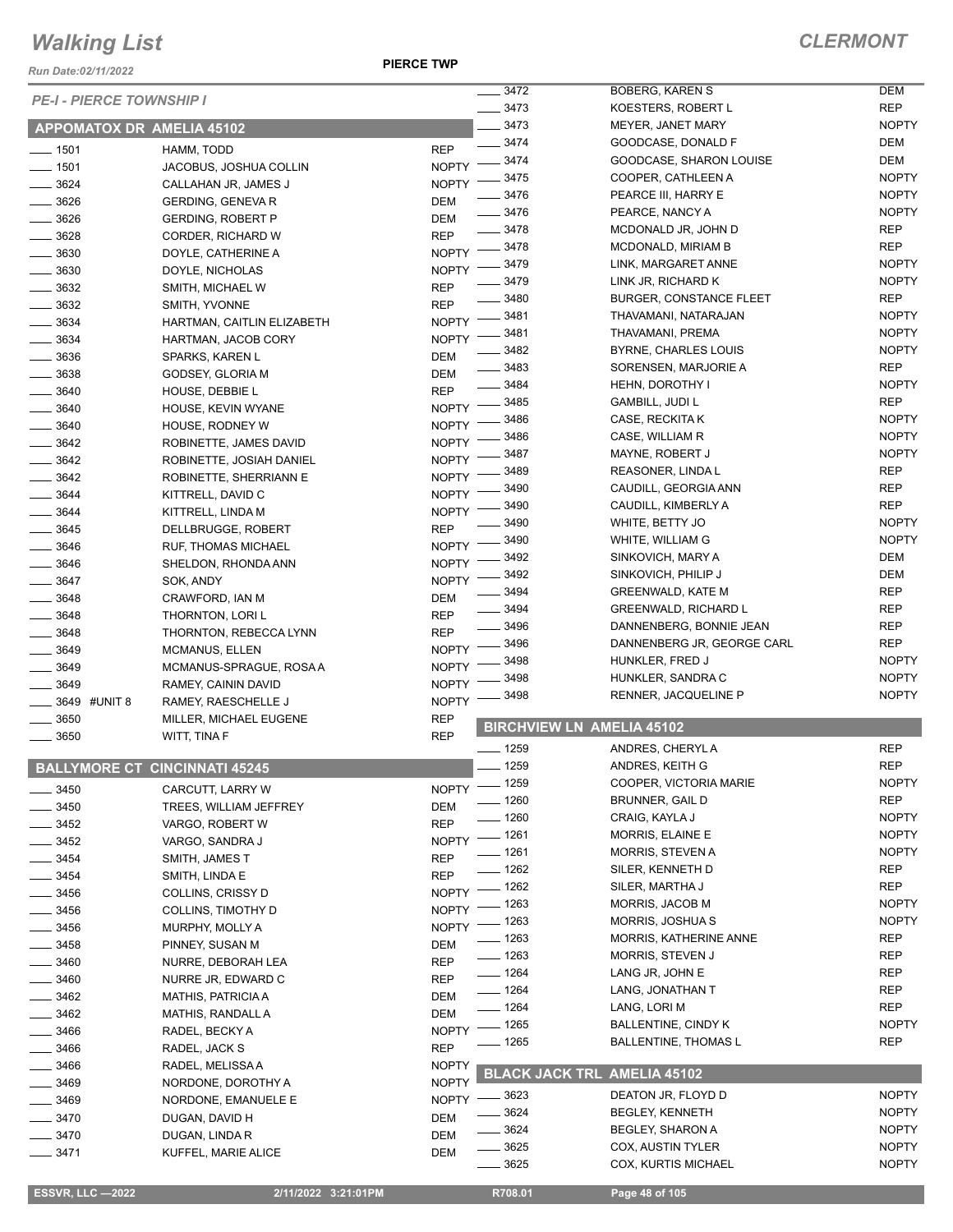*Run Date:02/11/2022*

|          | <b>PE-I - PIERCE TOWNSHIP I</b>      |              | 3472               | <b>BOBERG, KAREN S</b>             | <b>DEM</b>   |
|----------|--------------------------------------|--------------|--------------------|------------------------------------|--------------|
|          |                                      |              | $- 3473$           | KOESTERS, ROBERT L                 | <b>REP</b>   |
|          | <b>APPOMATOX DR AMELIA 45102</b>     |              | $-3473$            | MEYER, JANET MARY                  | <b>NOPTY</b> |
| $- 1501$ | HAMM, TODD                           | <b>REP</b>   | $- 3474$           | GOODCASE, DONALD F                 | DEM          |
| $- 1501$ | JACOBUS, JOSHUA COLLIN               | <b>NOPTY</b> | . 3474             | GOODCASE, SHARON LOUISE            | <b>DEM</b>   |
| $- 3624$ | CALLAHAN JR, JAMES J                 | <b>NOPTY</b> | 3475               | COOPER, CATHLEEN A                 | <b>NOPTY</b> |
| 3626     | GERDING, GENEVA R                    | DEM          | 3476               | PEARCE III, HARRY E                | <b>NOPTY</b> |
| 3626     | <b>GERDING, ROBERT P</b>             | DEM          | 3476               | PEARCE, NANCY A                    | <b>NOPTY</b> |
| 3628     | CORDER, RICHARD W                    | <b>REP</b>   | 3478               | MCDONALD JR, JOHN D                | <b>REP</b>   |
| 3630     | DOYLE, CATHERINE A                   | <b>NOPTY</b> | 3478               | MCDONALD, MIRIAM B                 | <b>REP</b>   |
| $- 3630$ | DOYLE, NICHOLAS                      | <b>NOPTY</b> | 3479               | LINK, MARGARET ANNE                | <b>NOPTY</b> |
| 3632     |                                      | <b>REP</b>   | 3479               | LINK JR, RICHARD K                 | <b>NOPTY</b> |
|          | SMITH, MICHAEL W                     | <b>REP</b>   | 3480               | <b>BURGER, CONSTANCE FLEET</b>     | REP          |
| $- 3632$ | SMITH, YVONNE                        |              | 3481               | THAVAMANI, NATARAJAN               | <b>NOPTY</b> |
| 3634     | HARTMAN, CAITLIN ELIZABETH           | <b>NOPTY</b> | 3481               | THAVAMANI, PREMA                   | <b>NOPTY</b> |
| 3634     | HARTMAN, JACOB CORY                  | <b>NOPTY</b> | 3482               | BYRNE, CHARLES LOUIS               | <b>NOPTY</b> |
| 3636     | SPARKS, KAREN L                      | DEM          | 3483               | SORENSEN, MARJORIE A               | <b>REP</b>   |
| 3638     | GODSEY, GLORIA M                     | DEM          | 3484               | HEHN, DOROTHY I                    | <b>NOPTY</b> |
| $-3640$  | HOUSE, DEBBIE L                      | <b>REP</b>   | 3485               | <b>GAMBILL, JUDI L</b>             | <b>REP</b>   |
| $- 3640$ | HOUSE, KEVIN WYANE                   | <b>NOPTY</b> | 3486               | CASE, RECKITA K                    | <b>NOPTY</b> |
| 3640     | HOUSE, RODNEY W                      | <b>NOPTY</b> | 3486               |                                    | <b>NOPTY</b> |
| 3642     | ROBINETTE, JAMES DAVID               | <b>NOPTY</b> |                    | CASE, WILLIAM R                    |              |
| 3642     | ROBINETTE, JOSIAH DANIEL             | <b>NOPTY</b> | 3487               | MAYNE, ROBERT J                    | <b>NOPTY</b> |
| 3642     | ROBINETTE, SHERRIANN E               | <b>NOPTY</b> | 3489               | REASONER, LINDA L                  | <b>REP</b>   |
| $-3644$  | KITTRELL, DAVID C                    | <b>NOPTY</b> | 3490               | CAUDILL, GEORGIA ANN               | <b>REP</b>   |
| 3644     | KITTRELL, LINDA M                    | <b>NOPTY</b> | 3490               | CAUDILL, KIMBERLY A                | <b>REP</b>   |
| $= 3645$ | DELLBRUGGE, ROBERT                   | <b>REP</b>   | 3490               | WHITE, BETTY JO                    | <b>NOPTY</b> |
| 3646     | RUF, THOMAS MICHAEL                  | <b>NOPTY</b> | 3490               | WHITE, WILLIAM G                   | <b>NOPTY</b> |
| 3646     | SHELDON, RHONDA ANN                  | <b>NOPTY</b> | 3492               | SINKOVICH, MARY A                  | <b>DEM</b>   |
| 3647     | SOK, ANDY                            | <b>NOPTY</b> | 3492               | SINKOVICH, PHILIP J                | <b>DEM</b>   |
| 3648     | CRAWFORD, IAN M                      | DEM          | 3494               | <b>GREENWALD, KATE M</b>           | <b>REP</b>   |
| 3648     | THORNTON, LORI L                     | <b>REP</b>   | 3494               | <b>GREENWALD, RICHARD L</b>        | <b>REP</b>   |
| 3648     | THORNTON, REBECCA LYNN               | <b>REP</b>   | 3496               | DANNENBERG, BONNIE JEAN            | <b>REP</b>   |
| 3649     | <b>MCMANUS, ELLEN</b>                | <b>NOPTY</b> | 3496               | DANNENBERG JR, GEORGE CARL         | <b>REP</b>   |
| 3649     |                                      | <b>NOPTY</b> | 3498               | HUNKLER, FRED J                    | <b>NOPTY</b> |
|          | MCMANUS-SPRAGUE, ROSA A              |              | 3498               | HUNKLER, SANDRA C                  | <b>NOPTY</b> |
| 3649     | RAMEY, CAININ DAVID                  | <b>NOPTY</b> | 3498               | RENNER, JACQUELINE P               | <b>NOPTY</b> |
|          | 3649 #UNIT 8<br>RAMEY, RAESCHELLE J  | <b>NOPTY</b> |                    |                                    |              |
| 3650     | MILLER, MICHAEL EUGENE               | <b>REP</b>   |                    | <b>BIRCHVIEW LN AMELIA 45102</b>   |              |
| $= 3650$ | WITT, TINA F                         | <b>REP</b>   | __ 1259            | ANDRES, CHERYLA                    | <b>REP</b>   |
|          | <b>BALLYMORE CT CINCINNATI 45245</b> |              | $-1259$            | ANDRES, KEITH G                    | <b>REP</b>   |
|          |                                      |              | $\frac{1}{2}$ 1259 | COOPER, VICTORIA MARIE             | <b>NOPTY</b> |
| 3450     | CARCUTT, LARRY W                     | <b>NOPTY</b> | _ 1260             | <b>BRUNNER, GAIL D</b>             | <b>REP</b>   |
| 3450     | TREES, WILLIAM JEFFREY               | DEM          |                    |                                    |              |
| _ 3452   | VARGO, ROBERT W                      | <b>REP</b>   | _ 1260             | CRAIG, KAYLA J                     | <b>NOPTY</b> |
| - 3452   | VARGO, SANDRA J                      | <b>NOPTY</b> | $=$ 1261           | MORRIS, ELAINE E                   | <b>NOPTY</b> |
| $-3454$  | SMITH, JAMES T                       | <b>REP</b>   | _ 1261             | <b>MORRIS, STEVEN A</b>            | <b>NOPTY</b> |
| 3454     | SMITH, LINDA E                       | <b>REP</b>   | 1262               | SILER, KENNETH D                   | <b>REP</b>   |
| $-3456$  | COLLINS, CRISSY D                    | <b>NOPTY</b> | - 1262             | SILER, MARTHA J                    | <b>REP</b>   |
| 3456     | COLLINS, TIMOTHY D                   | <b>NOPTY</b> | - 1263             | MORRIS, JACOB M                    | <b>NOPTY</b> |
| _ 3456   | MURPHY, MOLLY A                      | <b>NOPTY</b> | - 1263             | MORRIS, JOSHUA S                   | <b>NOPTY</b> |
| 3458     | PINNEY, SUSAN M                      | DEM          | $\frac{1}{2}$ 1263 | MORRIS, KATHERINE ANNE             | <b>REP</b>   |
| $- 3460$ | NURRE, DEBORAH LEA                   | <b>REP</b>   | $\frac{1}{2}$ 1263 | MORRIS, STEVEN J                   | REP          |
| $- 3460$ | NURRE JR, EDWARD C                   | <b>REP</b>   | $- 1264$           | LANG JR, JOHN E                    | <b>REP</b>   |
| $- 3462$ | <b>MATHIS, PATRICIA A</b>            | DEM          | $- 1264$           | LANG, JONATHAN T                   | REP          |
| $- 3462$ | MATHIS, RANDALL A                    | DEM          | $-1264$            | LANG, LORI M                       | <b>REP</b>   |
| 3466     |                                      | <b>NOPTY</b> | - 1265             | <b>BALLENTINE, CINDY K</b>         | <b>NOPTY</b> |
|          | RADEL, BECKY A                       |              | 1265               | <b>BALLENTINE, THOMAS L</b>        | <b>REP</b>   |
| 3466     | RADEL, JACK S                        | <b>REP</b>   |                    |                                    |              |
| 3466     | RADEL, MELISSA A                     | <b>NOPTY</b> |                    | <b>BLACK JACK TRL AMELIA 45102</b> |              |
| 3469     | NORDONE, DOROTHY A                   | <b>NOPTY</b> | 3623               | DEATON JR, FLOYD D                 | <b>NOPTY</b> |
| _ 3469   | NORDONE, EMANUELE E                  | <b>NOPTY</b> | . 3624             | <b>BEGLEY, KENNETH</b>             | <b>NOPTY</b> |
| $-3470$  | DUGAN, DAVID H                       | <b>DEM</b>   | 3624               | BEGLEY, SHARON A                   | <b>NOPTY</b> |
| $= 3470$ | DUGAN, LINDA R                       | DEM          |                    |                                    |              |
| $- 3471$ | KUFFEL, MARIE ALICE                  | DEM          | 3625               | COX, AUSTIN TYLER                  | <b>NOPTY</b> |
|          |                                      |              | $-3625$            | COX, KURTIS MICHAEL                | <b>NOPTY</b> |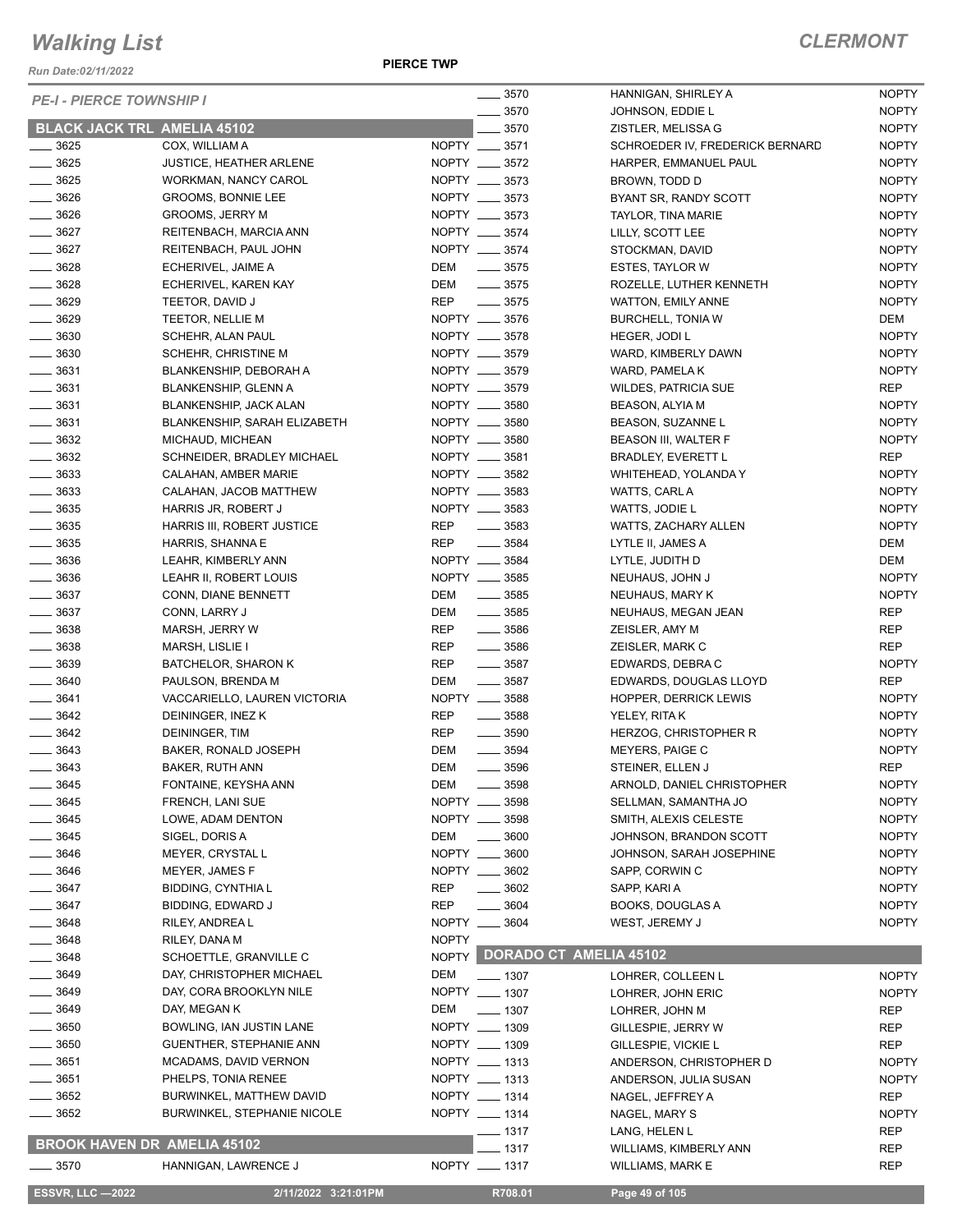*Run Date:02/11/2022*

| <b>PE-I - PIERCE TOWNSHIP I</b>    |                                    |              | $\frac{1}{2}$ 3570            | HANNIGAN, SHIRLEY A             | <b>NOPTY</b> |
|------------------------------------|------------------------------------|--------------|-------------------------------|---------------------------------|--------------|
|                                    |                                    |              | 3570                          | JOHNSON, EDDIE L                | <b>NOPTY</b> |
| <b>BLACK JACK TRL AMELIA 45102</b> |                                    |              | $-3570$                       | ZISTLER, MELISSA G              | <b>NOPTY</b> |
| $- 3625$                           | COX, WILLIAM A                     |              | NOPTY __ 3571                 | SCHROEDER IV, FREDERICK BERNARD | <b>NOPTY</b> |
| $\frac{1}{2}$ 3625                 | <b>JUSTICE, HEATHER ARLENE</b>     |              | NOPTY __ 3572                 | HARPER, EMMANUEL PAUL           | <b>NOPTY</b> |
| $\frac{1}{2}$ 3625                 | WORKMAN, NANCY CAROL               |              | NOPTY __ 3573                 | BROWN, TODD D                   | <b>NOPTY</b> |
| $\frac{1}{2}$ 3626                 | GROOMS, BONNIE LEE                 |              | NOPTY __ 3573                 | BYANT SR, RANDY SCOTT           | <b>NOPTY</b> |
| $\frac{1}{2}$ 3626                 | <b>GROOMS, JERRY M</b>             |              | NOPTY __ 3573                 | TAYLOR, TINA MARIE              | <b>NOPTY</b> |
| $- 3627$                           | REITENBACH, MARCIA ANN             |              | NOPTY __ 3574                 | LILLY, SCOTT LEE                | <b>NOPTY</b> |
| $- 3627$                           | REITENBACH, PAUL JOHN              |              | NOPTY __ 3574                 | STOCKMAN, DAVID                 | <b>NOPTY</b> |
| $- 3628$                           | ECHERIVEL, JAIME A                 | DEM          | $\frac{1}{2}$ 3575            | ESTES, TAYLOR W                 | <b>NOPTY</b> |
| $\frac{1}{2}$ 3628                 | ECHERIVEL, KAREN KAY               | DEM          | $\frac{1}{2}$ 3575            | ROZELLE, LUTHER KENNETH         | <b>NOPTY</b> |
| $- 3629$                           | TEETOR, DAVID J                    | REP          | $\frac{1}{2}$ 3575            | WATTON, EMILY ANNE              | <b>NOPTY</b> |
| $- 3629$                           | TEETOR, NELLIE M                   |              | NOPTY __ 3576                 | <b>BURCHELL, TONIA W</b>        | DEM          |
| $\frac{1}{2}$ 3630                 | SCHEHR, ALAN PAUL                  |              | NOPTY __ 3578                 | HEGER, JODI L                   | <b>NOPTY</b> |
| $\frac{1}{2}$ 3630                 | SCHEHR, CHRISTINE M                |              | NOPTY __ 3579                 | WARD, KIMBERLY DAWN             | <b>NOPTY</b> |
| $\frac{1}{2}$ 3631                 | BLANKENSHIP, DEBORAH A             |              | NOPTY __ 3579                 | WARD, PAMELA K                  | <b>NOPTY</b> |
| $- 3631$                           | <b>BLANKENSHIP, GLENN A</b>        |              | NOPTY __ 3579                 | <b>WILDES, PATRICIA SUE</b>     | <b>REP</b>   |
| $\frac{1}{2}$ 3631                 | BLANKENSHIP, JACK ALAN             |              | NOPTY __ 3580                 | <b>BEASON, ALYIA M</b>          | <b>NOPTY</b> |
| $\frac{1}{2}$ 3631                 | BLANKENSHIP, SARAH ELIZABETH       |              | NOPTY __ 3580                 | BEASON, SUZANNE L               | <b>NOPTY</b> |
| $- 3632$                           | MICHAUD, MICHEAN                   |              | NOPTY __ 3580                 | BEASON III, WALTER F            | <b>NOPTY</b> |
| $- 3632$                           | SCHNEIDER, BRADLEY MICHAEL         |              | NOPTY __ 3581                 | <b>BRADLEY, EVERETT L</b>       | <b>REP</b>   |
| $\frac{1}{2}$ 3633                 | CALAHAN, AMBER MARIE               |              | NOPTY __ 3582                 | WHITEHEAD, YOLANDA Y            | <b>NOPTY</b> |
| $\frac{1}{2}$ 3633                 | CALAHAN, JACOB MATTHEW             |              | NOPTY __ 3583                 | WATTS, CARL A                   | <b>NOPTY</b> |
| $\frac{1}{2}$ 3635                 | HARRIS JR, ROBERT J                |              | NOPTY __ 3583                 | WATTS, JODIE L                  | <b>NOPTY</b> |
| $\frac{1}{2}$ 3635                 | HARRIS III, ROBERT JUSTICE         | REP          | $\frac{1}{2}$ 3583            | WATTS, ZACHARY ALLEN            | <b>NOPTY</b> |
| $\frac{1}{2}$ 3635                 | HARRIS, SHANNA E                   | <b>REP</b>   | $\frac{1}{2}$ 3584            | LYTLE II, JAMES A               | DEM          |
| $\frac{1}{2}$ 3636                 | LEAHR, KIMBERLY ANN                |              | NOPTY __ 3584                 | LYTLE, JUDITH D                 | DEM          |
| $\frac{1}{2}$ 3636                 | LEAHR II, ROBERT LOUIS             |              | NOPTY __ 3585                 | NEUHAUS, JOHN J                 | <b>NOPTY</b> |
| $- 3637$                           | CONN, DIANE BENNETT                | DEM          | $\frac{1}{2}$ 3585            | NEUHAUS, MARY K                 | <b>NOPTY</b> |
| $\frac{1}{2}$ 3637                 | CONN, LARRY J                      | DEM          | $\frac{1}{2}$ 3585            | NEUHAUS, MEGAN JEAN             | <b>REP</b>   |
| $\frac{1}{2}$ 3638                 | MARSH, JERRY W                     | <b>REP</b>   | $\frac{1}{2}$ 3586            | ZEISLER, AMY M                  | <b>REP</b>   |
| $\frac{1}{2}$ 3638                 | <b>MARSH, LISLIE I</b>             | REP          | $\frac{1}{2}$ 3586            | ZEISLER, MARK C                 | <b>REP</b>   |
| $\frac{1}{2}$ 3639                 | BATCHELOR, SHARON K                | <b>REP</b>   | $\frac{1}{2}$ 3587            | EDWARDS, DEBRA C                | <b>NOPTY</b> |
| $\frac{1}{2}$ 3640                 | PAULSON, BRENDA M                  | DEM          | $\frac{1}{2}$ 3587            | EDWARDS, DOUGLAS LLOYD          | <b>REP</b>   |
| $\frac{1}{2}$ 3641                 | VACCARIELLO, LAUREN VICTORIA       |              | NOPTY __ 3588                 | <b>HOPPER, DERRICK LEWIS</b>    | <b>NOPTY</b> |
| $- 3642$                           | DEININGER, INEZ K                  | <b>REP</b>   | $\frac{1}{2}$ 3588            | YELEY, RITA K                   | <b>NOPTY</b> |
| $- 3642$                           | DEININGER, TIM                     | <b>REP</b>   | $\frac{1}{2}$ 3590            | HERZOG, CHRISTOPHER R           | <b>NOPTY</b> |
| $- 3643$                           | BAKER, RONALD JOSEPH               | DEM          | $\frac{1}{2}$ 3594            | MEYERS, PAIGE C                 | <b>NOPTY</b> |
| $- 3643$                           | <b>BAKER, RUTH ANN</b>             | DEM          | $\frac{1}{2}$ 3596            | STEINER, ELLEN J                | <b>REP</b>   |
| 3645                               | FONTAINE, KEYSHA ANN               | DEM          | 3598                          | ARNOLD, DANIEL CHRISTOPHER      | <b>NOPTY</b> |
| 3645                               | FRENCH, LANI SUE                   | NOPTY __     | 3598                          | SELLMAN, SAMANTHA JO            | <b>NOPTY</b> |
| - 3645                             | LOWE, ADAM DENTON                  |              | NOPTY __ 3598                 | SMITH, ALEXIS CELESTE           | <b>NOPTY</b> |
| $-3645$                            | SIGEL, DORIS A                     | DEM          | $\frac{1}{2}$ 3600            | JOHNSON, BRANDON SCOTT          | <b>NOPTY</b> |
| $\frac{1}{2}$ 3646                 | MEYER, CRYSTAL L                   |              | NOPTY __ 3600                 | JOHNSON, SARAH JOSEPHINE        | <b>NOPTY</b> |
| $- 3646$                           | MEYER, JAMES F                     |              | NOPTY __ 3602                 | SAPP, CORWIN C                  | <b>NOPTY</b> |
| $\frac{1}{2}$ 3647                 | <b>BIDDING, CYNTHIA L</b>          | REP          | $\frac{1}{2}$ 3602            | SAPP, KARI A                    | <b>NOPTY</b> |
| $- 3647$                           | BIDDING, EDWARD J                  | <b>REP</b>   | 3604                          | <b>BOOKS, DOUGLAS A</b>         | <b>NOPTY</b> |
| 3648                               | RILEY, ANDREA L                    | NOPTY ___    | 3604                          | WEST, JEREMY J                  | <b>NOPTY</b> |
| _ 3648                             | RILEY, DANA M                      | <b>NOPTY</b> |                               |                                 |              |
| $-3648$                            | SCHOETTLE, GRANVILLE C             | NOPTY        | <b>DORADO CT AMELIA 45102</b> |                                 |              |
| $- 3649$                           | DAY, CHRISTOPHER MICHAEL           | DEM          | $- 1307$                      | LOHRER, COLLEEN L               | <b>NOPTY</b> |
| $- 3649$                           | DAY, CORA BROOKLYN NILE            |              | NOPTY __ 1307                 | LOHRER, JOHN ERIC               | <b>NOPTY</b> |
| $-3649$                            | DAY, MEGAN K                       | DEM          | $\frac{1}{2}$ 1307            | LOHRER, JOHN M                  | REP          |
| $=$ 3650                           | BOWLING, IAN JUSTIN LANE           |              | NOPTY __ 1309                 | GILLESPIE, JERRY W              | REP          |
| $-3650$                            | <b>GUENTHER, STEPHANIE ANN</b>     |              | NOPTY __ 1309                 | GILLESPIE, VICKIE L             | REP          |
| _ 3651                             | MCADAMS, DAVID VERNON              |              | NOPTY __ 1313                 | ANDERSON, CHRISTOPHER D         | <b>NOPTY</b> |
| $- 3651$                           | PHELPS, TONIA RENEE                |              | NOPTY __ 1313                 | ANDERSON, JULIA SUSAN           | <b>NOPTY</b> |
| $-3652$                            | BURWINKEL, MATTHEW DAVID           |              | NOPTY __ 1314                 | NAGEL, JEFFREY A                | <b>REP</b>   |
| $\frac{1}{2}$ 3652                 | <b>BURWINKEL, STEPHANIE NICOLE</b> |              | NOPTY __ 1314                 | NAGEL, MARY S                   | <b>NOPTY</b> |
|                                    |                                    |              | ___ 1317                      | LANG, HELEN L                   | REP          |
| <b>BROOK HAVEN DR AMELIA 45102</b> |                                    |              | $- 1317$                      | WILLIAMS, KIMBERLY ANN          | <b>REP</b>   |
| $\equiv$ 3570                      | HANNIGAN, LAWRENCE J               |              | NOPTY __ 1317                 | WILLIAMS, MARK E                | REP          |
| <b>ESSVR, LLC -2022</b>            | 2/11/2022 3:21:01PM                |              | R708.01                       | Page 49 of 105                  |              |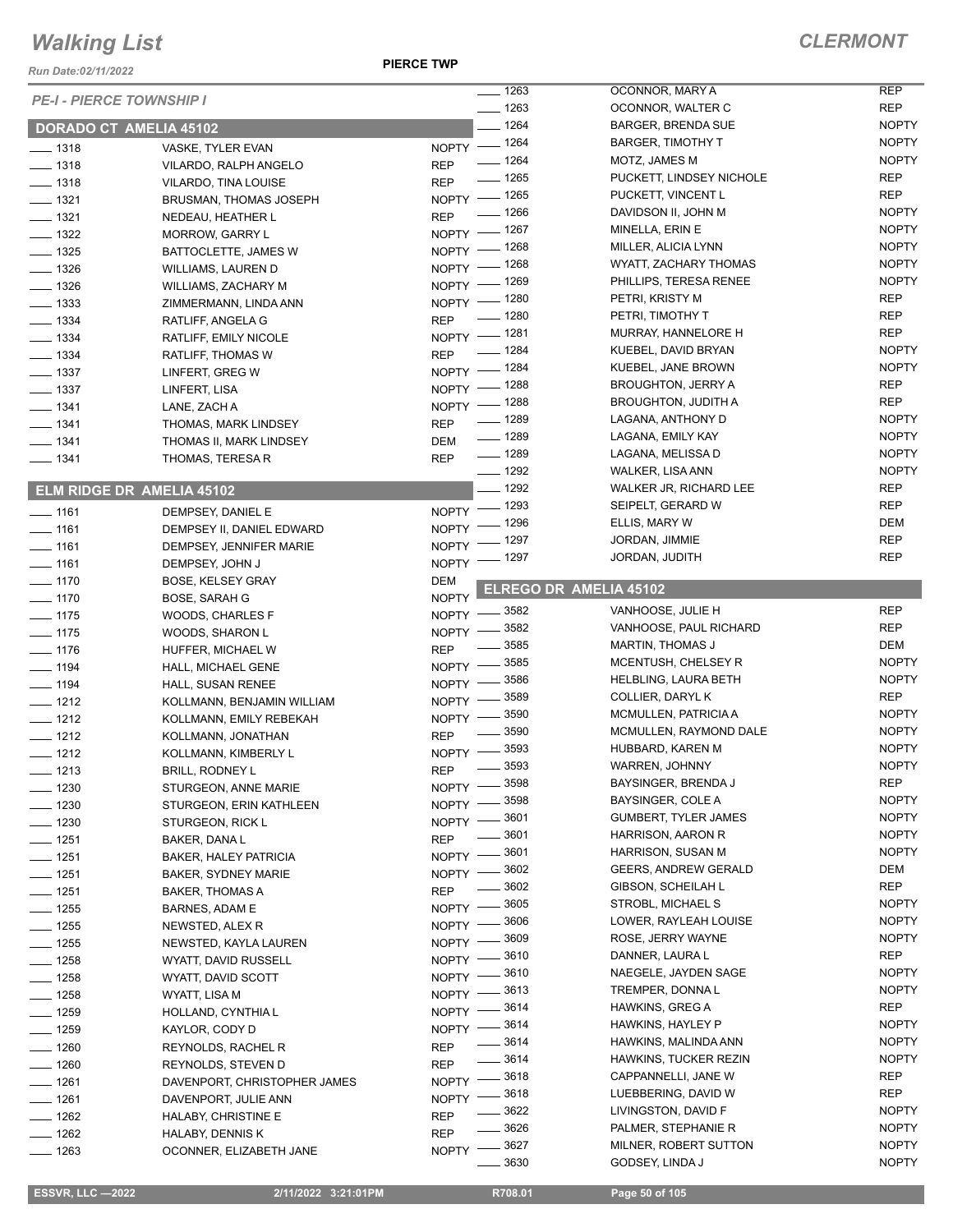*Run Date:02/11/2022*

**PIERCE TWP**

|                                 |                                  | $- 1263$                         | OCONNOR, MARY A                          | <b>REP</b>                   |
|---------------------------------|----------------------------------|----------------------------------|------------------------------------------|------------------------------|
| <b>PE-I - PIERCE TOWNSHIP I</b> |                                  | $- 1263$                         |                                          | <b>REP</b>                   |
|                                 |                                  |                                  | OCONNOR, WALTER C                        |                              |
| <b>DORADO CT AMELIA 45102</b>   |                                  | $- 1264$                         | <b>BARGER, BRENDA SUE</b>                | <b>NOPTY</b>                 |
| $- 1318$                        | VASKE, TYLER EVAN                | NOPTY - 1264                     | <b>BARGER, TIMOTHY T</b>                 | <b>NOPTY</b>                 |
| $- 1318$                        | VILARDO, RALPH ANGELO            | $- 1264$<br><b>REP</b>           | MOTZ, JAMES M                            | <b>NOPTY</b>                 |
| $- 1318$                        | VILARDO, TINA LOUISE             | $- 1265$<br><b>REP</b>           | PUCKETT, LINDSEY NICHOLE                 | <b>REP</b>                   |
| $\frac{1}{2}$ 1321              | BRUSMAN, THOMAS JOSEPH           | NOPTY - 1265                     | PUCKETT, VINCENT L                       | <b>REP</b>                   |
| $- 1321$                        |                                  | $- 1266$<br><b>REP</b>           | DAVIDSON II, JOHN M                      | <b>NOPTY</b>                 |
|                                 | NEDEAU, HEATHER L                | NOPTY - 1267                     | MINELLA, ERIN E                          | <b>NOPTY</b>                 |
| $- 1322$                        | MORROW, GARRY L                  | _ 1268                           | MILLER, ALICIA LYNN                      | <b>NOPTY</b>                 |
| $- 1325$                        | BATTOCLETTE, JAMES W             | $NOPTY =$                        | <b>WYATT, ZACHARY THOMAS</b>             | <b>NOPTY</b>                 |
| $- 1326$                        | WILLIAMS, LAUREN D               | NOPTY - 1268                     |                                          |                              |
| $\frac{1}{2}$ 1326              | <b>WILLIAMS, ZACHARY M</b>       | NOPTY - 1269                     | PHILLIPS, TERESA RENEE                   | <b>NOPTY</b>                 |
| $\frac{1}{2}$ 1333              | ZIMMERMANN, LINDA ANN            | NOPTY - 1280                     | PETRI, KRISTY M                          | <b>REP</b>                   |
| $- 1334$                        | RATLIFF, ANGELA G                | $- 1280$<br><b>REP</b>           | PETRI, TIMOTHY T                         | <b>REP</b>                   |
| $- 1334$                        | RATLIFF, EMILY NICOLE            | NOPTY - 1281                     | MURRAY, HANNELORE H                      | <b>REP</b>                   |
| $- 1334$                        | RATLIFF, THOMAS W                | $- 1284$<br><b>REP</b>           | KUEBEL, DAVID BRYAN                      | <b>NOPTY</b>                 |
|                                 |                                  | NOPTY - 1284                     | KUEBEL, JANE BROWN                       | <b>NOPTY</b>                 |
| $\frac{1}{2}$ 1337              | LINFERT, GREG W                  | NOPTY - 1288                     | <b>BROUGHTON, JERRY A</b>                | <b>REP</b>                   |
| $\frac{1}{2}$ 1337              | LINFERT, LISA                    |                                  | <b>BROUGHTON, JUDITH A</b>               | <b>REP</b>                   |
| $- 1341$                        | LANE, ZACH A                     | NOPTY - 1288                     |                                          |                              |
| $\frac{1}{2}$ 1341              | THOMAS, MARK LINDSEY             | $- 1289$<br><b>REP</b>           | LAGANA, ANTHONY D                        | <b>NOPTY</b>                 |
| $- 1341$                        | THOMAS II, MARK LINDSEY          | $- 1289$<br><b>DEM</b>           | LAGANA, EMILY KAY                        | <b>NOPTY</b>                 |
| $- 1341$                        | THOMAS, TERESA R                 | $\frac{1}{2}$ 1289<br><b>REP</b> | LAGANA, MELISSA D                        | <b>NOPTY</b>                 |
|                                 |                                  | $- 1292$                         | <b>WALKER, LISA ANN</b>                  | <b>NOPTY</b>                 |
|                                 | <b>ELM RIDGE DR AMELIA 45102</b> | $- 1292$                         | WALKER JR, RICHARD LEE                   | <b>REP</b>                   |
|                                 |                                  | $-1293$<br>$NOPTY =$             | SEIPELT, GERARD W                        | <b>REP</b>                   |
| $\frac{1}{161}$                 | DEMPSEY, DANIEL E                | NOPTY - 1296                     | ELLIS, MARY W                            | DEM                          |
| $- 1161$                        | DEMPSEY II, DANIEL EDWARD        | $-1297$                          | JORDAN, JIMMIE                           | <b>REP</b>                   |
| $- 1161$                        | DEMPSEY, JENNIFER MARIE          | NOPTY -                          |                                          | <b>REP</b>                   |
| $- 1161$                        | DEMPSEY, JOHN J                  | NOPTY - 1297                     | JORDAN, JUDITH                           |                              |
| $- 1170$                        | <b>BOSE, KELSEY GRAY</b>         | <b>DEM</b>                       | ELREGO DR AMELIA 45102                   |                              |
| $\frac{1}{2}$ 1170              | BOSE, SARAH G                    | <b>NOPTY</b>                     |                                          |                              |
| $- 1175$                        | WOODS, CHARLES F                 | $-3582$<br>NOPTY -               | VANHOOSE, JULIE H                        | <b>REP</b>                   |
| $\frac{1}{2}$ 1175              | WOODS, SHARON L                  | NOPTY -8582                      | VANHOOSE, PAUL RICHARD                   | <b>REP</b>                   |
| $- 1176$                        | HUFFER, MICHAEL W                | 3585<br><b>REP</b>               | <b>MARTIN, THOMAS J</b>                  | DEM                          |
|                                 |                                  | 3585<br>$N$ OPTY $-$             | MCENTUSH, CHELSEY R                      | <b>NOPTY</b>                 |
| $- 1194$                        | HALL, MICHAEL GENE               | 3586                             | <b>HELBLING, LAURA BETH</b>              | <b>NOPTY</b>                 |
| $\frac{1}{2}$ 1194              | HALL, SUSAN RENEE                | NOPTY -<br>3589                  | COLLIER, DARYL K                         | <b>REP</b>                   |
| $- 1212$                        | KOLLMANN, BENJAMIN WILLIAM       | NOPTY -                          |                                          |                              |
| $- 1212$                        | KOLLMANN, EMILY REBEKAH          | _ 3590<br>NOPTY $-$              | MCMULLEN, PATRICIA A                     | <b>NOPTY</b>                 |
| $- 1212$                        | KOLLMANN, JONATHAN               | 3590<br><b>REP</b>               | MCMULLEN, RAYMOND DALE                   | <b>NOPTY</b>                 |
| $- 1212$                        | KOLLMANN, KIMBERLY L             | 3593<br>NOPTY -                  | HUBBARD, KAREN M                         | <b>NOPTY</b>                 |
| $- 1213$                        | <b>BRILL, RODNEY L</b>           | $- 3593$<br><b>REP</b>           | WARREN, JOHNNY                           | <b>NOPTY</b>                 |
| $\frac{1}{2}$ 1230              | STURGEON, ANNE MARIE             | $-3598$<br>$N$ OPTY $-$          | BAYSINGER, BRENDA J                      | <b>REP</b>                   |
| $- 1230$                        | STURGEON, ERIN KATHLEEN          | 3598<br><b>NOPTY</b>             | BAYSINGER, COLE A                        | <b>NOPTY</b>                 |
|                                 |                                  | 3601<br><b>NOPTY</b>             | <b>GUMBERT, TYLER JAMES</b>              | <b>NOPTY</b>                 |
| $- 1230$                        | STURGEON, RICK L                 | 3601                             | HARRISON, AARON R                        | <b>NOPTY</b>                 |
| $- 1251$                        | BAKER, DANA L                    | <b>REP</b><br>3601               | <b>HARRISON, SUSAN M</b>                 | <b>NOPTY</b>                 |
| $- 1251$                        | <b>BAKER, HALEY PATRICIA</b>     | NOPTY -                          |                                          |                              |
| $- 1251$                        | <b>BAKER, SYDNEY MARIE</b>       | 3602<br>NOPTY -                  | <b>GEERS, ANDREW GERALD</b>              | DEM                          |
| $\frac{1}{2}$ 1251              | <b>BAKER, THOMAS A</b>           | 3602<br><b>REP</b>               | GIBSON, SCHEILAH L                       | <b>REP</b>                   |
| $- 1255$                        | BARNES, ADAM E                   | 3605<br>$NOPTY =$                | STROBL, MICHAEL S                        | <b>NOPTY</b>                 |
| $- 1255$                        | NEWSTED, ALEX R                  | 3606<br>NOPTY -                  | LOWER, RAYLEAH LOUISE                    | <b>NOPTY</b>                 |
| $- 1255$                        | NEWSTED, KAYLA LAUREN            | 3609<br><b>NOPTY</b>             | ROSE, JERRY WAYNE                        | <b>NOPTY</b>                 |
| $- 1258$                        | WYATT, DAVID RUSSELL             | 3610<br>NOPTY -                  | DANNER, LAURA L                          | REP                          |
|                                 |                                  | 3610                             | NAEGELE, JAYDEN SAGE                     | <b>NOPTY</b>                 |
| $- 1258$                        | WYATT, DAVID SCOTT               | NOPTY -<br>3613                  | TREMPER, DONNAL                          | <b>NOPTY</b>                 |
| $- 1258$                        | WYATT, LISA M                    | NOPTY -                          |                                          |                              |
| $- 1259$                        | HOLLAND, CYNTHIA L               | 3614<br>NOPTY -                  | HAWKINS, GREG A                          | REP                          |
| $- 1259$                        | KAYLOR, CODY D                   | 3614<br>$N$ OPTY $-$             | HAWKINS, HAYLEY P                        | <b>NOPTY</b>                 |
| $- 1260$                        | REYNOLDS, RACHEL R               | 3614<br><b>REP</b>               | HAWKINS, MALINDA ANN                     | <b>NOPTY</b>                 |
| $- 1260$                        | REYNOLDS, STEVEN D               | ____ 3614<br><b>REP</b>          | HAWKINS, TUCKER REZIN                    | <b>NOPTY</b>                 |
| $- 1261$                        | DAVENPORT, CHRISTOPHER JAMES     | NOPTY -8618                      | CAPPANNELLI, JANE W                      | REP                          |
| $- 1261$                        |                                  | NOPTY -8618                      | LUEBBERING, DAVID W                      | <b>REP</b>                   |
|                                 | DAVENPORT, JULIE ANN             | $- 3622$                         | LIVINGSTON, DAVID F                      | <b>NOPTY</b>                 |
| $- 1262$                        | HALABY, CHRISTINE E              | <b>REP</b><br>.3626              | PALMER, STEPHANIE R                      | <b>NOPTY</b>                 |
| $- 1262$                        |                                  |                                  |                                          |                              |
|                                 | HALABY, DENNIS K                 | <b>REP</b>                       |                                          |                              |
| $- 1263$                        | OCONNER, ELIZABETH JANE          | NOPTY -8627<br>3630              | MILNER, ROBERT SUTTON<br>GODSEY, LINDA J | <b>NOPTY</b><br><b>NOPTY</b> |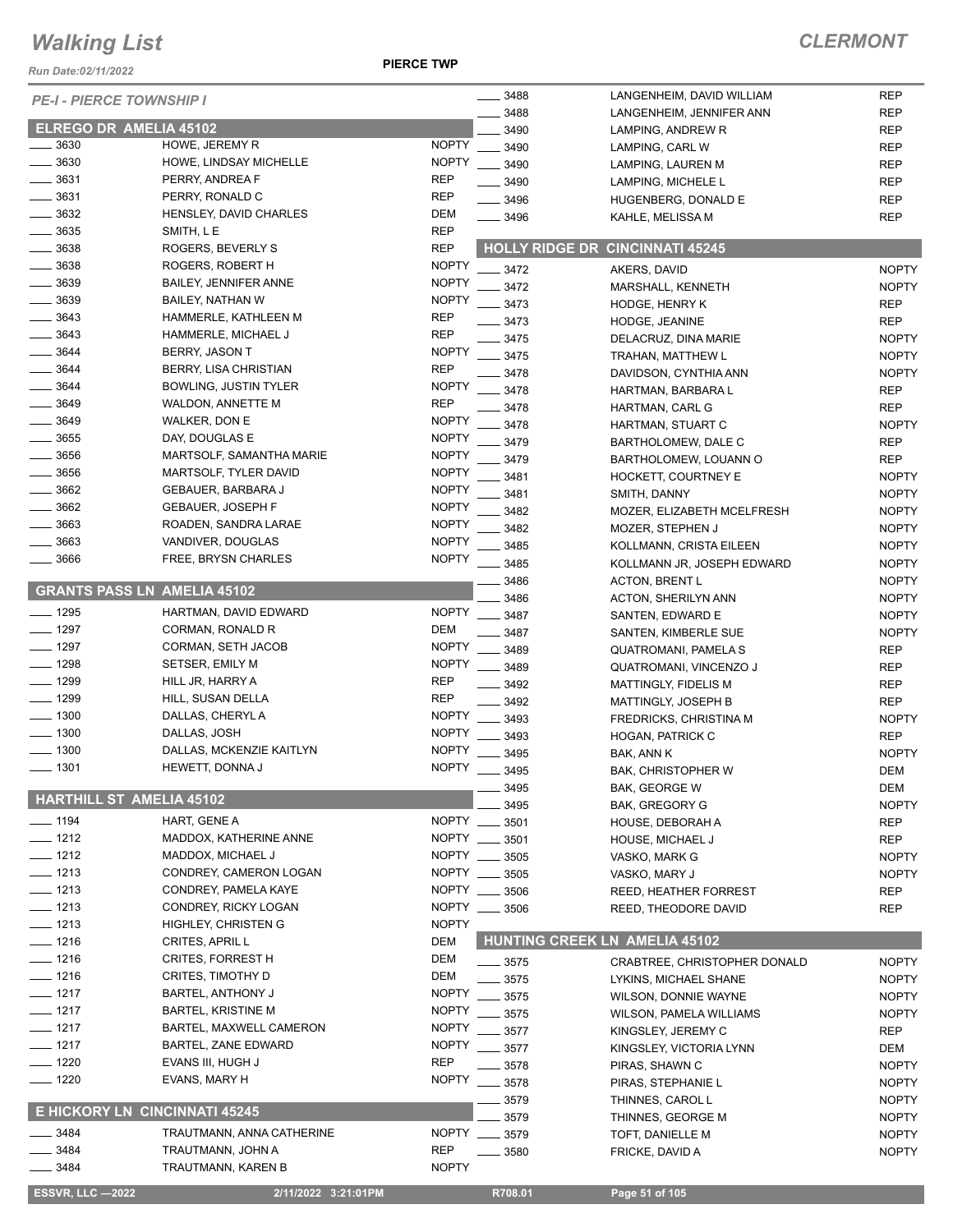*Run Date:02/11/2022*

**PIERCE TWP**

| <b>PE-I - PIERCE TOWNSHIP I</b> |                                    |              | 3488          | LANGENHEIM, DAVID WILLIAM              | <b>REP</b>   |
|---------------------------------|------------------------------------|--------------|---------------|----------------------------------------|--------------|
|                                 |                                    |              | 3488          | LANGENHEIM, JENNIFER ANN               | <b>REP</b>   |
| <b>ELREGO DR AMELIA 45102</b>   |                                    |              | 3490          | LAMPING, ANDREW R                      | <b>REP</b>   |
| 3630                            | HOWE, JEREMY R                     | <b>NOPTY</b> | 3490          | LAMPING, CARL W                        | <b>REP</b>   |
| 3630                            | HOWE, LINDSAY MICHELLE             | <b>NOPTY</b> | 3490          | LAMPING, LAUREN M                      | <b>REP</b>   |
| 3631                            | PERRY, ANDREA F                    | <b>REP</b>   | 3490          | LAMPING, MICHELE L                     | <b>REP</b>   |
| 3631                            | PERRY, RONALD C                    | <b>REP</b>   | 3496          | HUGENBERG, DONALD E                    | <b>REP</b>   |
| 3632                            | HENSLEY, DAVID CHARLES             | <b>DEM</b>   | $- 3496$      | KAHLE, MELISSA M                       | <b>REP</b>   |
| 3635                            | SMITH, LE                          | <b>REP</b>   |               |                                        |              |
| 3638                            | ROGERS, BEVERLY S                  | <b>REP</b>   |               | <b>HOLLY RIDGE DR CINCINNATI 45245</b> |              |
| 3638                            | ROGERS, ROBERT H                   | <b>NOPTY</b> |               |                                        |              |
| 3639                            | <b>BAILEY, JENNIFER ANNE</b>       | <b>NOPTY</b> | 3472          | AKERS, DAVID                           | <b>NOPTY</b> |
| 3639                            | BAILEY, NATHAN W                   | <b>NOPTY</b> | 3472          | MARSHALL, KENNETH                      | <b>NOPTY</b> |
| 3643                            | HAMMERLE, KATHLEEN M               | <b>REP</b>   | 3473          | <b>HODGE, HENRY K</b>                  | <b>REP</b>   |
|                                 |                                    |              | 3473          | HODGE, JEANINE                         | <b>REP</b>   |
| 3643                            | HAMMERLE, MICHAEL J                | <b>REP</b>   | 3475          | DELACRUZ, DINA MARIE                   | <b>NOPTY</b> |
| 3644                            | BERRY, JASON T                     | <b>NOPTY</b> | 3475          | TRAHAN, MATTHEW L                      | <b>NOPTY</b> |
| 3644                            | BERRY, LISA CHRISTIAN              | <b>REP</b>   | 3478          | DAVIDSON, CYNTHIA ANN                  | <b>NOPTY</b> |
| 3644                            | <b>BOWLING, JUSTIN TYLER</b>       | <b>NOPTY</b> | 3478          | HARTMAN, BARBARA L                     | <b>REP</b>   |
| 3649                            | <b>WALDON, ANNETTE M</b>           | <b>REP</b>   | 3478          | HARTMAN, CARL G                        | <b>REP</b>   |
| 3649                            | WALKER, DON E                      | <b>NOPTY</b> | 3478          | HARTMAN, STUART C                      | <b>NOPTY</b> |
| 3655                            | DAY, DOUGLAS E                     | <b>NOPTY</b> | 3479          | BARTHOLOMEW, DALE C                    | <b>REP</b>   |
| 3656                            | MARTSOLF, SAMANTHA MARIE           | <b>NOPTY</b> | 3479          | BARTHOLOMEW, LOUANN O                  | <b>REP</b>   |
| 3656                            | MARTSOLF, TYLER DAVID              | <b>NOPTY</b> | 3481          | HOCKETT, COURTNEY E                    | <b>NOPTY</b> |
| 3662                            | GEBAUER, BARBARA J                 | <b>NOPTY</b> |               |                                        |              |
| 3662                            | <b>GEBAUER, JOSEPH F</b>           | <b>NOPTY</b> | 3481          | SMITH, DANNY                           | <b>NOPTY</b> |
| 3663                            | ROADEN, SANDRA LARAE               | <b>NOPTY</b> | 3482          | MOZER, ELIZABETH MCELFRESH             | <b>NOPTY</b> |
| 3663                            |                                    | <b>NOPTY</b> | 3482          | MOZER, STEPHEN J                       | <b>NOPTY</b> |
|                                 | VANDIVER, DOUGLAS                  |              | 3485          | KOLLMANN, CRISTA EILEEN                | <b>NOPTY</b> |
| 3666                            | FREE, BRYSN CHARLES                | <b>NOPTY</b> | 3485          | KOLLMANN JR, JOSEPH EDWARD             | <b>NOPTY</b> |
|                                 |                                    |              | 3486          | <b>ACTON, BRENT L</b>                  | <b>NOPTY</b> |
|                                 | <b>GRANTS PASS LN AMELIA 45102</b> |              | 3486          | ACTON, SHERILYN ANN                    | <b>NOPTY</b> |
| $-1295$                         | HARTMAN, DAVID EDWARD              | <b>NOPTY</b> | 3487          | SANTEN, EDWARD E                       | <b>NOPTY</b> |
| 1297                            | CORMAN, RONALD R                   | <b>DEM</b>   | 3487          | SANTEN, KIMBERLE SUE                   | <b>NOPTY</b> |
| 1297                            | CORMAN, SETH JACOB                 | <b>NOPTY</b> | 3489          | QUATROMANI, PAMELA S                   | <b>REP</b>   |
| $-1298$                         | SETSER, EMILY M                    | <b>NOPTY</b> | 3489          | QUATROMANI, VINCENZO J                 | <b>REP</b>   |
| $-1299$                         | HILL JR, HARRY A                   | <b>REP</b>   | 3492          | MATTINGLY, FIDELIS M                   | <b>REP</b>   |
| $- 1299$                        | HILL, SUSAN DELLA                  | <b>REP</b>   | 3492          | MATTINGLY, JOSEPH B                    | <b>REP</b>   |
| $- 1300$                        | DALLAS, CHERYL A                   | <b>NOPTY</b> | 3493          | <b>FREDRICKS, CHRISTINA M</b>          | <b>NOPTY</b> |
| $\frac{1}{2}$ 1300              | DALLAS, JOSH                       | <b>NOPTY</b> |               |                                        |              |
| $-1300$                         | DALLAS, MCKENZIE KAITLYN           | <b>NOPTY</b> | 3493          | <b>HOGAN, PATRICK C</b>                | <b>REP</b>   |
|                                 |                                    |              | 3495          | BAK, ANN K                             | <b>NOPTY</b> |
| $-1301$                         | HEWETT, DONNA J                    | <b>NOPTY</b> | 3495          | <b>BAK, CHRISTOPHER W</b>              | <b>DEM</b>   |
| <b>HARTHILL ST AMELIA 45102</b> |                                    |              | 3495          | BAK, GEORGE W                          | DEM          |
|                                 |                                    |              | 3495          | BAK, GREGORY G                         | <b>NOPTY</b> |
| $- 1194$                        | HART, GENE A                       | <b>NOPTY</b> | 3501          | HOUSE, DEBORAH A                       | <b>REP</b>   |
| $- 1212$                        | MADDOX, KATHERINE ANNE             | NOPTY        | 3501          | <b>HOUSE, MICHAEL J</b>                | <b>REP</b>   |
| $- 1212$                        | MADDOX, MICHAEL J                  | NOPTY ___    | 3505          | VASKO, MARK G                          | <b>NOPTY</b> |
| $- 1213$                        | CONDREY, CAMERON LOGAN             | NOPTY        | 3505          | VASKO, MARY J                          | <b>NOPTY</b> |
| $- 1213$                        | CONDREY, PAMELA KAYE               |              | NOPTY __ 3506 | REED, HEATHER FORREST                  | <b>REP</b>   |
| $- 1213$                        | CONDREY, RICKY LOGAN               |              | NOPTY __ 3506 | REED, THEODORE DAVID                   | <b>REP</b>   |
| $- 1213$                        | <b>HIGHLEY, CHRISTEN G</b>         | <b>NOPTY</b> |               |                                        |              |
| $- 1216$                        | CRITES, APRIL L                    | DEM          |               | <b>HUNTING CREEK LN AMELIA 45102</b>   |              |
| $- 1216$                        | <b>CRITES, FORREST H</b>           | DEM          |               |                                        |              |
|                                 |                                    |              | $\equiv$ 3575 | <b>CRABTREE, CHRISTOPHER DONALD</b>    | <b>NOPTY</b> |
| $- 1216$                        | CRITES, TIMOTHY D                  | DEM          | 3575          | LYKINS, MICHAEL SHANE                  | <b>NOPTY</b> |
| $-1217$                         | BARTEL, ANTHONY J                  | <b>NOPTY</b> | 3575          | <b>WILSON, DONNIE WAYNE</b>            | <b>NOPTY</b> |
| $-1217$                         | <b>BARTEL, KRISTINE M</b>          | <b>NOPTY</b> | 3575          | WILSON, PAMELA WILLIAMS                | <b>NOPTY</b> |
| $-1217$                         | BARTEL, MAXWELL CAMERON            | <b>NOPTY</b> | 3577          | KINGSLEY, JEREMY C                     | REP          |
| $- 1217$                        | BARTEL, ZANE EDWARD                | <b>NOPTY</b> | 3577          | KINGSLEY, VICTORIA LYNN                | DEM          |
| $- 1220$                        | EVANS III, HUGH J                  | <b>REP</b>   | 3578          | PIRAS, SHAWN C                         | <b>NOPTY</b> |
| $- 1220$                        | EVANS, MARY H                      | <b>NOPTY</b> | 3578          | PIRAS, STEPHANIE L                     | <b>NOPTY</b> |
|                                 |                                    |              | 3579          | THINNES, CAROL L                       | <b>NOPTY</b> |
|                                 | E HICKORY LN CINCINNATI 45245      |              | 3579          | THINNES, GEORGE M                      | <b>NOPTY</b> |
| 3484                            | TRAUTMANN, ANNA CATHERINE          |              | NOPTY __ 3579 | TOFT, DANIELLE M                       | <b>NOPTY</b> |
| 3484                            | TRAUTMANN, JOHN A                  | <b>REP</b>   | 3580          | FRICKE, DAVID A                        | <b>NOPTY</b> |
| 3484                            | TRAUTMANN, KAREN B                 | <b>NOPTY</b> |               |                                        |              |
|                                 |                                    |              |               |                                        |              |
| <b>ESSVR, LLC -2022</b>         | 2/11/2022 3:21:01PM                |              | R708.01       | Page 51 of 105                         |              |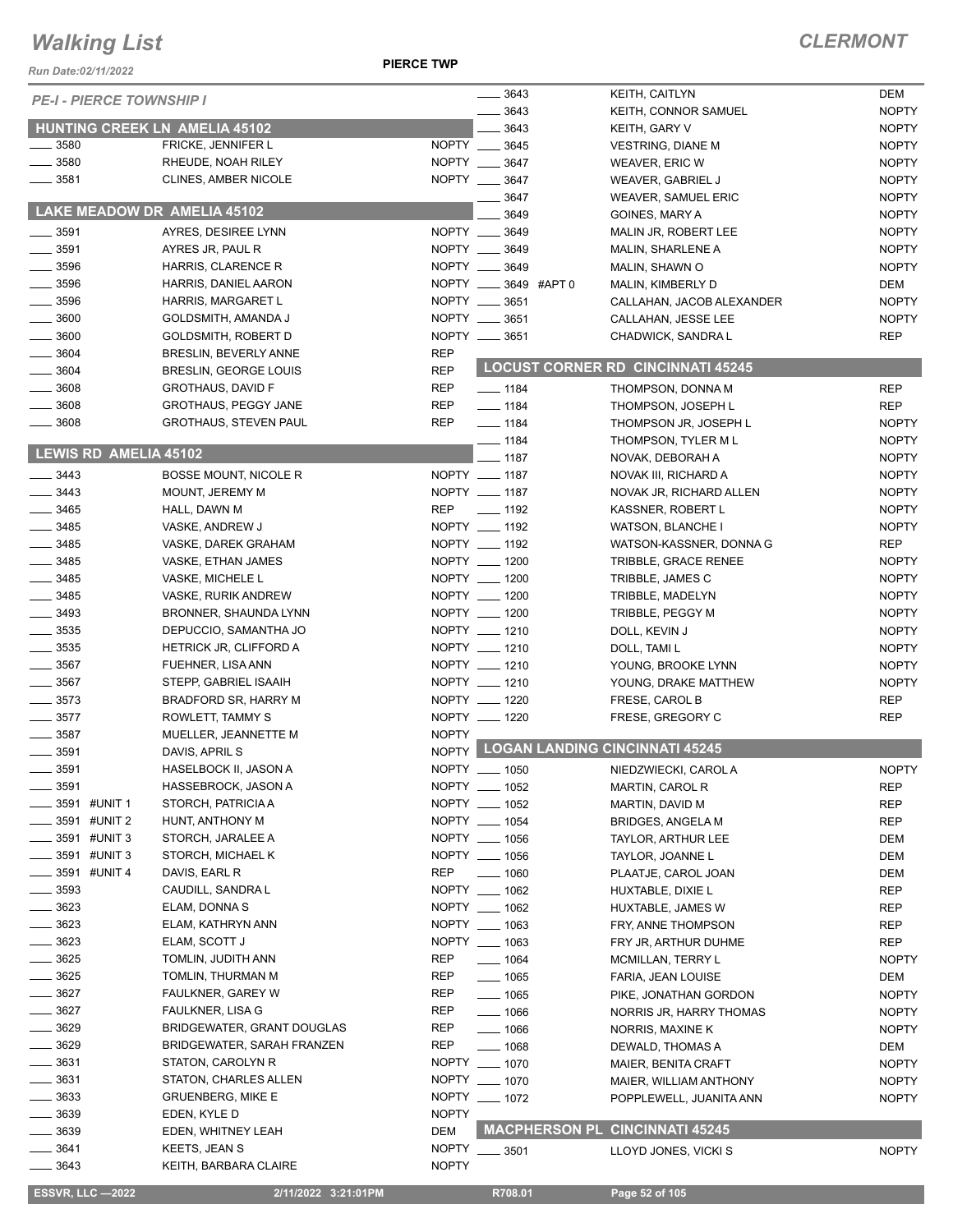#### **PIERCE TWP**

| $- 3643$<br><b>KEITH, CAITLYN</b><br>DEM<br><b>PE-I - PIERCE TOWNSHIP I</b><br><b>NOPTY</b><br>3643<br>KEITH, CONNOR SAMUEL<br><b>HUNTING CREEK LN AMELIA 45102</b><br>3643<br><b>NOPTY</b><br>KEITH, GARY V<br>3580<br>FRICKE, JENNIFER L<br>NOPTY __ 3645<br><b>NOPTY</b><br><b>VESTRING, DIANE M</b><br>3580<br>NOPTY __ 3647<br>RHEUDE, NOAH RILEY<br><b>NOPTY</b><br>WEAVER, ERIC W<br>3581<br>NOPTY __ 3647<br><b>CLINES, AMBER NICOLE</b><br><b>NOPTY</b><br>WEAVER, GABRIEL J<br>3647<br><b>NOPTY</b><br>WEAVER, SAMUEL ERIC<br>LAKE MEADOW DR AMELIA 45102<br>3649<br><b>NOPTY</b><br>GOINES, MARY A<br>NOPTY __ 3649<br>3591<br>AYRES, DESIREE LYNN<br><b>NOPTY</b><br>MALIN JR, ROBERT LEE<br><b>NOPTY</b><br>3591<br>NOPTY __ 3649<br>AYRES JR, PAUL R<br>MALIN, SHARLENE A<br>3596<br>NOPTY __ 3649<br><b>NOPTY</b><br>HARRIS, CLARENCE R<br>MALIN, SHAWN O<br>$\frac{1}{2}$ 3596<br>NOPTY __ 3649 #APT 0<br>DEM<br>HARRIS, DANIEL AARON<br>MALIN, KIMBERLY D<br>$-3596$<br>NOPTY __ 3651<br><b>NOPTY</b><br>HARRIS, MARGARET L<br>CALLAHAN, JACOB ALEXANDER<br>$\frac{1}{2}$ 3600<br>NOPTY __ 3651<br><b>NOPTY</b><br>GOLDSMITH, AMANDA J<br>CALLAHAN, JESSE LEE<br>NOPTY __ 3651<br>3600<br><b>REP</b><br><b>GOLDSMITH, ROBERT D</b><br>CHADWICK, SANDRA L<br>3604<br><b>REP</b><br>BRESLIN, BEVERLY ANNE<br><b>LOCUST CORNER RD CINCINNATI 45245</b><br>3604<br><b>REP</b><br>BRESLIN, GEORGE LOUIS<br>3608<br><b>REP</b><br><b>GROTHAUS, DAVID F</b><br>$- 1184$<br>THOMPSON, DONNA M<br><b>REP</b><br>3608<br><b>REP</b><br><b>GROTHAUS, PEGGY JANE</b><br>$- 1184$<br><b>REP</b><br>THOMPSON, JOSEPH L<br>3608<br><b>GROTHAUS, STEVEN PAUL</b><br><b>REP</b><br>$- 1184$<br><b>NOPTY</b><br>THOMPSON JR, JOSEPH L<br>$- 1184$<br>THOMPSON, TYLER M L<br><b>NOPTY</b><br>LEWIS RD AMELIA 45102<br>$- 1187$<br><b>NOPTY</b><br>NOVAK, DEBORAH A<br>$- 3443$<br>NOPTY __ 1187<br><b>NOPTY</b><br><b>BOSSE MOUNT, NICOLE R</b><br>NOVAK III, RICHARD A<br>3443<br>NOPTY __ 1187<br>MOUNT, JEREMY M<br><b>NOPTY</b><br>NOVAK JR, RICHARD ALLEN<br>$\frac{1}{2}$ 3465<br>REP<br>$\frac{1}{2}$ 1192<br><b>NOPTY</b><br>HALL, DAWN M<br>KASSNER, ROBERT L<br>3485<br>NOPTY __ 1192<br><b>NOPTY</b><br>VASKE, ANDREW J<br><b>WATSON, BLANCHE I</b><br>NOPTY __ 1192<br><b>REP</b><br>$\frac{1}{2}$ 3485<br>VASKE, DAREK GRAHAM<br>WATSON-KASSNER, DONNA G<br>NOPTY __ 1200<br>$- 3485$<br>TRIBBLE, GRACE RENEE<br><b>NOPTY</b><br>VASKE, ETHAN JAMES<br>NOPTY __ 1200<br>$-3485$<br>VASKE, MICHELE L<br><b>NOPTY</b><br>TRIBBLE, JAMES C<br>NOPTY __ 1200<br>$\frac{1}{2}$ 3485<br><b>NOPTY</b><br>VASKE, RURIK ANDREW<br>TRIBBLE, MADELYN<br>NOPTY __ 1200<br>$- 3493$<br><b>NOPTY</b><br>BRONNER, SHAUNDA LYNN<br>TRIBBLE, PEGGY M<br>3535<br>NOPTY __ 1210<br><b>NOPTY</b><br>DEPUCCIO, SAMANTHA JO<br>DOLL, KEVIN J<br>3535<br>NOPTY __ 1210<br><b>NOPTY</b><br><b>HETRICK JR, CLIFFORD A</b><br>DOLL, TAMI L<br>3567<br>NOPTY __ 1210<br>FUEHNER, LISA ANN<br><b>NOPTY</b><br>YOUNG, BROOKE LYNN<br>NOPTY __ 1210<br>3567<br><b>NOPTY</b><br>STEPP, GABRIEL ISAAIH<br>YOUNG, DRAKE MATTHEW<br>NOPTY __ 1220<br><b>REP</b><br>$-3573$<br>FRESE, CAROL B<br>BRADFORD SR, HARRY M<br>$\frac{1}{2}$ 3577<br>NOPTY __ 1220<br><b>REP</b><br>ROWLETT, TAMMY S<br>FRESE, GREGORY C<br>3587<br><b>NOPTY</b><br>MUELLER, JEANNETTE M<br>NOPTY LOGAN LANDING CINCINNATI 45245<br>3591<br>DAVIS, APRIL S<br>3591<br>HASELBOCK II, JASON A<br>NOPTY __ 1050<br><b>NOPTY</b><br>NIEDZWIECKI, CAROL A<br>3591<br>NOPTY __ 1052<br>HASSEBROCK, JASON A<br>MARTIN, CAROL R<br><b>REP</b><br>NOPTY __ 1052<br>3591 #UNIT 1<br>STORCH, PATRICIA A<br>MARTIN, DAVID M<br><b>REP</b><br>NOPTY __ 1054<br>3591 #UNIT 2<br>HUNT, ANTHONY M<br><b>REP</b><br><b>BRIDGES, ANGELA M</b><br>3591 #UNIT 3<br>NOPTY __ 1056<br>STORCH, JARALEE A<br><b>DEM</b><br><b>TAYLOR, ARTHUR LEE</b><br>3591 #UNIT 3<br>STORCH, MICHAEL K<br>NOPTY __ 1056<br>DEM<br>TAYLOR, JOANNE L<br>3591 #UNIT 4<br><b>REP</b><br>DAVIS, EARL R<br>$- 1060$<br>PLAATJE, CAROL JOAN<br>DEM<br>$-3593$<br>CAUDILL, SANDRA L<br>NOPTY __ 1062<br><b>REP</b><br>HUXTABLE, DIXIE L<br>$- 3623$<br>NOPTY __ 1062<br>ELAM, DONNA S<br>HUXTABLE, JAMES W<br>REP<br>3623<br>NOPTY __ 1063<br>ELAM, KATHRYN ANN<br>FRY, ANNE THOMPSON<br>REP<br>NOPTY __ 1063<br>_ 3623<br>ELAM, SCOTT J<br><b>REP</b><br>FRY JR, ARTHUR DUHME<br>3625<br>TOMLIN, JUDITH ANN<br>REP<br>$- 1064$<br><b>NOPTY</b><br>MCMILLAN, TERRY L<br>3625<br>TOMLIN, THURMAN M<br>REP<br>$- 1065$<br>DEM<br>FARIA, JEAN LOUISE<br>3627<br><b>REP</b><br>FAULKNER, GAREY W<br><b>NOPTY</b><br>$- 1065$<br>PIKE, JONATHAN GORDON<br>3627<br><b>REP</b><br>FAULKNER, LISA G<br>$- 1066$<br><b>NOPTY</b><br>NORRIS JR, HARRY THOMAS<br>3629<br><b>BRIDGEWATER, GRANT DOUGLAS</b><br>REP<br>$- 1066$<br><b>NOPTY</b><br>NORRIS, MAXINE K<br>3629<br>REP<br>BRIDGEWATER, SARAH FRANZEN<br>$- 1068$<br>DEM<br>DEWALD, THOMAS A<br>NOPTY __ 1070<br>3631<br>STATON, CAROLYN R<br><b>NOPTY</b><br>MAIER, BENITA CRAFT<br>3631<br>STATON, CHARLES ALLEN<br>NOPTY __ 1070<br><b>NOPTY</b><br>MAIER, WILLIAM ANTHONY<br>3633<br><b>GRUENBERG, MIKE E</b><br>NOPTY __ 1072<br><b>NOPTY</b><br>POPPLEWELL, JUANITA ANN<br>$-3639$<br><b>NOPTY</b><br>EDEN, KYLE D<br><b>CINCINNATI 45245</b><br><b>MACPHERSON PL</b><br>3639<br>DEM<br>EDEN, WHITNEY LEAH<br><b>NOPTY</b><br>3641<br>KEETS, JEAN S<br>$\frac{1}{2}$ 3501<br><b>NOPTY</b><br>LLOYD JONES, VICKI S<br>3643<br><b>NOPTY</b><br>KEITH, BARBARA CLAIRE<br><b>ESSVR, LLC-2022</b><br>R708.01<br>2/11/2022 3:21:01PM<br>Page 52 of 105 | Run Date:02/11/2022 | <b>PIERCE TWP</b> |  |  |
|-----------------------------------------------------------------------------------------------------------------------------------------------------------------------------------------------------------------------------------------------------------------------------------------------------------------------------------------------------------------------------------------------------------------------------------------------------------------------------------------------------------------------------------------------------------------------------------------------------------------------------------------------------------------------------------------------------------------------------------------------------------------------------------------------------------------------------------------------------------------------------------------------------------------------------------------------------------------------------------------------------------------------------------------------------------------------------------------------------------------------------------------------------------------------------------------------------------------------------------------------------------------------------------------------------------------------------------------------------------------------------------------------------------------------------------------------------------------------------------------------------------------------------------------------------------------------------------------------------------------------------------------------------------------------------------------------------------------------------------------------------------------------------------------------------------------------------------------------------------------------------------------------------------------------------------------------------------------------------------------------------------------------------------------------------------------------------------------------------------------------------------------------------------------------------------------------------------------------------------------------------------------------------------------------------------------------------------------------------------------------------------------------------------------------------------------------------------------------------------------------------------------------------------------------------------------------------------------------------------------------------------------------------------------------------------------------------------------------------------------------------------------------------------------------------------------------------------------------------------------------------------------------------------------------------------------------------------------------------------------------------------------------------------------------------------------------------------------------------------------------------------------------------------------------------------------------------------------------------------------------------------------------------------------------------------------------------------------------------------------------------------------------------------------------------------------------------------------------------------------------------------------------------------------------------------------------------------------------------------------------------------------------------------------------------------------------------------------------------------------------------------------------------------------------------------------------------------------------------------------------------------------------------------------------------------------------------------------------------------------------------------------------------------------------------------------------------------------------------------------------------------------------------------------------------------------------------------------------------------------------------------------------------------------------------------------------------------------------------------------------------------------------------------------------------------------------------------------------------------------------------------------------------------------------------------------------------------------------------------------------------------------------------------------------------------------------------------------------------------------------------------------------------------------------------------------------------------------------------------------------------------------------------------------------------------------------------------------------------------------------------------------------------------------------------------------------------------------------------------------------------------------------------------------------------------------------------------------------------------------------------------------------------------------------------------------------------------------------------------------------------------------------------------------------------------------------------------------------------------------------------------------------------------------------------------------------------------------------------------|---------------------|-------------------|--|--|
|                                                                                                                                                                                                                                                                                                                                                                                                                                                                                                                                                                                                                                                                                                                                                                                                                                                                                                                                                                                                                                                                                                                                                                                                                                                                                                                                                                                                                                                                                                                                                                                                                                                                                                                                                                                                                                                                                                                                                                                                                                                                                                                                                                                                                                                                                                                                                                                                                                                                                                                                                                                                                                                                                                                                                                                                                                                                                                                                                                                                                                                                                                                                                                                                                                                                                                                                                                                                                                                                                                                                                                                                                                                                                                                                                                                                                                                                                                                                                                                                                                                                                                                                                                                                                                                                                                                                                                                                                                                                                                                                                                                                                                                                                                                                                                                                                                                                                                                                                                                                                                                                                                                                                                                                                                                                                                                                                                                                                                                                                                                                                                                                           |                     |                   |  |  |
|                                                                                                                                                                                                                                                                                                                                                                                                                                                                                                                                                                                                                                                                                                                                                                                                                                                                                                                                                                                                                                                                                                                                                                                                                                                                                                                                                                                                                                                                                                                                                                                                                                                                                                                                                                                                                                                                                                                                                                                                                                                                                                                                                                                                                                                                                                                                                                                                                                                                                                                                                                                                                                                                                                                                                                                                                                                                                                                                                                                                                                                                                                                                                                                                                                                                                                                                                                                                                                                                                                                                                                                                                                                                                                                                                                                                                                                                                                                                                                                                                                                                                                                                                                                                                                                                                                                                                                                                                                                                                                                                                                                                                                                                                                                                                                                                                                                                                                                                                                                                                                                                                                                                                                                                                                                                                                                                                                                                                                                                                                                                                                                                           |                     |                   |  |  |
|                                                                                                                                                                                                                                                                                                                                                                                                                                                                                                                                                                                                                                                                                                                                                                                                                                                                                                                                                                                                                                                                                                                                                                                                                                                                                                                                                                                                                                                                                                                                                                                                                                                                                                                                                                                                                                                                                                                                                                                                                                                                                                                                                                                                                                                                                                                                                                                                                                                                                                                                                                                                                                                                                                                                                                                                                                                                                                                                                                                                                                                                                                                                                                                                                                                                                                                                                                                                                                                                                                                                                                                                                                                                                                                                                                                                                                                                                                                                                                                                                                                                                                                                                                                                                                                                                                                                                                                                                                                                                                                                                                                                                                                                                                                                                                                                                                                                                                                                                                                                                                                                                                                                                                                                                                                                                                                                                                                                                                                                                                                                                                                                           |                     |                   |  |  |
|                                                                                                                                                                                                                                                                                                                                                                                                                                                                                                                                                                                                                                                                                                                                                                                                                                                                                                                                                                                                                                                                                                                                                                                                                                                                                                                                                                                                                                                                                                                                                                                                                                                                                                                                                                                                                                                                                                                                                                                                                                                                                                                                                                                                                                                                                                                                                                                                                                                                                                                                                                                                                                                                                                                                                                                                                                                                                                                                                                                                                                                                                                                                                                                                                                                                                                                                                                                                                                                                                                                                                                                                                                                                                                                                                                                                                                                                                                                                                                                                                                                                                                                                                                                                                                                                                                                                                                                                                                                                                                                                                                                                                                                                                                                                                                                                                                                                                                                                                                                                                                                                                                                                                                                                                                                                                                                                                                                                                                                                                                                                                                                                           |                     |                   |  |  |
|                                                                                                                                                                                                                                                                                                                                                                                                                                                                                                                                                                                                                                                                                                                                                                                                                                                                                                                                                                                                                                                                                                                                                                                                                                                                                                                                                                                                                                                                                                                                                                                                                                                                                                                                                                                                                                                                                                                                                                                                                                                                                                                                                                                                                                                                                                                                                                                                                                                                                                                                                                                                                                                                                                                                                                                                                                                                                                                                                                                                                                                                                                                                                                                                                                                                                                                                                                                                                                                                                                                                                                                                                                                                                                                                                                                                                                                                                                                                                                                                                                                                                                                                                                                                                                                                                                                                                                                                                                                                                                                                                                                                                                                                                                                                                                                                                                                                                                                                                                                                                                                                                                                                                                                                                                                                                                                                                                                                                                                                                                                                                                                                           |                     |                   |  |  |
|                                                                                                                                                                                                                                                                                                                                                                                                                                                                                                                                                                                                                                                                                                                                                                                                                                                                                                                                                                                                                                                                                                                                                                                                                                                                                                                                                                                                                                                                                                                                                                                                                                                                                                                                                                                                                                                                                                                                                                                                                                                                                                                                                                                                                                                                                                                                                                                                                                                                                                                                                                                                                                                                                                                                                                                                                                                                                                                                                                                                                                                                                                                                                                                                                                                                                                                                                                                                                                                                                                                                                                                                                                                                                                                                                                                                                                                                                                                                                                                                                                                                                                                                                                                                                                                                                                                                                                                                                                                                                                                                                                                                                                                                                                                                                                                                                                                                                                                                                                                                                                                                                                                                                                                                                                                                                                                                                                                                                                                                                                                                                                                                           |                     |                   |  |  |
|                                                                                                                                                                                                                                                                                                                                                                                                                                                                                                                                                                                                                                                                                                                                                                                                                                                                                                                                                                                                                                                                                                                                                                                                                                                                                                                                                                                                                                                                                                                                                                                                                                                                                                                                                                                                                                                                                                                                                                                                                                                                                                                                                                                                                                                                                                                                                                                                                                                                                                                                                                                                                                                                                                                                                                                                                                                                                                                                                                                                                                                                                                                                                                                                                                                                                                                                                                                                                                                                                                                                                                                                                                                                                                                                                                                                                                                                                                                                                                                                                                                                                                                                                                                                                                                                                                                                                                                                                                                                                                                                                                                                                                                                                                                                                                                                                                                                                                                                                                                                                                                                                                                                                                                                                                                                                                                                                                                                                                                                                                                                                                                                           |                     |                   |  |  |
|                                                                                                                                                                                                                                                                                                                                                                                                                                                                                                                                                                                                                                                                                                                                                                                                                                                                                                                                                                                                                                                                                                                                                                                                                                                                                                                                                                                                                                                                                                                                                                                                                                                                                                                                                                                                                                                                                                                                                                                                                                                                                                                                                                                                                                                                                                                                                                                                                                                                                                                                                                                                                                                                                                                                                                                                                                                                                                                                                                                                                                                                                                                                                                                                                                                                                                                                                                                                                                                                                                                                                                                                                                                                                                                                                                                                                                                                                                                                                                                                                                                                                                                                                                                                                                                                                                                                                                                                                                                                                                                                                                                                                                                                                                                                                                                                                                                                                                                                                                                                                                                                                                                                                                                                                                                                                                                                                                                                                                                                                                                                                                                                           |                     |                   |  |  |
|                                                                                                                                                                                                                                                                                                                                                                                                                                                                                                                                                                                                                                                                                                                                                                                                                                                                                                                                                                                                                                                                                                                                                                                                                                                                                                                                                                                                                                                                                                                                                                                                                                                                                                                                                                                                                                                                                                                                                                                                                                                                                                                                                                                                                                                                                                                                                                                                                                                                                                                                                                                                                                                                                                                                                                                                                                                                                                                                                                                                                                                                                                                                                                                                                                                                                                                                                                                                                                                                                                                                                                                                                                                                                                                                                                                                                                                                                                                                                                                                                                                                                                                                                                                                                                                                                                                                                                                                                                                                                                                                                                                                                                                                                                                                                                                                                                                                                                                                                                                                                                                                                                                                                                                                                                                                                                                                                                                                                                                                                                                                                                                                           |                     |                   |  |  |
|                                                                                                                                                                                                                                                                                                                                                                                                                                                                                                                                                                                                                                                                                                                                                                                                                                                                                                                                                                                                                                                                                                                                                                                                                                                                                                                                                                                                                                                                                                                                                                                                                                                                                                                                                                                                                                                                                                                                                                                                                                                                                                                                                                                                                                                                                                                                                                                                                                                                                                                                                                                                                                                                                                                                                                                                                                                                                                                                                                                                                                                                                                                                                                                                                                                                                                                                                                                                                                                                                                                                                                                                                                                                                                                                                                                                                                                                                                                                                                                                                                                                                                                                                                                                                                                                                                                                                                                                                                                                                                                                                                                                                                                                                                                                                                                                                                                                                                                                                                                                                                                                                                                                                                                                                                                                                                                                                                                                                                                                                                                                                                                                           |                     |                   |  |  |
|                                                                                                                                                                                                                                                                                                                                                                                                                                                                                                                                                                                                                                                                                                                                                                                                                                                                                                                                                                                                                                                                                                                                                                                                                                                                                                                                                                                                                                                                                                                                                                                                                                                                                                                                                                                                                                                                                                                                                                                                                                                                                                                                                                                                                                                                                                                                                                                                                                                                                                                                                                                                                                                                                                                                                                                                                                                                                                                                                                                                                                                                                                                                                                                                                                                                                                                                                                                                                                                                                                                                                                                                                                                                                                                                                                                                                                                                                                                                                                                                                                                                                                                                                                                                                                                                                                                                                                                                                                                                                                                                                                                                                                                                                                                                                                                                                                                                                                                                                                                                                                                                                                                                                                                                                                                                                                                                                                                                                                                                                                                                                                                                           |                     |                   |  |  |
|                                                                                                                                                                                                                                                                                                                                                                                                                                                                                                                                                                                                                                                                                                                                                                                                                                                                                                                                                                                                                                                                                                                                                                                                                                                                                                                                                                                                                                                                                                                                                                                                                                                                                                                                                                                                                                                                                                                                                                                                                                                                                                                                                                                                                                                                                                                                                                                                                                                                                                                                                                                                                                                                                                                                                                                                                                                                                                                                                                                                                                                                                                                                                                                                                                                                                                                                                                                                                                                                                                                                                                                                                                                                                                                                                                                                                                                                                                                                                                                                                                                                                                                                                                                                                                                                                                                                                                                                                                                                                                                                                                                                                                                                                                                                                                                                                                                                                                                                                                                                                                                                                                                                                                                                                                                                                                                                                                                                                                                                                                                                                                                                           |                     |                   |  |  |
|                                                                                                                                                                                                                                                                                                                                                                                                                                                                                                                                                                                                                                                                                                                                                                                                                                                                                                                                                                                                                                                                                                                                                                                                                                                                                                                                                                                                                                                                                                                                                                                                                                                                                                                                                                                                                                                                                                                                                                                                                                                                                                                                                                                                                                                                                                                                                                                                                                                                                                                                                                                                                                                                                                                                                                                                                                                                                                                                                                                                                                                                                                                                                                                                                                                                                                                                                                                                                                                                                                                                                                                                                                                                                                                                                                                                                                                                                                                                                                                                                                                                                                                                                                                                                                                                                                                                                                                                                                                                                                                                                                                                                                                                                                                                                                                                                                                                                                                                                                                                                                                                                                                                                                                                                                                                                                                                                                                                                                                                                                                                                                                                           |                     |                   |  |  |
|                                                                                                                                                                                                                                                                                                                                                                                                                                                                                                                                                                                                                                                                                                                                                                                                                                                                                                                                                                                                                                                                                                                                                                                                                                                                                                                                                                                                                                                                                                                                                                                                                                                                                                                                                                                                                                                                                                                                                                                                                                                                                                                                                                                                                                                                                                                                                                                                                                                                                                                                                                                                                                                                                                                                                                                                                                                                                                                                                                                                                                                                                                                                                                                                                                                                                                                                                                                                                                                                                                                                                                                                                                                                                                                                                                                                                                                                                                                                                                                                                                                                                                                                                                                                                                                                                                                                                                                                                                                                                                                                                                                                                                                                                                                                                                                                                                                                                                                                                                                                                                                                                                                                                                                                                                                                                                                                                                                                                                                                                                                                                                                                           |                     |                   |  |  |
|                                                                                                                                                                                                                                                                                                                                                                                                                                                                                                                                                                                                                                                                                                                                                                                                                                                                                                                                                                                                                                                                                                                                                                                                                                                                                                                                                                                                                                                                                                                                                                                                                                                                                                                                                                                                                                                                                                                                                                                                                                                                                                                                                                                                                                                                                                                                                                                                                                                                                                                                                                                                                                                                                                                                                                                                                                                                                                                                                                                                                                                                                                                                                                                                                                                                                                                                                                                                                                                                                                                                                                                                                                                                                                                                                                                                                                                                                                                                                                                                                                                                                                                                                                                                                                                                                                                                                                                                                                                                                                                                                                                                                                                                                                                                                                                                                                                                                                                                                                                                                                                                                                                                                                                                                                                                                                                                                                                                                                                                                                                                                                                                           |                     |                   |  |  |
|                                                                                                                                                                                                                                                                                                                                                                                                                                                                                                                                                                                                                                                                                                                                                                                                                                                                                                                                                                                                                                                                                                                                                                                                                                                                                                                                                                                                                                                                                                                                                                                                                                                                                                                                                                                                                                                                                                                                                                                                                                                                                                                                                                                                                                                                                                                                                                                                                                                                                                                                                                                                                                                                                                                                                                                                                                                                                                                                                                                                                                                                                                                                                                                                                                                                                                                                                                                                                                                                                                                                                                                                                                                                                                                                                                                                                                                                                                                                                                                                                                                                                                                                                                                                                                                                                                                                                                                                                                                                                                                                                                                                                                                                                                                                                                                                                                                                                                                                                                                                                                                                                                                                                                                                                                                                                                                                                                                                                                                                                                                                                                                                           |                     |                   |  |  |
|                                                                                                                                                                                                                                                                                                                                                                                                                                                                                                                                                                                                                                                                                                                                                                                                                                                                                                                                                                                                                                                                                                                                                                                                                                                                                                                                                                                                                                                                                                                                                                                                                                                                                                                                                                                                                                                                                                                                                                                                                                                                                                                                                                                                                                                                                                                                                                                                                                                                                                                                                                                                                                                                                                                                                                                                                                                                                                                                                                                                                                                                                                                                                                                                                                                                                                                                                                                                                                                                                                                                                                                                                                                                                                                                                                                                                                                                                                                                                                                                                                                                                                                                                                                                                                                                                                                                                                                                                                                                                                                                                                                                                                                                                                                                                                                                                                                                                                                                                                                                                                                                                                                                                                                                                                                                                                                                                                                                                                                                                                                                                                                                           |                     |                   |  |  |
|                                                                                                                                                                                                                                                                                                                                                                                                                                                                                                                                                                                                                                                                                                                                                                                                                                                                                                                                                                                                                                                                                                                                                                                                                                                                                                                                                                                                                                                                                                                                                                                                                                                                                                                                                                                                                                                                                                                                                                                                                                                                                                                                                                                                                                                                                                                                                                                                                                                                                                                                                                                                                                                                                                                                                                                                                                                                                                                                                                                                                                                                                                                                                                                                                                                                                                                                                                                                                                                                                                                                                                                                                                                                                                                                                                                                                                                                                                                                                                                                                                                                                                                                                                                                                                                                                                                                                                                                                                                                                                                                                                                                                                                                                                                                                                                                                                                                                                                                                                                                                                                                                                                                                                                                                                                                                                                                                                                                                                                                                                                                                                                                           |                     |                   |  |  |
|                                                                                                                                                                                                                                                                                                                                                                                                                                                                                                                                                                                                                                                                                                                                                                                                                                                                                                                                                                                                                                                                                                                                                                                                                                                                                                                                                                                                                                                                                                                                                                                                                                                                                                                                                                                                                                                                                                                                                                                                                                                                                                                                                                                                                                                                                                                                                                                                                                                                                                                                                                                                                                                                                                                                                                                                                                                                                                                                                                                                                                                                                                                                                                                                                                                                                                                                                                                                                                                                                                                                                                                                                                                                                                                                                                                                                                                                                                                                                                                                                                                                                                                                                                                                                                                                                                                                                                                                                                                                                                                                                                                                                                                                                                                                                                                                                                                                                                                                                                                                                                                                                                                                                                                                                                                                                                                                                                                                                                                                                                                                                                                                           |                     |                   |  |  |
|                                                                                                                                                                                                                                                                                                                                                                                                                                                                                                                                                                                                                                                                                                                                                                                                                                                                                                                                                                                                                                                                                                                                                                                                                                                                                                                                                                                                                                                                                                                                                                                                                                                                                                                                                                                                                                                                                                                                                                                                                                                                                                                                                                                                                                                                                                                                                                                                                                                                                                                                                                                                                                                                                                                                                                                                                                                                                                                                                                                                                                                                                                                                                                                                                                                                                                                                                                                                                                                                                                                                                                                                                                                                                                                                                                                                                                                                                                                                                                                                                                                                                                                                                                                                                                                                                                                                                                                                                                                                                                                                                                                                                                                                                                                                                                                                                                                                                                                                                                                                                                                                                                                                                                                                                                                                                                                                                                                                                                                                                                                                                                                                           |                     |                   |  |  |
|                                                                                                                                                                                                                                                                                                                                                                                                                                                                                                                                                                                                                                                                                                                                                                                                                                                                                                                                                                                                                                                                                                                                                                                                                                                                                                                                                                                                                                                                                                                                                                                                                                                                                                                                                                                                                                                                                                                                                                                                                                                                                                                                                                                                                                                                                                                                                                                                                                                                                                                                                                                                                                                                                                                                                                                                                                                                                                                                                                                                                                                                                                                                                                                                                                                                                                                                                                                                                                                                                                                                                                                                                                                                                                                                                                                                                                                                                                                                                                                                                                                                                                                                                                                                                                                                                                                                                                                                                                                                                                                                                                                                                                                                                                                                                                                                                                                                                                                                                                                                                                                                                                                                                                                                                                                                                                                                                                                                                                                                                                                                                                                                           |                     |                   |  |  |
|                                                                                                                                                                                                                                                                                                                                                                                                                                                                                                                                                                                                                                                                                                                                                                                                                                                                                                                                                                                                                                                                                                                                                                                                                                                                                                                                                                                                                                                                                                                                                                                                                                                                                                                                                                                                                                                                                                                                                                                                                                                                                                                                                                                                                                                                                                                                                                                                                                                                                                                                                                                                                                                                                                                                                                                                                                                                                                                                                                                                                                                                                                                                                                                                                                                                                                                                                                                                                                                                                                                                                                                                                                                                                                                                                                                                                                                                                                                                                                                                                                                                                                                                                                                                                                                                                                                                                                                                                                                                                                                                                                                                                                                                                                                                                                                                                                                                                                                                                                                                                                                                                                                                                                                                                                                                                                                                                                                                                                                                                                                                                                                                           |                     |                   |  |  |
|                                                                                                                                                                                                                                                                                                                                                                                                                                                                                                                                                                                                                                                                                                                                                                                                                                                                                                                                                                                                                                                                                                                                                                                                                                                                                                                                                                                                                                                                                                                                                                                                                                                                                                                                                                                                                                                                                                                                                                                                                                                                                                                                                                                                                                                                                                                                                                                                                                                                                                                                                                                                                                                                                                                                                                                                                                                                                                                                                                                                                                                                                                                                                                                                                                                                                                                                                                                                                                                                                                                                                                                                                                                                                                                                                                                                                                                                                                                                                                                                                                                                                                                                                                                                                                                                                                                                                                                                                                                                                                                                                                                                                                                                                                                                                                                                                                                                                                                                                                                                                                                                                                                                                                                                                                                                                                                                                                                                                                                                                                                                                                                                           |                     |                   |  |  |
|                                                                                                                                                                                                                                                                                                                                                                                                                                                                                                                                                                                                                                                                                                                                                                                                                                                                                                                                                                                                                                                                                                                                                                                                                                                                                                                                                                                                                                                                                                                                                                                                                                                                                                                                                                                                                                                                                                                                                                                                                                                                                                                                                                                                                                                                                                                                                                                                                                                                                                                                                                                                                                                                                                                                                                                                                                                                                                                                                                                                                                                                                                                                                                                                                                                                                                                                                                                                                                                                                                                                                                                                                                                                                                                                                                                                                                                                                                                                                                                                                                                                                                                                                                                                                                                                                                                                                                                                                                                                                                                                                                                                                                                                                                                                                                                                                                                                                                                                                                                                                                                                                                                                                                                                                                                                                                                                                                                                                                                                                                                                                                                                           |                     |                   |  |  |
|                                                                                                                                                                                                                                                                                                                                                                                                                                                                                                                                                                                                                                                                                                                                                                                                                                                                                                                                                                                                                                                                                                                                                                                                                                                                                                                                                                                                                                                                                                                                                                                                                                                                                                                                                                                                                                                                                                                                                                                                                                                                                                                                                                                                                                                                                                                                                                                                                                                                                                                                                                                                                                                                                                                                                                                                                                                                                                                                                                                                                                                                                                                                                                                                                                                                                                                                                                                                                                                                                                                                                                                                                                                                                                                                                                                                                                                                                                                                                                                                                                                                                                                                                                                                                                                                                                                                                                                                                                                                                                                                                                                                                                                                                                                                                                                                                                                                                                                                                                                                                                                                                                                                                                                                                                                                                                                                                                                                                                                                                                                                                                                                           |                     |                   |  |  |
|                                                                                                                                                                                                                                                                                                                                                                                                                                                                                                                                                                                                                                                                                                                                                                                                                                                                                                                                                                                                                                                                                                                                                                                                                                                                                                                                                                                                                                                                                                                                                                                                                                                                                                                                                                                                                                                                                                                                                                                                                                                                                                                                                                                                                                                                                                                                                                                                                                                                                                                                                                                                                                                                                                                                                                                                                                                                                                                                                                                                                                                                                                                                                                                                                                                                                                                                                                                                                                                                                                                                                                                                                                                                                                                                                                                                                                                                                                                                                                                                                                                                                                                                                                                                                                                                                                                                                                                                                                                                                                                                                                                                                                                                                                                                                                                                                                                                                                                                                                                                                                                                                                                                                                                                                                                                                                                                                                                                                                                                                                                                                                                                           |                     |                   |  |  |
|                                                                                                                                                                                                                                                                                                                                                                                                                                                                                                                                                                                                                                                                                                                                                                                                                                                                                                                                                                                                                                                                                                                                                                                                                                                                                                                                                                                                                                                                                                                                                                                                                                                                                                                                                                                                                                                                                                                                                                                                                                                                                                                                                                                                                                                                                                                                                                                                                                                                                                                                                                                                                                                                                                                                                                                                                                                                                                                                                                                                                                                                                                                                                                                                                                                                                                                                                                                                                                                                                                                                                                                                                                                                                                                                                                                                                                                                                                                                                                                                                                                                                                                                                                                                                                                                                                                                                                                                                                                                                                                                                                                                                                                                                                                                                                                                                                                                                                                                                                                                                                                                                                                                                                                                                                                                                                                                                                                                                                                                                                                                                                                                           |                     |                   |  |  |
|                                                                                                                                                                                                                                                                                                                                                                                                                                                                                                                                                                                                                                                                                                                                                                                                                                                                                                                                                                                                                                                                                                                                                                                                                                                                                                                                                                                                                                                                                                                                                                                                                                                                                                                                                                                                                                                                                                                                                                                                                                                                                                                                                                                                                                                                                                                                                                                                                                                                                                                                                                                                                                                                                                                                                                                                                                                                                                                                                                                                                                                                                                                                                                                                                                                                                                                                                                                                                                                                                                                                                                                                                                                                                                                                                                                                                                                                                                                                                                                                                                                                                                                                                                                                                                                                                                                                                                                                                                                                                                                                                                                                                                                                                                                                                                                                                                                                                                                                                                                                                                                                                                                                                                                                                                                                                                                                                                                                                                                                                                                                                                                                           |                     |                   |  |  |
|                                                                                                                                                                                                                                                                                                                                                                                                                                                                                                                                                                                                                                                                                                                                                                                                                                                                                                                                                                                                                                                                                                                                                                                                                                                                                                                                                                                                                                                                                                                                                                                                                                                                                                                                                                                                                                                                                                                                                                                                                                                                                                                                                                                                                                                                                                                                                                                                                                                                                                                                                                                                                                                                                                                                                                                                                                                                                                                                                                                                                                                                                                                                                                                                                                                                                                                                                                                                                                                                                                                                                                                                                                                                                                                                                                                                                                                                                                                                                                                                                                                                                                                                                                                                                                                                                                                                                                                                                                                                                                                                                                                                                                                                                                                                                                                                                                                                                                                                                                                                                                                                                                                                                                                                                                                                                                                                                                                                                                                                                                                                                                                                           |                     |                   |  |  |
|                                                                                                                                                                                                                                                                                                                                                                                                                                                                                                                                                                                                                                                                                                                                                                                                                                                                                                                                                                                                                                                                                                                                                                                                                                                                                                                                                                                                                                                                                                                                                                                                                                                                                                                                                                                                                                                                                                                                                                                                                                                                                                                                                                                                                                                                                                                                                                                                                                                                                                                                                                                                                                                                                                                                                                                                                                                                                                                                                                                                                                                                                                                                                                                                                                                                                                                                                                                                                                                                                                                                                                                                                                                                                                                                                                                                                                                                                                                                                                                                                                                                                                                                                                                                                                                                                                                                                                                                                                                                                                                                                                                                                                                                                                                                                                                                                                                                                                                                                                                                                                                                                                                                                                                                                                                                                                                                                                                                                                                                                                                                                                                                           |                     |                   |  |  |
|                                                                                                                                                                                                                                                                                                                                                                                                                                                                                                                                                                                                                                                                                                                                                                                                                                                                                                                                                                                                                                                                                                                                                                                                                                                                                                                                                                                                                                                                                                                                                                                                                                                                                                                                                                                                                                                                                                                                                                                                                                                                                                                                                                                                                                                                                                                                                                                                                                                                                                                                                                                                                                                                                                                                                                                                                                                                                                                                                                                                                                                                                                                                                                                                                                                                                                                                                                                                                                                                                                                                                                                                                                                                                                                                                                                                                                                                                                                                                                                                                                                                                                                                                                                                                                                                                                                                                                                                                                                                                                                                                                                                                                                                                                                                                                                                                                                                                                                                                                                                                                                                                                                                                                                                                                                                                                                                                                                                                                                                                                                                                                                                           |                     |                   |  |  |
|                                                                                                                                                                                                                                                                                                                                                                                                                                                                                                                                                                                                                                                                                                                                                                                                                                                                                                                                                                                                                                                                                                                                                                                                                                                                                                                                                                                                                                                                                                                                                                                                                                                                                                                                                                                                                                                                                                                                                                                                                                                                                                                                                                                                                                                                                                                                                                                                                                                                                                                                                                                                                                                                                                                                                                                                                                                                                                                                                                                                                                                                                                                                                                                                                                                                                                                                                                                                                                                                                                                                                                                                                                                                                                                                                                                                                                                                                                                                                                                                                                                                                                                                                                                                                                                                                                                                                                                                                                                                                                                                                                                                                                                                                                                                                                                                                                                                                                                                                                                                                                                                                                                                                                                                                                                                                                                                                                                                                                                                                                                                                                                                           |                     |                   |  |  |
|                                                                                                                                                                                                                                                                                                                                                                                                                                                                                                                                                                                                                                                                                                                                                                                                                                                                                                                                                                                                                                                                                                                                                                                                                                                                                                                                                                                                                                                                                                                                                                                                                                                                                                                                                                                                                                                                                                                                                                                                                                                                                                                                                                                                                                                                                                                                                                                                                                                                                                                                                                                                                                                                                                                                                                                                                                                                                                                                                                                                                                                                                                                                                                                                                                                                                                                                                                                                                                                                                                                                                                                                                                                                                                                                                                                                                                                                                                                                                                                                                                                                                                                                                                                                                                                                                                                                                                                                                                                                                                                                                                                                                                                                                                                                                                                                                                                                                                                                                                                                                                                                                                                                                                                                                                                                                                                                                                                                                                                                                                                                                                                                           |                     |                   |  |  |
|                                                                                                                                                                                                                                                                                                                                                                                                                                                                                                                                                                                                                                                                                                                                                                                                                                                                                                                                                                                                                                                                                                                                                                                                                                                                                                                                                                                                                                                                                                                                                                                                                                                                                                                                                                                                                                                                                                                                                                                                                                                                                                                                                                                                                                                                                                                                                                                                                                                                                                                                                                                                                                                                                                                                                                                                                                                                                                                                                                                                                                                                                                                                                                                                                                                                                                                                                                                                                                                                                                                                                                                                                                                                                                                                                                                                                                                                                                                                                                                                                                                                                                                                                                                                                                                                                                                                                                                                                                                                                                                                                                                                                                                                                                                                                                                                                                                                                                                                                                                                                                                                                                                                                                                                                                                                                                                                                                                                                                                                                                                                                                                                           |                     |                   |  |  |
|                                                                                                                                                                                                                                                                                                                                                                                                                                                                                                                                                                                                                                                                                                                                                                                                                                                                                                                                                                                                                                                                                                                                                                                                                                                                                                                                                                                                                                                                                                                                                                                                                                                                                                                                                                                                                                                                                                                                                                                                                                                                                                                                                                                                                                                                                                                                                                                                                                                                                                                                                                                                                                                                                                                                                                                                                                                                                                                                                                                                                                                                                                                                                                                                                                                                                                                                                                                                                                                                                                                                                                                                                                                                                                                                                                                                                                                                                                                                                                                                                                                                                                                                                                                                                                                                                                                                                                                                                                                                                                                                                                                                                                                                                                                                                                                                                                                                                                                                                                                                                                                                                                                                                                                                                                                                                                                                                                                                                                                                                                                                                                                                           |                     |                   |  |  |
|                                                                                                                                                                                                                                                                                                                                                                                                                                                                                                                                                                                                                                                                                                                                                                                                                                                                                                                                                                                                                                                                                                                                                                                                                                                                                                                                                                                                                                                                                                                                                                                                                                                                                                                                                                                                                                                                                                                                                                                                                                                                                                                                                                                                                                                                                                                                                                                                                                                                                                                                                                                                                                                                                                                                                                                                                                                                                                                                                                                                                                                                                                                                                                                                                                                                                                                                                                                                                                                                                                                                                                                                                                                                                                                                                                                                                                                                                                                                                                                                                                                                                                                                                                                                                                                                                                                                                                                                                                                                                                                                                                                                                                                                                                                                                                                                                                                                                                                                                                                                                                                                                                                                                                                                                                                                                                                                                                                                                                                                                                                                                                                                           |                     |                   |  |  |
|                                                                                                                                                                                                                                                                                                                                                                                                                                                                                                                                                                                                                                                                                                                                                                                                                                                                                                                                                                                                                                                                                                                                                                                                                                                                                                                                                                                                                                                                                                                                                                                                                                                                                                                                                                                                                                                                                                                                                                                                                                                                                                                                                                                                                                                                                                                                                                                                                                                                                                                                                                                                                                                                                                                                                                                                                                                                                                                                                                                                                                                                                                                                                                                                                                                                                                                                                                                                                                                                                                                                                                                                                                                                                                                                                                                                                                                                                                                                                                                                                                                                                                                                                                                                                                                                                                                                                                                                                                                                                                                                                                                                                                                                                                                                                                                                                                                                                                                                                                                                                                                                                                                                                                                                                                                                                                                                                                                                                                                                                                                                                                                                           |                     |                   |  |  |
|                                                                                                                                                                                                                                                                                                                                                                                                                                                                                                                                                                                                                                                                                                                                                                                                                                                                                                                                                                                                                                                                                                                                                                                                                                                                                                                                                                                                                                                                                                                                                                                                                                                                                                                                                                                                                                                                                                                                                                                                                                                                                                                                                                                                                                                                                                                                                                                                                                                                                                                                                                                                                                                                                                                                                                                                                                                                                                                                                                                                                                                                                                                                                                                                                                                                                                                                                                                                                                                                                                                                                                                                                                                                                                                                                                                                                                                                                                                                                                                                                                                                                                                                                                                                                                                                                                                                                                                                                                                                                                                                                                                                                                                                                                                                                                                                                                                                                                                                                                                                                                                                                                                                                                                                                                                                                                                                                                                                                                                                                                                                                                                                           |                     |                   |  |  |
|                                                                                                                                                                                                                                                                                                                                                                                                                                                                                                                                                                                                                                                                                                                                                                                                                                                                                                                                                                                                                                                                                                                                                                                                                                                                                                                                                                                                                                                                                                                                                                                                                                                                                                                                                                                                                                                                                                                                                                                                                                                                                                                                                                                                                                                                                                                                                                                                                                                                                                                                                                                                                                                                                                                                                                                                                                                                                                                                                                                                                                                                                                                                                                                                                                                                                                                                                                                                                                                                                                                                                                                                                                                                                                                                                                                                                                                                                                                                                                                                                                                                                                                                                                                                                                                                                                                                                                                                                                                                                                                                                                                                                                                                                                                                                                                                                                                                                                                                                                                                                                                                                                                                                                                                                                                                                                                                                                                                                                                                                                                                                                                                           |                     |                   |  |  |
|                                                                                                                                                                                                                                                                                                                                                                                                                                                                                                                                                                                                                                                                                                                                                                                                                                                                                                                                                                                                                                                                                                                                                                                                                                                                                                                                                                                                                                                                                                                                                                                                                                                                                                                                                                                                                                                                                                                                                                                                                                                                                                                                                                                                                                                                                                                                                                                                                                                                                                                                                                                                                                                                                                                                                                                                                                                                                                                                                                                                                                                                                                                                                                                                                                                                                                                                                                                                                                                                                                                                                                                                                                                                                                                                                                                                                                                                                                                                                                                                                                                                                                                                                                                                                                                                                                                                                                                                                                                                                                                                                                                                                                                                                                                                                                                                                                                                                                                                                                                                                                                                                                                                                                                                                                                                                                                                                                                                                                                                                                                                                                                                           |                     |                   |  |  |
|                                                                                                                                                                                                                                                                                                                                                                                                                                                                                                                                                                                                                                                                                                                                                                                                                                                                                                                                                                                                                                                                                                                                                                                                                                                                                                                                                                                                                                                                                                                                                                                                                                                                                                                                                                                                                                                                                                                                                                                                                                                                                                                                                                                                                                                                                                                                                                                                                                                                                                                                                                                                                                                                                                                                                                                                                                                                                                                                                                                                                                                                                                                                                                                                                                                                                                                                                                                                                                                                                                                                                                                                                                                                                                                                                                                                                                                                                                                                                                                                                                                                                                                                                                                                                                                                                                                                                                                                                                                                                                                                                                                                                                                                                                                                                                                                                                                                                                                                                                                                                                                                                                                                                                                                                                                                                                                                                                                                                                                                                                                                                                                                           |                     |                   |  |  |
|                                                                                                                                                                                                                                                                                                                                                                                                                                                                                                                                                                                                                                                                                                                                                                                                                                                                                                                                                                                                                                                                                                                                                                                                                                                                                                                                                                                                                                                                                                                                                                                                                                                                                                                                                                                                                                                                                                                                                                                                                                                                                                                                                                                                                                                                                                                                                                                                                                                                                                                                                                                                                                                                                                                                                                                                                                                                                                                                                                                                                                                                                                                                                                                                                                                                                                                                                                                                                                                                                                                                                                                                                                                                                                                                                                                                                                                                                                                                                                                                                                                                                                                                                                                                                                                                                                                                                                                                                                                                                                                                                                                                                                                                                                                                                                                                                                                                                                                                                                                                                                                                                                                                                                                                                                                                                                                                                                                                                                                                                                                                                                                                           |                     |                   |  |  |
|                                                                                                                                                                                                                                                                                                                                                                                                                                                                                                                                                                                                                                                                                                                                                                                                                                                                                                                                                                                                                                                                                                                                                                                                                                                                                                                                                                                                                                                                                                                                                                                                                                                                                                                                                                                                                                                                                                                                                                                                                                                                                                                                                                                                                                                                                                                                                                                                                                                                                                                                                                                                                                                                                                                                                                                                                                                                                                                                                                                                                                                                                                                                                                                                                                                                                                                                                                                                                                                                                                                                                                                                                                                                                                                                                                                                                                                                                                                                                                                                                                                                                                                                                                                                                                                                                                                                                                                                                                                                                                                                                                                                                                                                                                                                                                                                                                                                                                                                                                                                                                                                                                                                                                                                                                                                                                                                                                                                                                                                                                                                                                                                           |                     |                   |  |  |
|                                                                                                                                                                                                                                                                                                                                                                                                                                                                                                                                                                                                                                                                                                                                                                                                                                                                                                                                                                                                                                                                                                                                                                                                                                                                                                                                                                                                                                                                                                                                                                                                                                                                                                                                                                                                                                                                                                                                                                                                                                                                                                                                                                                                                                                                                                                                                                                                                                                                                                                                                                                                                                                                                                                                                                                                                                                                                                                                                                                                                                                                                                                                                                                                                                                                                                                                                                                                                                                                                                                                                                                                                                                                                                                                                                                                                                                                                                                                                                                                                                                                                                                                                                                                                                                                                                                                                                                                                                                                                                                                                                                                                                                                                                                                                                                                                                                                                                                                                                                                                                                                                                                                                                                                                                                                                                                                                                                                                                                                                                                                                                                                           |                     |                   |  |  |
|                                                                                                                                                                                                                                                                                                                                                                                                                                                                                                                                                                                                                                                                                                                                                                                                                                                                                                                                                                                                                                                                                                                                                                                                                                                                                                                                                                                                                                                                                                                                                                                                                                                                                                                                                                                                                                                                                                                                                                                                                                                                                                                                                                                                                                                                                                                                                                                                                                                                                                                                                                                                                                                                                                                                                                                                                                                                                                                                                                                                                                                                                                                                                                                                                                                                                                                                                                                                                                                                                                                                                                                                                                                                                                                                                                                                                                                                                                                                                                                                                                                                                                                                                                                                                                                                                                                                                                                                                                                                                                                                                                                                                                                                                                                                                                                                                                                                                                                                                                                                                                                                                                                                                                                                                                                                                                                                                                                                                                                                                                                                                                                                           |                     |                   |  |  |
|                                                                                                                                                                                                                                                                                                                                                                                                                                                                                                                                                                                                                                                                                                                                                                                                                                                                                                                                                                                                                                                                                                                                                                                                                                                                                                                                                                                                                                                                                                                                                                                                                                                                                                                                                                                                                                                                                                                                                                                                                                                                                                                                                                                                                                                                                                                                                                                                                                                                                                                                                                                                                                                                                                                                                                                                                                                                                                                                                                                                                                                                                                                                                                                                                                                                                                                                                                                                                                                                                                                                                                                                                                                                                                                                                                                                                                                                                                                                                                                                                                                                                                                                                                                                                                                                                                                                                                                                                                                                                                                                                                                                                                                                                                                                                                                                                                                                                                                                                                                                                                                                                                                                                                                                                                                                                                                                                                                                                                                                                                                                                                                                           |                     |                   |  |  |
|                                                                                                                                                                                                                                                                                                                                                                                                                                                                                                                                                                                                                                                                                                                                                                                                                                                                                                                                                                                                                                                                                                                                                                                                                                                                                                                                                                                                                                                                                                                                                                                                                                                                                                                                                                                                                                                                                                                                                                                                                                                                                                                                                                                                                                                                                                                                                                                                                                                                                                                                                                                                                                                                                                                                                                                                                                                                                                                                                                                                                                                                                                                                                                                                                                                                                                                                                                                                                                                                                                                                                                                                                                                                                                                                                                                                                                                                                                                                                                                                                                                                                                                                                                                                                                                                                                                                                                                                                                                                                                                                                                                                                                                                                                                                                                                                                                                                                                                                                                                                                                                                                                                                                                                                                                                                                                                                                                                                                                                                                                                                                                                                           |                     |                   |  |  |
|                                                                                                                                                                                                                                                                                                                                                                                                                                                                                                                                                                                                                                                                                                                                                                                                                                                                                                                                                                                                                                                                                                                                                                                                                                                                                                                                                                                                                                                                                                                                                                                                                                                                                                                                                                                                                                                                                                                                                                                                                                                                                                                                                                                                                                                                                                                                                                                                                                                                                                                                                                                                                                                                                                                                                                                                                                                                                                                                                                                                                                                                                                                                                                                                                                                                                                                                                                                                                                                                                                                                                                                                                                                                                                                                                                                                                                                                                                                                                                                                                                                                                                                                                                                                                                                                                                                                                                                                                                                                                                                                                                                                                                                                                                                                                                                                                                                                                                                                                                                                                                                                                                                                                                                                                                                                                                                                                                                                                                                                                                                                                                                                           |                     |                   |  |  |
|                                                                                                                                                                                                                                                                                                                                                                                                                                                                                                                                                                                                                                                                                                                                                                                                                                                                                                                                                                                                                                                                                                                                                                                                                                                                                                                                                                                                                                                                                                                                                                                                                                                                                                                                                                                                                                                                                                                                                                                                                                                                                                                                                                                                                                                                                                                                                                                                                                                                                                                                                                                                                                                                                                                                                                                                                                                                                                                                                                                                                                                                                                                                                                                                                                                                                                                                                                                                                                                                                                                                                                                                                                                                                                                                                                                                                                                                                                                                                                                                                                                                                                                                                                                                                                                                                                                                                                                                                                                                                                                                                                                                                                                                                                                                                                                                                                                                                                                                                                                                                                                                                                                                                                                                                                                                                                                                                                                                                                                                                                                                                                                                           |                     |                   |  |  |
|                                                                                                                                                                                                                                                                                                                                                                                                                                                                                                                                                                                                                                                                                                                                                                                                                                                                                                                                                                                                                                                                                                                                                                                                                                                                                                                                                                                                                                                                                                                                                                                                                                                                                                                                                                                                                                                                                                                                                                                                                                                                                                                                                                                                                                                                                                                                                                                                                                                                                                                                                                                                                                                                                                                                                                                                                                                                                                                                                                                                                                                                                                                                                                                                                                                                                                                                                                                                                                                                                                                                                                                                                                                                                                                                                                                                                                                                                                                                                                                                                                                                                                                                                                                                                                                                                                                                                                                                                                                                                                                                                                                                                                                                                                                                                                                                                                                                                                                                                                                                                                                                                                                                                                                                                                                                                                                                                                                                                                                                                                                                                                                                           |                     |                   |  |  |
|                                                                                                                                                                                                                                                                                                                                                                                                                                                                                                                                                                                                                                                                                                                                                                                                                                                                                                                                                                                                                                                                                                                                                                                                                                                                                                                                                                                                                                                                                                                                                                                                                                                                                                                                                                                                                                                                                                                                                                                                                                                                                                                                                                                                                                                                                                                                                                                                                                                                                                                                                                                                                                                                                                                                                                                                                                                                                                                                                                                                                                                                                                                                                                                                                                                                                                                                                                                                                                                                                                                                                                                                                                                                                                                                                                                                                                                                                                                                                                                                                                                                                                                                                                                                                                                                                                                                                                                                                                                                                                                                                                                                                                                                                                                                                                                                                                                                                                                                                                                                                                                                                                                                                                                                                                                                                                                                                                                                                                                                                                                                                                                                           |                     |                   |  |  |
|                                                                                                                                                                                                                                                                                                                                                                                                                                                                                                                                                                                                                                                                                                                                                                                                                                                                                                                                                                                                                                                                                                                                                                                                                                                                                                                                                                                                                                                                                                                                                                                                                                                                                                                                                                                                                                                                                                                                                                                                                                                                                                                                                                                                                                                                                                                                                                                                                                                                                                                                                                                                                                                                                                                                                                                                                                                                                                                                                                                                                                                                                                                                                                                                                                                                                                                                                                                                                                                                                                                                                                                                                                                                                                                                                                                                                                                                                                                                                                                                                                                                                                                                                                                                                                                                                                                                                                                                                                                                                                                                                                                                                                                                                                                                                                                                                                                                                                                                                                                                                                                                                                                                                                                                                                                                                                                                                                                                                                                                                                                                                                                                           |                     |                   |  |  |
|                                                                                                                                                                                                                                                                                                                                                                                                                                                                                                                                                                                                                                                                                                                                                                                                                                                                                                                                                                                                                                                                                                                                                                                                                                                                                                                                                                                                                                                                                                                                                                                                                                                                                                                                                                                                                                                                                                                                                                                                                                                                                                                                                                                                                                                                                                                                                                                                                                                                                                                                                                                                                                                                                                                                                                                                                                                                                                                                                                                                                                                                                                                                                                                                                                                                                                                                                                                                                                                                                                                                                                                                                                                                                                                                                                                                                                                                                                                                                                                                                                                                                                                                                                                                                                                                                                                                                                                                                                                                                                                                                                                                                                                                                                                                                                                                                                                                                                                                                                                                                                                                                                                                                                                                                                                                                                                                                                                                                                                                                                                                                                                                           |                     |                   |  |  |
|                                                                                                                                                                                                                                                                                                                                                                                                                                                                                                                                                                                                                                                                                                                                                                                                                                                                                                                                                                                                                                                                                                                                                                                                                                                                                                                                                                                                                                                                                                                                                                                                                                                                                                                                                                                                                                                                                                                                                                                                                                                                                                                                                                                                                                                                                                                                                                                                                                                                                                                                                                                                                                                                                                                                                                                                                                                                                                                                                                                                                                                                                                                                                                                                                                                                                                                                                                                                                                                                                                                                                                                                                                                                                                                                                                                                                                                                                                                                                                                                                                                                                                                                                                                                                                                                                                                                                                                                                                                                                                                                                                                                                                                                                                                                                                                                                                                                                                                                                                                                                                                                                                                                                                                                                                                                                                                                                                                                                                                                                                                                                                                                           |                     |                   |  |  |
|                                                                                                                                                                                                                                                                                                                                                                                                                                                                                                                                                                                                                                                                                                                                                                                                                                                                                                                                                                                                                                                                                                                                                                                                                                                                                                                                                                                                                                                                                                                                                                                                                                                                                                                                                                                                                                                                                                                                                                                                                                                                                                                                                                                                                                                                                                                                                                                                                                                                                                                                                                                                                                                                                                                                                                                                                                                                                                                                                                                                                                                                                                                                                                                                                                                                                                                                                                                                                                                                                                                                                                                                                                                                                                                                                                                                                                                                                                                                                                                                                                                                                                                                                                                                                                                                                                                                                                                                                                                                                                                                                                                                                                                                                                                                                                                                                                                                                                                                                                                                                                                                                                                                                                                                                                                                                                                                                                                                                                                                                                                                                                                                           |                     |                   |  |  |
|                                                                                                                                                                                                                                                                                                                                                                                                                                                                                                                                                                                                                                                                                                                                                                                                                                                                                                                                                                                                                                                                                                                                                                                                                                                                                                                                                                                                                                                                                                                                                                                                                                                                                                                                                                                                                                                                                                                                                                                                                                                                                                                                                                                                                                                                                                                                                                                                                                                                                                                                                                                                                                                                                                                                                                                                                                                                                                                                                                                                                                                                                                                                                                                                                                                                                                                                                                                                                                                                                                                                                                                                                                                                                                                                                                                                                                                                                                                                                                                                                                                                                                                                                                                                                                                                                                                                                                                                                                                                                                                                                                                                                                                                                                                                                                                                                                                                                                                                                                                                                                                                                                                                                                                                                                                                                                                                                                                                                                                                                                                                                                                                           |                     |                   |  |  |
|                                                                                                                                                                                                                                                                                                                                                                                                                                                                                                                                                                                                                                                                                                                                                                                                                                                                                                                                                                                                                                                                                                                                                                                                                                                                                                                                                                                                                                                                                                                                                                                                                                                                                                                                                                                                                                                                                                                                                                                                                                                                                                                                                                                                                                                                                                                                                                                                                                                                                                                                                                                                                                                                                                                                                                                                                                                                                                                                                                                                                                                                                                                                                                                                                                                                                                                                                                                                                                                                                                                                                                                                                                                                                                                                                                                                                                                                                                                                                                                                                                                                                                                                                                                                                                                                                                                                                                                                                                                                                                                                                                                                                                                                                                                                                                                                                                                                                                                                                                                                                                                                                                                                                                                                                                                                                                                                                                                                                                                                                                                                                                                                           |                     |                   |  |  |
|                                                                                                                                                                                                                                                                                                                                                                                                                                                                                                                                                                                                                                                                                                                                                                                                                                                                                                                                                                                                                                                                                                                                                                                                                                                                                                                                                                                                                                                                                                                                                                                                                                                                                                                                                                                                                                                                                                                                                                                                                                                                                                                                                                                                                                                                                                                                                                                                                                                                                                                                                                                                                                                                                                                                                                                                                                                                                                                                                                                                                                                                                                                                                                                                                                                                                                                                                                                                                                                                                                                                                                                                                                                                                                                                                                                                                                                                                                                                                                                                                                                                                                                                                                                                                                                                                                                                                                                                                                                                                                                                                                                                                                                                                                                                                                                                                                                                                                                                                                                                                                                                                                                                                                                                                                                                                                                                                                                                                                                                                                                                                                                                           |                     |                   |  |  |
|                                                                                                                                                                                                                                                                                                                                                                                                                                                                                                                                                                                                                                                                                                                                                                                                                                                                                                                                                                                                                                                                                                                                                                                                                                                                                                                                                                                                                                                                                                                                                                                                                                                                                                                                                                                                                                                                                                                                                                                                                                                                                                                                                                                                                                                                                                                                                                                                                                                                                                                                                                                                                                                                                                                                                                                                                                                                                                                                                                                                                                                                                                                                                                                                                                                                                                                                                                                                                                                                                                                                                                                                                                                                                                                                                                                                                                                                                                                                                                                                                                                                                                                                                                                                                                                                                                                                                                                                                                                                                                                                                                                                                                                                                                                                                                                                                                                                                                                                                                                                                                                                                                                                                                                                                                                                                                                                                                                                                                                                                                                                                                                                           |                     |                   |  |  |
|                                                                                                                                                                                                                                                                                                                                                                                                                                                                                                                                                                                                                                                                                                                                                                                                                                                                                                                                                                                                                                                                                                                                                                                                                                                                                                                                                                                                                                                                                                                                                                                                                                                                                                                                                                                                                                                                                                                                                                                                                                                                                                                                                                                                                                                                                                                                                                                                                                                                                                                                                                                                                                                                                                                                                                                                                                                                                                                                                                                                                                                                                                                                                                                                                                                                                                                                                                                                                                                                                                                                                                                                                                                                                                                                                                                                                                                                                                                                                                                                                                                                                                                                                                                                                                                                                                                                                                                                                                                                                                                                                                                                                                                                                                                                                                                                                                                                                                                                                                                                                                                                                                                                                                                                                                                                                                                                                                                                                                                                                                                                                                                                           |                     |                   |  |  |
|                                                                                                                                                                                                                                                                                                                                                                                                                                                                                                                                                                                                                                                                                                                                                                                                                                                                                                                                                                                                                                                                                                                                                                                                                                                                                                                                                                                                                                                                                                                                                                                                                                                                                                                                                                                                                                                                                                                                                                                                                                                                                                                                                                                                                                                                                                                                                                                                                                                                                                                                                                                                                                                                                                                                                                                                                                                                                                                                                                                                                                                                                                                                                                                                                                                                                                                                                                                                                                                                                                                                                                                                                                                                                                                                                                                                                                                                                                                                                                                                                                                                                                                                                                                                                                                                                                                                                                                                                                                                                                                                                                                                                                                                                                                                                                                                                                                                                                                                                                                                                                                                                                                                                                                                                                                                                                                                                                                                                                                                                                                                                                                                           |                     |                   |  |  |
|                                                                                                                                                                                                                                                                                                                                                                                                                                                                                                                                                                                                                                                                                                                                                                                                                                                                                                                                                                                                                                                                                                                                                                                                                                                                                                                                                                                                                                                                                                                                                                                                                                                                                                                                                                                                                                                                                                                                                                                                                                                                                                                                                                                                                                                                                                                                                                                                                                                                                                                                                                                                                                                                                                                                                                                                                                                                                                                                                                                                                                                                                                                                                                                                                                                                                                                                                                                                                                                                                                                                                                                                                                                                                                                                                                                                                                                                                                                                                                                                                                                                                                                                                                                                                                                                                                                                                                                                                                                                                                                                                                                                                                                                                                                                                                                                                                                                                                                                                                                                                                                                                                                                                                                                                                                                                                                                                                                                                                                                                                                                                                                                           |                     |                   |  |  |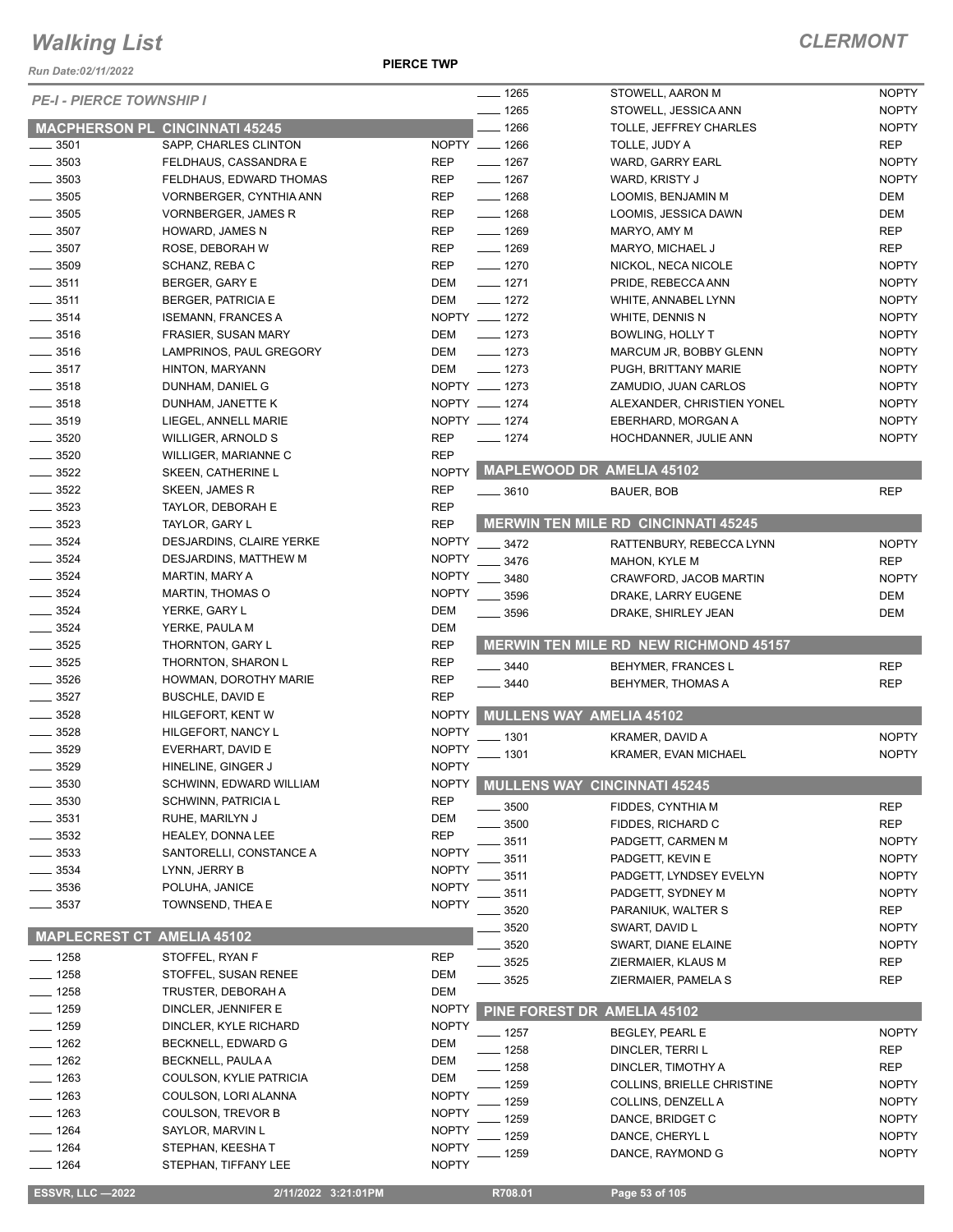*Run Date:02/11/2022*

**PIERCE TWP**

| <b>PE-I - PIERCE TOWNSHIP I</b> |                                       |              | $- 1265$           | STOWELL, AARON M                             | <b>NOPTY</b> |
|---------------------------------|---------------------------------------|--------------|--------------------|----------------------------------------------|--------------|
|                                 |                                       |              | $- 1265$           | STOWELL, JESSICA ANN                         | <b>NOPTY</b> |
|                                 | <b>MACPHERSON PL CINCINNATI 45245</b> |              | $-1266$            | TOLLE, JEFFREY CHARLES                       | <b>NOPTY</b> |
| $-3501$                         | SAPP, CHARLES CLINTON                 |              | NOPTY __ 1266      | TOLLE, JUDY A                                | REP          |
| $-3503$                         | FELDHAUS, CASSANDRA E                 | <b>REP</b>   | $- 1267$           | WARD, GARRY EARL                             | <b>NOPTY</b> |
| 3503                            | FELDHAUS, EDWARD THOMAS               | REP          | $- 1267$           | WARD, KRISTY J                               | <b>NOPTY</b> |
| $\frac{1}{2}$ 3505              | <b>VORNBERGER, CYNTHIA ANN</b>        | <b>REP</b>   | $- 1268$           | LOOMIS, BENJAMIN M                           | DEM          |
| $-3505$                         | <b>VORNBERGER, JAMES R</b>            | REP          | $- 1268$           | LOOMIS, JESSICA DAWN                         | DEM          |
| $-3507$                         | HOWARD, JAMES N                       | <b>REP</b>   | $- 1269$           | MARYO, AMY M                                 | <b>REP</b>   |
| $=$ 3507                        | ROSE, DEBORAH W                       | <b>REP</b>   | $- 1269$           | MARYO, MICHAEL J                             | <b>REP</b>   |
| $\frac{1}{2}$ 3509              | SCHANZ, REBA C                        | <b>REP</b>   | $- 1270$           | NICKOL, NECA NICOLE                          | <b>NOPTY</b> |
| $\frac{1}{2}$ 3511              | BERGER, GARY E                        | <b>DEM</b>   | $- 1271$           | PRIDE, REBECCA ANN                           | <b>NOPTY</b> |
| $\frac{1}{2}$ 3511              | <b>BERGER, PATRICIA E</b>             | <b>DEM</b>   | $- 1272$           | WHITE, ANNABEL LYNN                          | <b>NOPTY</b> |
| $\frac{1}{2}$ 3514              | <b>ISEMANN, FRANCES A</b>             |              | NOPTY __ 1272      | WHITE, DENNIS N                              | <b>NOPTY</b> |
| $=$ 3516                        | <b>FRASIER, SUSAN MARY</b>            | <b>DEM</b>   | $- 1273$           | <b>BOWLING, HOLLY T</b>                      | <b>NOPTY</b> |
| 3516                            | LAMPRINOS, PAUL GREGORY               | <b>DEM</b>   | $- 1273$           | MARCUM JR, BOBBY GLENN                       | <b>NOPTY</b> |
| $- 3517$                        | HINTON, MARYANN                       | DEM          | $- 1273$           | PUGH, BRITTANY MARIE                         | <b>NOPTY</b> |
| $-3518$                         | DUNHAM, DANIEL G                      |              | NOPTY __ 1273      | ZAMUDIO, JUAN CARLOS                         | <b>NOPTY</b> |
| $\frac{1}{2}$ 3518              | DUNHAM, JANETTE K                     |              | NOPTY __ 1274      | ALEXANDER, CHRISTIEN YONEL                   | <b>NOPTY</b> |
| $\frac{1}{2}$ 3519              | LIEGEL, ANNELL MARIE                  |              | NOPTY __ 1274      | EBERHARD, MORGAN A                           | <b>NOPTY</b> |
| $\frac{1}{2}$ 3520              |                                       | <b>REP</b>   | $- 1274$           | HOCHDANNER, JULIE ANN                        | <b>NOPTY</b> |
|                                 | WILLIGER, ARNOLD S                    |              |                    |                                              |              |
| $\frac{1}{2}$ 3520              | WILLIGER, MARIANNE C                  | <b>REP</b>   |                    | MAPLEWOOD DR AMELIA 45102                    |              |
| $-3522$                         | SKEEN, CATHERINE L                    | <b>NOPTY</b> |                    |                                              |              |
| $\frac{3522}{2}$                | <b>SKEEN, JAMES R</b>                 | <b>REP</b>   | $\frac{1}{2}$ 3610 | BAUER, BOB                                   | <b>REP</b>   |
| $\frac{1}{2}$ 3523              | TAYLOR, DEBORAH E                     | <b>REP</b>   |                    |                                              |              |
| 3523                            | TAYLOR, GARY L                        | <b>REP</b>   |                    | <b>MERWIN TEN MILE RD CINCINNATI 45245</b>   |              |
| 3524                            | DESJARDINS, CLAIRE YERKE              | <b>NOPTY</b> | $\frac{3472}{2}$   | RATTENBURY, REBECCA LYNN                     | <b>NOPTY</b> |
| 3524                            | DESJARDINS, MATTHEW M                 | <b>NOPTY</b> | $- 3476$           | <b>MAHON, KYLE M</b>                         | <b>REP</b>   |
| $-3524$                         | MARTIN, MARY A                        | <b>NOPTY</b> | 3480               | CRAWFORD, JACOB MARTIN                       | <b>NOPTY</b> |
| 3524                            | <b>MARTIN, THOMAS O</b>               | <b>NOPTY</b> | 3596               | DRAKE, LARRY EUGENE                          | DEM          |
| 3524                            | YERKE, GARY L                         | <b>DEM</b>   | $- 3596$           | DRAKE, SHIRLEY JEAN                          | DEM          |
| $- 3524$                        | YERKE, PAULA M                        | <b>DEM</b>   |                    |                                              |              |
| $\frac{1}{2}$ 3525              | THORNTON, GARY L                      | <b>REP</b>   |                    | <b>MERWIN TEN MILE RD NEW RICHMOND 45157</b> |              |
| $\frac{1}{2}$ 3525              | THORNTON, SHARON L                    | <b>REP</b>   | $-3440$            | <b>BEHYMER, FRANCES L</b>                    | <b>REP</b>   |
| $\frac{1}{2}$ 3526              | HOWMAN, DOROTHY MARIE                 | <b>REP</b>   | 3440               | <b>BEHYMER, THOMAS A</b>                     | <b>REP</b>   |
| $\frac{1}{2}$ 3527              | <b>BUSCHLE, DAVID E</b>               | <b>REP</b>   |                    |                                              |              |
| $\frac{1}{2}$ 3528              | HILGEFORT, KENT W                     | <b>NOPTY</b> |                    | <b>MULLENS WAY AMELIA 45102</b>              |              |
| $-3528$                         | HILGEFORT, NANCY L                    | <b>NOPTY</b> |                    |                                              |              |
| 3529                            | EVERHART, DAVID E                     | <b>NOPTY</b> | $-1301$            | KRAMER, DAVID A                              | <b>NOPTY</b> |
| $- 3529$                        | HINELINE, GINGER J                    | <b>NOPTY</b> | . 1301             | <b>KRAMER, EVAN MICHAEL</b>                  | <b>NOPTY</b> |
|                                 |                                       |              |                    |                                              |              |
| 3530                            | SCHWINN, EDWARD WILLIAM               | <b>NOPTY</b> |                    | MULLENS WAY CINCINNATI 45245                 |              |
| 3530                            | SCHWINN, PATRICIA L                   | <b>REP</b>   | 3500               | FIDDES, CYNTHIA M                            | <b>REP</b>   |
| 3531                            | RUHE, MARILYN J                       | <b>DEM</b>   | 3500               | FIDDES, RICHARD C                            | <b>REP</b>   |
| 3532                            | HEALEY, DONNA LEE                     | <b>REP</b>   | 3511               | PADGETT, CARMEN M                            | <b>NOPTY</b> |
| 3533                            | SANTORELLI, CONSTANCE A               | <b>NOPTY</b> | 3511               | PADGETT, KEVIN E                             | <b>NOPTY</b> |
| 3534                            | LYNN, JERRY B                         | <b>NOPTY</b> | 3511               | PADGETT, LYNDSEY EVELYN                      | <b>NOPTY</b> |
| 3536                            | POLUHA, JANICE                        | <b>NOPTY</b> | 3511               | PADGETT, SYDNEY M                            | <b>NOPTY</b> |
| 3537                            | TOWNSEND, THEA E                      | <b>NOPTY</b> | 3520               | PARANIUK, WALTER S                           | REP          |
|                                 |                                       |              | 3520               | SWART, DAVID L                               | <b>NOPTY</b> |
| <b>MAPLECREST CT</b>            | <b>AMELIA 45102</b>                   |              | 3520               | SWART, DIANE ELAINE                          | <b>NOPTY</b> |
| $-1258$                         | STOFFEL, RYAN F                       | <b>REP</b>   | 3525               | ZIERMAIER, KLAUS M                           | REP          |
| $-1258$                         | STOFFEL, SUSAN RENEE                  | DEM          |                    | ZIERMAIER, PAMELA S                          |              |
| $-1258$                         | TRUSTER, DEBORAH A                    | <b>DEM</b>   | 3525               |                                              | <b>REP</b>   |
| $-1259$                         | DINCLER, JENNIFER E                   | <b>NOPTY</b> |                    | PINE FOREST DR AMELIA 45102                  |              |
| $- 1259$                        | DINCLER, KYLE RICHARD                 | <b>NOPTY</b> |                    |                                              |              |
| $- 1262$                        | BECKNELL, EDWARD G                    | DEM          | - 1257             | BEGLEY, PEARL E                              | <b>NOPTY</b> |
| $-1262$                         |                                       | DEM          | $-1258$            | DINCLER, TERRI L                             | REP          |
|                                 | BECKNELL, PAULA A                     |              | $-1258$            | DINCLER, TIMOTHY A                           | <b>REP</b>   |
| $- 1263$                        | COULSON, KYLIE PATRICIA               | DEM          | - 1259             | <b>COLLINS, BRIELLE CHRISTINE</b>            | <b>NOPTY</b> |
| $-1263$                         | COULSON, LORI ALANNA                  | <b>NOPTY</b> | 1259               | COLLINS, DENZELL A                           | <b>NOPTY</b> |
| $- 1263$                        | <b>COULSON, TREVOR B</b>              | <b>NOPTY</b> | 1259               | DANCE, BRIDGET C                             | <b>NOPTY</b> |
| $- 1264$                        | SAYLOR, MARVIN L                      | <b>NOPTY</b> | 1259               | DANCE, CHERYL L                              | <b>NOPTY</b> |
| $- 1264$                        | STEPHAN, KEESHA T                     | <b>NOPTY</b> | 1259               | DANCE, RAYMOND G                             | <b>NOPTY</b> |
| $- 1264$                        | STEPHAN, TIFFANY LEE                  | <b>NOPTY</b> |                    |                                              |              |
|                                 |                                       |              |                    |                                              |              |
| <b>ESSVR, LLC-2022</b>          | 2/11/2022 3:21:01PM                   |              | R708.01            | Page 53 of 105                               |              |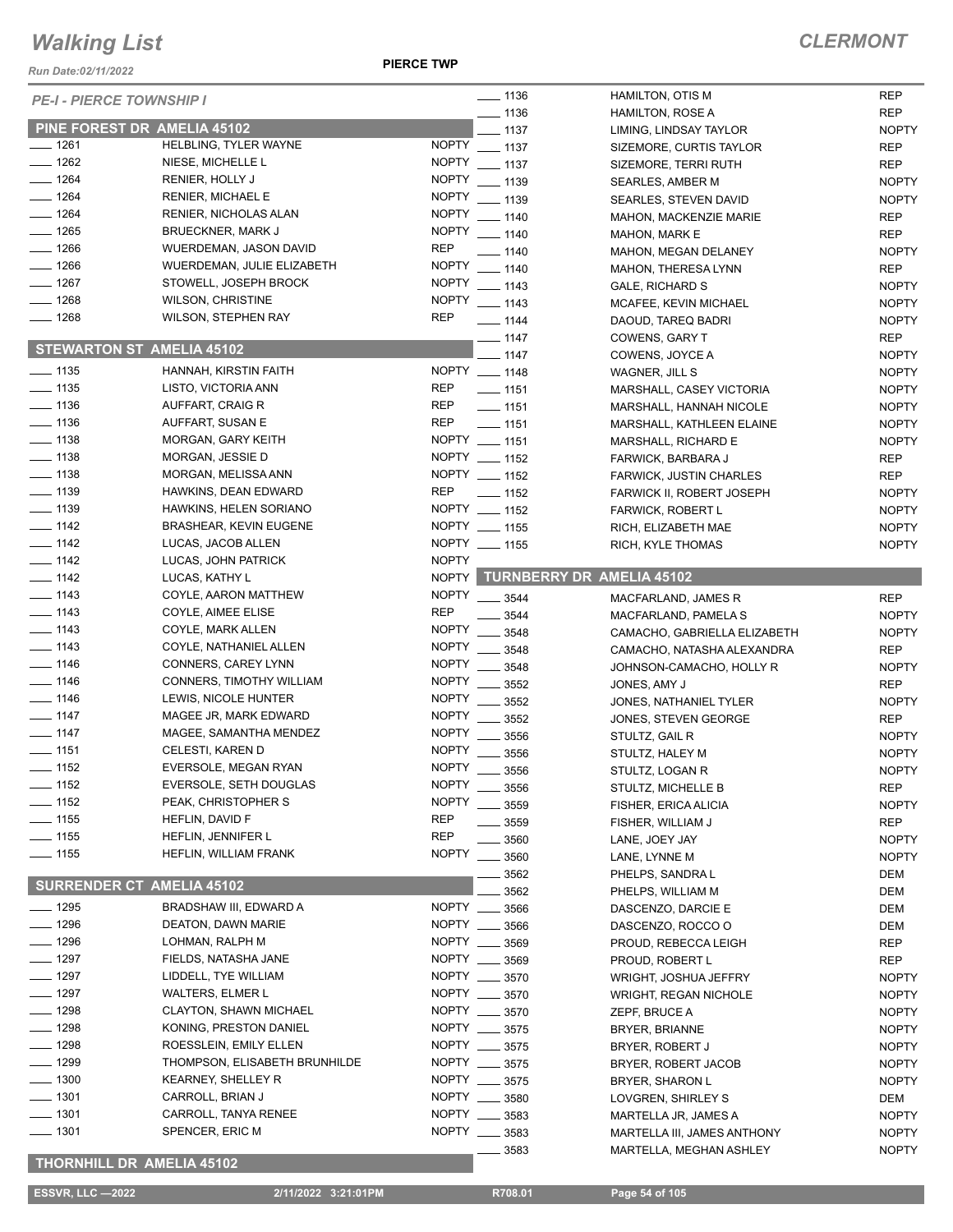*Run Date:02/11/2022*

**PIERCE TWP**

| <b>PE-I - PIERCE TOWNSHIP I</b> |                                              |              | $- 1136$           | HAMILTON, OTIS M                 | <b>REP</b>   |
|---------------------------------|----------------------------------------------|--------------|--------------------|----------------------------------|--------------|
|                                 |                                              |              | $-1136$            | <b>HAMILTON, ROSE A</b>          | <b>REP</b>   |
|                                 | PINE FOREST DR AMELIA 45102                  |              | $-1137$            | LIMING, LINDSAY TAYLOR           | <b>NOPTY</b> |
| ___ 1261                        | HELBLING, TYLER WAYNE                        | <b>NOPTY</b> | $\frac{1}{2}$ 1137 | SIZEMORE, CURTIS TAYLOR          | <b>REP</b>   |
| $-1262$                         | NIESE, MICHELLE L                            | <b>NOPTY</b> | $- 1137$           | SIZEMORE, TERRI RUTH             | <b>REP</b>   |
| $-1264$                         | RENIER, HOLLY J                              | <b>NOPTY</b> | $-1139$            | <b>SEARLES, AMBER M</b>          | <b>NOPTY</b> |
| $- 1264$                        | <b>RENIER, MICHAEL E</b>                     | <b>NOPTY</b> | $- 1139$           | SEARLES, STEVEN DAVID            | <b>NOPTY</b> |
| $- 1264$                        | RENIER, NICHOLAS ALAN                        | <b>NOPTY</b> | $- 1140$           | <b>MAHON, MACKENZIE MARIE</b>    | <b>REP</b>   |
| $- 1265$                        | <b>BRUECKNER, MARK J</b>                     |              | NOPTY __ 1140      | MAHON, MARK E                    | <b>REP</b>   |
| $- 1266$                        | <b>WUERDEMAN, JASON DAVID</b>                | <b>REP</b>   | $- 1140$           | MAHON, MEGAN DELANEY             | <b>NOPTY</b> |
| $- 1266$                        | WUERDEMAN, JULIE ELIZABETH                   | <b>NOPTY</b> | $- 1140$           | MAHON, THERESA LYNN              | <b>REP</b>   |
| $- 1267$                        | STOWELL, JOSEPH BROCK                        | <b>NOPTY</b> | $- 1143$           | <b>GALE, RICHARD S</b>           | <b>NOPTY</b> |
| $-1268$                         | <b>WILSON, CHRISTINE</b>                     | <b>NOPTY</b> | $- 1143$           | MCAFEE, KEVIN MICHAEL            | <b>NOPTY</b> |
| $- 1268$                        | <b>WILSON, STEPHEN RAY</b>                   | <b>REP</b>   | $- 1144$           | DAOUD, TAREQ BADRI               | <b>NOPTY</b> |
|                                 |                                              |              | $- 1147$           | COWENS, GARY T                   | <b>REP</b>   |
|                                 | <b>STEWARTON ST AMELIA 45102</b>             |              | $-1147$            |                                  |              |
| $- 1135$                        | HANNAH, KIRSTIN FAITH                        |              | NOPTY __ 1148      | COWENS, JOYCE A                  | <b>NOPTY</b> |
|                                 |                                              |              |                    | WAGNER, JILL S                   | <b>NOPTY</b> |
| $- 1135$                        | LISTO, VICTORIA ANN                          | REP          | $- 1151$           | MARSHALL, CASEY VICTORIA         | <b>NOPTY</b> |
| $- 1136$                        | AUFFART, CRAIG R                             | <b>REP</b>   | $- 1151$           | MARSHALL, HANNAH NICOLE          | <b>NOPTY</b> |
| $-1136$                         | AUFFART, SUSAN E                             | <b>REP</b>   | $- 1151$           | MARSHALL, KATHLEEN ELAINE        | <b>NOPTY</b> |
| $- 1138$                        | MORGAN, GARY KEITH                           |              | NOPTY __ 1151      | MARSHALL, RICHARD E              | <b>NOPTY</b> |
| $\frac{1}{2}$ 1138              | MORGAN, JESSIE D                             |              | NOPTY __ 1152      | FARWICK, BARBARA J               | <b>REP</b>   |
| $\equiv$ 1138                   | MORGAN, MELISSA ANN                          |              | NOPTY __ 1152      | FARWICK, JUSTIN CHARLES          | <b>REP</b>   |
| $- 1139$                        | HAWKINS, DEAN EDWARD                         | <b>REP</b>   | $\frac{1}{2}$ 1152 | <b>FARWICK II, ROBERT JOSEPH</b> | <b>NOPTY</b> |
| $- 1139$                        | HAWKINS, HELEN SORIANO                       |              | NOPTY __ 1152      | <b>FARWICK, ROBERT L</b>         | <b>NOPTY</b> |
| $- 1142$                        | <b>BRASHEAR, KEVIN EUGENE</b>                |              | NOPTY __ 1155      | RICH, ELIZABETH MAE              | <b>NOPTY</b> |
| $\frac{1}{2}$ 1142              | LUCAS, JACOB ALLEN                           |              | NOPTY __ 1155      | RICH, KYLE THOMAS                | <b>NOPTY</b> |
| $- 1142$                        | LUCAS, JOHN PATRICK                          | <b>NOPTY</b> |                    |                                  |              |
| $\frac{1}{2}$ 1142              | LUCAS, KATHY L                               |              |                    | NOPTY TURNBERRY DR AMELIA 45102  |              |
| $- 1143$                        | COYLE, AARON MATTHEW                         |              | NOPTY __ 3544      | MACFARLAND, JAMES R              | <b>REP</b>   |
| $- 1143$                        | COYLE, AIMEE ELISE                           | <b>REP</b>   | 3544               |                                  | <b>NOPTY</b> |
| $- 1143$                        | COYLE, MARK ALLEN                            | <b>NOPTY</b> | 3548               | MACFARLAND, PAMELA S             |              |
| $-1143$                         | COYLE, NATHANIEL ALLEN                       | <b>NOPTY</b> |                    | CAMACHO, GABRIELLA ELIZABETH     | <b>NOPTY</b> |
| $- 1146$                        | CONNERS, CAREY LYNN                          | <b>NOPTY</b> | 3548               | CAMACHO, NATASHA ALEXANDRA       | <b>REP</b>   |
| $- 1146$                        | CONNERS, TIMOTHY WILLIAM                     | <b>NOPTY</b> | 3548               | JOHNSON-CAMACHO, HOLLY R         | <b>NOPTY</b> |
|                                 |                                              |              | 3552               | JONES, AMY J                     | <b>REP</b>   |
| $- 1146$                        | LEWIS, NICOLE HUNTER                         | <b>NOPTY</b> | 3552               | JONES, NATHANIEL TYLER           | <b>NOPTY</b> |
| $- 1147$                        | MAGEE JR, MARK EDWARD                        | <b>NOPTY</b> | 3552               | JONES, STEVEN GEORGE             | <b>REP</b>   |
| $- 1147$                        | MAGEE, SAMANTHA MENDEZ                       | <b>NOPTY</b> | 3556               | STULTZ, GAIL R                   | <b>NOPTY</b> |
| $- 1151$                        | CELESTI, KAREN D                             | <b>NOPTY</b> | 3556               | STULTZ, HALEY M                  | <b>NOPTY</b> |
| $- 1152$                        | EVERSOLE, MEGAN RYAN                         | <b>NOPTY</b> | 3556               | STULTZ, LOGAN R                  | <b>NOPTY</b> |
| $-1152$                         | EVERSOLE, SETH DOUGLAS                       |              | NOPTY _____ 3556   | STULTZ, MICHELLE B               | <b>REP</b>   |
| $-1152$                         | PEAK, CHRISTOPHER S                          | <b>NOPTY</b> | 3559               | FISHER, ERICA ALICIA             | <b>NOPTY</b> |
| $- 1155$                        | HEFLIN, DAVID F                              | <b>REP</b>   | 3559               | FISHER, WILLIAM J                | <b>REP</b>   |
| $\frac{1}{155}$                 | HEFLIN, JENNIFER L                           | <b>REP</b>   | 3560               | LANE, JOEY JAY                   | <b>NOPTY</b> |
| $- 1155$                        | HEFLIN, WILLIAM FRANK                        | <b>NOPTY</b> | 3560               | LANE, LYNNE M                    | <b>NOPTY</b> |
|                                 |                                              |              | 3562               | PHELPS, SANDRA L                 | DEM          |
| <b>SURRENDER CT</b>             | <b>AMELIA 45102</b>                          |              | 3562               | PHELPS, WILLIAM M                | DEM          |
| $- 1295$                        | BRADSHAW III, EDWARD A                       | NOPTY __     | 3566               | DASCENZO, DARCIE E               | DEM          |
| $-1296$                         | DEATON, DAWN MARIE                           | NOPTY        | 3566               | DASCENZO, ROCCO O                |              |
| $- 1296$                        | LOHMAN, RALPH M                              |              | NOPTY __ 3569      | PROUD, REBECCA LEIGH             | DEM          |
| $- 1297$                        |                                              |              | NOPTY __ 3569      |                                  | REP          |
|                                 | FIELDS, NATASHA JANE<br>LIDDELL, TYE WILLIAM |              |                    | PROUD, ROBERT L                  | <b>REP</b>   |
| ___ 1297                        |                                              |              | NOPTY __ 3570      | WRIGHT, JOSHUA JEFFRY            | <b>NOPTY</b> |
| $-1297$                         | <b>WALTERS, ELMER L</b>                      |              | NOPTY __ 3570      | <b>WRIGHT, REGAN NICHOLE</b>     | <b>NOPTY</b> |
| 1298                            | CLAYTON, SHAWN MICHAEL                       | NOPTY        | 3570               | ZEPF, BRUCE A                    | <b>NOPTY</b> |
| $-1298$                         | KONING, PRESTON DANIEL                       |              | NOPTY __ 3575      | BRYER, BRIANNE                   | <b>NOPTY</b> |
| $-1298$                         | ROESSLEIN, EMILY ELLEN                       |              | NOPTY __ 3575      | BRYER, ROBERT J                  | <b>NOPTY</b> |
| $- 1299$                        | THOMPSON, ELISABETH BRUNHILDE                |              | NOPTY __ 3575      | BRYER, ROBERT JACOB              | <b>NOPTY</b> |
| $- 1300$                        | <b>KEARNEY, SHELLEY R</b>                    |              | NOPTY __ 3575      | <b>BRYER, SHARON L</b>           | <b>NOPTY</b> |
| $-1301$                         | CARROLL, BRIAN J                             |              | NOPTY __ 3580      | LOVGREN, SHIRLEY S               | DEM          |
| $-1301$                         | CARROLL, TANYA RENEE                         |              | NOPTY __ 3583      | MARTELLA JR, JAMES A             | <b>NOPTY</b> |
| $- 1301$                        | SPENCER, ERIC M                              |              | NOPTY __ 3583      | MARTELLA III, JAMES ANTHONY      | <b>NOPTY</b> |
|                                 |                                              |              | 3583               | MARTELLA, MEGHAN ASHLEY          | <b>NOPTY</b> |
|                                 | THORNHILL DR AMELIA 45102                    |              |                    |                                  |              |
| <b>ESSVR, LLC-2022</b>          |                                              |              |                    |                                  |              |
|                                 | 2/11/2022 3:21:01PM                          |              | R708.01            | Page 54 of 105                   |              |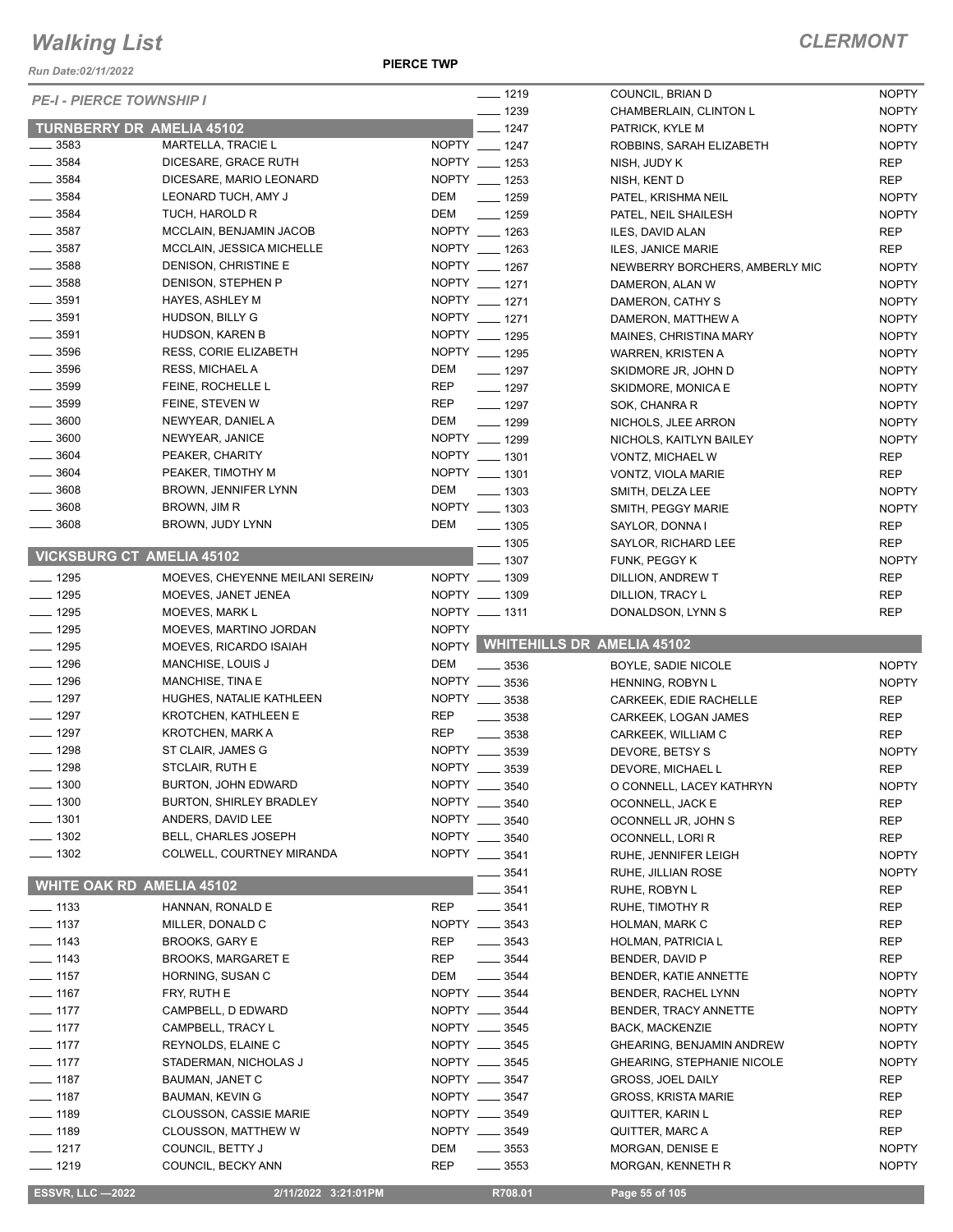*Run Date:02/11/2022*

**PIERCE TWP**

| <b>PE-I - PIERCE TOWNSHIP I</b>          |                                                          |              | $- 1219$                       | COUNCIL, BRIAN D                  | <b>NOPTY</b> |
|------------------------------------------|----------------------------------------------------------|--------------|--------------------------------|-----------------------------------|--------------|
|                                          |                                                          |              | $- 1239$                       | CHAMBERLAIN, CLINTON L            | <b>NOPTY</b> |
| <b>TURNBERRY DR AMELIA 45102</b>         |                                                          |              | $-1247$                        | PATRICK, KYLE M                   | <b>NOPTY</b> |
| $\frac{1}{2}$ 3583                       | <b>MARTELLA, TRACIE L</b>                                |              | NOPTY __ 1247                  | ROBBINS, SARAH ELIZABETH          | <b>NOPTY</b> |
| $\frac{1}{2}$ 3584                       | DICESARE, GRACE RUTH                                     |              | NOPTY __ 1253                  | NISH, JUDY K                      | <b>REP</b>   |
| $\frac{1}{2}$ 3584                       | DICESARE, MARIO LEONARD                                  |              | NOPTY __ 1253                  | NISH, KENT D                      | <b>REP</b>   |
| $\frac{1}{2}$ 3584                       | LEONARD TUCH, AMY J                                      | DEM          | $- 1259$                       | PATEL, KRISHMA NEIL               | <b>NOPTY</b> |
| $\frac{1}{2}$ 3584                       | TUCH, HAROLD R                                           | DEM          | $- 1259$                       | PATEL, NEIL SHAILESH              | <b>NOPTY</b> |
| $\frac{1}{2}$ 3587                       | MCCLAIN, BENJAMIN JACOB                                  |              | NOPTY __ 1263                  | ILES, DAVID ALAN                  | <b>REP</b>   |
| $\frac{1}{2}$ 3587                       | MCCLAIN, JESSICA MICHELLE                                |              | NOPTY __ 1263<br>NOPTY __ 1267 | ILES, JANICE MARIE                | <b>REP</b>   |
| $\frac{1}{2}$ 3588                       | DENISON, CHRISTINE E                                     |              |                                | NEWBERRY BORCHERS, AMBERLY MIC    | <b>NOPTY</b> |
| $\frac{1}{2}$ 3588                       | DENISON, STEPHEN P                                       |              | NOPTY __ 1271                  | DAMERON, ALAN W                   | <b>NOPTY</b> |
| $\frac{1}{2}$ 3591<br>$\frac{1}{2}$ 3591 | <b>HAYES, ASHLEY M</b>                                   |              | NOPTY __ 1271                  | DAMERON, CATHY S                  | <b>NOPTY</b> |
| $\frac{1}{2}$ 3591                       | HUDSON, BILLY G                                          |              | NOPTY __ 1271                  | DAMERON, MATTHEW A                | <b>NOPTY</b> |
| $\frac{1}{2}$ 3596                       | HUDSON, KAREN B<br><b>RESS, CORIE ELIZABETH</b>          |              | NOPTY __ 1295<br>NOPTY __ 1295 | MAINES, CHRISTINA MARY            | <b>NOPTY</b> |
| $\frac{1}{2}$ 3596                       |                                                          | DEM          |                                | WARREN, KRISTEN A                 | <b>NOPTY</b> |
| $\frac{1}{2}$ 3599                       | RESS, MICHAEL A                                          |              | $- 1297$                       | SKIDMORE JR, JOHN D               | <b>NOPTY</b> |
| $\frac{1}{2}$ 3599                       | FEINE, ROCHELLE L                                        | <b>REP</b>   | $- 1297$                       | SKIDMORE, MONICA E                | <b>NOPTY</b> |
|                                          | FEINE, STEVEN W                                          | <b>REP</b>   | $- 1297$                       | SOK, CHANRA R                     | <b>NOPTY</b> |
| $\frac{1}{2}$ 3600                       | NEWYEAR, DANIEL A                                        | DEM          | $- 1299$                       | NICHOLS, JLEE ARRON               | <b>NOPTY</b> |
| $\frac{1}{2}$ 3600                       | NEWYEAR, JANICE                                          |              | NOPTY __ 1299<br>NOPTY __ 1301 | NICHOLS, KAITLYN BAILEY           | <b>NOPTY</b> |
| $\frac{1}{2}$ 3604                       | PEAKER, CHARITY                                          |              | NOPTY __ 1301                  | VONTZ, MICHAEL W                  | <b>REP</b>   |
| $- 3604$<br>$\frac{1}{2}$ 3608           | PEAKER, TIMOTHY M                                        |              |                                | VONTZ, VIOLA MARIE                | <b>REP</b>   |
|                                          | BROWN, JENNIFER LYNN                                     | DEM          | $\frac{1}{2}$ 1303             | SMITH, DELZA LEE                  | <b>NOPTY</b> |
| $\frac{1}{2}$ 3608                       | BROWN, JIM R                                             |              | NOPTY __ 1303                  | SMITH, PEGGY MARIE                | <b>NOPTY</b> |
| $\frac{1}{2}$ 3608                       | BROWN, JUDY LYNN                                         | DEM          | $\frac{1}{2}$ 1305             | SAYLOR, DONNA I                   | <b>REP</b>   |
| <b>VICKSBURG CT AMELIA 45102</b>         |                                                          |              | $\frac{1}{2}$ 1305             | SAYLOR, RICHARD LEE               | <b>REP</b>   |
|                                          |                                                          |              | $- 1307$                       | FUNK, PEGGY K                     | <b>NOPTY</b> |
| $- 1295$                                 | MOEVES, CHEYENNE MEILANI SEREIN/                         |              | NOPTY __ 1309                  | DILLION, ANDREW T                 | <b>REP</b>   |
| $- 1295$                                 | MOEVES, JANET JENEA                                      |              | NOPTY __ 1309                  | DILLION, TRACY L                  | <b>REP</b>   |
| $- 1295$                                 | MOEVES, MARK L                                           |              | NOPTY __ 1311                  | DONALDSON, LYNN S                 | <b>REP</b>   |
| $- 1295$                                 | MOEVES, MARTINO JORDAN                                   | <b>NOPTY</b> |                                | NOPTY WHITEHILLS DR AMELIA 45102  |              |
| $\frac{1}{2}$ 1295                       | MOEVES, RICARDO ISAIAH                                   | <b>DEM</b>   |                                |                                   |              |
| $- 1296$                                 | MANCHISE, LOUIS J                                        |              | $\frac{1}{2}$ 3536             | BOYLE, SADIE NICOLE               | <b>NOPTY</b> |
| $- 1296$                                 | MANCHISE, TINA E                                         |              | NOPTY __ 3536                  | HENNING, ROBYN L                  | <b>NOPTY</b> |
| $- 1297$<br>$- 1297$                     | HUGHES, NATALIE KATHLEEN                                 | <b>REP</b>   | NOPTY __ 3538                  | CARKEEK, EDIE RACHELLE            | <b>REP</b>   |
| $- 1297$                                 | KROTCHEN, KATHLEEN E                                     | <b>REP</b>   | 3538                           | CARKEEK, LOGAN JAMES              | <b>REP</b>   |
| $- 1298$                                 | <b>KROTCHEN, MARK A</b>                                  | <b>NOPTY</b> | $\frac{1}{2}$ 3538             | CARKEEK, WILLIAM C                | <b>REP</b>   |
| $- 1298$                                 | ST CLAIR, JAMES G<br>STCLAIR, RUTH E                     |              | 3539<br>NOPTY __ 3539          | DEVORE, BETSY S                   | <b>NOPTY</b> |
|                                          |                                                          |              |                                | DEVORE, MICHAEL L                 | <b>REP</b>   |
| $\frac{1}{2}$ 1300<br>$\frac{1}{2}$ 1300 | <b>BURTON, JOHN EDWARD</b>                               |              | NOPTY __ 3540                  | O CONNELL, LACEY KATHRYN          | <b>NOPTY</b> |
|                                          | <b>BURTON, SHIRLEY BRADLEY</b>                           | NOPTY __     | 3540                           | OCONNELL, JACK E                  | <b>REP</b>   |
| $- 1301$                                 | ANDERS, DAVID LEE                                        | NOPTY __     | $-3540$<br>NOPTY __ 3540       | OCONNELL JR, JOHN S               | <b>REP</b>   |
| $- 1302$<br>$- 1302$                     | <b>BELL, CHARLES JOSEPH</b><br>COLWELL, COURTNEY MIRANDA |              |                                | OCONNELL, LORI R                  | <b>REP</b>   |
|                                          |                                                          |              | NOPTY __ 3541                  | RUHE, JENNIFER LEIGH              | <b>NOPTY</b> |
| <b>WHITE OAK RD AMELIA 45102</b>         |                                                          |              | 3541                           | RUHE, JILLIAN ROSE                | <b>NOPTY</b> |
|                                          |                                                          |              | 3541                           | RUHE, ROBYN L                     | REP          |
| $- 1133$                                 | HANNAN, RONALD E                                         | <b>REP</b>   | $\frac{1}{2}$ 3541             | RUHE, TIMOTHY R                   | REP          |
| $\frac{1}{2}$ 1137                       | MILLER, DONALD C                                         |              | NOPTY __ 3543                  | HOLMAN, MARK C                    | REP          |
| ___ 1143                                 | <b>BROOKS, GARY E</b>                                    | REP          | $\frac{1}{2}$ 3543             | HOLMAN, PATRICIA L                | REP          |
| $- 1143$                                 | <b>BROOKS, MARGARET E</b>                                | <b>REP</b>   | $\frac{1}{2}$ 3544             | BENDER, DAVID P                   | <b>REP</b>   |
| $\frac{1}{157}$                          | HORNING, SUSAN C                                         | DEM          | $\frac{1}{2}$ 3544             | BENDER, KATIE ANNETTE             | <b>NOPTY</b> |
| $- 1167$                                 | FRY, RUTH E                                              |              | NOPTY __ 3544                  | BENDER, RACHEL LYNN               | <b>NOPTY</b> |
| $\frac{1}{2}$ 1177                       | CAMPBELL, D EDWARD                                       |              | NOPTY __ 3544                  | BENDER, TRACY ANNETTE             | <b>NOPTY</b> |
| $- 1177$                                 | CAMPBELL, TRACY L                                        |              | NOPTY __ 3545                  | <b>BACK, MACKENZIE</b>            | <b>NOPTY</b> |
| $- 1177$                                 | REYNOLDS, ELAINE C                                       |              | NOPTY __ 3545                  | GHEARING, BENJAMIN ANDREW         | <b>NOPTY</b> |
| $- 1177$                                 | STADERMAN, NICHOLAS J                                    |              | NOPTY __ 3545                  | <b>GHEARING, STEPHANIE NICOLE</b> | <b>NOPTY</b> |
| $- 1187$                                 | BAUMAN, JANET C                                          |              | NOPTY __ 3547                  | <b>GROSS, JOEL DAILY</b>          | <b>REP</b>   |
| $\frac{1}{2}$ 1187                       | BAUMAN, KEVIN G                                          |              | NOPTY __ 3547                  | <b>GROSS, KRISTA MARIE</b>        | REP          |
| $- 1189$                                 | <b>CLOUSSON, CASSIE MARIE</b>                            |              | NOPTY __ 3549                  | QUITTER, KARIN L                  | <b>REP</b>   |
| $- 1189$                                 | <b>CLOUSSON, MATTHEW W</b>                               |              | NOPTY __ 3549                  | QUITTER, MARC A                   | <b>REP</b>   |
| $- 1217$                                 | COUNCIL, BETTY J                                         | DEM          | $\frac{1}{2}$ 3553             | MORGAN, DENISE E                  | <b>NOPTY</b> |
| $- 1219$                                 | COUNCIL, BECKY ANN                                       | <b>REP</b>   | $\frac{1}{2}$ 3553             | <b>MORGAN, KENNETH R</b>          | <b>NOPTY</b> |
| <b>ESSVR, LLC -2022</b>                  | 2/11/2022 3:21:01PM                                      |              | R708.01                        | Page 55 of 105                    |              |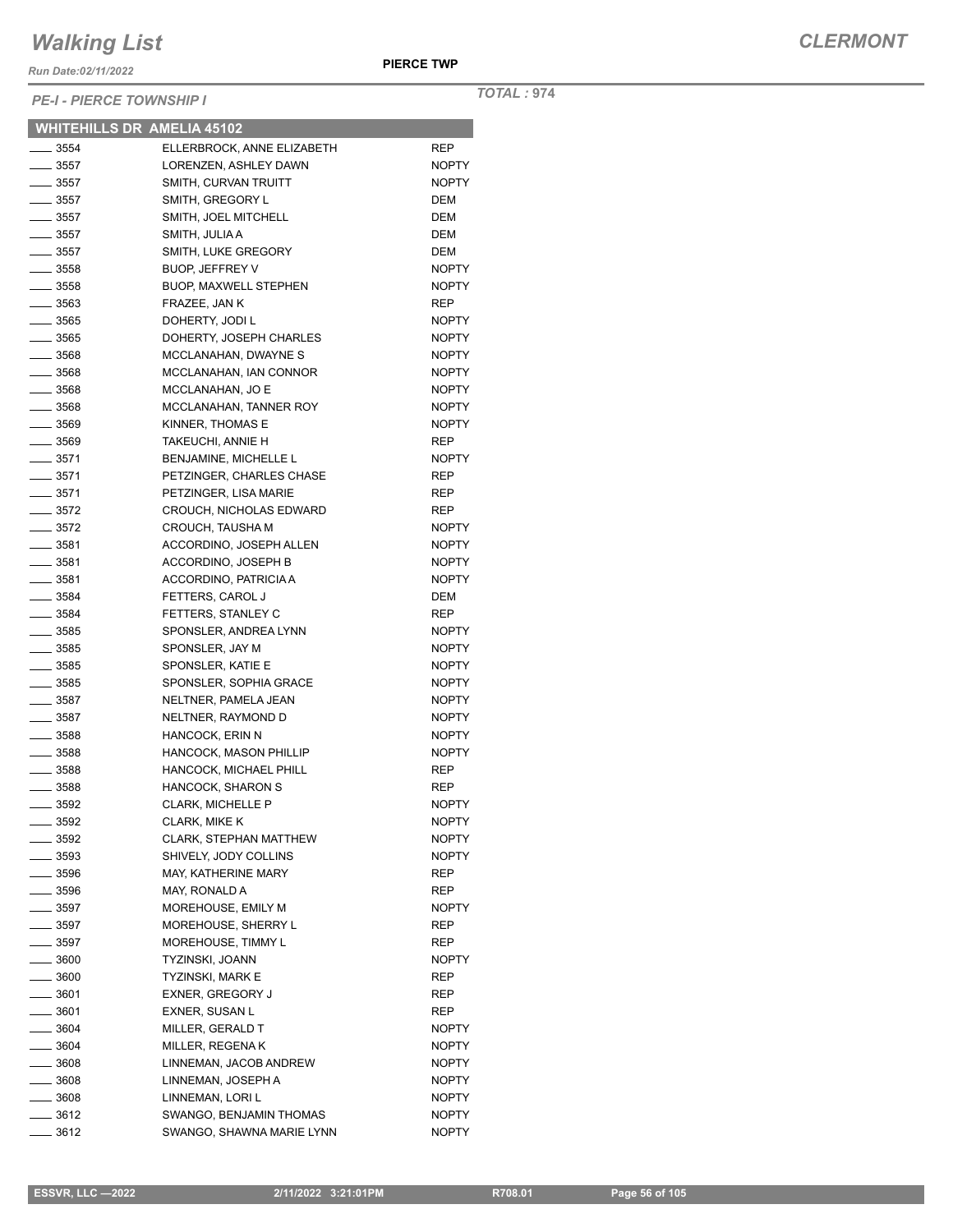*Run Date:02/11/2022*

*PE-I - PIERCE TOWNSHIP I*

*TOTAL :* **974**

|                    | <b>WHITEHILLS DR AMELIA 45102</b> |              |
|--------------------|-----------------------------------|--------------|
| $\frac{1}{2}$ 3554 | ELLERBROCK, ANNE ELIZABETH        | REP          |
| $\frac{1}{2}$ 3557 | LORENZEN, ASHLEY DAWN             | <b>NOPTY</b> |
| $\_\_\_\$ 3557     | SMITH, CURVAN TRUITT              | <b>NOPTY</b> |
| $\frac{1}{2}$ 3557 | SMITH, GREGORY L                  | <b>DEM</b>   |
| $=$ 3557           | SMITH, JOEL MITCHELL              | <b>DEM</b>   |
| $-3557$            | SMITH, JULIA A                    | DEM          |
| $-3557$            | SMITH, LUKE GREGORY               | DEM          |
| $\frac{1}{2}$ 3558 | <b>BUOP, JEFFREY V</b>            | <b>NOPTY</b> |
| $\frac{1}{2}$ 3558 | <b>BUOP, MAXWELL STEPHEN</b>      | <b>NOPTY</b> |
| ____ 3563          | FRAZEE, JAN K                     | <b>REP</b>   |
| — 3565             | DOHERTY, JODI L                   | <b>NOPTY</b> |
| $\frac{1}{2}$ 3565 | DOHERTY, JOSEPH CHARLES           | <b>NOPTY</b> |
| $-3568$            | MCCLANAHAN, DWAYNE S              | <b>NOPTY</b> |
| $-3568$            | MCCLANAHAN, IAN CONNOR            | <b>NOPTY</b> |
| $\frac{1}{2}$ 3568 | MCCLANAHAN, JO E                  | <b>NOPTY</b> |
| $\frac{1}{2}$ 3568 | MCCLANAHAN, TANNER ROY            | <b>NOPTY</b> |
| $\frac{1}{2}$ 3569 | KINNER, THOMAS E                  | <b>NOPTY</b> |
| $\frac{1}{2}$ 3569 | TAKEUCHI, ANNIE H                 | <b>REP</b>   |
| $\frac{1}{2}$ 3571 | <b>BENJAMINE, MICHELLE L</b>      | <b>NOPTY</b> |
| $-3571$            | PETZINGER, CHARLES CHASE          | <b>REP</b>   |
| $\frac{1}{2}$ 3571 | PETZINGER, LISA MARIE             | <b>REP</b>   |
| $\frac{1}{2}$ 3572 | CROUCH, NICHOLAS EDWARD           | <b>REP</b>   |
| $\frac{1}{2}$ 3572 | CROUCH, TAUSHA M                  | <b>NOPTY</b> |
| ____ 3581          | ACCORDINO, JOSEPH ALLEN           | <b>NOPTY</b> |
| __ 3581            | ACCORDINO, JOSEPH B               | <b>NOPTY</b> |
| $=$ 3581           | ACCORDINO, PATRICIA A             | <b>NOPTY</b> |
| $-3584$            |                                   |              |
|                    | FETTERS, CAROL J                  | DEM          |
| $\frac{1}{2}$ 3584 | FETTERS, STANLEY C                | <b>REP</b>   |
| $\frac{1}{2}$ 3585 | SPONSLER, ANDREA LYNN             | <b>NOPTY</b> |
| $\frac{1}{2}$ 3585 | SPONSLER, JAY M                   | <b>NOPTY</b> |
| _____ 3585         | SPONSLER, KATIE E                 | <b>NOPTY</b> |
| $\frac{1}{2}$ 3585 | SPONSLER, SOPHIA GRACE            | <b>NOPTY</b> |
| __ 3587            | NELTNER, PAMELA JEAN              | <b>NOPTY</b> |
| $- 3587$           | NELTNER, RAYMOND D                | <b>NOPTY</b> |
| $\frac{1}{2}$ 3588 | HANCOCK, ERIN N                   | <b>NOPTY</b> |
| $\frac{1}{2}$ 3588 | <b>HANCOCK, MASON PHILLIP</b>     | <b>NOPTY</b> |
| $- 3588$           | HANCOCK, MICHAEL PHILL            | REP          |
| $\equiv$ 3588      | HANCOCK, SHARON S                 | <b>REP</b>   |
| - 3592             | CLARK, MICHELLE P                 | <b>NOPTY</b> |
| $\frac{1}{2}$ 3592 | CLARK, MIKE K                     | NOPTY        |
| $\frac{1}{2}$ 3592 | <b>CLARK, STEPHAN MATTHEW</b>     | <b>NOPTY</b> |
| $\frac{1}{2}$ 3593 | SHIVELY, JODY COLLINS             | NOPTY        |
| $\frac{1}{2}$ 3596 | MAY, KATHERINE MARY               | REP          |
| $-3596$            | MAY, RONALD A                     | REP          |
| __ 3597            | MOREHOUSE, EMILY M                | <b>NOPTY</b> |
| $-3597$            | MOREHOUSE, SHERRY L               | <b>REP</b>   |
| $-3597$            | MOREHOUSE, TIMMY L                | REP          |
| $\frac{1}{2}$ 3600 | TYZINSKI, JOANN                   | NOPTY        |
| $\frac{1}{2}$ 3600 | TYZINSKI, MARK E                  | REP          |
| $\frac{1}{2}$ 3601 | <b>EXNER, GREGORY J</b>           | REP          |
| —— 3601            | EXNER, SUSAN L                    |              |
|                    |                                   | <b>REP</b>   |
| $\frac{1}{2}$ 3604 | MILLER, GERALD T                  | <b>NOPTY</b> |
| $\frac{1}{2}$ 3604 | MILLER, REGENAK                   | <b>NOPTY</b> |
| $- 3608$           | LINNEMAN, JACOB ANDREW            | <b>NOPTY</b> |
| $\frac{1}{2}$ 3608 | LINNEMAN, JOSEPH A                | NOPTY        |
| $\frac{1}{2}$ 3608 | LINNEMAN, LORI L                  | <b>NOPTY</b> |
| $\frac{1}{2}$ 3612 | SWANGO, BENJAMIN THOMAS           | <b>NOPTY</b> |
| ____ 3612          | SWANGO, SHAWNA MARIE LYNN         | <b>NOPTY</b> |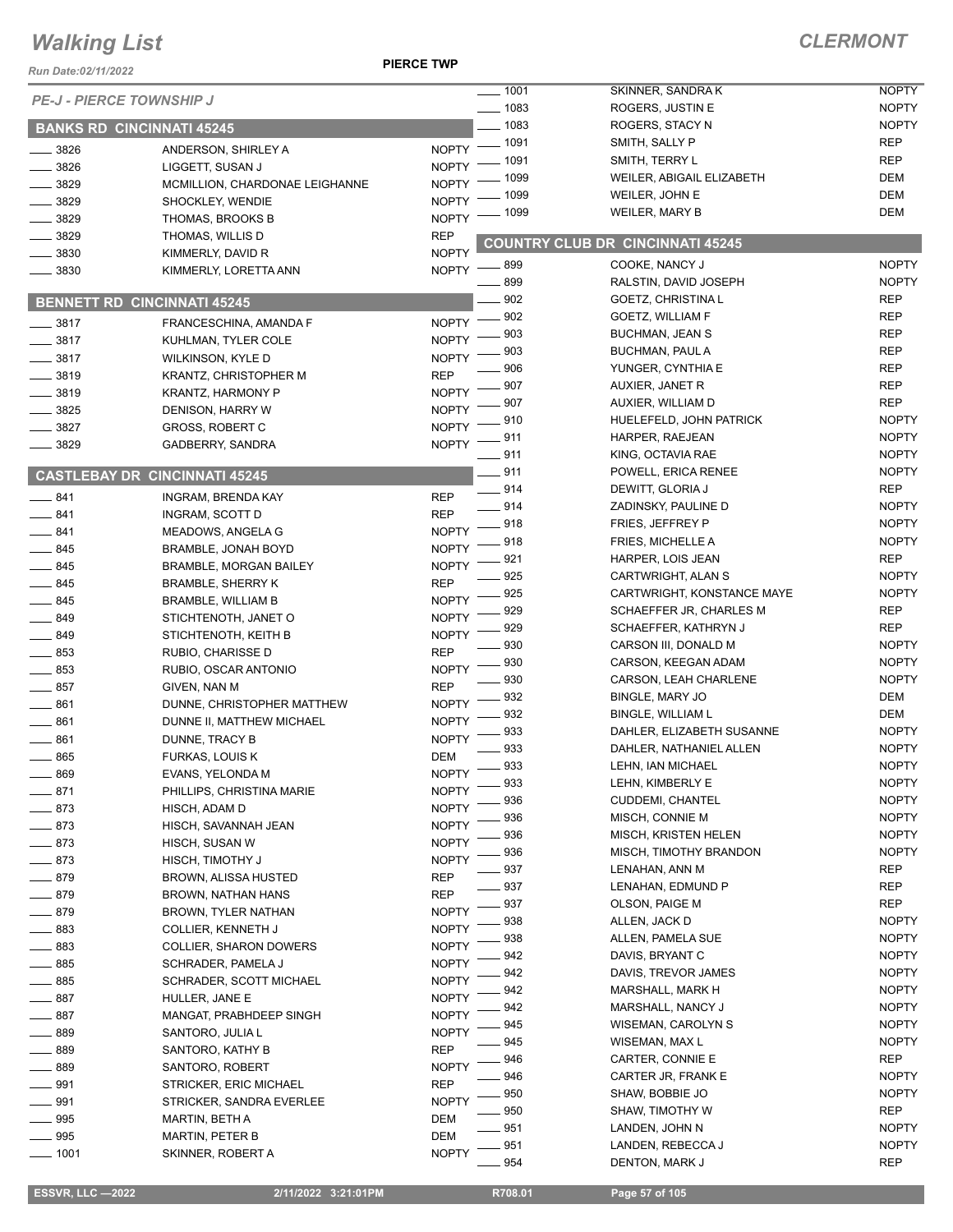#### **PIERCE TWP**

| Run Date:02/11/2022             |                                                             | <b>PIERCE TWP</b>            |              |                                                   |                              |
|---------------------------------|-------------------------------------------------------------|------------------------------|--------------|---------------------------------------------------|------------------------------|
| <b>PE-J - PIERCE TOWNSHIP J</b> |                                                             |                              | $- 1001$     | SKINNER, SANDRAK                                  | <b>NOPTY</b>                 |
|                                 |                                                             |                              | $- 1083$     | ROGERS, JUSTIN E                                  | <b>NOPTY</b>                 |
|                                 | <b>BANKS RD CINCINNATI 45245</b>                            |                              | $-1083$      | ROGERS, STACY N                                   | <b>NOPTY</b>                 |
| 3826                            | ANDERSON, SHIRLEY A                                         | <b>NOPTY</b>                 | $-1091$      | SMITH, SALLY P                                    | <b>REP</b>                   |
| 3826                            | LIGGETT, SUSAN J                                            | <b>NOPTY</b>                 | 1091         | SMITH, TERRY L                                    | <b>REP</b>                   |
| 3829                            | MCMILLION, CHARDONAE LEIGHANNE                              | <b>NOPTY</b>                 | 1099         | WEILER, ABIGAIL ELIZABETH                         | DEM                          |
| 3829                            | SHOCKLEY, WENDIE                                            | <b>NOPTY</b>                 | 1099         | WEILER, JOHN E                                    | <b>DEM</b>                   |
| 3829                            | THOMAS, BROOKS B                                            | <b>NOPTY</b>                 | 1099         | <b>WEILER, MARY B</b>                             | DEM                          |
| 3829                            | THOMAS, WILLIS D                                            | <b>REP</b>                   |              | COUNTRY CLUB DR CINCINNATI 45245                  |                              |
| 3830                            | KIMMERLY, DAVID R                                           | <b>NOPTY</b>                 |              |                                                   |                              |
| 3830                            | KIMMERLY, LORETTA ANN                                       | <b>NOPTY</b>                 | _ 899<br>899 | COOKE, NANCY J                                    | <b>NOPTY</b><br><b>NOPTY</b> |
|                                 |                                                             |                              | 902          | RALSTIN, DAVID JOSEPH<br><b>GOETZ, CHRISTINAL</b> | <b>REP</b>                   |
|                                 | <b>BENNETT RD CINCINNATI 45245</b>                          |                              | 902          | <b>GOETZ, WILLIAM F</b>                           | <b>REP</b>                   |
| 3817                            | FRANCESCHINA, AMANDA F                                      | NOPTY -                      | 903          | <b>BUCHMAN, JEAN S</b>                            | <b>REP</b>                   |
| 3817                            | KUHLMAN, TYLER COLE                                         | <b>NOPTY</b>                 | 903          | <b>BUCHMAN, PAUL A</b>                            | <b>REP</b>                   |
| $-3817$                         | WILKINSON, KYLE D                                           | <b>NOPTY</b>                 | 906          | YUNGER, CYNTHIA E                                 | <b>REP</b>                   |
| $-3819$                         | <b>KRANTZ, CHRISTOPHER M</b>                                | <b>REP</b>                   | 907          | <b>AUXIER, JANET R</b>                            | <b>REP</b>                   |
| $-3819$                         | <b>KRANTZ, HARMONY P</b>                                    | <b>NOPTY</b>                 | 907          | AUXIER, WILLIAM D                                 | <b>REP</b>                   |
| $- 3825$                        | DENISON, HARRY W                                            | <b>NOPTY</b><br><b>NOPTY</b> | 910          | HUELEFELD, JOHN PATRICK                           | <b>NOPTY</b>                 |
| 3827                            | <b>GROSS, ROBERT C</b>                                      | <b>NOPTY</b>                 | 911          | HARPER, RAEJEAN                                   | <b>NOPTY</b>                 |
| 3829                            | GADBERRY, SANDRA                                            |                              | $-911$       | KING, OCTAVIA RAE                                 | <b>NOPTY</b>                 |
|                                 | <b>CASTLEBAY DR CINCINNATI 45245</b>                        |                              | $-911$       | POWELL, ERICA RENEE                               | <b>NOPTY</b>                 |
|                                 |                                                             |                              | $-914$       | DEWITT, GLORIA J                                  | <b>REP</b>                   |
| 841<br>841                      | INGRAM, BRENDA KAY                                          | <b>REP</b><br><b>REP</b>     | 914          | ZADINSKY, PAULINE D                               | <b>NOPTY</b>                 |
| 841                             | INGRAM, SCOTT D                                             | <b>NOPTY</b>                 | 918          | FRIES, JEFFREY P                                  | <b>NOPTY</b>                 |
| 845                             | MEADOWS, ANGELA G                                           | <b>NOPTY</b>                 | 918          | <b>FRIES, MICHELLE A</b>                          | <b>NOPTY</b>                 |
| 845                             | <b>BRAMBLE, JONAH BOYD</b><br><b>BRAMBLE, MORGAN BAILEY</b> | <b>NOPTY</b>                 | 921          | HARPER, LOIS JEAN                                 | <b>REP</b>                   |
| 845                             | <b>BRAMBLE, SHERRY K</b>                                    | <b>REP</b>                   | 925          | CARTWRIGHT, ALAN S                                | <b>NOPTY</b>                 |
| $-845$                          | BRAMBLE, WILLIAM B                                          | <b>NOPTY</b>                 | 925          | CARTWRIGHT, KONSTANCE MAYE                        | <b>NOPTY</b>                 |
| $-849$                          | STICHTENOTH, JANET O                                        | <b>NOPTY</b>                 | 929          | SCHAEFFER JR, CHARLES M                           | <b>REP</b>                   |
| $\frac{1}{2}$ 849               | STICHTENOTH, KEITH B                                        | <b>NOPTY</b>                 | 929          | SCHAEFFER, KATHRYN J                              | <b>REP</b>                   |
| 853                             | RUBIO, CHARISSE D                                           | <b>REP</b>                   | 930          | CARSON III, DONALD M                              | <b>NOPTY</b>                 |
| $\equiv$ 853                    | RUBIO, OSCAR ANTONIO                                        | <b>NOPTY</b>                 | 930          | CARSON, KEEGAN ADAM                               | <b>NOPTY</b>                 |
| 857                             | GIVEN, NAN M                                                | <b>REP</b>                   | 930          | CARSON, LEAH CHARLENE                             | <b>NOPTY</b>                 |
| 861                             | DUNNE, CHRISTOPHER MATTHEW                                  | <b>NOPTY</b>                 | 932          | BINGLE, MARY JO                                   | DEM                          |
| 861                             | DUNNE II, MATTHEW MICHAEL                                   | <b>NOPTY</b>                 | 932          | <b>BINGLE, WILLIAM L</b>                          | DEM                          |
| 861                             | DUNNE, TRACY B                                              | <b>NOPTY</b>                 | 933          | DAHLER, ELIZABETH SUSANNE                         | <b>NOPTY</b>                 |
| 865                             | FURKAS, LOUIS K                                             | <b>DEM</b>                   | 933          | DAHLER, NATHANIEL ALLEN                           | <b>NOPTY</b>                 |
| 869                             | EVANS, YELONDA M                                            | <b>NOPTY</b>                 | 933          | LEHN, IAN MICHAEL                                 | <b>NOPTY</b>                 |
| 871                             | PHILLIPS, CHRISTINA MARIE                                   | <b>NOPTY</b>                 | 933          | LEHN, KIMBERLY E                                  | <b>NOPTY</b>                 |
| 873                             | HISCH, ADAM D                                               | <b>NOPTY</b>                 | 936          | CUDDEMI, CHANTEL                                  | <b>NOPTY</b>                 |
| 873                             | HISCH, SAVANNAH JEAN                                        | <b>NOPTY</b>                 | 936<br>936   | MISCH, CONNIE M<br>MISCH, KRISTEN HELEN           | <b>NOPTY</b><br><b>NOPTY</b> |
| 873                             | HISCH, SUSAN W                                              | <b>NOPTY</b>                 | 936          | MISCH, TIMOTHY BRANDON                            | <b>NOPTY</b>                 |
| 873                             | HISCH, TIMOTHY J                                            | <b>NOPTY</b>                 | 937          | LENAHAN, ANN M                                    | <b>REP</b>                   |
| 879                             | <b>BROWN, ALISSA HUSTED</b>                                 | <b>REP</b>                   | 937          | LENAHAN, EDMUND P                                 | <b>REP</b>                   |
| 879                             | BROWN, NATHAN HANS                                          | <b>REP</b>                   | 937          | OLSON, PAIGE M                                    | <b>REP</b>                   |
| 879                             | BROWN, TYLER NATHAN                                         | <b>NOPTY</b>                 | 938          | ALLEN, JACK D                                     | <b>NOPTY</b>                 |
| 883                             | COLLIER, KENNETH J                                          | <b>NOPTY</b>                 | 938          | ALLEN, PAMELA SUE                                 | <b>NOPTY</b>                 |
| 883                             | COLLIER, SHARON DOWERS                                      | <b>NOPTY</b>                 | 942          | DAVIS, BRYANT C                                   | <b>NOPTY</b>                 |
| 885                             | SCHRADER, PAMELA J                                          | <b>NOPTY</b>                 | 942          | DAVIS, TREVOR JAMES                               | <b>NOPTY</b>                 |
| 885                             | <b>SCHRADER, SCOTT MICHAEL</b>                              | <b>NOPTY</b>                 | 942          | <b>MARSHALL, MARK H</b>                           | <b>NOPTY</b>                 |
| 887                             | HULLER, JANE E                                              | <b>NOPTY</b>                 | 942          | MARSHALL, NANCY J                                 | <b>NOPTY</b>                 |
| 887                             | MANGAT, PRABHDEEP SINGH                                     | <b>NOPTY</b>                 | 945          | <b>WISEMAN, CAROLYN S</b>                         | <b>NOPTY</b>                 |
| 889                             | SANTORO, JULIA L                                            | <b>NOPTY</b>                 | 945          | WISEMAN, MAX L                                    | <b>NOPTY</b>                 |
| 889                             | SANTORO, KATHY B                                            | <b>REP</b>                   | 946          | CARTER, CONNIE E                                  | <b>REP</b>                   |
| 889                             | SANTORO, ROBERT                                             | <b>NOPTY</b>                 | 946          | CARTER JR, FRANK E                                | <b>NOPTY</b>                 |
| 991                             | STRICKER, ERIC MICHAEL                                      | <b>REP</b>                   | 950          | SHAW, BOBBIE JO                                   | <b>NOPTY</b>                 |
| 991<br>995                      | STRICKER, SANDRA EVERLEE                                    | <b>NOPTY</b><br><b>DEM</b>   | 950          | SHAW, TIMOTHY W                                   | <b>REP</b>                   |
| 995                             | MARTIN, BETH A                                              | DEM                          | 951          | LANDEN, JOHN N                                    | <b>NOPTY</b>                 |
| $- 1001$                        | MARTIN, PETER B<br>SKINNER, ROBERT A                        | <b>NOPTY</b>                 | 951          | LANDEN, REBECCA J                                 | <b>NOPTY</b>                 |
|                                 |                                                             |                              | 954          | DENTON, MARK J                                    | <b>REP</b>                   |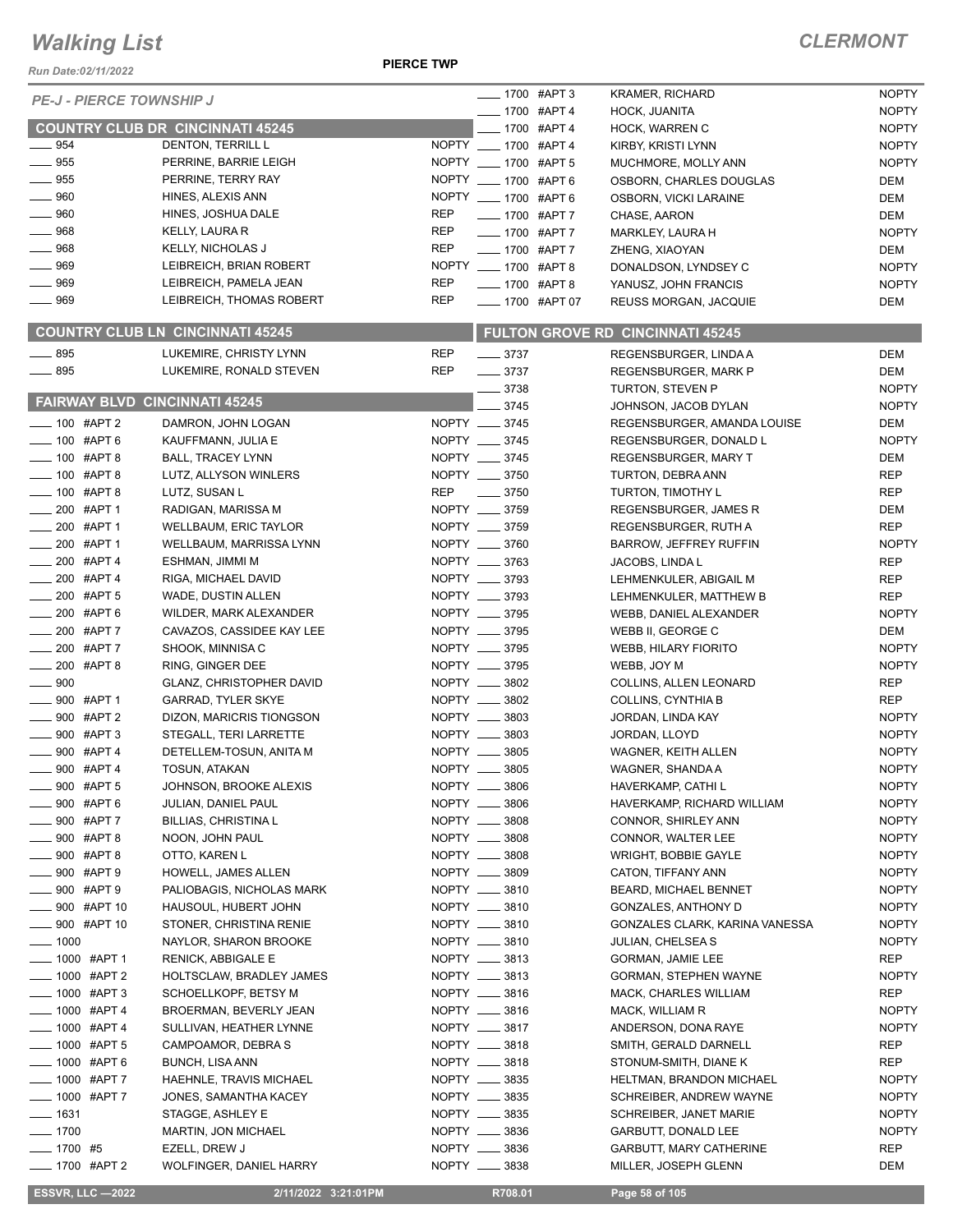*Run Date:02/11/2022*

#### **PIERCE TWP**

| <b>PE-J - PIERCE TOWNSHIP J</b>      |                                         |            | ___ 1700 #APT 3         | <b>KRAMER, RICHARD</b>           | <b>NOPTY</b> |
|--------------------------------------|-----------------------------------------|------------|-------------------------|----------------------------------|--------------|
|                                      |                                         |            | ____ 1700 #APT 4        | HOCK, JUANITA                    | <b>NOPTY</b> |
|                                      | <b>COUNTRY CLUB DR CINCINNATI 45245</b> |            | -1700 #APT 4            | HOCK, WARREN C                   | <b>NOPTY</b> |
| $-954$                               | DENTON, TERRILL L                       |            | NOPTY __ 1700 #APT 4    | KIRBY, KRISTI LYNN               | <b>NOPTY</b> |
| $-955$                               | PERRINE, BARRIE LEIGH                   |            | NOPTY __ 1700 #APT 5    | MUCHMORE, MOLLY ANN              | <b>NOPTY</b> |
| $-955$                               | PERRINE. TERRY RAY                      |            | NOPTY __ 1700 #APT 6    | OSBORN, CHARLES DOUGLAS          | DEM          |
| $-960$                               | HINES, ALEXIS ANN                       |            | NOPTY __ 1700 #APT 6    | OSBORN, VICKI LARAINE            | <b>DEM</b>   |
| .960                                 | HINES, JOSHUA DALE                      | <b>REP</b> | - 1700 #APT 7           | CHASE, AARON                     | <b>DEM</b>   |
| $- 968$                              | KELLY, LAURA R                          | <b>REP</b> | -1700 #APT 7            | MARKLEY, LAURA H                 | <b>NOPTY</b> |
| $- 968$                              | <b>KELLY, NICHOLAS J</b>                | <b>REP</b> | <b>____ 1700 #APT 7</b> | ZHENG, XIAOYAN                   | <b>DEM</b>   |
| $-969$                               | LEIBREICH, BRIAN ROBERT                 |            | NOPTY __ 1700 #APT 8    | DONALDSON, LYNDSEY C             | <b>NOPTY</b> |
| __ 969                               | LEIBREICH, PAMELA JEAN                  | <b>REP</b> | ____ 1700 #APT 8        | YANUSZ, JOHN FRANCIS             | <b>NOPTY</b> |
| $-969$                               | LEIBREICH, THOMAS ROBERT                | <b>REP</b> | -1700 #APT 07           | REUSS MORGAN, JACQUIE            | <b>DEM</b>   |
|                                      | <b>COUNTRY CLUB LN CINCINNATI 45245</b> |            |                         | FULTON GROVE RD CINCINNATI 45245 |              |
| $-895$                               | LUKEMIRE, CHRISTY LYNN                  | <b>REP</b> | $- 3737$                | REGENSBURGER, LINDA A            | <b>DEM</b>   |
| $\frac{1}{2}$ 895                    | LUKEMIRE, RONALD STEVEN                 | <b>REP</b> | $- 3737$                | REGENSBURGER, MARK P             | <b>DEM</b>   |
|                                      |                                         |            | $\frac{1}{2}$ 3738      | TURTON, STEVEN P                 | <b>NOPTY</b> |
| <b>FAIRWAY BLVD CINCINNATI 45245</b> |                                         |            | 3745                    | JOHNSON, JACOB DYLAN             | <b>NOPTY</b> |
| $-100$ #APT 2                        | DAMRON, JOHN LOGAN                      |            | NOPTY __ 3745           | REGENSBURGER, AMANDA LOUISE      | <b>DEM</b>   |
| $-100$ #APT 6                        | KAUFFMANN, JULIA E                      |            | NOPTY __ 3745           | REGENSBURGER, DONALD L           | <b>NOPTY</b> |
| $-100$ #APT 8                        | <b>BALL, TRACEY LYNN</b>                |            | NOPTY __ 3745           | <b>REGENSBURGER, MARY T</b>      | <b>DEM</b>   |
| $- 100$ #APT 8                       | LUTZ, ALLYSON WINLERS                   |            | NOPTY __ 3750           | TURTON, DEBRA ANN                | <b>REP</b>   |
| $- 100$ #APT 8                       | LUTZ, SUSAN L                           | <b>REP</b> | $\frac{1}{2}$ 3750      | TURTON, TIMOTHY L                | <b>REP</b>   |
| $-200$ #APT 1                        | RADIGAN, MARISSA M                      |            | NOPTY __ 3759           | REGENSBURGER, JAMES R            | <b>DEM</b>   |
| $-200$ #APT 1                        | <b>WELLBAUM, ERIC TAYLOR</b>            |            | NOPTY __ 3759           | REGENSBURGER, RUTH A             | <b>REP</b>   |
| $-200$ #APT 1                        | WELLBAUM, MARRISSA LYNN                 |            | NOPTY __ 3760           |                                  | <b>NOPTY</b> |
| $-200$ #APT 4                        |                                         |            | NOPTY __ 3763           | <b>BARROW, JEFFREY RUFFIN</b>    | <b>REP</b>   |
| $-200$ #APT 4                        | ESHMAN, JIMMI M                         |            | NOPTY __ 3793           | JACOBS, LINDA L                  |              |
| 200 #APT 5                           | RIGA, MICHAEL DAVID                     |            |                         | LEHMENKULER, ABIGAIL M           | <b>REP</b>   |
|                                      | WADE, DUSTIN ALLEN                      |            | NOPTY __ 3793           | LEHMENKULER, MATTHEW B           | <b>REP</b>   |
| 200 #APT 6                           | WILDER, MARK ALEXANDER                  |            | NOPTY __ 3795           | WEBB, DANIEL ALEXANDER           | <b>NOPTY</b> |
| 200 #APT 7                           | CAVAZOS, CASSIDEE KAY LEE               |            | NOPTY __ 3795           | WEBB II, GEORGE C                | DEM          |
| $-200$ #APT 7                        | SHOOK, MINNISA C                        |            | NOPTY __ 3795           | <b>WEBB, HILARY FIORITO</b>      | <b>NOPTY</b> |
| $-200$ #APT 8                        | RING, GINGER DEE                        |            | NOPTY __ 3795           | WEBB, JOY M                      | <b>NOPTY</b> |
| $-900$                               | GLANZ, CHRISTOPHER DAVID                |            | NOPTY __ 3802           | COLLINS, ALLEN LEONARD           | <b>REP</b>   |
| $\frac{1}{2}$ 900 #APT 1             | <b>GARRAD, TYLER SKYE</b>               |            | NOPTY __ 3802           | COLLINS, CYNTHIA B               | <b>REP</b>   |
| $\frac{1}{2}$ 900 #APT 2             | DIZON, MARICRIS TIONGSON                |            | NOPTY __ 3803           | JORDAN, LINDA KAY                | <b>NOPTY</b> |
| $\frac{1}{2}$ 900 #APT 3             | STEGALL, TERI LARRETTE                  |            | NOPTY __ 3803           | JORDAN, LLOYD                    | <b>NOPTY</b> |
| $-900$ #APT 4                        | DETELLEM-TOSUN, ANITA M                 |            | NOPTY __ 3805           | WAGNER, KEITH ALLEN              | <b>NOPTY</b> |
| .900 #APT 4                          | <b>TOSUN, ATAKAN</b>                    |            | NOPTY __ 3805           | WAGNER, SHANDA A                 | <b>NOPTY</b> |
| _900 #APT 5                          | JOHNSON, BROOKE ALEXIS                  |            | NOPTY __ 3806           | HAVERKAMP, CATHI L               | <b>NOPTY</b> |
| 900 #APT 6                           | JULIAN, DANIEL PAUL                     |            | NOPTY __ 3806           | HAVERKAMP, RICHARD WILLIAM       | <b>NOPTY</b> |
| _ 900 #APT 7                         | <b>BILLIAS, CHRISTINA L</b>             |            | NOPTY __ 3808           | CONNOR, SHIRLEY ANN              | <b>NOPTY</b> |
| $-900$ #APT 8                        | NOON, JOHN PAUL                         |            | NOPTY __ 3808           | CONNOR, WALTER LEE               | <b>NOPTY</b> |
| _ 900 #APT 8                         | OTTO, KAREN L                           |            | NOPTY __ 3808           | WRIGHT, BOBBIE GAYLE             | <b>NOPTY</b> |
| _900 #APT 9                          | HOWELL, JAMES ALLEN                     |            | NOPTY __ 3809           | CATON, TIFFANY ANN               | <b>NOPTY</b> |
| __900 #APT9                          | PALIOBAGIS, NICHOLAS MARK               |            | NOPTY __ 3810           | <b>BEARD, MICHAEL BENNET</b>     | <b>NOPTY</b> |
| __ 900 #APT 10                       | HAUSOUL, HUBERT JOHN                    |            | NOPTY __ 3810           | GONZALES, ANTHONY D              | <b>NOPTY</b> |
| _ 900 #APT 10                        | STONER, CHRISTINA RENIE                 |            | NOPTY __ 3810           | GONZALES CLARK, KARINA VANESSA   | <b>NOPTY</b> |
| $=$ 1000                             | NAYLOR, SHARON BROOKE                   |            | NOPTY __ 3810           | JULIAN, CHELSEA S                | <b>NOPTY</b> |
| — 1000 #APT 1                        | <b>RENICK, ABBIGALE E</b>               |            | NOPTY __ 3813           | GORMAN, JAMIE LEE                | REP          |
| $-1000$ #APT 2                       | HOLTSCLAW, BRADLEY JAMES                |            | NOPTY __ 3813           | GORMAN, STEPHEN WAYNE            | <b>NOPTY</b> |
| . 1000 #APT 3                        | SCHOELLKOPF, BETSY M                    |            | NOPTY __ 3816           | MACK, CHARLES WILLIAM            | REP          |
| _ 1000 #APT 4                        | BROERMAN, BEVERLY JEAN                  |            | NOPTY __ 3816           | MACK, WILLIAM R                  | <b>NOPTY</b> |
| _ 1000 #APT 4                        | SULLIVAN, HEATHER LYNNE                 |            | NOPTY __ 3817           | ANDERSON, DONA RAYE              | <b>NOPTY</b> |
| __ 1000 #APT 5                       | CAMPOAMOR, DEBRA S                      |            | NOPTY __ 3818           | SMITH, GERALD DARNELL            | REP          |
| __ 1000 #APT 6                       | <b>BUNCH, LISA ANN</b>                  |            | NOPTY __ 3818           | STONUM-SMITH, DIANE K            | REP          |
| ____ 1000 #APT 7                     | HAEHNLE, TRAVIS MICHAEL                 |            | NOPTY __ 3835           | HELTMAN, BRANDON MICHAEL         | <b>NOPTY</b> |
| ____ 1000 #APT 7                     | JONES, SAMANTHA KACEY                   |            | NOPTY __ 3835           | <b>SCHREIBER, ANDREW WAYNE</b>   | <b>NOPTY</b> |
| $-1631$                              | STAGGE, ASHLEY E                        |            | NOPTY __ 3835           | SCHREIBER, JANET MARIE           | <b>NOPTY</b> |
| $- 1700$                             | <b>MARTIN, JON MICHAEL</b>              |            | NOPTY __ 3836           | GARBUTT, DONALD LEE              | <b>NOPTY</b> |
| ____ 1700 #5                         | EZELL, DREW J                           |            | NOPTY __ 3836           | GARBUTT, MARY CATHERINE          | REP          |
| ____ 1700 #APT 2                     | WOLFINGER, DANIEL HARRY                 |            | NOPTY __ 3838           | MILLER, JOSEPH GLENN             | DEM          |
| <b>ESSVR, LLC -2022</b>              | 2/11/2022 3:21:01PM                     |            | R708.01                 | Page 58 of 105                   |              |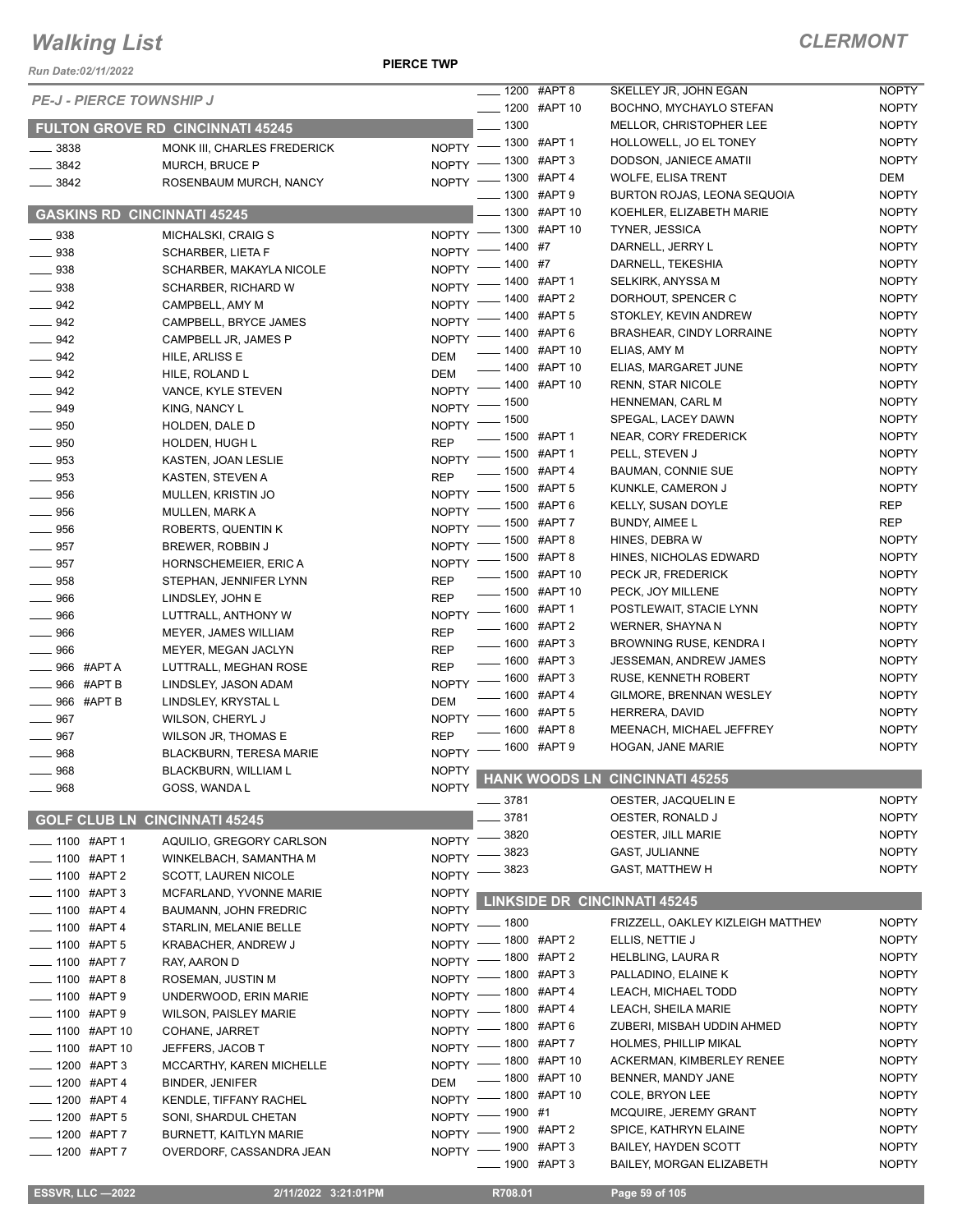*Run Date:02/11/2022*

**PIERCE TWP**

| <b>CLERMONT</b> |  |
|-----------------|--|
|-----------------|--|

|                                      |                                         |              | $\frac{1}{2}$ 1200 #APT 8 |                | SKELLEY JR, JOHN EGAN                | <b>NOPTY</b> |
|--------------------------------------|-----------------------------------------|--------------|---------------------------|----------------|--------------------------------------|--------------|
| <b>PE-J - PIERCE TOWNSHIP J</b>      |                                         |              | <b>____ 1200 #APT 10</b>  |                | BOCHNO, MYCHAYLO STEFAN              | <b>NOPTY</b> |
|                                      | <b>FULTON GROVE RD CINCINNATI 45245</b> |              | $\frac{1300}{2}$          |                | MELLOR, CHRISTOPHER LEE              | <b>NOPTY</b> |
| $\frac{1}{2}$ 3838                   | MONK III, CHARLES FREDERICK             |              | NOPTY - 1300 #APT 1       |                | HOLLOWELL, JO EL TONEY               | <b>NOPTY</b> |
| $\frac{1}{2}$ 3842                   | <b>MURCH, BRUCE P</b>                   |              | NOPTY - 1300 #APT 3       |                | DODSON, JANIECE AMATII               | <b>NOPTY</b> |
| $- 3842$                             | ROSENBAUM MURCH, NANCY                  |              | NOPTY - 1300 #APT 4       |                | <b>WOLFE, ELISA TRENT</b>            | DEM          |
|                                      |                                         |              | ____ 1300 #APT 9          |                | BURTON ROJAS, LEONA SEQUOIA          | <b>NOPTY</b> |
| <b>GASKINS RD CINCINNATI 45245</b>   |                                         |              |                           | _ 1300 #APT 10 | KOEHLER, ELIZABETH MARIE             | <b>NOPTY</b> |
| $\frac{1}{2}$ 938                    | MICHALSKI, CRAIG S                      |              | NOPTY - 1300 #APT 10      |                | <b>TYNER, JESSICA</b>                | <b>NOPTY</b> |
| $\frac{1}{2}$ 938                    | SCHARBER, LIETA F                       | $N$ OPTY $-$ | $- 1400$ #7               |                | DARNELL, JERRY L                     | <b>NOPTY</b> |
| $\frac{1}{2}$ 938                    | SCHARBER, MAKAYLA NICOLE                |              | NOPTY - 1400 #7           |                | DARNELL, TEKESHIA                    | <b>NOPTY</b> |
| $\frac{1}{2}$ 938                    | <b>SCHARBER, RICHARD W</b>              |              | NOPTY - 1400 #APT 1       |                | SELKIRK, ANYSSA M                    | <b>NOPTY</b> |
| $-942$                               | CAMPBELL, AMY M                         | $NOPTY =$    |                           | $-1400$ #APT 2 | DORHOUT, SPENCER C                   | <b>NOPTY</b> |
| $- 942$                              | CAMPBELL, BRYCE JAMES                   |              | NOPTY - 1400 #APT 5       |                | STOKLEY, KEVIN ANDREW                | <b>NOPTY</b> |
| $\frac{942}{2}$                      | CAMPBELL JR, JAMES P                    |              | NOPTY - 1400 #APT 6       |                | <b>BRASHEAR, CINDY LORRAINE</b>      | <b>NOPTY</b> |
| $\frac{942}{2}$                      | HILE, ARLISS E                          | <b>DEM</b>   | -1400 #APT 10             |                | ELIAS, AMY M                         | <b>NOPTY</b> |
| $\frac{1}{2}$ 942                    | HILE, ROLAND L                          | <b>DEM</b>   | -1400 #APT 10             |                | ELIAS, MARGARET JUNE                 | <b>NOPTY</b> |
| $-942$                               | VANCE, KYLE STEVEN                      | NOPTY $-$    |                           | _ 1400 #APT 10 | <b>RENN, STAR NICOLE</b>             | <b>NOPTY</b> |
| $\frac{1}{2}$ 949                    | KING, NANCY L                           |              | NOPTY - 1500              |                | HENNEMAN, CARL M                     | <b>NOPTY</b> |
| $\sim$ 950                           | HOLDEN, DALE D                          |              | NOPTY - 1500              |                | SPEGAL, LACEY DAWN                   | <b>NOPTY</b> |
| $\frac{1}{2}$ 950                    | HOLDEN, HUGH L                          | <b>REP</b>   | -600 #APT1                |                | NEAR, CORY FREDERICK                 | <b>NOPTY</b> |
| $\frac{1}{2}$ 953                    | KASTEN, JOAN LESLIE                     |              | NOPTY - 1500 #APT 1       |                | PELL, STEVEN J                       | <b>NOPTY</b> |
| $\frac{1}{2}$ 953                    | KASTEN, STEVEN A                        | <b>REP</b>   | ___ 1500 #APT 4           |                | <b>BAUMAN, CONNIE SUE</b>            | <b>NOPTY</b> |
| $\frac{1}{2}$ 956                    | MULLEN, KRISTIN JO                      |              | NOPTY - 1500 #APT 5       |                | KUNKLE, CAMERON J                    | <b>NOPTY</b> |
| $\frac{1}{2}$ 956                    | <b>MULLEN, MARK A</b>                   |              | NOPTY - 1500 #APT 6       |                | <b>KELLY, SUSAN DOYLE</b>            | REP          |
| $\frac{1}{2}$ 956                    | ROBERTS, QUENTIN K                      |              | NOPTY - 1500 #APT 7       |                | <b>BUNDY, AIMEE L</b>                | <b>REP</b>   |
| $\frac{1}{2}$ 957                    | BREWER, ROBBIN J                        |              | NOPTY - 1500 #APT 8       |                | HINES, DEBRA W                       | <b>NOPTY</b> |
| $- 957$                              | HORNSCHEMEIER, ERIC A                   |              | NOPTY - 1500 #APT 8       |                | HINES, NICHOLAS EDWARD               | <b>NOPTY</b> |
| $\_\_958$                            | STEPHAN, JENNIFER LYNN                  | <b>REP</b>   | -800 #APT 10              |                | PECK JR, FREDERICK                   | <b>NOPTY</b> |
| $\frac{1}{2}$ 966                    | LINDSLEY, JOHN E                        | <b>REP</b>   | -800 #APT 10              |                | PECK, JOY MILLENE                    | <b>NOPTY</b> |
| $\frac{1}{2}$ 966                    | LUTTRALL, ANTHONY W                     |              | NOPTY - 1600 #APT 1       |                | POSTLEWAIT, STACIE LYNN              | <b>NOPTY</b> |
| $\frac{1}{2}$ 966                    | MEYER, JAMES WILLIAM                    | <b>REP</b>   | -600 #APT 2               |                | WERNER, SHAYNA N                     | <b>NOPTY</b> |
| $\frac{1}{2}$ 966                    | MEYER, MEGAN JACLYN                     | <b>REP</b>   | -0600 #APT 3              |                | BROWNING RUSE, KENDRA I              | <b>NOPTY</b> |
| $\_\_\$ 966 #APT A                   | LUTTRALL, MEGHAN ROSE                   | <b>REP</b>   | -0600 #APT 3              |                | <b>JESSEMAN, ANDREW JAMES</b>        | <b>NOPTY</b> |
| $\equiv$ 966 #APT B                  | LINDSLEY, JASON ADAM                    |              | NOPTY - 1600 #APT 3       |                | <b>RUSE, KENNETH ROBERT</b>          | <b>NOPTY</b> |
| $\_\_\$ 966 #APT B                   | LINDSLEY, KRYSTAL L                     | <b>DEM</b>   | -0600 #APT 4              |                | GILMORE, BRENNAN WESLEY              | <b>NOPTY</b> |
| $- 967$                              | WILSON, CHERYL J                        |              | NOPTY - 1600 #APT 5       |                | HERRERA, DAVID                       | <b>NOPTY</b> |
| $- 967$                              | <b>WILSON JR, THOMAS E</b>              | <b>REP</b>   |                           | $-1600$ #APT 8 | MEENACH, MICHAEL JEFFREY             | <b>NOPTY</b> |
| $- 968$                              | <b>BLACKBURN, TERESA MARIE</b>          |              | NOPTY - 1600 #APT 9       |                | HOGAN, JANE MARIE                    | <b>NOPTY</b> |
| 968                                  | BLACKBURN, WILLIAM L                    |              |                           |                |                                      |              |
| $-968$                               | GOSS, WANDA L                           |              |                           |                | NOPTY HANK WOODS LN CINCINNATI 45255 |              |
|                                      |                                         |              | ____ 3781                 |                | OESTER, JACQUELIN E                  | <b>NOPTY</b> |
| <b>GOLF CLUB LN CINCINNATI 45245</b> |                                         |              | 3781                      |                | OESTER, RONALD J                     | <b>NOPTY</b> |
| ____ 1100 #APT 1                     | AQUILIO, GREGORY CARLSON                | NOPTY -      | 3820                      |                | OESTER, JILL MARIE                   | <b>NOPTY</b> |
| -1100 #APT 1                         | WINKELBACH, SAMANTHA M                  | <b>NOPTY</b> | 3823                      |                | GAST, JULIANNE                       | <b>NOPTY</b> |
| ____ 1100 #APT 2                     | SCOTT, LAUREN NICOLE                    | <b>NOPTY</b> | 3823                      |                | <b>GAST, MATTHEW H</b>               | <b>NOPTY</b> |
| -1100 #APT 3                         | MCFARLAND, YVONNE MARIE                 | <b>NOPTY</b> |                           |                |                                      |              |
| <b>___ 1100 #APT 4</b>               | <b>BAUMANN, JOHN FREDRIC</b>            | <b>NOPTY</b> |                           |                | <b>LINKSIDE DR CINCINNATI 45245</b>  |              |
| -01100 #APT 4                        | STARLIN, MELANIE BELLE                  |              | NOPTY - 1800              |                | FRIZZELL, OAKLEY KIZLEIGH MATTHEV    | <b>NOPTY</b> |
| <b>___ 1100 #APT 5</b>               | KRABACHER, ANDREW J                     |              | NOPTY - 1800 #APT 2       |                | ELLIS, NETTIE J                      | <b>NOPTY</b> |
| $-$ 1100 #APT 7                      | RAY, AARON D                            |              | NOPTY - 1800 #APT 2       |                | HELBLING, LAURA R                    | <b>NOPTY</b> |
| ____ 1100 #APT 8                     | ROSEMAN, JUSTIN M                       |              | NOPTY - 1800 #APT 3       |                | PALLADINO, ELAINE K                  | <b>NOPTY</b> |
| <b>___ 1100 #APT 9</b>               | UNDERWOOD, ERIN MARIE                   |              | NOPTY - 1800 #APT 4       |                | LEACH, MICHAEL TODD                  | <b>NOPTY</b> |
| <b>___ 1100 #APT 9</b>               | WILSON, PAISLEY MARIE                   |              | NOPTY - 1800 #APT 4       |                | LEACH, SHEILA MARIE                  | <b>NOPTY</b> |
| $\frac{1}{2}$ 1100 #APT 10           | COHANE, JARRET                          |              | NOPTY - 1800 #APT 6       |                | ZUBERI, MISBAH UDDIN AHMED           | <b>NOPTY</b> |
| ____ 1100 #APT 10                    | JEFFERS, JACOB T                        |              | NOPTY -800 #APT7          |                | <b>HOLMES, PHILLIP MIKAL</b>         | <b>NOPTY</b> |
| $-1200$ #APT 3                       | MCCARTHY, KAREN MICHELLE                |              | NOPTY - 1800 #APT 10      |                | ACKERMAN, KIMBERLEY RENEE            | <b>NOPTY</b> |
| ____ 1200 #APT 4                     | <b>BINDER, JENIFER</b>                  | <b>DEM</b>   | -800 #APT 10              |                | BENNER, MANDY JANE                   | <b>NOPTY</b> |
| $\frac{1}{2}$ 1200 #APT 4            | KENDLE, TIFFANY RACHEL                  |              | NOPTY - 1800 #APT 10      |                | COLE, BRYON LEE                      | <b>NOPTY</b> |
| ____ 1200 #APT 5                     | SONI, SHARDUL CHETAN                    |              | NOPTY - 1900 #1           |                | MCQUIRE, JEREMY GRANT                | <b>NOPTY</b> |
| ____ 1200 #APT 7                     | <b>BURNETT, KAITLYN MARIE</b>           |              | NOPTY - 1900 #APT 2       |                | SPICE, KATHRYN ELAINE                | <b>NOPTY</b> |
| ____ 1200 #APT 7                     | OVERDORF, CASSANDRA JEAN                |              | NOPTY - 1900 #APT 3       |                | <b>BAILEY, HAYDEN SCOTT</b>          | <b>NOPTY</b> |
|                                      |                                         |              | <b>____</b> 1900 #APT 3   |                | <b>BAILEY, MORGAN ELIZABETH</b>      | <b>NOPTY</b> |
|                                      |                                         |              |                           |                |                                      |              |
| <b>ESSVR, LLC-2022</b>               | 2/11/2022 3:21:01PM                     |              | R708.01                   |                | Page 59 of 105                       |              |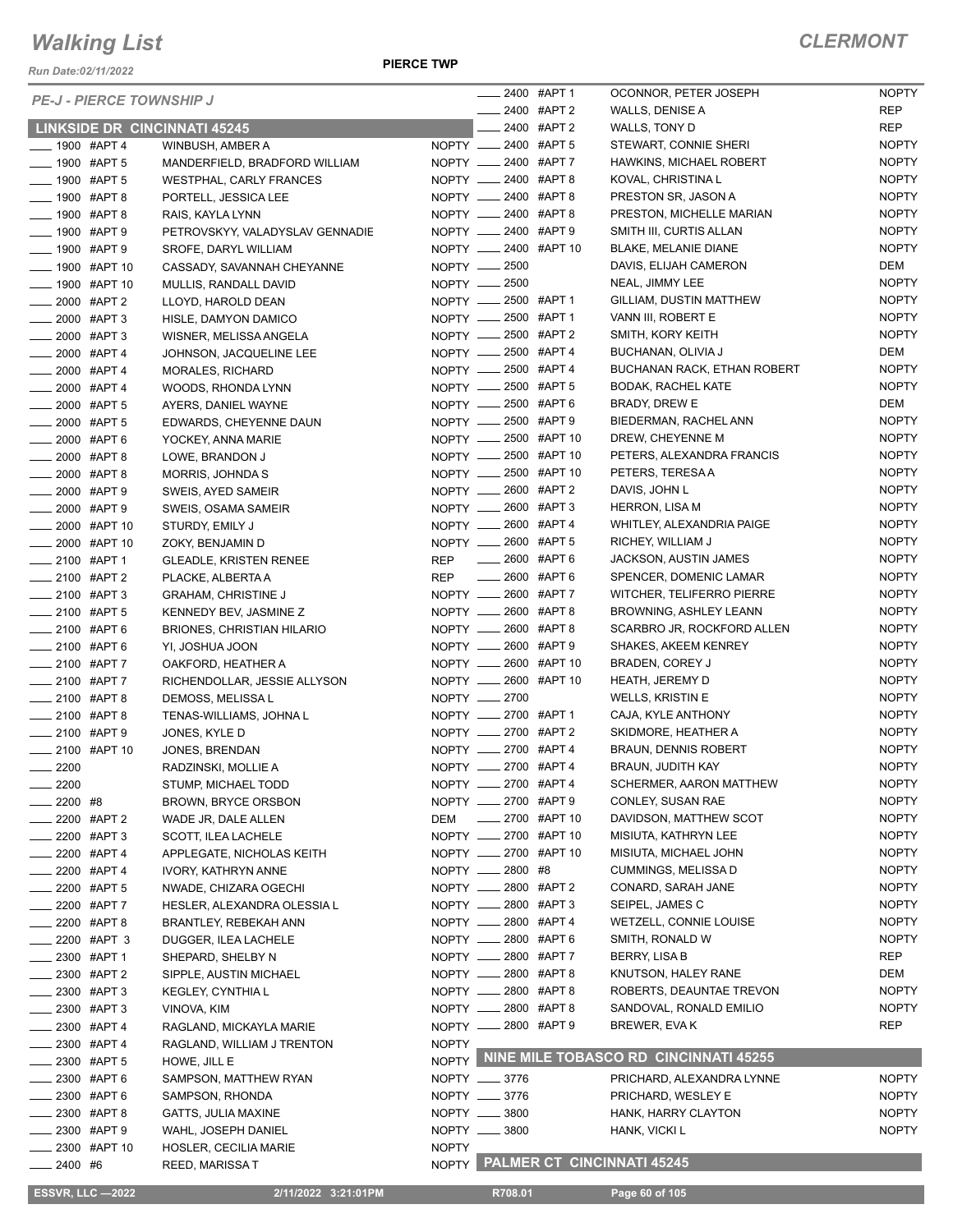*Run Date:02/11/2022*

#### **PIERCE TWP**

| <b>PE-J - PIERCE TOWNSHIP J</b>           |                                           |              |                                              | __ 2400 #APT 1 | OCONNOR, PETER JOSEPH                                    | <b>NOPTY</b>        |
|-------------------------------------------|-------------------------------------------|--------------|----------------------------------------------|----------------|----------------------------------------------------------|---------------------|
|                                           |                                           |              | $\frac{1}{2400}$ #APT 2                      |                | WALLS, DENISE A                                          | REP                 |
| <b>LINKSIDE DR CINCINNATI 45245</b>       |                                           |              |                                              | 2400 #APT 2    | WALLS, TONY D                                            | REP                 |
| $- 1900$ #APT 4                           | WINBUSH, AMBER A                          |              | NOPTY __ 2400 #APT 5                         |                | STEWART, CONNIE SHERI                                    | <b>NOPTY</b>        |
| <b>LEGGIO #APT 5</b>                      | MANDERFIELD, BRADFORD WILLIAM             |              | NOPTY __ 2400 #APT 7                         |                | HAWKINS, MICHAEL ROBERT                                  | <b>NOPTY</b>        |
| <b>______ 1900 #APT 5</b>                 | <b>WESTPHAL, CARLY FRANCES</b>            |              | NOPTY __ 2400 #APT 8                         |                | KOVAL, CHRISTINA L                                       | <b>NOPTY</b>        |
| $- 1900$ #APT 8                           | PORTELL, JESSICA LEE                      |              | NOPTY __ 2400 #APT 8                         |                | PRESTON SR, JASON A                                      | <b>NOPTY</b>        |
| $\frac{1}{2}$ 1900 #APT 8                 | RAIS, KAYLA LYNN                          |              | NOPTY __ 2400 #APT 8                         |                | PRESTON, MICHELLE MARIAN                                 | <b>NOPTY</b>        |
| ____ 1900 #APT 9                          | PETROVSKYY, VALADYSLAV GENNADIE           |              | NOPTY __ 2400 #APT 9                         |                | SMITH III, CURTIS ALLAN                                  | <b>NOPTY</b>        |
| <b>LEGGIO #APT 9</b>                      | SROFE, DARYL WILLIAM                      |              | NOPTY __ 2400 #APT 10                        |                | BLAKE, MELANIE DIANE                                     | <b>NOPTY</b>        |
| <b>____ 1900 #APT 10</b>                  | CASSADY, SAVANNAH CHEYANNE                |              | NOPTY - 2500                                 |                | DAVIS, ELIJAH CAMERON                                    | DEM                 |
| ____ 1900 #APT 10                         | MULLIS, RANDALL DAVID                     |              | NOPTY __ 2500                                |                | NEAL, JIMMY LEE                                          | <b>NOPTY</b>        |
| ____ 2000 #APT 2                          | LLOYD, HAROLD DEAN                        |              | NOPTY __ 2500 #APT 1                         |                | GILLIAM, DUSTIN MATTHEW                                  | <b>NOPTY</b>        |
| $-2000$ #APT 3                            | HISLE, DAMYON DAMICO                      |              | NOPTY __ 2500 #APT 1                         |                | VANN III, ROBERT E                                       | <b>NOPTY</b>        |
| ____ 2000 #APT 3                          | WISNER, MELISSA ANGELA                    |              | NOPTY __ 2500 #APT 2                         |                | SMITH, KORY KEITH                                        | <b>NOPTY</b>        |
| $\frac{1}{2000}$ #APT 4                   | JOHNSON, JACQUELINE LEE                   |              | NOPTY __ 2500 #APT 4                         |                | BUCHANAN, OLIVIA J<br><b>BUCHANAN RACK, ETHAN ROBERT</b> | DEM<br><b>NOPTY</b> |
| $\frac{1}{2000}$ #APT 4                   | <b>MORALES, RICHARD</b>                   |              | NOPTY __ 2500 #APT 4<br>NOPTY __ 2500 #APT 5 |                | <b>BODAK, RACHEL KATE</b>                                | <b>NOPTY</b>        |
| $\frac{1}{2000}$ #APT 4<br>$-2000$ #APT 5 | WOODS, RHONDA LYNN<br>AYERS, DANIEL WAYNE |              | NOPTY __ 2500 #APT 6                         |                | <b>BRADY, DREW E</b>                                     | DEM                 |
| $\frac{1}{2000}$ #APT 5                   |                                           |              | NOPTY __ 2500 #APT 9                         |                | BIEDERMAN, RACHEL ANN                                    | <b>NOPTY</b>        |
| $\frac{1}{2000}$ #APT 6                   | EDWARDS, CHEYENNE DAUN                    |              | NOPTY __ 2500 #APT 10                        |                | DREW, CHEYENNE M                                         | <b>NOPTY</b>        |
| $-2000$ #APT 8                            | YOCKEY, ANNA MARIE<br>LOWE, BRANDON J     |              | NOPTY __ 2500 #APT 10                        |                | PETERS, ALEXANDRA FRANCIS                                | <b>NOPTY</b>        |
| $\frac{1}{2000}$ #APT 8                   | MORRIS, JOHNDA S                          |              | NOPTY __ 2500 #APT 10                        |                | PETERS, TERESA A                                         | <b>NOPTY</b>        |
| $\frac{1}{2000}$ #APT 9                   | SWEIS, AYED SAMEIR                        |              | NOPTY __ 2600 #APT 2                         |                | DAVIS, JOHN L                                            | <b>NOPTY</b>        |
| $\frac{1}{2000}$ #APT 9                   | SWEIS, OSAMA SAMEIR                       |              | NOPTY __ 2600 #APT 3                         |                | <b>HERRON, LISA M</b>                                    | <b>NOPTY</b>        |
| ____ 2000 #APT 10                         | STURDY, EMILY J                           |              | NOPTY __ 2600 #APT 4                         |                | WHITLEY, ALEXANDRIA PAIGE                                | <b>NOPTY</b>        |
| _ 2000 #APT 10                            | ZOKY, BENJAMIN D                          |              | NOPTY __ 2600 #APT 5                         |                | RICHEY, WILLIAM J                                        | <b>NOPTY</b>        |
| ____ 2100 #APT 1                          | <b>GLEADLE, KRISTEN RENEE</b>             |              | REP __ 2600 #APT 6                           |                | <b>JACKSON, AUSTIN JAMES</b>                             | <b>NOPTY</b>        |
| 2100 #APT 2                               | PLACKE, ALBERTA A                         |              | REP __ 2600 #APT 6                           |                | SPENCER, DOMENIC LAMAR                                   | <b>NOPTY</b>        |
| $\frac{1}{2100}$ #APT 3                   | <b>GRAHAM, CHRISTINE J</b>                |              | NOPTY __ 2600 #APT 7                         |                | WITCHER, TELIFERRO PIERRE                                | <b>NOPTY</b>        |
| <b>2100 #APT 5</b>                        | KENNEDY BEV, JASMINE Z                    |              | NOPTY __ 2600 #APT 8                         |                | BROWNING, ASHLEY LEANN                                   | <b>NOPTY</b>        |
| $\frac{1}{2100}$ #APT 6                   | <b>BRIONES, CHRISTIAN HILARIO</b>         |              | NOPTY __ 2600 #APT 8                         |                | SCARBRO JR, ROCKFORD ALLEN                               | <b>NOPTY</b>        |
| $-2100$ #APT 6                            | YI, JOSHUA JOON                           |              | NOPTY __ 2600 #APT 9                         |                | <b>SHAKES, AKEEM KENREY</b>                              | <b>NOPTY</b>        |
| ____ 2100 #APT 7                          | OAKFORD, HEATHER A                        |              | NOPTY __ 2600 #APT 10                        |                | BRADEN, COREY J                                          | <b>NOPTY</b>        |
| $\frac{1}{2100}$ #APT 7                   | RICHENDOLLAR, JESSIE ALLYSON              |              | NOPTY __ 2600 #APT 10                        |                | HEATH, JEREMY D                                          | <b>NOPTY</b>        |
| $-2100$ #APT 8                            | DEMOSS, MELISSA L                         |              | NOPTY -2700                                  |                | WELLS, KRISTIN E                                         | <b>NOPTY</b>        |
| ____ 2100 #APT 8                          | TENAS-WILLIAMS, JOHNA L                   |              | NOPTY __ 2700 #APT 1                         |                | CAJA, KYLE ANTHONY                                       | <b>NOPTY</b>        |
| $-2100$ #APT 9                            | JONES, KYLE D                             |              | NOPTY __ 2700 #APT 2                         |                | SKIDMORE, HEATHER A                                      | <b>NOPTY</b>        |
| ____ 2100 #APT 10                         | JONES, BRENDAN                            |              | NOPTY __ 2700 #APT 4                         |                | <b>BRAUN, DENNIS ROBERT</b>                              | <b>NOPTY</b>        |
| $-2200$                                   | RADZINSKI, MOLLIE A                       |              | NOPTY __ 2700 #APT 4                         |                | BRAUN, JUDITH KAY                                        | <b>NOPTY</b>        |
| $-2200$                                   | STUMP, MICHAEL TODD                       |              | NOPTY __ 2700 #APT 4                         |                | SCHERMER, AARON MATTHEW                                  | <b>NOPTY</b>        |
| _ 2200 #8                                 | <b>BROWN, BRYCE ORSBON</b>                |              | NOPTY __ 2700 #APT 9                         |                | CONLEY, SUSAN RAE                                        | <b>NOPTY</b>        |
| _2200 #APT 2                              | WADE JR, DALE ALLEN                       |              | DEM __ 2700 #APT 10                          |                | DAVIDSON, MATTHEW SCOT                                   | <b>NOPTY</b>        |
| $-2200$ #APT 3                            | SCOTT, ILEA LACHELE                       |              | NOPTY __ 2700 #APT 10                        |                | MISIUTA, KATHRYN LEE                                     | <b>NOPTY</b>        |
| ___ 2200 #APT 4                           | APPLEGATE, NICHOLAS KEITH                 |              | NOPTY __ 2700 #APT 10                        |                | MISIUTA, MICHAEL JOHN                                    | <b>NOPTY</b>        |
| __ 2200 #APT 4                            | <b>IVORY, KATHRYN ANNE</b>                |              | NOPTY __ 2800 #8                             |                | CUMMINGS, MELISSA D                                      | <b>NOPTY</b>        |
| $-2200$ #APT 5                            | NWADE, CHIZARA OGECHI                     |              | NOPTY __ 2800 #APT 2                         |                | CONARD, SARAH JANE                                       | <b>NOPTY</b>        |
| __ 2200 #APT 7                            | HESLER, ALEXANDRA OLESSIA L               |              | NOPTY __ 2800 #APT 3                         |                | SEIPEL, JAMES C                                          | <b>NOPTY</b>        |
| _ 2200 #APT 8                             | BRANTLEY, REBEKAH ANN                     |              | NOPTY __ 2800 #APT 4                         |                | WETZELL, CONNIE LOUISE                                   | <b>NOPTY</b>        |
| — 2200 #APT 3                             | DUGGER, ILEA LACHELE                      |              | NOPTY __ 2800 #APT 6                         |                | SMITH, RONALD W                                          | <b>NOPTY</b>        |
| _____ 2300 #APT 1                         | SHEPARD, SHELBY N                         |              | NOPTY __ 2800 #APT 7                         |                | BERRY, LISA B                                            | REP                 |
| $-2300$ #APT 2                            | SIPPLE, AUSTIN MICHAEL                    |              | NOPTY __ 2800 #APT 8                         |                | KNUTSON, HALEY RANE                                      | DEM                 |
| 2300 #APT 3                               | KEGLEY, CYNTHIA L                         |              | NOPTY __ 2800 #APT 8                         |                | ROBERTS, DEAUNTAE TREVON                                 | <b>NOPTY</b>        |
| __ 2300 #APT 3                            | VINOVA, KIM                               |              | NOPTY __ 2800 #APT 8                         |                | SANDOVAL, RONALD EMILIO                                  | <b>NOPTY</b>        |
| _____ 2300 #APT 4                         | RAGLAND, MICKAYLA MARIE                   |              | NOPTY __ 2800 #APT 9                         |                | BREWER, EVA K                                            | REP                 |
| _____ 2300 #APT 4                         | RAGLAND, WILLIAM J TRENTON                | <b>NOPTY</b> |                                              |                |                                                          |                     |
| $-2300$ #APT 5                            | HOWE, JILL E                              |              |                                              |                | NOPTY NINE MILE TOBASCO RD CINCINNATI 45255              |                     |
| — 2300 #APT 6                             | SAMPSON, MATTHEW RYAN                     |              | NOPTY __ 3776                                |                | PRICHARD, ALEXANDRA LYNNE                                | <b>NOPTY</b>        |
| _ 2300 #APT 6                             | SAMPSON, RHONDA                           |              | NOPTY __ 3776                                |                | PRICHARD, WESLEY E                                       | <b>NOPTY</b>        |
| _2300 #APT8                               | GATTS, JULIA MAXINE                       |              | NOPTY __ 3800                                |                | HANK, HARRY CLAYTON                                      | <b>NOPTY</b>        |
| __ 2300 #APT 9                            | WAHL, JOSEPH DANIEL                       |              | NOPTY __ 3800                                |                | HANK, VICKI L                                            | <b>NOPTY</b>        |
| $-2300$ #APT 10                           | HOSLER, CECILIA MARIE                     | <b>NOPTY</b> |                                              |                |                                                          |                     |
| $-2400$ #6                                | <b>REED, MARISSAT</b>                     |              |                                              |                | NOPTY PALMER CT CINCINNATI 45245                         |                     |
|                                           |                                           |              |                                              |                |                                                          |                     |
| <b>ESSVR, LLC -2022</b>                   | 2/11/2022 3:21:01PM                       |              | R708.01                                      |                | Page 60 of 105                                           |                     |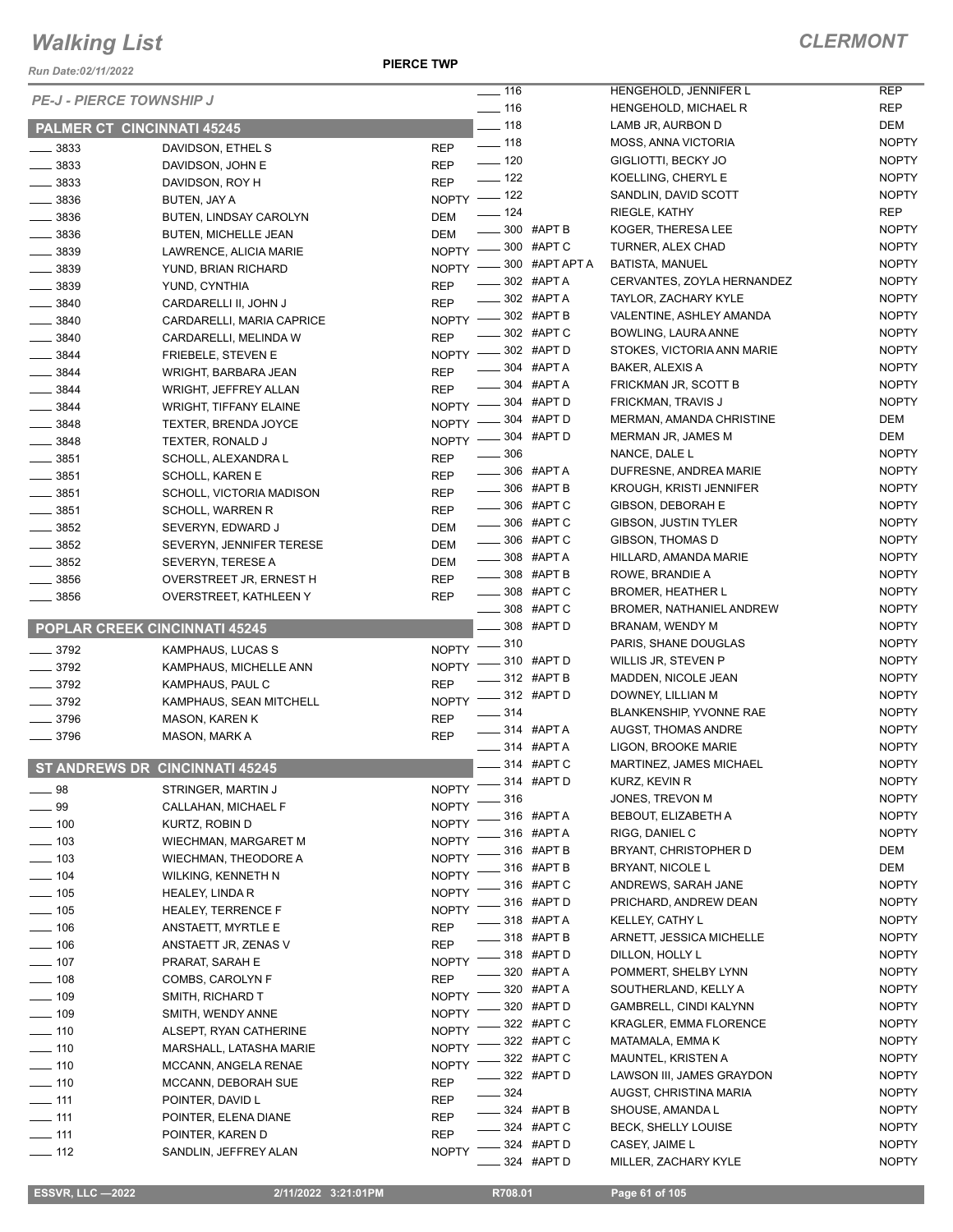*Run Date:02/11/2022*

**PIERCE TWP**

### *CLERMONT*

|                              |                                      |              | $- 116$                                | HENGEHOLD, JENNIFER L                        | <b>REP</b>                   |
|------------------------------|--------------------------------------|--------------|----------------------------------------|----------------------------------------------|------------------------------|
|                              | <b>PE-J - PIERCE TOWNSHIP J</b>      |              | $- 116$                                | HENGEHOLD, MICHAEL R                         | <b>REP</b>                   |
|                              | <b>PALMER CT CINCINNATI 45245</b>    |              | $-118$                                 | LAMB JR, AURBON D                            | DEM                          |
| 3833                         | DAVIDSON, ETHEL S                    | <b>REP</b>   | $\frac{1}{2}$ 118                      | MOSS, ANNA VICTORIA                          | <b>NOPTY</b>                 |
| $- 3833$                     | DAVIDSON, JOHN E                     | <b>REP</b>   | $\frac{1}{2}$ 120                      | GIGLIOTTI, BECKY JO                          | <b>NOPTY</b>                 |
| $\frac{1}{2}$ 3833           | DAVIDSON, ROY H                      | <b>REP</b>   | $\frac{1}{2}$ 122                      | KOELLING, CHERYL E                           | <b>NOPTY</b>                 |
| $\frac{1}{2}$ 3836           | BUTEN, JAY A                         | NOPTY - 122  |                                        | SANDLIN, DAVID SCOTT                         | <b>NOPTY</b>                 |
| $\frac{1}{2}$ 3836           | BUTEN, LINDSAY CAROLYN               | DEM          | $\frac{1}{2}$ 124                      | RIEGLE, KATHY                                | <b>REP</b>                   |
| $\frac{1}{2}$ 3836           | <b>BUTEN, MICHELLE JEAN</b>          | <b>DEM</b>   | $-300$ #APT B                          | KOGER, THERESA LEE                           | <b>NOPTY</b>                 |
| $\frac{1}{2}$ 3839           | LAWRENCE, ALICIA MARIE               | NOPTY -      | $= 300$ #APT C                         | TURNER, ALEX CHAD                            | <b>NOPTY</b>                 |
| $\frac{1}{2}$ 3839           | YUND, BRIAN RICHARD                  | NOPTY $-$    | $-300$ #APT APT A                      | <b>BATISTA, MANUEL</b>                       | <b>NOPTY</b>                 |
| $- 3839$                     | YUND, CYNTHIA                        | <b>REP</b>   | $-$ 302 #APTA                          | CERVANTES, ZOYLA HERNANDEZ                   | <b>NOPTY</b>                 |
| $- 3840$                     | CARDARELLI II, JOHN J                | <b>REP</b>   | ____ 302 #APT A                        | TAYLOR, ZACHARY KYLE                         | <b>NOPTY</b>                 |
| $\frac{1}{2}$ 3840           | CARDARELLI, MARIA CAPRICE            |              | NOPTY -802 #APT B                      | VALENTINE, ASHLEY AMANDA                     | <b>NOPTY</b>                 |
| $- 3840$                     | CARDARELLI, MELINDA W                | <b>REP</b>   | _302 #APTC                             | BOWLING, LAURA ANNE                          | <b>NOPTY</b>                 |
| $\frac{1}{2}$ 3844           | <b>FRIEBELE, STEVEN E</b>            | NOPTY -      | $-302$ #APT D                          | STOKES, VICTORIA ANN MARIE                   | <b>NOPTY</b>                 |
| $- 3844$                     | WRIGHT, BARBARA JEAN                 | <b>REP</b>   | $\frac{1}{2}$ 304 #APT A               | <b>BAKER, ALEXIS A</b>                       | <b>NOPTY</b>                 |
| $- 3844$                     | WRIGHT, JEFFREY ALLAN                | <b>REP</b>   | <b>LE 304 #APT A</b>                   | FRICKMAN JR, SCOTT B                         | <b>NOPTY</b>                 |
| $- 3844$                     | <b>WRIGHT, TIFFANY ELAINE</b>        | NOPTY $-$    | $-304$ #APT D                          | FRICKMAN, TRAVIS J                           | <b>NOPTY</b>                 |
| $- 3848$                     | <b>TEXTER, BRENDA JOYCE</b>          | <b>NOPTY</b> | 304 #APT D                             | MERMAN, AMANDA CHRISTINE                     | DEM                          |
| $- 3848$                     | TEXTER, RONALD J                     | <b>NOPTY</b> | 304 #APT D                             | MERMAN JR, JAMES M                           | DEM                          |
| $- 3851$                     | SCHOLL, ALEXANDRA L                  | <b>REP</b>   | $\frac{1}{2}$ 306                      | NANCE, DALE L                                | <b>NOPTY</b>                 |
| $\frac{1}{2}$ 3851           | <b>SCHOLL, KAREN E</b>               | <b>REP</b>   | 306 #APT A                             | DUFRESNE, ANDREA MARIE                       | <b>NOPTY</b>                 |
| $\frac{1}{2}$ 3851           | SCHOLL, VICTORIA MADISON             | <b>REP</b>   | $\frac{1}{2}$ 306 #APT B               | <b>KROUGH, KRISTI JENNIFER</b>               | <b>NOPTY</b>                 |
| $- 3851$                     | <b>SCHOLL, WARREN R</b>              | <b>REP</b>   | _____ 306 #APT C                       | GIBSON, DEBORAH E                            | <b>NOPTY</b>                 |
| $- 3852$                     | SEVERYN, EDWARD J                    | DEM          | 306 #APT C<br>$\overline{\phantom{0}}$ | GIBSON, JUSTIN TYLER                         | <b>NOPTY</b>                 |
| $\frac{1}{2}$ 3852           | SEVERYN, JENNIFER TERESE             | DEM          | ____ 306 #APT C                        | GIBSON, THOMAS D                             | <b>NOPTY</b>                 |
| $\frac{1}{2}$ 3852           | SEVERYN, TERESE A                    | DEM          | ____ 308 #APT A                        | HILLARD, AMANDA MARIE                        | <b>NOPTY</b>                 |
| $\frac{1}{2}$ 3856           | OVERSTREET JR, ERNEST H              | <b>REP</b>   | $\equiv$ 308 #APT B                    | ROWE, BRANDIE A                              | <b>NOPTY</b>                 |
| $\frac{1}{2}$ 3856           | OVERSTREET, KATHLEEN Y               | <b>REP</b>   | _____ 308 #APT C                       | <b>BROMER, HEATHER L</b>                     | <b>NOPTY</b>                 |
|                              |                                      |              | 308 #APT C                             | <b>BROMER, NATHANIEL ANDREW</b>              | <b>NOPTY</b>                 |
|                              | <b>POPLAR CREEK CINCINNATI 45245</b> |              | 308 #APT D                             | BRANAM, WENDY M                              | <b>NOPTY</b>                 |
| $\frac{1}{2}$ 3792           | KAMPHAUS, LUCAS S                    | $NOPTY$ ––   | 310                                    | PARIS, SHANE DOUGLAS                         | <b>NOPTY</b>                 |
| $- 3792$                     | KAMPHAUS, MICHELLE ANN               |              | NOPTY -810 #APT D                      | WILLIS JR, STEVEN P                          | <b>NOPTY</b>                 |
| $\frac{1}{2}$ 3792           | KAMPHAUS, PAUL C                     | <b>REP</b>   | ____ 312 #APT B<br>__ 312 #APT D       | MADDEN, NICOLE JEAN                          | <b>NOPTY</b><br><b>NOPTY</b> |
| $- 3792$                     | KAMPHAUS, SEAN MITCHELL              | $NOPTY =$    | 314                                    | DOWNEY, LILLIAN M<br>BLANKENSHIP, YVONNE RAE | <b>NOPTY</b>                 |
| $- 3796$                     | <b>MASON, KAREN K</b>                | <b>REP</b>   | $\frac{1}{2}$ 314 #APT A               | AUGST, THOMAS ANDRE                          | <b>NOPTY</b>                 |
| $- 3796$                     | MASON, MARK A                        | <b>REP</b>   | $\frac{1}{2}$ 314 #APT A               | LIGON, BROOKE MARIE                          | <b>NOPTY</b>                 |
|                              |                                      |              | ___ 314 #APT C                         | MARTINEZ, JAMES MICHAEL                      | <b>NOPTY</b>                 |
|                              | ST ANDREWS DR CINCINNATI 45245       |              |                                        | KURZ, KEVIN R                                | <b>NOPTY</b>                 |
| $\equiv$ 98                  | STRINGER, MARTIN J                   |              | NOPTY -814 #APT D<br>__ 316            | JONES, TREVON M                              | <b>NOPTY</b>                 |
| $\equiv$ 99                  | CALLAHAN, MICHAEL F                  | <b>NOPTY</b> | $-316$ #APTA                           | BEBOUT, ELIZABETH A                          | <b>NOPTY</b>                 |
| $\frac{1}{2}$ 100            | KURTZ, ROBIN D                       | <b>NOPTY</b> | $= 316$ #APTA                          | RIGG, DANIEL C                               | <b>NOPTY</b>                 |
| $\frac{1}{2}$ 103            | WIECHMAN, MARGARET M                 | <b>NOPTY</b> | $-316$ #APT B                          | BRYANT, CHRISTOPHER D                        | DEM                          |
| $\frac{1}{2}$ 103            | <b>WIECHMAN, THEODORE A</b>          | <b>NOPTY</b> | 316 #APT B                             | <b>BRYANT, NICOLE L</b>                      | DEM                          |
| $- 104$                      | WILKING, KENNETH N                   | <b>NOPTY</b> | 316 #APT C                             | ANDREWS, SARAH JANE                          | <b>NOPTY</b>                 |
| $- 105$                      | HEALEY, LINDA R                      | <b>NOPTY</b> | 316 #APT D                             | PRICHARD, ANDREW DEAN                        | <b>NOPTY</b>                 |
| $- 105$                      | <b>HEALEY, TERRENCE F</b>            | <b>NOPTY</b> | 318 #APT A                             | KELLEY, CATHY L                              | <b>NOPTY</b>                 |
| $\frac{1}{2}$ 106            | ANSTAETT, MYRTLE E                   | <b>REP</b>   | $= 318$ #APT B                         | ARNETT, JESSICA MICHELLE                     | <b>NOPTY</b>                 |
| $\frac{1}{2}$ 106            | ANSTAETT JR, ZENAS V                 | <b>REP</b>   | _318 #APTD                             | DILLON, HOLLY L                              | <b>NOPTY</b>                 |
| $\frac{1}{2}$ 107            | PRARAT, SARAH E                      | <b>NOPTY</b> | 320 #APT A                             | POMMERT, SHELBY LYNN                         | <b>NOPTY</b>                 |
| $\frac{1}{2}$ 108            | COMBS, CAROLYN F                     | <b>REP</b>   | 320 #APT A                             | SOUTHERLAND, KELLY A                         | <b>NOPTY</b>                 |
| $- 109$                      | SMITH, RICHARD T                     | <b>NOPTY</b> | 320 #APT D                             | GAMBRELL, CINDI KALYNN                       | <b>NOPTY</b>                 |
| $- 109$                      | SMITH, WENDY ANNE                    | <b>NOPTY</b> | 322 #APT C                             | <b>KRAGLER, EMMA FLORENCE</b>                | <b>NOPTY</b>                 |
| $\frac{1}{2}$ 110            | ALSEPT, RYAN CATHERINE               | <b>NOPTY</b> | 322 #APT C                             | MATAMALA, EMMA K                             | <b>NOPTY</b>                 |
| $- 110$                      | MARSHALL, LATASHA MARIE              | <b>NOPTY</b> | $-322$ #APTC                           | <b>MAUNTEL, KRISTEN A</b>                    | <b>NOPTY</b>                 |
| $- 110$                      | MCCANN, ANGELA RENAE                 | <b>NOPTY</b> | 322 #APT D                             | LAWSON III, JAMES GRAYDON                    | <b>NOPTY</b>                 |
| $\frac{1}{2}$ 110            | MCCANN, DEBORAH SUE                  | <b>REP</b>   | $-324$                                 | AUGST, CHRISTINA MARIA                       | <b>NOPTY</b>                 |
| $-111$                       | POINTER, DAVID L                     | <b>REP</b>   | <b>______ 324 #APT B</b>               | SHOUSE, AMANDA L                             | <b>NOPTY</b>                 |
| $-111$                       | POINTER, ELENA DIANE                 | <b>REP</b>   | $-324$ #APTC                           | BECK, SHELLY LOUISE                          | <b>NOPTY</b>                 |
| $\overline{\phantom{0}}$ 111 | POINTER, KAREN D                     | <b>REP</b>   | _324 #APTD                             | CASEY, JAIME L                               | <b>NOPTY</b>                 |
| $- 112$                      | SANDLIN, JEFFREY ALAN                | <b>NOPTY</b> | 324 #APT D                             | MILLER, ZACHARY KYLE                         | <b>NOPTY</b>                 |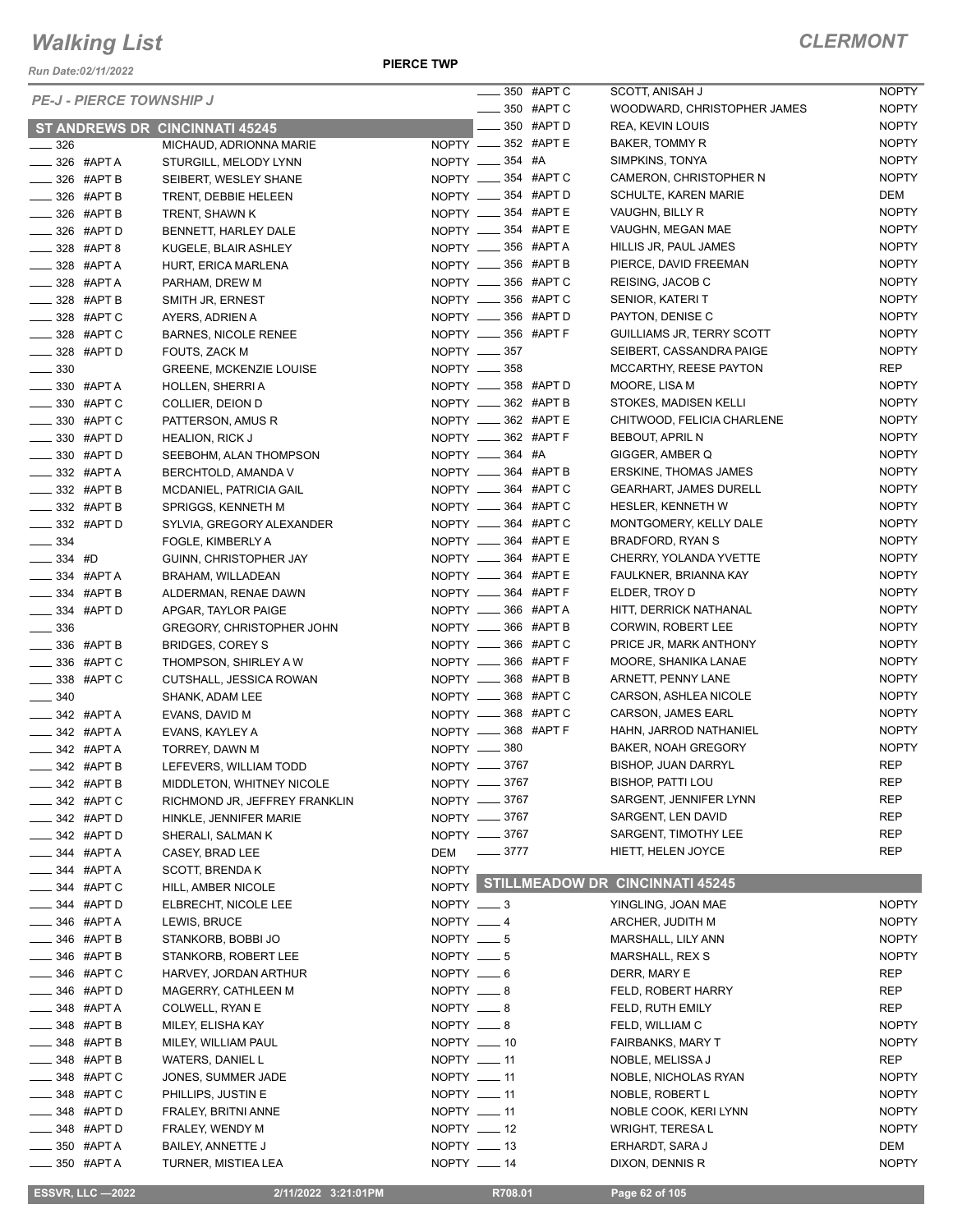*Run Date:02/11/2022*

#### **PIERCE TWP**

### *CLERMONT*

| <b>PE-J - PIERCE TOWNSHIP J</b>    |                                                 | ____ 350 #APT C                            | S      |
|------------------------------------|-------------------------------------------------|--------------------------------------------|--------|
|                                    |                                                 | 350 #APT C                                 | V      |
|                                    | <b>ST ANDREWS DR CINCINNATI 45245</b>           | $\equiv$ 350 #APT D                        | F      |
| $\_\_$ 326                         | MICHAUD, ADRIONNA MARIE                         | NOPTY __ 352 #APT E                        | Е      |
| $-326$ #APTA                       | STURGILL, MELODY LYNN                           | NOPTY __ 354 #A<br>NOPTY __ 354 #APT C     | S      |
| $-$ 326 #APT B                     | SEIBERT, WESLEY SHANE                           | NOPTY __ 354 #APT D                        | C      |
| —— 326 #APT B                      | TRENT, DEBBIE HELEEN                            | NOPTY __ 354 #APT E                        | S      |
| — 326 #APT B                       | TRENT, SHAWN K                                  |                                            | Λ      |
| _____ 326 #APT D                   | BENNETT, HARLEY DALE                            | NOPTY __ 354 #APT E                        |        |
| $- 328$ #APT 8                     | KUGELE, BLAIR ASHLEY                            | NOPTY __ 356 #APTA                         | H<br>F |
| $-$ 328 #APT A                     | HURT, ERICA MARLENA                             | NOPTY __ 356 #APT B                        |        |
| —— 328 #APT A                      | PARHAM, DREW M                                  | NOPTY __ 356 #APT C<br>NOPTY __ 356 #APT C | F<br>S |
| — 328 #APT B                       | SMITH JR. ERNEST                                | NOPTY __ 356 #APT D                        | F      |
| _____ 328 #APT C<br>___ 328 #APT C | AYERS, ADRIEN A                                 | NOPTY __ 356 #APT F                        | C      |
|                                    | <b>BARNES, NICOLE RENEE</b>                     |                                            | S      |
| $\frac{1}{2}$ 328 #APT D           | FOUTS, ZACK M                                   | NOPTY __ 357<br>NOPTY -858                 | Λ      |
| $\frac{1}{2}$ 330<br>$-$ 330 #APTA | <b>GREENE, MCKENZIE LOUISE</b>                  | NOPTY __ 358 #APT D                        |        |
| ____ 330 #APT C                    | HOLLEN, SHERRI A                                | NOPTY __ 362 #APT B                        | S      |
| — 330 #APT C                       | COLLIER, DEION D                                | NOPTY __ 362 #APTE                         | C      |
| $\frac{1}{2}$ 330 #APT D           | PATTERSON, AMUS R                               | NOPTY _____ 362 #APT F                     | Е      |
| $\equiv$ 330 #APT D                | <b>HEALION, RICK J</b>                          | NOPTY __ 364 #A                            | C      |
| —— 332 #APT A                      | SEEBOHM, ALAN THOMPSON                          | NOPTY __ 364 #APT B                        | Е      |
| _____ 332 #APT B                   | BERCHTOLD, AMANDA V                             | NOPTY __ 364 #APT C                        | C      |
| $\equiv$ 332 #APT B                | MCDANIEL, PATRICIA GAIL                         | NOPTY __ 364 #APT C                        | ŀ      |
| ____ 332 #APT D                    | SPRIGGS, KENNETH M<br>SYLVIA, GREGORY ALEXANDER | NOPTY __ 364 #APT C                        | Λ      |
| $\frac{1}{2}$ 334                  |                                                 | NOPTY __ 364 #APTE                         | E      |
| $-334$ #D                          | FOGLE, KIMBERLY A                               | NOPTY __ 364 #APT E                        | C      |
| —— 334 #APT A                      | GUINN, CHRISTOPHER JAY<br>BRAHAM, WILLADEAN     | NOPTY __ 364 #APT E                        | F      |
| $\equiv$ 334 #APT B                | ALDERMAN, RENAE DAWN                            | NOPTY __ 364 #APT F                        | Е      |
| ___ 334 #APT D                     | APGAR, TAYLOR PAIGE                             | NOPTY _____ 366 #APT A                     | ŀ      |
| $\equiv$ 336                       | GREGORY, CHRISTOPHER JOHN                       | NOPTY __ 366 #APT B                        | C      |
| — 336 #APT B                       | <b>BRIDGES, COREY S</b>                         | NOPTY __ 366 #APT C                        | F      |
| _____ 336 #APT C                   | THOMPSON, SHIRLEY A W                           | NOPTY __ 366 #APT F                        | Λ      |
| __ 338 #APT C                      | CUTSHALL, JESSICA ROWAN                         | NOPTY __ 368 #APT B                        | f      |
| $\frac{1}{2}$ 340                  | SHANK, ADAM LEE                                 | NOPTY _____ 368 #APT C                     | C      |
| $-$ 342 #APTA                      | EVANS, DAVID M                                  | NOPTY __ 368 #APT C                        | C      |
| $-$ 342 #APT A                     | EVANS, KAYLEY A                                 | NOPTY __ 368 #APT F                        | ŀ      |
| —— 342 #APT A                      | TORREY, DAWN M                                  | NOPTY __ 380                               | Е      |
| _342 #APT B                        | LEFEVERS, WILLIAM TODD                          | NOPTY __ 3767                              | Е      |
| <sub>—</sub> 342 #АРТ В            | MIDDLETON, WHITNEY NICOLE                       | NOPTY __ 3767                              | Е      |
| ____ 342 #APT C                    | RICHMOND JR, JEFFREY FRANKLIN                   | NOPTY __ 3767                              | S      |
| _____ 342 #APT D                   | HINKLE, JENNIFER MARIE                          | NOPTY __ 3767                              | S      |
| ____ 342 #APT D                    | SHERALI, SALMAN K                               | NOPTY -8767                                | S      |
| — 344 #APT A                       | CASEY, BRAD LEE                                 | $\frac{3777}{ }$<br>DEM                    | ŀ      |
| ____ 344 #APT A                    | <b>SCOTT, BRENDAK</b>                           | <b>NOPTY</b>                               |        |
| ____ 344 #APT C                    | HILL, AMBER NICOLE                              | NOPTY STILLMEADOW DR                       |        |
| __ 344 #APT D                      | ELBRECHT, NICOLE LEE                            | $NOPTY = 3$                                | Y      |
| —— 346 #APT A                      | LEWIS, BRUCE                                    | NOPTY __ 4                                 | f      |
| _____ 346 #APT B                   | STANKORB, BOBBI JO                              | NOPTY $- 5$                                | Λ      |
| $\frac{1}{2}$ 346 #APT B           | STANKORB, ROBERT LEE                            | NOPTY $- 5$                                | Λ      |
| ____ 346 #APT C                    | HARVEY, JORDAN ARTHUR                           | NOPTY $-6$                                 | D      |
| ____ 346 #APT D                    | MAGERRY, CATHLEEN M                             | NOPTY __ 8                                 | F      |
| _____ 348 #APT A                   | COLWELL, RYAN E                                 | NOPTY __ 8                                 | F      |
| $-$ 348 #APT B                     | MILEY, ELISHA KAY                               | NOPTY ___ 8                                | F      |
| ____ 348 #APT B                    | MILEY, WILLIAM PAUL                             | NOPTY __ 10                                | F      |
| _____ 348 #APT B                   | WATERS, DANIEL L                                | NOPTY __ 11                                | N      |
| ____ 348 #APT C                    | JONES, SUMMER JADE                              | NOPTY __ 11                                | N      |
| ____ 348 #APT C                    | PHILLIPS, JUSTIN E                              | NOPTY __ 11                                | N      |
| __ 348 #APT D                      | FRALEY, BRITNI ANNE                             | NOPTY __ 11                                | N      |
| $\frac{1}{2}$ 348 #APT D           | FRALEY, WENDY M                                 | NOPTY __ 12                                | V      |
| _____ 350 #APT A                   | BAILEY, ANNETTE J                               | NOPTY __ 13                                | Е      |
| ____ 350 #APT A                    | TURNER, MISTIEA LEA                             | NOPTY __ 14                                | D      |
|                                    |                                                 |                                            |        |

| 350  | #APT C | SCOTT, ANISAH J                     | NOPTY        |
|------|--------|-------------------------------------|--------------|
| 350  | #APT C | WOODWARD, CHRISTOPHER JAMES         | <b>NOPTY</b> |
| 350  | #APT D | <b>REA, KEVIN LOUIS</b>             | <b>NOPTY</b> |
| 352  | #APT E | <b>BAKER, TOMMY R</b>               | <b>NOPTY</b> |
| 354  | #A     | SIMPKINS, TONYA                     | <b>NOPTY</b> |
| 354  | #APT C | CAMERON, CHRISTOPHER N              | <b>NOPTY</b> |
| 354  | #APT D | <b>SCHULTE, KAREN MARIE</b>         | DEM          |
| 354  | #APT E | VAUGHN, BILLY R                     | <b>NOPTY</b> |
| 354  | #APT E | VAUGHN, MEGAN MAE                   | <b>NOPTY</b> |
| 356  | #APT A | HILLIS JR, PAUL JAMES               | <b>NOPTY</b> |
| 356  | #APT B | PIERCE, DAVID FREEMAN               | <b>NOPTY</b> |
| 356  | #APT C | REISING, JACOB C                    | <b>NOPTY</b> |
| 356  | #APT C | SENIOR, KATERI T                    | <b>NOPTY</b> |
| 356  | #APT D | PAYTON, DENISE C                    | <b>NOPTY</b> |
| 356  | #APT F | GUILLIAMS JR, TERRY SCOTT           | <b>NOPTY</b> |
| 357  |        | SEIBERT, CASSANDRA PAIGE            | <b>NOPTY</b> |
| 358  |        | MCCARTHY, REESE PAYTON              | REP          |
| 358  | #APT D | MOORE, LISA M                       | <b>NOPTY</b> |
| 362  | #APT B | STOKES, MADISEN KELLI               | <b>NOPTY</b> |
| 362  | #APT E | CHITWOOD, FELICIA CHARLENE          | <b>NOPTY</b> |
| 362  | #APT F | <b>BEBOUT, APRIL N</b>              | <b>NOPTY</b> |
| 364  | #A     | GIGGER, AMBER Q                     | <b>NOPTY</b> |
| 364  | #APT B | <b>ERSKINE, THOMAS JAMES</b>        | <b>NOPTY</b> |
| 364  | #APT C | <b>GEARHART, JAMES DURELL</b>       | <b>NOPTY</b> |
| 364  | #APT C | <b>HESLER, KENNETH W</b>            | <b>NOPTY</b> |
| 364  | #APT C | MONTGOMERY, KELLY DALE              | <b>NOPTY</b> |
| 364  | #APT E | BRADFORD, RYAN S                    | <b>NOPTY</b> |
| 364  | #APT E | CHERRY, YOLANDA YVETTE              | <b>NOPTY</b> |
| 364  | #APT E | FAULKNER, BRIANNA KAY               | <b>NOPTY</b> |
| 364  | #APT F | ELDER, TROY D                       | <b>NOPTY</b> |
| 366  | #APT A | HITT, DERRICK NATHANAL              | <b>NOPTY</b> |
| 366  | #APT B | <b>CORWIN, ROBERT LEE</b>           | <b>NOPTY</b> |
| 366  | #APT C | PRICE JR, MARK ANTHONY              | <b>NOPTY</b> |
| 366  | #APT F | MOORE, SHANIKA LANAE                | <b>NOPTY</b> |
| 368  | #APT B | ARNETT, PENNY LANE                  | <b>NOPTY</b> |
| 368  | #APT C | CARSON, ASHLEA NICOLE               | <b>NOPTY</b> |
| 368  | #APT C | <b>CARSON, JAMES EARL</b>           | <b>NOPTY</b> |
| 368  | #APT F | HAHN. JARROD NATHANIEL              | <b>NOPTY</b> |
| 380  |        | <b>BAKER, NOAH GREGORY</b>          | <b>NOPTY</b> |
| 3767 |        | <b>BISHOP, JUAN DARRYL</b>          | <b>REP</b>   |
| 3767 |        | <b>BISHOP, PATTI LOU</b>            | REP          |
| 3767 |        | SARGENT, JENNIFER LYNN              | REP          |
| 3767 |        | SARGENT, LEN DAVID                  | REP          |
| 3767 |        | SARGENT, TIMOTHY LEE                | <b>REP</b>   |
| 3777 |        | HIETT, HELEN JOYCE                  | REP          |
|      |        | <b>LLMEADOW DR CINCINNATI 45245</b> |              |
| 3    |        | YINGLING, JOAN MAE                  | <b>NOPTY</b> |
| 4    |        | ARCHER, JUDITH M                    | <b>NOPTY</b> |
| 5    |        | MARSHALL, LILY ANN                  | <b>NOPTY</b> |
| 5    |        | MARSHALL, REX S                     | <b>NOPTY</b> |
|      |        |                                     |              |

#### **STILLMEADOW DR CINCINNATI 45245**

| 3  | YINGLING, JOAN MAE          | <b>NOPTY</b> |
|----|-----------------------------|--------------|
| 4  | ARCHER, JUDITH M            | <b>NOPTY</b> |
| 5  | MARSHALL, LILY ANN          | <b>NOPTY</b> |
| 5  | <b>MARSHALL, REX S</b>      | <b>NOPTY</b> |
| 6  | DERR, MARY E                | <b>REP</b>   |
| 8  | FELD. ROBERT HARRY          | <b>REP</b>   |
| 8  | FELD, RUTH EMILY            | <b>REP</b>   |
| 8  | FELD. WILLIAM C             | <b>NOPTY</b> |
| 10 | <b>FAIRBANKS, MARY T</b>    | <b>NOPTY</b> |
| 11 | NOBLE, MELISSA J            | <b>REP</b>   |
| 11 | <b>NOBLE. NICHOLAS RYAN</b> | <b>NOPTY</b> |
| 11 | NOBLE, ROBERT L             | <b>NOPTY</b> |
| 11 | NOBLE COOK, KERI LYNN       | <b>NOPTY</b> |
| 12 | <b>WRIGHT, TERESAL</b>      | <b>NOPTY</b> |
| 13 | ERHARDT, SARA J             | DEM          |
| 14 | DIXON, DENNIS R             | <b>NOPTY</b> |
|    |                             |              |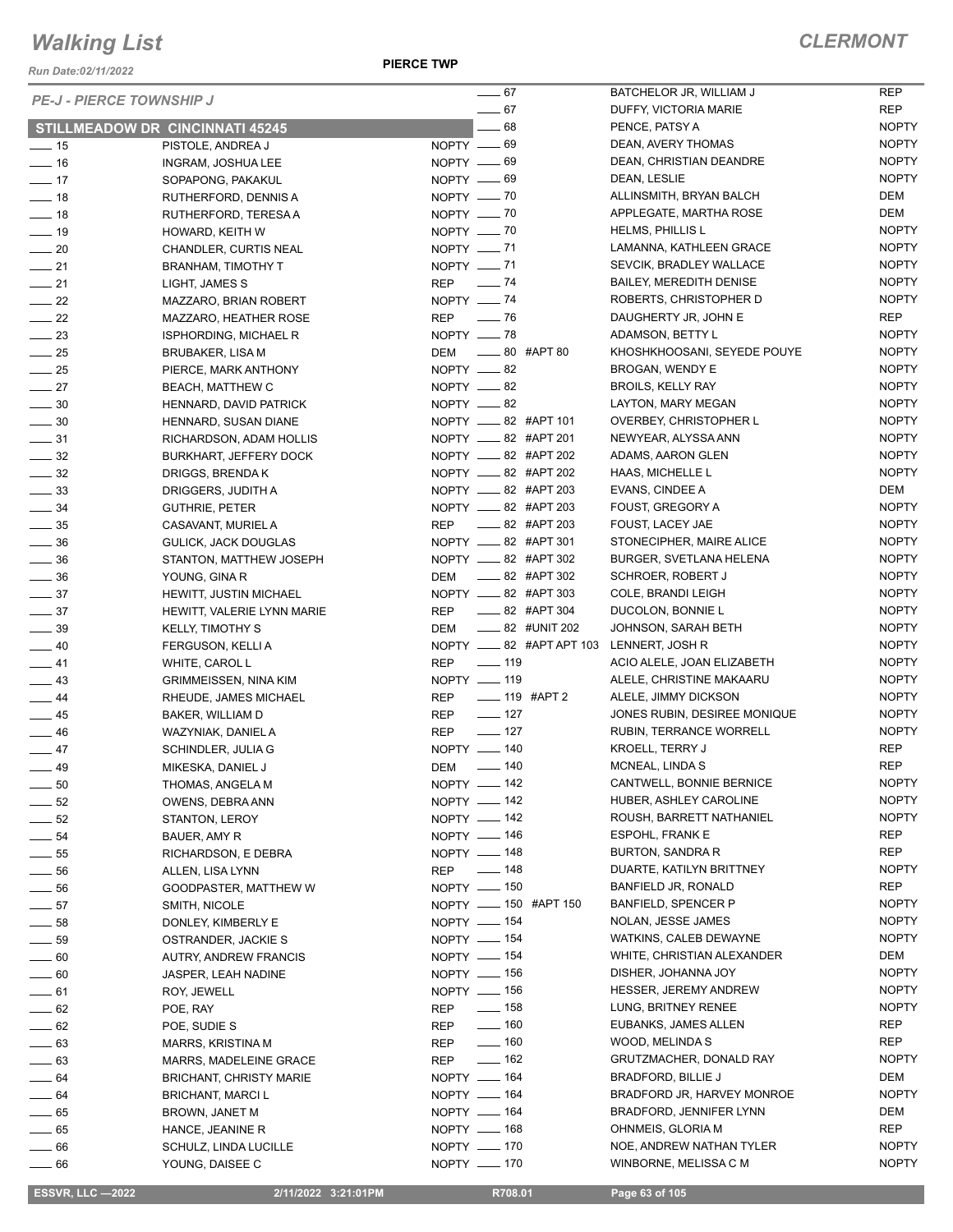*Run Date:02/11/2022*

**PIERCE TWP**

| <b>PE-J - PIERCE TOWNSHIP J</b>      |                                             | $\frac{1}{2}$ 67                       | BATCHELOR JR, WILLIAM J                        | <b>REP</b>                   |
|--------------------------------------|---------------------------------------------|----------------------------------------|------------------------------------------------|------------------------------|
|                                      |                                             | $-67$                                  | DUFFY, VICTORIA MARIE                          | <b>REP</b>                   |
|                                      | <b>STILLMEADOW DR CINCINNATI 45245</b>      | $-68$                                  | PENCE, PATSY A                                 | <b>NOPTY</b>                 |
| $\frac{1}{2}$ 15                     | PISTOLE, ANDREA J                           | NOPTY -69                              | DEAN, AVERY THOMAS                             | <b>NOPTY</b>                 |
| $\frac{1}{16}$                       | INGRAM, JOSHUA LEE                          | NOPTY -69                              | DEAN, CHRISTIAN DEANDRE                        | <b>NOPTY</b>                 |
| $-17$                                | SOPAPONG, PAKAKUL                           | $NOPTY = 69$                           | DEAN, LESLIE                                   | <b>NOPTY</b>                 |
| $\frac{1}{2}$ 18                     | RUTHERFORD, DENNIS A                        | NOPTY __ 70                            | ALLINSMITH, BRYAN BALCH                        | DEM                          |
| $\frac{1}{2}$ 18                     | RUTHERFORD, TERESA A                        | NOPTY $-$ 70                           | APPLEGATE, MARTHA ROSE                         | DEM                          |
| $-19$                                | HOWARD, KEITH W                             | NOPTY - 70                             | <b>HELMS, PHILLIS L</b>                        | <b>NOPTY</b>                 |
| $\sim$ 20                            | CHANDLER, CURTIS NEAL                       | NOPTY -71                              | LAMANNA, KATHLEEN GRACE                        | <b>NOPTY</b>                 |
| $\frac{1}{21}$                       | <b>BRANHAM, TIMOTHY T</b>                   | $NOPTY$ = 71                           | SEVCIK, BRADLEY WALLACE                        | <b>NOPTY</b>                 |
| $\frac{1}{21}$                       | LIGHT, JAMES S                              | REP - 74                               | BAILEY, MEREDITH DENISE                        | <b>NOPTY</b>                 |
| $\sim$ 22                            | MAZZARO, BRIAN ROBERT                       | NOPTY $-$ 74                           | ROBERTS, CHRISTOPHER D                         | <b>NOPTY</b>                 |
| $\frac{1}{22}$                       | MAZZARO, HEATHER ROSE                       | REP — 76                               | DAUGHERTY JR, JOHN E                           | <b>REP</b>                   |
| $\frac{1}{2}$ 23                     | <b>ISPHORDING, MICHAEL R</b>                | NOPTY -8<br>DEM ______ 80 #APT 80      | ADAMSON, BETTY L                               | <b>NOPTY</b><br><b>NOPTY</b> |
| $\frac{1}{25}$                       | <b>BRUBAKER, LISA M</b>                     | NOPTY __ 82                            | KHOSHKHOOSANI, SEYEDE POUYE                    | <b>NOPTY</b>                 |
| $\frac{1}{25}$                       | PIERCE, MARK ANTHONY                        | NOPTY -82                              | BROGAN, WENDY E                                | <b>NOPTY</b>                 |
| $\sim$ 27                            | <b>BEACH, MATTHEW C</b>                     |                                        | <b>BROILS, KELLY RAY</b><br>LAYTON, MARY MEGAN | <b>NOPTY</b>                 |
| $\frac{1}{2}$ 30                     | HENNARD, DAVID PATRICK                      | NOPTY -82<br>NOPTY __ 82 #APT 101      | OVERBEY, CHRISTOPHER L                         | <b>NOPTY</b>                 |
| $\frac{1}{2}$ 30                     | HENNARD, SUSAN DIANE                        | NOPTY __ 82 #APT 201                   | NEWYEAR, ALYSSA ANN                            | <b>NOPTY</b>                 |
| $\frac{1}{2}$ 31                     | RICHARDSON, ADAM HOLLIS                     | NOPTY __ 82 #APT 202                   | ADAMS, AARON GLEN                              | <b>NOPTY</b>                 |
| $\frac{32}{2}$                       | <b>BURKHART, JEFFERY DOCK</b>               | NOPTY __ 82 #APT 202                   | HAAS, MICHELLE L                               | <b>NOPTY</b>                 |
| $\frac{32}{2}$                       | DRIGGS, BRENDA K                            | NOPTY __ 82 #APT 203                   | EVANS, CINDEE A                                | DEM                          |
| $\frac{1}{2}$ 33<br>$\frac{34}{2}$   | DRIGGERS, JUDITH A                          | NOPTY __ 82 #APT 203                   | FOUST, GREGORY A                               | <b>NOPTY</b>                 |
|                                      | <b>GUTHRIE, PETER</b><br>CASAVANT, MURIEL A | REP __ 82 #APT 203                     | FOUST, LACEY JAE                               | <b>NOPTY</b>                 |
| $\frac{1}{2}$ 35<br>$\frac{1}{2}$ 36 | GULICK, JACK DOUGLAS                        | NOPTY __ 82 #APT 301                   | STONECIPHER, MAIRE ALICE                       | <b>NOPTY</b>                 |
| $\frac{1}{2}$ 36                     | STANTON, MATTHEW JOSEPH                     | NOPTY __ 82 #APT 302                   | <b>BURGER, SVETLANA HELENA</b>                 | <b>NOPTY</b>                 |
| $\frac{1}{2}$ 36                     | YOUNG, GINA R                               | DEM __ 82 #APT 302                     | <b>SCHROER, ROBERT J</b>                       | <b>NOPTY</b>                 |
| $\frac{1}{2}$ 37                     | HEWITT, JUSTIN MICHAEL                      | NOPTY __ 82 #APT 303                   | COLE, BRANDI LEIGH                             | <b>NOPTY</b>                 |
| $\frac{1}{2}$ 37                     | HEWITT, VALERIE LYNN MARIE                  | REP __ 82 #APT 304                     | DUCOLON, BONNIE L                              | <b>NOPTY</b>                 |
| $\frac{1}{2}$ 39                     | <b>KELLY, TIMOTHY S</b>                     | DEM ______ 82 #UNIT 202                | JOHNSON, SARAH BETH                            | <b>NOPTY</b>                 |
| $\frac{1}{2}$ 40                     | FERGUSON, KELLI A                           | NOPTY __ 82 #APT APT 103               | LENNERT, JOSH R                                | <b>NOPTY</b>                 |
| $-41$                                | WHITE, CAROL L                              | $\frac{1}{2}$ 119<br><b>REP</b>        | ACIO ALELE, JOAN ELIZABETH                     | <b>NOPTY</b>                 |
| $\equiv$ 43                          | GRIMMEISSEN, NINA KIM                       | NOPTY __ 119                           | ALELE, CHRISTINE MAKAARU                       | <b>NOPTY</b>                 |
| $\frac{1}{2}$ 44                     | RHEUDE, JAMES MICHAEL                       | $\frac{1}{2}$ 119 #APT 2<br><b>REP</b> | ALELE, JIMMY DICKSON                           | <b>NOPTY</b>                 |
| $\frac{1}{2}$ 45                     | BAKER, WILLIAM D                            | $\frac{1}{2}$ 127<br>REP               | JONES RUBIN, DESIREE MONIQUE                   | <b>NOPTY</b>                 |
| $\frac{1}{2}$ 46                     | WAZYNIAK, DANIEL A                          | $- 127$<br><b>REP</b>                  | RUBIN, TERRANCE WORRELL                        | <b>NOPTY</b>                 |
| $\frac{1}{2}$ 47                     | SCHINDLER, JULIA G                          | NOPTY - 140                            | <b>KROELL, TERRY J</b>                         | <b>REP</b>                   |
| $\frac{1}{2}$ 49                     | MIKESKA, DANIEL J                           | DEM __ 140                             | MCNEAL, LINDA S                                | <b>REP</b>                   |
| $\sim$ 50                            | THOMAS, ANGELA M                            | NOPTY - 142                            | CANTWELL, BONNIE BERNICE                       | <b>NOPTY</b>                 |
| $\frac{1}{2}$ 52                     | OWENS, DEBRA ANN                            | NOPTY - 142                            | HUBER, ASHLEY CAROLINE                         | <b>NOPTY</b>                 |
| $\frac{1}{2}$ 52                     | STANTON, LEROY                              | NOPTY - 142                            | ROUSH, BARRETT NATHANIEL                       | <b>NOPTY</b>                 |
| $\frac{1}{2}$ 54                     | BAUER, AMY R                                | NOPTY - 146                            | <b>ESPOHL, FRANK E</b>                         | <b>REP</b>                   |
| $\frac{1}{2}$ 55                     | RICHARDSON, E DEBRA                         | NOPTY - 148                            | BURTON, SANDRA R                               | <b>REP</b>                   |
| $\frac{1}{2}$ 56                     | ALLEN, LISA LYNN                            | REP - 148                              | DUARTE, KATILYN BRITTNEY                       | <b>NOPTY</b>                 |
| $\frac{1}{2}$ 56                     | GOODPASTER, MATTHEW W                       | NOPTY __ 150                           | BANFIELD JR, RONALD                            | REP                          |
| $\frac{1}{2}$ 57                     | SMITH, NICOLE                               | NOPTY __ 150 #APT 150                  | <b>BANFIELD, SPENCER P</b>                     | <b>NOPTY</b>                 |
| $\frac{1}{2}$ 58                     | DONLEY, KIMBERLY E                          | NOPTY - 154                            | NOLAN, JESSE JAMES                             | <b>NOPTY</b>                 |
| $\_\_$ 59                            | OSTRANDER, JACKIE S                         | NOPTY - 154                            | WATKINS, CALEB DEWAYNE                         | <b>NOPTY</b>                 |
| $\_\_60$                             | <b>AUTRY, ANDREW FRANCIS</b>                | NOPTY - 154                            | WHITE, CHRISTIAN ALEXANDER                     | DEM                          |
| $\rule{0.2cm}{0.15mm}$ 60            | <b>JASPER, LEAH NADINE</b>                  | NOPTY __ 156                           | DISHER, JOHANNA JOY                            | <b>NOPTY</b>                 |
| $-61$                                | ROY, JEWELL                                 | NOPTY - 156                            | HESSER, JEREMY ANDREW                          | <b>NOPTY</b>                 |
| $\frac{1}{2}$ 62                     | POE, RAY                                    | $\frac{1}{2}$ 158<br>REP               | LUNG, BRITNEY RENEE                            | <b>NOPTY</b>                 |
| $\frac{1}{2}$ 62                     | POE, SUDIE S                                | $- 160$<br>REP                         | EUBANKS, JAMES ALLEN                           | <b>REP</b>                   |
| $-63$                                | MARRS, KRISTINA M                           | $\equiv$ 160<br>REP                    | WOOD, MELINDA S                                | REP                          |
| $\frac{1}{2}$ 63                     | MARRS, MADELEINE GRACE                      | $- 162$<br>REP                         | GRUTZMACHER, DONALD RAY                        | <b>NOPTY</b>                 |
| $\frac{1}{2}$ 64                     | <b>BRICHANT, CHRISTY MARIE</b>              | NOPTY - 164                            | BRADFORD, BILLIE J                             | DEM                          |
| $\_\_64$                             | <b>BRICHANT, MARCI L</b>                    | NOPTY - 164                            | BRADFORD JR, HARVEY MONROE                     | <b>NOPTY</b>                 |
| $-65$                                | BROWN, JANET M                              | NOPTY $- 164$                          | BRADFORD, JENNIFER LYNN                        | DEM                          |
| $-65$                                | HANCE, JEANINE R                            | NOPTY - 168                            | OHNMEIS, GLORIA M                              | <b>REP</b>                   |
| $\equiv$ 66                          | SCHULZ, LINDA LUCILLE                       | NOPTY __ 170                           | NOE, ANDREW NATHAN TYLER                       | <b>NOPTY</b>                 |
| $\_\_\_\$ 66                         | YOUNG, DAISEE C                             | NOPTY - 170                            | WINBORNE, MELISSA C M                          | <b>NOPTY</b>                 |
|                                      |                                             |                                        |                                                |                              |

 **ESSVR, LLC —2022 2/11/2022 3:21:01PM R708.01 Page 63 of 105**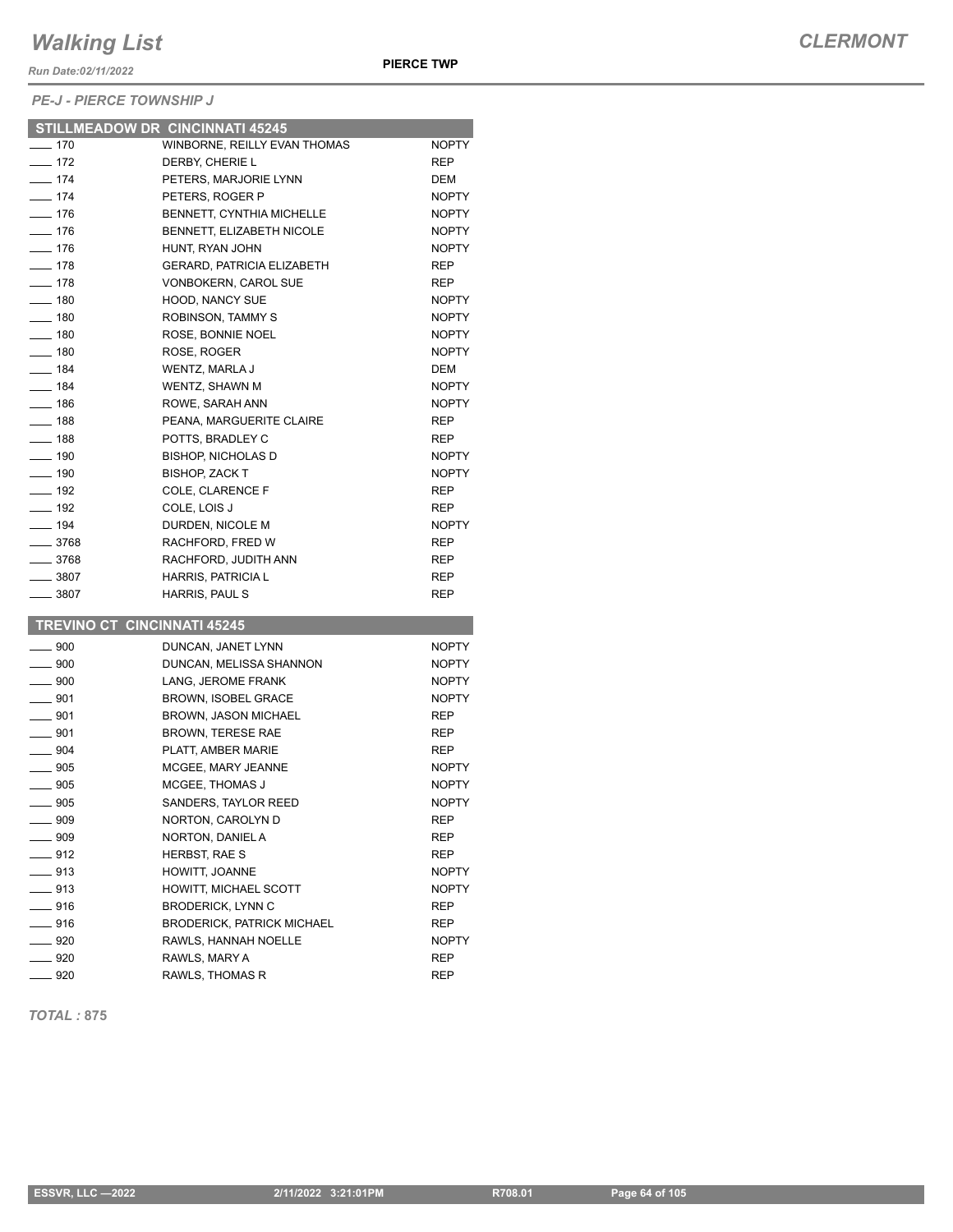*Run Date:02/11/2022*

*PE-J - PIERCE TOWNSHIP J*

|                          | <b>STILLMEADOW DR CINCINNATI 45245</b> |              |
|--------------------------|----------------------------------------|--------------|
| $-170$                   | WINBORNE, REILLY EVAN THOMAS           | <b>NOPTY</b> |
| $-172$                   | DERBY, CHERIE L                        | <b>REP</b>   |
| $-174$                   | PETERS, MARJORIE LYNN                  | DEM          |
| $- 174$                  | PETERS, ROGER P                        | <b>NOPTY</b> |
| $- 176$                  | BENNETT, CYNTHIA MICHELLE              | <b>NOPTY</b> |
| $- 176$                  | BENNETT, ELIZABETH NICOLE              | <b>NOPTY</b> |
| $- 176$                  | HUNT, RYAN JOHN                        | <b>NOPTY</b> |
| $- 178$                  | <b>GERARD, PATRICIA ELIZABETH</b>      | REP          |
| —— 178                   | <b>VONBOKERN, CAROL SUE</b>            | <b>REP</b>   |
| $- 180$                  | <b>HOOD, NANCY SUE</b>                 | <b>NOPTY</b> |
| $-180$                   | <b>ROBINSON, TAMMY S</b>               | <b>NOPTY</b> |
| $- 180$                  | ROSE, BONNIE NOEL                      | <b>NOPTY</b> |
| $- 180$                  | ROSE, ROGER                            | <b>NOPTY</b> |
| $- 184$                  | WENTZ, MARLA J                         | DEM          |
| $- 184$                  | WENTZ, SHAWN M                         | <b>NOPTY</b> |
| $- 186$                  | ROWE, SARAH ANN                        | <b>NOPTY</b> |
| $\equiv$ 188             | PEANA, MARGUERITE CLAIRE               | <b>REP</b>   |
| $-188$                   | POTTS, BRADLEY C                       | REP          |
| $\frac{1}{2}$ 190        | <b>BISHOP, NICHOLAS D</b>              | <b>NOPTY</b> |
| $- 190$                  | <b>BISHOP, ZACK T</b>                  | <b>NOPTY</b> |
| $-$ 192                  | <b>COLE, CLARENCE F</b>                | REP          |
| $-$ 192                  | COLE, LOIS J                           | REP          |
| $-194$                   | DURDEN, NICOLE M                       | <b>NOPTY</b> |
| $-3768$                  | RACHFORD, FRED W                       | <b>REP</b>   |
| ___ 3768                 | RACHFORD, JUDITH ANN                   | REP          |
| $- 3807$                 | <b>HARRIS, PATRICIA L</b>              | REP          |
| $\equiv$ 3807            | HARRIS, PAUL S                         | REP          |
|                          |                                        |              |
|                          | <b>TREVINO CT CINCINNATI 45245</b>     |              |
| $\equiv$ 900             | DUNCAN, JANET LYNN                     | <b>NOPTY</b> |
| $\equiv$ 900             | DUNCAN, MELISSA SHANNON                | <b>NOPTY</b> |
| $-900$                   | LANG, JEROME FRANK                     | <b>NOPTY</b> |
| $\equiv$ 901             | BROWN, ISOBEL GRACE                    | <b>NOPTY</b> |
| $-901$                   | <b>BROWN. JASON MICHAEL</b>            | <b>REP</b>   |
| $- 901$                  | <b>BROWN, TERESE RAE</b>               | REP          |
| $\rule{1em}{0.15mm}$ 904 | PLATT, AMBER MARIE                     | <b>REP</b>   |
| $\equiv$ 905             | MCGEE, MARY JEANNE                     | <b>NOPTY</b> |
| $\equiv$ 905             | MCGEE, THOMAS J                        | <b>NOPTY</b> |
| $\equiv$ 905             | SANDERS, TAYLOR REED                   | <b>NOPTY</b> |
| $- 909$                  | NORTON, CAROLYN D                      | REP          |
| $\frac{1}{2}$ 909        | NORTON, DANIEL A                       | REP          |
| $-912$                   | HERBST, RAE S                          | REP          |
| $\equiv$ 913             | HOWITT, JOANNE                         | <b>NOPTY</b> |
| $-913$                   | HOWITT, MICHAEL SCOTT                  | NOPTY        |
| ____ 916                 | <b>BRODERICK, LYNN C</b>               | REP          |
| $-916$                   | <b>BRODERICK, PATRICK MICHAEL</b>      | REP          |
| $-920$                   | RAWLS, HANNAH NOELLE                   | NOPTY        |
| __ 920                   | RAWLS, MARY A                          | REP          |
|                          | RAWLS, THOMAS R                        | REP          |

*TOTAL :* **875**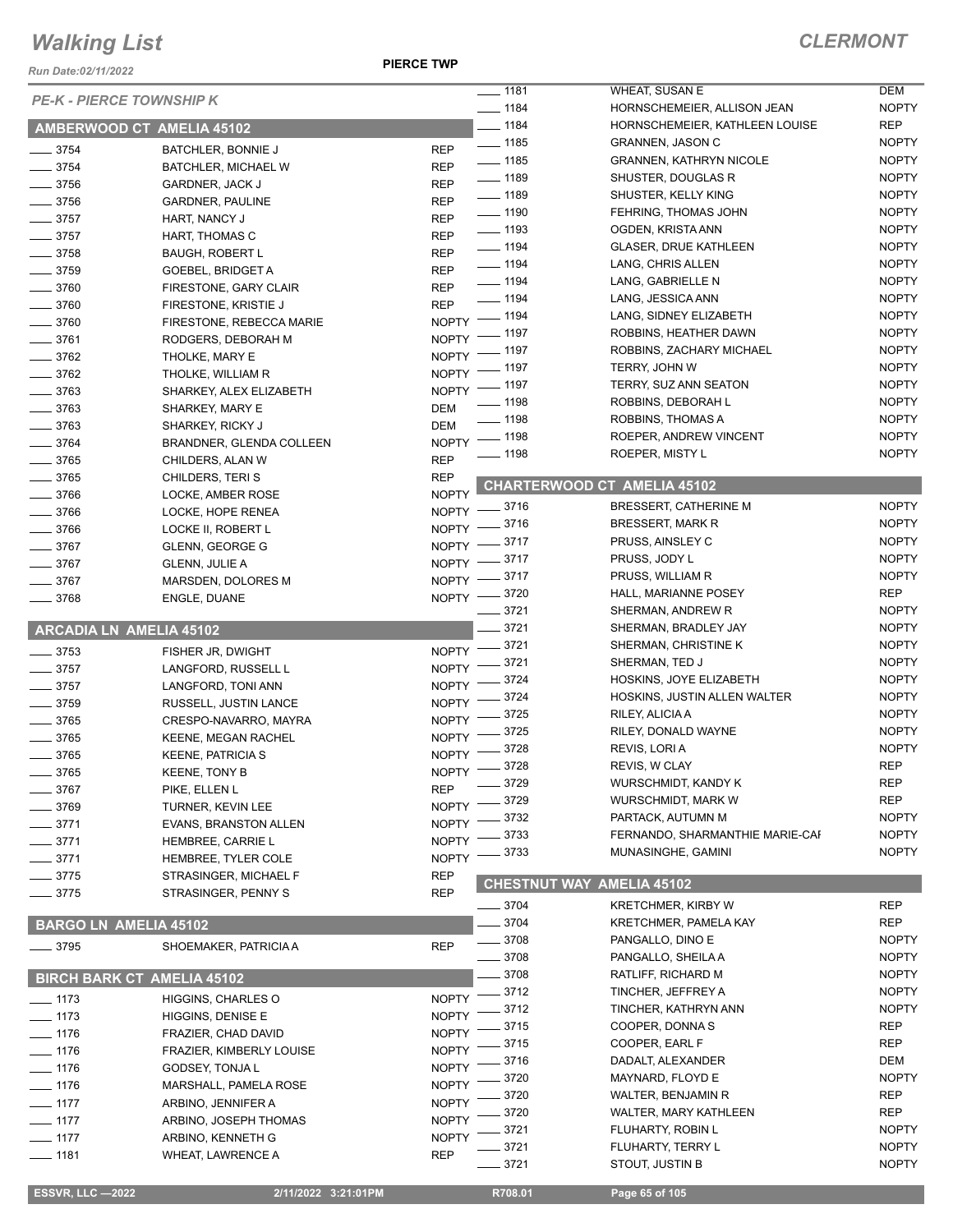*Run Date:02/11/2022*

|                                          |                                                     |                              | $- 1181$            | WHEAT, SUSAN E                     | <b>DEM</b>   |
|------------------------------------------|-----------------------------------------------------|------------------------------|---------------------|------------------------------------|--------------|
| <b>PE-K - PIERCE TOWNSHIP K</b>          |                                                     |                              | $- 1184$            | HORNSCHEMEIER, ALLISON JEAN        | <b>NOPTY</b> |
| AMBERWOOD CT AMELIA 45102                |                                                     |                              | $- 1184$            | HORNSCHEMEIER, KATHLEEN LOUISE     | <b>REP</b>   |
|                                          |                                                     |                              | $- 1185$            | <b>GRANNEN, JASON C</b>            | <b>NOPTY</b> |
| $- 3754$                                 | BATCHLER, BONNIE J                                  | <b>REP</b><br><b>REP</b>     | $- 1185$            | <b>GRANNEN, KATHRYN NICOLE</b>     | <b>NOPTY</b> |
| $\frac{1}{2}$ 3754<br>$\frac{1}{2}$ 3756 | BATCHLER, MICHAEL W                                 | <b>REP</b>                   | $- 1189$            | SHUSTER, DOUGLAS R                 | <b>NOPTY</b> |
| $\frac{1}{2}$ 3756                       | GARDNER, JACK J                                     | <b>REP</b>                   | $- 1189$            | SHUSTER, KELLY KING                | <b>NOPTY</b> |
|                                          | <b>GARDNER, PAULINE</b>                             |                              | $\frac{1}{2}$ 1190  | FEHRING, THOMAS JOHN               | <b>NOPTY</b> |
| $\frac{1}{2}$ 3757                       | HART, NANCY J                                       | <b>REP</b>                   | $\frac{1}{2}$ 1193  | OGDEN, KRISTA ANN                  | <b>NOPTY</b> |
| $\frac{1}{2}$ 3757<br>$- 3758$           | HART, THOMAS C                                      | <b>REP</b><br><b>REP</b>     | $- 1194$            | <b>GLASER, DRUE KATHLEEN</b>       | <b>NOPTY</b> |
| $- 3759$                                 | <b>BAUGH, ROBERT L</b>                              | <b>REP</b>                   | $- 1194$            | LANG, CHRIS ALLEN                  | <b>NOPTY</b> |
| $- 3760$                                 | <b>GOEBEL, BRIDGET A</b>                            | <b>REP</b>                   | $\frac{1}{2}$ 1194  | LANG, GABRIELLE N                  | <b>NOPTY</b> |
| $- 3760$                                 | FIRESTONE, GARY CLAIR                               | <b>REP</b>                   | $\frac{1}{2}$ 1194  | LANG, JESSICA ANN                  | <b>NOPTY</b> |
| $\frac{1}{2}$ 3760                       | FIRESTONE, KRISTIE J                                |                              | NOPTY - 1194        | LANG, SIDNEY ELIZABETH             | <b>NOPTY</b> |
| $- 3761$                                 | FIRESTONE, REBECCA MARIE<br>RODGERS, DEBORAH M      |                              | NOPTY - 1197        | ROBBINS, HEATHER DAWN              | <b>NOPTY</b> |
| $- 3762$                                 | THOLKE, MARY E                                      |                              | NOPTY - 1197        | ROBBINS, ZACHARY MICHAEL           | <b>NOPTY</b> |
| $- 3762$                                 | THOLKE, WILLIAM R                                   |                              | NOPTY - 1197        | TERRY, JOHN W                      | <b>NOPTY</b> |
| $- 3763$                                 | SHARKEY, ALEX ELIZABETH                             |                              | NOPTY - 1197        | TERRY, SUZ ANN SEATON              | <b>NOPTY</b> |
| $\frac{1}{2}$ 3763                       |                                                     | <b>DEM</b>                   | $- 1198$            | ROBBINS, DEBORAH L                 | <b>NOPTY</b> |
| $- 3763$                                 | SHARKEY, MARY E<br>SHARKEY, RICKY J                 | <b>DEM</b>                   | $- 1198$            | ROBBINS, THOMAS A                  | <b>NOPTY</b> |
| $\frac{1}{2}$ 3764                       | BRANDNER, GLENDA COLLEEN                            |                              | NOPTY - 1198        | ROEPER, ANDREW VINCENT             | <b>NOPTY</b> |
| $- 3765$                                 | CHILDERS, ALAN W                                    | <b>REP</b>                   | $- 1198$            | ROEPER, MISTY L                    | <b>NOPTY</b> |
| $- 3765$                                 | CHILDERS, TERIS                                     | <b>REP</b>                   |                     |                                    |              |
| $- 3766$                                 |                                                     | <b>NOPTY</b>                 |                     | <b>CHARTERWOOD CT AMELIA 45102</b> |              |
| $- 3766$                                 | LOCKE, AMBER ROSE<br>LOCKE, HOPE RENEA              | $NOPTY =$                    | $=$ 3716            | BRESSERT, CATHERINE M              | <b>NOPTY</b> |
| $- 3766$                                 |                                                     | NOPTY $-$                    | _ 3716              | <b>BRESSERT, MARK R</b>            | <b>NOPTY</b> |
| $- 3767$                                 | LOCKE II, ROBERT L<br><b>GLENN, GEORGE G</b>        | $NOPTY$ -                    | _ 3717              | PRUSS, AINSLEY C                   | <b>NOPTY</b> |
| $- 3767$                                 |                                                     | $NOPTY =$                    | _ 3717              | PRUSS, JODY L                      | <b>NOPTY</b> |
| $- 3767$                                 | <b>GLENN, JULIE A</b><br>MARSDEN, DOLORES M         |                              | NOPTY -8717         | PRUSS, WILLIAM R                   | <b>NOPTY</b> |
| $- 3768$                                 | ENGLE, DUANE                                        |                              | NOPTY -8720         | HALL, MARIANNE POSEY               | <b>REP</b>   |
|                                          |                                                     |                              | $\frac{1}{2}$ 3721  | SHERMAN, ANDREW R                  | <b>NOPTY</b> |
| ARCADIA LN AMELIA 45102                  |                                                     |                              | $-3721$             | SHERMAN, BRADLEY JAY               | <b>NOPTY</b> |
|                                          |                                                     | <b>NOPTY</b>                 | $-3721$             | SHERMAN, CHRISTINE K               | <b>NOPTY</b> |
| $\frac{1}{2}$ 3753                       | FISHER JR, DWIGHT                                   | <b>NOPTY</b>                 | - 3721              | SHERMAN, TED J                     | <b>NOPTY</b> |
| $\frac{1}{2}$ 3757<br>$\frac{1}{2}$ 3757 | LANGFORD, RUSSELL L                                 | <b>NOPTY</b>                 | 3724                | HOSKINS, JOYE ELIZABETH            | <b>NOPTY</b> |
|                                          | LANGFORD, TONI ANN                                  | NOPTY <sup>-</sup>           | 3724                | HOSKINS, JUSTIN ALLEN WALTER       | <b>NOPTY</b> |
| $\frac{1}{2}$ 3759<br>$- 3765$           | RUSSELL, JUSTIN LANCE                               | $NOPTY$ -                    | 3725                | RILEY, ALICIA A                    | <b>NOPTY</b> |
| $- 3765$                                 | CRESPO-NAVARRO, MAYRA<br><b>KEENE, MEGAN RACHEL</b> | <b>NOPTY</b>                 | 3725                | RILEY, DONALD WAYNE                | <b>NOPTY</b> |
| $- 3765$                                 | <b>KEENE, PATRICIA S</b>                            | <b>NOPTY</b>                 | 3728                | REVIS, LORIA                       | <b>NOPTY</b> |
| 3765                                     |                                                     | NOPTY -                      | $-3728$             | REVIS, W CLAY                      | <b>REP</b>   |
| $= 3767$                                 | KEENE, TONY B                                       | <b>REP</b>                   | 3729                | <b>WURSCHMIDT, KANDY K</b>         | <b>REP</b>   |
| 3769                                     | PIKE, ELLEN L<br>TURNER, KEVIN LEE                  | <b>NOPTY</b>                 | 3729                | WURSCHMIDT, MARK W                 | <b>REP</b>   |
| 3771                                     | <b>EVANS, BRANSTON ALLEN</b>                        | <b>NOPTY</b>                 | 3732                | PARTACK, AUTUMN M                  | <b>NOPTY</b> |
| 3771                                     |                                                     | <b>NOPTY</b>                 | 3733                | FERNANDO, SHARMANTHIE MARIE-CAF    | <b>NOPTY</b> |
|                                          | HEMBREE, CARRIE L                                   | <b>NOPTY</b>                 | 3733                | MUNASINGHE, GAMINI                 | <b>NOPTY</b> |
| 3771<br>3775                             | HEMBREE, TYLER COLE                                 | <b>REP</b>                   |                     |                                    |              |
| $-3775$                                  | STRASINGER, MICHAEL F<br>STRASINGER, PENNY S        | <b>REP</b>                   | <b>CHESTNUT WAY</b> | <b>AMELIA 45102</b>                |              |
|                                          |                                                     |                              | $-3704$             | <b>KRETCHMER, KIRBY W</b>          | <b>REP</b>   |
| <b>BARGO LN AMELIA 45102</b>             |                                                     |                              | 3704                | <b>KRETCHMER, PAMELA KAY</b>       | <b>REP</b>   |
|                                          |                                                     |                              | $- 3708$            | PANGALLO, DINO E                   | <b>NOPTY</b> |
| $\frac{1}{2}$ 3795                       | SHOEMAKER, PATRICIA A                               | <b>REP</b>                   | 3708                | PANGALLO, SHEILA A                 | <b>NOPTY</b> |
| <b>BIRCH BARK CT AMELIA 45102</b>        |                                                     |                              | 3708                | RATLIFF, RICHARD M                 | <b>NOPTY</b> |
|                                          |                                                     |                              | 3712                | TINCHER, JEFFREY A                 | <b>NOPTY</b> |
| $- 1173$                                 | HIGGINS, CHARLES O                                  | <b>NOPTY</b>                 | 3712                | TINCHER, KATHRYN ANN               | <b>NOPTY</b> |
| $- 1173$                                 | HIGGINS, DENISE E                                   | <b>NOPTY</b>                 | 3715                | COOPER, DONNA S                    | <b>REP</b>   |
| $- 1176$                                 | FRAZIER, CHAD DAVID                                 | <b>NOPTY</b>                 | 3715                | COOPER, EARL F                     | <b>REP</b>   |
| $- 1176$                                 | <b>FRAZIER, KIMBERLY LOUISE</b>                     | <b>NOPTY</b>                 | 3716                | DADALT, ALEXANDER                  | <b>DEM</b>   |
| $- 1176$                                 | <b>GODSEY, TONJA L</b>                              | <b>NOPTY</b>                 | 3720                | MAYNARD, FLOYD E                   | <b>NOPTY</b> |
| $- 1176$                                 | MARSHALL, PAMELA ROSE                               | <b>NOPTY</b>                 | 3720                | WALTER, BENJAMIN R                 | <b>REP</b>   |
| $-1177$                                  | ARBINO, JENNIFER A                                  | <b>NOPTY</b>                 | 3720                | <b>WALTER, MARY KATHLEEN</b>       | <b>REP</b>   |
| $-1177$<br>$- 1177$                      | ARBINO, JOSEPH THOMAS<br>ARBINO, KENNETH G          | <b>NOPTY</b><br><b>NOPTY</b> | 3721                | FLUHARTY, ROBIN L                  | <b>NOPTY</b> |
| $- 1181$                                 | <b>WHEAT, LAWRENCE A</b>                            | <b>REP</b>                   | 3721                | FLUHARTY, TERRY L                  | <b>NOPTY</b> |
|                                          |                                                     |                              | - 3721              | STOUT, JUSTIN B                    | <b>NOPTY</b> |
|                                          |                                                     |                              |                     |                                    |              |
| <b>ESSVR, LLC -2022</b>                  | 2/11/2022 3:21:01PM                                 |                              | R708.01             | Page 65 of 105                     |              |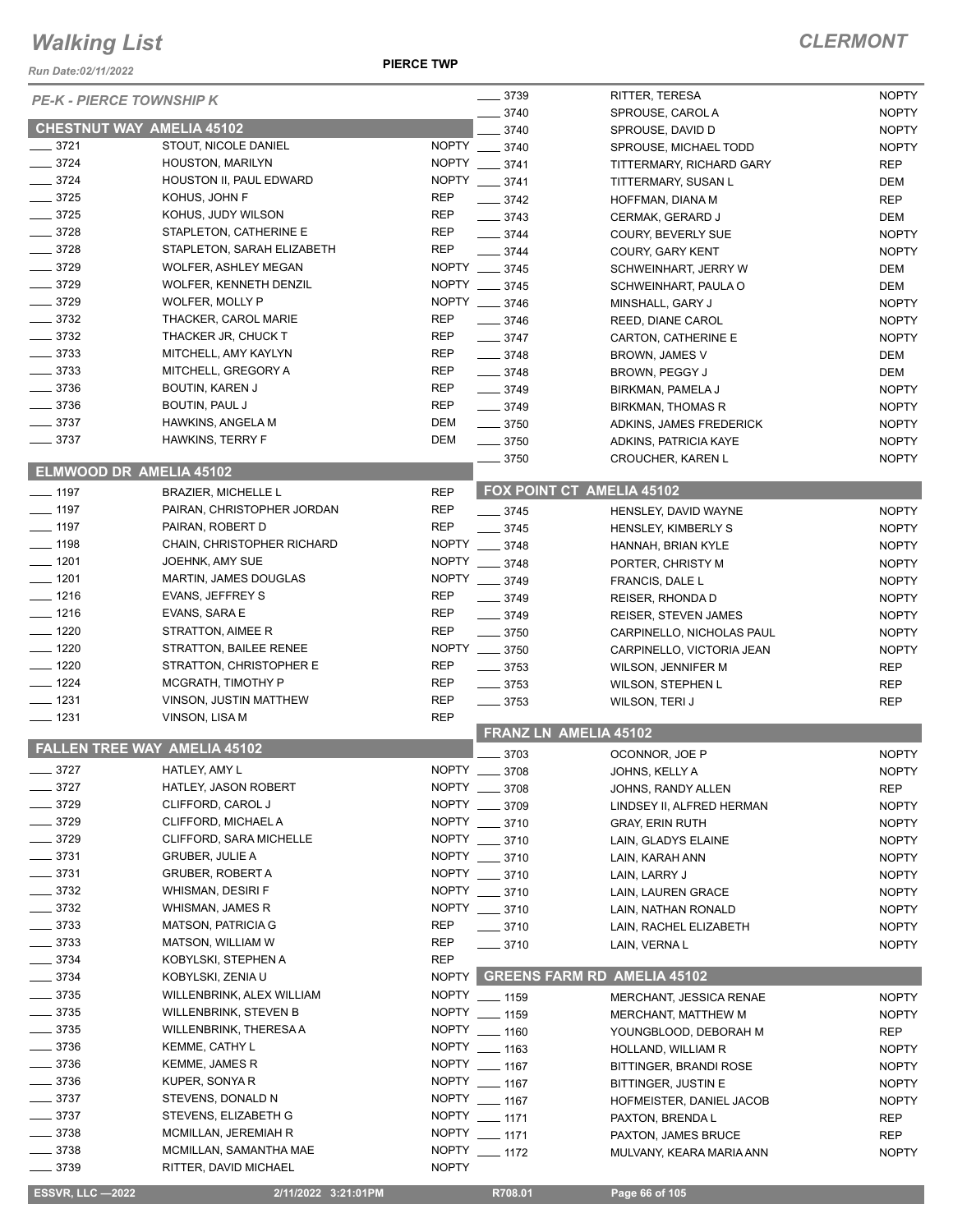*Run Date:02/11/2022*

**PIERCE TWP**

| <b>PE-K - PIERCE TOWNSHIP K</b>     |                               |              | $- 3739$           | RITTER, TERESA                     | <b>NOPTY</b> |
|-------------------------------------|-------------------------------|--------------|--------------------|------------------------------------|--------------|
|                                     |                               |              | $-3740$            | SPROUSE, CAROL A                   | <b>NOPTY</b> |
| <b>CHESTNUT WAY AMELIA 45102</b>    |                               |              | 3740               | SPROUSE, DAVID D                   | <b>NOPTY</b> |
| $\frac{3721}{2}$                    | STOUT, NICOLE DANIEL          |              | NOPTY __ 3740      | SPROUSE, MICHAEL TODD              | <b>NOPTY</b> |
| $-3724$                             | HOUSTON, MARILYN              |              | NOPTY __ 3741      | TITTERMARY, RICHARD GARY           | <b>REP</b>   |
| $-3724$                             | HOUSTON II, PAUL EDWARD       |              | NOPTY __ 3741      | TITTERMARY, SUSAN L                | DEM          |
| $-3725$                             | KOHUS, JOHN F                 | <b>REP</b>   | $\frac{1}{2}$ 3742 | HOFFMAN, DIANA M                   | <b>REP</b>   |
| $-3725$                             | KOHUS, JUDY WILSON            | REP          | $- 3743$           |                                    | DEM          |
| $\equiv$ 3728                       | STAPLETON, CATHERINE E        | <b>REP</b>   |                    | CERMAK, GERARD J                   |              |
|                                     |                               |              | $- 3744$           | COURY, BEVERLY SUE                 | <b>NOPTY</b> |
| $- 3728$                            | STAPLETON, SARAH ELIZABETH    | <b>REP</b>   | $- 3744$           | <b>COURY, GARY KENT</b>            | <b>NOPTY</b> |
| $-3729$                             | <b>WOLFER, ASHLEY MEGAN</b>   |              | NOPTY __ 3745      | SCHWEINHART, JERRY W               | DEM          |
| $- 3729$                            | WOLFER, KENNETH DENZIL        |              | NOPTY __ 3745      | SCHWEINHART, PAULA O               | DEM          |
| $- 3729$                            | WOLFER, MOLLY P               |              | NOPTY __ 3746      | MINSHALL, GARY J                   | <b>NOPTY</b> |
| $\frac{1}{2}$ 3732                  | THACKER, CAROL MARIE          | <b>REP</b>   | $\frac{1}{2}$ 3746 | REED, DIANE CAROL                  | <b>NOPTY</b> |
| $\frac{1}{2}$ 3732                  | THACKER JR, CHUCK T           | <b>REP</b>   | $- 3747$           | CARTON, CATHERINE E                | <b>NOPTY</b> |
| $- 3733$                            | MITCHELL, AMY KAYLYN          | <b>REP</b>   | $- 3748$           | BROWN, JAMES V                     | DEM          |
| $- 3733$                            | MITCHELL, GREGORY A           | <b>REP</b>   | $- 3748$           | BROWN, PEGGY J                     | <b>DEM</b>   |
| 3736                                | BOUTIN, KAREN J               | <b>REP</b>   | $- 3749$           | BIRKMAN, PAMELA J                  | <b>NOPTY</b> |
| 3736                                | BOUTIN, PAUL J                | <b>REP</b>   | $- 3749$           | <b>BIRKMAN, THOMAS R</b>           | <b>NOPTY</b> |
| $-3737$                             | <b>HAWKINS, ANGELA M</b>      | DEM          | $- 3750$           |                                    | <b>NOPTY</b> |
| $-3737$                             |                               | DEM          |                    | ADKINS, JAMES FREDERICK            |              |
|                                     | <b>HAWKINS, TERRY F</b>       |              | $- 3750$           | ADKINS, PATRICIA KAYE              | <b>NOPTY</b> |
| ELMWOOD DR AMELIA 45102             |                               |              | $\frac{1}{2}$ 3750 | CROUCHER, KAREN L                  | <b>NOPTY</b> |
|                                     |                               |              |                    | <b>FOX POINT CT AMELIA 45102</b>   |              |
| $\frac{1}{2}$ 1197                  | <b>BRAZIER, MICHELLE L</b>    | <b>REP</b>   |                    |                                    |              |
| $\frac{1}{2}$ 1197                  | PAIRAN, CHRISTOPHER JORDAN    | <b>REP</b>   | $- 3745$           | HENSLEY, DAVID WAYNE               | <b>NOPTY</b> |
| $- 1197$                            | PAIRAN, ROBERT D              | <b>REP</b>   | $- 3745$           | HENSLEY, KIMBERLY S                | <b>NOPTY</b> |
| $- 1198$                            | CHAIN, CHRISTOPHER RICHARD    |              | NOPTY __ 3748      | HANNAH, BRIAN KYLE                 | <b>NOPTY</b> |
| $- 1201$                            | JOEHNK, AMY SUE               |              | NOPTY __ 3748      | PORTER, CHRISTY M                  | <b>NOPTY</b> |
| $\frac{1}{2}$ 1201                  | <b>MARTIN, JAMES DOUGLAS</b>  |              | NOPTY __ 3749      | FRANCIS, DALE L                    | <b>NOPTY</b> |
| $- 1216$                            | EVANS, JEFFREY S              | <b>REP</b>   | $- 3749$           | REISER, RHONDA D                   | <b>NOPTY</b> |
| $- 1216$                            | EVANS, SARA E                 | <b>REP</b>   | $- 3749$           | <b>REISER, STEVEN JAMES</b>        | <b>NOPTY</b> |
| $-1220$                             | STRATTON, AIMEE R             | <b>REP</b>   | $\frac{1}{2}$ 3750 | CARPINELLO, NICHOLAS PAUL          | <b>NOPTY</b> |
| $-1220$                             | STRATTON, BAILEE RENEE        |              | NOPTY __ 3750      | CARPINELLO, VICTORIA JEAN          | <b>NOPTY</b> |
| $-1220$                             | STRATTON, CHRISTOPHER E       | <b>REP</b>   | $- 3753$           | WILSON, JENNIFER M                 | <b>REP</b>   |
| $- 1224$                            | MCGRATH, TIMOTHY P            | <b>REP</b>   | $\frac{1}{2}$ 3753 |                                    |              |
| $- 1231$                            | VINSON, JUSTIN MATTHEW        | <b>REP</b>   |                    | <b>WILSON, STEPHEN L</b>           | <b>REP</b>   |
| $\frac{1}{2}$ 1231                  |                               | <b>REP</b>   | $\frac{1}{2}$ 3753 | WILSON, TERI J                     | <b>REP</b>   |
|                                     | VINSON, LISA M                |              |                    | FRANZ LN AMELIA 45102              |              |
| <b>FALLEN TREE WAY AMELIA 45102</b> |                               |              |                    |                                    |              |
|                                     | HATLEY, AMY L                 | <b>NOPTY</b> | 3703               | OCONNOR, JOE P                     | <b>NOPTY</b> |
| $- 3727$                            |                               |              | 3708               | JOHNS, KELLY A                     | <b>NOPTY</b> |
| - 3727                              | HATLEY, JASON ROBERT          |              | NOPTY __ 3708      | JOHNS, RANDY ALLEN                 | <b>REP</b>   |
| 3729                                | CLIFFORD, CAROL J             |              | NOPTY __ 3709      | LINDSEY II, ALFRED HERMAN          | <b>NOPTY</b> |
| $-3729$                             | CLIFFORD, MICHAEL A           |              | NOPTY __ 3710      | <b>GRAY, ERIN RUTH</b>             | <b>NOPTY</b> |
| $-3729$                             | CLIFFORD, SARA MICHELLE       |              | NOPTY __ 3710      | LAIN, GLADYS ELAINE                | <b>NOPTY</b> |
| $\frac{1}{2}$ 3731                  | <b>GRUBER, JULIE A</b>        |              | NOPTY __ 3710      | LAIN, KARAH ANN                    | <b>NOPTY</b> |
| $-3731$                             | <b>GRUBER, ROBERT A</b>       |              | NOPTY __ 3710      | LAIN, LARRY J                      | <b>NOPTY</b> |
| $\frac{1}{2}$ 3732                  | WHISMAN, DESIRI F             |              | NOPTY __ 3710      | LAIN, LAUREN GRACE                 | <b>NOPTY</b> |
| $-3732$                             | WHISMAN, JAMES R              |              | NOPTY __ 3710      | LAIN, NATHAN RONALD                | <b>NOPTY</b> |
| $\frac{1}{2}$ 3733                  | <b>MATSON, PATRICIA G</b>     | <b>REP</b>   | $- 3710$           | LAIN, RACHEL ELIZABETH             | <b>NOPTY</b> |
| $- 3733$                            | MATSON, WILLIAM W             | <b>REP</b>   | $- 3710$           | LAIN, VERNA L                      | <b>NOPTY</b> |
| $\frac{1}{2}$ 3734                  | KOBYLSKI, STEPHEN A           | <b>REP</b>   |                    |                                    |              |
| $- 3734$                            |                               | NOPTY        |                    | <b>GREENS FARM RD AMELIA 45102</b> |              |
|                                     | KOBYLSKI, ZENIA U             |              |                    |                                    |              |
| $= 3735$                            | WILLENBRINK, ALEX WILLIAM     |              | NOPTY __ 1159      | MERCHANT, JESSICA RENAE            | <b>NOPTY</b> |
| _ 3735                              | <b>WILLENBRINK, STEVEN B</b>  |              | NOPTY __ 1159      | MERCHANT, MATTHEW M                | <b>NOPTY</b> |
| $-3735$                             | <b>WILLENBRINK, THERESA A</b> | <b>NOPTY</b> | $-1160$            | YOUNGBLOOD, DEBORAH M              | REP          |
| $-3736$                             | <b>KEMME, CATHY L</b>         | <b>NOPTY</b> | $- 1163$           | HOLLAND, WILLIAM R                 | <b>NOPTY</b> |
| $- 3736$                            | <b>KEMME, JAMES R</b>         |              | NOPTY __ 1167      | BITTINGER, BRANDI ROSE             | <b>NOPTY</b> |
| $-3736$                             | KUPER, SONYA R                |              | NOPTY __ 1167      | BITTINGER, JUSTIN E                | <b>NOPTY</b> |
| $\frac{1}{2}$ 3737                  | STEVENS, DONALD N             |              | NOPTY __ 1167      | HOFMEISTER, DANIEL JACOB           | <b>NOPTY</b> |
| $\sim$ 3737                         | STEVENS, ELIZABETH G          | <b>NOPTY</b> | $- 1171$           | PAXTON, BRENDA L                   | REP          |
| $-3738$                             | MCMILLAN, JEREMIAH R          | <b>NOPTY</b> | $- 1171$           | PAXTON, JAMES BRUCE                | <b>REP</b>   |
| $- 3738$                            | MCMILLAN, SAMANTHA MAE        | <b>NOPTY</b> | $-1172$            |                                    | <b>NOPTY</b> |
| $-3739$                             | RITTER, DAVID MICHAEL         | <b>NOPTY</b> |                    | MULVANY, KEARA MARIA ANN           |              |
|                                     |                               |              |                    |                                    |              |
| <b>ESSVR, LLC-2022</b>              | 2/11/2022 3:21:01PM           |              | R708.01            | Page 66 of 105                     |              |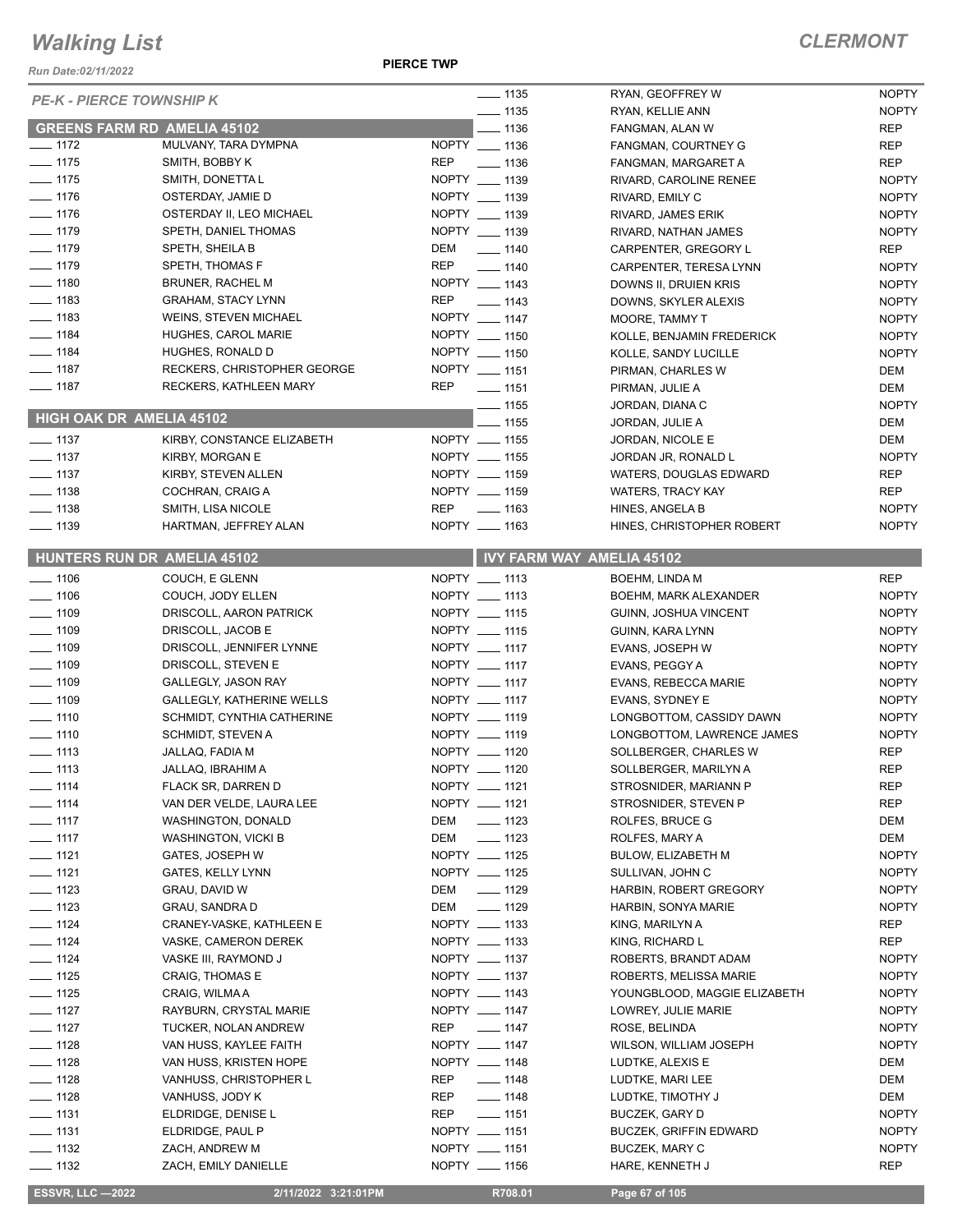*Run Date:02/11/2022*

**PIERCE TWP**

### *CLERMONT*

| <b>PE-K - PIERCE TOWNSHIP K</b> |                                    | $\frac{1}{2}$ 1135        | RYAN, GEOFFREY W                 | <b>NOPTY</b> |
|---------------------------------|------------------------------------|---------------------------|----------------------------------|--------------|
|                                 |                                    | $- 1135$                  | RYAN, KELLIE ANN                 | <b>NOPTY</b> |
|                                 | <b>GREENS FARM RD AMELIA 45102</b> | $- 1136$                  | FANGMAN, ALAN W                  | <b>REP</b>   |
| $- 1172$                        | MULVANY, TARA DYMPNA               | NOPTY __ 1136             | FANGMAN, COURTNEY G              | <b>REP</b>   |
| $- 1175$                        | SMITH, BOBBY K                     | REP<br>$\frac{1}{2}$ 1136 | FANGMAN, MARGARET A              | <b>REP</b>   |
| $\frac{1}{2}$ 1175              | SMITH, DONETTA L                   | NOPTY __ 1139             | RIVARD, CAROLINE RENEE           | <b>NOPTY</b> |
| $- 1176$                        | OSTERDAY, JAMIE D                  | NOPTY __ 1139             | RIVARD, EMILY C                  | <b>NOPTY</b> |
| $- 1176$                        | OSTERDAY II, LEO MICHAEL           | NOPTY __ 1139             | RIVARD, JAMES ERIK               | <b>NOPTY</b> |
| $- 1179$                        | SPETH, DANIEL THOMAS               | NOPTY __ 1139             | RIVARD, NATHAN JAMES             | <b>NOPTY</b> |
| $- 1179$                        | SPETH, SHEILA B                    | DEM<br>$- 1140$           | CARPENTER, GREGORY L             | <b>REP</b>   |
| $- 1179$                        | SPETH, THOMAS F                    | REP<br>$- 1140$           | CARPENTER, TERESA LYNN           | <b>NOPTY</b> |
| $- 1180$                        | <b>BRUNER, RACHEL M</b>            | NOPTY __ 1143             | DOWNS II, DRUIEN KRIS            | <b>NOPTY</b> |
| $- 1183$                        | <b>GRAHAM, STACY LYNN</b>          | REP<br>$- 1143$           | DOWNS, SKYLER ALEXIS             | <b>NOPTY</b> |
| $\equiv$ 1183                   | <b>WEINS, STEVEN MICHAEL</b>       | NOPTY __ 1147             | <b>MOORE, TAMMY T</b>            | <b>NOPTY</b> |
| $- 1184$                        | HUGHES, CAROL MARIE                | NOPTY __ 1150             | KOLLE, BENJAMIN FREDERICK        | <b>NOPTY</b> |
| $- 1184$                        | HUGHES, RONALD D                   | NOPTY __ 1150             | KOLLE, SANDY LUCILLE             | <b>NOPTY</b> |
| $- 1187$                        | RECKERS, CHRISTOPHER GEORGE        | NOPTY __ 1151             | PIRMAN, CHARLES W                | DEM          |
| $- 1187$                        | RECKERS, KATHLEEN MARY             | <b>REP</b><br>$- 1151$    | PIRMAN, JULIE A                  | DEM          |
|                                 | HIGH OAK DR AMELIA 45102           | $- 1155$                  | JORDAN, DIANA C                  | <b>NOPTY</b> |
|                                 |                                    | $-1155$                   | JORDAN, JULIE A                  | DEM          |
| $\frac{1}{2}$ 1137              | KIRBY, CONSTANCE ELIZABETH         | NOPTY __ 1155             | JORDAN, NICOLE E                 | <b>DEM</b>   |
| $- 1137$                        | KIRBY, MORGAN E                    | NOPTY __ 1155             | JORDAN JR, RONALD L              | <b>NOPTY</b> |
| $\frac{1}{2}$ 1137              | KIRBY, STEVEN ALLEN                | NOPTY __ 1159             | WATERS, DOUGLAS EDWARD           | <b>REP</b>   |
| $\frac{1}{2}$ 1138              | COCHRAN, CRAIG A                   | NOPTY __ 1159             | <b>WATERS, TRACY KAY</b>         | <b>REP</b>   |
| $- 1138$                        | SMITH, LISA NICOLE                 | REP<br>$\equiv$ 1163      | HINES, ANGELA B                  | <b>NOPTY</b> |
| $\frac{1}{2}$ 1139              | HARTMAN, JEFFREY ALAN              | NOPTY __ 1163             | HINES, CHRISTOPHER ROBERT        | <b>NOPTY</b> |
|                                 | HUNTERS RUN DR AMELIA 45102        |                           | <b>IVY FARM WAY AMELIA 45102</b> |              |
| $- 1106$                        | COUCH, E GLENN                     | NOPTY __ 1113             | <b>BOEHM, LINDA M</b>            | <b>REP</b>   |
| $\frac{1}{2}$ 1106              | COUCH, JODY ELLEN                  | NOPTY __ 1113             | BOEHM, MARK ALEXANDER            | <b>NOPTY</b> |
| $\frac{1}{2}$ 1109              | DRISCOLL, AARON PATRICK            | NOPTY __ 1115             | GUINN, JOSHUA VINCENT            | <b>NOPTY</b> |
| $\frac{1}{2}$ 1109              | DRISCOLL, JACOB E                  | NOPTY __ 1115             | GUINN, KARA LYNN                 | <b>NOPTY</b> |
| $- 1109$                        | DRISCOLL, JENNIFER LYNNE           | NOPTY __ 1117             | EVANS, JOSEPH W                  | <b>NOPTY</b> |
| $- 1109$                        | DRISCOLL, STEVEN E                 | NOPTY __ 1117             | EVANS, PEGGY A                   | <b>NOPTY</b> |
| $- 1109$                        | <b>GALLEGLY, JASON RAY</b>         | NOPTY __ 1117             | EVANS, REBECCA MARIE             | <b>NOPTY</b> |
| $- 1109$                        | <b>GALLEGLY, KATHERINE WELLS</b>   | NOPTY __ 1117             | EVANS, SYDNEY E                  | <b>NOPTY</b> |
| $- 1110$                        | SCHMIDT, CYNTHIA CATHERINE         | NOPTY __ 1119             | LONGBOTTOM, CASSIDY DAWN         | <b>NOPTY</b> |
| $- 1110$                        | <b>SCHMIDT, STEVEN A</b>           | NOPTY __ 1119             | LONGBOTTOM, LAWRENCE JAMES       | <b>NOPTY</b> |
| $\frac{1}{2}$ 1113              | JALLAQ, FADIA M                    | NOPTY __ 1120             | SOLLBERGER, CHARLES W            | <b>REP</b>   |
| $\frac{1}{113}$                 | JALLAQ, IBRAHIM A                  | NOPTY __ 1120             | SOLLBERGER, MARILYN A            | <b>REP</b>   |
| $- 1114$                        | FLACK SR, DARREN D                 | NOPTY __ 1121             | STROSNIDER, MARIANN P            | <b>REP</b>   |
| $- 1114$                        | VAN DER VELDE, LAURA LEE           | NOPTY __ 1121             | STROSNIDER, STEVEN P             | <b>REP</b>   |
| $- 1117$                        | WASHINGTON, DONALD                 | $\frac{1}{2}$ 1123<br>DEM | ROLFES, BRUCE G                  | DEM          |
| $\frac{1}{2}$ 1117              | WASHINGTON, VICKI B                | $\frac{1}{2}$ 1123<br>DEM | ROLFES, MARY A                   | DEM          |
| $- 1121$                        | GATES, JOSEPH W                    | NOPTY __ 1125             | BULOW, ELIZABETH M               | <b>NOPTY</b> |
| $- 1121$                        | <b>GATES, KELLY LYNN</b>           | NOPTY __ 1125             | SULLIVAN, JOHN C                 | <b>NOPTY</b> |
| $\frac{1}{2}$ 1123              | GRAU, DAVID W                      | DEM<br>$- 1129$           | HARBIN, ROBERT GREGORY           | <b>NOPTY</b> |
| $- 1123$                        | <b>GRAU, SANDRA D</b>              | DEM<br>$- 1129$           | HARBIN, SONYA MARIE              | <b>NOPTY</b> |
| $- 1124$                        | CRANEY-VASKE, KATHLEEN E           | NOPTY __ 1133             | KING, MARILYN A                  | REP          |
| $- 1124$                        | VASKE, CAMERON DEREK               | NOPTY __ 1133             | KING, RICHARD L                  | <b>REP</b>   |
| $\frac{1}{2}$ 1124              | VASKE III, RAYMOND J               | NOPTY __ 1137             | ROBERTS, BRANDT ADAM             | <b>NOPTY</b> |
| $- 1125$                        | CRAIG, THOMAS E                    | NOPTY __ 1137             | ROBERTS, MELISSA MARIE           | <b>NOPTY</b> |
| $- 1125$                        | CRAIG, WILMAA                      | NOPTY __ 1143             | YOUNGBLOOD, MAGGIE ELIZABETH     | <b>NOPTY</b> |
| $- 1127$                        | RAYBURN, CRYSTAL MARIE             | NOPTY __ 1147             | LOWREY, JULIE MARIE              | <b>NOPTY</b> |
| $- 1127$                        | TUCKER, NOLAN ANDREW               | REP<br>$\frac{1}{2}$ 1147 | ROSE, BELINDA                    | <b>NOPTY</b> |
| $- 1128$                        | VAN HUSS, KAYLEE FAITH             | NOPTY __ 1147             | WILSON, WILLIAM JOSEPH           | <b>NOPTY</b> |
| $- 1128$                        | VAN HUSS, KRISTEN HOPE             | NOPTY __ 1148             | LUDTKE, ALEXIS E                 | DEM          |
| $- 1128$                        | VANHUSS, CHRISTOPHER L             | $- 1148$<br>REP           | LUDTKE, MARI LEE                 | DEM          |
| $- 1128$                        | VANHUSS, JODY K                    | REP<br>$\frac{1}{2}$ 1148 | LUDTKE, TIMOTHY J                | DEM          |
| $\frac{1}{2}$ 1131              | ELDRIDGE, DENISE L                 | REP<br>$- 1151$           | BUCZEK, GARY D                   | <b>NOPTY</b> |
| $\frac{1}{2}$ 1131              | ELDRIDGE, PAUL P                   | NOPTY __ 1151             | <b>BUCZEK, GRIFFIN EDWARD</b>    | <b>NOPTY</b> |
| $\frac{1}{2}$ 1132              | ZACH, ANDREW M                     | NOPTY __ 1151             | BUCZEK, MARY C                   | <b>NOPTY</b> |
| $- 1132$                        | ZACH, EMILY DANIELLE               | NOPTY __ 1156             | HARE, KENNETH J                  | <b>REP</b>   |
|                                 |                                    |                           |                                  |              |

 **ESSVR, LLC —2022 2/11/2022 3:21:01PM R708.01 Page 67 of 105**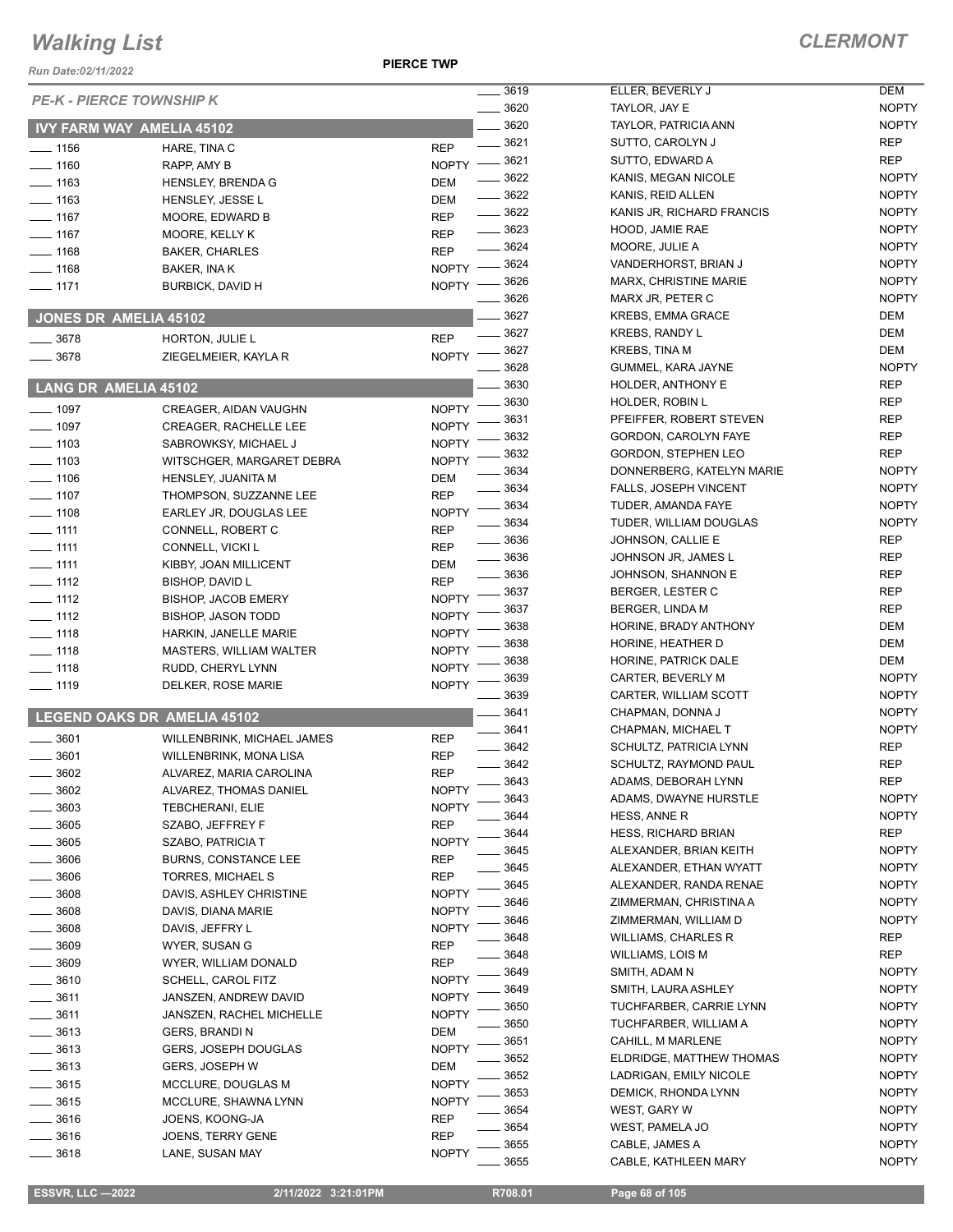**PIERCE TWP**

### *CLERMONT*

| Run Date:02/11/2022          |                                              | ויים בטוחות                          |                                                 |                          |
|------------------------------|----------------------------------------------|--------------------------------------|-------------------------------------------------|--------------------------|
|                              | <b>PE-K - PIERCE TOWNSHIP K</b>              | 3619                                 | ELLER, BEVERLY J                                | <b>DEM</b>               |
|                              |                                              | 3620                                 | TAYLOR, JAY E                                   | <b>NOP</b>               |
|                              | <b>IVY FARM WAY AMELIA 45102</b>             | 3620                                 | TAYLOR, PATRICIA ANN                            | <b>NOP</b>               |
| $- 1156$                     | HARE, TINA C                                 | 3621<br><b>REP</b>                   | SUTTO, CAROLYN J                                | <b>REP</b><br><b>REP</b> |
| $- 1160$                     | RAPP, AMY B                                  | NOPTY -8621<br>$-3622$               | SUTTO, EDWARD A<br>KANIS, MEGAN NICOLE          | <b>NOP</b>               |
| $- 1163$                     | <b>HENSLEY, BRENDA G</b>                     | DEM<br>$- 3622$                      | KANIS, REID ALLEN                               | <b>NOP</b>               |
| $- 1163$                     | HENSLEY, JESSE L                             | DEM<br>$\frac{1}{2}$ 3622            | KANIS JR, RICHARD FRANCIS                       | <b>NOP</b>               |
| $- 1167$                     | MOORE, EDWARD B                              | <b>REP</b><br>$\frac{1}{2}$ 3623     | HOOD, JAMIE RAE                                 | <b>NOP</b>               |
| $- 1167$                     | MOORE, KELLY K                               | <b>REP</b><br>$- 3624$               | MOORE, JULIE A                                  | <b>NOP</b>               |
| $- 1168$                     | <b>BAKER, CHARLES</b>                        | <b>REP</b><br>3624                   | VANDERHORST, BRIAN J                            | <b>NOP</b>               |
| $- 1168$                     | BAKER, INA K                                 | <b>NOPTY</b><br>_ 3626               | <b>MARX, CHRISTINE MARIE</b>                    | <b>NOP</b>               |
| $- 1171$                     | <b>BURBICK, DAVID H</b>                      | <b>NOPTY</b><br>3626                 | MARX JR, PETER C                                | <b>NOP</b>               |
| <b>JONES DR AMELIA 45102</b> |                                              | _ 3627                               | <b>KREBS, EMMA GRACE</b>                        | <b>DEM</b>               |
|                              |                                              | 3627                                 | <b>KREBS, RANDY L</b>                           | <b>DEM</b>               |
| $-3678$                      | HORTON, JULIE L                              | <b>REP</b><br>3627                   | KREBS, TINA M                                   | <b>DEM</b>               |
| $- 3678$                     | ZIEGELMEIER, KAYLA R                         | <b>NOPTY</b><br>3628                 | GUMMEL, KARA JAYNE                              | <b>NOP</b>               |
| LANG DR AMELIA 45102         |                                              | 3630                                 | HOLDER, ANTHONY E                               | <b>REP</b>               |
|                              |                                              | 3630                                 | HOLDER, ROBIN L                                 | <b>REP</b>               |
| $- 1097$                     | CREAGER, AIDAN VAUGHN                        | <b>NOPTY</b><br>3631                 | PFEIFFER, ROBERT STEVEN                         | <b>REP</b>               |
| $- 1097$<br>$- 1103$         | <b>CREAGER, RACHELLE LEE</b>                 | <b>NOPTY</b><br>3632<br><b>NOPTY</b> | GORDON, CAROLYN FAYE                            | <b>REP</b>               |
| $- 1103$                     | SABROWKSY, MICHAEL J                         | 3632<br><b>NOPTY</b>                 | GORDON, STEPHEN LEO                             | <b>REP</b>               |
| $- 1106$                     | WITSCHGER, MARGARET DEBRA                    | 3634<br>DEM                          | DONNERBERG, KATELYN MARIE                       | <b>NOP</b>               |
| $- 1107$                     | HENSLEY, JUANITA M<br>THOMPSON, SUZZANNE LEE | ____ 3634<br><b>REP</b>              | FALLS, JOSEPH VINCENT                           | <b>NOP</b>               |
| $- 1108$                     | EARLEY JR, DOUGLAS LEE                       | _ 3634<br><b>NOPTY</b>               | TUDER, AMANDA FAYE                              | <b>NOP</b>               |
| $- 1111$                     | CONNELL, ROBERT C                            | _ 3634<br><b>REP</b>                 | TUDER, WILLIAM DOUGLAS                          | <b>NOP</b>               |
| $- 1111$                     | CONNELL, VICKI L                             | _____ 3636<br><b>REP</b>             | JOHNSON, CALLIE E                               | <b>REP</b>               |
| $-1111$                      | KIBBY, JOAN MILLICENT                        | $\frac{1}{2}$ 3636<br>DEM            | JOHNSON JR, JAMES L                             | <b>REP</b>               |
| $-$ 1112                     | <b>BISHOP, DAVID L</b>                       | $\frac{1}{2}$ 3636<br><b>REP</b>     | JOHNSON, SHANNON E                              | <b>REP</b>               |
| $- 1112$                     | <b>BISHOP, JACOB EMERY</b>                   | 3637<br><b>NOPTY</b>                 | BERGER, LESTER C                                | <b>REP</b>               |
| $-$ 1112                     | <b>BISHOP, JASON TODD</b>                    | 3637<br><b>NOPTY</b>                 | BERGER, LINDA M                                 | <b>REP</b>               |
| $- 1118$                     | HARKIN, JANELLE MARIE                        | 3638<br><b>NOPTY</b>                 | HORINE, BRADY ANTHONY                           | <b>DEM</b>               |
| $- 1118$                     | MASTERS, WILLIAM WALTER                      | 3638<br><b>NOPTY</b>                 | HORINE, HEATHER D                               | <b>DEM</b>               |
| $- 1118$                     | RUDD, CHERYL LYNN                            | 3638<br><b>NOPTY</b>                 | HORINE, PATRICK DALE                            | <b>DEM</b>               |
| $- 1119$                     | DELKER, ROSE MARIE                           | 3639<br><b>NOPTY</b>                 | CARTER, BEVERLY M                               | <b>NOP</b>               |
|                              |                                              | 3639                                 | CARTER, WILLIAM SCOTT                           | <b>NOP</b>               |
|                              | LEGEND OAKS DR AMELIA 45102                  | _ 3641                               | CHAPMAN, DONNA J                                | <b>NOP</b><br><b>NOP</b> |
| $- 3601$                     | WILLENBRINK, MICHAEL JAMES                   | 3641<br>REP<br>_ 3642                | CHAPMAN, MICHAEL T                              | <b>REP</b>               |
| 3601                         | WILLENBRINK, MONA LISA                       | <b>REP</b><br>3642                   | SCHULTZ, PATRICIA LYNN<br>SCHULTZ, RAYMOND PAUL | <b>REP</b>               |
| 3602                         | ALVAREZ, MARIA CAROLINA                      | <b>REP</b><br>3643                   | ADAMS, DEBORAH LYNN                             | <b>REP</b>               |
| 3602                         | ALVAREZ, THOMAS DANIEL                       | <b>NOPTY</b><br>3643                 | ADAMS, DWAYNE HURSTLE                           | <b>NOP</b>               |
| 3603                         | TEBCHERANI, ELIE                             | <b>NOPTY</b><br>3644                 | HESS, ANNE R                                    | <b>NOP</b>               |
| 3605                         | SZABO, JEFFREY F                             | <b>REP</b><br>3644                   | HESS, RICHARD BRIAN                             | <b>REP</b>               |
| 3605                         | SZABO, PATRICIA T                            | <b>NOPTY</b><br>3645                 | ALEXANDER, BRIAN KEITH                          | <b>NOP</b>               |
| 3606                         | <b>BURNS, CONSTANCE LEE</b>                  | REP<br>3645                          | ALEXANDER, ETHAN WYATT                          | <b>NOP</b>               |
| 3606                         | TORRES, MICHAEL S                            | <b>REP</b><br>3645                   | ALEXANDER, RANDA RENAE                          | <b>NOP</b>               |
| $=$ 3608                     | DAVIS, ASHLEY CHRISTINE                      | <b>NOPTY</b><br>3646                 | ZIMMERMAN, CHRISTINA A                          | <b>NOP</b>               |
| $- 3608$                     | DAVIS, DIANA MARIE                           | <b>NOPTY</b><br>3646                 | ZIMMERMAN, WILLIAM D                            | <b>NOP</b>               |
| 3608                         | DAVIS, JEFFRY L                              | <b>NOPTY</b><br>3648                 | <b>WILLIAMS, CHARLES R</b>                      | <b>REP</b>               |
| __ 3609                      | WYER, SUSAN G                                | <b>REP</b><br>3648                   | WILLIAMS, LOIS M                                | <b>REP</b>               |
| 3609                         | WYER, WILLIAM DONALD                         | <b>REP</b><br>3649                   | SMITH, ADAM N                                   | <b>NOP</b>               |
| - 3610                       | SCHELL, CAROL FITZ                           | <b>NOPTY</b><br>3649                 | SMITH, LAURA ASHLEY                             | <b>NOP</b>               |
| $- 3611$                     | JANSZEN, ANDREW DAVID                        | <b>NOPTY</b><br>3650                 | TUCHFARBER, CARRIE LYNN                         | <b>NOP</b>               |
| $-3611$                      | JANSZEN, RACHEL MICHELLE                     | <b>NOPTY</b><br>3650                 | TUCHFARBER, WILLIAM A                           | <b>NOP</b>               |
| 3613<br>3613                 | GERS, BRANDI N                               | DEM<br>3651<br><b>NOPTY</b>          | CAHILL, M MARLENE                               | <b>NOP</b>               |
| 3613                         | <b>GERS, JOSEPH DOUGLAS</b>                  | 3652                                 | ELDRIDGE, MATTHEW THOMAS                        | <b>NOP</b>               |
| $- 3615$                     | GERS, JOSEPH W                               | DEM<br>3652<br><b>NOPTY</b>          | LADRIGAN, EMILY NICOLE                          | <b>NOP</b>               |
| $-3615$                      | MCCLURE, DOUGLAS M<br>MCCLURE, SHAWNA LYNN   | 3653<br><b>NOPTY</b>                 | DEMICK, RHONDA LYNN                             | <b>NOP</b>               |
| $- 3616$                     | JOENS, KOONG-JA                              | 3654<br>REP                          | WEST, GARY W                                    | <b>NOP</b>               |
| $-3616$                      | JOENS, TERRY GENE                            | 3654<br><b>REP</b>                   | WEST, PAMELA JO                                 | <b>NOP</b>               |
| __ 3618                      | LANE, SUSAN MAY                              | 3655<br><b>NOPTY</b>                 | CABLE, JAMES A                                  | <b>NOP</b>               |
|                              |                                              | 3655                                 | CABLE, KATHLEEN MARY                            | <b>NOP</b>               |

| 3620         | TAYLOR, JAY E                                 | NOPTY             |
|--------------|-----------------------------------------------|-------------------|
| 3620         | TAYLOR, PATRICIA ANN                          | <b>NOPTY</b>      |
| 3621         | SUTTO, CAROLYN J                              | REP               |
| 3621         | SUTTO, EDWARD A                               | <b>REP</b>        |
| 3622         | KANIS, MEGAN NICOLE                           | <b>NOPTY</b>      |
| 3622         | KANIS, REID ALLEN                             | <b>NOPTY</b>      |
| 3622         | KANIS JR, RICHARD FRANCIS                     | <b>NOPTY</b>      |
| 3623         | HOOD, JAMIE RAE                               | <b>NOPTY</b>      |
| 3624         | MOORE, JULIE A                                | <b>NOPTY</b>      |
| 3624         | VANDERHORST, BRIAN J                          | <b>NOPTY</b>      |
| 3626         | <b>MARX, CHRISTINE MARIE</b>                  | <b>NOPTY</b>      |
| 3626         | MARX JR, PETER C                              | <b>NOPTY</b>      |
| 3627         | <b>KREBS, EMMA GRACE</b>                      | DEM               |
| 3627         | <b>KREBS, RANDY L</b>                         | DEM               |
| 3627         | KREBS, TINA M                                 | DEM               |
| 3628         | GUMMEL, KARA JAYNE                            | <b>NOPTY</b>      |
| 3630         | <b>HOLDER, ANTHONY E</b>                      | REP               |
| 3630         | HOLDER, ROBIN L                               | <b>REP</b>        |
| 3631         | PFEIFFER, ROBERT STEVEN                       | <b>REP</b>        |
| 3632         | GORDON, CAROLYN FAYE                          | <b>REP</b>        |
| 3632         | <b>GORDON, STEPHEN LEO</b>                    | <b>REP</b>        |
| 3634         | DONNERBERG, KATELYN MARIE                     | <b>NOPTY</b>      |
| 3634         | FALLS, JOSEPH VINCENT                         | <b>NOPTY</b>      |
| 3634         | TUDER, AMANDA FAYE                            | <b>NOPTY</b>      |
| 3634         | TUDER, WILLIAM DOUGLAS                        | <b>NOPTY</b>      |
|              | JOHNSON, CALLIE E                             | REP               |
| 3636<br>3636 | JOHNSON JR, JAMES L                           | <b>REP</b>        |
|              |                                               | <b>REP</b>        |
| 3636         | JOHNSON, SHANNON E<br><b>BERGER, LESTER C</b> |                   |
| 3637         | BERGER, LINDA M                               | REP<br><b>REP</b> |
| 3637         | HORINE, BRADY ANTHONY                         | DEM               |
| 3638         |                                               |                   |
| 3638         | HORINE, HEATHER D                             | DEM               |
| 3638         | HORINE, PATRICK DALE                          | DEM               |
| 3639         | CARTER, BEVERLY M                             | <b>NOPTY</b>      |
| 3639         | CARTER, WILLIAM SCOTT                         | <b>NOPTY</b>      |
| 3641         | CHAPMAN, DONNA J                              | <b>NOPTY</b>      |
| 3641         | CHAPMAN, MICHAEL T                            | <b>NOPTY</b>      |
| 3642         | SCHULTZ, PATRICIA LYNN                        | <b>REP</b>        |
| 3642         | SCHULTZ, RAYMOND PAUL                         | <b>REP</b>        |
| 3643         | ADAMS, DEBORAH LYNN                           | REP               |
| 3643         | ADAMS, DWAYNE HURSTLE                         | <b>NOPTY</b>      |
| 3644         | HESS, ANNE R                                  | <b>NOPTY</b>      |
| 3644         | <b>HESS, RICHARD BRIAN</b>                    | REP               |
| 3645         | ALEXANDER, BRIAN KEITH                        | <b>NOPTY</b>      |
| 3645         | ALEXANDER, ETHAN WYATT                        | <b>NOPTY</b>      |
| 3645         | ALEXANDER, RANDA RENAE                        | <b>NOPTY</b>      |
| 3646         | ZIMMERMAN, CHRISTINA A                        | <b>NOPTY</b>      |
| 3646         | ZIMMERMAN, WILLIAM D                          | <b>NOPTY</b>      |
| 3648         | <b>WILLIAMS, CHARLES R</b>                    | REP               |
| 3648         | WILLIAMS, LOIS M                              | <b>REP</b>        |
| 3649         | SMITH, ADAM N                                 | <b>NOPTY</b>      |
| 3649         | SMITH, LAURA ASHLEY                           | <b>NOPTY</b>      |
| 3650         | TUCHFARBER, CARRIE LYNN                       | <b>NOPTY</b>      |
| 3650         | TUCHFARBER, WILLIAM A                         | <b>NOPTY</b>      |
| 3651         | CAHILL, M MARLENE                             | <b>NOPTY</b>      |
| 3652         | ELDRIDGE, MATTHEW THOMAS                      | <b>NOPTY</b>      |
| 3652         | LADRIGAN, EMILY NICOLE                        | <b>NOPTY</b>      |
| 3653         | DEMICK, RHONDA LYNN                           | <b>NOPTY</b>      |
| 3654         | WEST, GARY W                                  | <b>NOPTY</b>      |
| 3654         | WEST, PAMELA JO                               | <b>NOPTY</b>      |
| 3655         | CABLE, JAMES A                                | <b>NOPTY</b>      |
| 3655         | CABLE, KATHLEEN MARY                          | NOPTY             |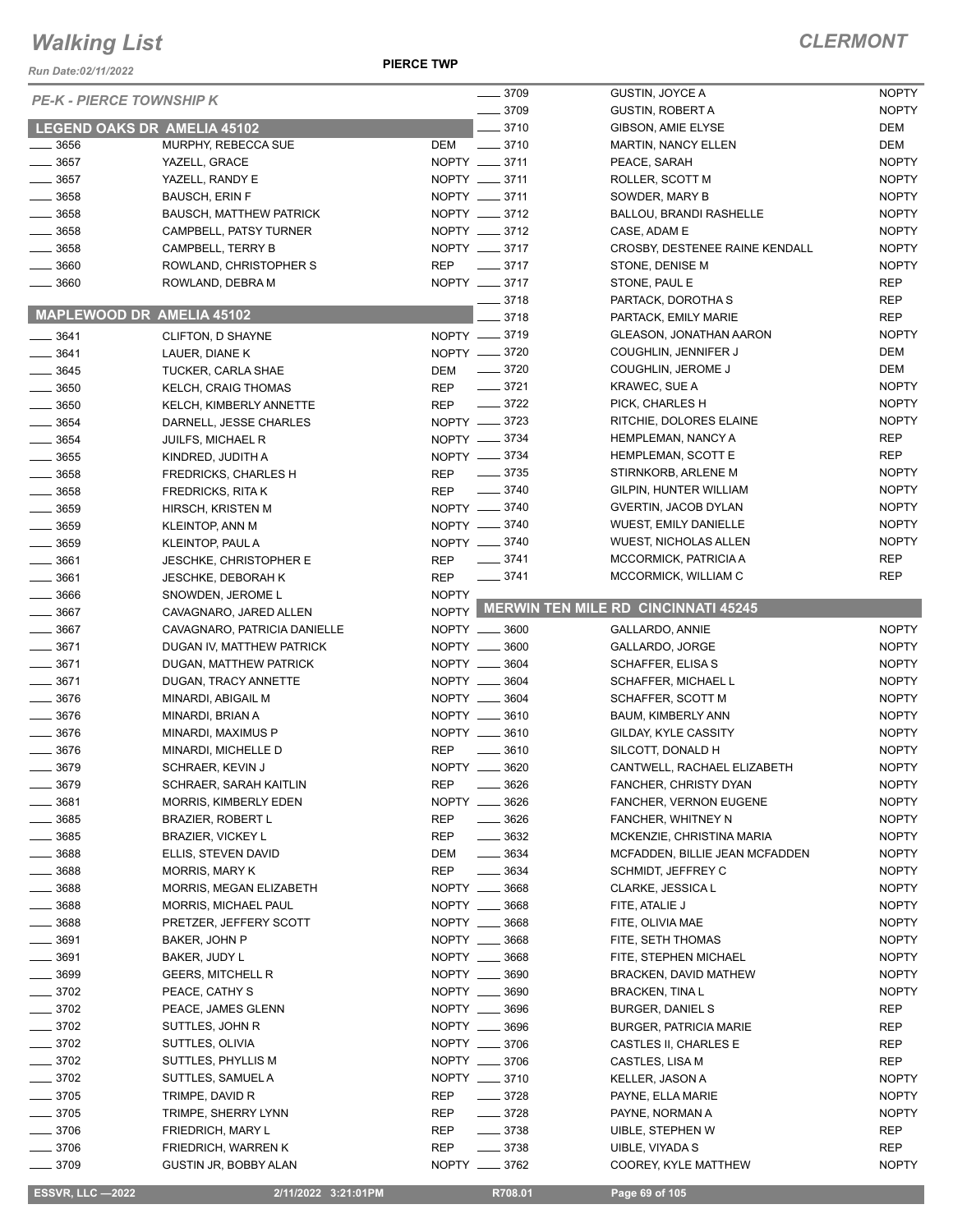*Run Date:02/11/2022*

**PIERCE TWP**

|                    | <b>PE-K - PIERCE TOWNSHIP K</b>  | $- 3709$                         | GUSTIN, JOYCE A                           | <b>NOPTY</b> |
|--------------------|----------------------------------|----------------------------------|-------------------------------------------|--------------|
|                    |                                  | $- 3709$                         | <b>GUSTIN, ROBERT A</b>                   | <b>NOPTY</b> |
|                    | LEGEND OAKS DR AMELIA 45102      | $-3710$                          | GIBSON, AMIE ELYSE                        | DEM          |
| 3656               | MURPHY, REBECCA SUE              | DEM<br>$- 3710$                  | <b>MARTIN, NANCY ELLEN</b>                | <b>DEM</b>   |
| $-3657$            | YAZELL, GRACE                    | NOPTY __ 3711                    | PEACE, SARAH                              | <b>NOPTY</b> |
| .3657              | YAZELL, RANDY E                  | NOPTY __ 3711                    | ROLLER, SCOTT M                           | <b>NOPTY</b> |
| $-3658$            | <b>BAUSCH, ERIN F</b>            | NOPTY __ 3711                    | SOWDER, MARY B                            | <b>NOPTY</b> |
| $=$ 3658           | <b>BAUSCH, MATTHEW PATRICK</b>   | NOPTY __ 3712                    | <b>BALLOU, BRANDI RASHELLE</b>            | <b>NOPTY</b> |
| $-3658$            | CAMPBELL, PATSY TURNER           | NOPTY __ 3712                    | CASE, ADAM E                              | <b>NOPTY</b> |
| 3658               | CAMPBELL, TERRY B                | NOPTY __ 3717                    | CROSBY, DESTENEE RAINE KENDALL            | <b>NOPTY</b> |
| 3660               | ROWLAND, CHRISTOPHER S           | <b>REP</b><br>$-3717$            | STONE, DENISE M                           | <b>NOPTY</b> |
| 3660               | ROWLAND, DEBRA M                 | NOPTY __ 3717                    | STONE, PAUL E                             | <b>REP</b>   |
|                    |                                  | $= 3718$                         | PARTACK, DOROTHA S                        | <b>REP</b>   |
|                    | <b>MAPLEWOOD DR AMELIA 45102</b> | 3718                             | PARTACK, EMILY MARIE                      | <b>REP</b>   |
|                    |                                  | NOPTY -8719                      | <b>GLEASON, JONATHAN AARON</b>            | <b>NOPTY</b> |
| $- 3641$           | CLIFTON, D SHAYNE                |                                  |                                           |              |
| $- 3641$           | LAUER, DIANE K                   | NOPTY -8720                      | COUGHLIN, JENNIFER J                      | <b>DEM</b>   |
| $\frac{1}{2}$ 3645 | <b>TUCKER, CARLA SHAE</b>        | $- 3720$<br>DEM                  | COUGHLIN, JEROME J                        | <b>DEM</b>   |
| $\frac{1}{2}$ 3650 | <b>KELCH, CRAIG THOMAS</b>       | $\frac{1}{2}$ 3721<br><b>REP</b> | KRAWEC, SUE A                             | <b>NOPTY</b> |
| 3650               | KELCH, KIMBERLY ANNETTE          | $\frac{3722}{2}$<br><b>REP</b>   | PICK, CHARLES H                           | <b>NOPTY</b> |
| $-3654$            | DARNELL, JESSE CHARLES           | NOPTY -8723                      | RITCHIE, DOLORES ELAINE                   | <b>NOPTY</b> |
| 3654               | <b>JUILFS, MICHAEL R</b>         | NOPTY -8734                      | HEMPLEMAN, NANCY A                        | <b>REP</b>   |
| $-3655$            | KINDRED, JUDITH A                | NOPTY -8734                      | HEMPLEMAN, SCOTT E                        | <b>REP</b>   |
| $- 3658$           | <b>FREDRICKS, CHARLES H</b>      | $\frac{1}{2}$ 3735<br><b>REP</b> | STIRNKORB, ARLENE M                       | <b>NOPTY</b> |
| 3658               | <b>FREDRICKS, RITAK</b>          | $\frac{1}{2}$ 3740<br><b>REP</b> | GILPIN, HUNTER WILLIAM                    | <b>NOPTY</b> |
| $\frac{1}{2}$ 3659 | HIRSCH, KRISTEN M                | NOPTY -8740                      | <b>GVERTIN, JACOB DYLAN</b>               | <b>NOPTY</b> |
| $\frac{1}{2}$ 3659 | <b>KLEINTOP, ANN M</b>           | NOPTY __ 3740                    | <b>WUEST, EMILY DANIELLE</b>              | <b>NOPTY</b> |
| $\frac{1}{2}$ 3659 | KLEINTOP, PAUL A                 | NOPTY __ 3740                    | <b>WUEST, NICHOLAS ALLEN</b>              | <b>NOPTY</b> |
| $\frac{1}{2}$ 3661 | <b>JESCHKE, CHRISTOPHER E</b>    | REP - 3741                       | MCCORMICK, PATRICIA A                     | <b>REP</b>   |
| $-3661$            | <b>JESCHKE, DEBORAH K</b>        | $- 3741$<br><b>REP</b>           | MCCORMICK, WILLIAM C                      | <b>REP</b>   |
| $\frac{1}{2}$ 3666 | SNOWDEN, JEROME L                | <b>NOPTY</b>                     |                                           |              |
| 3667               | CAVAGNARO, JARED ALLEN           |                                  | NOPTY MERWIN TEN MILE RD CINCINNATI 45245 |              |
| 3667               | CAVAGNARO, PATRICIA DANIELLE     | NOPTY __ 3600                    | GALLARDO, ANNIE                           | <b>NOPTY</b> |
| $-3671$            | DUGAN IV, MATTHEW PATRICK        | NOPTY __ 3600                    | GALLARDO, JORGE                           | <b>NOPTY</b> |
| 3671               | DUGAN, MATTHEW PATRICK           | NOPTY __ 3604                    | SCHAFFER, ELISA S                         | <b>NOPTY</b> |
| $-3671$            | DUGAN, TRACY ANNETTE             | NOPTY __ 3604                    | SCHAFFER, MICHAEL L                       | <b>NOPTY</b> |
| $-3676$            |                                  | NOPTY __ 3604                    | SCHAFFER, SCOTT M                         | <b>NOPTY</b> |
|                    | MINARDI, ABIGAIL M               |                                  |                                           |              |
| $- 3676$           | MINARDI, BRIAN A                 | NOPTY __ 3610                    | BAUM, KIMBERLY ANN                        | <b>NOPTY</b> |
| $- 3676$           | MINARDI, MAXIMUS P               | NOPTY __ 3610                    | GILDAY, KYLE CASSITY                      | <b>NOPTY</b> |
| 3676               | MINARDI, MICHELLE D              | <b>REP</b><br>3610               | SILCOTT, DONALD H                         | <b>NOPTY</b> |
| $-3679$            | SCHRAER, KEVIN J                 | NOPTY _<br>$-3620$               | CANTWELL, RACHAEL ELIZABETH               | <b>NOPTY</b> |
| 3679               | SCHRAER, SARAH KAITLIN           | <b>REP</b><br>$- 3626$           | FANCHER, CHRISTY DYAN                     | <b>NOPTY</b> |
| 3681               | MORRIS, KIMBERLY EDEN            | NOPTY __ 3626                    | FANCHER, VERNON EUGENE                    | <b>NOPTY</b> |
| 3685               | <b>BRAZIER, ROBERT L</b>         | <b>REP</b><br>$- 3626$           | FANCHER, WHITNEY N                        | <b>NOPTY</b> |
| 3685               | <b>BRAZIER, VICKEY L</b>         | $\frac{1}{2}$ 3632<br>REP        | MCKENZIE, CHRISTINA MARIA                 | <b>NOPTY</b> |
| 3688               | ELLIS, STEVEN DAVID              | $\frac{1}{2}$ 3634<br>DEM        | MCFADDEN, BILLIE JEAN MCFADDEN            | <b>NOPTY</b> |
| 3688               | <b>MORRIS, MARY K</b>            | <b>REP</b><br>3634               | SCHMIDT, JEFFREY C                        | <b>NOPTY</b> |
| __ 3688            | MORRIS, MEGAN ELIZABETH          | NOPTY __ 3668                    | CLARKE, JESSICA L                         | <b>NOPTY</b> |
| $- 3688$           | MORRIS, MICHAEL PAUL             | NOPTY __ 3668                    | FITE, ATALIE J                            | <b>NOPTY</b> |
| _ 3688             | PRETZER, JEFFERY SCOTT           | NOPTY __ 3668                    | FITE, OLIVIA MAE                          | <b>NOPTY</b> |
| _ 3691             | BAKER, JOHN P                    | NOPTY __ 3668                    | FITE, SETH THOMAS                         | <b>NOPTY</b> |
| 3691               | BAKER, JUDY L                    | NOPTY __ 3668                    | FITE, STEPHEN MICHAEL                     | <b>NOPTY</b> |
| 3699               | <b>GEERS, MITCHELL R</b>         | NOPTY __ 3690                    | BRACKEN, DAVID MATHEW                     | <b>NOPTY</b> |
| - 3702             | PEACE, CATHY S                   | NOPTY __ 3690                    | <b>BRACKEN, TINA L</b>                    | <b>NOPTY</b> |
| 3702               | PEACE, JAMES GLENN               | NOPTY __ 3696                    | <b>BURGER, DANIEL S</b>                   | REP          |
| $-3702$            | SUTTLES, JOHN R                  | NOPTY __ 3696                    | <b>BURGER, PATRICIA MARIE</b>             | REP          |
| $-3702$            | SUTTLES, OLIVIA                  | NOPTY __ 3706                    | CASTLES II, CHARLES E                     | <b>REP</b>   |
|                    |                                  |                                  |                                           |              |
| $-3702$            | SUTTLES, PHYLLIS M               | NOPTY __ 3706                    | CASTLES, LISA M                           | REP          |
| $-3702$            | SUTTLES, SAMUEL A                | NOPTY __ 3710                    | KELLER, JASON A                           | <b>NOPTY</b> |
| $-3705$            | TRIMPE, DAVID R                  | <b>REP</b><br>$- 3728$           | PAYNE, ELLA MARIE                         | <b>NOPTY</b> |
| $-3705$            | TRIMPE, SHERRY LYNN              | $- 3728$<br>REP                  | PAYNE, NORMAN A                           | <b>NOPTY</b> |
| $-3706$            | <b>FRIEDRICH, MARY L</b>         | $- 3738$<br>REP                  | UIBLE, STEPHEN W                          | REP          |
| $- 3706$           | FRIEDRICH, WARREN K              | REP<br>$\frac{1}{2}$ 3738        | UIBLE, VIYADA S                           | <b>REP</b>   |
| $-3709$            | <b>GUSTIN JR, BOBBY ALAN</b>     | NOPTY __ 3762                    | COOREY, KYLE MATTHEW                      | <b>NOPTY</b> |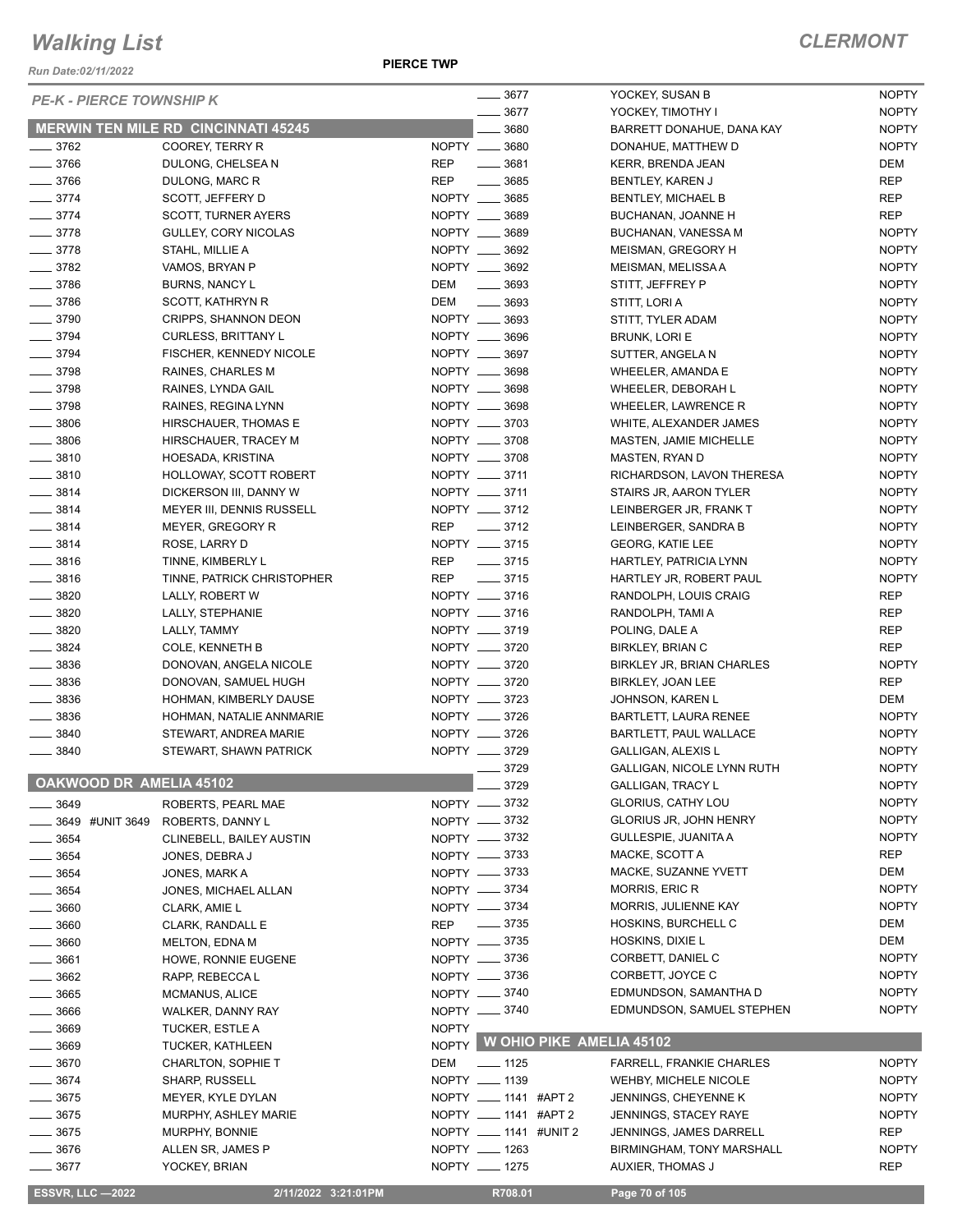*Run Date:02/11/2022*

**PIERCE TWP**

| <b>PE-K - PIERCE TOWNSHIP K</b> |                                            |              | $\frac{1}{2}$ 3677     |                          | YOCKEY, SUSAN B                                         | <b>NOPTY</b>        |
|---------------------------------|--------------------------------------------|--------------|------------------------|--------------------------|---------------------------------------------------------|---------------------|
|                                 |                                            |              | 3677                   |                          | YOCKEY, TIMOTHY I                                       | <b>NOPTY</b>        |
|                                 | <b>MERWIN TEN MILE RD CINCINNATI 45245</b> |              | 3680                   |                          | BARRETT DONAHUE, DANA KAY                               | <b>NOPTY</b>        |
| $\frac{1}{2}$ 3762              | COOREY, TERRY R                            |              | NOPTY __ 3680          |                          | DONAHUE, MATTHEW D                                      | <b>NOPTY</b>        |
| $- 3766$                        | DULONG, CHELSEA N                          | <b>REP</b>   | $\frac{1}{2}$ 3681     |                          | KERR, BRENDA JEAN                                       | <b>DEM</b>          |
| $- 3766$                        | DULONG, MARC R                             | <b>REP</b>   | $\frac{1}{2}$ 3685     |                          | BENTLEY, KAREN J                                        | <b>REP</b>          |
| $- 3774$                        | SCOTT, JEFFERY D                           |              | NOPTY __ 3685          |                          | <b>BENTLEY, MICHAEL B</b>                               | <b>REP</b>          |
| $- 3774$                        | <b>SCOTT, TURNER AYERS</b>                 |              | NOPTY __ 3689          |                          | BUCHANAN, JOANNE H                                      | <b>REP</b>          |
| $- 3778$                        | GULLEY, CORY NICOLAS                       |              | NOPTY __ 3689          |                          | BUCHANAN, VANESSA M                                     | <b>NOPTY</b>        |
| $- 3778$                        | STAHL, MILLIE A                            |              | NOPTY __ 3692          |                          | MEISMAN, GREGORY H                                      | <b>NOPTY</b>        |
| $- 3782$                        | VAMOS, BRYAN P                             |              | NOPTY __ 3692          |                          | MEISMAN, MELISSA A                                      | <b>NOPTY</b>        |
| $- 3786$                        | BURNS, NANCY L                             | DEM          | $\frac{1}{2}$ 3693     |                          | STITT, JEFFREY P                                        | <b>NOPTY</b>        |
| $\frac{1}{2}$ 3786              | SCOTT, KATHRYN R                           | DEM          | $\frac{1}{2}$ 3693     |                          | STITT, LORI A                                           | <b>NOPTY</b>        |
| $\frac{1}{2}$ 3790              | CRIPPS, SHANNON DEON                       |              | NOPTY __ 3693          |                          | STITT, TYLER ADAM                                       | <b>NOPTY</b>        |
| $- 3794$                        | <b>CURLESS, BRITTANY L</b>                 |              | NOPTY __ 3696          |                          | <b>BRUNK, LORI E</b>                                    | <b>NOPTY</b>        |
| $- 3794$                        | FISCHER, KENNEDY NICOLE                    |              | NOPTY __ 3697          |                          | SUTTER, ANGELA N                                        | <b>NOPTY</b>        |
| $- 3798$                        | RAINES, CHARLES M                          |              | NOPTY __ 3698          |                          | WHEELER, AMANDA E                                       | <b>NOPTY</b>        |
| $- 3798$                        | RAINES, LYNDA GAIL                         |              | NOPTY __ 3698          |                          | WHEELER, DEBORAH L                                      | <b>NOPTY</b>        |
| $- 3798$                        | RAINES, REGINA LYNN                        |              | NOPTY __ 3698          |                          | WHEELER, LAWRENCE R                                     | <b>NOPTY</b>        |
| $\frac{1}{2}$ 3806              | HIRSCHAUER, THOMAS E                       |              | NOPTY __ 3703          |                          | WHITE, ALEXANDER JAMES                                  | <b>NOPTY</b>        |
| $\frac{1}{2}$ 3806              | HIRSCHAUER, TRACEY M                       |              | NOPTY __ 3708          |                          | MASTEN, JAMIE MICHELLE                                  | <b>NOPTY</b>        |
| $- 3810$                        | HOESADA, KRISTINA                          |              | NOPTY __ 3708          |                          | MASTEN, RYAN D                                          | <b>NOPTY</b>        |
| $- 3810$                        | HOLLOWAY, SCOTT ROBERT                     |              | NOPTY __ 3711          |                          | RICHARDSON, LAVON THERESA                               | <b>NOPTY</b>        |
| $\frac{1}{2}$ 3814              | DICKERSON III, DANNY W                     |              | NOPTY __ 3711          |                          | STAIRS JR, AARON TYLER                                  | <b>NOPTY</b>        |
| $\frac{3814}{2}$                | MEYER III, DENNIS RUSSELL                  |              | NOPTY __ 3712          |                          | LEINBERGER JR, FRANK T                                  | <b>NOPTY</b>        |
| $\frac{3814}{2}$                | MEYER, GREGORY R                           |              | REP __ 3712            |                          | LEINBERGER, SANDRA B                                    | <b>NOPTY</b>        |
| $\frac{1}{2}$ 3814              | ROSE, LARRY D                              |              | NOPTY __ 3715          |                          | <b>GEORG, KATIE LEE</b>                                 | <b>NOPTY</b>        |
| $\frac{1}{2}$ 3816              | TINNE, KIMBERLY L                          | REP          | $\frac{1}{2}$ 3715     |                          | HARTLEY, PATRICIA LYNN                                  | <b>NOPTY</b>        |
| $- 3816$                        | TINNE, PATRICK CHRISTOPHER                 | REP          | $\frac{1}{2}$ 3715     |                          | HARTLEY JR, ROBERT PAUL                                 | <b>NOPTY</b>        |
| $- 3820$                        | LALLY, ROBERT W                            |              | NOPTY __ 3716          |                          | RANDOLPH, LOUIS CRAIG                                   | <b>REP</b>          |
| $- 3820$                        | LALLY, STEPHANIE                           |              | NOPTY __ 3716          |                          | RANDOLPH, TAMI A                                        | <b>REP</b>          |
| $- 3820$                        | LALLY, TAMMY                               |              | NOPTY __ 3719          |                          | POLING, DALE A                                          | <b>REP</b>          |
| $\frac{1}{2}$ 3824              | <b>COLE, KENNETH B</b>                     |              | NOPTY __ 3720          |                          | BIRKLEY, BRIAN C                                        | <b>REP</b>          |
| $\frac{1}{2}$ 3836              | DONOVAN, ANGELA NICOLE                     |              | NOPTY __ 3720          |                          | BIRKLEY JR, BRIAN CHARLES                               | <b>NOPTY</b>        |
| $\frac{1}{2}$ 3836              | DONOVAN, SAMUEL HUGH                       |              | NOPTY __ 3720          |                          | BIRKLEY, JOAN LEE                                       | <b>REP</b>          |
| $\frac{1}{2}$ 3836              | HOHMAN, KIMBERLY DAUSE                     |              | NOPTY __ 3723          |                          | JOHNSON, KAREN L                                        | <b>DEM</b>          |
| $\frac{1}{2}$ 3836              | HOHMAN, NATALIE ANNMARIE                   |              | NOPTY __ 3726          |                          | BARTLETT, LAURA RENEE                                   | <b>NOPTY</b>        |
| $\frac{1}{2}$ 3840              | STEWART, ANDREA MARIE                      |              | NOPTY __ 3726          |                          | BARTLETT, PAUL WALLACE                                  | <b>NOPTY</b>        |
| $- 3840$                        | STEWART, SHAWN PATRICK                     |              | NOPTY __ 3729          |                          | <b>GALLIGAN, ALEXIS L</b>                               | <b>NOPTY</b>        |
|                                 |                                            |              | $-3729$                |                          | GALLIGAN, NICOLE LYNN RUTH                              | <b>NOPTY</b>        |
| OAKWOOD DR AMELIA 45102         |                                            |              | $- 3729$               |                          | <b>GALLIGAN, TRACY L</b>                                | <b>NOPTY</b>        |
| 3649                            | ROBERTS, PEARL MAE                         |              | NOPTY __ 3732          |                          | <b>GLORIUS, CATHY LOU</b>                               | <b>NOPTY</b>        |
| 3649 #UNIT 3649                 | ROBERTS, DANNY L                           |              | NOPTY __ 3732          |                          | <b>GLORIUS JR, JOHN HENRY</b>                           | <b>NOPTY</b>        |
| $=$ 3654                        | CLINEBELL, BAILEY AUSTIN                   |              | NOPTY -8732            |                          | <b>GULLESPIE, JUANITA A</b>                             | <b>NOPTY</b>        |
| 3654                            | JONES, DEBRA J                             |              | NOPTY __ 3733          |                          | MACKE, SCOTT A                                          | REP                 |
| $=$ 3654                        | JONES, MARK A                              |              | NOPTY __ 3733          |                          | MACKE, SUZANNE YVETT                                    | <b>DEM</b>          |
| $-3654$                         | JONES, MICHAEL ALLAN                       |              | NOPTY __ 3734          |                          | <b>MORRIS, ERIC R</b>                                   | <b>NOPTY</b>        |
| 3660                            | CLARK, AMIE L                              |              | NOPTY __ 3734          |                          | MORRIS, JULIENNE KAY                                    | <b>NOPTY</b>        |
| 3660                            | CLARK, RANDALL E                           | REP          | $\frac{1}{2}$ 3735     |                          | HOSKINS, BURCHELL C                                     | DEM                 |
| 3660                            | <b>MELTON, EDNA M</b>                      |              | NOPTY __ 3735          |                          | HOSKINS, DIXIE L                                        | DEM                 |
| 3661                            | HOWE, RONNIE EUGENE                        |              | NOPTY __ 3736          |                          | CORBETT, DANIEL C                                       | <b>NOPTY</b>        |
| 3662                            | RAPP, REBECCA L                            |              | NOPTY -8736            |                          | CORBETT, JOYCE C                                        | <b>NOPTY</b>        |
| 3665                            | MCMANUS, ALICE                             |              | NOPTY __ 3740          |                          | EDMUNDSON, SAMANTHA D                                   | <b>NOPTY</b>        |
| 3666                            | <b>WALKER, DANNY RAY</b>                   |              | NOPTY -8740            |                          | EDMUNDSON, SAMUEL STEPHEN                               | <b>NOPTY</b>        |
| 3669                            | TUCKER, ESTLE A                            | <b>NOPTY</b> |                        |                          |                                                         |                     |
| 3669                            | <b>TUCKER, KATHLEEN</b>                    | <b>NOPTY</b> |                        | W OHIO PIKE AMELIA 45102 |                                                         |                     |
| 3670                            | <b>CHARLTON, SOPHIE T</b>                  | DEM          | $- 1125$               |                          | <b>FARRELL, FRANKIE CHARLES</b>                         | <b>NOPTY</b>        |
| 3674                            | <b>SHARP, RUSSELL</b>                      |              | NOPTY __ 1139          |                          | <b>WEHBY, MICHELE NICOLE</b>                            | <b>NOPTY</b>        |
| $-3675$                         |                                            |              | NOPTY __ 1141 #APT 2   |                          |                                                         | <b>NOPTY</b>        |
| 3675                            | MEYER, KYLE DYLAN                          |              | NOPTY ____ 1141 #APT 2 |                          | JENNINGS, CHEYENNE K                                    |                     |
| $-3675$                         | MURPHY, ASHLEY MARIE<br>MURPHY, BONNIE     |              | NOPTY __ 1141 #UNIT 2  |                          | <b>JENNINGS, STACEY RAYE</b><br>JENNINGS, JAMES DARRELL | <b>NOPTY</b><br>REP |
| 3676                            | ALLEN SR, JAMES P                          |              | NOPTY __ 1263          |                          | BIRMINGHAM, TONY MARSHALL                               | <b>NOPTY</b>        |
| 3677                            | YOCKEY, BRIAN                              |              | NOPTY __ 1275          |                          | AUXIER, THOMAS J                                        | <b>REP</b>          |
|                                 |                                            |              |                        |                          |                                                         |                     |
| <b>ESSVR, LLC -2022</b>         | 2/11/2022 3:21:01PM                        |              | R708.01                |                          | Page 70 of 105                                          |                     |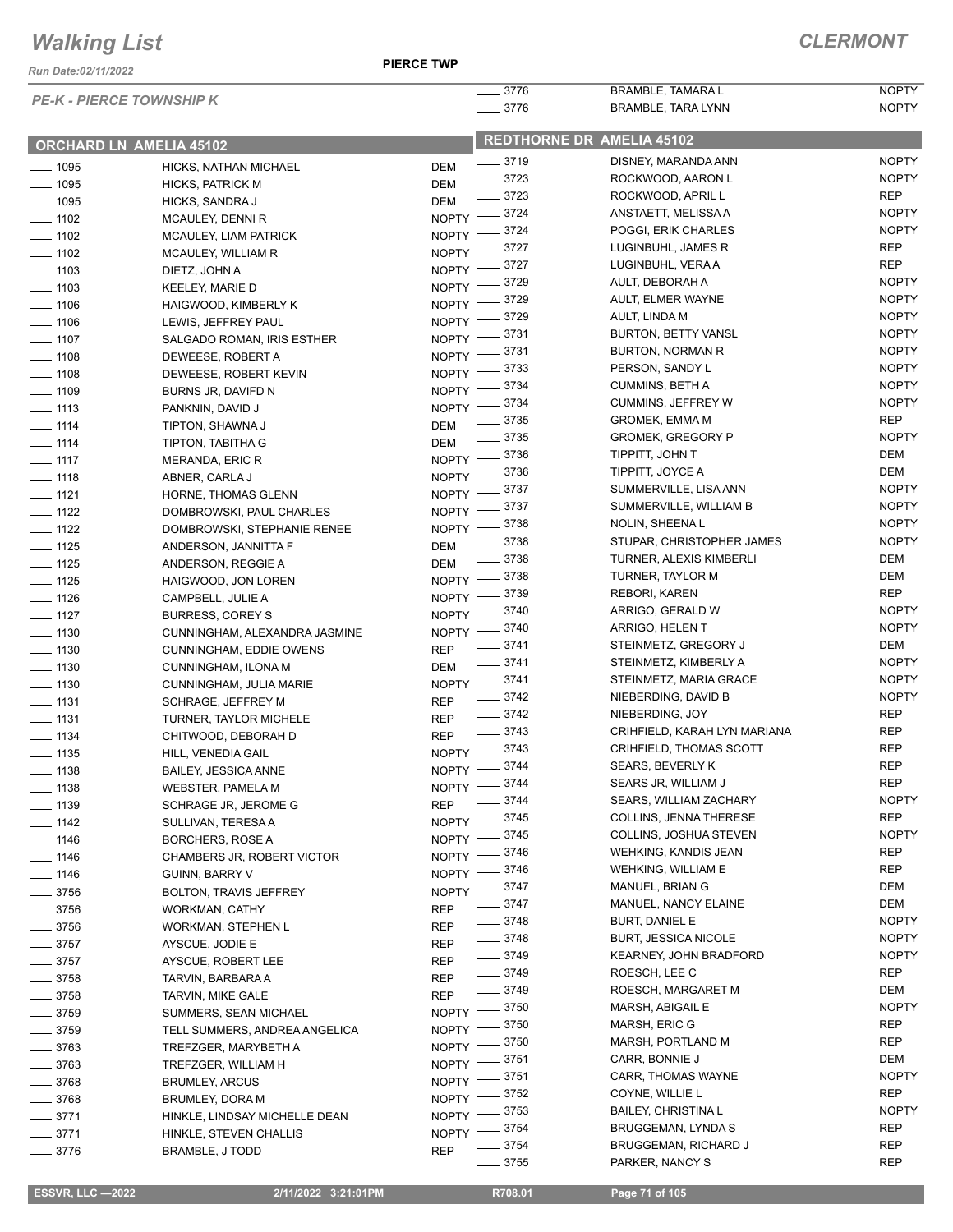*Run Date:02/11/2022*

**PIERCE TWP**

|                    |                                 |            | $-3776$                 | BRAMBLE, TAMARA L                                            | <b>NOPTY</b>               |
|--------------------|---------------------------------|------------|-------------------------|--------------------------------------------------------------|----------------------------|
|                    | <b>PE-K - PIERCE TOWNSHIP K</b> |            | $- 3776$                | BRAMBLE, TARA LYNN                                           | <b>NOPTY</b>               |
|                    |                                 |            |                         | <b>REDTHORNE DR AMELIA 45102</b>                             |                            |
|                    | ORCHARD LN AMELIA 45102         |            |                         |                                                              |                            |
| $\frac{1}{2}$ 1095 | HICKS, NATHAN MICHAEL           | DEM        | $- 3719$                | DISNEY, MARANDA ANN                                          | <b>NOPTY</b>               |
| $- 1095$           | <b>HICKS, PATRICK M</b>         | DEM        | $- 3723$                | ROCKWOOD, AARON L                                            | <b>NOPTY</b>               |
| $- 1095$           | HICKS, SANDRA J                 | DEM        | $- 3723$                | ROCKWOOD, APRIL L                                            | <b>REP</b>                 |
| $\frac{1}{2}$ 1102 | MCAULEY, DENNI R                |            | NOPTY -8724             | ANSTAETT, MELISSA A                                          | <b>NOPTY</b>               |
| $- 1102$           | <b>MCAULEY, LIAM PATRICK</b>    |            | NOPTY -8724             | POGGI, ERIK CHARLES                                          | <b>NOPTY</b>               |
| $- 1102$           | MCAULEY, WILLIAM R              |            | NOPTY -8727             | LUGINBUHL, JAMES R                                           | <b>REP</b>                 |
| $\frac{1}{2}$ 1103 | DIETZ, JOHN A                   |            | NOPTY -8727             | LUGINBUHL, VERA A                                            | <b>REP</b>                 |
| $- 1103$           | KEELEY, MARIE D                 |            | NOPTY -8729             | AULT, DEBORAH A                                              | <b>NOPTY</b>               |
| $\frac{1}{2}$ 1106 | HAIGWOOD, KIMBERLY K            |            | NOPTY -8729             | AULT, ELMER WAYNE                                            | <b>NOPTY</b>               |
| $\frac{1}{2}$ 1106 | LEWIS, JEFFREY PAUL             | NOPTY $-$  | - 3729                  | AULT, LINDA M                                                | <b>NOPTY</b>               |
| $\frac{1}{2}$ 1107 | SALGADO ROMAN, IRIS ESTHER      |            | NOPTY -3731             | <b>BURTON, BETTY VANSL</b>                                   | <b>NOPTY</b>               |
| $- 1108$           | DEWEESE, ROBERT A               |            | NOPTY -8731             | BURTON, NORMAN R                                             | <b>NOPTY</b>               |
| $- 1108$           | DEWEESE, ROBERT KEVIN           |            | NOPTY -8733             | PERSON, SANDY L                                              | <b>NOPTY</b>               |
| $\frac{1}{2}$ 1109 | BURNS JR, DAVIFD N              |            | NOPTY -8734             | <b>CUMMINS, BETH A</b>                                       | <b>NOPTY</b>               |
| $- 1113$           | PANKNIN, DAVID J                |            | NOPTY -8734             | CUMMINS, JEFFREY W                                           | <b>NOPTY</b>               |
| $- 1114$           | TIPTON, SHAWNA J                | <b>DEM</b> | $\frac{1}{2}$ 3735      | <b>GROMEK, EMMA M</b>                                        | <b>REP</b>                 |
| $\frac{1}{1114}$   | TIPTON, TABITHA G               | <b>DEM</b> | $\frac{1}{2}$ 3735      | <b>GROMEK, GREGORY P</b>                                     | <b>NOPTY</b>               |
| $- 1117$           | MERANDA, ERIC R                 |            | NOPTY -8736             | TIPPITT, JOHN T                                              | DEM                        |
| $- 1118$           | ABNER, CARLA J                  |            | NOPTY -8736             | TIPPITT, JOYCE A                                             | <b>DEM</b>                 |
| $-$ 1121           | HORNE, THOMAS GLENN             |            | NOPTY -8737             | SUMMERVILLE, LISA ANN                                        | <b>NOPTY</b>               |
| $\frac{1}{2}$ 1122 | DOMBROWSKI, PAUL CHARLES        |            | NOPTY -8737             | SUMMERVILLE, WILLIAM B                                       | <b>NOPTY</b>               |
| $- 1122$           | DOMBROWSKI, STEPHANIE RENEE     |            | NOPTY -8738             | NOLIN, SHEENA L                                              | <b>NOPTY</b>               |
| $- 1125$           | ANDERSON, JANNITTA F            | DEM        | $- 3738$                | STUPAR, CHRISTOPHER JAMES                                    | <b>NOPTY</b>               |
| $- 1125$           | ANDERSON, REGGIE A              | DEM        | $\frac{1}{2}$ 3738      | <b>TURNER, ALEXIS KIMBERLI</b>                               | <b>DEM</b>                 |
| $- 1125$           | HAIGWOOD, JON LOREN             |            | NOPTY -8738             | TURNER, TAYLOR M                                             | <b>DEM</b>                 |
| $- 1126$           | CAMPBELL, JULIE A               |            | NOPTY -8739             | <b>REBORI, KAREN</b>                                         | <b>REP</b>                 |
| $- 1127$           | <b>BURRESS, COREY S</b>         |            | NOPTY -8740             | ARRIGO, GERALD W                                             | <b>NOPTY</b>               |
| $- 1130$           | CUNNINGHAM, ALEXANDRA JASMINE   |            | NOPTY -8740             | ARRIGO, HELEN T                                              | <b>NOPTY</b>               |
| $- 1130$           | <b>CUNNINGHAM, EDDIE OWENS</b>  | <b>REP</b> | $\frac{1}{2}$ 3741      | STEINMETZ, GREGORY J                                         | <b>DEM</b>                 |
| $- 1130$           | CUNNINGHAM, ILONA M             | DEM        | $- 3741$                | STEINMETZ, KIMBERLY A                                        | <b>NOPTY</b>               |
| $- 1130$           | CUNNINGHAM, JULIA MARIE         |            | NOPTY -8741             | STEINMETZ, MARIA GRACE                                       | <b>NOPTY</b>               |
| $- 1131$           | SCHRAGE, JEFFREY M              | <b>REP</b> | $- 3742$                | NIEBERDING, DAVID B                                          | <b>NOPTY</b>               |
| $- 1131$           | TURNER, TAYLOR MICHELE          | <b>REP</b> | $- 3742$                | NIEBERDING, JOY                                              | REP                        |
| $\frac{1}{2}$ 1134 | CHITWOOD, DEBORAH D             | <b>REP</b> | $\frac{1}{2}$ 3743      | CRIHFIELD, KARAH LYN MARIANA                                 | <b>REP</b>                 |
| $\frac{1}{2}$ 1135 | HILL, VENEDIA GAIL              |            | NOPTY -8743             | CRIHFIELD, THOMAS SCOTT                                      | REP                        |
| $\frac{1}{2}$ 1138 | <b>BAILEY, JESSICA ANNE</b>     |            | NOPTY -8744             | <b>SEARS, BEVERLY K</b><br>SEARS JR, WILLIAM J               | <b>REP</b><br><b>REP</b>   |
| $- 1138$           | WEBSTER, PAMELA M               |            | NOPTY -8744             |                                                              |                            |
| $- 1139$           | SCHRAGE JR, JEROME G            | <b>REP</b> | $- 3744$                | SEARS, WILLIAM ZACHARY                                       | <b>NOPTY</b>               |
| $- 1142$           | SULLIVAN, TERESA A              |            | NOPTY -8745             | COLLINS, JENNA THERESE                                       | <b>REP</b>                 |
| $- 1146$           | <b>BORCHERS, ROSE A</b>         |            | NOPTY -8745             | COLLINS, JOSHUA STEVEN                                       | <b>NOPTY</b>               |
| $- 1146$           | CHAMBERS JR, ROBERT VICTOR      |            | NOPTY -8746             | WEHKING, KANDIS JEAN<br>WEHKING, WILLIAM E                   | REP<br>REP                 |
| $- 1146$           | <b>GUINN, BARRY V</b>           |            | NOPTY -8746             | MANUEL, BRIAN G                                              | DEM                        |
| $\frac{1}{2}$ 3756 | <b>BOLTON, TRAVIS JEFFREY</b>   |            | NOPTY -8747<br>$- 3747$ | MANUEL, NANCY ELAINE                                         | <b>DEM</b>                 |
| $\frac{1}{2}$ 3756 | WORKMAN, CATHY                  | <b>REP</b> | $- 3748$                |                                                              | <b>NOPTY</b>               |
| $\frac{1}{2}$ 3756 | WORKMAN, STEPHEN L              | REP        | $\frac{1}{2}$ 3748      | BURT, DANIEL E                                               | <b>NOPTY</b>               |
| $- 3757$           | AYSCUE, JODIE E                 | <b>REP</b> | $\frac{1}{2}$ 3749      | <b>BURT, JESSICA NICOLE</b><br><b>KEARNEY, JOHN BRADFORD</b> | <b>NOPTY</b>               |
| $\frac{1}{2}$ 3757 | AYSCUE, ROBERT LEE              | <b>REP</b> | $- 3749$                | ROESCH, LEE C                                                | REP                        |
| $\frac{1}{2}$ 3758 | TARVIN, BARBARA A               | <b>REP</b> | $- 3749$                |                                                              |                            |
| $- 3758$           | TARVIN, MIKE GALE               | <b>REP</b> |                         | ROESCH, MARGARET M                                           | DEM                        |
| $- 3759$           | SUMMERS, SEAN MICHAEL           |            | NOPTY -8750             | MARSH, ABIGAIL E<br>MARSH, ERIC G                            | <b>NOPTY</b><br>REP        |
| $- 3759$           | TELL SUMMERS, ANDREA ANGELICA   |            | NOPTY -8750             |                                                              | <b>REP</b>                 |
| $\frac{1}{2}$ 3763 | TREFZGER, MARYBETH A            |            | NOPTY -8750             | MARSH, PORTLAND M                                            |                            |
| $\frac{1}{2}$ 3763 | TREFZGER, WILLIAM H             |            | NOPTY -8751             | CARR, BONNIE J                                               | DEM                        |
| $\frac{1}{2}$ 3768 | <b>BRUMLEY, ARCUS</b>           |            | NOPTY -8751             | CARR, THOMAS WAYNE                                           | <b>NOPTY</b><br><b>REP</b> |
| $\frac{1}{2}$ 3768 | BRUMLEY, DORA M                 |            | NOPTY -8752             | COYNE, WILLIE L                                              |                            |
| $- 3771$           | HINKLE, LINDSAY MICHELLE DEAN   |            | NOPTY -8753             | <b>BAILEY, CHRISTINA L</b>                                   | <b>NOPTY</b><br>REP        |
| $- 3771$           | HINKLE, STEVEN CHALLIS          | $NOPTY$ -  | _ 3754                  | BRUGGEMAN, LYNDA S                                           |                            |
| $- 3776$           | <b>BRAMBLE, J TODD</b>          | <b>REP</b> | _ 3754<br>$-3755$       | BRUGGEMAN, RICHARD J<br>PARKER, NANCY S                      | REP<br><b>REP</b>          |
|                    |                                 |            |                         |                                                              |                            |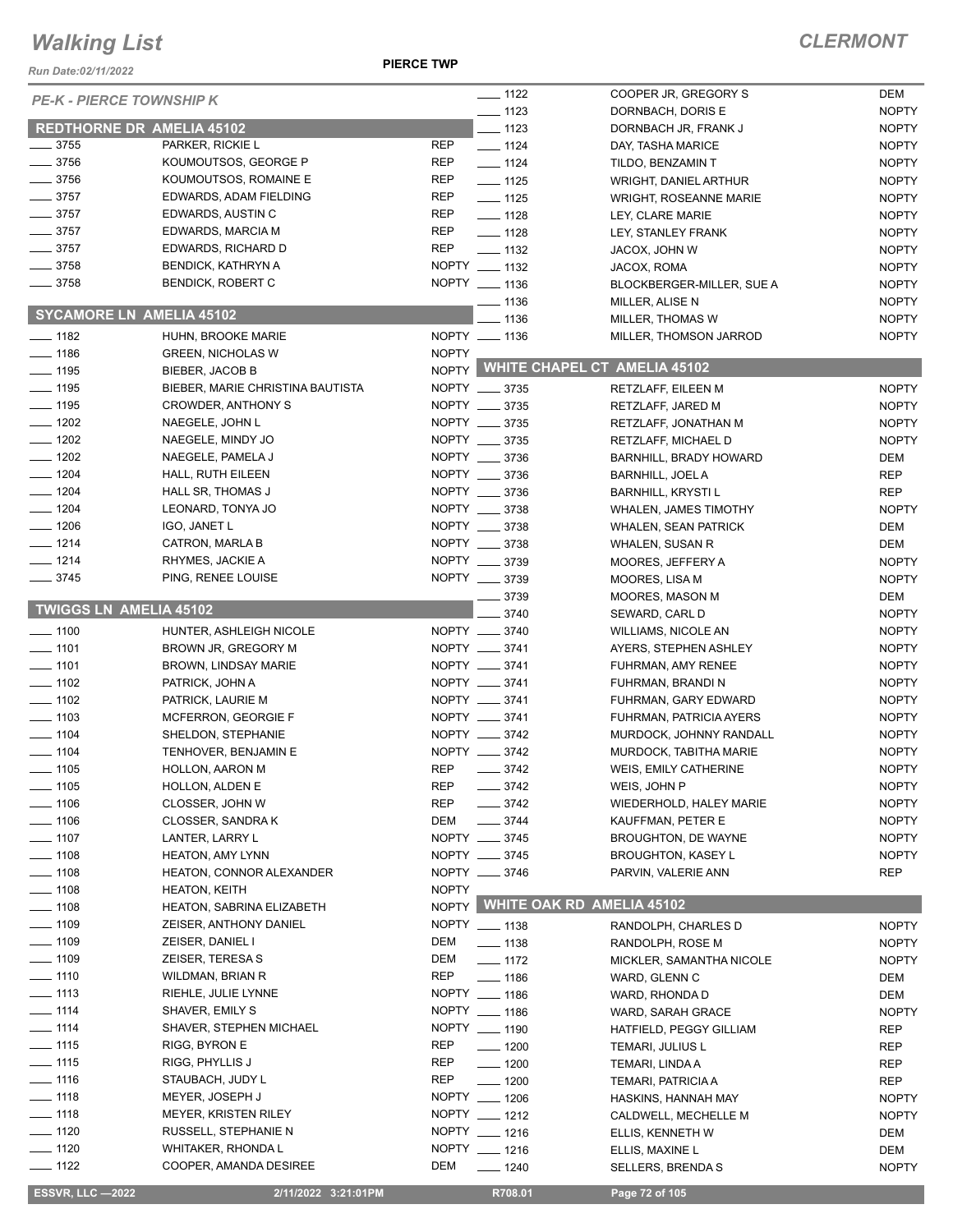*Run Date:02/11/2022*

| <b>PE-K - PIERCE TOWNSHIP K</b>  |                                  |              | $\frac{1}{2}$ 1122  | COOPER JR, GREGORY S                | DEM                          |
|----------------------------------|----------------------------------|--------------|---------------------|-------------------------------------|------------------------------|
|                                  |                                  |              | $\frac{1}{2}$ 1123  | DORNBACH, DORIS E                   | <b>NOPTY</b>                 |
| <b>REDTHORNE DR AMELIA 45102</b> |                                  |              | $\equiv$ 1123       | DORNBACH JR, FRANK J                | <b>NOPTY</b>                 |
| $- 3755$                         | PARKER, RICKIE L                 | REP          | $\frac{1}{2}$ 1124  | DAY, TASHA MARICE                   | <b>NOPTY</b>                 |
| $- 3756$                         | KOUMOUTSOS, GEORGE P             | <b>REP</b>   | $- 1124$            | TILDO, BENZAMIN T                   | <b>NOPTY</b>                 |
| $- 3756$                         | KOUMOUTSOS, ROMAINE E            | <b>REP</b>   | $- 1125$            | <b>WRIGHT, DANIEL ARTHUR</b>        | <b>NOPTY</b>                 |
| $- 3757$                         | EDWARDS, ADAM FIELDING           | <b>REP</b>   | $- 1125$            | <b>WRIGHT, ROSEANNE MARIE</b>       | <b>NOPTY</b>                 |
| $- 3757$                         | EDWARDS, AUSTIN C                | <b>REP</b>   | $- 1128$            | LEY, CLARE MARIE                    | <b>NOPTY</b>                 |
| $\frac{1}{2}$ 3757               | EDWARDS, MARCIA M                | <b>REP</b>   | $- 1128$            | LEY, STANLEY FRANK                  | <b>NOPTY</b>                 |
| $- 3757$                         | EDWARDS, RICHARD D               | <b>REP</b>   | $\frac{1}{2}$ 1132  | JACOX, JOHN W                       | <b>NOPTY</b>                 |
| $- 3758$                         | <b>BENDICK, KATHRYN A</b>        |              | NOPTY __ 1132       | JACOX, ROMA                         | <b>NOPTY</b>                 |
| $\frac{1}{2}$ 3758               | <b>BENDICK, ROBERT C</b>         |              | NOPTY __ 1136       | BLOCKBERGER-MILLER, SUE A           | <b>NOPTY</b>                 |
| <b>SYCAMORE LN AMELIA 45102</b>  |                                  |              | ___ 1136<br>$-1136$ | MILLER, ALISE N<br>MILLER, THOMAS W | <b>NOPTY</b><br><b>NOPTY</b> |
| $- 1182$                         | HUHN, BROOKE MARIE               |              | NOPTY __ 1136       | MILLER, THOMSON JARROD              | <b>NOPTY</b>                 |
| $\frac{1}{2}$ 1186               | <b>GREEN, NICHOLAS W</b>         | <b>NOPTY</b> |                     |                                     |                              |
| $\frac{1}{2}$ 1195               | BIEBER, JACOB B                  |              |                     | NOPTY WHITE CHAPEL CT AMELIA 45102  |                              |
| $- 1195$                         | BIEBER, MARIE CHRISTINA BAUTISTA |              | NOPTY __ 3735       | RETZLAFF, EILEEN M                  | <b>NOPTY</b>                 |
| $- 1195$                         | <b>CROWDER, ANTHONY S</b>        |              | NOPTY __ 3735       | RETZLAFF, JARED M                   | <b>NOPTY</b>                 |
| $-1202$                          | NAEGELE, JOHN L                  |              | NOPTY __ 3735       | RETZLAFF, JONATHAN M                | <b>NOPTY</b>                 |
| $- 1202$                         | NAEGELE, MINDY JO                |              | NOPTY __ 3735       | RETZLAFF, MICHAEL D                 | <b>NOPTY</b>                 |
| $- 1202$                         | NAEGELE, PAMELA J                |              | NOPTY __ 3736       | BARNHILL, BRADY HOWARD              | DEM                          |
| $- 1204$                         | HALL, RUTH EILEEN                |              | NOPTY __ 3736       | <b>BARNHILL, JOEL A</b>             | <b>REP</b>                   |
| $- 1204$                         | HALL SR, THOMAS J                |              | NOPTY __ 3736       | <b>BARNHILL, KRYSTI L</b>           | <b>REP</b>                   |
| $- 1204$                         | LEONARD, TONYA JO                |              | NOPTY __ 3738       | <b>WHALEN, JAMES TIMOTHY</b>        | <b>NOPTY</b>                 |
| $- 1206$                         | IGO, JANET L                     |              | NOPTY __ 3738       | <b>WHALEN, SEAN PATRICK</b>         | DEM                          |
| $- 1214$                         | CATRON, MARLA B                  |              | NOPTY __ 3738       | WHALEN, SUSAN R                     | DEM                          |
| $- 1214$                         | RHYMES, JACKIE A                 |              | NOPTY __ 3739       | MOORES, JEFFERY A                   | <b>NOPTY</b>                 |
| $\frac{1}{2}$ 3745               | PING, RENEE LOUISE               |              | NOPTY __ 3739       | MOORES, LISA M                      | <b>NOPTY</b>                 |
|                                  |                                  |              | $- 3739$            | MOORES, MASON M                     | DEM                          |
| <b>TWIGGS LN AMELIA 45102</b>    |                                  |              | 3740                | SEWARD, CARL D                      | <b>NOPTY</b>                 |
| $- 1100$                         | HUNTER, ASHLEIGH NICOLE          |              | NOPTY __ 3740       | WILLIAMS, NICOLE AN                 | <b>NOPTY</b>                 |
| $- 1101$                         | BROWN JR, GREGORY M              |              | NOPTY __ 3741       | AYERS, STEPHEN ASHLEY               | <b>NOPTY</b>                 |
| $- 1101$                         | BROWN, LINDSAY MARIE             |              | NOPTY __ 3741       | FUHRMAN, AMY RENEE                  | <b>NOPTY</b>                 |
| $- 1102$                         | PATRICK, JOHN A                  |              | NOPTY __ 3741       | FUHRMAN, BRANDI N                   | <b>NOPTY</b>                 |
| $\frac{1}{2}$ 1102               | PATRICK, LAURIE M                |              | NOPTY __ 3741       | FUHRMAN, GARY EDWARD                | <b>NOPTY</b>                 |
| $\frac{1}{2}$ 1103               | MCFERRON, GEORGIE F              |              | NOPTY __ 3741       | <b>FUHRMAN, PATRICIA AYERS</b>      | <b>NOPTY</b>                 |
| $\frac{1}{2}$ 1104               | SHELDON, STEPHANIE               |              | NOPTY __ 3742       | MURDOCK, JOHNNY RANDALL             | <b>NOPTY</b>                 |
| $\frac{1}{2}$ 1104               | TENHOVER, BENJAMIN E             |              | NOPTY __ 3742       | MURDOCK, TABITHA MARIE              | <b>NOPTY</b>                 |
| $\frac{1}{2}$ 1105               | <b>HOLLON, AARON M</b>           | <b>REP</b>   | $-3742$             | WEIS, EMILY CATHERINE               | <b>NOPTY</b>                 |
| $- 1105$                         | HOLLON, ALDEN E                  | REP          | $- 3742$            | WEIS, JOHN P                        | <b>NOPTY</b>                 |
| $- 1106$                         | CLOSSER, JOHN W                  | <b>REP</b>   | $- 3742$            | <b>WIEDERHOLD, HALEY MARIE</b>      | <b>NOPTY</b>                 |
| $- 1106$                         | CLOSSER, SANDRA K                | DEM          | $- 3744$            | KAUFFMAN, PETER E                   | <b>NOPTY</b>                 |
| $\frac{1}{2}$ 1107               | LANTER, LARRY L                  |              | NOPTY __ 3745       | BROUGHTON, DE WAYNE                 | <b>NOPTY</b>                 |
| $- 1108$                         | HEATON, AMY LYNN                 |              | NOPTY __ 3745       | <b>BROUGHTON, KASEY L</b>           | <b>NOPTY</b>                 |
| —— 1108                          | <b>HEATON, CONNOR ALEXANDER</b>  |              | NOPTY __ 3746       | PARVIN, VALERIE ANN                 | REP                          |
| $- 1108$                         | <b>HEATON, KEITH</b>             | <b>NOPTY</b> |                     |                                     |                              |
| $- 1108$                         | HEATON, SABRINA ELIZABETH        |              |                     | NOPTY WHITE OAK RD AMELIA 45102     |                              |
| $- 1109$                         | <b>ZEISER, ANTHONY DANIEL</b>    |              | NOPTY __ 1138       | RANDOLPH, CHARLES D                 | <b>NOPTY</b>                 |
| $- 1109$                         | ZEISER, DANIEL I                 | DEM          | $\frac{1}{2}$ 1138  | RANDOLPH, ROSE M                    | <b>NOPTY</b>                 |
| $\frac{1}{2}$ 1109               | ZEISER, TERESA S                 | DEM          | $- 1172$            | MICKLER, SAMANTHA NICOLE            | <b>NOPTY</b>                 |
| $- 1110$                         | WILDMAN, BRIAN R                 | REP          | $- 1186$            | WARD, GLENN C                       | DEM                          |
| $- 1113$                         | RIEHLE, JULIE LYNNE              |              | NOPTY __ 1186       | WARD, RHONDA D                      | DEM                          |
| $-1114$                          | SHAVER, EMILY S                  |              | NOPTY __ 1186       | WARD, SARAH GRACE                   | <b>NOPTY</b>                 |
| $- 1114$                         | SHAVER, STEPHEN MICHAEL          |              | NOPTY __ 1190       | HATFIELD, PEGGY GILLIAM             | REP                          |
| $- 1115$                         | RIGG, BYRON E                    | <b>REP</b>   | $\frac{1}{200}$     | TEMARI, JULIUS L                    | REP                          |
| $- 1115$                         | RIGG, PHYLLIS J                  | REP          | $\frac{1}{200}$     | TEMARI, LINDA A                     | <b>REP</b>                   |
| $- 1116$                         | STAUBACH, JUDY L                 | REP          | $- 1200$            | TEMARI, PATRICIA A                  | REP                          |
| $- 1118$                         | MEYER, JOSEPH J                  |              | NOPTY __ 1206       | HASKINS, HANNAH MAY                 | <b>NOPTY</b>                 |
| $- 1118$                         | <b>MEYER, KRISTEN RILEY</b>      |              | NOPTY __ 1212       | CALDWELL, MECHELLE M                | <b>NOPTY</b>                 |
| $- 1120$                         | RUSSELL, STEPHANIE N             |              | NOPTY __ 1216       | ELLIS, KENNETH W                    | DEM                          |
| $- 1120$                         | WHITAKER, RHONDA L               |              | NOPTY __ 1216       | ELLIS, MAXINE L                     | DEM                          |
| $- 1122$                         | COOPER, AMANDA DESIREE           | DEM          | $- 1240$            | SELLERS, BRENDA S                   | <b>NOPTY</b>                 |
| <b>ESSVR, LLC -2022</b>          | 2/11/2022 3:21:01PM              |              | R708.01             | Page 72 of 105                      |                              |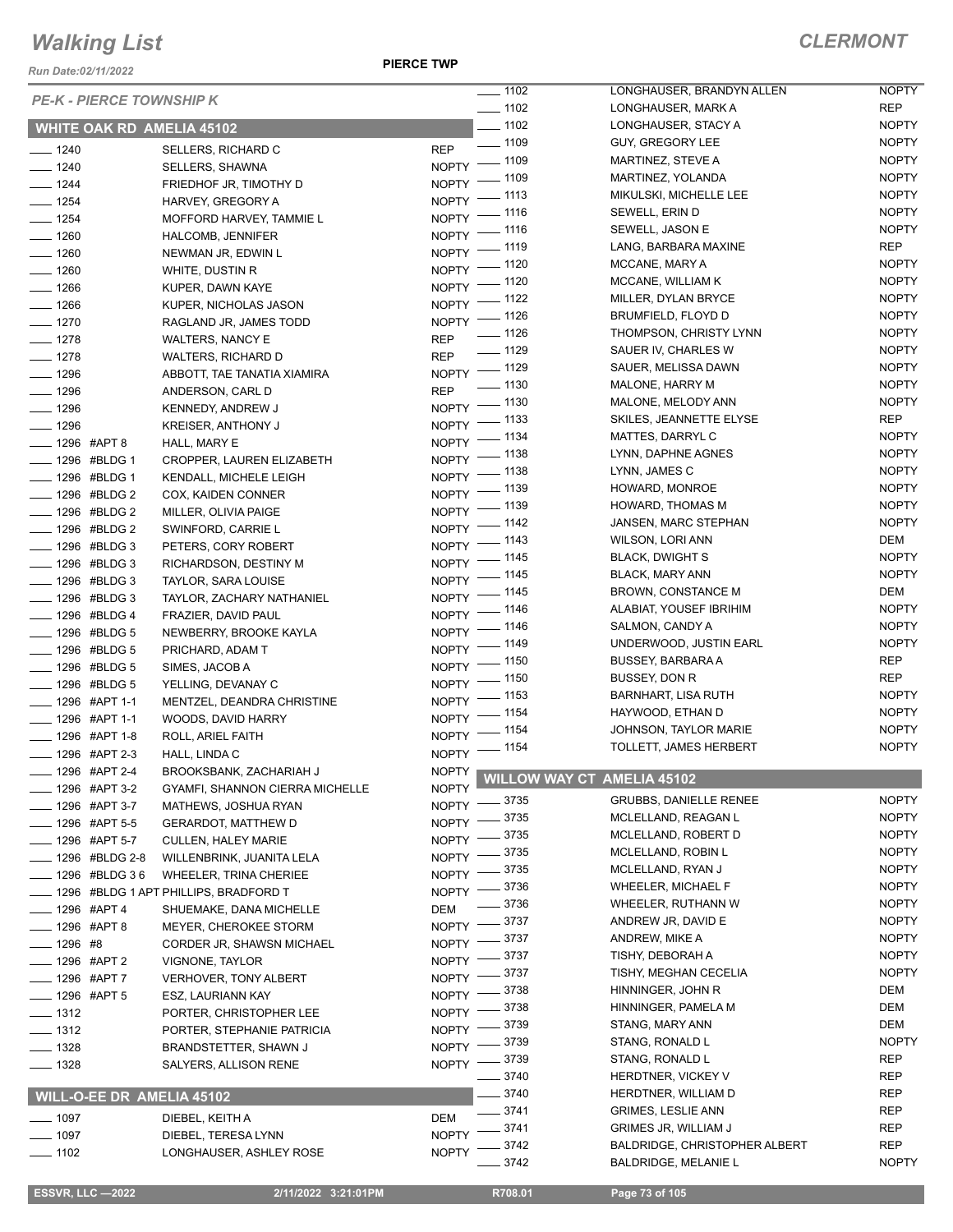*Run Date:02/11/2022*

**PIERCE TWP**

|                                               |                                       | $- 1102$                         | LONGHAUSER, BRANDYN ALLEN                 | <b>NOPTY</b> |
|-----------------------------------------------|---------------------------------------|----------------------------------|-------------------------------------------|--------------|
| <b>PE-K - PIERCE TOWNSHIP K</b>               |                                       | $\frac{1}{2}$ 1102               | LONGHAUSER, MARK A                        | <b>REP</b>   |
| <b>WHITE OAK RD AMELIA 45102</b>              |                                       | $- 1102$                         | LONGHAUSER, STACY A                       | <b>NOPTY</b> |
|                                               |                                       | $\frac{1}{2}$ 1109<br><b>REP</b> | GUY, GREGORY LEE                          | <b>NOPTY</b> |
| $- 1240$<br>$- 1240$                          | SELLERS, RICHARD C<br>SELLERS, SHAWNA | NOPTY - 1109                     | MARTINEZ, STEVE A                         | <b>NOPTY</b> |
| $\frac{1}{2}$ 1244                            | FRIEDHOF JR, TIMOTHY D                | $-1109$<br>$N$ OPTY -            | MARTINEZ, YOLANDA                         | <b>NOPTY</b> |
| $- 1254$                                      | HARVEY, GREGORY A                     | NOPTY - 1113                     | MIKULSKI, MICHELLE LEE                    | <b>NOPTY</b> |
| $- 1254$                                      | MOFFORD HARVEY, TAMMIE L              | NOPTY - 1116                     | SEWELL, ERIN D                            | <b>NOPTY</b> |
| $- 1260$                                      | HALCOMB, JENNIFER                     | NOPTY - 1116                     | SEWELL, JASON E                           | <b>NOPTY</b> |
| $- 1260$                                      |                                       | NOPTY - 1119                     | LANG, BARBARA MAXINE                      | <b>REP</b>   |
| $- 1260$                                      | NEWMAN JR, EDWIN L<br>WHITE, DUSTIN R | NOPTY - 1120                     | MCCANE, MARY A                            | <b>NOPTY</b> |
| $- 1266$                                      | KUPER, DAWN KAYE                      | NOPTY - 1120                     | MCCANE, WILLIAM K                         | <b>NOPTY</b> |
| $- 1266$                                      | KUPER, NICHOLAS JASON                 | NOPTY - 1122                     | MILLER, DYLAN BRYCE                       | <b>NOPTY</b> |
| $- 1270$                                      | RAGLAND JR, JAMES TODD                | NOPTY - 1126                     | BRUMFIELD, FLOYD D                        | <b>NOPTY</b> |
| $- 1278$                                      | <b>WALTERS, NANCY E</b>               | $- 1126$<br><b>REP</b>           | THOMPSON, CHRISTY LYNN                    | <b>NOPTY</b> |
| $- 1278$                                      | <b>WALTERS, RICHARD D</b>             | $- 1129$<br><b>REP</b>           | SAUER IV, CHARLES W                       | <b>NOPTY</b> |
| $- 1296$                                      | ABBOTT, TAE TANATIA XIAMIRA           | NOPTY - 1129                     | SAUER, MELISSA DAWN                       | <b>NOPTY</b> |
| $- 1296$                                      | ANDERSON, CARL D                      | $\frac{1}{2}$ 1130<br><b>REP</b> | MALONE, HARRY M                           | <b>NOPTY</b> |
| $\frac{1}{2}$ 1296                            |                                       | NOPTY - 1130                     | MALONE, MELODY ANN                        | <b>NOPTY</b> |
| $- 1296$                                      | KENNEDY, ANDREW J                     | NOPTY - 1133                     | SKILES, JEANNETTE ELYSE                   | <b>REP</b>   |
|                                               | KREISER, ANTHONY J                    | NOPTY - 1134                     | MATTES, DARRYL C                          | <b>NOPTY</b> |
| <b>_____ 1296 #APT 8</b><br>____ 1296 #BLDG 1 | HALL, MARY E                          | NOPTY - 1138                     | LYNN, DAPHNE AGNES                        | <b>NOPTY</b> |
|                                               | CROPPER, LAUREN ELIZABETH             | NOPTY - 1138                     | LYNN, JAMES C                             | <b>NOPTY</b> |
| -48LDG 1                                      | KENDALL, MICHELE LEIGH                | NOPTY - 1139                     | HOWARD, MONROE                            | <b>NOPTY</b> |
| -1296 #BLDG 2<br>-48LDG 2                     | COX, KAIDEN CONNER                    | NOPTY - 1139                     | <b>HOWARD, THOMAS M</b>                   | <b>NOPTY</b> |
|                                               | MILLER, OLIVIA PAIGE                  | NOPTY - 1142                     | JANSEN, MARC STEPHAN                      | <b>NOPTY</b> |
| -4296 #BLDG 2                                 | SWINFORD, CARRIE L                    | NOPTY - 1143                     | WILSON, LORI ANN                          | <b>DEM</b>   |
| - 1296 #BLDG 3                                | PETERS, CORY ROBERT                   | NOPTY - 1145                     | <b>BLACK, DWIGHT S</b>                    | <b>NOPTY</b> |
| -48LDG 3                                      | RICHARDSON, DESTINY M                 | NOPTY - 1145                     | <b>BLACK, MARY ANN</b>                    | <b>NOPTY</b> |
| -1296 #BLDG 3                                 | TAYLOR, SARA LOUISE                   | NOPTY - 1145                     | <b>BROWN, CONSTANCE M</b>                 | DEM          |
| -48LDG 3                                      | TAYLOR, ZACHARY NATHANIEL             | NOPTY - 1146                     | ALABIAT, YOUSEF IBRIHIM                   | <b>NOPTY</b> |
| - 1296 #BLDG 4                                | FRAZIER, DAVID PAUL                   | NOPTY - 1146                     | SALMON, CANDY A                           | <b>NOPTY</b> |
| - 1296 #BLDG 5                                | NEWBERRY, BROOKE KAYLA                | NOPTY - 1149                     | UNDERWOOD, JUSTIN EARL                    | <b>NOPTY</b> |
| -48LDG 5                                      | PRICHARD, ADAM T                      | NOPTY - 1150                     | <b>BUSSEY, BARBARA A</b>                  | REP          |
| -48LDG 5                                      | SIMES, JACOB A                        | NOPTY - 1150                     | BUSSEY, DON R                             | REP          |
| ____ 1296 #BLDG 5                             | YELLING, DEVANAY C                    | NOPTY - 1153                     | <b>BARNHART, LISA RUTH</b>                | <b>NOPTY</b> |
| ____ 1296 #APT 1-1                            | MENTZEL, DEANDRA CHRISTINE            | NOPTY - 1154                     | HAYWOOD, ETHAN D                          | <b>NOPTY</b> |
| ____ 1296 #APT 1-1                            | WOODS, DAVID HARRY                    | NOPTY - 1154                     | JOHNSON, TAYLOR MARIE                     | <b>NOPTY</b> |
| -1296 #APT 1-8                                | ROLL, ARIEL FAITH                     | NOPTY - 1154                     | TOLLETT, JAMES HERBERT                    | <b>NOPTY</b> |
| -1296 #APT 2-3                                | HALL, LINDA C                         |                                  |                                           |              |
| -1296 #APT 2-4                                | BROOKSBANK, ZACHARIAH J               |                                  | NOPTY WILLOW WAY CT AMELIA 45102          |              |
| _ 1296 #APT 3-2                               | GYAMFI, SHANNON CIERRA MICHELLE       | NOPTY -8735                      | <b>GRUBBS, DANIELLE RENEE</b>             | <b>NOPTY</b> |
| 1296 #APT 3-7                                 | MATHEWS, JOSHUA RYAN                  | 3735                             | MCLELLAND, REAGAN L                       | <b>NOPTY</b> |
| _ 1296 #APT 5-5                               | <b>GERARDOT, MATTHEW D</b>            | $N$ OPTY -<br>- 3735             | MCLELLAND, ROBERT D                       | <b>NOPTY</b> |
| $-1296$ #APT 5-7                              | <b>CULLEN, HALEY MARIE</b>            | NOPTY -<br>3735                  | MCLELLAND, ROBIN L                        | <b>NOPTY</b> |
| _ 1296 #BLDG 2-8                              | WILLENBRINK, JUANITA LELA             | NOPTY -<br>3735                  | MCLELLAND, RYAN J                         | <b>NOPTY</b> |
| -4296 #BLDG 36                                | WHEELER, TRINA CHERIEE                | NOPTY $-$<br>_ 3736              | <b>WHEELER, MICHAEL F</b>                 | <b>NOPTY</b> |
|                                               | 1296 #BLDG 1 APT PHILLIPS, BRADFORD T | $N$ OPTY $-$<br>3736             | WHEELER, RUTHANN W                        | <b>NOPTY</b> |
| _ 1296 #APT 4                                 | SHUEMAKE, DANA MICHELLE               | DEM                              | ANDREW JR, DAVID E                        | <b>NOPTY</b> |
| ____ 1296 #APT 8                              | <b>MEYER, CHEROKEE STORM</b>          | NOPTY -3737<br>_ 3737            | ANDREW, MIKE A                            | <b>NOPTY</b> |
| $- 1296$ #8                                   | CORDER JR, SHAWSN MICHAEL             | $NOPTY =$<br>3737                | TISHY, DEBORAH A                          | <b>NOPTY</b> |
| <b>______ 1296 #APT 2</b>                     | VIGNONE, TAYLOR                       | NOPTY -                          | TISHY, MEGHAN CECELIA                     | <b>NOPTY</b> |
| ___ 1296 #APT 7                               | <b>VERHOVER, TONY ALBERT</b>          | 3737<br>$NOPTY =$<br>3738        | HINNINGER, JOHN R                         | DEM          |
| $\frac{1}{2}$ 1296 #APT 5                     | ESZ, LAURIANN KAY                     | NOPTY -                          |                                           |              |
| $\frac{1}{2}$ 1312                            | PORTER, CHRISTOPHER LEE               | 3738<br>NOPTY $-$                | HINNINGER, PAMELA M<br>STANG, MARY ANN    | DEM<br>DEM   |
| $-1312$                                       | PORTER, STEPHANIE PATRICIA            | 3739<br>$N$ OPTY $-$<br>3739     | STANG, RONALD L                           | <b>NOPTY</b> |
| $- 1328$                                      | BRANDSTETTER, SHAWN J                 | NOPTY -                          | STANG, RONALD L                           | <b>REP</b>   |
| $- 1328$                                      | SALYERS, ALLISON RENE                 | NOPTY -8739                      |                                           |              |
|                                               |                                       | 3740<br>$-3740$                  | HERDTNER, VICKEY V<br>HERDTNER, WILLIAM D | REP<br>REP   |
| <b>WILL-O-EE DR AMELIA 45102</b>              |                                       |                                  |                                           |              |
| $- 1097$                                      | DIEBEL, KEITH A                       | $- 3741$<br>DEM                  | <b>GRIMES, LESLIE ANN</b>                 | <b>REP</b>   |
| $- 1097$                                      | DIEBEL, TERESA LYNN                   | 3741<br>NOPTY -                  | <b>GRIMES JR, WILLIAM J</b>               | REP          |
| $- 1102$                                      | LONGHAUSER, ASHLEY ROSE               | 3742<br><b>NOPTY</b>             | <b>BALDRIDGE, CHRISTOPHER ALBERT</b>      | REP          |
|                                               |                                       | 3742                             | <b>BALDRIDGE, MELANIE L</b>               | <b>NOPTY</b> |

 **ESSVR, LLC —2022 2/11/2022 3:21:01PM R708.01 Page 73 of 105**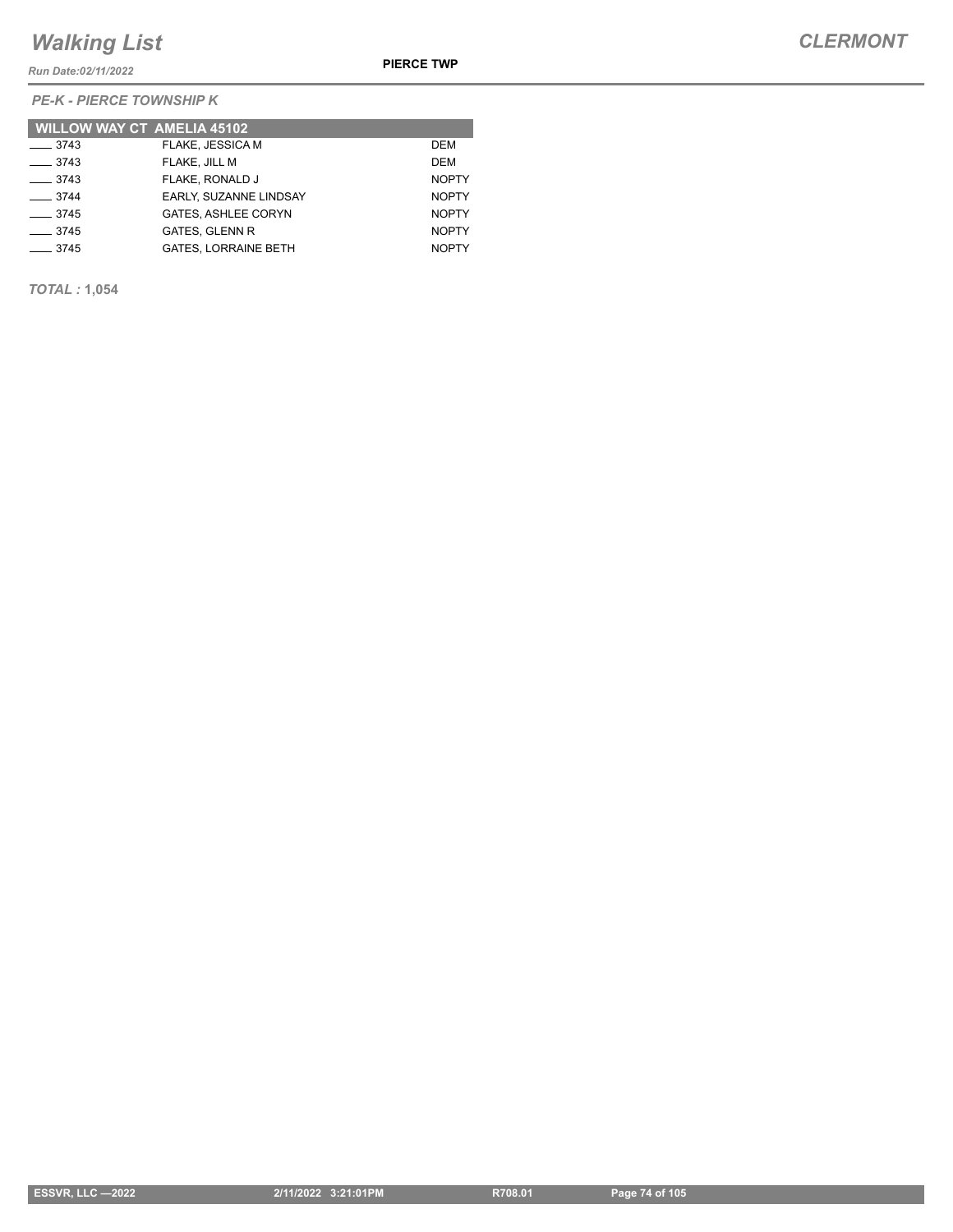*Run Date:02/11/2022*

*PE-K - PIERCE TOWNSHIP K*

| <b>WILLOW WAY CT AMELIA 45102</b> |                               |              |
|-----------------------------------|-------------------------------|--------------|
| $\frac{3743}{2}$                  | FLAKE, JESSICA M              | DEM          |
| $\frac{1}{2}$ 3743                | FLAKE, JILL M                 | DEM          |
| $\frac{1}{2}$ 3743                | FLAKE. RONALD J               | <b>NOPTY</b> |
| $\frac{3744}{ }$                  | <b>EARLY, SUZANNE LINDSAY</b> | <b>NOPTY</b> |
| $\frac{1}{2}$ 3745                | <b>GATES, ASHLEE CORYN</b>    | <b>NOPTY</b> |
| $-3745$                           | <b>GATES, GLENN R</b>         | <b>NOPTY</b> |
| $\frac{1}{2}$ 3745                | <b>GATES. LORRAINE BETH</b>   | <b>NOPTY</b> |

*TOTAL :* **1,054**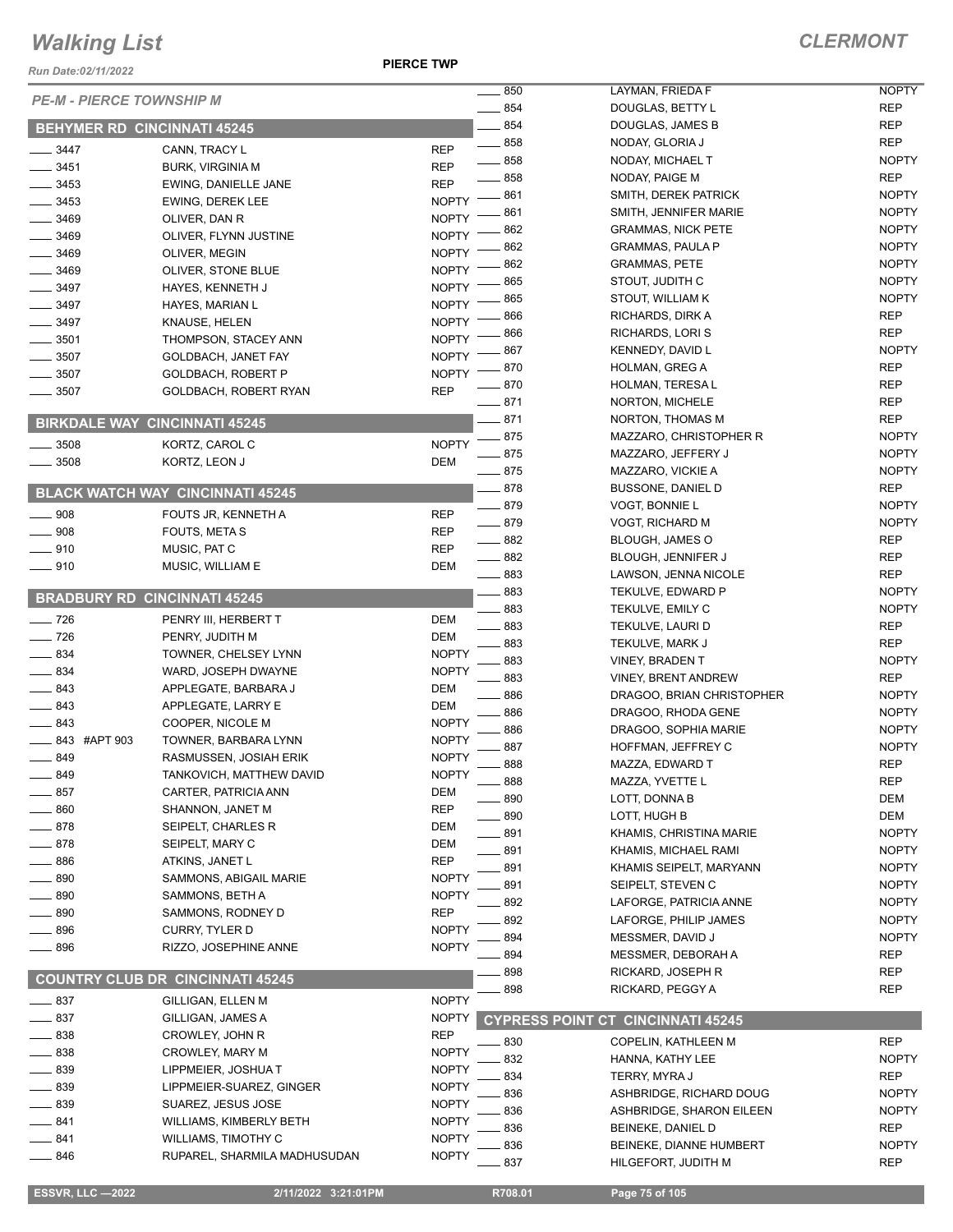*Run Date:02/11/2022*

**PIERCE TWP**

| <b>PE-M - PIERCE TOWNSHIP M</b>      |                                         |              | 850               | LAYMAN, FRIEDA F                           | <b>NOPTY</b>                 |
|--------------------------------------|-----------------------------------------|--------------|-------------------|--------------------------------------------|------------------------------|
|                                      |                                         |              | $-854$            | DOUGLAS, BETTY L                           | <b>REP</b>                   |
| <b>BEHYMER RD CINCINNATI 45245</b>   |                                         |              | 854               | DOUGLAS, JAMES B                           | <b>REP</b>                   |
| $- 3447$                             | CANN, TRACY L                           | <b>REP</b>   | $\frac{1}{2}$ 858 | NODAY, GLORIA J                            | <b>REP</b>                   |
| $\frac{1}{2}$ 3451                   | <b>BURK, VIRGINIA M</b>                 | <b>REP</b>   | $\sim$ 858        | NODAY, MICHAEL T                           | <b>NOPTY</b>                 |
| $-3453$                              | EWING, DANIELLE JANE                    | <b>REP</b>   | $-858$            | NODAY, PAIGE M                             | <b>REP</b>                   |
| $-3453$                              | <b>EWING, DEREK LEE</b>                 | <b>NOPTY</b> | 861               | SMITH, DEREK PATRICK                       | <b>NOPTY</b>                 |
| $- 3469$                             | OLIVER, DAN R                           | <b>NOPTY</b> | 861               | SMITH, JENNIFER MARIE                      | <b>NOPTY</b>                 |
| $-3469$                              | OLIVER, FLYNN JUSTINE                   | <b>NOPTY</b> | 862               | <b>GRAMMAS, NICK PETE</b>                  | <b>NOPTY</b>                 |
| $- 3469$                             | OLIVER, MEGIN                           | <b>NOPTY</b> | 862               | <b>GRAMMAS, PAULA P</b>                    | <b>NOPTY</b>                 |
| $- 3469$                             | OLIVER, STONE BLUE                      | <b>NOPTY</b> | 862               | <b>GRAMMAS, PETE</b>                       | <b>NOPTY</b>                 |
| $\frac{1}{2}$ 3497                   | HAYES, KENNETH J                        | <b>NOPTY</b> | 865               | STOUT, JUDITH C                            | <b>NOPTY</b>                 |
| $\frac{1}{2}$ 3497                   | HAYES, MARIAN L                         | <b>NOPTY</b> | 865               | STOUT, WILLIAM K                           | <b>NOPTY</b>                 |
| $-3497$                              | KNAUSE, HELEN                           | <b>NOPTY</b> | 866               | RICHARDS, DIRK A                           | <b>REP</b>                   |
| $\frac{1}{2}$ 3501                   | THOMPSON, STACEY ANN                    | <b>NOPTY</b> | 866               | RICHARDS, LORI S                           | <b>REP</b>                   |
| 3507                                 | GOLDBACH, JANET FAY                     | <b>NOPTY</b> | 867               | KENNEDY, DAVID L                           | <b>NOPTY</b>                 |
| 3507                                 | GOLDBACH, ROBERT P                      | <b>NOPTY</b> | 870               | HOLMAN, GREG A                             | <b>REP</b>                   |
| $\frac{1}{2}$ 3507                   | GOLDBACH, ROBERT RYAN                   | <b>REP</b>   | 870               | HOLMAN, TERESA L                           | <b>REP</b>                   |
|                                      |                                         |              | $-871$            | NORTON, MICHELE                            | <b>REP</b>                   |
| <b>BIRKDALE WAY CINCINNATI 45245</b> |                                         |              | $-871$            | NORTON, THOMAS M                           | <b>REP</b>                   |
| 3508                                 | KORTZ, CAROL C                          | <b>NOPTY</b> | 875               | MAZZARO, CHRISTOPHER R                     | <b>NOPTY</b>                 |
| 3508                                 | KORTZ, LEON J                           | <b>DEM</b>   | _ 875             | MAZZARO, JEFFERY J                         | <b>NOPTY</b>                 |
|                                      |                                         |              | $-875$            | MAZZARO, VICKIE A                          | <b>NOPTY</b>                 |
|                                      | <b>BLACK WATCH WAY CINCINNATI 45245</b> |              | $\equiv$ 878      | <b>BUSSONE, DANIEL D</b>                   | <b>REP</b>                   |
| $\frac{1}{2}$ 908                    | FOUTS JR, KENNETH A                     | <b>REP</b>   | $-879$            | <b>VOGT, BONNIE L</b>                      | <b>NOPTY</b>                 |
| $\frac{1}{2}$ 908                    | FOUTS, META S                           | <b>REP</b>   | $-879$            | VOGT, RICHARD M                            | <b>NOPTY</b>                 |
| $\frac{1}{2}$ 910                    | MUSIC, PAT C                            | <b>REP</b>   | $- 882$           | <b>BLOUGH, JAMES O</b>                     | <b>REP</b>                   |
| $-910$                               | MUSIC, WILLIAM E                        | <b>DEM</b>   | $\frac{1}{2}$ 882 | BLOUGH, JENNIFER J                         | <b>REP</b>                   |
|                                      |                                         |              | $\equiv$ 883      | LAWSON, JENNA NICOLE                       | <b>REP</b>                   |
| <b>BRADBURY RD CINCINNATI 45245</b>  |                                         |              | $-883$            | TEKULVE, EDWARD P                          | <b>NOPTY</b>                 |
| $\frac{1}{2}$ 726                    | PENRY III, HERBERT T                    | <b>DEM</b>   | 883               | TEKULVE, EMILY C                           | <b>NOPTY</b>                 |
| $- 726$                              | PENRY, JUDITH M                         | <b>DEM</b>   | 883               | TEKULVE, LAURI D                           | <b>REP</b>                   |
| $- 834$                              | TOWNER, CHELSEY LYNN                    | <b>NOPTY</b> | 883               | TEKULVE, MARK J                            | <b>REP</b>                   |
| $- 834$                              | WARD, JOSEPH DWAYNE                     | <b>NOPTY</b> | 883               | VINEY, BRADEN T                            | <b>NOPTY</b>                 |
| 843                                  | APPLEGATE, BARBARA J                    | DEM          | 883<br>886        | <b>VINEY, BRENT ANDREW</b>                 | <b>REP</b>                   |
| 843                                  | APPLEGATE, LARRY E                      | <b>DEM</b>   |                   | DRAGOO, BRIAN CHRISTOPHER                  | <b>NOPTY</b>                 |
| $\equiv$ 843                         | COOPER, NICOLE M                        | <b>NOPTY</b> | 886<br>886        | DRAGOO, RHODA GENE                         | <b>NOPTY</b><br><b>NOPTY</b> |
| 843 #APT 903                         | TOWNER, BARBARA LYNN                    | <b>NOPTY</b> | 887               | DRAGOO, SOPHIA MARIE<br>HOFFMAN, JEFFREY C | <b>NOPTY</b>                 |
| 849                                  | RASMUSSEN, JOSIAH ERIK                  | <b>NOPTY</b> | 888               | MAZZA, EDWARD T                            | <b>REP</b>                   |
| 849                                  | TANKOVICH. MATTHEW DAVID                | <b>NOPTY</b> |                   |                                            |                              |
| 857                                  | CARTER, PATRICIA ANN                    | DEM          | _ 888<br>890      | MAZZA, YVETTE L<br>LOTT, DONNA B           | <b>REP</b><br>DEM            |
| 860                                  | SHANNON, JANET M                        | <b>REP</b>   | 890               | LOTT, HUGH B                               | <b>DEM</b>                   |
| 878                                  | SEIPELT, CHARLES R                      | DEM          | . 891             | KHAMIS, CHRISTINA MARIE                    | <b>NOPTY</b>                 |
| 878                                  | SEIPELT, MARY C                         | <b>DEM</b>   | - 891             | KHAMIS, MICHAEL RAMI                       | <b>NOPTY</b>                 |
| 886                                  | ATKINS, JANET L                         | <b>REP</b>   | 891               | KHAMIS SEIPELT, MARYANN                    | <b>NOPTY</b>                 |
| 890                                  | SAMMONS, ABIGAIL MARIE                  | <b>NOPTY</b> | 891               | SEIPELT, STEVEN C                          | <b>NOPTY</b>                 |
| 890                                  | SAMMONS, BETH A                         | <b>NOPTY</b> | 892               | LAFORGE, PATRICIA ANNE                     | <b>NOPTY</b>                 |
| 890                                  | SAMMONS, RODNEY D                       | <b>REP</b>   | 892               | LAFORGE, PHILIP JAMES                      | <b>NOPTY</b>                 |
| 896                                  | <b>CURRY, TYLER D</b>                   | <b>NOPTY</b> | 894               | MESSMER, DAVID J                           | <b>NOPTY</b>                 |
| 896                                  | RIZZO, JOSEPHINE ANNE                   | <b>NOPTY</b> | 894               | MESSMER, DEBORAH A                         | <b>REP</b>                   |
|                                      |                                         |              | 898               | RICKARD, JOSEPH R                          | <b>REP</b>                   |
|                                      | <b>COUNTRY CLUB DR CINCINNATI 45245</b> |              | 898               | RICKARD, PEGGY A                           | <b>REP</b>                   |
| __ 837                               | GILLIGAN, ELLEN M                       | <b>NOPTY</b> |                   |                                            |                              |
| $\equiv$ 837                         | GILLIGAN, JAMES A                       | <b>NOPTY</b> |                   | <b>CYPRESS POINT CT CINCINNATI 45245</b>   |                              |
| 838                                  | CROWLEY, JOHN R                         | <b>REP</b>   | 830               | COPELIN, KATHLEEN M                        | <b>REP</b>                   |
| 838                                  | CROWLEY, MARY M                         | <b>NOPTY</b> | 832               | HANNA, KATHY LEE                           | <b>NOPTY</b>                 |
| 839                                  | LIPPMEIER, JOSHUAT                      | <b>NOPTY</b> | 834               | TERRY, MYRA J                              | REP                          |
| 839                                  | LIPPMEIER-SUAREZ, GINGER                | <b>NOPTY</b> | 836               | ASHBRIDGE, RICHARD DOUG                    | <b>NOPTY</b>                 |
| 839                                  | SUAREZ, JESUS JOSE                      | <b>NOPTY</b> | 836               | ASHBRIDGE, SHARON EILEEN                   | <b>NOPTY</b>                 |
| $-841$                               | WILLIAMS, KIMBERLY BETH                 | <b>NOPTY</b> | 836               | BEINEKE, DANIEL D                          | <b>REP</b>                   |
| 841                                  | WILLIAMS, TIMOTHY C                     | <b>NOPTY</b> | 836               | BEINEKE, DIANNE HUMBERT                    | <b>NOPTY</b>                 |
| —— 846                               | RUPAREL, SHARMILA MADHUSUDAN            | <b>NOPTY</b> | 837               | HILGEFORT, JUDITH M                        | <b>REP</b>                   |
|                                      |                                         |              |                   |                                            |                              |
| <b>ESSVR, LLC -2022</b>              | 2/11/2022 3:21:01PM                     |              | R708.01           | Page 75 of 105                             |                              |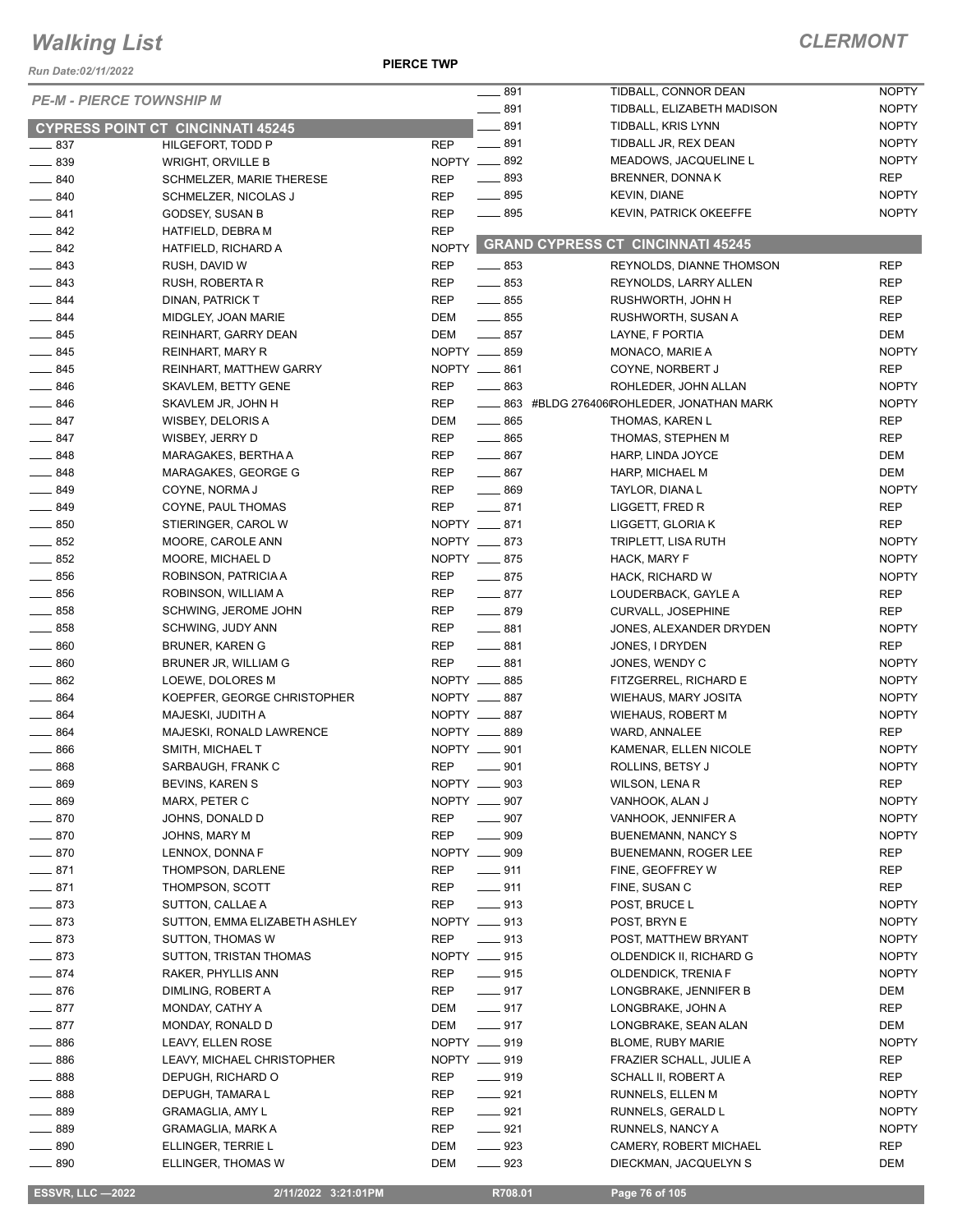*Run Date:02/11/2022*

**PIERCE TWP**

#### *CLERMONT*

|                   | <b>PE-M - PIERCE TOWNSHIP M</b>          |                     | $-891$<br>$-891$  | TIDBALL, CONNOR DEAN                          | <b>NOPTY</b> |
|-------------------|------------------------------------------|---------------------|-------------------|-----------------------------------------------|--------------|
|                   |                                          |                     |                   | TIDBALL, ELIZABETH MADISON                    | <b>NOPTY</b> |
|                   | <b>CYPRESS POINT CT CINCINNATI 45245</b> |                     | $-891$            | TIDBALL, KRIS LYNN                            | <b>NOPTY</b> |
| $-837$            | HILGEFORT, TODD P                        | <b>REP</b>          | $-891$            | TIDBALL JR, REX DEAN                          | <b>NOPTY</b> |
| $-839$            | <b>WRIGHT, ORVILLE B</b>                 | NOPTY <u>__</u> 892 |                   | MEADOWS, JACQUELINE L                         | <b>NOPTY</b> |
| $- 840$           | SCHMELZER, MARIE THERESE                 | <b>REP</b>          | $- 893$           | <b>BRENNER, DONNAK</b>                        | <b>REP</b>   |
| $- 840$           | SCHMELZER, NICOLAS J                     | <b>REP</b>          | $-895$            | KEVIN, DIANE                                  | <b>NOPTY</b> |
| $-841$            | GODSEY, SUSAN B                          | <b>REP</b>          | $- 895$           | <b>KEVIN, PATRICK OKEEFFE</b>                 | <b>NOPTY</b> |
| $-842$            | HATFIELD, DEBRA M                        | <b>REP</b>          |                   |                                               |              |
| $-842$            | HATFIELD, RICHARD A                      | <b>NOPTY</b>        |                   | <b>GRAND CYPRESS CT CINCINNATI 45245</b>      |              |
| $-843$            | RUSH, DAVID W                            | <b>REP</b>          | $\frac{1}{2}$ 853 | REYNOLDS, DIANNE THOMSON                      | <b>REP</b>   |
| $-843$            | RUSH, ROBERTA R                          | <b>REP</b>          | $\frac{1}{2}$ 853 | REYNOLDS, LARRY ALLEN                         | <b>REP</b>   |
| $-844$            | DINAN, PATRICK T                         | <b>REP</b>          | $-855$            | RUSHWORTH, JOHN H                             | <b>REP</b>   |
| $-844$            | MIDGLEY, JOAN MARIE                      | DEM                 | $\frac{1}{2}$ 855 | RUSHWORTH, SUSAN A                            | <b>REP</b>   |
| $- 845$           | REINHART, GARRY DEAN                     | DEM                 | $-857$            | LAYNE, F PORTIA                               | <b>DEM</b>   |
| $- 845$           | REINHART, MARY R                         | NOPTY __ 859        |                   | MONACO, MARIE A                               | <b>NOPTY</b> |
| $-845$            | REINHART, MATTHEW GARRY                  | NOPTY __ 861        |                   | COYNE, NORBERT J                              | <b>REP</b>   |
| $- 846$           | SKAVLEM, BETTY GENE                      | <b>REP</b>          | $\frac{1}{2}$ 863 | ROHLEDER, JOHN ALLAN                          | <b>NOPTY</b> |
| $- 846$           | SKAVLEM JR, JOHN H                       | <b>REP</b>          |                   | ____ 863 #BLDG 276406(ROHLEDER, JONATHAN MARK | <b>NOPTY</b> |
| $-847$            |                                          | DEM                 | $\frac{1}{2}$ 865 |                                               | <b>REP</b>   |
|                   | WISBEY, DELORIS A                        |                     | $-865$            | THOMAS, KAREN L                               |              |
| $-847$            | WISBEY, JERRY D                          | <b>REP</b>          |                   | THOMAS, STEPHEN M                             | <b>REP</b>   |
| $- 848$           | MARAGAKES, BERTHA A                      | <b>REP</b>          | $-867$            | HARP, LINDA JOYCE                             | <b>DEM</b>   |
| $-848$            | MARAGAKES, GEORGE G                      | <b>REP</b>          | $- 867$           | HARP, MICHAEL M                               | <b>DEM</b>   |
| $-849$            | COYNE, NORMA J                           | <b>REP</b>          | $- 869$           | TAYLOR, DIANA L                               | <b>NOPTY</b> |
| $-849$            | COYNE, PAUL THOMAS                       | <b>REP</b>          | $-871$            | LIGGETT, FRED R                               | <b>REP</b>   |
| $\frac{1}{2}$ 850 | STIERINGER, CAROL W                      | NOPTY __ 871        |                   | LIGGETT, GLORIA K                             | <b>REP</b>   |
| $\frac{1}{2}$ 852 | MOORE, CAROLE ANN                        | NOPTY __ 873        |                   | TRIPLETT, LISA RUTH                           | <b>NOPTY</b> |
| $-852$            | MOORE, MICHAEL D                         | NOPTY __ 875        |                   | HACK, MARY F                                  | <b>NOPTY</b> |
| $\frac{1}{2}$ 856 | ROBINSON, PATRICIA A                     | REP                 | $-875$            | HACK, RICHARD W                               | <b>NOPTY</b> |
| $\frac{1}{2}$ 856 | ROBINSON, WILLIAM A                      | <b>REP</b>          | $-877$            | LOUDERBACK, GAYLE A                           | <b>REP</b>   |
| $- 858$           | SCHWING, JEROME JOHN                     | <b>REP</b>          | $-879$            | <b>CURVALL, JOSEPHINE</b>                     | <b>REP</b>   |
| $- 858$           | SCHWING, JUDY ANN                        | <b>REP</b>          | $-881$            | JONES, ALEXANDER DRYDEN                       | <b>NOPTY</b> |
| $- 860$           | BRUNER, KAREN G                          | <b>REP</b>          | $-881$            | JONES, I DRYDEN                               | <b>REP</b>   |
| $- 860$           | BRUNER JR, WILLIAM G                     | <b>REP</b>          | $-881$            | JONES, WENDY C                                | <b>NOPTY</b> |
| $\frac{1}{2}$ 862 | LOEWE, DOLORES M                         | NOPTY __ 885        |                   | FITZGERREL, RICHARD E                         | <b>NOPTY</b> |
| $- 864$           | KOEPFER, GEORGE CHRISTOPHER              | NOPTY __ 887        |                   | WIEHAUS, MARY JOSITA                          | <b>NOPTY</b> |
| $- 864$           | MAJESKI, JUDITH A                        | NOPTY __ 887        |                   | WIEHAUS, ROBERT M                             | <b>NOPTY</b> |
| $- 864$           | MAJESKI, RONALD LAWRENCE                 | NOPTY __ 889        |                   | WARD, ANNALEE                                 | <b>REP</b>   |
| $\frac{1}{2}$ 866 | SMITH, MICHAEL T                         | NOPTY __ 901        |                   | KAMENAR, ELLEN NICOLE                         | <b>NOPTY</b> |
| $-868$            | SARBAUGH, FRANK C                        | <b>REP</b>          | $- 901$           | ROLLINS, BETSY J                              | <b>NOPTY</b> |
| _ 869             | BEVINS, KAREN S                          | NOPTY __ 903        |                   | WILSON, LENA R                                | REP          |
| $\frac{1}{2}$ 869 | MARX, PETER C                            | NOPTY __ 907        |                   | VANHOOK, ALAN J                               | <b>NOPTY</b> |
| $- 870$           | JOHNS, DONALD D                          | REP                 | $- 907$           | VANHOOK, JENNIFER A                           | <b>NOPTY</b> |
| $-870$            | JOHNS, MARY M                            | REP                 | $-909$            | <b>BUENEMANN, NANCY S</b>                     | <b>NOPTY</b> |
| $-870$            | LENNOX, DONNA F                          | NOPTY __ 909        |                   | BUENEMANN, ROGER LEE                          | REP          |
| $-871$            | THOMPSON, DARLENE                        | REP                 | $\frac{1}{2}$ 911 | FINE, GEOFFREY W                              | REP          |
| $-871$            |                                          |                     | $-911$            |                                               |              |
|                   | THOMPSON, SCOTT                          | REP                 |                   | FINE, SUSAN C                                 | REP          |
| $-873$            | SUTTON, CALLAE A                         | <b>REP</b>          | $- 913$           | POST, BRUCE L                                 | <b>NOPTY</b> |
| $-873$            | SUTTON, EMMA ELIZABETH ASHLEY            | NOPTY __ 913        |                   | POST, BRYN E                                  | <b>NOPTY</b> |
| $-873$            | SUTTON, THOMAS W                         | REP                 | $-913$            | POST, MATTHEW BRYANT                          | <b>NOPTY</b> |
| $-873$            | SUTTON, TRISTAN THOMAS                   | NOPTY __ 915        |                   | OLDENDICK II, RICHARD G                       | <b>NOPTY</b> |
| $-874$            | RAKER, PHYLLIS ANN                       | REP                 | $-915$            | OLDENDICK, TRENIA F                           | <b>NOPTY</b> |
| $-876$            | DIMLING, ROBERT A                        | REP                 | $- 917$           | LONGBRAKE, JENNIFER B                         | DEM          |
| $-877$            | MONDAY, CATHY A                          | DEM                 | $-917$            | LONGBRAKE, JOHN A                             | REP          |
| $-877$            | MONDAY, RONALD D                         | DEM                 | $-917$            | LONGBRAKE, SEAN ALAN                          | DEM          |
| $\frac{1}{2}$ 886 | LEAVY, ELLEN ROSE                        | NOPTY __ 919        |                   | <b>BLOME, RUBY MARIE</b>                      | <b>NOPTY</b> |
| $\frac{1}{2}$ 886 | LEAVY, MICHAEL CHRISTOPHER               | NOPTY __ 919        |                   | FRAZIER SCHALL, JULIE A                       | REP          |
| $- 888$           | DEPUGH, RICHARD O                        | REP                 | $- 919$           | SCHALL II, ROBERT A                           | REP          |
| $\frac{1}{2}$ 888 | DEPUGH, TAMARA L                         | REP                 | $-921$            | RUNNELS, ELLEN M                              | <b>NOPTY</b> |
| $\frac{1}{2}$ 889 | <b>GRAMAGLIA, AMY L</b>                  | REP                 | $- 921$           | RUNNELS, GERALD L                             | <b>NOPTY</b> |
| $-889$            | <b>GRAMAGLIA, MARK A</b>                 | REP                 | $- 921$           | RUNNELS, NANCY A                              | <b>NOPTY</b> |
| $\frac{1}{2}$ 890 | ELLINGER, TERRIE L                       | DEM                 | $\frac{1}{2}$ 923 | CAMERY, ROBERT MICHAEL                        | <b>REP</b>   |
| $\frac{1}{2}$ 890 | ELLINGER, THOMAS W                       | DEM                 | $\frac{1}{2}$ 923 | DIECKMAN, JACQUELYN S                         | DEM          |

 **ESSVR, LLC —2022 2/11/2022 3:21:01PM R708.01 Page 76 of 105**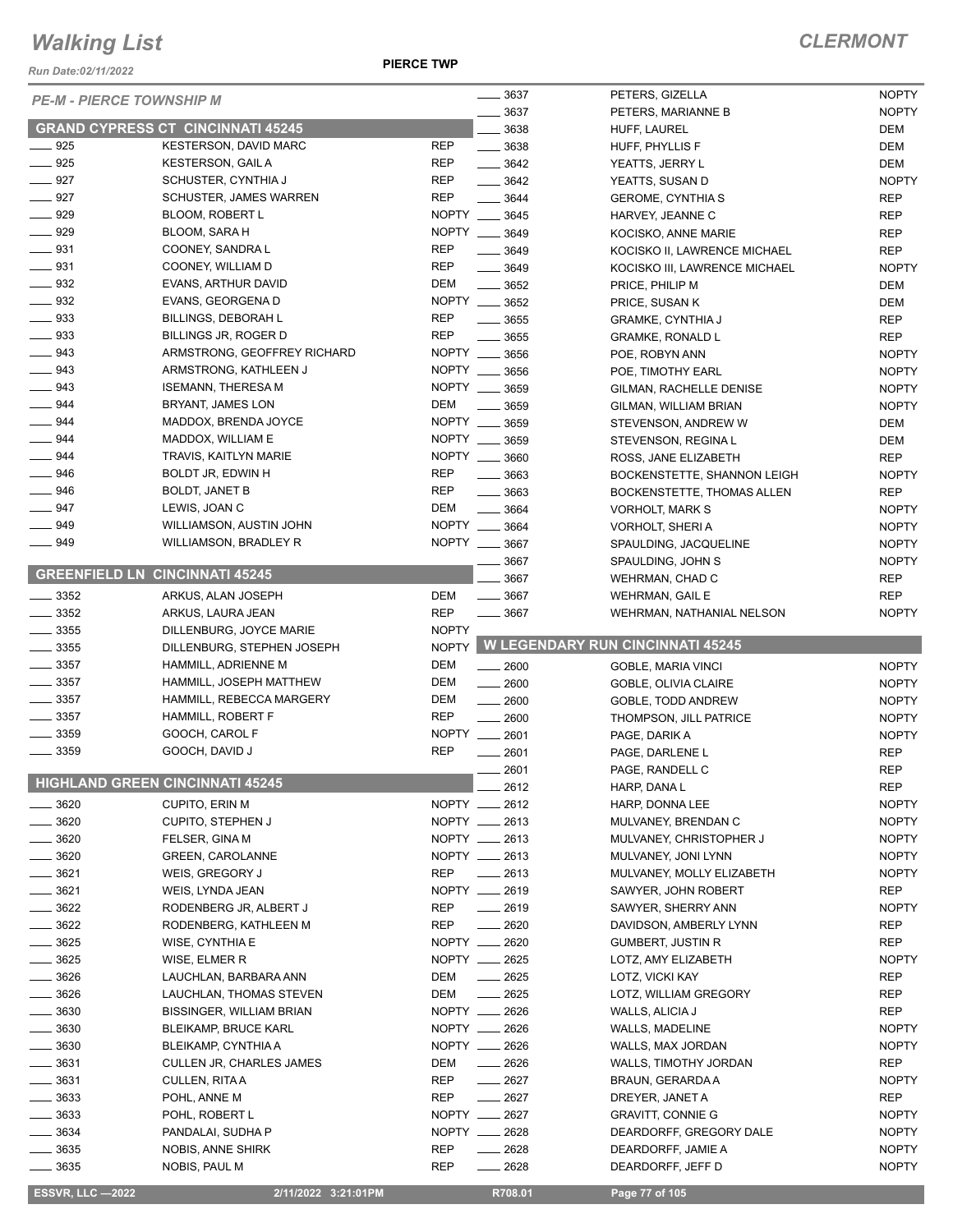*Run Date:02/11/2022*

**PIERCE TWP**

|                    | <b>PE-M - PIERCE TOWNSHIP M</b>          | 3637                                | PETERS, GIZELLA                         | <b>NOPTY</b>                 |
|--------------------|------------------------------------------|-------------------------------------|-----------------------------------------|------------------------------|
|                    |                                          | 3637                                | PETERS, MARIANNE B                      | <b>NOPTY</b>                 |
|                    | <b>GRAND CYPRESS CT CINCINNATI 45245</b> | 3638                                | HUFF, LAUREL                            | DEM                          |
| $-925$             | KESTERSON, DAVID MARC                    | <b>REP</b><br>$\frac{1}{2}$ 3638    | HUFF, PHYLLIS F                         | <b>DEM</b>                   |
| $-925$             | <b>KESTERSON, GAIL A</b>                 | <b>REP</b><br>$- 3642$              | YEATTS, JERRY L                         | <b>DEM</b>                   |
| $\frac{1}{2}$ 927  | SCHUSTER, CYNTHIA J                      | <b>REP</b><br>$- 3642$              | YEATTS, SUSAN D                         | <b>NOPTY</b>                 |
| $-927$             | <b>SCHUSTER, JAMES WARREN</b>            | <b>REP</b><br>$- 3644$              | <b>GEROME, CYNTHIA S</b>                | <b>REP</b>                   |
| $\frac{1}{2}$ 929  | <b>BLOOM, ROBERT L</b>                   | NOPTY __ 3645                       | HARVEY, JEANNE C                        | <b>REP</b>                   |
| $- 929$            | <b>BLOOM, SARA H</b>                     | NOPTY __ 3649                       | KOCISKO, ANNE MARIE                     | <b>REP</b>                   |
| $\frac{1}{2}$ 931  | COONEY, SANDRA L                         | <b>REP</b><br>3649                  | KOCISKO II, LAWRENCE MICHAEL            | <b>REP</b>                   |
| $- 931$            | COONEY, WILLIAM D                        | <b>REP</b><br>$- 3649$              | KOCISKO III, LAWRENCE MICHAEL           | <b>NOPTY</b>                 |
| $\frac{1}{2}$ 932  | EVANS, ARTHUR DAVID                      | DEM<br>$- 3652$                     | PRICE, PHILIP M                         | <b>DEM</b>                   |
| $\frac{1}{2}$ 932  | EVANS, GEORGENA D                        | NOPTY __ 3652                       | PRICE, SUSAN K                          | <b>DEM</b>                   |
| $- 933$            | <b>BILLINGS, DEBORAH L</b>               | <b>REP</b><br>$\frac{1}{2}$ 3655    | <b>GRAMKE, CYNTHIA J</b>                | <b>REP</b>                   |
| $\frac{1}{2}$ 933  | BILLINGS JR, ROGER D                     | <b>REP</b><br>3655                  | <b>GRAMKE, RONALD L</b>                 | <b>REP</b>                   |
| $\equiv$ 943       | ARMSTRONG, GEOFFREY RICHARD              | NOPTY ___<br>3656                   | POE, ROBYN ANN                          | <b>NOPTY</b>                 |
| $\equiv$ 943       | ARMSTRONG, KATHLEEN J                    | NOPTY __ 3656                       | POE, TIMOTHY EARL                       | <b>NOPTY</b>                 |
| $- 943$            | <b>ISEMANN, THERESA M</b>                | NOPTY __ 3659                       |                                         | <b>NOPTY</b>                 |
| $\frac{1}{2}$ 944  | BRYANT, JAMES LON                        | DEM                                 | GILMAN, RACHELLE DENISE                 |                              |
|                    |                                          | $\frac{1}{2}$ 3659<br>NOPTY __ 3659 | GILMAN, WILLIAM BRIAN                   | <b>NOPTY</b>                 |
| $- 944$            | MADDOX, BRENDA JOYCE                     |                                     | STEVENSON, ANDREW W                     | <b>DEM</b>                   |
| $-944$             | MADDOX, WILLIAM E                        | NOPTY __ 3659                       | STEVENSON, REGINA L                     | DEM                          |
| 944                | TRAVIS, KAITLYN MARIE                    | NOPTY __ 3660                       | ROSS, JANE ELIZABETH                    | <b>REP</b>                   |
| $- 946$            | BOLDT JR, EDWIN H                        | <b>REP</b><br>3663                  | BOCKENSTETTE, SHANNON LEIGH             | <b>NOPTY</b>                 |
| $\frac{1}{2}$ 946  | <b>BOLDT, JANET B</b>                    | <b>REP</b><br>3663                  | BOCKENSTETTE, THOMAS ALLEN              | <b>REP</b>                   |
| $- 947$            | LEWIS, JOAN C                            | DEM<br>3664                         | VORHOLT, MARK S                         | <b>NOPTY</b>                 |
| $- 949$            | WILLIAMSON, AUSTIN JOHN                  | <b>NOPTY</b><br>3664                | <b>VORHOLT, SHERI A</b>                 | <b>NOPTY</b>                 |
| $- 949$            | WILLIAMSON, BRADLEY R                    | NOPTY __ 3667                       | SPAULDING, JACQUELINE                   | <b>NOPTY</b>                 |
|                    |                                          | 3667                                | SPAULDING, JOHN S                       | <b>NOPTY</b>                 |
|                    | <b>GREENFIELD LN CINCINNATI 45245</b>    | 3667                                | WEHRMAN, CHAD C                         | <b>REP</b>                   |
| $\frac{1}{2}$ 3352 | ARKUS, ALAN JOSEPH                       | DEM<br>$\frac{1}{2}$ 3667           | WEHRMAN, GAIL E                         | <b>REP</b>                   |
| $\frac{1}{2}$ 3352 | ARKUS, LAURA JEAN                        | <b>REP</b><br>$\frac{1}{2}$ 3667    | WEHRMAN, NATHANIAL NELSON               | <b>NOPTY</b>                 |
| $\frac{1}{2}$ 3355 | DILLENBURG, JOYCE MARIE                  | <b>NOPTY</b>                        |                                         |                              |
|                    |                                          |                                     |                                         |                              |
| $\frac{1}{2}$ 3355 | DILLENBURG, STEPHEN JOSEPH               | <b>NOPTY</b>                        | <b>W LEGENDARY RUN CINCINNATI 45245</b> |                              |
| $\frac{1}{2}$ 3357 |                                          | DEM                                 |                                         |                              |
|                    | HAMMILL, ADRIENNE M                      | $- 2600$                            | GOBLE, MARIA VINCI                      | <b>NOPTY</b>                 |
| $\frac{1}{2}$ 3357 | HAMMILL, JOSEPH MATTHEW                  | DEM<br>$- 2600$                     | GOBLE, OLIVIA CLAIRE                    | <b>NOPTY</b>                 |
| $\frac{1}{2}$ 3357 | HAMMILL, REBECCA MARGERY                 | DEM<br>$- 2600$                     | GOBLE, TODD ANDREW                      | <b>NOPTY</b>                 |
| $\frac{1}{2}$ 3357 | HAMMILL, ROBERT F                        | <b>REP</b><br>2600                  | THOMPSON, JILL PATRICE                  | <b>NOPTY</b>                 |
| $-3359$            | GOOCH, CAROL F                           | NOPTY __ 2601                       | PAGE, DARIK A                           | <b>NOPTY</b>                 |
| $\frac{1}{2}$ 3359 | GOOCH, DAVID J                           | <b>REP</b><br>2601                  | PAGE, DARLENE L                         | <b>REP</b>                   |
|                    |                                          | 2601                                | PAGE, RANDELL C                         | <b>REP</b>                   |
|                    | HIGHLAND GREEN CINCINNATI 45245          | 2612                                | HARP, DANA L                            | <b>REP</b>                   |
| $- 3620$           | <b>CUPITO, ERIN M</b>                    | NOPTY __<br>2612                    | HARP, DONNA LEE                         | <b>NOPTY</b>                 |
| $- 3620$           | <b>CUPITO, STEPHEN J</b>                 | NOPTY __ 2613                       | MULVANEY, BRENDAN C                     | <b>NOPTY</b>                 |
| $-3620$            | FELSER, GINA M                           | NOPTY __ 2613                       | MULVANEY, CHRISTOPHER J                 | <b>NOPTY</b>                 |
| $-3620$            | <b>GREEN, CAROLANNE</b>                  | NOPTY __ 2613                       | MULVANEY, JONI LYNN                     | <b>NOPTY</b>                 |
| $\frac{1}{2}$ 3621 | WEIS, GREGORY J                          | <b>REP</b><br>2613                  | MULVANEY, MOLLY ELIZABETH               | <b>NOPTY</b>                 |
| _ 3621             | WEIS, LYNDA JEAN                         | NOPTY __ 2619                       | SAWYER, JOHN ROBERT                     | REP                          |
| $\frac{3622}{2}$   | RODENBERG JR, ALBERT J                   | <b>REP</b><br>$-2619$               | SAWYER, SHERRY ANN                      | <b>NOPTY</b>                 |
| $- 3622$           | RODENBERG, KATHLEEN M                    | 2620<br>REP<br>$\frac{1}{1}$        | DAVIDSON, AMBERLY LYNN                  | REP                          |
| $- 3625$           | WISE, CYNTHIA E                          | NOPTY __ 2620                       | <b>GUMBERT, JUSTIN R</b>                | REP                          |
| $=$ 3625           | WISE, ELMER R                            | NOPTY __ 2625                       | LOTZ, AMY ELIZABETH                     | <b>NOPTY</b>                 |
| _ 3626             | LAUCHLAN, BARBARA ANN                    | 2625<br>DEM                         | LOTZ, VICKI KAY                         | REP                          |
| $-3626$            | LAUCHLAN, THOMAS STEVEN                  | DEM<br>2625                         | LOTZ, WILLIAM GREGORY                   | REP                          |
| 3630               | BISSINGER, WILLIAM BRIAN                 | NOPTY __ 2626                       | WALLS, ALICIA J                         | REP                          |
|                    |                                          |                                     |                                         |                              |
| $-3630$            | <b>BLEIKAMP, BRUCE KARL</b>              | NOPTY __ 2626                       | WALLS, MADELINE                         | <b>NOPTY</b>                 |
| $-3630$            | BLEIKAMP, CYNTHIA A                      | 2626<br>NOPTY __                    | WALLS, MAX JORDAN                       | <b>NOPTY</b>                 |
| _ 3631             | <b>CULLEN JR, CHARLES JAMES</b>          | DEM<br>2626                         | WALLS, TIMOTHY JORDAN                   | REP                          |
| _ 3631             | CULLEN, RITA A                           | <b>REP</b><br>$- 2627$              | BRAUN, GERARDA A                        | <b>NOPTY</b>                 |
| $= 3633$           | POHL, ANNE M                             | <b>REP</b><br>2627                  | DREYER, JANET A                         | REP                          |
| $\frac{1}{2}$ 3633 | POHL, ROBERT L                           | NOPTY __ 2627                       | <b>GRAVITT, CONNIE G</b>                | <b>NOPTY</b>                 |
| $=$ 3634           | PANDALAI, SUDHA P                        | NOPTY __<br>2628                    | DEARDORFF, GREGORY DALE                 | <b>NOPTY</b>                 |
| $-3635$<br>3635    | NOBIS, ANNE SHIRK<br>NOBIS, PAUL M       | REP<br>2628<br><b>REP</b><br>2628   | DEARDORFF, JAMIE A<br>DEARDORFF, JEFF D | <b>NOPTY</b><br><b>NOPTY</b> |

 **ESSVR, LLC —2022 2/11/2022 3:21:01PM R708.01 Page 77 of 105**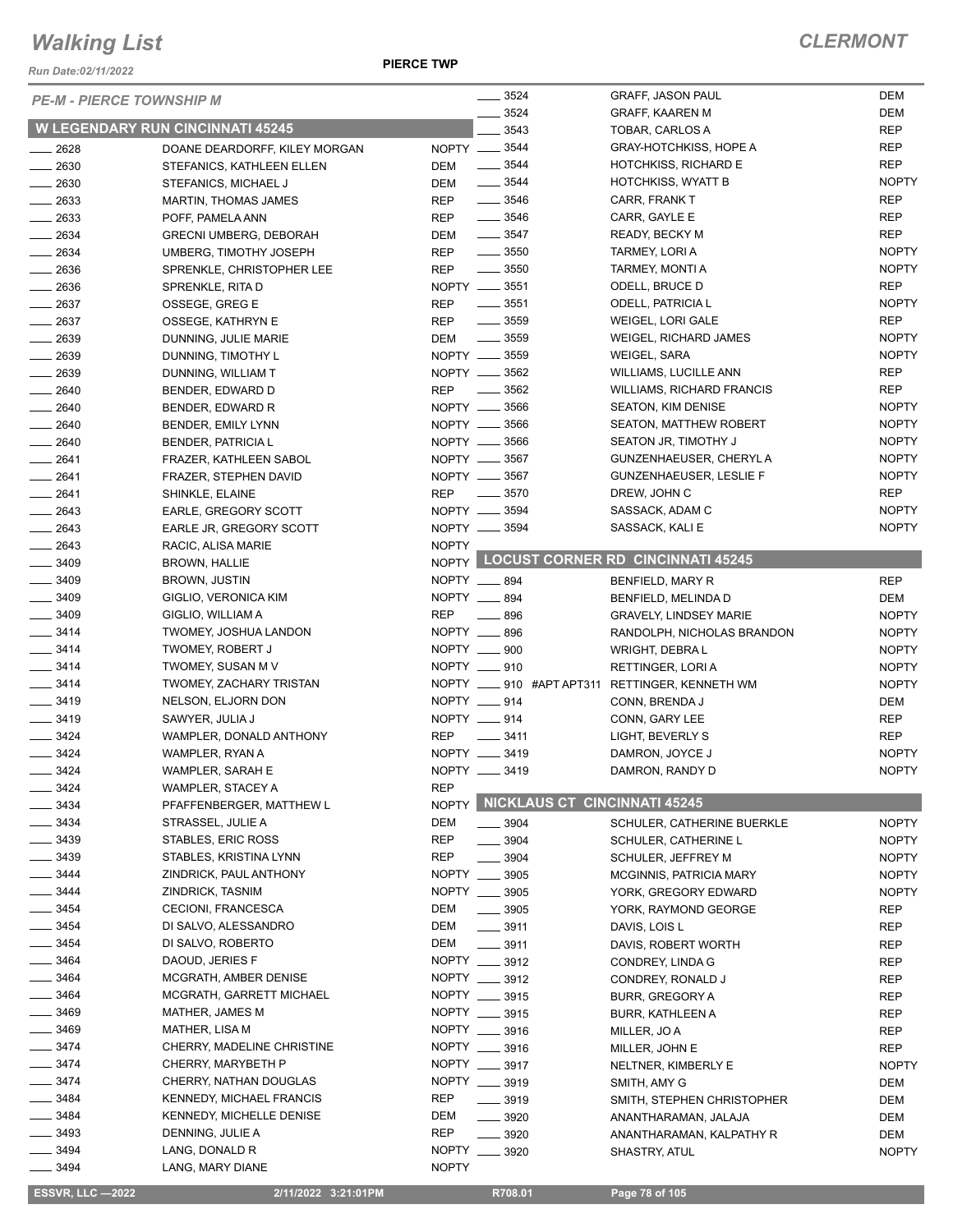*Run Date:02/11/2022*

#### **PIERCE TWP**

|                          | <b>PE-M - PIERCE TOWNSHIP M</b>                   |                             | $- 3524$                            | <b>GRAFF, JASON PAUL</b>                         | <b>DEM</b>               |
|--------------------------|---------------------------------------------------|-----------------------------|-------------------------------------|--------------------------------------------------|--------------------------|
|                          | <b>W LEGENDARY RUN CINCINNATI 45245</b>           |                             | 3524<br>3543                        | GRAFF, KAAREN M                                  | <b>DEM</b>               |
|                          |                                                   | NOPTY __ 3544               |                                     | TOBAR, CARLOS A<br><b>GRAY-HOTCHKISS, HOPE A</b> | <b>REP</b><br><b>REP</b> |
| 2628<br>$\frac{1}{2630}$ | DOANE DEARDORFF, KILEY MORGAN                     | DEM                         | $\frac{1}{2}$ 3544                  | HOTCHKISS, RICHARD E                             | <b>REP</b>               |
| $-2630$                  | STEFANICS, KATHLEEN ELLEN<br>STEFANICS, MICHAEL J | DEM                         | $\frac{1}{2}$ 3544                  | <b>HOTCHKISS, WYATT B</b>                        | <b>NOPTY</b>             |
| $-2633$                  | MARTIN, THOMAS JAMES                              | REP                         | $- 3546$                            | CARR, FRANK T                                    | <b>REP</b>               |
| $\frac{1}{2633}$         | POFF, PAMELA ANN                                  | <b>REP</b>                  | $\frac{1}{2}$ 3546                  | CARR, GAYLE E                                    | <b>REP</b>               |
| 2634                     | <b>GRECNI UMBERG, DEBORAH</b>                     | DEM                         | $\frac{1}{2}$ 3547                  | READY, BECKY M                                   | <b>REP</b>               |
| $-2634$                  | UMBERG, TIMOTHY JOSEPH                            | <b>REP</b>                  | $\frac{1}{2}$ 3550                  | TARMEY, LORI A                                   | <b>NOPTY</b>             |
| $\frac{1}{2636}$         | SPRENKLE, CHRISTOPHER LEE                         | REP                         | $\frac{1}{2}$ 3550                  | TARMEY, MONTI A                                  | <b>NOPTY</b>             |
| $-2636$                  | SPRENKLE, RITA D                                  | NOPTY __ 3551               |                                     | ODELL, BRUCE D                                   | <b>REP</b>               |
| $-2637$                  | OSSEGE, GREG E                                    | <b>REP</b>                  | $\frac{1}{2}$ 3551                  | ODELL, PATRICIA L                                | <b>NOPTY</b>             |
| $-2637$                  | OSSEGE, KATHRYN E                                 | <b>REP</b>                  | $\frac{1}{2}$ 3559                  | WEIGEL, LORI GALE                                | <b>REP</b>               |
| $-2639$                  | DUNNING, JULIE MARIE                              | DEM                         | $\frac{1}{2}$ 3559                  | <b>WEIGEL, RICHARD JAMES</b>                     | <b>NOPTY</b>             |
| $-2639$                  | DUNNING, TIMOTHY L                                | NOPTY __ 3559               |                                     | WEIGEL, SARA                                     | <b>NOPTY</b>             |
| $-2639$                  |                                                   | NOPTY __ 3562               |                                     | <b>WILLIAMS, LUCILLE ANN</b>                     | <b>REP</b>               |
|                          | DUNNING, WILLIAM T                                |                             | $\frac{1}{2}$ 3562                  | <b>WILLIAMS, RICHARD FRANCIS</b>                 | <b>REP</b>               |
| $- 2640$                 | BENDER, EDWARD D                                  | <b>REP</b><br>NOPTY __ 3566 |                                     | <b>SEATON, KIM DENISE</b>                        | <b>NOPTY</b>             |
| 2640                     | BENDER, EDWARD R                                  | NOPTY __ 3566               |                                     |                                                  |                          |
| $- 2640$                 | BENDER, EMILY LYNN                                |                             |                                     | SEATON, MATTHEW ROBERT                           | <b>NOPTY</b>             |
| $-2640$                  | <b>BENDER, PATRICIA L</b>                         | NOPTY __ 3566               |                                     | SEATON JR, TIMOTHY J                             | <b>NOPTY</b>             |
| $-2641$                  | FRAZER, KATHLEEN SABOL                            | NOPTY __ 3567               |                                     | GUNZENHAEUSER, CHERYL A                          | <b>NOPTY</b>             |
| $-2641$                  | FRAZER, STEPHEN DAVID                             | NOPTY __ 3567               |                                     | <b>GUNZENHAEUSER, LESLIE F</b>                   | <b>NOPTY</b>             |
| $-2641$                  | SHINKLE, ELAINE                                   | <b>REP</b>                  | $\frac{1}{2}$ 3570                  | DREW, JOHN C                                     | <b>REP</b>               |
| $-2643$                  | EARLE, GREGORY SCOTT                              | NOPTY __ 3594               |                                     | SASSACK, ADAM C                                  | <b>NOPTY</b>             |
| $-2643$                  | EARLE JR, GREGORY SCOTT                           | NOPTY __ 3594               |                                     | SASSACK, KALI E                                  | <b>NOPTY</b>             |
| $-2643$                  | RACIC, ALISA MARIE                                | <b>NOPTY</b>                |                                     |                                                  |                          |
| $- 3409$                 | <b>BROWN, HALLIE</b>                              |                             |                                     | NOPTY LOCUST CORNER RD CINCINNATI 45245          |                          |
| $- 3409$                 | BROWN, JUSTIN                                     | NOPTY __ 894                |                                     | BENFIELD, MARY R                                 | <b>REP</b>               |
| $- 3409$                 | GIGLIO, VERONICA KIM                              | NOPTY __ 894                |                                     | BENFIELD, MELINDA D                              | <b>DEM</b>               |
| 3409                     | GIGLIO, WILLIAM A                                 | REP                         | 896                                 | <b>GRAVELY, LINDSEY MARIE</b>                    | <b>NOPTY</b>             |
| $- 3414$                 | TWOMEY, JOSHUA LANDON                             | NOPTY __ 896                |                                     | RANDOLPH, NICHOLAS BRANDON                       | <b>NOPTY</b>             |
| $-3414$                  | <b>TWOMEY, ROBERT J</b>                           | NOPTY __ 900                |                                     | WRIGHT, DEBRA L                                  | <b>NOPTY</b>             |
| $- 3414$                 | TWOMEY, SUSAN M V                                 | NOPTY __ 910                |                                     | RETTINGER, LORI A                                | <b>NOPTY</b>             |
| $- 3414$                 | TWOMEY, ZACHARY TRISTAN                           |                             |                                     | NOPTY __ 910 #APT APT311 RETTINGER, KENNETH WM   | <b>NOPTY</b>             |
| 3419                     | NELSON, ELJORN DON                                | NOPTY __ 914                |                                     | CONN, BRENDA J                                   | <b>DEM</b>               |
| $- 3419$                 | SAWYER, JULIA J                                   | NOPTY __ 914                |                                     | CONN, GARY LEE                                   | <b>REP</b>               |
| $- 3424$                 | WAMPLER, DONALD ANTHONY                           | <b>REP</b>                  | $\frac{1}{2}$ 3411                  | LIGHT, BEVERLY S                                 | <b>REP</b>               |
| 3424                     | WAMPLER, RYAN A                                   | NOPTY __ 3419               |                                     | DAMRON, JOYCE J                                  | <b>NOPTY</b>             |
| $= 3424$                 | WAMPLER, SARAH E                                  | NOPTY __ 3419               |                                     | DAMRON, RANDY D                                  | <b>NOPTY</b>             |
| 3424                     | WAMPLER, STACEY A                                 | <b>REP</b>                  |                                     |                                                  |                          |
| 3434                     | PFAFFENBERGER, MATTHEW L                          | <b>NOPTY</b>                | <b>NICKLAUS CT CINCINNATI 45245</b> |                                                  |                          |
| 3434                     | STRASSEL, JULIE A                                 | DEM                         | $\frac{1}{2}$ 3904                  | SCHULER, CATHERINE BUERKLE                       | <b>NOPTY</b>             |
| 3439                     | STABLES, ERIC ROSS                                | <b>REP</b>                  | 3904                                | SCHULER, CATHERINE L                             | <b>NOPTY</b>             |
| - 3439                   | STABLES, KRISTINA LYNN                            | <b>REP</b>                  | 3904                                | SCHULER, JEFFREY M                               | <b>NOPTY</b>             |
| 3444                     | ZINDRICK, PAUL ANTHONY                            | NOPTY __ 3905               |                                     | <b>MCGINNIS, PATRICIA MARY</b>                   | <b>NOPTY</b>             |
| $- 3444$                 | ZINDRICK, TASNIM                                  | NOPTY __ 3905               |                                     | YORK, GREGORY EDWARD                             | <b>NOPTY</b>             |
| $- 3454$                 | CECIONI, FRANCESCA                                | DEM                         | $\frac{1}{2}$ 3905                  | YORK, RAYMOND GEORGE                             | REP                      |
| $- 3454$                 | DI SALVO, ALESSANDRO                              | DEM                         | $\frac{1}{2}$ 3911                  | DAVIS, LOIS L                                    | <b>REP</b>               |
| $- 3454$                 | DI SALVO, ROBERTO                                 | DEM                         | $\frac{1}{2}$ 3911                  | DAVIS, ROBERT WORTH                              | <b>REP</b>               |
| 3464                     | DAOUD, JERIES F                                   | NOPTY __ 3912               |                                     | CONDREY, LINDA G                                 | REP                      |
| $- 3464$                 | MCGRATH, AMBER DENISE                             | NOPTY __ 3912               |                                     | CONDREY, RONALD J                                | <b>REP</b>               |
| $- 3464$                 | MCGRATH, GARRETT MICHAEL                          | NOPTY __ 3915               |                                     | <b>BURR, GREGORY A</b>                           | REP                      |
| 3469                     | MATHER, JAMES M                                   | NOPTY __ 3915               |                                     | <b>BURR, KATHLEEN A</b>                          | REP                      |
| $- 3469$                 | <b>MATHER, LISA M</b>                             | NOPTY __ 3916               |                                     | MILLER, JO A                                     | <b>REP</b>               |
| 3474                     | CHERRY, MADELINE CHRISTINE                        | NOPTY __ 3916               |                                     | MILLER, JOHN E                                   | <b>REP</b>               |
| $- 3474$                 | CHERRY, MARYBETH P                                | NOPTY __ 3917               |                                     | NELTNER, KIMBERLY E                              | <b>NOPTY</b>             |
| $-3474$                  | CHERRY, NATHAN DOUGLAS                            | NOPTY __ 3919               |                                     | SMITH, AMY G                                     | DEM                      |
| 3484                     | <b>KENNEDY, MICHAEL FRANCIS</b>                   | <b>REP</b>                  | $- 3919$                            | SMITH, STEPHEN CHRISTOPHER                       | <b>DEM</b>               |
| $- 3484$                 | <b>KENNEDY, MICHELLE DENISE</b>                   | DEM                         | 3920                                | ANANTHARAMAN, JALAJA                             | <b>DEM</b>               |
| $-3493$                  | DENNING, JULIE A                                  | REP                         | $- 3920$                            | ANANTHARAMAN, KALPATHY R                         | DEM                      |
| $- 3494$                 | LANG, DONALD R                                    | NOPTY __ 3920               |                                     | SHASTRY, ATUL                                    | <b>NOPTY</b>             |
| 3494                     | LANG, MARY DIANE                                  | <b>NOPTY</b>                |                                     |                                                  |                          |
|                          |                                                   |                             |                                     |                                                  |                          |

 **ESSVR, LLC —2022 2/11/2022 3:21:01PM R708.01 Page 78 of 105**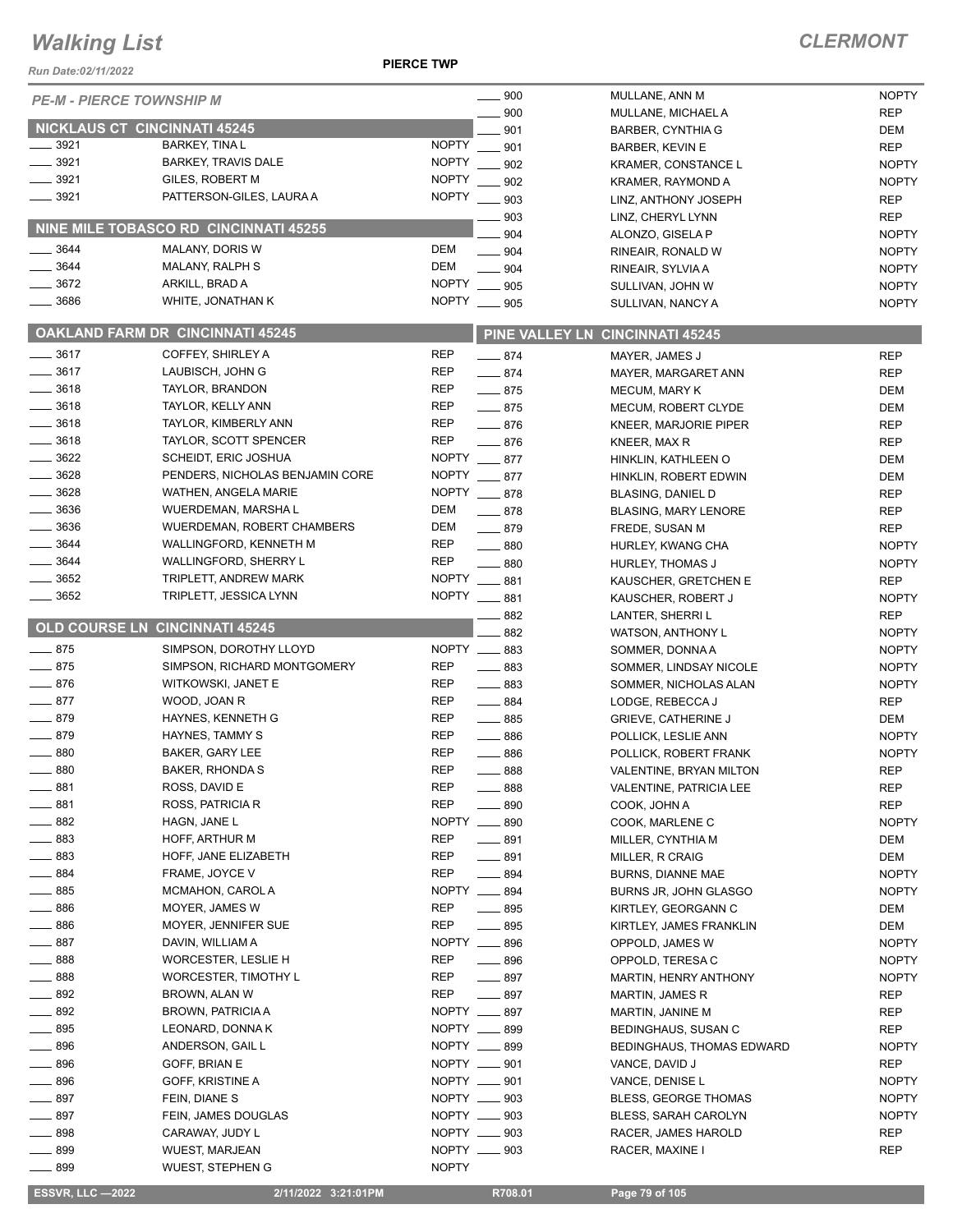#### **PIERCE TWP**

## *CLERMONT*

| Run Date:02/11/2022 |                                         | <b>PIERCE TWP</b>                             |                                                   |                     |
|---------------------|-----------------------------------------|-----------------------------------------------|---------------------------------------------------|---------------------|
|                     | <b>PE-M - PIERCE TOWNSHIP M</b>         | $\sim$ 900                                    | MULLANE, ANN M                                    | <b>NOPTY</b>        |
|                     |                                         | 900                                           | MULLANE, MICHAEL A                                | <b>REP</b>          |
|                     | <b>NICKLAUS CT CINCINNATI 45245</b>     | 901                                           | <b>BARBER, CYNTHIA G</b>                          | DEM                 |
| $\frac{1}{2}$ 3921  | <b>BARKEY, TINA L</b>                   | <b>NOPTY</b><br>901                           | <b>BARBER, KEVIN E</b>                            | <b>REP</b>          |
| $-3921$             | <b>BARKEY, TRAVIS DALE</b>              | <b>NOPTY</b><br>902                           | <b>KRAMER, CONSTANCE L</b>                        | <b>NOPTY</b>        |
| 3921                | <b>GILES, ROBERT M</b>                  | <b>NOPTY</b><br>902                           | KRAMER, RAYMOND A                                 | <b>NOPTY</b>        |
| $-3921$             | PATTERSON-GILES, LAURA A                | NOPTY __ 903                                  | LINZ, ANTHONY JOSEPH                              | <b>REP</b>          |
|                     |                                         | 903                                           | LINZ, CHERYL LYNN                                 | <b>REP</b>          |
|                     | NINE MILE TOBASCO RD CINCINNATI 45255   | 904                                           | ALONZO, GISELA P                                  | <b>NOPTY</b>        |
| $-3644$             | <b>MALANY, DORIS W</b>                  | <b>DEM</b><br>$- 904$                         | RINEAIR, RONALD W                                 | <b>NOPTY</b>        |
| 3644                | MALANY, RALPH S                         | <b>DEM</b><br>$- 904$                         | RINEAIR, SYLVIA A                                 | <b>NOPTY</b>        |
| $-3672$             | ARKILL, BRAD A                          | NOPTY __ 905                                  | SULLIVAN, JOHN W                                  | <b>NOPTY</b>        |
| 3686                | WHITE, JONATHAN K                       | NOPTY __ 905                                  | SULLIVAN, NANCY A                                 | <b>NOPTY</b>        |
|                     | <b>OAKLAND FARM DR CINCINNATI 45245</b> |                                               | PINE VALLEY LN CINCINNATI 45245                   |                     |
| $- 3617$            | COFFEY, SHIRLEY A                       | <b>REP</b><br>$-874$                          | MAYER, JAMES J                                    | <b>REP</b>          |
| $-3617$             | LAUBISCH, JOHN G                        | <b>REP</b><br>$-874$                          | MAYER, MARGARET ANN                               | <b>REP</b>          |
| $-3618$             | TAYLOR, BRANDON                         | REP<br>$-875$                                 | <b>MECUM, MARY K</b>                              | DEM                 |
| $-3618$             | TAYLOR, KELLY ANN                       | <b>REP</b><br>$-875$                          | MECUM, ROBERT CLYDE                               | DEM                 |
| $-3618$             | TAYLOR, KIMBERLY ANN                    | <b>REP</b><br>$-876$                          | <b>KNEER, MARJORIE PIPER</b>                      | <b>REP</b>          |
| $-3618$             | TAYLOR, SCOTT SPENCER                   | <b>REP</b><br>$-876$                          | KNEER, MAX R                                      | <b>REP</b>          |
| $-3622$             | SCHEIDT, ERIC JOSHUA                    | NOPTY ___ 877                                 | HINKLIN, KATHLEEN O                               | DEM                 |
| $- 3628$            | PENDERS, NICHOLAS BENJAMIN CORE         | NOPTY __ 877                                  | HINKLIN, ROBERT EDWIN                             | DEM                 |
| 3628                | WATHEN, ANGELA MARIE                    | NOPTY ___ 878                                 | <b>BLASING, DANIEL D</b>                          | <b>REP</b>          |
| 3636                | WUERDEMAN, MARSHA L                     | DEM<br>$-878$                                 | <b>BLASING, MARY LENORE</b>                       | <b>REP</b>          |
| $- 3636$            | <b>WUERDEMAN, ROBERT CHAMBERS</b>       | DEM<br>$-879$                                 | FREDE, SUSAN M                                    | <b>REP</b>          |
| $-3644$             | WALLINGFORD, KENNETH M                  | REP<br>$\frac{1}{2}$ 880                      | HURLEY, KWANG CHA                                 | <b>NOPTY</b>        |
| $-3644$             | WALLINGFORD, SHERRY L                   | <b>REP</b><br>$\equiv$ 880                    | <b>HURLEY, THOMAS J</b>                           | <b>NOPTY</b>        |
| $-3652$             | TRIPLETT, ANDREW MARK                   | NOPTY __ 881                                  | KAUSCHER, GRETCHEN E                              | <b>REP</b>          |
| $\frac{1}{2}$ 3652  | TRIPLETT, JESSICA LYNN                  | NOPTY __ 881                                  | KAUSCHER, ROBERT J                                | <b>NOPTY</b>        |
|                     | <b>OLD COURSE LN CINCINNATI 45245</b>   | $-882$                                        | LANTER, SHERRI L                                  | <b>REP</b>          |
|                     |                                         | 882                                           | WATSON, ANTHONY L                                 | <b>NOPTY</b>        |
| $-875$              | SIMPSON, DOROTHY LLOYD                  | NOPTY __ 883                                  | SOMMER, DONNA A                                   | <b>NOPTY</b>        |
| $-875$              | SIMPSON, RICHARD MONTGOMERY             | <b>REP</b><br>$\frac{1}{2}$ 883               | SOMMER, LINDSAY NICOLE                            | <b>NOPTY</b>        |
| $-876$              | WITKOWSKI, JANET E                      | <b>REP</b><br>$- 883$                         | SOMMER, NICHOLAS ALAN                             | <b>NOPTY</b>        |
| $-877$<br>$-879$    | WOOD, JOAN R                            | <b>REP</b><br>$\frac{1}{2}$ 884<br><b>REP</b> | LODGE, REBECCA J                                  | <b>REP</b>          |
| $-879$              | HAYNES, KENNETH G<br>HAYNES, TAMMY S    | $\frac{1}{2}$ 885<br><b>REP</b><br>$-886$     | <b>GRIEVE, CATHERINE J</b><br>POLLICK, LESLIE ANN | DEM<br><b>NOPTY</b> |
| 880                 | BAKER, GARY LEE                         | <b>REP</b><br>$- 886$                         | POLLICK, ROBERT FRANK                             | <b>NOPTY</b>        |
| 880                 | BAKER, RHONDA S                         | <b>REP</b><br>$-888$                          | VALENTINE, BRYAN MILTON                           | <b>REP</b>          |
| 881                 | ROSS, DAVID E                           | <b>REP</b><br>$-888$                          | VALENTINE, PATRICIA LEE                           | <b>REP</b>          |
| 881                 | <b>ROSS, PATRICIA R</b>                 | <b>REP</b><br>$\frac{1}{2}$ 890               | COOK, JOHN A                                      | <b>REP</b>          |
| 882                 | HAGN, JANE L                            | NOPTY __ 890                                  | COOK, MARLENE C                                   | <b>NOPTY</b>        |
| 883                 | HOFF, ARTHUR M                          | <b>REP</b><br>$-891$                          | MILLER, CYNTHIA M                                 | DEM                 |
| $-883$              | HOFF, JANE ELIZABETH                    | REP<br>$-891$                                 | MILLER, R CRAIG                                   | DEM                 |
| $-884$              | FRAME, JOYCE V                          | REP<br>$- 894$                                | <b>BURNS, DIANNE MAE</b>                          | <b>NOPTY</b>        |
| 885                 | MCMAHON, CAROL A                        | NOPTY __ 894                                  | BURNS JR, JOHN GLASGO                             | <b>NOPTY</b>        |
| $-886$              | MOYER, JAMES W                          | REP<br>$- 895$                                | KIRTLEY, GEORGANN C                               | DEM                 |
| $- 886$             | MOYER, JENNIFER SUE                     | <b>REP</b><br>$- 895$                         | KIRTLEY, JAMES FRANKLIN                           | DEM                 |
| $-887$              | DAVIN, WILLIAM A                        | NOPTY __ 896                                  | OPPOLD, JAMES W                                   | <b>NOPTY</b>        |
| $-888$              | WORCESTER, LESLIE H                     | <b>REP</b><br>$\frac{1}{2}$ 896               | OPPOLD, TERESA C                                  | <b>NOPTY</b>        |
| $\frac{1}{2}$ 888   | WORCESTER, TIMOTHY L                    | REP<br>$-897$                                 | MARTIN, HENRY ANTHONY                             | <b>NOPTY</b>        |
| 892                 | BROWN, ALAN W                           | REP<br>$-897$                                 | MARTIN, JAMES R                                   | REP                 |
| 892                 | <b>BROWN, PATRICIA A</b>                | NOPTY __ 897                                  | MARTIN, JANINE M                                  | <b>REP</b>          |
| 895                 | LEONARD, DONNA K                        | NOPTY __ 899                                  | BEDINGHAUS, SUSAN C                               | <b>REP</b>          |
| $-896$              | ANDERSON, GAIL L                        | NOPTY __ 899                                  | <b>BEDINGHAUS, THOMAS EDWARD</b>                  | <b>NOPTY</b>        |
| 896                 | GOFF, BRIAN E                           | NOPTY __ 901                                  | VANCE, DAVID J                                    | REP                 |
| 896                 | GOFF, KRISTINE A                        | NOPTY __ 901                                  | VANCE, DENISE L                                   | <b>NOPTY</b>        |
| $-897$              | FEIN, DIANE S                           | NOPTY __ 903                                  | <b>BLESS, GEORGE THOMAS</b>                       | <b>NOPTY</b>        |
| 897                 | FEIN, JAMES DOUGLAS                     | NOPTY __ 903                                  | BLESS, SARAH CAROLYN                              | <b>NOPTY</b>        |
| $-898$              | CARAWAY, JUDY L                         | NOPTY __ 903                                  | RACER, JAMES HAROLD                               | <b>REP</b>          |
| $-899$              | WUEST, MARJEAN                          | NOPTY __ 903                                  | RACER, MAXINE I                                   | <b>REP</b>          |
| $-899$              | <b>WUEST, STEPHEN G</b>                 | <b>NOPTY</b>                                  |                                                   |                     |
|                     |                                         |                                               |                                                   |                     |

 **ESSVR, LLC —2022 2/11/2022 3:21:01PM R708.01 Page 79 of 105**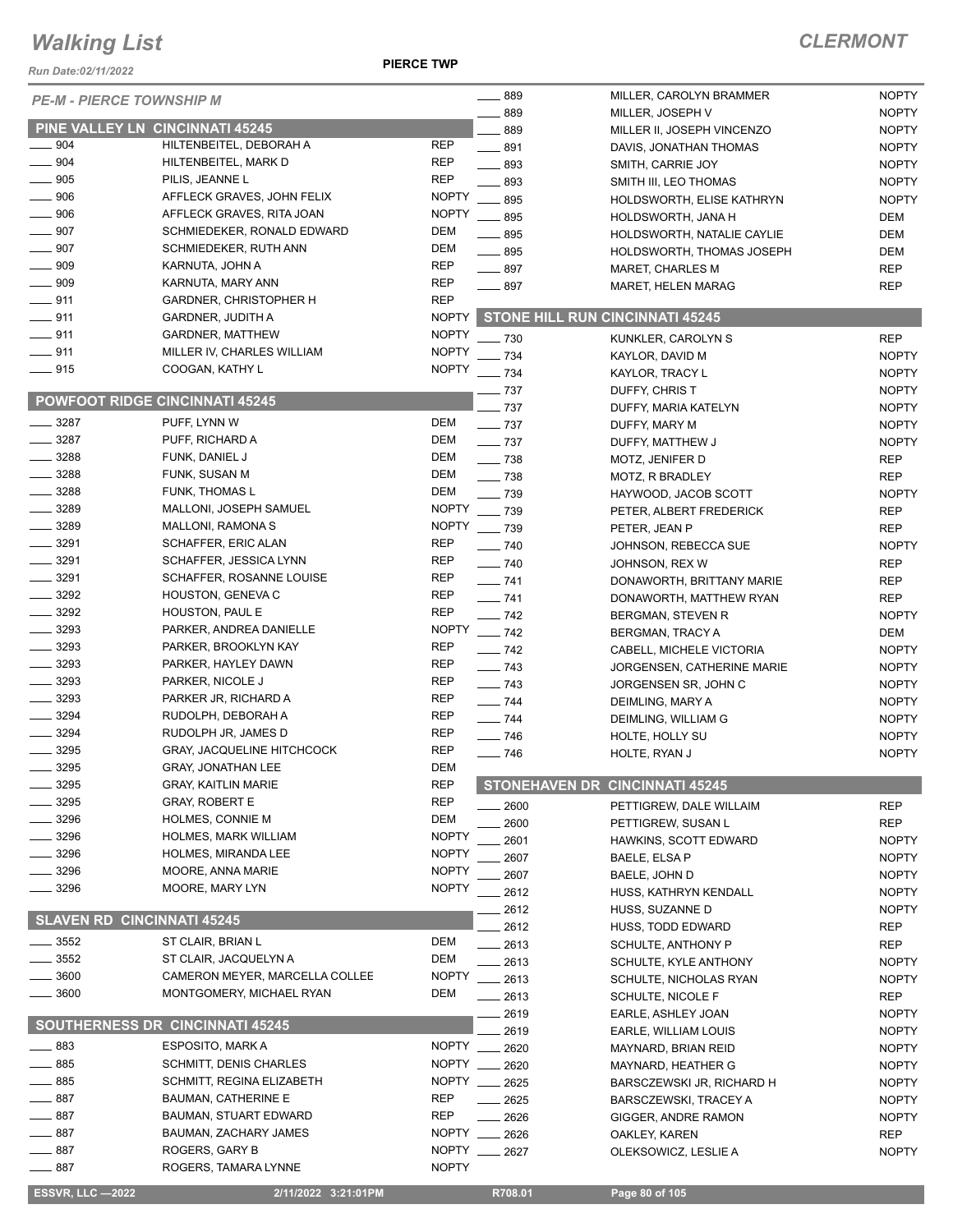#### *Run Date:02/11/2022*

**PIERCE TWP**

| <b>ESSVR, LLC -2022</b>                | 2/11/2022 3:21:01PM                           |                          | R708.01                     | Page 80 of 105                                  |                              |
|----------------------------------------|-----------------------------------------------|--------------------------|-----------------------------|-------------------------------------------------|------------------------------|
| 887                                    | ROGERS, TAMARA LYNNE                          | <b>NOPTY</b>             |                             |                                                 |                              |
| 887                                    | ROGERS, GARY B                                | <b>NOPTY</b>             | 2627                        | OLEKSOWICZ, LESLIE A                            | <b>NOPTY</b>                 |
| 887                                    | BAUMAN, ZACHARY JAMES                         | <b>NOPTY</b>             | 2626                        | OAKLEY, KAREN                                   | <b>REP</b>                   |
| 887                                    | <b>BAUMAN, STUART EDWARD</b>                  | REP                      | 2626                        | GIGGER, ANDRE RAMON                             | <b>NOPTY</b>                 |
| 887                                    | <b>BAUMAN, CATHERINE E</b>                    | REP                      | 2625                        | <b>BARSCZEWSKI, TRACEY A</b>                    | <b>NOPTY</b>                 |
| 885                                    | SCHMITT, REGINA ELIZABETH                     | <b>NOPTY</b>             | 2625                        | BARSCZEWSKI JR, RICHARD H                       | <b>NOPTY</b>                 |
| 885                                    | <b>SCHMITT, DENIS CHARLES</b>                 | <b>NOPTY</b>             | 2620                        | MAYNARD, HEATHER G                              | <b>NOPTY</b>                 |
| 883                                    | ESPOSITO, MARK A                              | <b>NOPTY</b>             | 2620                        | MAYNARD, BRIAN REID                             | <b>NOPTY</b>                 |
|                                        | SOUTHERNESS DR CINCINNATI 45245               |                          | 2619                        | EARLE, WILLIAM LOUIS                            | <b>NOPTY</b>                 |
|                                        |                                               |                          | 2619                        | EARLE, ASHLEY JOAN                              | <b>NOPTY</b>                 |
| 3600                                   | MONTGOMERY, MICHAEL RYAN                      | DEM                      | 2613                        | SCHULTE, NICOLE F                               | REP                          |
| 3600                                   | CAMERON MEYER, MARCELLA COLLEE                | <b>NOPTY</b>             | 2613                        | SCHULTE, KYLE ANTHONY<br>SCHULTE, NICHOLAS RYAN | <b>NOPTY</b>                 |
| 3552                                   | ST CLAIR, JACQUELYN A                         | DEM                      | 2613                        |                                                 | <b>NOPTY</b>                 |
| 3552                                   | ST CLAIR, BRIAN L                             | DEM                      | 2612<br>2613                | HUSS, TODD EDWARD<br>SCHULTE, ANTHONY P         | REP<br>REP                   |
| <b>SLAVEN RD CINCINNATI 45245</b>      |                                               |                          | 2612                        | HUSS, SUZANNE D                                 | <b>NOPTY</b>                 |
|                                        |                                               |                          | 2612                        | HUSS, KATHRYN KENDALL                           | <b>NOPTY</b>                 |
| 3296                                   | MOORE, MARY LYN                               | <b>NOPTY</b>             | 2607                        | BAELE, JOHN D                                   | <b>NOPTY</b>                 |
| 3296                                   | MOORE, ANNA MARIE                             | <b>NOPTY</b>             | 2607                        | BAELE, ELSA P                                   | <b>NOPTY</b>                 |
| 3296                                   | <b>HOLMES, MIRANDA LEE</b>                    | <b>NOPTY</b>             | 2601                        | HAWKINS, SCOTT EDWARD                           | <b>NOPTY</b>                 |
| 3296                                   | HOLMES, MARK WILLIAM                          | <b>NOPTY</b>             | 2600                        | PETTIGREW, SUSAN L                              | REP                          |
| 3296                                   | <b>HOLMES, CONNIE M</b>                       | <b>DEM</b>               | 2600                        | PETTIGREW, DALE WILLAIM                         | REP                          |
| 3295                                   | <b>GRAY, ROBERT E</b>                         | <b>REP</b>               |                             |                                                 |                              |
| 3295                                   | <b>GRAY, KAITLIN MARIE</b>                    | <b>REP</b>               |                             | STONEHAVEN DR CINCINNATI 45245                  |                              |
| 3295                                   | <b>GRAY, JONATHAN LEE</b>                     | <b>DEM</b>               | $\frac{1}{2}$ 746           | HOLTE, RYAN J                                   | <b>NOPTY</b>                 |
| 3295                                   | <b>GRAY, JACQUELINE HITCHCOCK</b>             | <b>REP</b><br><b>REP</b> | $- 746$                     | HOLTE, HOLLY SU                                 | <b>NOPTY</b>                 |
| $\frac{1}{2}$ 3294                     | RUDOLPH, DEBORAH A<br>RUDOLPH JR, JAMES D     | <b>REP</b>               | $\frac{1}{2}$ 744           | DEIMLING, WILLIAM G                             | <b>NOPTY</b>                 |
| $- 3294$                               | PARKER JR, RICHARD A                          | <b>REP</b>               | $- 744$                     | DEIMLING, MARY A                                | <b>NOPTY</b>                 |
| $\frac{1}{2}$ 3293                     |                                               |                          | $-$ 743                     | JORGENSEN SR, JOHN C                            | <b>NOPTY</b>                 |
| $\frac{1}{2}$ 3293                     | PARKER, NICOLE J                              | <b>REP</b>               | $- 743$                     | JORGENSEN, CATHERINE MARIE                      | <b>NOPTY</b>                 |
| $\frac{1}{2}$ 3293                     | PARKER, HAYLEY DAWN                           | <b>REP</b>               | $\frac{1}{2}$ 742           | CABELL, MICHELE VICTORIA                        | <b>NOPTY</b>                 |
| $- 3293$                               | PARKER, BROOKLYN KAY                          | <b>REP</b>               | $- 742$                     | BERGMAN, TRACY A                                | <b>DEM</b>                   |
| $- 3293$                               | PARKER, ANDREA DANIELLE                       | <b>NOPTY</b>             | $\frac{1}{2}$ 742           | BERGMAN, STEVEN R                               | <b>NOPTY</b>                 |
| $- 3292$                               | HOUSTON, PAUL E                               | <b>REP</b>               | $- 741$                     | DONAWORTH, MATTHEW RYAN                         | <b>REP</b>                   |
| $\frac{1}{2}$ 3292                     | HOUSTON, GENEVA C                             | REP                      | $- 741$                     | DONAWORTH, BRITTANY MARIE                       | <b>REP</b>                   |
| $- 3291$                               | SCHAFFER, ROSANNE LOUISE                      | <b>REP</b>               |                             | JOHNSON, REX W                                  | <b>REP</b>                   |
| $\frac{1}{2}$ 3291                     | SCHAFFER, JESSICA LYNN                        | <b>REP</b>               | $\frac{1}{2}$ 740           | JOHNSON, REBECCA SUE                            | <b>NOPTY</b>                 |
| $- 3291$                               | SCHAFFER, ERIC ALAN                           | <b>REP</b>               | $\frac{1}{2}$ 740           | PETER, JEAN P                                   |                              |
| $- 3289$                               | MALLONI, RAMONA S                             | <b>NOPTY</b>             | $\frac{1}{2}$ 739           | PETER, ALBERT FREDERICK                         | <b>REP</b>                   |
| $- 3289$                               | MALLONI, JOSEPH SAMUEL                        | <b>NOPTY</b>             | $- 739$                     | HAYWOOD, JACOB SCOTT                            | <b>NOPTY</b><br><b>REP</b>   |
| $- 3288$                               | <b>FUNK, THOMAS L</b>                         | DEM                      | $-$ 739                     |                                                 |                              |
| $- 3288$                               | FUNK, SUSAN M                                 | DEM                      | $- 738$                     | MOTZ, JENIFER D<br><b>MOTZ, R BRADLEY</b>       | <b>REP</b>                   |
| $- 3288$                               | FUNK, DANIEL J                                | DEM                      | $\frac{1}{2}$ 738           |                                                 | <b>REP</b>                   |
| $\frac{1}{2}$ 3287                     | PUFF, RICHARD A                               | DEM                      | $\frac{1}{2}$ 737           | DUFFY, MATTHEW J                                | <b>NOPTY</b>                 |
| $-3287$                                | PUFF, LYNN W                                  | DEM                      | $\frac{1}{2}$ 737           | DUFFY, MARY M                                   | <b>NOPTY</b>                 |
|                                        | <b>POWFOOT RIDGE CINCINNATI 45245</b>         |                          | $\frac{1}{2}$ 737<br>$-737$ | DUFFY, CHRIS T<br>DUFFY, MARIA KATELYN          | <b>NOPTY</b><br><b>NOPTY</b> |
|                                        |                                               |                          |                             | KAYLOR, TRACY L                                 | <b>NOPTY</b>                 |
| $- 915$                                | COOGAN, KATHY L                               | <b>NOPTY</b>             | $-734$<br>$-734$            | KAYLOR, DAVID M                                 | <b>NOPTY</b>                 |
| $-911$                                 | MILLER IV, CHARLES WILLIAM                    | <b>NOPTY</b>             | $-730$                      | KUNKLER, CAROLYN S                              | <b>REP</b>                   |
| $-911$                                 | <b>GARDNER, MATTHEW</b>                       | <b>NOPTY</b>             |                             |                                                 |                              |
| $-911$                                 | GARDNER, JUDITH A                             | <b>NOPTY</b>             |                             | <b>STONE HILL RUN CINCINNATI 45245</b>          |                              |
| $-911$                                 | <b>GARDNER, CHRISTOPHER H</b>                 | <b>REP</b>               | $\frac{1}{2}$ 897           | MARET, HELEN MARAG                              | <b>REP</b>                   |
| $\frac{1}{2}$ 909                      | KARNUTA, MARY ANN                             | <b>REP</b>               | $-897$                      | <b>MARET, CHARLES M</b>                         | <b>REP</b>                   |
| 909                                    | KARNUTA, JOHN A                               | <b>REP</b>               | $- 895$                     | HOLDSWORTH, THOMAS JOSEPH                       | <b>DEM</b>                   |
| $- 907$                                | SCHMIEDEKER, RUTH ANN                         | DEM                      | $\frac{1}{2}$ 895           | HOLDSWORTH, NATALIE CAYLIE                      | <b>DEM</b>                   |
| $-907$                                 | SCHMIEDEKER, RONALD EDWARD                    | DEM                      |                             | HOLDSWORTH, JANA H                              | <b>DEM</b>                   |
| $\frac{1}{2}$ 906                      | AFFLECK GRAVES, RITA JOAN                     |                          | 895<br>NOPTY __ 895         | HOLDSWORTH, ELISE KATHRYN                       | <b>NOPTY</b>                 |
| $= 906$                                | PILIS, JEANNE L<br>AFFLECK GRAVES, JOHN FELIX | <b>NOPTY</b>             | 893                         | SMITH III, LEO THOMAS                           | <b>NOPTY</b>                 |
| $- 904$<br>905                         | HILTENBEITEL, MARK D                          | <b>REP</b><br><b>REP</b> | $\frac{1}{2}$ 893           | SMITH, CARRIE JOY                               | <b>NOPTY</b>                 |
| $- 904$                                | HILTENBEITEL, DEBORAH A                       | REP                      | $-891$                      | DAVIS, JONATHAN THOMAS                          | <b>NOPTY</b>                 |
| <b>PINE VALLEY LN CINCINNATI 45245</b> |                                               |                          | 889                         | MILLER II, JOSEPH VINCENZO                      | <b>NOPTY</b>                 |
|                                        |                                               |                          | 889                         | MILLER, JOSEPH V                                | <b>NOPTY</b>                 |
| <b>PE-M - PIERCE TOWNSHIP M</b>        |                                               |                          | $-889$                      | MILLER, CAROLYN BRAMMER                         | <b>NOPTY</b>                 |
|                                        |                                               |                          |                             |                                                 |                              |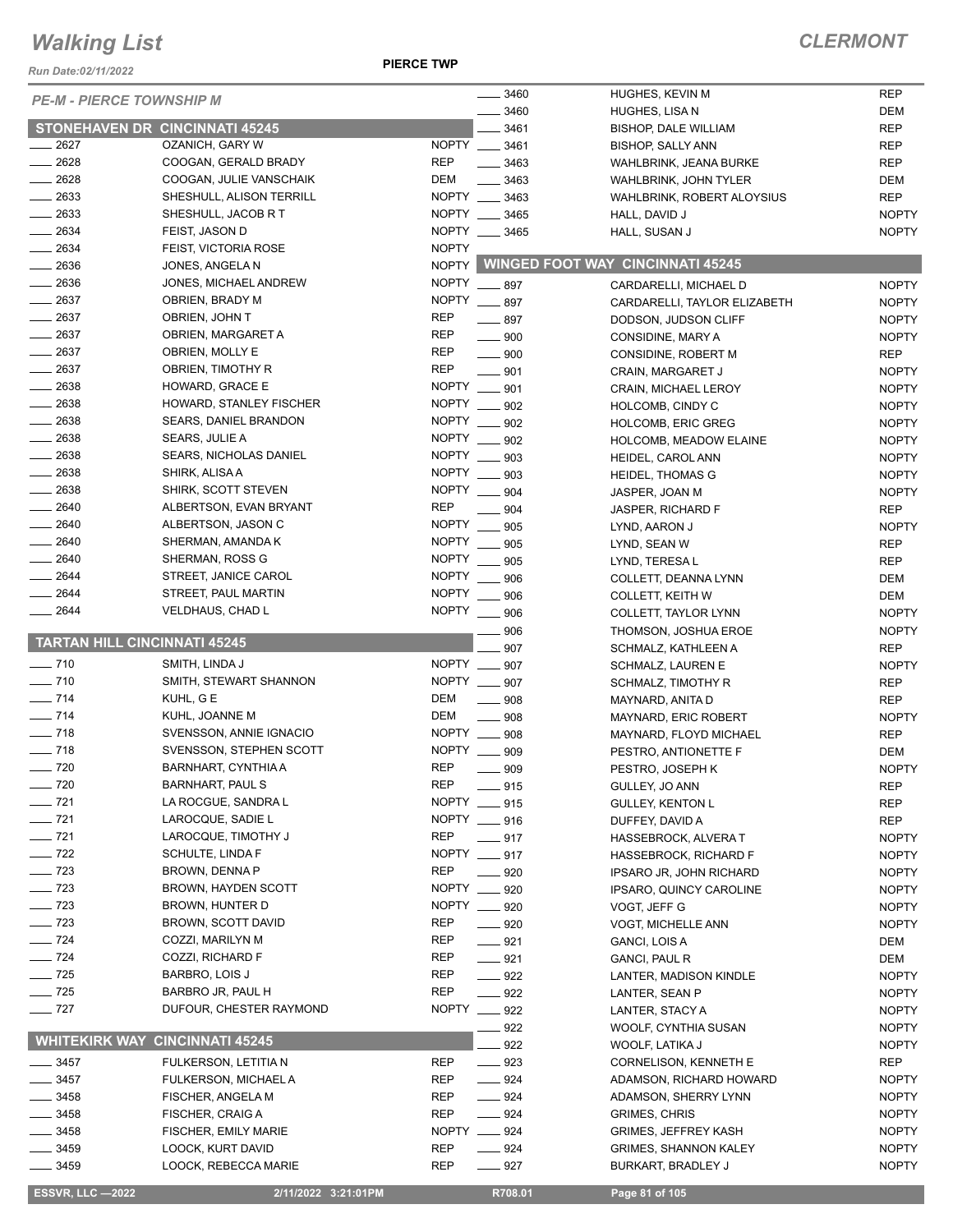*Run Date:02/11/2022*

#### **PIERCE TWP**

| <b>PE-M - PIERCE TOWNSHIP M</b>       |                               |              | $- 3460$           | HUGHES, KEVIN M                         | <b>REP</b>   |
|---------------------------------------|-------------------------------|--------------|--------------------|-----------------------------------------|--------------|
|                                       |                               |              | $- 3460$           | HUGHES, LISA N                          | DEM          |
| <b>STONEHAVEN DR CINCINNATI 45245</b> |                               |              | 3461               | <b>BISHOP, DALE WILLIAM</b>             | <b>REP</b>   |
| 2627                                  | OZANICH, GARY W               | <b>NOPTY</b> | $\frac{1}{2}$ 3461 | <b>BISHOP, SALLY ANN</b>                | <b>REP</b>   |
| 2628                                  | COOGAN, GERALD BRADY          | <b>REP</b>   | 3463               | WAHLBRINK, JEANA BURKE                  | <b>REP</b>   |
| $-2628$                               | COOGAN, JULIE VANSCHAIK       | <b>DEM</b>   | 3463               | <b>WAHLBRINK, JOHN TYLER</b>            | DEM          |
| $\frac{1}{2633}$                      | SHESHULL, ALISON TERRILL      | NOPTY ___    | 3463               | WAHLBRINK, ROBERT ALOYSIUS              | <b>REP</b>   |
| 2633                                  | SHESHULL, JACOB R T           |              | NOPTY __ 3465      | HALL, DAVID J                           | <b>NOPTY</b> |
| 2634                                  | FEIST, JASON D                |              | NOPTY __ 3465      | HALL, SUSAN J                           | <b>NOPTY</b> |
| 2634                                  | FEIST, VICTORIA ROSE          | <b>NOPTY</b> |                    |                                         |              |
| 2636                                  | JONES, ANGELA N               | <b>NOPTY</b> |                    | <b>WINGED FOOT WAY CINCINNATI 45245</b> |              |
| $\frac{1}{2636}$                      | JONES, MICHAEL ANDREW         | <b>NOPTY</b> | $-897$             | CARDARELLI, MICHAEL D                   | <b>NOPTY</b> |
| $-2637$                               | OBRIEN, BRADY M               | <b>NOPTY</b> |                    |                                         |              |
| $\frac{1}{2637}$                      | OBRIEN, JOHN T                | <b>REP</b>   | $-897$             | CARDARELLI, TAYLOR ELIZABETH            | <b>NOPTY</b> |
| $-2637$                               |                               | <b>REP</b>   | $-897$             | DODSON, JUDSON CLIFF                    | <b>NOPTY</b> |
|                                       | OBRIEN, MARGARET A            |              | $\equiv$ 900       | CONSIDINE, MARY A                       | <b>NOPTY</b> |
| $\frac{1}{2637}$                      | OBRIEN, MOLLY E               | REP          | $\frac{1}{2}$ 900  | CONSIDINE, ROBERT M                     | <b>REP</b>   |
| $-2637$                               | OBRIEN, TIMOTHY R             | <b>REP</b>   | 901                | CRAIN, MARGARET J                       | <b>NOPTY</b> |
| 2638                                  | HOWARD, GRACE E               | <b>NOPTY</b> | 901                | CRAIN, MICHAEL LEROY                    | <b>NOPTY</b> |
| $\equiv$ 2638                         | HOWARD, STANLEY FISCHER       | <b>NOPTY</b> | 902                | HOLCOMB, CINDY C                        | <b>NOPTY</b> |
| 2638                                  | <b>SEARS, DANIEL BRANDON</b>  | <b>NOPTY</b> | 902                | <b>HOLCOMB, ERIC GREG</b>               | <b>NOPTY</b> |
| $\frac{1}{2638}$                      | <b>SEARS, JULIE A</b>         | <b>NOPTY</b> | 902                | HOLCOMB, MEADOW ELAINE                  | <b>NOPTY</b> |
| $\frac{1}{2638}$                      | <b>SEARS, NICHOLAS DANIEL</b> | <b>NOPTY</b> | 903                | HEIDEL, CAROL ANN                       | <b>NOPTY</b> |
| 2638                                  | SHIRK, ALISA A                | <b>NOPTY</b> | 903                | <b>HEIDEL, THOMAS G</b>                 | <b>NOPTY</b> |
| 2638                                  | SHIRK, SCOTT STEVEN           | <b>NOPTY</b> | 904                | JASPER, JOAN M                          | <b>NOPTY</b> |
| 2640                                  | ALBERTSON, EVAN BRYANT        | <b>REP</b>   | 904                | JASPER, RICHARD F                       | <b>REP</b>   |
| $- 2640$                              | ALBERTSON, JASON C            | <b>NOPTY</b> | 905                |                                         | <b>NOPTY</b> |
| 2640                                  | SHERMAN, AMANDA K             | <b>NOPTY</b> |                    | LYND, AARON J                           |              |
| 2640                                  |                               | <b>NOPTY</b> | 905                | LYND, SEAN W                            | <b>REP</b>   |
|                                       | SHERMAN, ROSS G               |              | 905                | LYND, TERESA L                          | <b>REP</b>   |
| 2644                                  | STREET, JANICE CAROL          | <b>NOPTY</b> | 906                | COLLETT, DEANNA LYNN                    | DEM          |
| 2644                                  | STREET, PAUL MARTIN           | <b>NOPTY</b> | 906                | <b>COLLETT, KEITH W</b>                 | DEM          |
| 2644                                  | VELDHAUS, CHAD L              | <b>NOPTY</b> | .906               | COLLETT, TAYLOR LYNN                    | <b>NOPTY</b> |
|                                       |                               |              | 906                | THOMSON, JOSHUA EROE                    | <b>NOPTY</b> |
| <b>TARTAN HILL CINCINNATI 45245</b>   |                               |              | 907                | SCHMALZ, KATHLEEN A                     | <b>REP</b>   |
| $\frac{1}{2}$ 710                     | SMITH, LINDA J                |              | NOPTY __ 907       | <b>SCHMALZ, LAUREN E</b>                | <b>NOPTY</b> |
| $- 710$                               | SMITH, STEWART SHANNON        |              | NOPTY __ 907       | SCHMALZ, TIMOTHY R                      | <b>REP</b>   |
| $- 714$                               | KUHL, G E                     | <b>DEM</b>   | $\frac{1}{2}$ 908  | MAYNARD, ANITA D                        | <b>REP</b>   |
| $\frac{1}{2}$ 714                     | KUHL, JOANNE M                | <b>DEM</b>   | 908                | MAYNARD, ERIC ROBERT                    | <b>NOPTY</b> |
| $\frac{1}{2}$ 718                     | SVENSSON, ANNIE IGNACIO       |              | NOPTY __ 908       | MAYNARD, FLOYD MICHAEL                  | <b>REP</b>   |
| $\frac{1}{2}$ 718                     | SVENSSON, STEPHEN SCOTT       | <b>NOPTY</b> | 909                | PESTRO, ANTIONETTE F                    | <b>DEM</b>   |
| $\frac{1}{2}$ 720                     | BARNHART, CYNTHIA A           | <b>REP</b>   | 909                | PESTRO, JOSEPH K                        | <b>NOPTY</b> |
| $\sim$ 720                            | <b>BARNHART, PAUL S</b>       | <b>REP</b>   |                    |                                         | <b>REP</b>   |
| $- 721$                               | LA ROCGUE, SANDRA L           | <b>NOPTY</b> | _ 915              | GULLEY, JO ANN                          |              |
|                                       |                               |              | 915                | <b>GULLEY, KENTON L</b>                 | <b>REP</b>   |
| $- 721$                               | LAROCQUE, SADIE L             |              | NOPTY __ 916       | DUFFEY, DAVID A                         | <b>REP</b>   |
| $\frac{1}{2}$ 721                     | LAROCQUE, TIMOTHY J           | REP          | $-917$             | <b>HASSEBROCK, ALVERA T</b>             | <b>NOPTY</b> |
| $\frac{1}{2}$ 722                     | SCHULTE, LINDA F              |              | NOPTY __ 917       | HASSEBROCK, RICHARD F                   | <b>NOPTY</b> |
| $\frac{1}{2}$ 723                     | BROWN, DENNA P                | <b>REP</b>   | ____ 920           | IPSARO JR, JOHN RICHARD                 | <b>NOPTY</b> |
| $\sim$ 723                            | <b>BROWN, HAYDEN SCOTT</b>    | NOPTY __     | 920                | IPSARO, QUINCY CAROLINE                 | <b>NOPTY</b> |
| $\sim$ 723                            | BROWN, HUNTER D               |              | NOPTY __ 920       | VOGT, JEFF G                            | <b>NOPTY</b> |
| $\frac{1}{2}$ 723                     | BROWN, SCOTT DAVID            | <b>REP</b>   | $- 920$            | <b>VOGT, MICHELLE ANN</b>               | <b>NOPTY</b> |
| $\frac{1}{2}$ 724                     | COZZI, MARILYN M              | REP          | $-921$             | GANCI, LOIS A                           | DEM          |
| $\frac{1}{2}$ 724                     | COZZI, RICHARD F              | REP          | $- 921$            | <b>GANCI, PAUL R</b>                    | DEM          |
| $\frac{1}{2}$ 725                     | BARBRO, LOIS J                | REP          | $\frac{922}{2}$    | LANTER, MADISON KINDLE                  | <b>NOPTY</b> |
| $\frac{1}{2}$ 725                     | BARBRO JR, PAUL H             | <b>REP</b>   | $- 922$            | LANTER, SEAN P                          | <b>NOPTY</b> |
| $-727$                                | DUFOUR, CHESTER RAYMOND       |              | NOPTY __ 922       | LANTER, STACY A                         | <b>NOPTY</b> |
|                                       |                               |              | 922                | WOOLF, CYNTHIA SUSAN                    | <b>NOPTY</b> |
| <b>WHITEKIRK WAY</b>                  | <b>CINCINNATI 45245</b>       |              | 922                | WOOLF, LATIKA J                         | <b>NOPTY</b> |
|                                       |                               | <b>REP</b>   |                    |                                         |              |
| $-3457$                               | FULKERSON, LETITIA N          |              | $\frac{1}{2}$ 923  | CORNELISON, KENNETH E                   | REP          |
| 3457                                  | FULKERSON, MICHAEL A          | REP          | $\frac{1}{2}$ 924  | ADAMSON, RICHARD HOWARD                 | <b>NOPTY</b> |
| 3458                                  | FISCHER, ANGELA M             | REP          | $- 924$            | ADAMSON, SHERRY LYNN                    | <b>NOPTY</b> |
| 3458                                  | FISCHER, CRAIG A              | <b>REP</b>   | $\frac{1}{2}$ 924  | <b>GRIMES, CHRIS</b>                    | <b>NOPTY</b> |
| $-3458$                               | <b>FISCHER, EMILY MARIE</b>   |              | NOPTY __ 924       | <b>GRIMES, JEFFREY KASH</b>             | <b>NOPTY</b> |
| $-3459$                               | LOOCK, KURT DAVID             | <b>REP</b>   | $- 924$            | <b>GRIMES, SHANNON KALEY</b>            | <b>NOPTY</b> |
| $-3459$                               | LOOCK, REBECCA MARIE          | REP          | $\frac{1}{2}$ 927  | <b>BURKART, BRADLEY J</b>               | <b>NOPTY</b> |
|                                       |                               |              |                    |                                         |              |
| <b>ESSVR, LLC -2022</b>               | 2/11/2022 3:21:01PM           |              | R708.01            | Page 81 of 105                          |              |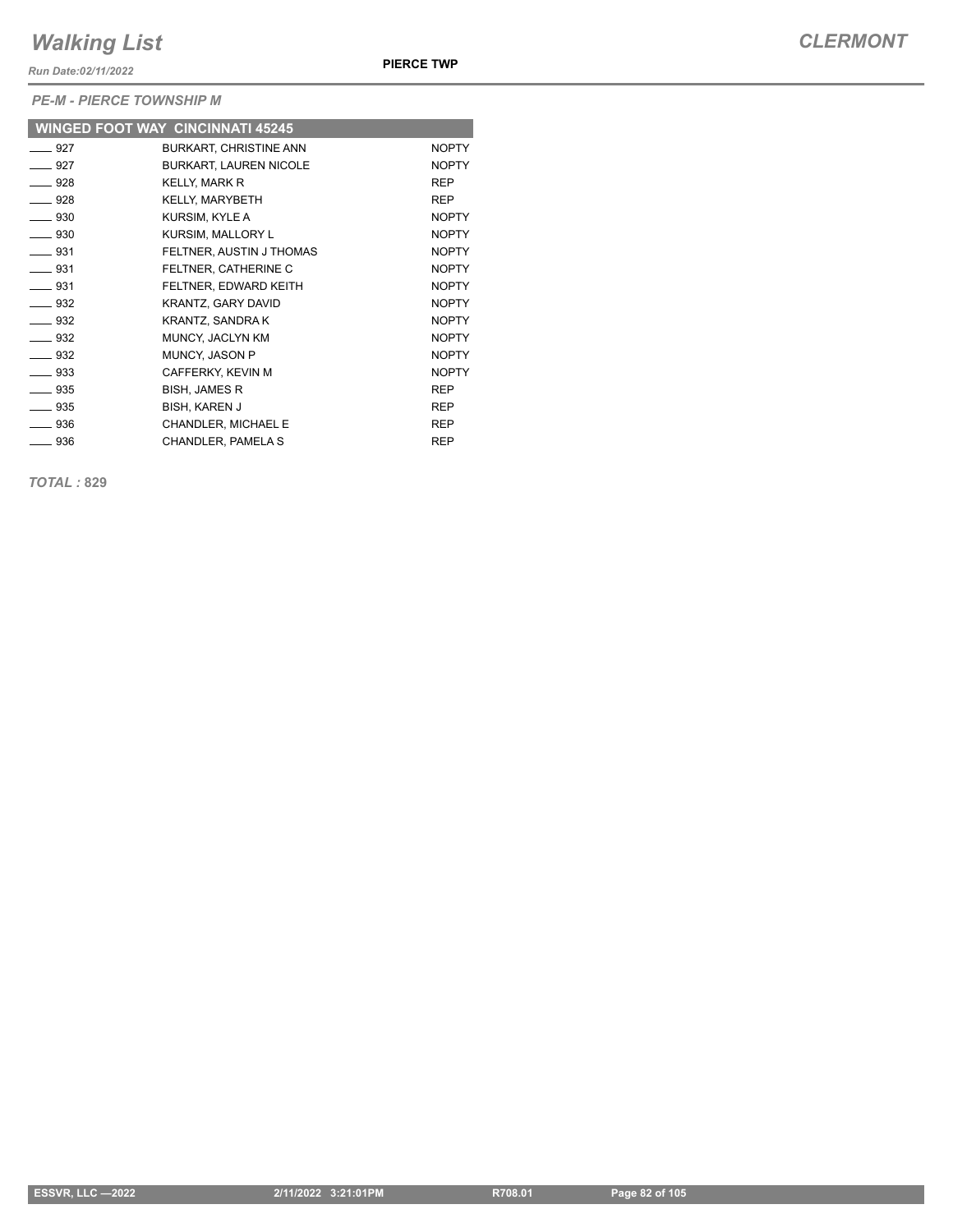*Run Date:02/11/2022*

*PE-M - PIERCE TOWNSHIP M*

|                          | <b>WINGED FOOT WAY CINCINNATI 45245</b> |              |
|--------------------------|-----------------------------------------|--------------|
| $-927$                   | <b>BURKART, CHRISTINE ANN</b>           | <b>NOPTY</b> |
| $\rule{1em}{0.15mm}$ 927 | <b>BURKART, LAUREN NICOLE</b>           | <b>NOPTY</b> |
| $\equiv$ 928             | <b>KELLY, MARK R</b>                    | <b>REP</b>   |
| ___ 928                  | KELLY, MARYBETH                         | <b>REP</b>   |
| $\equiv$ 930             | KURSIM, KYLE A                          | <b>NOPTY</b> |
| $\frac{1}{2}$ 930        | KURSIM, MALLORY L                       | <b>NOPTY</b> |
| $\equiv$ 931             | FELTNER, AUSTIN J THOMAS                | <b>NOPTY</b> |
| $-931$                   | FELTNER, CATHERINE C                    | <b>NOPTY</b> |
| $\frac{1}{2}$ 931        | FELTNER, EDWARD KEITH                   | <b>NOPTY</b> |
| $\equiv$ 932             | KRANTZ, GARY DAVID                      | <b>NOPTY</b> |
| $\equiv$ 932             | KRANTZ, SANDRA K                        | <b>NOPTY</b> |
| ____ 932                 | MUNCY, JACLYN KM                        | <b>NOPTY</b> |
| $\equiv$ 932             | <b>MUNCY, JASON P</b>                   | <b>NOPTY</b> |
| — 933                    | CAFFERKY, KEVIN M                       | <b>NOPTY</b> |
| ___ 935                  | <b>BISH, JAMES R</b>                    | <b>REP</b>   |
| $\frac{1}{2}$ 935        | <b>BISH, KAREN J</b>                    | <b>REP</b>   |
| $\equiv$ 936             | CHANDLER, MICHAEL E                     | <b>REP</b>   |
| $\frac{1}{2}$ 936        | CHANDLER, PAMELA S                      | <b>REP</b>   |

*TOTAL :* **829**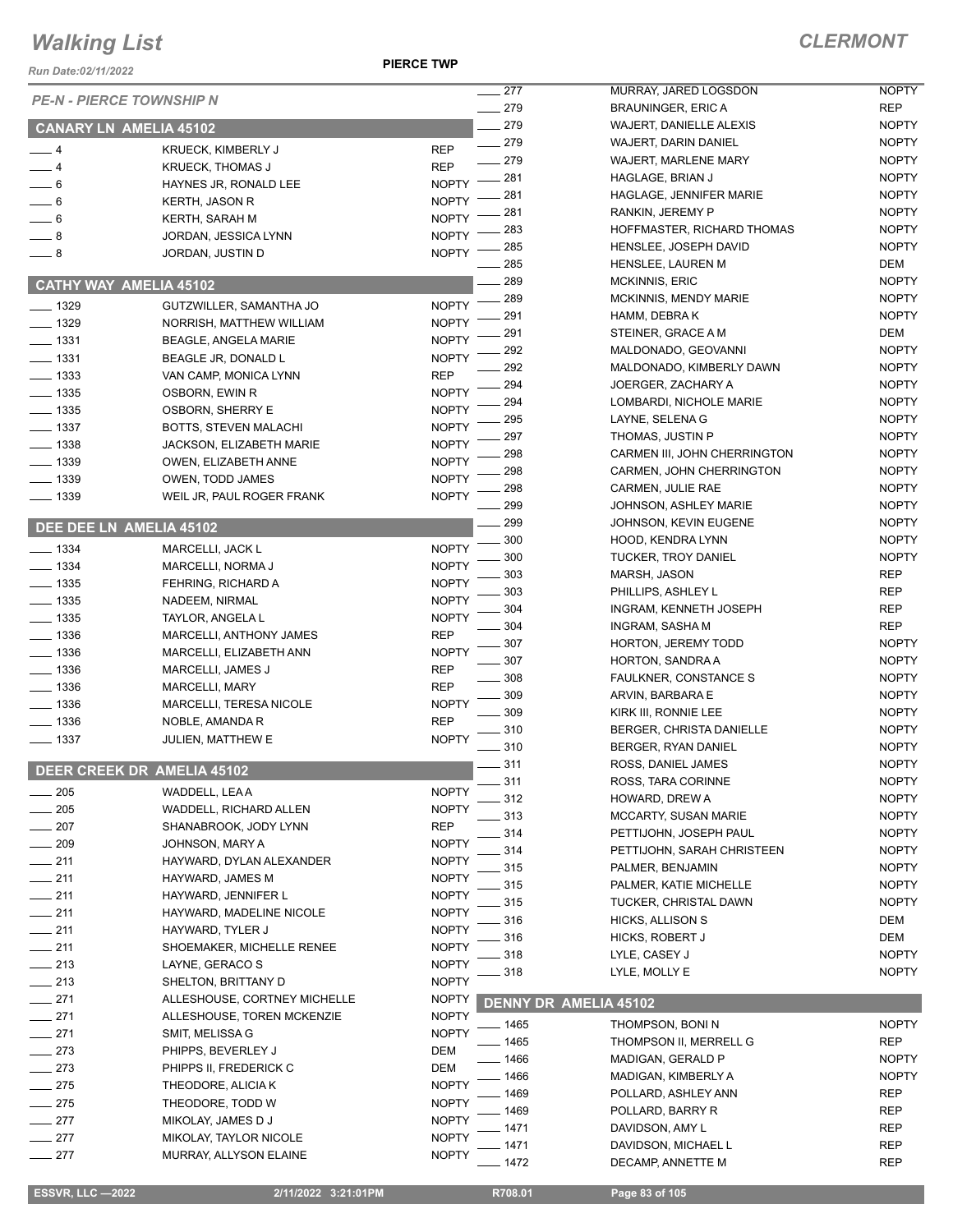**PIERCE TWP**

#### *CLERMONT*

| Run Date:02/11/2022  |                                                         |                              |                  |                                                               |                            |
|----------------------|---------------------------------------------------------|------------------------------|------------------|---------------------------------------------------------------|----------------------------|
|                      | <b>PE-N - PIERCE TOWNSHIP N</b>                         |                              | 277              | MURRAY, JARED LOGSDON                                         | <b>NOPTY</b>               |
|                      |                                                         |                              | $-279$<br>$-279$ | <b>BRAUNINGER, ERIC A</b>                                     | <b>REP</b><br><b>NOPTY</b> |
|                      | <b>CANARY LN AMELIA 45102</b>                           |                              | $-279$           | <b>WAJERT, DANIELLE ALEXIS</b><br><b>WAJERT, DARIN DANIEL</b> | <b>NOPTY</b>               |
| $-4$                 | KRUECK, KIMBERLY J                                      | <b>REP</b>                   | $-279$           | <b>WAJERT, MARLENE MARY</b>                                   | <b>NOPTY</b>               |
| $-4$                 | <b>KRUECK, THOMAS J</b>                                 | <b>REP</b>                   | $-281$           | HAGLAGE, BRIAN J                                              | <b>NOPTY</b>               |
| $-6$                 | HAYNES JR, RONALD LEE                                   | <b>NOPTY</b>                 | . 281            | HAGLAGE, JENNIFER MARIE                                       | <b>NOPTY</b>               |
| $-6$                 | <b>KERTH, JASON R</b>                                   | <b>NOPTY</b>                 | 281              | RANKIN, JEREMY P                                              | <b>NOPTY</b>               |
| $= 6$                | KERTH, SARAH M                                          | <b>NOPTY</b>                 | 283              | HOFFMASTER, RICHARD THOMAS                                    | <b>NOPTY</b>               |
| $-8$                 | JORDAN, JESSICA LYNN                                    | <b>NOPTY</b>                 | 285              | HENSLEE, JOSEPH DAVID                                         | <b>NOPTY</b>               |
| $-8$                 | JORDAN, JUSTIN D                                        | <b>NOPTY</b>                 | 285              | HENSLEE, LAUREN M                                             | DEM                        |
|                      | <b>CATHY WAY AMELIA 45102</b>                           |                              | 289              | <b>MCKINNIS, ERIC</b>                                         | <b>NOPTY</b>               |
|                      |                                                         | <b>NOPTY</b>                 | 289              | <b>MCKINNIS, MENDY MARIE</b>                                  | <b>NOPTY</b>               |
| $- 1329$<br>$- 1329$ | GUTZWILLER, SAMANTHA JO                                 | <b>NOPTY</b>                 | 291              | HAMM, DEBRAK                                                  | <b>NOPTY</b>               |
| $\frac{1}{2}$ 1331   | NORRISH, MATTHEW WILLIAM<br><b>BEAGLE, ANGELA MARIE</b> | <b>NOPTY</b>                 | 291              | STEINER, GRACE A M                                            | DEM                        |
| $\frac{1}{2}$ 1331   | BEAGLE JR, DONALD L                                     | <b>NOPTY</b>                 | 292              | MALDONADO, GEOVANNI                                           | <b>NOPTY</b>               |
| $\frac{1}{2}$ 1333   | VAN CAMP, MONICA LYNN                                   | <b>REP</b>                   | 292              | MALDONADO, KIMBERLY DAWN                                      | <b>NOPTY</b>               |
| ____ 1335            | OSBORN, EWIN R                                          | <b>NOPTY</b>                 | 294              | JOERGER, ZACHARY A                                            | <b>NOPTY</b>               |
| $\frac{1}{2}$ 1335   | <b>OSBORN, SHERRY E</b>                                 | <b>NOPTY</b>                 | 294              | LOMBARDI, NICHOLE MARIE                                       | <b>NOPTY</b>               |
| $\frac{1}{2}$ 1337   | BOTTS, STEVEN MALACHI                                   | <b>NOPTY</b>                 | 295              | LAYNE, SELENA G                                               | <b>NOPTY</b>               |
| $\frac{1}{2}$ 1338   | JACKSON, ELIZABETH MARIE                                | <b>NOPTY</b>                 | 297              | THOMAS, JUSTIN P                                              | <b>NOPTY</b>               |
| $- 1339$             | OWEN, ELIZABETH ANNE                                    | <b>NOPTY</b>                 | 298              | CARMEN III, JOHN CHERRINGTON                                  | <b>NOPTY</b>               |
| $\frac{1}{2}$ 1339   | OWEN, TODD JAMES                                        | <b>NOPTY</b>                 | 298              | CARMEN, JOHN CHERRINGTON                                      | <b>NOPTY</b>               |
| $- 1339$             | WEIL JR, PAUL ROGER FRANK                               | <b>NOPTY</b>                 | 298              | CARMEN, JULIE RAE                                             | <b>NOPTY</b>               |
|                      |                                                         |                              | 299              | <b>JOHNSON, ASHLEY MARIE</b>                                  | <b>NOPTY</b>               |
|                      | DEE DEE LN AMELIA 45102                                 |                              | 299              | JOHNSON, KEVIN EUGENE                                         | <b>NOPTY</b>               |
| $- 1334$             | MARCELLI, JACK L                                        | <b>NOPTY</b>                 | 300              | HOOD, KENDRA LYNN                                             | <b>NOPTY</b>               |
| $\frac{1}{2}$ 1334   | MARCELLI, NORMA J                                       | <b>NOPTY</b>                 | 300              | <b>TUCKER, TROY DANIEL</b>                                    | <b>NOPTY</b>               |
| $\frac{1}{2}$ 1335   | FEHRING, RICHARD A                                      | <b>NOPTY</b>                 | 303              | MARSH, JASON                                                  | <b>REP</b>                 |
| $\frac{1}{2}$ 1335   | NADEEM, NIRMAL                                          | <b>NOPTY</b>                 | 303              | PHILLIPS, ASHLEY L                                            | <b>REP</b><br><b>REP</b>   |
| $\frac{1}{2}$ 1335   | TAYLOR, ANGELA L                                        | <b>NOPTY</b>                 | 304<br>304       | INGRAM, KENNETH JOSEPH<br>INGRAM, SASHA M                     | <b>REP</b>                 |
| $- 1336$             | MARCELLI, ANTHONY JAMES                                 | <b>REP</b>                   | 307              | HORTON, JEREMY TODD                                           | <b>NOPTY</b>               |
| $\equiv$ 1336        | MARCELLI, ELIZABETH ANN                                 | <b>NOPTY</b>                 | 307              | HORTON, SANDRA A                                              | <b>NOPTY</b>               |
| $\frac{1}{2}$ 1336   | MARCELLI, JAMES J                                       | <b>REP</b>                   | $-308$           | <b>FAULKNER, CONSTANCE S</b>                                  | <b>NOPTY</b>               |
| $\frac{1}{2}$ 1336   | MARCELLI, MARY                                          | <b>REP</b>                   | 309              | ARVIN, BARBARA E                                              | <b>NOPTY</b>               |
| $- 1336$             | MARCELLI, TERESA NICOLE                                 | <b>NOPTY</b>                 | 309              | KIRK III, RONNIE LEE                                          | <b>NOPTY</b>               |
| $\equiv$ 1336        | NOBLE, AMANDA R                                         | <b>REP</b>                   | 310              | BERGER, CHRISTA DANIELLE                                      | <b>NOPTY</b>               |
| $- 1337$             | JULIEN, MATTHEW E                                       | <b>NOPTY</b>                 | $-310$           | BERGER, RYAN DANIEL                                           | <b>NOPTY</b>               |
|                      | DEER CREEK DR AMELIA 45102                              |                              | 311              | ROSS, DANIEL JAMES                                            | <b>NOPTY</b>               |
|                      |                                                         |                              | $-311$           | ROSS, TARA CORINNE                                            | <b>NOPTY</b>               |
| 205                  | WADDELL, LEA A                                          | <b>NOPTY</b>                 | 312              | HOWARD, DREW A                                                | <b>NOPTY</b>               |
| 205                  | WADDELL, RICHARD ALLEN                                  | <b>NOPTY</b>                 | 313              | MCCARTY, SUSAN MARIE                                          | <b>NOPTY</b>               |
| 207                  | SHANABROOK, JODY LYNN                                   | <b>REP</b>                   | 314              | PETTIJOHN, JOSEPH PAUL                                        | <b>NOPTY</b>               |
| $\sim$ 209           | JOHNSON, MARY A<br>HAYWARD, DYLAN ALEXANDER             | <b>NOPTY</b><br><b>NOPTY</b> | 314              | PETTIJOHN, SARAH CHRISTEEN                                    | <b>NOPTY</b>               |
| $-211$<br>$-211$     | HAYWARD, JAMES M                                        | <b>NOPTY</b>                 | 315              | PALMER, BENJAMIN                                              | <b>NOPTY</b>               |
| $-211$               | HAYWARD, JENNIFER L                                     | <b>NOPTY</b>                 | 315              | PALMER, KATIE MICHELLE                                        | <b>NOPTY</b>               |
| $-211$               | HAYWARD, MADELINE NICOLE                                | <b>NOPTY</b>                 | 315              | TUCKER, CHRISTAL DAWN                                         | <b>NOPTY</b>               |
| $-211$               | HAYWARD, TYLER J                                        | <b>NOPTY</b>                 | 316              | <b>HICKS, ALLISON S</b>                                       | DEM                        |
| $-211$               | SHOEMAKER, MICHELLE RENEE                               | <b>NOPTY</b>                 | 316              | HICKS, ROBERT J                                               | DEM                        |
| $-213$               | LAYNE, GERACO S                                         | <b>NOPTY</b>                 | 318              | LYLE, CASEY J                                                 | <b>NOPTY</b>               |
| $-213$               | SHELTON, BRITTANY D                                     | <b>NOPTY</b>                 | 318              | LYLE, MOLLY E                                                 | <b>NOPTY</b>               |
| $-271$               | ALLESHOUSE, CORTNEY MICHELLE                            | <b>NOPTY</b>                 |                  | <b>DENNY DR AMELIA 45102</b>                                  |                            |
| $-271$               | ALLESHOUSE, TOREN MCKENZIE                              | <b>NOPTY</b>                 |                  |                                                               |                            |
| $-271$               | SMIT, MELISSA G                                         | <b>NOPTY</b>                 | _ 1465           | THOMPSON, BONIN                                               | <b>NOPTY</b>               |
| $-273$               | PHIPPS, BEVERLEY J                                      | <b>DEM</b>                   | $-1465$          | THOMPSON II, MERRELL G                                        | <b>REP</b>                 |
| $-273$               | PHIPPS II, FREDERICK C                                  | DEM                          | $-1466$          | MADIGAN, GERALD P                                             | <b>NOPTY</b>               |
| $\frac{1}{275}$      | THEODORE, ALICIA K                                      | <b>NOPTY</b>                 | _ 1466<br>1469   | MADIGAN, KIMBERLY A<br>POLLARD, ASHLEY ANN                    | <b>NOPTY</b><br><b>REP</b> |
| $-275$               | THEODORE, TODD W                                        | <b>NOPTY</b>                 | 1469             | POLLARD, BARRY R                                              | REP                        |
| $-277$               | MIKOLAY, JAMES D J                                      | <b>NOPTY</b>                 | 1471             | DAVIDSON, AMY L                                               | <b>REP</b>                 |
| $-277$               | MIKOLAY, TAYLOR NICOLE                                  | <b>NOPTY</b>                 | 1471             | DAVIDSON, MICHAEL L                                           | <b>REP</b>                 |
| $-277$               | MURRAY, ALLYSON ELAINE                                  | <b>NOPTY</b>                 | 1472             | DECAMP, ANNETTE M                                             | <b>REP</b>                 |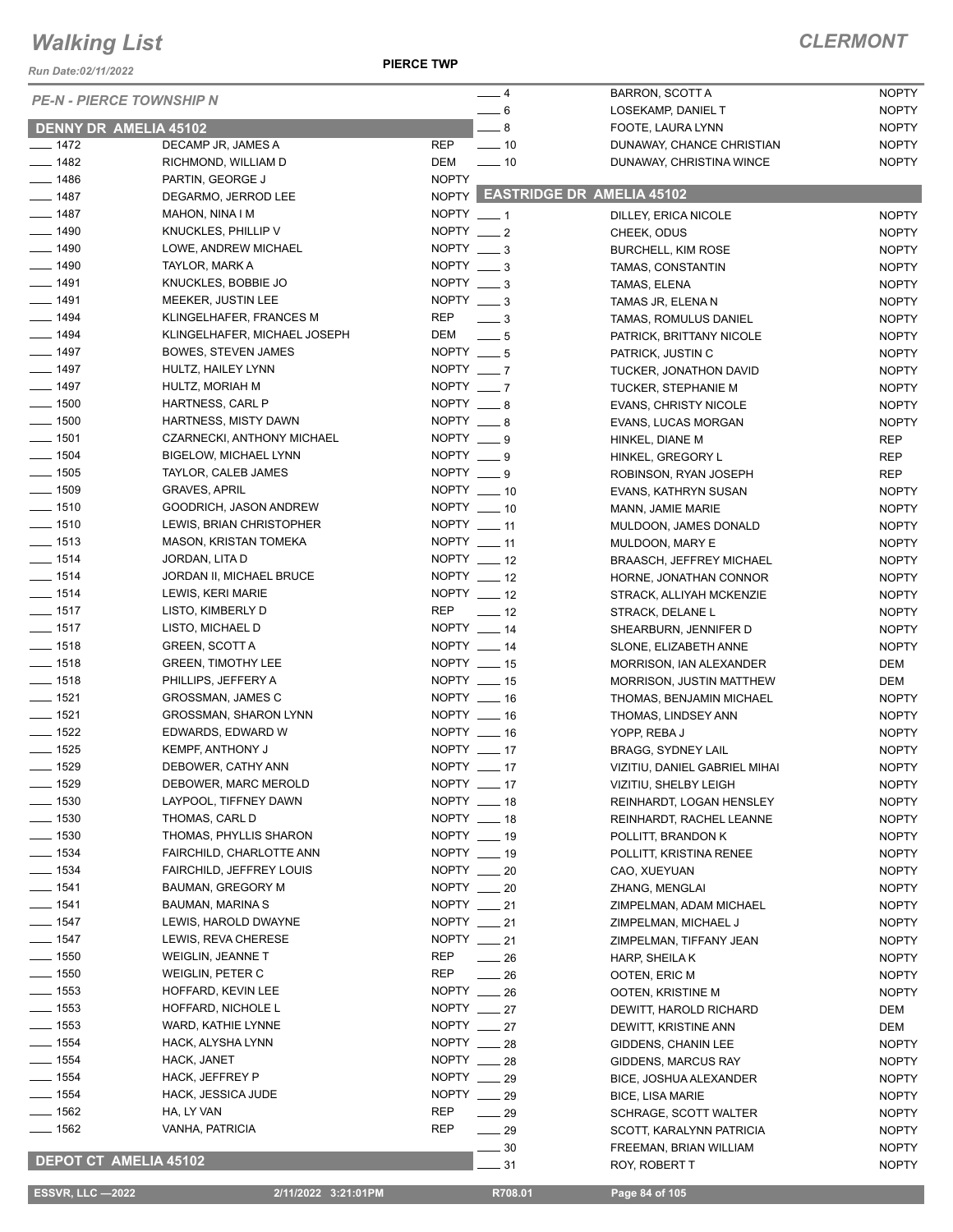*Run Date:02/11/2022*

## *CLERMONT*

|                    | <b>PE-N - PIERCE TOWNSHIP N</b> | $-4$                         | BARRON, SCOTT A                 | <b>NOPTY</b> |
|--------------------|---------------------------------|------------------------------|---------------------------------|--------------|
|                    |                                 | $-6$                         | LOSEKAMP, DANIEL T              | <b>NOPTY</b> |
|                    | <b>DENNY DR AMELIA 45102</b>    | $\overline{\phantom{0}}$ 8   | FOOTE, LAURA LYNN               | <b>NOPTY</b> |
| $- 1472$           | DECAMP JR, JAMES A              | <b>REP</b><br>$\sim$ 10      | DUNAWAY, CHANCE CHRISTIAN       | <b>NOPTY</b> |
| $\frac{1}{2}$ 1482 | RICHMOND, WILLIAM D             | $\frac{1}{2}$ 10<br>DEM      | DUNAWAY, CHRISTINA WINCE        | <b>NOPTY</b> |
| $- 1486$           | PARTIN, GEORGE J                | <b>NOPTY</b>                 |                                 |              |
| $- 1487$           | DEGARMO, JERROD LEE             |                              | NOPTY EASTRIDGE DR AMELIA 45102 |              |
| $- 1487$           | MAHON, NINA I M                 | NOPTY $-1$                   | DILLEY, ERICA NICOLE            | <b>NOPTY</b> |
| $- 1490$           | KNUCKLES, PHILLIP V             | NOPTY $-2$                   | CHEEK, ODUS                     | <b>NOPTY</b> |
| $- 1490$           | LOWE, ANDREW MICHAEL            | NOPTY $-3$                   | <b>BURCHELL, KIM ROSE</b>       | <b>NOPTY</b> |
| $- 1490$           | TAYLOR, MARK A                  | $NOPTY = 3$                  | TAMAS, CONSTANTIN               | <b>NOPTY</b> |
| $- 1491$           | KNUCKLES, BOBBIE JO             | NOPTY $\_\_\$ 3              | TAMAS, ELENA                    | <b>NOPTY</b> |
| $- 1491$           | MEEKER, JUSTIN LEE              | NOPTY $-3$                   | TAMAS JR, ELENA N               | <b>NOPTY</b> |
| $- 1494$           | KLINGELHAFER, FRANCES M         | REP<br>$\frac{1}{2}$         | TAMAS, ROMULUS DANIEL           | <b>NOPTY</b> |
| $- 1494$           | KLINGELHAFER, MICHAEL JOSEPH    | DEM<br>$\equiv$ 5            | PATRICK, BRITTANY NICOLE        | <b>NOPTY</b> |
| $\frac{1}{2}$ 1497 | BOWES, STEVEN JAMES             | NOPTY $- 5 $                 | PATRICK, JUSTIN C               | <b>NOPTY</b> |
| $- 1497$           | HULTZ, HAILEY LYNN              | NOPTY $-7$                   | TUCKER, JONATHON DAVID          | <b>NOPTY</b> |
| $- 1497$           | HULTZ, MORIAH M                 | NOPTY $-7$                   | TUCKER, STEPHANIE M             | <b>NOPTY</b> |
| $\frac{1}{2}$ 1500 | HARTNESS, CARL P                | NOPTY $-8$                   | <b>EVANS, CHRISTY NICOLE</b>    | <b>NOPTY</b> |
| $\frac{1}{2}$ 1500 | HARTNESS, MISTY DAWN            | NOPTY $-8$                   | EVANS, LUCAS MORGAN             | <b>NOPTY</b> |
| $- 1501$           | CZARNECKI, ANTHONY MICHAEL      | NOPTY ___ 9                  | HINKEL, DIANE M                 | REP          |
| $- 1504$           | <b>BIGELOW, MICHAEL LYNN</b>    | NOPTY $\_\_\$ 9              | HINKEL, GREGORY L               | REP          |
| $\frac{1}{2}$ 1505 | TAYLOR, CALEB JAMES             | $NOPTY = 9$                  | ROBINSON, RYAN JOSEPH           | REP          |
| $- 1509$           | <b>GRAVES, APRIL</b>            | NOPTY __ 10                  | EVANS, KATHRYN SUSAN            | <b>NOPTY</b> |
| $- 1510$           | GOODRICH, JASON ANDREW          | NOPTY __ 10                  | MANN, JAMIE MARIE               | <b>NOPTY</b> |
| $- 1510$           | LEWIS, BRIAN CHRISTOPHER        | NOPTY $-11$                  | MULDOON, JAMES DONALD           | <b>NOPTY</b> |
| $- 1513$           | <b>MASON, KRISTAN TOMEKA</b>    | NOPTY __ 11                  | MULDOON, MARY E                 | <b>NOPTY</b> |
| $- 1514$           | JORDAN, LITA D                  | NOPTY __ 12                  | <b>BRAASCH, JEFFREY MICHAEL</b> | <b>NOPTY</b> |
| $- 1514$           | JORDAN II, MICHAEL BRUCE        | NOPTY $-12$                  | HORNE, JONATHAN CONNOR          | <b>NOPTY</b> |
| $- 1514$           | LEWIS, KERI MARIE               | NOPTY __ 12                  | STRACK, ALLIYAH MCKENZIE        | <b>NOPTY</b> |
| $- 1517$           | LISTO, KIMBERLY D               | REP<br>$\frac{1}{2}$         | STRACK, DELANE L                | <b>NOPTY</b> |
| $- 1517$           | LISTO, MICHAEL D                | NOPTY __ 14                  | SHEARBURN, JENNIFER D           | <b>NOPTY</b> |
| $- 1518$           | <b>GREEN, SCOTT A</b>           | NOPTY __ 14                  | SLONE, ELIZABETH ANNE           | <b>NOPTY</b> |
| $- 1518$           | <b>GREEN, TIMOTHY LEE</b>       | NOPTY __ 15                  | MORRISON, IAN ALEXANDER         | DEM          |
| $- 1518$           | PHILLIPS, JEFFERY A             | NOPTY __ 15                  | MORRISON, JUSTIN MATTHEW        | DEM          |
| $- 1521$           | <b>GROSSMAN, JAMES C</b>        | NOPTY __ 16                  | THOMAS, BENJAMIN MICHAEL        | <b>NOPTY</b> |
| $- 1521$           | GROSSMAN, SHARON LYNN           | NOPTY __ 16                  | THOMAS, LINDSEY ANN             | <b>NOPTY</b> |
| $- 1522$           | EDWARDS, EDWARD W               | NOPTY __ 16                  | YOPP, REBA J                    | <b>NOPTY</b> |
| $- 1525$           | <b>KEMPF, ANTHONY J</b>         | NOPTY $-17$                  | <b>BRAGG, SYDNEY LAIL</b>       | <b>NOPTY</b> |
| $- 1529$           | DEBOWER, CATHY ANN              | NOPTY $-17$                  |                                 | <b>NOPTY</b> |
| $- 1529$           | DEBOWER, MARC MEROLD            | NOPTY $-17$                  | VIZITIU, DANIEL GABRIEL MIHAI   |              |
| $\frac{1}{2}$ 1530 | LAYPOOL, TIFFNEY DAWN           | NOPTY __ 18                  | VIZITIU, SHELBY LEIGH           | <b>NOPTY</b> |
| $- 1530$           | THOMAS, CARL D                  | NOPTY __ 18                  | REINHARDT, LOGAN HENSLEY        | <b>NOPTY</b> |
| $- 1530$           |                                 | NOPTY __ 19                  | REINHARDT, RACHEL LEANNE        | <b>NOPTY</b> |
|                    | THOMAS, PHYLLIS SHARON          | NOPTY __ 19                  | POLLITT, BRANDON K              | <b>NOPTY</b> |
| $- 1534$           | FAIRCHILD, CHARLOTTE ANN        |                              | POLLITT, KRISTINA RENEE         | <b>NOPTY</b> |
| $- 1534$           | FAIRCHILD, JEFFREY LOUIS        | $NOPTY$ __ 20                | CAO, XUEYUAN                    | <b>NOPTY</b> |
| $- 1541$           | <b>BAUMAN, GREGORY M</b>        | NOPTY __ 20                  | ZHANG, MENGLAI                  | <b>NOPTY</b> |
| $- 1541$           | BAUMAN, MARINA S                | NOPTY __ 21                  | ZIMPELMAN, ADAM MICHAEL         | <b>NOPTY</b> |
| $- 1547$           | LEWIS, HAROLD DWAYNE            | NOPTY $-21$                  | ZIMPELMAN, MICHAEL J            | <b>NOPTY</b> |
| $- 1547$           | LEWIS, REVA CHERESE             | NOPTY __ 21                  | ZIMPELMAN, TIFFANY JEAN         | <b>NOPTY</b> |
| $- 1550$           | WEIGLIN, JEANNE T               | REP<br>$\frac{1}{26}$        | HARP, SHEILA K                  | <b>NOPTY</b> |
| $- 1550$           | WEIGLIN, PETER C                | REP<br>$\frac{1}{26}$        | OOTEN, ERIC M                   | <b>NOPTY</b> |
| $- 1553$           | HOFFARD, KEVIN LEE              | NOPTY $-26$                  | OOTEN, KRISTINE M               | <b>NOPTY</b> |
| $- 1553$           | HOFFARD, NICHOLE L              | NOPTY __ 27                  | DEWITT, HAROLD RICHARD          | DEM          |
| $- 1553$           | WARD, KATHIE LYNNE              | NOPTY $-27$                  | DEWITT, KRISTINE ANN            | DEM          |
| $- 1554$           | HACK, ALYSHA LYNN               | NOPTY __ 28                  | GIDDENS, CHANIN LEE             | <b>NOPTY</b> |
| $- 1554$           | HACK, JANET                     | NOPTY __ 28                  | GIDDENS, MARCUS RAY             | <b>NOPTY</b> |
| $- 1554$           | HACK, JEFFREY P                 | NOPTY $-29$                  | BICE, JOSHUA ALEXANDER          | <b>NOPTY</b> |
| $- 1554$           | HACK, JESSICA JUDE              | NOPTY __ 29                  | <b>BICE, LISA MARIE</b>         | <b>NOPTY</b> |
| $- 1562$           | HA, LY VAN                      | REP<br>$\frac{1}{29}$        | SCHRAGE, SCOTT WALTER           | <b>NOPTY</b> |
| $\frac{1}{1562}$   | VANHA, PATRICIA                 | <b>REP</b><br>$\frac{1}{29}$ | SCOTT, KARALYNN PATRICIA        | <b>NOPTY</b> |
|                    |                                 | $-30$                        | FREEMAN, BRIAN WILLIAM          | <b>NOPTY</b> |
|                    | <b>DEPOT CT AMELIA 45102</b>    | 31                           | ROY, ROBERT T                   | <b>NOPTY</b> |

 **ESSVR, LLC —2022 2/11/2022 3:21:01PM R708.01 Page 84 of 105**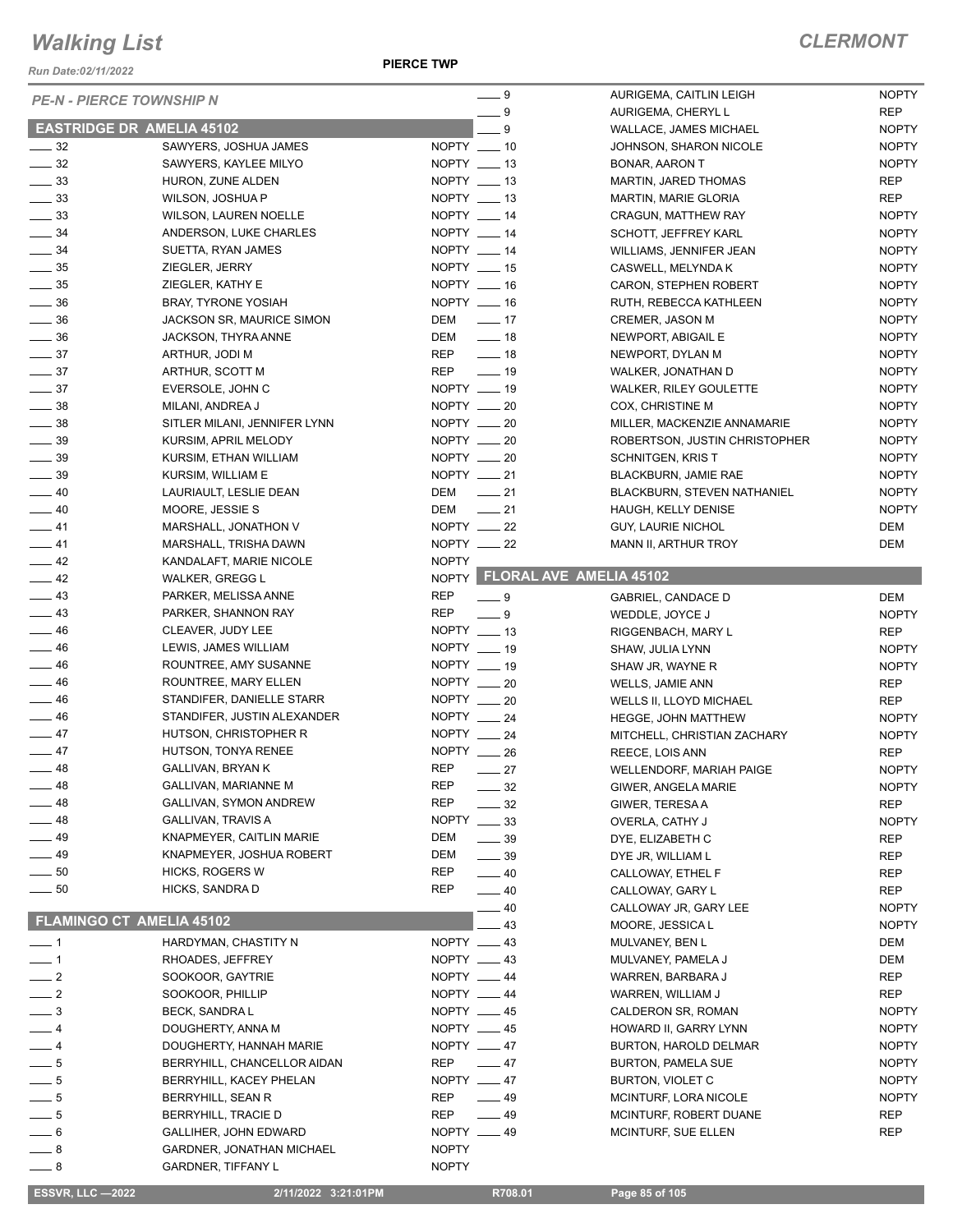*Run Date:02/11/2022*

| <b>PE-N - PIERCE TOWNSHIP N</b>  |                                  |              | $-9$                          | AURIGEMA, CAITLIN LEIGH         | <b>NOPTY</b> |
|----------------------------------|----------------------------------|--------------|-------------------------------|---------------------------------|--------------|
|                                  |                                  |              | $-9$                          | AURIGEMA, CHERYL L              | <b>REP</b>   |
| <b>EASTRIDGE DR AMELIA 45102</b> |                                  |              | 9                             | WALLACE, JAMES MICHAEL          | <b>NOPTY</b> |
| $\frac{1}{2}$ 32                 | SAWYERS, JOSHUA JAMES            |              | NOPTY __ 10                   | JOHNSON, SHARON NICOLE          | <b>NOPTY</b> |
| $\frac{1}{2}$ 32                 | SAWYERS, KAYLEE MILYO            |              | NOPTY __ 13                   | <b>BONAR, AARON T</b>           | <b>NOPTY</b> |
| $\frac{1}{2}$ 33                 | HURON, ZUNE ALDEN                |              | $NOPTY$ $\_\_$ 13             | MARTIN, JARED THOMAS            | <b>REP</b>   |
| $\frac{1}{2}$ 33                 | WILSON, JOSHUA P                 |              | NOPTY __ 13                   | <b>MARTIN, MARIE GLORIA</b>     | <b>REP</b>   |
| $\frac{1}{2}$ 33                 | <b>WILSON, LAUREN NOELLE</b>     |              | NOPTY __ 14                   | CRAGUN, MATTHEW RAY             | <b>NOPTY</b> |
| $\frac{1}{2}$ 34                 | ANDERSON, LUKE CHARLES           |              | NOPTY __ 14                   | SCHOTT, JEFFREY KARL            | <b>NOPTY</b> |
| $\frac{1}{2}$ 34                 | SUETTA, RYAN JAMES               |              | NOPTY __ 14                   | WILLIAMS, JENNIFER JEAN         | <b>NOPTY</b> |
| $\frac{1}{2}$ 35                 | ZIEGLER, JERRY                   |              | NOPTY __ 15                   | CASWELL, MELYNDA K              | <b>NOPTY</b> |
| $\frac{1}{2}$ 35                 | ZIEGLER, KATHY E                 |              | $NOPTY = 16$                  | CARON, STEPHEN ROBERT           | <b>NOPTY</b> |
| $\frac{1}{2}$ 36                 | <b>BRAY, TYRONE YOSIAH</b>       |              | NOPTY __ 16                   | RUTH, REBECCA KATHLEEN          | <b>NOPTY</b> |
| $\frac{1}{2}$ 36                 | JACKSON SR, MAURICE SIMON        |              | DEM ______ 17                 | <b>CREMER, JASON M</b>          | <b>NOPTY</b> |
| $\frac{1}{2}$ 36                 | JACKSON, THYRA ANNE              | DEM          | $\frac{1}{2}$ 18              | NEWPORT, ABIGAIL E              | <b>NOPTY</b> |
| $\frac{1}{2}$ 37                 | ARTHUR, JODI M                   | REP          | $\frac{1}{2}$ 18              | NEWPORT, DYLAN M                | <b>NOPTY</b> |
| $\frac{1}{2}$ 37                 | ARTHUR, SCOTT M                  | REP          | $\frac{1}{2}$ 19              | WALKER, JONATHAN D              | <b>NOPTY</b> |
| $\frac{1}{2}$ 37                 | EVERSOLE, JOHN C                 |              | NOPTY __ 19                   | <b>WALKER, RILEY GOULETTE</b>   | <b>NOPTY</b> |
| $\frac{1}{2}$ 38                 | MILANI, ANDREA J                 |              | NOPTY __ 20                   | COX, CHRISTINE M                | <b>NOPTY</b> |
| $\frac{1}{2}$ 38                 | SITLER MILANI, JENNIFER LYNN     |              | NOPTY __ 20                   | MILLER, MACKENZIE ANNAMARIE     | <b>NOPTY</b> |
| $\frac{1}{2}$ 39                 | KURSIM, APRIL MELODY             |              | NOPTY $-20$                   | ROBERTSON, JUSTIN CHRISTOPHER   | <b>NOPTY</b> |
| $\frac{1}{2}$ 39                 | KURSIM, ETHAN WILLIAM            |              | NOPTY $-20$                   | <b>SCHNITGEN, KRIST</b>         | <b>NOPTY</b> |
| $\frac{1}{2}$ 39                 | KURSIM, WILLIAM E                | NOPTY __ 21  |                               | BLACKBURN, JAMIE RAE            | <b>NOPTY</b> |
| $-40$                            | LAURIAULT, LESLIE DEAN           | DEM          | $\sim$ 21                     | BLACKBURN, STEVEN NATHANIEL     | <b>NOPTY</b> |
| $\frac{1}{2}$ 40                 | MOORE, JESSIE S                  | DEM          | $\frac{1}{21}$                | HAUGH, KELLY DENISE             | <b>NOPTY</b> |
| $\frac{1}{2}$ 41                 | MARSHALL, JONATHON V             |              | NOPTY __ 22                   | GUY, LAURIE NICHOL              | DEM          |
| $-41$                            | MARSHALL, TRISHA DAWN            |              | $NOPTY$ __ 22                 | MANN II, ARTHUR TROY            | DEM          |
| $-42$                            | KANDALAFT, MARIE NICOLE          | <b>NOPTY</b> |                               |                                 |              |
| $\frac{1}{2}$ 42                 | <b>WALKER, GREGG L</b>           |              | NOPTY FLORAL AVE AMELIA 45102 |                                 |              |
| $\frac{1}{2}$ 43                 | PARKER, MELISSA ANNE             | <b>REP</b>   | $-9$                          | GABRIEL, CANDACE D              | DEM          |
| $\frac{1}{2}$ 43                 | PARKER, SHANNON RAY              | <b>REP</b>   | $-9$                          | WEDDLE, JOYCE J                 | <b>NOPTY</b> |
| $\frac{1}{2}$ 46                 | CLEAVER, JUDY LEE                |              | NOPTY $-13$                   | RIGGENBACH, MARY L              | <b>REP</b>   |
| $\frac{1}{2}$ 46                 | LEWIS, JAMES WILLIAM             |              | NOPTY __ 19                   | SHAW, JULIA LYNN                | <b>NOPTY</b> |
| $\frac{1}{2}$ 46                 | ROUNTREE, AMY SUSANNE            |              | NOPTY __ 19                   |                                 | <b>NOPTY</b> |
| $\frac{1}{2}$ 46                 | ROUNTREE, MARY ELLEN             |              | $NOPTY$ __ 20                 | SHAW JR, WAYNE R                |              |
| $\frac{1}{2}$ 46                 | STANDIFER, DANIELLE STARR        | NOPTY __ 20  |                               | <b>WELLS, JAMIE ANN</b>         | <b>REP</b>   |
| $\frac{1}{2}$ 46                 | STANDIFER, JUSTIN ALEXANDER      |              | NOPTY $-24$                   | WELLS II, LLOYD MICHAEL         | <b>REP</b>   |
| $\frac{1}{2}$ 47                 |                                  |              | NOPTY 24                      | <b>HEGGE, JOHN MATTHEW</b>      | <b>NOPTY</b> |
|                                  | HUTSON, CHRISTOPHER R            |              |                               | MITCHELL, CHRISTIAN ZACHARY     | <b>NOPTY</b> |
| $\frac{1}{2}$ 47                 | HUTSON, TONYA RENEE              | <b>REP</b>   | NOPTY $-26$                   | REECE, LOIS ANN                 | <b>REP</b>   |
| $-48$                            | GALLIVAN, BRYAN K                |              | $-27$                         | <b>WELLENDORF, MARIAH PAIGE</b> | <b>NOPTY</b> |
| — 48                             | GALLIVAN, MARIANNE M             | <b>REP</b>   | _ 32                          | GIWER, ANGELA MARIE             | <b>NOPTY</b> |
| _ 48                             | GALLIVAN, SYMON ANDREW           | <b>REP</b>   | $\equiv$ 32                   | GIWER, TERESA A                 | <b>REP</b>   |
| $-48$                            | GALLIVAN, TRAVIS A               | <b>NOPTY</b> | $\frac{1}{2}$ 33              | OVERLA, CATHY J                 | <b>NOPTY</b> |
| - 49                             | KNAPMEYER, CAITLIN MARIE         | DEM          | $\frac{1}{2}$ 39              | DYE, ELIZABETH C                | <b>REP</b>   |
| __ 49                            | KNAPMEYER, JOSHUA ROBERT         | DEM          | $-39$                         | DYE JR, WILLIAM L               | REP          |
| $\sim$ 50                        | <b>HICKS, ROGERS W</b>           | <b>REP</b>   | $\frac{1}{2}$ 40              | CALLOWAY, ETHEL F               | <b>REP</b>   |
| $\frac{1}{2}$ 50                 | HICKS, SANDRA D                  | <b>REP</b>   | $\frac{1}{2}$ 40              | CALLOWAY, GARY L                | <b>REP</b>   |
|                                  |                                  |              | 40                            | CALLOWAY JR, GARY LEE           | <b>NOPTY</b> |
| <b>FLAMINGO CT AMELIA 45102</b>  |                                  |              | 43                            | MOORE, JESSICA L                | <b>NOPTY</b> |
| $-1$                             | HARDYMAN, CHASTITY N             |              | NOPTY $-43$                   | MULVANEY, BEN L                 | DEM          |
| $-1$                             | RHOADES, JEFFREY                 |              | NOPTY $-43$                   | MULVANEY, PAMELA J              | <b>DEM</b>   |
| $\overline{\phantom{0}}$ 2       | SOOKOOR, GAYTRIE                 | NOPTY __ 44  |                               | WARREN, BARBARA J               | REP          |
| $\frac{1}{2}$                    | SOOKOOR, PHILLIP                 | NOPTY __ 44  |                               | WARREN, WILLIAM J               | <b>REP</b>   |
| $\equiv$ 3                       | BECK, SANDRA L                   |              | NOPTY __ 45                   | CALDERON SR, ROMAN              | <b>NOPTY</b> |
| — 4                              | DOUGHERTY, ANNA M                |              | NOPTY __ 45                   | HOWARD II, GARRY LYNN           | <b>NOPTY</b> |
| $-4$                             | DOUGHERTY, HANNAH MARIE          |              | NOPTY $-47$                   | BURTON, HAROLD DELMAR           | <b>NOPTY</b> |
| $-5$                             | BERRYHILL, CHANCELLOR AIDAN      | <b>REP</b>   | $\frac{1}{2}$ 47              | <b>BURTON, PAMELA SUE</b>       | <b>NOPTY</b> |
| $-5$                             | BERRYHILL, KACEY PHELAN          |              | NOPTY __ 47                   | BURTON, VIOLET C                | <b>NOPTY</b> |
| $-5$                             | BERRYHILL, SEAN R                | <b>REP</b>   | $\equiv$ 49                   | MCINTURF, LORA NICOLE           | <b>NOPTY</b> |
| $-5$                             | <b>BERRYHILL, TRACIE D</b>       | <b>REP</b>   | $\frac{1}{2}$ 49              | MCINTURF, ROBERT DUANE          | <b>REP</b>   |
| $-6$                             | GALLIHER, JOHN EDWARD            |              | NOPTY __ 49                   | MCINTURF, SUE ELLEN             | <b>REP</b>   |
| $-8$                             | <b>GARDNER, JONATHAN MICHAEL</b> | <b>NOPTY</b> |                               |                                 |              |
| $-8$                             | <b>GARDNER, TIFFANY L</b>        | <b>NOPTY</b> |                               |                                 |              |
|                                  |                                  |              |                               |                                 |              |
| <b>ESSVR, LLC -2022</b>          | 2/11/2022 3:21:01PM              |              | R708.01                       | Page 85 of 105                  |              |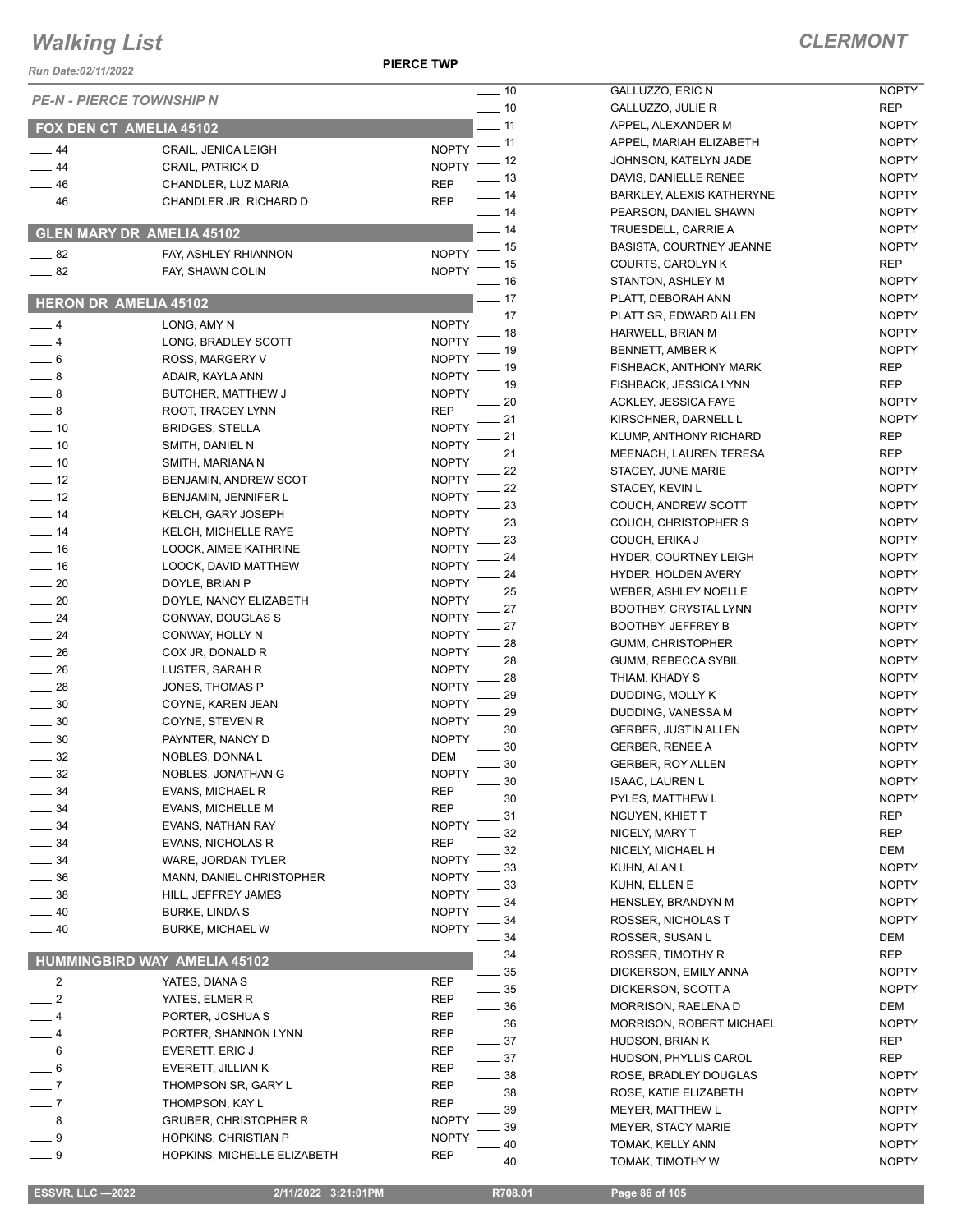**PIERCE TWP**

| Run Date:02/11/2022        |                                           |                                    |
|----------------------------|-------------------------------------------|------------------------------------|
|                            | <b>PE-N - PIERCE TOWNSHIP N</b>           | $-10$                              |
|                            |                                           | $-10$                              |
|                            | FOX DEN CT AMELIA 45102                   | $-11$                              |
| $-44$                      | CRAIL, JENICA LEIGH                       | . 11<br><b>NOPTY</b>               |
| $-44$                      | CRAIL, PATRICK D                          | . 12<br><b>NOPTY</b>               |
| $-46$                      | CHANDLER, LUZ MARIA                       | . 13<br>REP                        |
| $-46$                      | CHANDLER JR, RICHARD D                    | - 14<br>REP                        |
|                            |                                           | _ 14                               |
|                            | <b>GLEN MARY DR AMELIA 45102</b>          | $-14$<br>. 15                      |
| __ 82                      | FAY, ASHLEY RHIANNON                      | <b>NOPTY</b><br>. 15               |
| $-82$                      | FAY, SHAWN COLIN                          | <b>NOPTY</b><br>16                 |
|                            | <b>HERON DR AMELIA 45102</b>              | $-17$                              |
| $-4$                       |                                           | 17                                 |
| $-4$                       | LONG, AMY N<br>LONG, BRADLEY SCOTT        | <b>NOPTY</b><br>18<br><b>NOPTY</b> |
|                            |                                           | 19                                 |
| $-6$                       | ROSS, MARGERY V                           | <b>NOPTY</b><br>19                 |
| $\overline{\phantom{0}}$ 8 | ADAIR, KAYLA ANN                          | <b>NOPTY</b><br>19                 |
| $-8$                       | BUTCHER, MATTHEW J                        | <b>NOPTY</b><br>20                 |
| $-8$<br>$-10$              | ROOT, TRACEY LYNN                         | REP<br>21                          |
|                            | <b>BRIDGES, STELLA</b>                    | <b>NOPTY</b><br>21                 |
| $-10$                      | SMITH, DANIEL N                           | <b>NOPTY</b><br>21                 |
| $-10$                      | SMITH, MARIANA N                          | <b>NOPTY</b><br>22                 |
| $-12$                      | BENJAMIN, ANDREW SCOT                     | <b>NOPTY</b><br>22                 |
| $-12$                      | BENJAMIN, JENNIFER L                      | <b>NOPTY</b><br>23                 |
| $-14$<br>$-14$             | KELCH, GARY JOSEPH                        | <b>NOPTY</b><br>23                 |
| $-16$                      | KELCH, MICHELLE RAYE                      | <b>NOPTY</b><br>23                 |
|                            | LOOCK, AIMEE KATHRINE                     | <b>NOPTY</b><br>24                 |
| $-16$                      | LOOCK, DAVID MATTHEW                      | <b>NOPTY</b><br>24                 |
| $\sim$ 20                  | DOYLE, BRIAN P                            | <b>NOPTY</b><br>25                 |
| $-20$                      | DOYLE, NANCY ELIZABETH                    | <b>NOPTY</b><br>27                 |
| $-24$                      | CONWAY, DOUGLAS S                         | <b>NOPTY</b><br>27                 |
| $-24$                      | CONWAY, HOLLY N                           | <b>NOPTY</b><br>28                 |
| $-26$<br>$-26$             | COX JR, DONALD R                          | <b>NOPTY</b><br>28                 |
| $-28$                      | LUSTER, SARAH R                           | <b>NOPTY</b><br>28                 |
|                            | JONES, THOMAS P                           | <b>NOPTY</b><br>29                 |
| $\equiv$ 30                | COYNE, KAREN JEAN                         | <b>NOPTY</b><br>29                 |
| $-30$                      | COYNE, STEVEN R                           | <b>NOPTY</b><br>30                 |
| $-30$                      | PAYNTER, NANCY D                          | <b>NOPTY</b><br>30                 |
| - 32                       | NOBLES, DONNAL                            | DEM<br>30                          |
| _ 32                       | NOBLES, JONATHAN G                        | <b>NOPTY</b><br>30                 |
| $-34$<br>34                | EVANS, MICHAEL R                          | REP<br>30                          |
| $-34$                      | <b>EVANS, MICHELLE M</b>                  | REP<br>31                          |
| $-34$                      | EVANS, NATHAN RAY                         | <b>NOPTY</b><br>32<br>REP          |
| $-34$                      | EVANS, NICHOLAS R<br>WARE, JORDAN TYLER   | 32<br><b>NOPTY</b>                 |
| $\equiv$ 36                | MANN, DANIEL CHRISTOPHER                  | 33<br><b>NOPTY</b>                 |
| $-38$                      | HILL, JEFFREY JAMES                       | 33<br><b>NOPTY</b>                 |
| $-40$                      |                                           | 34<br><b>NOPTY</b>                 |
| - 40                       | BURKE, LINDA S<br><b>BURKE, MICHAEL W</b> | 34<br><b>NOPTY</b>                 |
|                            |                                           | 34                                 |
|                            | HUMMINGBIRD WAY AMELIA 45102              | 34<br>35                           |
| $\overline{\phantom{0}}$ 2 | YATES, DIANA S                            | REP<br>- 35                        |
| $-2$                       | YATES, ELMER R                            | REP<br>36                          |
| $-4$                       | PORTER, JOSHUA S                          | REP<br>36                          |
| $\overline{\phantom{0}}$ 4 | PORTER, SHANNON LYNN                      | REP<br>$=$ 37                      |
| $-6$                       | EVERETT, ERIC J                           | REP<br>37                          |
| $-6$                       | EVERETT, JILLIAN K                        | REP<br>38                          |
| $-7$                       | THOMPSON SR, GARY L                       | REP<br>38                          |
| $-7$                       | THOMPSON, KAY L                           | REP                                |
| $-8$                       | <b>GRUBER, CHRISTOPHER R</b>              | 39<br><b>NOPTY</b><br>39           |
| $-9$                       | HOPKINS, CHRISTIAN P                      | <b>NOPTY</b><br>40                 |
| - 9                        | HOPKINS, MICHELLE ELIZABETH               | REP<br>40                          |
|                            |                                           |                                    |

| 10 | GALLUZZO, ERIC N                | <b>NOPTY</b>                 |
|----|---------------------------------|------------------------------|
| 10 | GALLUZZO, JULIE R               | <b>REP</b>                   |
| 11 | APPEL, ALEXANDER M              | <b>NOPTY</b>                 |
| 11 | APPEL, MARIAH ELIZABETH         | <b>NOPTY</b>                 |
| 12 | JOHNSON, KATELYN JADE           | <b>NOPTY</b>                 |
| 13 | DAVIS, DANIELLE RENEE           | <b>NOPTY</b>                 |
| 14 | BARKLEY, ALEXIS KATHERYNE       | <b>NOPTY</b>                 |
| 14 | PEARSON, DANIEL SHAWN           | <b>NOPTY</b>                 |
| 14 | <b>TRUESDELL, CARRIE A</b>      | <b>NOPTY</b>                 |
| 15 | <b>BASISTA, COURTNEY JEANNE</b> | <b>NOPTY</b>                 |
| 15 | COURTS, CAROLYN K               | REP                          |
| 16 | <b>STANTON, ASHLEY M</b>        | <b>NOPTY</b>                 |
| 17 | PLATT, DEBORAH ANN              | <b>NOPTY</b>                 |
| 17 | PLATT SR, EDWARD ALLEN          | <b>NOPTY</b>                 |
| 18 | HARWELL, BRIAN M                | <b>NOPTY</b>                 |
| 19 | <b>BENNETT, AMBER K</b>         | <b>NOPTY</b>                 |
| 19 | FISHBACK, ANTHONY MARK          | REP                          |
| 19 | FISHBACK, JESSICA LYNN          | REP                          |
| 20 | <b>ACKLEY, JESSICA FAYE</b>     | <b>NOPTY</b>                 |
| 21 | KIRSCHNER, DARNELL L            | <b>NOPTY</b>                 |
| 21 | KLUMP, ANTHONY RICHARD          | REP                          |
| 21 | MEENACH, LAUREN TERESA          | <b>REP</b>                   |
| 22 | STACEY, JUNE MARIE              | <b>NOPTY</b>                 |
| 22 | <b>STACEY, KEVIN L</b>          | <b>NOPTY</b>                 |
| 23 | COUCH, ANDREW SCOTT             | <b>NOPTY</b>                 |
| 23 | COUCH, CHRISTOPHER S            | <b>NOPTY</b>                 |
| 23 | COUCH, ERIKA J                  | <b>NOPTY</b>                 |
| 24 | <b>HYDER, COURTNEY LEIGH</b>    | <b>NOPTY</b>                 |
| 24 | <b>HYDER, HOLDEN AVERY</b>      | <b>NOPTY</b>                 |
| 25 | <b>WEBER, ASHLEY NOELLE</b>     | <b>NOPTY</b>                 |
| 27 | BOOTHBY, CRYSTAL LYNN           | <b>NOPTY</b>                 |
| 27 | <b>BOOTHBY, JEFFREY B</b>       | <b>NOPTY</b>                 |
| 28 | <b>GUMM, CHRISTOPHER</b>        | <b>NOPTY</b>                 |
| 28 | <b>GUMM, REBECCA SYBIL</b>      | <b>NOPTY</b>                 |
| 28 | THIAM, KHADY S                  | <b>NOPTY</b>                 |
| 29 | DUDDING, MOLLY K                | <b>NOPTY</b>                 |
| 29 | DUDDING, VANESSA M              | <b>NOPTY</b>                 |
| 30 | <b>GERBER, JUSTIN ALLEN</b>     | <b>NOPTY</b>                 |
| 30 | <b>GERBER, RENEE A</b>          | <b>NOPTY</b>                 |
| 30 | <b>GERBER, ROY ALLEN</b>        | <b>NOPTY</b>                 |
| 30 | <b>ISAAC, LAUREN L</b>          | <b>NOPTY</b>                 |
| 30 | PYLES, MATTHEW L                | <b>NOPTY</b>                 |
| 31 | NGUYEN, KHIET T                 | REP                          |
| 32 | NICELY, MARY T                  | <b>REP</b>                   |
| 32 | NICELY, MICHAEL H               | DEM                          |
| 33 | KUHN, ALAN L                    | <b>NOPTY</b>                 |
| 33 | KUHN, ELLEN E                   | <b>NOPTY</b>                 |
| 34 | HENSLEY, BRANDYN M              | <b>NOPTY</b>                 |
| 34 | ROSSER, NICHOLAS T              | <b>NOPTY</b>                 |
| 34 | ROSSER, SUSAN L                 | DEM                          |
| 34 | ROSSER, TIMOTHY R               | <b>REP</b>                   |
| 35 | DICKERSON, EMILY ANNA           |                              |
| 35 | DICKERSON, SCOTT A              | <b>NOPTY</b><br><b>NOPTY</b> |
|    |                                 |                              |
| 36 | MORRISON, RAELENA D             | DEM                          |
| 36 | MORRISON, ROBERT MICHAEL        | <b>NOPTY</b>                 |
| 37 | HUDSON, BRIAN K                 | REP                          |
| 37 | HUDSON, PHYLLIS CAROL           | REP                          |
| 38 | ROSE, BRADLEY DOUGLAS           | <b>NOPTY</b>                 |
| 38 | ROSE, KATIE ELIZABETH           | <b>NOPTY</b>                 |
| 39 | <b>MEYER, MATTHEW L</b>         | <b>NOPTY</b>                 |
| 39 | <b>MEYER, STACY MARIE</b>       | <b>NOPTY</b>                 |
| 40 | TOMAK, KELLY ANN                | <b>NOPTY</b>                 |
| 40 | TOMAK, TIMOTHY W                | NOPTY                        |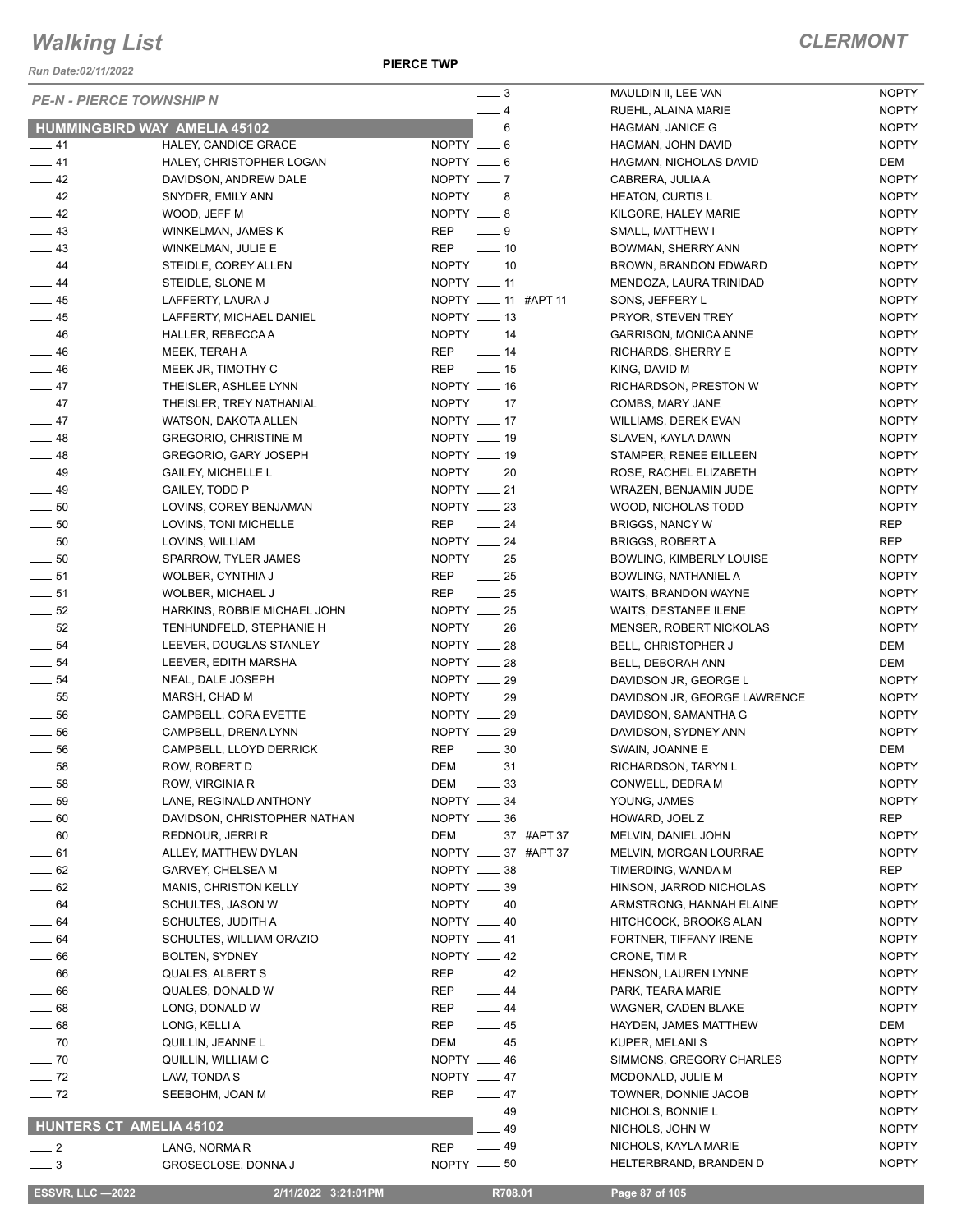*Run Date:02/11/2022*

**PIERCE TWP**

| <b>PE-N - PIERCE TOWNSHIP N</b>      |                                           | $-3$                               | MAULDIN II, LEE VAN                    |
|--------------------------------------|-------------------------------------------|------------------------------------|----------------------------------------|
| <b>HUMMINGBIRD WAY AMELIA 45102</b>  |                                           | $-4$<br>$-6$                       | RUEHL, ALAINA MAR<br>HAGMAN, JANICE G  |
| $-41$                                | HALEY, CANDICE GRACE                      | NOPTY __ 6                         | HAGMAN, JOHN DAV                       |
| $-41$                                | HALEY, CHRISTOPHER LOGAN                  | NOPTY $-6$                         | HAGMAN, NICHOLAS                       |
| $\frac{1}{2}$ 42                     | DAVIDSON, ANDREW DALE                     | $NOPTY$ $\_\_7$                    | CABRERA, JULIA A                       |
| $\frac{1}{2}$ 42                     | SNYDER, EMILY ANN                         | NOPTY __ 8                         | <b>HEATON, CURTIS L</b>                |
| $-42$                                | WOOD, JEFF M                              | $NOPTY = 8$                        | KILGORE, HALEY MA                      |
| $\frac{1}{2}$ 43                     | WINKELMAN, JAMES K                        | REP __ 9                           | SMALL, MATTHEW I                       |
| $\frac{1}{2}$ 43                     | WINKELMAN, JULIE E                        | $\overline{\phantom{0}}$ 10<br>REP | BOWMAN, SHERRY A                       |
| $\frac{1}{2}$ 44                     | STEIDLE, COREY ALLEN                      | $NOPTY$ _____ 10                   | <b>BROWN, BRANDON I</b>                |
| $\frac{1}{2}$ 44                     | STEIDLE, SLONE M                          | $NOPTY$ __ 11                      | MENDOZA, LAURA TI                      |
| $\frac{1}{2}$ 45                     | LAFFERTY, LAURA J                         | NOPTY __ 11 #APT 11                | SONS, JEFFERY L                        |
| $\frac{1}{2}$ 45                     | LAFFERTY, MICHAEL DANIEL                  | NOPTY $-13$                        | PRYOR, STEVEN TRI                      |
| $-46$                                | HALLER, REBECCA A                         | NOPTY __ 14                        | <b>GARRISON, MONICA</b>                |
| $\frac{1}{2}$ 46                     | MEEK, TERAH A                             | REP __ 14                          | RICHARDS, SHERRY                       |
| $-46$                                | MEEK JR, TIMOTHY C                        | $\frac{1}{2}$ 15<br>REP            | KING, DAVID M                          |
| $\frac{1}{2}$ 47                     | THEISLER, ASHLEE LYNN                     | NOPTY __ 16                        | RICHARDSON, PRES                       |
| $\frac{1}{2}$ 47                     | THEISLER, TREY NATHANIAL                  | NOPTY __ 17                        | COMBS, MARY JANE                       |
| $-47$                                | WATSON, DAKOTA ALLEN                      | NOPTY __ 17                        | <b>WILLIAMS, DEREK EY</b>              |
| $\frac{1}{2}$ 48                     | <b>GREGORIO, CHRISTINE M</b>              | NOPTY $-19$                        | SLAVEN, KAYLA DAW                      |
| $-48$                                | GREGORIO, GARY JOSEPH                     | NOPTY __ 19                        | STAMPER, RENEE EI                      |
| $-49$                                | <b>GAILEY, MICHELLE L</b>                 | NOPTY __ 20                        | ROSE, RACHEL ELIZ                      |
| $\frac{1}{2}$ 49                     | GAILEY, TODD P                            | NOPTY __ 21                        | WRAZEN, BENJAMIN                       |
| $\sim$ 50                            | LOVINS, COREY BENJAMAN                    | NOPTY __ 23                        | WOOD, NICHOLAS TO                      |
| $\frac{1}{2}$ 50                     | LOVINS, TONI MICHELLE                     | REP __ 24                          | BRIGGS, NANCY W                        |
| $\sim$ 50                            | LOVINS, WILLIAM                           | NOPTY $-24$                        | BRIGGS, ROBERT A                       |
| $\frac{1}{2}$ 50                     | SPARROW, TYLER JAMES                      | NOPTY __ 25                        | <b>BOWLING, KIMBERLY</b>               |
| $\frac{1}{2}$ 51                     | WOLBER, CYNTHIA J                         | $\frac{1}{25}$<br>REP              | <b>BOWLING, NATHANIE</b>               |
| $\frac{1}{2}$ 51                     | WOLBER, MICHAEL J                         | $\frac{1}{25}$<br>REP              | WAITS, BRANDON W                       |
| $\frac{1}{2}$ 52                     | HARKINS, ROBBIE MICHAEL JOHN              | NOPTY __ 25                        | <b>WAITS, DESTANEE IL</b>              |
| $\frac{1}{2}$ 52                     | TENHUNDFELD, STEPHANIE H                  | $NOPTY$ $\_\_26$                   | MENSER, ROBERT N                       |
| $\frac{1}{2}$ 54<br>$\frac{1}{2}$ 54 | LEEVER, DOUGLAS STANLEY                   | NOPTY __ 28<br>NOPTY $-28$         | <b>BELL, CHRISTOPHEF</b>               |
| $-54$                                | LEEVER, EDITH MARSHA<br>NEAL, DALE JOSEPH | $NOPTY$ __ 29                      | BELL, DEBORAH ANN<br>DAVIDSON JR, GEOF |
| $\frac{1}{2}$ 55                     | MARSH, CHAD M                             | NOPTY __ 29                        | DAVIDSON JR, GEOF                      |
| $\frac{1}{2}$ 56                     | CAMPBELL, CORA EVETTE                     | NOPTY __ 29                        | DAVIDSON, SAMANT                       |
| $\frac{1}{2}$ 56                     | CAMPBELL, DRENA LYNN                      | NOPTY __ 29                        | DAVIDSON, SYDNEY                       |
| $\frac{1}{2}$ 56                     | CAMPBELL, LLOYD DERRICK                   | <b>REP</b><br>$\frac{1}{2}$ 30     | SWAIN, JOANNE E                        |
| 58                                   | ROW, ROBERT D                             | DEM<br>$-31$                       | RICHARDSON, TARY                       |
| $-58$                                | ROW, VIRGINIA R                           | <b>DEM</b><br>$-33$                | CONWELL, DEDRA M                       |
| _ 59                                 | LANE, REGINALD ANTHONY                    | NOPTY __ 34                        | YOUNG, JAMES                           |
| $-60$                                | DAVIDSON, CHRISTOPHER NATHAN              | NOPTY __ 36                        | HOWARD, JOEL Z                         |
| $\sim$ 60                            | REDNOUR, JERRI R                          | ____ 37 #APT 37<br>DEM             | MELVIN, DANIEL JOH                     |
| $-61$                                | ALLEY, MATTHEW DYLAN                      | NOPTY _____ 37 #APT 37             | MELVIN, MORGAN LO                      |
| $-62$                                | GARVEY, CHELSEA M                         | NOPTY __ 38                        | TIMERDING, WANDA                       |
| $\frac{1}{2}$ 62                     | MANIS, CHRISTON KELLY                     | NOPTY __ 39                        | HINSON, JARROD NI                      |
| $-64$                                | SCHULTES, JASON W                         | NOPTY __ 40                        | ARMSTRONG, HANN                        |
| $-64$                                | SCHULTES, JUDITH A                        | NOPTY __ 40                        | <b>HITCHCOCK, BROOK</b>                |
| $-64$                                | SCHULTES, WILLIAM ORAZIO                  | NOPTY __ 41                        | FORTNER, TIFFANY I                     |
| $-66$                                | BOLTEN, SYDNEY                            | NOPTY __ 42                        | CRONE, TIM R                           |
| $-66$                                | QUALES, ALBERT S                          | $-42$<br>REP                       | HENSON, LAUREN L'                      |
| $= 66$                               | QUALES, DONALD W                          | REP<br>$-44$                       | PARK, TEARA MARIE                      |
| $-68$                                | LONG, DONALD W                            | REP<br>$\frac{1}{2}$ 44            | WAGNER, CADEN BL                       |
| _ 68                                 | LONG, KELLI A                             | $-45$<br>REP                       | HAYDEN, JAMES MAT                      |
| $\sim$ 70                            | QUILLIN, JEANNE L                         | $\frac{1}{2}$ 45<br>DEM            | KUPER, MELANI S                        |
| $\sim$ 70                            | QUILLIN, WILLIAM C                        | NOPTY __ 46                        | SIMMONS, GREGORY                       |
| $-72$                                | LAW, TONDA S                              | NOPTY __ 47                        | MCDONALD, JULIE M                      |
| $\frac{1}{2}$ 72                     | SEEBOHM, JOAN M                           | REP<br>$\frac{1}{2}$ 47            | TOWNER, DONNIE JA                      |
|                                      |                                           | 49                                 | NICHOLS, BONNIE L                      |
| <b>HUNTERS CT AMELIA 45102</b>       |                                           | 49                                 | NICHOLS, JOHN W                        |
| $\frac{1}{2}$                        | LANG, NORMA R                             | $-49$<br><b>REP</b>                | NICHOLS, KAYLA MA                      |
| 3                                    | GROSECLOSE, DONNA J                       | $NOPTY = 50$                       | HELTERBRAND, BRA                       |
| <b>ESSVR, LLC -2022</b>              | 2/11/2022 3:21:01PM                       | R708.01                            | Page 87 of 105                         |
|                                      |                                           |                                    |                                        |

| 3        |         | MAULDIN II, LEE VAN          | <b>NOPTY</b> |
|----------|---------|------------------------------|--------------|
| 4        |         | RUEHL, ALAINA MARIE          | <b>NOPTY</b> |
| 6        |         | <b>HAGMAN, JANICE G</b>      | <b>NOPTY</b> |
| 6        |         | HAGMAN, JOHN DAVID           | <b>NOPTY</b> |
| 6        |         | HAGMAN, NICHOLAS DAVID       | DEM          |
| 7        |         | CABRERA, JULIA A             | <b>NOPTY</b> |
| 8        |         | <b>HEATON, CURTIS L</b>      | <b>NOPTY</b> |
| 8        |         | KILGORE, HALEY MARIE         | <b>NOPTY</b> |
| 9        |         | SMALL, MATTHEW I             | <b>NOPTY</b> |
| 10       |         | BOWMAN, SHERRY ANN           | <b>NOPTY</b> |
| 10       |         | BROWN, BRANDON EDWARD        | <b>NOPTY</b> |
| 11       |         | MENDOZA, LAURA TRINIDAD      | <b>NOPTY</b> |
| 11       | #APT 11 | SONS, JEFFERY L              | <b>NOPTY</b> |
| 13       |         | PRYOR, STEVEN TREY           | <b>NOPTY</b> |
| 14       |         | <b>GARRISON, MONICA ANNE</b> | <b>NOPTY</b> |
| 14       |         | RICHARDS, SHERRY E           | <b>NOPTY</b> |
| 15       |         | KING, DAVID M                | <b>NOPTY</b> |
| 16       |         | RICHARDSON, PRESTON W        | <b>NOPTY</b> |
| 17       |         | COMBS, MARY JANE             | <b>NOPTY</b> |
| 17       |         | <b>WILLIAMS, DEREK EVAN</b>  | <b>NOPTY</b> |
| 19       |         | SLAVEN. KAYLA DAWN           | <b>NOPTY</b> |
| 19       |         | STAMPER, RENEE EILLEEN       | <b>NOPTY</b> |
| 20       |         | ROSE, RACHEL ELIZABETH       | <b>NOPTY</b> |
| 21       |         | WRAZEN, BENJAMIN JUDE        | <b>NOPTY</b> |
| 23       |         | WOOD, NICHOLAS TODD          | <b>NOPTY</b> |
| 24       |         | <b>BRIGGS, NANCY W</b>       | REP          |
| 24       |         | <b>BRIGGS, ROBERT A</b>      | REP          |
| 25       |         | BOWLING, KIMBERLY LOUISE     | <b>NOPTY</b> |
| 25       |         | <b>BOWLING, NATHANIEL A</b>  | <b>NOPTY</b> |
| 25       |         | WAITS, BRANDON WAYNE         | <b>NOPTY</b> |
| 25       |         | WAITS, DESTANEE ILENE        | <b>NOPTY</b> |
| 26       |         | MENSER, ROBERT NICKOLAS      | <b>NOPTY</b> |
|          |         |                              |              |
| 28<br>28 |         | BELL, CHRISTOPHER J          | DEM          |
|          |         | BELL, DEBORAH ANN            | DEM          |
| 29       |         | DAVIDSON JR, GEORGE L        | <b>NOPTY</b> |
| 29       |         | DAVIDSON JR, GEORGE LAWRENCE | <b>NOPTY</b> |
| 29       |         | DAVIDSON, SAMANTHA G         | <b>NOPTY</b> |
| 29       |         | DAVIDSON, SYDNEY ANN         | <b>NOPTY</b> |
| 30       |         | SWAIN, JOANNE E              | DEM          |
| 31       |         | RICHARDSON, TARYN L          | <b>NOPTY</b> |
| 33       |         | CONWELL, DEDRA M             | <b>NOPTY</b> |
| 34       |         | YOUNG, JAMES                 | <b>NOPTY</b> |
| 36       |         | HOWARD, JOEL Z               | REP          |
| 37       | #APT 37 | MELVIN, DANIEL JOHN          | <b>NOPTY</b> |
| 37       | #APT 37 | MELVIN, MORGAN LOURRAE       | <b>NOPTY</b> |
| 38       |         | TIMERDING, WANDA M           | REP          |
| 39       |         | HINSON, JARROD NICHOLAS      | <b>NOPTY</b> |
| 40       |         | ARMSTRONG, HANNAH ELAINE     | <b>NOPTY</b> |
| 40       |         | HITCHCOCK, BROOKS ALAN       | <b>NOPTY</b> |
| 41       |         | FORTNER, TIFFANY IRENE       | <b>NOPTY</b> |
| 42       |         | CRONE, TIM R                 | <b>NOPTY</b> |
| 42       |         | HENSON, LAUREN LYNNE         | <b>NOPTY</b> |
| 44       |         | PARK, TEARA MARIE            | <b>NOPTY</b> |
| 44       |         | <b>WAGNER, CADEN BLAKE</b>   | <b>NOPTY</b> |
| 45       |         | HAYDEN, JAMES MATTHEW        | DEM          |
| 45       |         | KUPER, MELANI S              | <b>NOPTY</b> |
| 46       |         | SIMMONS, GREGORY CHARLES     | <b>NOPTY</b> |
| 47       |         | MCDONALD, JULIE M            | <b>NOPTY</b> |
| 47       |         | TOWNER, DONNIE JACOB         | <b>NOPTY</b> |
| 49       |         | NICHOLS, BONNIE L            | <b>NOPTY</b> |
| 49       |         | NICHOLS, JOHN W              | <b>NOPTY</b> |
|          |         |                              |              |
| 49       |         | NICHOLS, KAYLA MARIE         | <b>NOPTY</b> |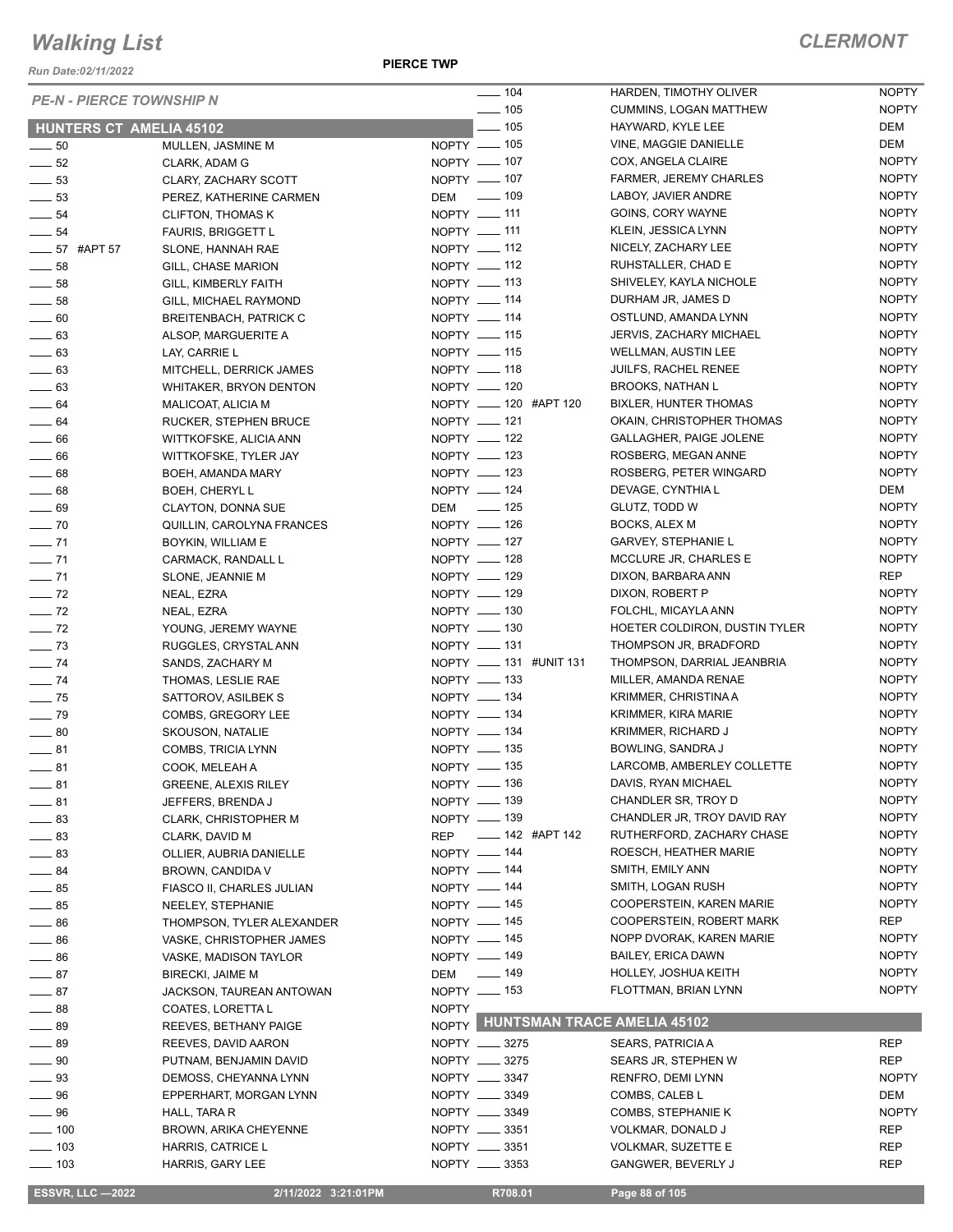*Run Date:02/11/2022*

## *CLERMONT*

| <b>PE-N - PIERCE TOWNSHIP N</b> |                               | $- 104$                |        |                            | HARDEN, TIMOTHY OLIVER             | <b>NOPTY</b> |
|---------------------------------|-------------------------------|------------------------|--------|----------------------------|------------------------------------|--------------|
|                                 |                               | $- 105$                |        |                            | CUMMINS, LOGAN MATTHEW             | <b>NOPTY</b> |
| <b>HUNTERS CT AMELIA 45102</b>  |                               |                        | $-105$ |                            | HAYWARD, KYLE LEE                  | DEM          |
| $\sim$ 50                       | MULLEN, JASMINE M             | NOPTY __ 105           |        |                            | VINE, MAGGIE DANIELLE              | <b>DEM</b>   |
| $\frac{1}{2}$ 52                | CLARK, ADAM G                 | NOPTY - 107            |        |                            | COX, ANGELA CLAIRE                 | <b>NOPTY</b> |
| $\frac{1}{2}$ 53                | CLARY, ZACHARY SCOTT          | NOPTY - 107            |        |                            | <b>FARMER, JEREMY CHARLES</b>      | <b>NOPTY</b> |
| $\frac{1}{2}$ 53                | PEREZ, KATHERINE CARMEN       | DEM __ 109             |        |                            | LABOY, JAVIER ANDRE                | <b>NOPTY</b> |
| $\frac{1}{2}$ 54                | <b>CLIFTON, THOMAS K</b>      | NOPTY - 111            |        |                            | GOINS, CORY WAYNE                  | <b>NOPTY</b> |
| $\frac{1}{2}$ 54                | <b>FAURIS, BRIGGETT L</b>     | NOPTY - 111            |        |                            | KLEIN, JESSICA LYNN                | <b>NOPTY</b> |
| $\frac{1}{2}$ 57 #APT 57        | SLONE, HANNAH RAE             | NOPTY - 112            |        |                            | NICELY, ZACHARY LEE                | <b>NOPTY</b> |
| $\sim$ 58                       | GILL, CHASE MARION            | NOPTY - 112            |        |                            | RUHSTALLER, CHAD E                 | <b>NOPTY</b> |
| $\frac{1}{2}$ 58                | GILL, KIMBERLY FAITH          | NOPTY __ 113           |        |                            | SHIVELEY, KAYLA NICHOLE            | <b>NOPTY</b> |
| $\frac{1}{2}$ 58                | GILL, MICHAEL RAYMOND         | NOPTY - 114            |        |                            | DURHAM JR, JAMES D                 | <b>NOPTY</b> |
| $\sim$ 60                       | <b>BREITENBACH, PATRICK C</b> | NOPTY - 114            |        |                            | OSTLUND, AMANDA LYNN               | <b>NOPTY</b> |
| $\frac{1}{2}$ 63                | ALSOP, MARGUERITE A           | NOPTY __ 115           |        |                            | <b>JERVIS, ZACHARY MICHAEL</b>     | <b>NOPTY</b> |
| $\frac{1}{2}$ 63                | LAY, CARRIE L                 | NOPTY - 115            |        |                            | <b>WELLMAN, AUSTIN LEE</b>         | <b>NOPTY</b> |
| $\frac{1}{2}$ 63                | MITCHELL, DERRICK JAMES       | NOPTY __ 118           |        |                            | JUILFS, RACHEL RENEE               | <b>NOPTY</b> |
| $\frac{1}{2}$ 63                | <b>WHITAKER, BRYON DENTON</b> | NOPTY - 120            |        |                            | <b>BROOKS, NATHAN L</b>            | <b>NOPTY</b> |
| $\frac{1}{2}$ 64                | MALICOAT, ALICIA M            | NOPTY __ 120 #APT 120  |        |                            | <b>BIXLER, HUNTER THOMAS</b>       | <b>NOPTY</b> |
| $\frac{1}{2}$ 64                | RUCKER, STEPHEN BRUCE         | NOPTY - 121            |        |                            | OKAIN, CHRISTOPHER THOMAS          | <b>NOPTY</b> |
| $\equiv$ 66                     | WITTKOFSKE, ALICIA ANN        | NOPTY - 122            |        |                            | <b>GALLAGHER, PAIGE JOLENE</b>     | <b>NOPTY</b> |
| $\frac{1}{2}$ 66                | WITTKOFSKE, TYLER JAY         | NOPTY __ 123           |        |                            | ROSBERG, MEGAN ANNE                | <b>NOPTY</b> |
| $\frac{1}{2}$ 68                | BOEH, AMANDA MARY             | NOPTY __ 123           |        |                            | ROSBERG, PETER WINGARD             | <b>NOPTY</b> |
| $\frac{1}{2}$ 68                | <b>BOEH, CHERYL L</b>         | NOPTY - 124            |        |                            | DEVAGE, CYNTHIA L                  | DEM          |
| $\frac{1}{2}$ 69                | CLAYTON, DONNA SUE            | DEM - 125              |        |                            | GLUTZ, TODD W                      | <b>NOPTY</b> |
| $\sim$ 70                       | QUILLIN, CAROLYNA FRANCES     | NOPTY - 126            |        |                            | BOCKS, ALEX M                      | <b>NOPTY</b> |
| $- 71$                          | BOYKIN, WILLIAM E             | NOPTY __ 127           |        |                            | <b>GARVEY, STEPHANIE L</b>         | <b>NOPTY</b> |
| $\frac{1}{2}$ 71                | CARMACK, RANDALL L            | NOPTY __ 128           |        |                            | MCCLURE JR, CHARLES E              | <b>NOPTY</b> |
| $\frac{1}{2}$ 71                | SLONE, JEANNIE M              | NOPTY - 129            |        |                            | DIXON, BARBARA ANN                 | <b>REP</b>   |
| $-72$                           | NEAL, EZRA                    | NOPTY - 129            |        |                            | DIXON, ROBERT P                    | <b>NOPTY</b> |
| $\frac{1}{2}$ 72                | NEAL, EZRA                    | NOPTY - 130            |        |                            | FOLCHL, MICAYLA ANN                | <b>NOPTY</b> |
| $\frac{1}{2}$ 72                | YOUNG, JEREMY WAYNE           | NOPTY __ 130           |        |                            | HOETER COLDIRON, DUSTIN TYLER      | <b>NOPTY</b> |
| $\frac{1}{2}$ 73                | RUGGLES, CRYSTAL ANN          | NOPTY - 131            |        |                            | THOMPSON JR, BRADFORD              | <b>NOPTY</b> |
| $\frac{1}{2}$ 74                | SANDS, ZACHARY M              | NOPTY __ 131 #UNIT 131 |        |                            | THOMPSON, DARRIAL JEANBRIA         | <b>NOPTY</b> |
| $\frac{1}{2}$ 74                | THOMAS, LESLIE RAE            | NOPTY __ 133           |        |                            | MILLER, AMANDA RENAE               | <b>NOPTY</b> |
| $\frac{1}{2}$ 75                | SATTOROV, ASILBEK S           | NOPTY - 134            |        |                            | KRIMMER, CHRISTINA A               | <b>NOPTY</b> |
| $\frac{1}{2}$ 79                | COMBS, GREGORY LEE            | NOPTY __ 134           |        |                            | KRIMMER, KIRA MARIE                | <b>NOPTY</b> |
| $\sim$ 80                       | <b>SKOUSON, NATALIE</b>       | NOPTY - 134            |        |                            | KRIMMER, RICHARD J                 | <b>NOPTY</b> |
| $-81$                           | <b>COMBS, TRICIA LYNN</b>     | NOPTY - 135            |        |                            | BOWLING, SANDRA J                  | <b>NOPTY</b> |
| $-81$                           | COOK, MELEAH A                | NOPTY __ 135           |        |                            | LARCOMB, AMBERLEY COLLETTE         | <b>NOPTY</b> |
| —— 81                           | <b>GREENE, ALEXIS RILEY</b>   | NOPTY - 136            |        |                            | DAVIS, RYAN MICHAEL                | <b>NOPTY</b> |
| $\frac{1}{2}$ 81                | JEFFERS, BRENDA J             | NOPTY __ 139           |        |                            | CHANDLER SR, TROY D                | <b>NOPTY</b> |
| $\equiv$ 83                     | <b>CLARK, CHRISTOPHER M</b>   | NOPTY __ 139           |        |                            | CHANDLER JR, TROY DAVID RAY        | <b>NOPTY</b> |
| $\frac{1}{2}$ 83                | CLARK, DAVID M                | <b>REP</b>             |        | $\frac{1}{2}$ 142 #APT 142 | RUTHERFORD, ZACHARY CHASE          | <b>NOPTY</b> |
| $\frac{1}{2}$ 83                | OLLIER, AUBRIA DANIELLE       | NOPTY - 144            |        |                            | ROESCH, HEATHER MARIE              | <b>NOPTY</b> |
| $\frac{1}{2}$ 84                | BROWN, CANDIDA V              | NOPTY -144             |        |                            | SMITH, EMILY ANN                   | <b>NOPTY</b> |
| $\frac{1}{2}$ 85                | FIASCO II, CHARLES JULIAN     | NOPTY __ 144           |        |                            | SMITH, LOGAN RUSH                  | <b>NOPTY</b> |
| $\frac{1}{2}$ 85                | NEELEY, STEPHANIE             | NOPTY - 145            |        |                            | COOPERSTEIN, KAREN MARIE           | <b>NOPTY</b> |
| $\frac{1}{2}$ 86                | THOMPSON, TYLER ALEXANDER     | NOPTY - 145            |        |                            | COOPERSTEIN, ROBERT MARK           | <b>REP</b>   |
| $\equiv$ 86                     | VASKE, CHRISTOPHER JAMES      | NOPTY __ 145           |        |                            | NOPP DVORAK, KAREN MARIE           | <b>NOPTY</b> |
| $-86$                           | VASKE, MADISON TAYLOR         | NOPTY - 149            |        |                            | <b>BAILEY, ERICA DAWN</b>          | <b>NOPTY</b> |
| $-87$                           | <b>BIRECKI, JAIME M</b>       | DEM __ 149             |        |                            | HOLLEY, JOSHUA KEITH               | <b>NOPTY</b> |
| $-87$                           | JACKSON, TAUREAN ANTOWAN      | NOPTY - 153            |        |                            | FLOTTMAN, BRIAN LYNN               | <b>NOPTY</b> |
| $\frac{1}{2}$ 88                | COATES, LORETTA L             | <b>NOPTY</b>           |        |                            |                                    |              |
| $-89$                           | REEVES, BETHANY PAIGE         | NOPTY                  |        |                            | <b>HUNTSMAN TRACE AMELIA 45102</b> |              |
| $\_\_\_\$ 89                    | REEVES, DAVID AARON           | NOPTY __ 3275          |        |                            | SEARS, PATRICIA A                  | REP          |
| $\_\_$ 90                       | PUTNAM, BENJAMIN DAVID        | NOPTY __ 3275          |        |                            | SEARS JR, STEPHEN W                | <b>REP</b>   |
| —— 93                           | DEMOSS, CHEYANNA LYNN         | NOPTY __ 3347          |        |                            | RENFRO, DEMI LYNN                  | <b>NOPTY</b> |
| $\frac{1}{2}$ 96                | EPPERHART, MORGAN LYNN        | NOPTY __ 3349          |        |                            | COMBS, CALEB L                     | DEM          |
| $\_\_\_\$ 96                    | HALL, TARA R                  | NOPTY __ 3349          |        |                            | COMBS, STEPHANIE K                 | <b>NOPTY</b> |
| $\frac{1}{2}$ 100               | <b>BROWN, ARIKA CHEYENNE</b>  | NOPTY __ 3351          |        |                            | VOLKMAR, DONALD J                  | REP          |
| $\frac{1}{2}$ 103               | HARRIS, CATRICE L             | NOPTY __ 3351          |        |                            | VOLKMAR, SUZETTE E                 | REP          |
| $\frac{1}{2}$ 103               | HARRIS, GARY LEE              | NOPTY __ 3353          |        |                            | GANGWER, BEVERLY J                 | <b>REP</b>   |
|                                 |                               |                        |        |                            |                                    |              |

 **ESSVR, LLC —2022 2/11/2022 3:21:01PM R708.01 Page 88 of 105**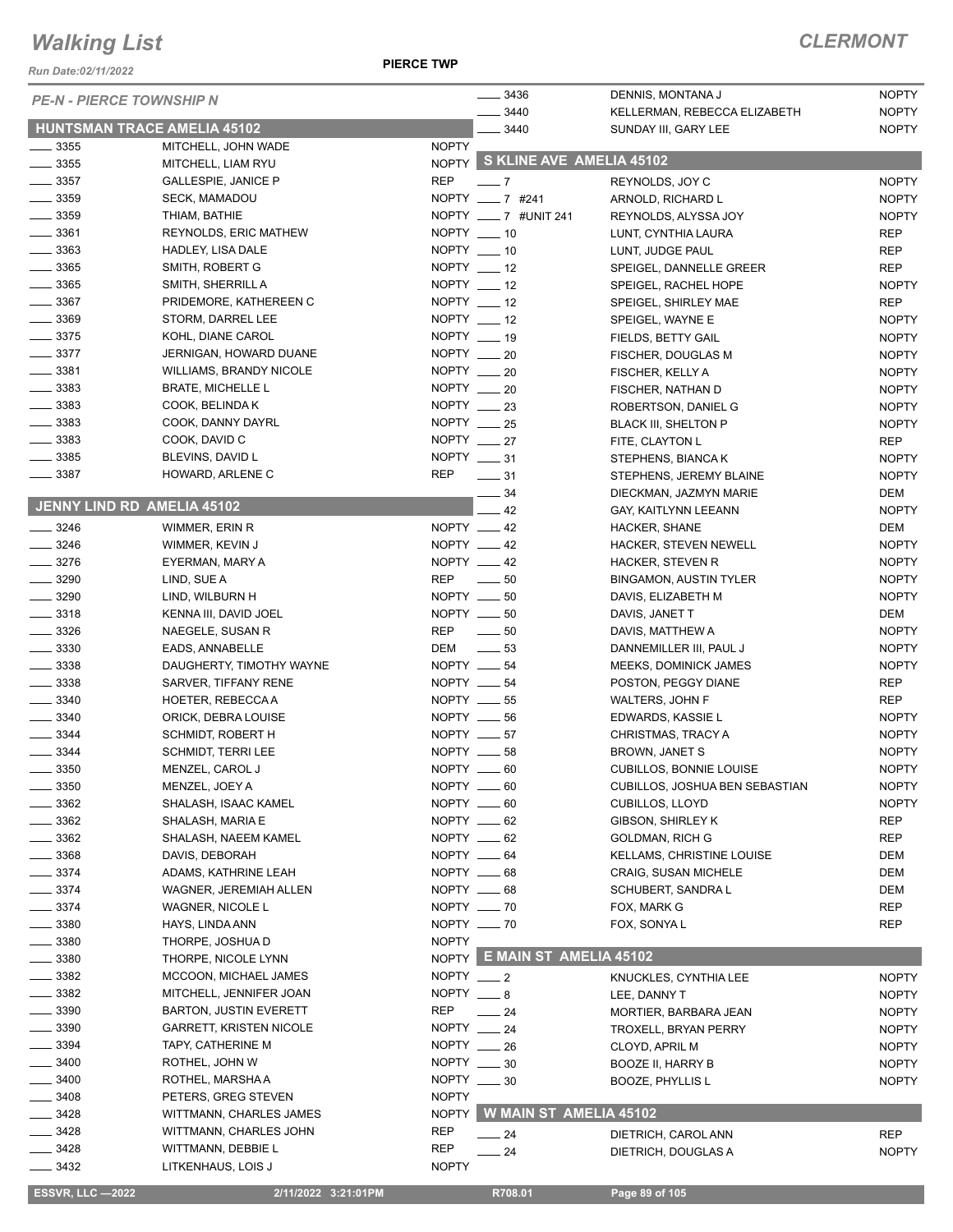#### *Run Date:02/11/2022*

**PIERCE TWP**

| <b>PE-N - PIERCE TOWNSHIP N</b>          |                                                            |              | 3436                           | DENNIS, MONTANA J                                 | <b>NOPTY</b>               |
|------------------------------------------|------------------------------------------------------------|--------------|--------------------------------|---------------------------------------------------|----------------------------|
|                                          |                                                            |              | 3440                           | KELLERMAN, REBECCA ELIZABETH                      | <b>NOPTY</b>               |
| HUNTSMAN TRACE AMELIA 45102              |                                                            |              | 3440                           | SUNDAY III, GARY LEE                              | <b>NOPTY</b>               |
| $\frac{1}{2}$ 3355                       | MITCHELL, JOHN WADE                                        | <b>NOPTY</b> | NOPTY S KLINE AVE AMELIA 45102 |                                                   |                            |
| $\frac{1}{2}$ 3355                       | MITCHELL, LIAM RYU                                         |              |                                |                                                   |                            |
| $\frac{1}{2}$ 3357                       | <b>GALLESPIE, JANICE P</b>                                 | <b>REP</b>   | $-7$                           | REYNOLDS, JOY C                                   | <b>NOPTY</b>               |
| $\frac{1}{2}$ 3359                       | <b>SECK, MAMADOU</b>                                       |              | NOPTY ___ 7 #241               | ARNOLD, RICHARD L                                 | <b>NOPTY</b>               |
| $\frac{1}{2}$ 3359                       | THIAM, BATHIE                                              |              | NOPTY ___ 7 #UNIT 241          | REYNOLDS, ALYSSA JOY                              | <b>NOPTY</b>               |
| $\frac{1}{2}$ 3361                       | <b>REYNOLDS, ERIC MATHEW</b>                               |              | NOPTY __ 10                    | LUNT, CYNTHIA LAURA                               | <b>REP</b>                 |
| 3363<br>$\frac{1}{2}$ 3365               | HADLEY, LISA DALE                                          | NOPTY __ 10  |                                | LUNT, JUDGE PAUL                                  | <b>REP</b>                 |
|                                          | SMITH, ROBERT G                                            |              | NOPTY __ 12                    | SPEIGEL, DANNELLE GREER                           | <b>REP</b>                 |
| $\frac{1}{2}$ 3365<br>$\frac{1}{2}$ 3367 | SMITH, SHERRILL A                                          |              | NOPTY $-12$<br>NOPTY $-12$     | SPEIGEL, RACHEL HOPE                              | <b>NOPTY</b>               |
|                                          | PRIDEMORE, KATHEREEN C                                     |              | NOPTY $-12$                    | SPEIGEL, SHIRLEY MAE                              | <b>REP</b>                 |
| $\frac{1}{2}$ 3369<br>$\frac{1}{2}$ 3375 | STORM, DARREL LEE<br>KOHL, DIANE CAROL                     |              | NOPTY __ 19                    | SPEIGEL, WAYNE E                                  | <b>NOPTY</b>               |
| $\frac{1}{2}$ 3377                       | JERNIGAN, HOWARD DUANE                                     |              | NOPTY __ 20                    | FIELDS, BETTY GAIL                                | <b>NOPTY</b>               |
| $\frac{1}{2}$ 3381                       |                                                            |              | NOPTY __ 20                    | FISCHER, DOUGLAS M                                | <b>NOPTY</b>               |
| $\frac{1}{2}$ 3383                       | <b>WILLIAMS, BRANDY NICOLE</b><br><b>BRATE, MICHELLE L</b> |              | NOPTY __ 20                    | FISCHER, KELLY A                                  | <b>NOPTY</b>               |
| 3383                                     |                                                            |              | NOPTY $-23$                    | FISCHER, NATHAN D                                 | <b>NOPTY</b>               |
| $\frac{1}{2}$ 3383                       | COOK, BELINDA K<br>COOK, DANNY DAYRL                       |              | NOPTY __ 25                    | ROBERTSON, DANIEL G                               | <b>NOPTY</b>               |
| $\frac{1}{2}$ 3383                       | COOK, DAVID C                                              |              | NOPTY $-27$                    | <b>BLACK III, SHELTON P</b>                       | <b>NOPTY</b><br><b>REP</b> |
| $\frac{1}{2}$ 3385                       | BLEVINS, DAVID L                                           |              | NOPTY $-31$                    | FITE, CLAYTON L                                   | <b>NOPTY</b>               |
| $\frac{1}{2}$ 3387                       | HOWARD, ARLENE C                                           | <b>REP</b>   | $\frac{1}{2}$ 31               | STEPHENS, BIANCA K                                | <b>NOPTY</b>               |
|                                          |                                                            |              | 34                             | STEPHENS, JEREMY BLAINE<br>DIECKMAN, JAZMYN MARIE | DEM                        |
| <b>JENNY LIND RD AMELIA 45102</b>        |                                                            |              | 42                             | GAY, KAITLYNN LEEANN                              | <b>NOPTY</b>               |
| $\frac{1}{2}$ 3246                       | WIMMER, ERIN R                                             |              | NOPTY __ 42                    | HACKER, SHANE                                     | DEM                        |
| $- 3246$                                 | WIMMER, KEVIN J                                            |              | NOPTY __ 42                    | HACKER, STEVEN NEWELL                             | <b>NOPTY</b>               |
| $- 3276$                                 | EYERMAN, MARY A                                            |              | NOPTY __ 42                    | HACKER, STEVEN R                                  | <b>NOPTY</b>               |
| $\frac{1}{2}$ 3290                       | LIND, SUE A                                                |              | REP __ 50                      | <b>BINGAMON, AUSTIN TYLER</b>                     | <b>NOPTY</b>               |
| 3290<br>$\overline{\phantom{a}}$         | LIND, WILBURN H                                            |              | NOPTY $\_\_\_\$ 50             | DAVIS, ELIZABETH M                                | <b>NOPTY</b>               |
| $\frac{1}{2}$ 3318                       | KENNA III, DAVID JOEL                                      |              | NOPTY __ 50                    | DAVIS, JANET T                                    | DEM                        |
| $- 3326$                                 | NAEGELE, SUSAN R                                           | <b>REP</b>   | $\frac{1}{2}$ 50               | DAVIS, MATTHEW A                                  | <b>NOPTY</b>               |
| $\frac{1}{2}$ 3330                       | EADS, ANNABELLE                                            | DEM          | $\frac{1}{2}$ 53               | DANNEMILLER III, PAUL J                           | <b>NOPTY</b>               |
| $\frac{1}{2}$ 3338                       | DAUGHERTY, TIMOTHY WAYNE                                   |              | NOPTY __ 54                    | MEEKS, DOMINICK JAMES                             | <b>NOPTY</b>               |
| $\frac{1}{2}$ 3338                       | SARVER, TIFFANY RENE                                       |              | NOPTY $-54$                    | POSTON, PEGGY DIANE                               | <b>REP</b>                 |
| $\frac{1}{2}$ 3340                       | HOETER, REBECCA A                                          |              | NOPTY __ 55                    | WALTERS, JOHN F                                   | <b>REP</b>                 |
| $\frac{1}{2}$ 3340                       | ORICK, DEBRA LOUISE                                        |              | NOPTY $- 56$                   | EDWARDS, KASSIE L                                 | <b>NOPTY</b>               |
| $\frac{1}{2}$ 3344                       | SCHMIDT, ROBERT H                                          |              | NOPTY $- 57$                   | CHRISTMAS, TRACY A                                | <b>NOPTY</b>               |
| 3344                                     | SCHMIDT, TERRI LEE                                         |              | NOPTY $-58$                    | <b>BROWN, JANET S</b>                             | <b>NOPTY</b>               |
| - 3350                                   | MENZEL, CAROL J                                            |              | NOPTY __ 60                    | <b>CUBILLOS, BONNIE LOUISE</b>                    | <b>NOPTY</b>               |
| 3350                                     | MENZEL, JOEY A                                             |              | NOPTY __ 60                    | <b>CUBILLOS, JOSHUA BEN SEBASTIAN</b>             | <b>NOPTY</b>               |
| 3362                                     | SHALASH, ISAAC KAMEL                                       | NOPTY __ 60  |                                | <b>CUBILLOS, LLOYD</b>                            | <b>NOPTY</b>               |
| 3362                                     | SHALASH, MARIA E                                           |              | NOPTY $-62$                    | <b>GIBSON, SHIRLEY K</b>                          | <b>REP</b>                 |
| 3362                                     | SHALASH, NAEEM KAMEL                                       |              | NOPTY __ 62                    | <b>GOLDMAN, RICH G</b>                            | <b>REP</b>                 |
| 3368                                     | DAVIS, DEBORAH                                             |              | NOPTY __ 64                    | <b>KELLAMS, CHRISTINE LOUISE</b>                  | DEM                        |
| $-3374$                                  | ADAMS, KATHRINE LEAH                                       |              | NOPTY __ 68                    | <b>CRAIG, SUSAN MICHELE</b>                       | <b>DEM</b>                 |
| $-3374$                                  | WAGNER, JEREMIAH ALLEN                                     |              | NOPTY __ 68                    | SCHUBERT, SANDRA L                                | DEM                        |
| $-3374$                                  | WAGNER, NICOLE L                                           |              | NOPTY __ 70                    | FOX, MARK G                                       | <b>REP</b>                 |
| $= 3380$                                 | HAYS, LINDA ANN                                            |              | NOPTY __ 70                    | FOX, SONYA L                                      | <b>REP</b>                 |
| 3380                                     | THORPE, JOSHUA D                                           | <b>NOPTY</b> |                                |                                                   |                            |
| 3380                                     | THORPE, NICOLE LYNN                                        |              | NOPTY E MAIN ST AMELIA 45102   |                                                   |                            |
| 3382                                     | MCCOON, MICHAEL JAMES                                      | $NOPTY$ __ 2 |                                | KNUCKLES, CYNTHIA LEE                             | <b>NOPTY</b>               |
| 3382                                     | MITCHELL, JENNIFER JOAN                                    | NOPTY $-8$   |                                | LEE, DANNY T                                      | <b>NOPTY</b>               |
| 3390                                     | <b>BARTON, JUSTIN EVERETT</b>                              | <b>REP</b>   | $\frac{1}{24}$                 | MORTIER, BARBARA JEAN                             | <b>NOPTY</b>               |
| 3390                                     | <b>GARRETT, KRISTEN NICOLE</b>                             |              | NOPTY __ 24                    | TROXELL, BRYAN PERRY                              | <b>NOPTY</b>               |
| 3394                                     | TAPY, CATHERINE M                                          |              | NOPTY __ 26                    | CLOYD, APRIL M                                    | <b>NOPTY</b>               |
| 3400                                     | ROTHEL, JOHN W                                             |              | NOPTY $-30$                    | <b>BOOZE II, HARRY B</b>                          | <b>NOPTY</b>               |
| 3400                                     | ROTHEL, MARSHA A                                           |              | NOPTY $\_\_\_\$ 30             | <b>BOOZE, PHYLLIS L</b>                           | <b>NOPTY</b>               |
| 3408                                     | PETERS, GREG STEVEN                                        | <b>NOPTY</b> |                                |                                                   |                            |
| _ 3428                                   | WITTMANN, CHARLES JAMES                                    | <b>NOPTY</b> | <b>W MAIN ST AMELIA 45102</b>  |                                                   |                            |
| _ 3428                                   | WITTMANN, CHARLES JOHN                                     | <b>REP</b>   | _ 24                           | DIETRICH, CAROL ANN                               | <b>REP</b>                 |
| _ 3428                                   | WITTMANN, DEBBIE L                                         | <b>REP</b>   | 24                             | DIETRICH, DOUGLAS A                               | <b>NOPTY</b>               |
| _ 3432                                   | LITKENHAUS, LOIS J                                         | <b>NOPTY</b> |                                |                                                   |                            |
|                                          |                                                            |              |                                |                                                   |                            |
| <b>ESSVR, LLC -2022</b>                  | 2/11/2022 3:21:01PM                                        |              | R708.01                        | Page 89 of 105                                    |                            |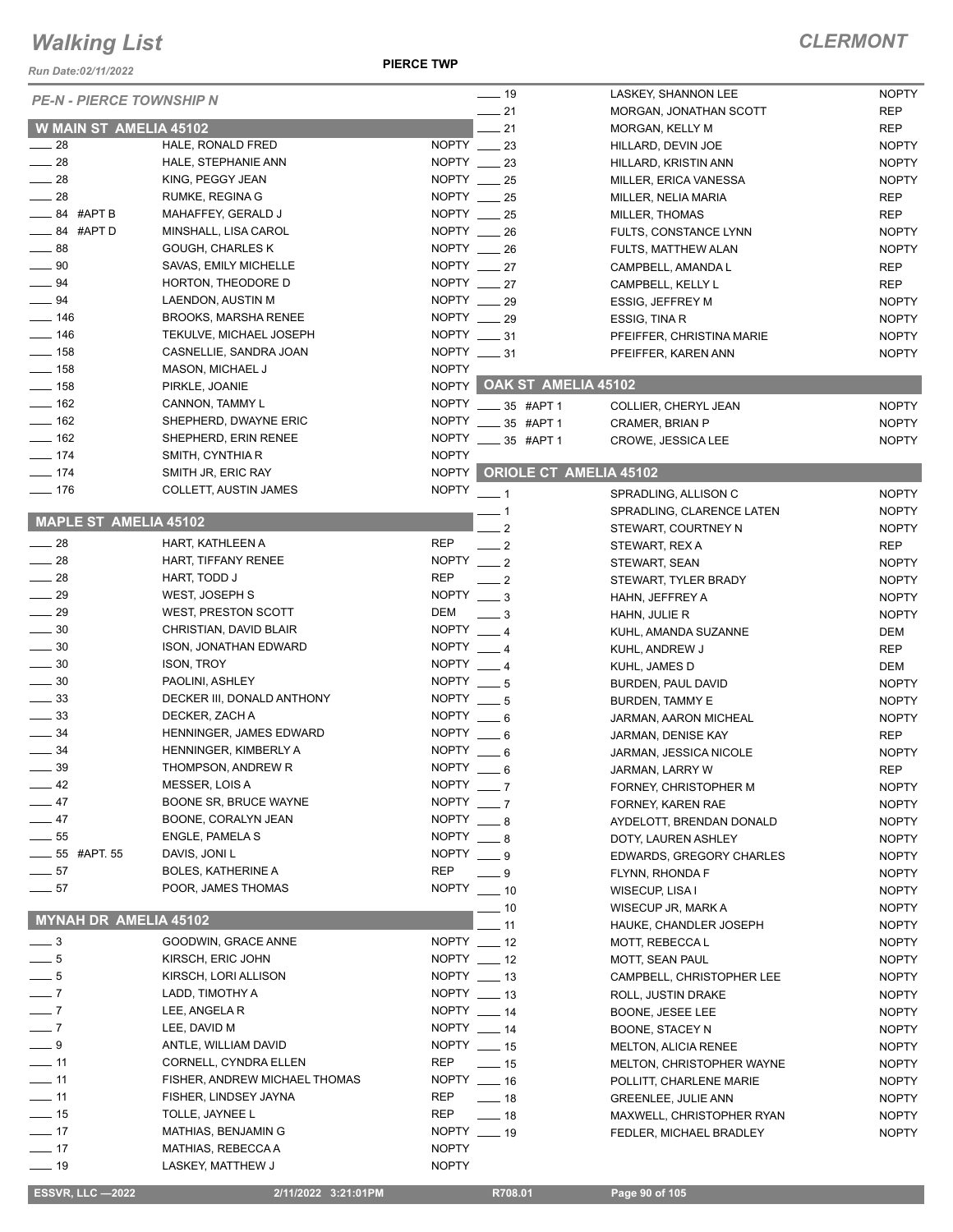*Run Date:02/11/2022*

**PIERCE TWP**

| <b>PE-N - PIERCE TOWNSHIP N</b> |                               |                    | $-19$                      | LASKEY, SHANNON LEE         | <b>NOPTY</b> |
|---------------------------------|-------------------------------|--------------------|----------------------------|-----------------------------|--------------|
|                                 |                               |                    | $-21$                      | MORGAN, JONATHAN SCOTT      | <b>REP</b>   |
| W MAIN ST AMELIA 45102          |                               |                    | $-21$                      | MORGAN, KELLY M             | <b>REP</b>   |
| $\frac{1}{28}$                  | HALE, RONALD FRED             | NOPTY $\_\_\$ 23   |                            | HILLARD, DEVIN JOE          | <b>NOPTY</b> |
| $\frac{1}{28}$                  | HALE, STEPHANIE ANN           | NOPTY $-23$        |                            | HILLARD, KRISTIN ANN        | <b>NOPTY</b> |
| $\frac{1}{28}$                  | KING, PEGGY JEAN              | NOPTY $\_\_\_\$ 25 |                            | MILLER, ERICA VANESSA       | <b>NOPTY</b> |
| $\frac{1}{28}$                  | RUMKE, REGINA G               | NOPTY __ 25        |                            | MILLER, NELIA MARIA         | <b>REP</b>   |
| $\frac{1}{2}$ 84 #APT B         | MAHAFFEY, GERALD J            | NOPTY $-25$        |                            | MILLER, THOMAS              | <b>REP</b>   |
| $\frac{1}{2}$ 84 #APT D         | MINSHALL, LISA CAROL          | NOPTY __ 26        |                            | FULTS, CONSTANCE LYNN       | <b>NOPTY</b> |
| $\frac{1}{2}$ 88                | <b>GOUGH, CHARLES K</b>       | NOPTY $-26$        |                            | FULTS, MATTHEW ALAN         | <b>NOPTY</b> |
| $\frac{1}{2}$ 90                | SAVAS, EMILY MICHELLE         | NOPTY $-27$        |                            | CAMPBELL, AMANDA L          | REP          |
| $\frac{1}{2}$ 94                | HORTON, THEODORE D            | NOPTY $-27$        |                            | CAMPBELL, KELLY L           | REP          |
| $\frac{1}{2}$ 94                | LAENDON, AUSTIN M             | NOPTY $-29$        |                            | <b>ESSIG, JEFFREY M</b>     | <b>NOPTY</b> |
| $\frac{1}{2}$ 146               | <b>BROOKS, MARSHA RENEE</b>   | NOPTY 29           |                            | ESSIG, TINA R               | <b>NOPTY</b> |
| $\frac{1}{2}$ 146               | TEKULVE, MICHAEL JOSEPH       | NOPTY __ 31        |                            |                             | <b>NOPTY</b> |
| $\frac{1}{2}$ 158               |                               |                    |                            | PFEIFFER, CHRISTINA MARIE   |              |
|                                 | CASNELLIE, SANDRA JOAN        | NOPTY $-31$        |                            | PFEIFFER, KAREN ANN         | <b>NOPTY</b> |
| $\frac{1}{2}$ 158               | <b>MASON, MICHAEL J</b>       | <b>NOPTY</b>       |                            | NOPTY OAK ST AMELIA 45102   |              |
| $- 158$                         | PIRKLE, JOANIE                |                    |                            |                             |              |
| $\frac{1}{2}$ 162               | CANNON, TAMMY L               | <b>NOPTY</b>       | $- 35$ #APT 1              | COLLIER, CHERYL JEAN        | <b>NOPTY</b> |
| $- 162$                         | SHEPHERD, DWAYNE ERIC         | <b>NOPTY</b>       | 35 #APT 1                  | <b>CRAMER, BRIAN P</b>      | <b>NOPTY</b> |
| $\frac{1}{2}$ 162               | SHEPHERD, ERIN RENEE          | <b>NOPTY</b>       | $-35$ #APT 1               | CROWE, JESSICA LEE          | <b>NOPTY</b> |
| $- 174$                         | SMITH, CYNTHIA R              | <b>NOPTY</b>       |                            |                             |              |
| $- 174$                         | SMITH JR, ERIC RAY            | <b>NOPTY</b>       |                            | ORIOLE CT AMELIA 45102      |              |
| $- 176$                         | COLLETT, AUSTIN JAMES         | <b>NOPTY</b>       | $-1$                       | SPRADLING, ALLISON C        | <b>NOPTY</b> |
|                                 |                               |                    |                            | SPRADLING, CLARENCE LATEN   | <b>NOPTY</b> |
| MAPLE ST AMELIA 45102           |                               |                    | $\overline{2}$             | STEWART, COURTNEY N         | <b>NOPTY</b> |
| $\frac{1}{28}$                  | HART, KATHLEEN A              | <b>REP</b>         | $-2$                       | STEWART, REX A              | REP          |
| $\frac{1}{28}$                  | HART, TIFFANY RENEE           | NOPTY $-2$         |                            | STEWART, SEAN               | <b>NOPTY</b> |
| $\frac{1}{28}$                  | HART, TODD J                  | <b>REP</b>         | $-2$                       |                             |              |
| $\frac{1}{29}$                  | WEST, JOSEPH S                | $NOPTY$ $\_\_3$    |                            | STEWART, TYLER BRADY        | <b>NOPTY</b> |
|                                 |                               |                    |                            | HAHN, JEFFREY A             | <b>NOPTY</b> |
| $\frac{1}{29}$                  | WEST, PRESTON SCOTT           | DEM                | $\equiv$ 3                 | HAHN, JULIE R               | <b>NOPTY</b> |
| $\frac{1}{2}$ 30                | CHRISTIAN, DAVID BLAIR        | <b>NOPTY</b>       | $\overline{\phantom{0}}$ 4 | KUHL, AMANDA SUZANNE        | DEM          |
| $\frac{1}{2}$ 30                | ISON, JONATHAN EDWARD         | NOPTY $-4$         |                            | KUHL, ANDREW J              | <b>REP</b>   |
| $\frac{1}{2}$ 30                | <b>ISON, TROY</b>             | NOPTY $-4$         |                            | KUHL, JAMES D               | DEM          |
| $\frac{1}{2}$ 30                | PAOLINI, ASHLEY               | NOPTY $-5$         |                            | BURDEN, PAUL DAVID          | <b>NOPTY</b> |
| $\frac{1}{2}$ 33                | DECKER III, DONALD ANTHONY    | NOPTY $-5$         |                            | <b>BURDEN, TAMMY E</b>      | <b>NOPTY</b> |
| $\frac{1}{2}$ 33                | DECKER, ZACH A                | NOPTY $-6$         |                            | JARMAN, AARON MICHEAL       | <b>NOPTY</b> |
| $\frac{1}{2}$ 34                | HENNINGER, JAMES EDWARD       | NOPTY $-6$         |                            | JARMAN, DENISE KAY          | <b>REP</b>   |
| $\frac{1}{2}$ 34                | HENNINGER, KIMBERLY A         | <b>NOPTY</b>       | - 6                        | JARMAN, JESSICA NICOLE      | <b>NOPTY</b> |
| $-39$                           | THOMPSON, ANDREW R            | <b>NOPTY</b>       | - 6                        | JARMAN, LARRY W             | <b>REP</b>   |
| $-42$                           | MESSER, LOIS A                | NOPTY $-7$         |                            | FORNEY, CHRISTOPHER M       | <b>NOPTY</b> |
| $-47$                           | <b>BOONE SR, BRUCE WAYNE</b>  | <b>NOPTY</b>       | $\overline{\phantom{0}}$ 7 | FORNEY, KAREN RAE           | <b>NOPTY</b> |
| $\frac{1}{2}$ 47                | BOONE, CORALYN JEAN           | NOPTY $-8$         |                            | AYDELOTT, BRENDAN DONALD    | <b>NOPTY</b> |
| $\frac{1}{2}$ 55                | ENGLE, PAMELA S               | NOPTY              | $\_\_\$ 8                  | DOTY, LAUREN ASHLEY         |              |
| <b>_______ 55</b> #APT. 55      | DAVIS, JONI L                 | <b>NOPTY</b>       |                            |                             | <b>NOPTY</b> |
| $\frac{1}{2}$ 57                | <b>BOLES, KATHERINE A</b>     | <b>REP</b>         | __ 9                       | EDWARDS, GREGORY CHARLES    | <b>NOPTY</b> |
|                                 |                               | <b>NOPTY</b>       | - 9                        | FLYNN, RHONDA F             | <b>NOPTY</b> |
| $\frac{1}{2}$ 57                | POOR, JAMES THOMAS            |                    | $- 10$                     | WISECUP, LISA I             | <b>NOPTY</b> |
| MYNAH DR AMELIA 45102           |                               |                    | _ 10                       | WISECUP JR, MARK A          | <b>NOPTY</b> |
|                                 |                               |                    | $-11$                      | HAUKE, CHANDLER JOSEPH      | <b>NOPTY</b> |
| $\_\_$ 3                        | GOODWIN, GRACE ANNE           | NOPTY $-12$        |                            | MOTT, REBECCA L             | <b>NOPTY</b> |
| $-5$                            | KIRSCH, ERIC JOHN             | NOPTY $-12$        |                            | MOTT, SEAN PAUL             | <b>NOPTY</b> |
| $\frac{1}{\sqrt{2}}$            | KIRSCH, LORI ALLISON          | NOPTY __ 13        |                            | CAMPBELL, CHRISTOPHER LEE   | <b>NOPTY</b> |
| $\overline{\phantom{0}}$ 7      | LADD, TIMOTHY A               | NOPTY $-13$        |                            | ROLL, JUSTIN DRAKE          | <b>NOPTY</b> |
| $-7$                            | LEE, ANGELA R                 | NOPTY $-14$        |                            | BOONE, JESEE LEE            | <b>NOPTY</b> |
| $\overline{\phantom{0}}$ 7      | LEE, DAVID M                  | NOPTY __ 14        |                            | BOONE, STACEY N             | <b>NOPTY</b> |
| $-9$                            | ANTLE, WILLIAM DAVID          | NOPTY __ 15        |                            | <b>MELTON, ALICIA RENEE</b> | <b>NOPTY</b> |
| $-11$                           | CORNELL, CYNDRA ELLEN         | REP                | $\frac{1}{2}$ 15           | MELTON, CHRISTOPHER WAYNE   | <b>NOPTY</b> |
| $-11$                           | FISHER, ANDREW MICHAEL THOMAS | NOPTY __ 16        |                            | POLLITT, CHARLENE MARIE     | <b>NOPTY</b> |
| $\frac{1}{2}$ 11                | FISHER, LINDSEY JAYNA         | REP                |                            |                             |              |
|                                 |                               |                    | —— 18                      | <b>GREENLEE, JULIE ANN</b>  | <b>NOPTY</b> |
| $\frac{1}{2}$ 15                | TOLLE, JAYNEE L               | REP                | $\equiv$ 18                | MAXWELL, CHRISTOPHER RYAN   | <b>NOPTY</b> |
| $\frac{1}{2}$ 17                | MATHIAS, BENJAMIN G           | NOPTY $-19$        |                            | FEDLER, MICHAEL BRADLEY     | <b>NOPTY</b> |
| $-17$                           | MATHIAS, REBECCA A            | <b>NOPTY</b>       |                            |                             |              |
| $\frac{1}{2}$ 19                | LASKEY, MATTHEW J             | <b>NOPTY</b>       |                            |                             |              |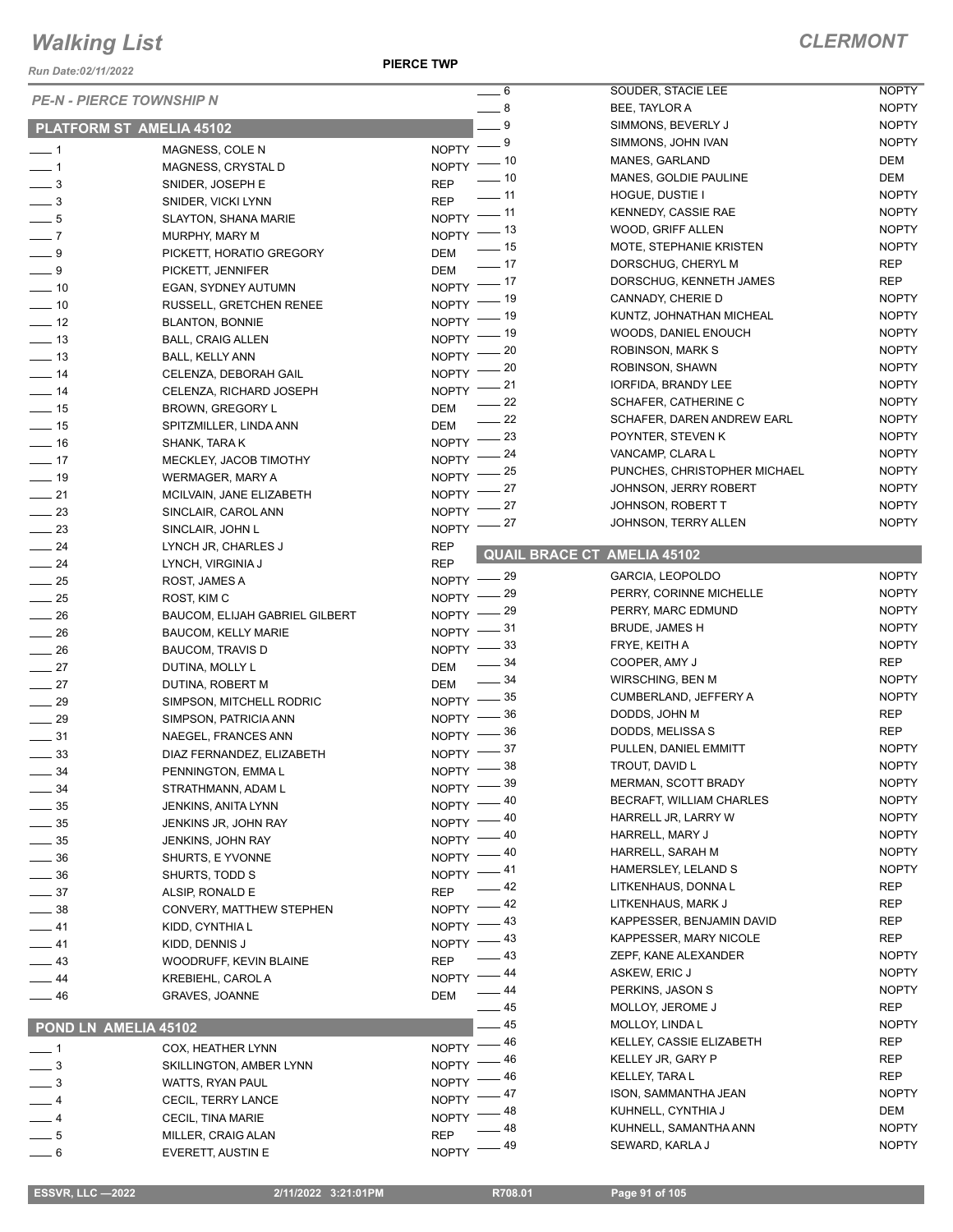*Run Date:02/11/2022*

|                            | <b>PE-N - PIERCE TOWNSHIP N</b>       | $\overline{\phantom{0}}$ 6                | SOUDER, STACIE LEE                        | <b>NOPTY</b> |
|----------------------------|---------------------------------------|-------------------------------------------|-------------------------------------------|--------------|
|                            |                                       | $-8$                                      | BEE, TAYLOR A                             | <b>NOPTY</b> |
|                            | PLATFORM ST AMELIA 45102              | $-9$                                      | SIMMONS, BEVERLY J                        | <b>NOPTY</b> |
| $\overline{\phantom{0}}$ 1 | MAGNESS, COLE N                       | $NOPTY$ - $9$                             | SIMMONS, JOHN IVAN                        | <b>NOPTY</b> |
| $-1$                       | MAGNESS, CRYSTAL D                    | $NOPTY$ -- 10                             | MANES, GARLAND                            | DEM          |
| $\frac{1}{2}$              | SNIDER, JOSEPH E                      | $\overline{\phantom{0}}$ 10<br><b>REP</b> | MANES, GOLDIE PAULINE                     | DEM          |
| $\frac{1}{2}$              | SNIDER, VICKI LYNN                    | $-11$<br><b>REP</b>                       | HOGUE, DUSTIE I                           | <b>NOPTY</b> |
| $-5$                       | <b>SLAYTON, SHANA MARIE</b>           | $NOPTY$ -- 11                             | KENNEDY, CASSIE RAE                       | <b>NOPTY</b> |
| $\overline{\phantom{0}}$   | MURPHY, MARY M                        | $NOPTY$ -- 13                             | WOOD, GRIFF ALLEN                         | <b>NOPTY</b> |
| $-9$                       | PICKETT, HORATIO GREGORY              | $\frac{1}{15}$<br><b>DEM</b>              | MOTE, STEPHANIE KRISTEN                   | <b>NOPTY</b> |
| $-9$                       | PICKETT, JENNIFER                     | $-17$<br><b>DEM</b>                       | DORSCHUG, CHERYL M                        | <b>REP</b>   |
| $\frac{1}{2}$ 10           | EGAN, SYDNEY AUTUMN                   | NOPTY $-$ 17                              | DORSCHUG, KENNETH JAMES                   | REP          |
| $\sim$ 10                  | RUSSELL, GRETCHEN RENEE               | NOPTY - 19                                | CANNADY, CHERIE D                         | <b>NOPTY</b> |
| $\frac{1}{2}$              | <b>BLANTON, BONNIE</b>                | $-19$<br>NOPTY -                          | KUNTZ, JOHNATHAN MICHEAL                  | <b>NOPTY</b> |
| $\frac{1}{2}$ 13           | <b>BALL, CRAIG ALLEN</b>              | $NOPTY$ - 19                              | WOODS, DANIEL ENOUCH                      | <b>NOPTY</b> |
| $\frac{1}{2}$ 13           | <b>BALL, KELLY ANN</b>                | $NOPTY$ - 20                              | ROBINSON, MARK S                          | <b>NOPTY</b> |
| $\frac{1}{2}$ 14           | CELENZA, DEBORAH GAIL                 | $NOPTY$ - 20                              | ROBINSON, SHAWN                           | <b>NOPTY</b> |
| $\frac{1}{2}$ 14           | CELENZA, RICHARD JOSEPH               | NOPTY $-21$                               | IORFIDA, BRANDY LEE                       | <b>NOPTY</b> |
| $\frac{1}{2}$ 15           | <b>BROWN, GREGORY L</b>               | $\frac{1}{2}$<br><b>DEM</b>               | SCHAFER, CATHERINE C                      | <b>NOPTY</b> |
| $\frac{1}{2}$ 15           | SPITZMILLER, LINDA ANN                | $\frac{1}{22}$<br><b>DEM</b>              | <b>SCHAFER, DAREN ANDREW EARL</b>         | <b>NOPTY</b> |
| $\frac{1}{16}$             | SHANK, TARA K                         | $-23$<br>NOPTY <sup>-</sup>               | POYNTER, STEVEN K                         | <b>NOPTY</b> |
| $\frac{1}{2}$ 17           | MECKLEY, JACOB TIMOTHY                | $NOPTY$ - $24$                            | VANCAMP, CLARA L                          | <b>NOPTY</b> |
| $-19$                      | <b>WERMAGER, MARY A</b>               | NOPTY $-$ 25                              | PUNCHES, CHRISTOPHER MICHAEL              | <b>NOPTY</b> |
|                            |                                       | NOPTY $-27$                               | <b>JOHNSON, JERRY ROBERT</b>              | <b>NOPTY</b> |
| $\frac{1}{21}$             | MCILVAIN, JANE ELIZABETH              | NOPTY $-27$                               | JOHNSON, ROBERT T                         | <b>NOPTY</b> |
| $\frac{1}{2}$ 23           | SINCLAIR, CAROL ANN                   | NOPTY $-27$                               | JOHNSON, TERRY ALLEN                      | <b>NOPTY</b> |
| $\frac{1}{2}$ 23           | SINCLAIR, JOHN L                      |                                           |                                           |              |
| $\frac{1}{24}$             | LYNCH JR, CHARLES J                   | <b>REP</b>                                | <b>QUAIL BRACE CT AMELIA 45102</b>        |              |
| $\frac{1}{24}$             | LYNCH, VIRGINIA J                     | <b>REP</b>                                | GARCIA, LEOPOLDO                          | <b>NOPTY</b> |
| $\frac{1}{25}$             | ROST, JAMES A                         | NOPTY $-29$                               | PERRY, CORINNE MICHELLE                   | <b>NOPTY</b> |
| $\frac{1}{25}$             | ROST, KIM C                           | NOPTY $-29$                               | PERRY, MARC EDMUND                        | <b>NOPTY</b> |
| $\frac{1}{26}$             | <b>BAUCOM, ELIJAH GABRIEL GILBERT</b> | NOPTY $-29$                               | <b>BRUDE, JAMES H</b>                     | <b>NOPTY</b> |
| $\frac{1}{26}$             | <b>BAUCOM, KELLY MARIE</b>            | NOPTY $-31$                               | FRYE, KEITH A                             | <b>NOPTY</b> |
| $\frac{1}{26}$             | <b>BAUCOM, TRAVIS D</b>               | NOPTY $-33$<br>$\frac{1}{2}$ 34           | COOPER, AMY J                             | <b>REP</b>   |
| $\frac{1}{27}$             | DUTINA, MOLLY L                       | DEM<br>$\frac{1}{2}$ 34                   |                                           | <b>NOPTY</b> |
| $\frac{1}{27}$             | DUTINA, ROBERT M                      | <b>DEM</b>                                | WIRSCHING, BEN M<br>CUMBERLAND, JEFFERY A | <b>NOPTY</b> |
| $\frac{1}{29}$             | SIMPSON, MITCHELL RODRIC              | NOPTY $-$ 35                              |                                           | <b>REP</b>   |
| $\frac{1}{29}$             | SIMPSON, PATRICIA ANN                 | NOPTY $-$ 36                              | DODDS, JOHN M                             |              |
| $\frac{1}{2}$ 31           | NAEGEL, FRANCES ANN                   | NOPTY $-$ 36                              | DODDS, MELISSA S                          | REP          |
| $\frac{1}{2}$ 33           | DIAZ FERNANDEZ, ELIZABETH             | NOPTY $-37$                               | PULLEN, DANIEL EMMITT                     | <b>NOPTY</b> |
| 34                         | PENNINGTON, EMMA L                    | NOPTY $-$ 38                              | TROUT, DAVID L                            | <b>NOPTY</b> |
| $\frac{1}{2}$ 34           | STRATHMANN, ADAM L                    | $NOPTY$ - $39$                            | MERMAN, SCOTT BRADY                       | <b>NOPTY</b> |
| $\frac{1}{2}$ 35           | JENKINS, ANITA LYNN                   | NOPTY $-40$                               | BECRAFT, WILLIAM CHARLES                  | <b>NOPTY</b> |
| $\frac{1}{2}$ 35           | JENKINS JR, JOHN RAY                  | $NOPTY$ - $40$                            | HARRELL JR, LARRY W                       | <b>NOPTY</b> |
| $\frac{1}{2}$ 35           | JENKINS, JOHN RAY                     | NOPTY $-40$                               | HARRELL, MARY J                           | <b>NOPTY</b> |
| $\frac{1}{2}$ 36           | SHURTS, E YVONNE                      | $NOPTY$ $-40$                             | HARRELL, SARAH M                          | <b>NOPTY</b> |
| $\frac{1}{2}$ 36           | SHURTS, TODD S                        | $NOPTY$ -41                               | HAMERSLEY, LELAND S                       | <b>NOPTY</b> |
| $\frac{1}{2}$ 37           | ALSIP, RONALD E                       | $-42$<br><b>REP</b>                       | LITKENHAUS, DONNA L                       | REP          |
| $\frac{1}{2}$ 38           | CONVERY, MATTHEW STEPHEN              | NOPTY $-42$                               | LITKENHAUS, MARK J                        | <b>REP</b>   |
| $-41$                      | KIDD, CYNTHIA L                       | NOPTY $-43$                               | KAPPESSER, BENJAMIN DAVID                 | REP          |
| $-41$                      | KIDD, DENNIS J                        | NOPTY $-43$                               | KAPPESSER, MARY NICOLE                    | REP          |
| $\frac{1}{2}$ 43           | WOODRUFF, KEVIN BLAINE                | $\frac{1}{2}$ 43<br><b>REP</b>            | ZEPF, KANE ALEXANDER                      | <b>NOPTY</b> |
| $\frac{1}{2}$ 44           | KREBIEHL, CAROL A                     | NOPTY -44                                 | ASKEW, ERIC J                             | <b>NOPTY</b> |
| $-46$                      | <b>GRAVES, JOANNE</b>                 | $\frac{1}{2}$ 44<br><b>DEM</b>            | PERKINS, JASON S                          | <b>NOPTY</b> |
|                            |                                       | $-45$                                     | MOLLOY, JEROME J                          | REP          |
|                            | POND LN AMELIA 45102                  | $-45$                                     | MOLLOY, LINDA L                           | <b>NOPTY</b> |
|                            | COX, HEATHER LYNN                     | NOPTY $-46$                               | KELLEY, CASSIE ELIZABETH                  | REP          |
| $-1$                       |                                       | NOPTY -46                                 | KELLEY JR, GARY P                         | REP          |
| $\frac{1}{2}$              | SKILLINGTON, AMBER LYNN               | NOPTY -46                                 | KELLEY, TARA L                            | REP          |
| $\frac{1}{2}$              | WATTS, RYAN PAUL                      | $-47$<br>NOPTY -                          | ISON, SAMMANTHA JEAN                      | <b>NOPTY</b> |
| $-4$                       | CECIL, TERRY LANCE                    | - 48                                      | KUHNELL, CYNTHIA J                        | DEM          |
| $-4$                       | CECIL, TINA MARIE                     | <b>NOPTY</b><br>$-48$                     | KUHNELL, SAMANTHA ANN                     | <b>NOPTY</b> |
| $-5$                       | MILLER, CRAIG ALAN                    | <b>REP</b><br>$-49$                       | SEWARD, KARLA J                           | <b>NOPTY</b> |
| $-6$                       | EVERETT, AUSTIN E                     | <b>NOPTY</b>                              |                                           |              |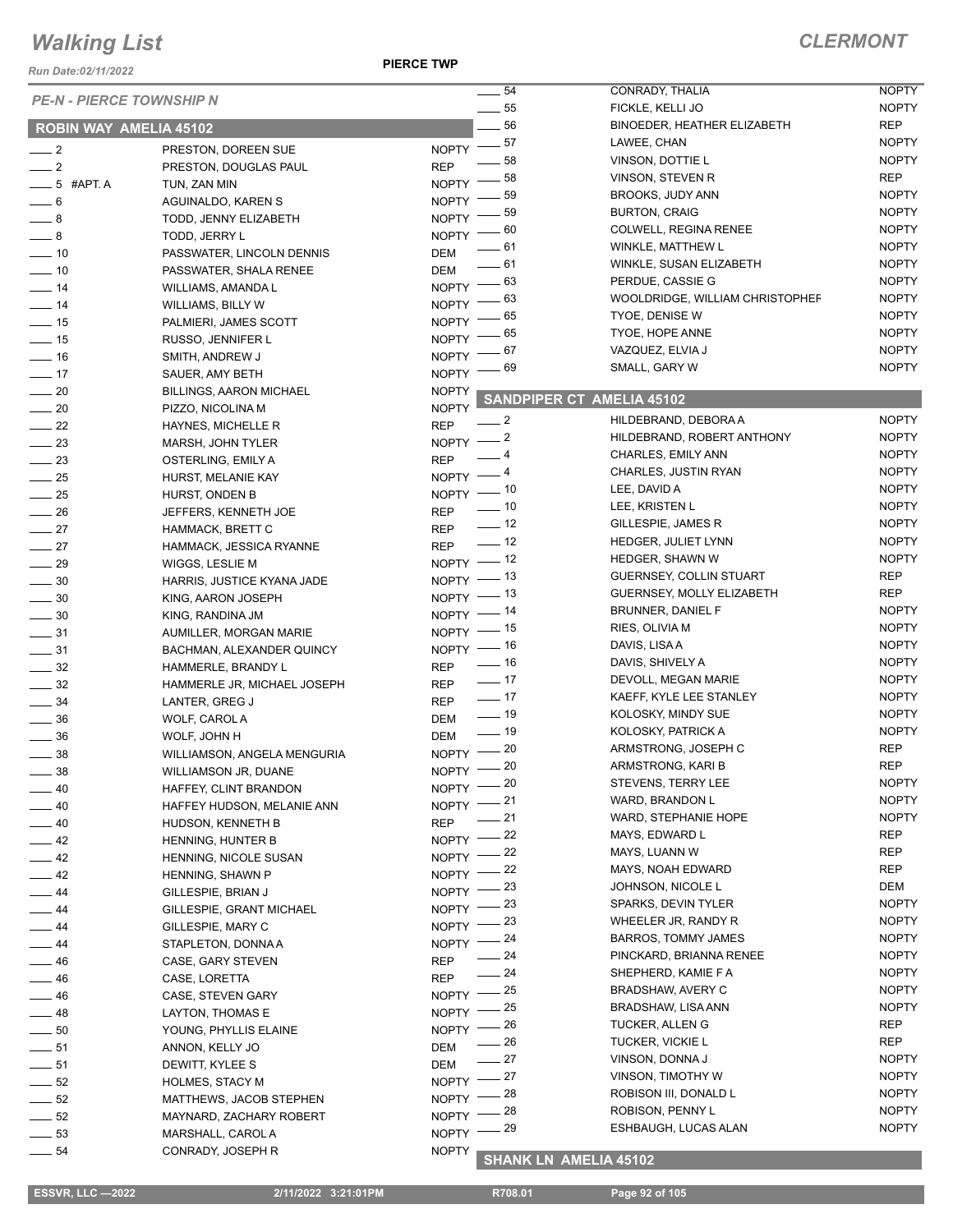*Run Date:02/11/2022*

**PIERCE TWP**

#### *CLERMONT*

| <b>PE-N - PIERCE TOWNSHIP N</b>      |                                | $\overline{\phantom{a}}$       | 54<br>CONRADY, THALIA                 | <b>NOPTY</b> |
|--------------------------------------|--------------------------------|--------------------------------|---------------------------------------|--------------|
|                                      |                                | $\frac{1}{2}$ 55               | FICKLE, KELLI JO                      | <b>NOPTY</b> |
| <b>ROBIN WAY AMELIA 45102</b>        |                                |                                | 56<br>BINOEDER, HEATHER ELIZABETH     | <b>REP</b>   |
| $\frac{1}{2}$                        | PRESTON, DOREEN SUE            | $-57$<br><b>NOPTY</b>          | LAWEE, CHAN                           | <b>NOPTY</b> |
| $\frac{1}{2}$                        | PRESTON, DOUGLAS PAUL          | <b>REP</b>                     | 58<br>VINSON, DOTTIE L                | <b>NOPTY</b> |
|                                      |                                | <b>NOPTY</b>                   | 58<br>VINSON, STEVEN R                | <b>REP</b>   |
| $-5$ #APT. A                         | TUN, ZAN MIN                   |                                | 59<br>BROOKS, JUDY ANN                | <b>NOPTY</b> |
| $\frac{1}{\sqrt{2}}$ 6               | AGUINALDO, KAREN S             | <b>NOPTY</b>                   | <b>BURTON, CRAIG</b><br>59            | <b>NOPTY</b> |
| $-8$                                 | TODD, JENNY ELIZABETH          | <b>NOPTY</b>                   | 60<br>COLWELL, REGINA RENEE           | <b>NOPTY</b> |
| $-8$                                 | TODD, JERRY L                  | <b>NOPTY</b>                   | 61<br>WINKLE, MATTHEW L               | <b>NOPTY</b> |
| $\frac{1}{2}$ 10                     | PASSWATER, LINCOLN DENNIS      | <b>DEM</b>                     | 61<br>WINKLE, SUSAN ELIZABETH         | <b>NOPTY</b> |
| $\frac{1}{2}$ 10                     | PASSWATER, SHALA RENEE         | <b>DEM</b>                     | 63<br>PERDUE, CASSIE G                | <b>NOPTY</b> |
| $\frac{1}{2}$ 14                     | WILLIAMS, AMANDA L             | <b>NOPTY</b>                   | 63<br>WOOLDRIDGE, WILLIAM CHRISTOPHEF | <b>NOPTY</b> |
| $\frac{1}{2}$ 14                     | WILLIAMS, BILLY W              | <b>NOPTY</b>                   | <b>TYOE, DENISE W</b><br>65           | <b>NOPTY</b> |
| $\frac{1}{2}$ 15                     | PALMIERI, JAMES SCOTT          | <b>NOPTY</b>                   | TYOE, HOPE ANNE<br>65                 | <b>NOPTY</b> |
| $\frac{1}{2}$ 15                     | RUSSO, JENNIFER L              | NOPTY <sup>-</sup>             |                                       | <b>NOPTY</b> |
| $\equiv$ 16                          | SMITH, ANDREW J                | <b>NOPTY</b>                   | VAZQUEZ, ELVIA J<br>67                |              |
| $\frac{1}{2}$ 17                     | SAUER, AMY BETH                | <b>NOPTY</b>                   | SMALL, GARY W<br>69                   | <b>NOPTY</b> |
| $\sim$ 20                            | <b>BILLINGS, AARON MICHAEL</b> | <b>NOPTY</b>                   | <b>SANDPIPER CT AMELIA 45102</b>      |              |
| $\sim$ 20                            | PIZZO, NICOLINA M              | <b>NOPTY</b>                   |                                       |              |
| $\frac{1}{22}$                       | HAYNES, MICHELLE R             | $-2$<br><b>REP</b>             | HILDEBRAND, DEBORA A                  | <b>NOPTY</b> |
| $\frac{1}{2}$ 23                     | MARSH, JOHN TYLER              | $-2$<br><b>NOPTY</b>           | HILDEBRAND, ROBERT ANTHONY            | <b>NOPTY</b> |
| $\frac{1}{2}$ 23                     | OSTERLING, EMILY A             | - 4<br><b>REP</b>              | CHARLES, EMILY ANN                    | <b>NOPTY</b> |
| $\frac{1}{25}$                       | HURST, MELANIE KAY             | - 4<br>$NOPTY =$               | CHARLES, JUSTIN RYAN                  | <b>NOPTY</b> |
| $\frac{1}{25}$                       | HURST, ONDEN B                 | NOPTY $-$ 10                   | LEE, DAVID A                          | <b>NOPTY</b> |
| $\frac{1}{26}$                       | JEFFERS, KENNETH JOE           | $\frac{1}{2}$ 10<br><b>REP</b> | LEE, KRISTEN L                        | <b>NOPTY</b> |
| $\frac{1}{27}$                       | HAMMACK, BRETT C               | $-12$<br><b>REP</b>            | GILLESPIE, JAMES R                    | <b>NOPTY</b> |
| $\frac{1}{27}$                       | HAMMACK, JESSICA RYANNE        | $\frac{1}{2}$ 12<br><b>REP</b> | HEDGER, JULIET LYNN                   | <b>NOPTY</b> |
| $\frac{1}{29}$                       | WIGGS, LESLIE M                | NOPTY $-$ 12                   | HEDGER, SHAWN W                       | <b>NOPTY</b> |
| $\frac{1}{2}$ 30                     | HARRIS, JUSTICE KYANA JADE     | NOPTY $-$ 13                   | GUERNSEY, COLLIN STUART               | REP          |
| $\frac{1}{2}$ 30                     | KING, AARON JOSEPH             | NOPTY $-$ 13                   | GUERNSEY, MOLLY ELIZABETH             | REP          |
| $\frac{1}{2}$ 30                     | KING, RANDINA JM               | _ 14<br>$NOPTY$ -              | BRUNNER, DANIEL F                     | <b>NOPTY</b> |
| $\frac{1}{2}$ 31                     | AUMILLER, MORGAN MARIE         | NOPTY $-$ 15                   | RIES, OLIVIA M                        | <b>NOPTY</b> |
| $\frac{1}{2}$ 31                     | BACHMAN, ALEXANDER QUINCY      | NOPTY - 16                     | DAVIS, LISA A                         | <b>NOPTY</b> |
|                                      |                                | $\frac{1}{16}$<br><b>REP</b>   | DAVIS, SHIVELY A                      | <b>NOPTY</b> |
| $\frac{1}{2}$ 32<br>$\frac{1}{2}$ 32 | HAMMERLE, BRANDY L             | $\frac{1}{2}$ 17<br><b>REP</b> | DEVOLL, MEGAN MARIE                   | <b>NOPTY</b> |
| $\frac{1}{2}$ 34                     | HAMMERLE JR, MICHAEL JOSEPH    | $\frac{1}{2}$ 17<br><b>REP</b> | KAEFF, KYLE LEE STANLEY               | <b>NOPTY</b> |
|                                      | LANTER, GREG J                 | $- 19$                         | KOLOSKY, MINDY SUE                    | <b>NOPTY</b> |
| $\frac{1}{2}$ 36                     | WOLF, CAROL A                  | DEM<br>$\frac{1}{2}$ 19        | KOLOSKY, PATRICK A                    | <b>NOPTY</b> |
| $\frac{1}{2}$ 36                     | WOLF, JOHN H                   | <b>DEM</b><br>$NOPTY$ - 20     | ARMSTRONG, JOSEPH C                   | <b>REP</b>   |
| $\frac{1}{2}$ 38                     | WILLIAMSON, ANGELA MENGURIA    | $NOPTY$ - 20                   | ARMSTRONG, KARI B                     | <b>REP</b>   |
| 38                                   | <b>WILLIAMSON JR, DUANE</b>    |                                | STEVENS, TERRY LEE                    | <b>NOPTY</b> |
| $\equiv$ 40                          | HAFFEY, CLINT BRANDON          | NOPTY $-20$<br>- 21            | WARD, BRANDON L                       | <b>NOPTY</b> |
| 40                                   | HAFFEY HUDSON, MELANIE ANN     | $NOPTY$ -                      | .21<br>WARD, STEPHANIE HOPE           | <b>NOPTY</b> |
| $\equiv$ 40                          | HUDSON, KENNETH B              | <b>REP</b>                     |                                       | REP          |
| $-42$                                | HENNING, HUNTER B              | NOPTY $-22$<br>$-22$           | MAYS, EDWARD L<br>MAYS, LUANN W       | <b>REP</b>   |
| $-42$                                | HENNING, NICOLE SUSAN          | $N$ OPTY $-$                   |                                       |              |
| $-42$                                | HENNING, SHAWN P               | _ 22<br>$NOPTY =$              | MAYS, NOAH EDWARD                     | <b>REP</b>   |
| $-44$                                | GILLESPIE, BRIAN J             | NOPTY $-23$                    | JOHNSON, NICOLE L                     | DEM          |
| $-44$                                | GILLESPIE, GRANT MICHAEL       | $N$ OPTY $-$                   | . 23<br>SPARKS, DEVIN TYLER           | <b>NOPTY</b> |
| $-44$                                | GILLESPIE, MARY C              | _ 23<br>$NOPTY$ –              | WHEELER JR, RANDY R                   | <b>NOPTY</b> |
| $\overline{\phantom{0}}$ 44          | STAPLETON, DONNA A             | NOPTY $-24$                    | <b>BARROS, TOMMY JAMES</b>            | <b>NOPTY</b> |
| $-46$                                | CASE, GARY STEVEN              | <b>REP</b>                     | 24<br>PINCKARD, BRIANNA RENEE         | NOPTY        |
| $-46$                                | CASE, LORETTA                  | $-24$<br><b>REP</b>            | SHEPHERD, KAMIE F A                   | <b>NOPTY</b> |
| $-46$                                | CASE, STEVEN GARY              | NOPTY $-$ 25                   | BRADSHAW, AVERY C                     | <b>NOPTY</b> |
| $\frac{1}{2}$ 48                     | LAYTON, THOMAS E               | _ 25<br>$N$ OPTY $-$           | BRADSHAW, LISA ANN                    | <b>NOPTY</b> |
| $\frac{1}{2}$ 50                     | YOUNG, PHYLLIS ELAINE          | - 26<br>$NOPTY =$              | TUCKER, ALLEN G                       | REP          |
| $-51$                                | ANNON, KELLY JO                | DEM                            | 26<br>TUCKER, VICKIE L                | <b>REP</b>   |
| $-51$                                | DEWITT, KYLEE S                | $-27$<br>DEM                   | VINSON, DONNA J                       | <b>NOPTY</b> |
| $\frac{1}{2}$ 52                     | HOLMES, STACY M                | NOPTY $-$ 27                   | VINSON, TIMOTHY W                     | <b>NOPTY</b> |
| $\frac{1}{2}$ 52                     | MATTHEWS, JACOB STEPHEN        | _ 28<br>$N$ OPTY $-$           | ROBISON III, DONALD L                 | NOPTY        |
| $\frac{1}{2}$ 52                     | MAYNARD, ZACHARY ROBERT        | NOPTY -                        | ROBISON, PENNY L<br>-28               | <b>NOPTY</b> |
| $\frac{1}{2}$ 53                     | MARSHALL, CAROL A              | NOPTY -                        | 29<br>ESHBAUGH, LUCAS ALAN            | <b>NOPTY</b> |
| $\frac{1}{2}$ 54                     |                                | <b>NOPTY</b>                   |                                       |              |
|                                      | CONRADY, JOSEPH R              |                                | <b>SHANK LN AMELIA 45102</b>          |              |

 **ESSVR, LLC —2022 2/11/2022 3:21:01PM R708.01 Page 92 of 105**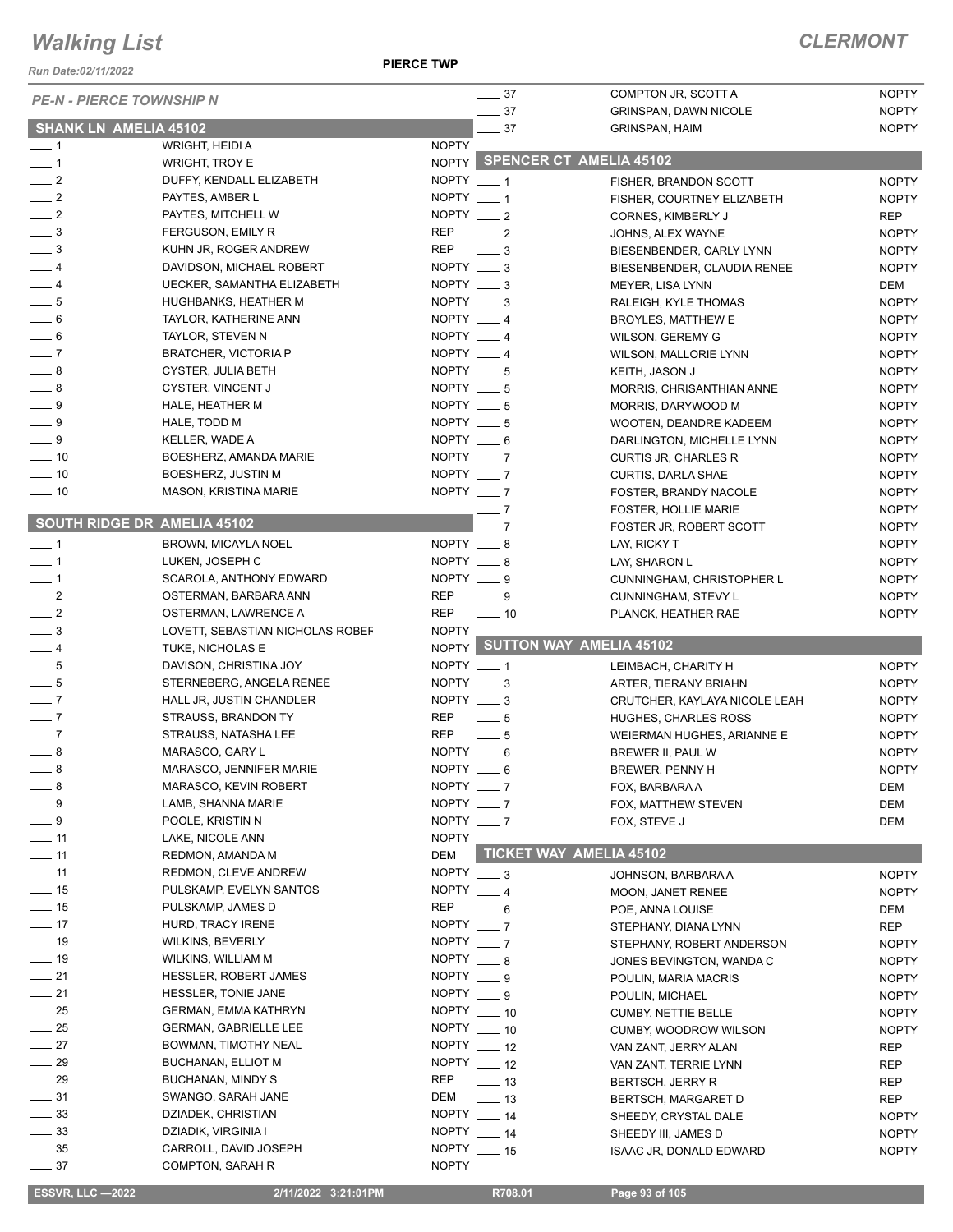*Run Date:02/11/2022*

**PIERCE TWP**

|                                    | <b>PE-N - PIERCE TOWNSHIP N</b>                   | $\frac{1}{2}$ 37                       | COMPTON JR, SCOTT A                     | <b>NOPTY</b>               |
|------------------------------------|---------------------------------------------------|----------------------------------------|-----------------------------------------|----------------------------|
|                                    |                                                   | $-37$                                  | <b>GRINSPAN, DAWN NICOLE</b>            | <b>NOPTY</b>               |
|                                    | <b>SHANK LN AMELIA 45102</b>                      | $-37$                                  | <b>GRINSPAN, HAIM</b>                   | <b>NOPTY</b>               |
| $-1$<br>$\overline{\phantom{0}}$ 1 | WRIGHT, HEIDI A                                   | <b>NOPTY</b>                           | NOPTY SPENCER CT AMELIA 45102           |                            |
| $\frac{1}{2}$                      | <b>WRIGHT, TROY E</b><br>DUFFY, KENDALL ELIZABETH | NOPTY $-1$                             |                                         | <b>NOPTY</b>               |
| $\frac{1}{2}$                      | PAYTES, AMBER L                                   | NOPTY $-1$                             | FISHER, BRANDON SCOTT                   |                            |
| $\frac{1}{2}$                      | PAYTES, MITCHELL W                                | NOPTY $\_\_\_2$                        | FISHER, COURTNEY ELIZABETH              | <b>NOPTY</b><br><b>REP</b> |
| $\frac{1}{2}$                      | <b>FERGUSON, EMILY R</b>                          | <b>REP</b><br>$-2$                     | CORNES, KIMBERLY J<br>JOHNS, ALEX WAYNE | <b>NOPTY</b>               |
| $\overline{\phantom{0}}$ 3         | KUHN JR, ROGER ANDREW                             | REP<br>$\overline{\phantom{0}}^3$      | BIESENBENDER, CARLY LYNN                | <b>NOPTY</b>               |
| $-4$                               | DAVIDSON, MICHAEL ROBERT                          | NOPTY $\_\_\$ 3                        | BIESENBENDER, CLAUDIA RENEE             | <b>NOPTY</b>               |
| $-4$                               | <b>UECKER, SAMANTHA ELIZABETH</b>                 | NOPTY $\_\_$ 3                         | MEYER, LISA LYNN                        | DEM                        |
| $-5$                               | HUGHBANKS, HEATHER M                              | NOPTY $\_\_\$ 3                        | RALEIGH, KYLE THOMAS                    | <b>NOPTY</b>               |
| $\frac{1}{\sqrt{2}}$ 6             | TAYLOR, KATHERINE ANN                             | NOPTY __ 4                             | BROYLES, MATTHEW E                      | <b>NOPTY</b>               |
| $-6$                               | TAYLOR, STEVEN N                                  | NOPTY $-4$                             | WILSON, GEREMY G                        | <b>NOPTY</b>               |
| $-7$                               | <b>BRATCHER, VICTORIA P</b>                       | NOPTY $-4$                             | WILSON, MALLORIE LYNN                   | <b>NOPTY</b>               |
| $-8$                               | <b>CYSTER, JULIA BETH</b>                         | NOPTY $-5$                             | KEITH, JASON J                          | <b>NOPTY</b>               |
| $\overline{\phantom{0}}$ 8         | CYSTER, VINCENT J                                 | NOPTY $-5$                             | MORRIS, CHRISANTHIAN ANNE               | <b>NOPTY</b>               |
| $-9$                               | HALE, HEATHER M                                   | NOPTY $-5$                             | MORRIS, DARYWOOD M                      | <b>NOPTY</b>               |
| $-9$                               | HALE, TODD M                                      | NOPTY $-5$                             | WOOTEN, DEANDRE KADEEM                  | <b>NOPTY</b>               |
| $-9$                               | KELLER, WADE A                                    | NOPTY $-6$                             | DARLINGTON, MICHELLE LYNN               | <b>NOPTY</b>               |
| $-10$                              | BOESHERZ, AMANDA MARIE                            | NOPTY $-7$                             | <b>CURTIS JR, CHARLES R</b>             | <b>NOPTY</b>               |
| $\overline{\phantom{0}}$ 10        | BOESHERZ, JUSTIN M                                | NOPTY $-7$                             | <b>CURTIS, DARLA SHAE</b>               | <b>NOPTY</b>               |
| $- 10$                             | MASON, KRISTINA MARIE                             | NOPTY $-7$                             | FOSTER, BRANDY NACOLE                   | <b>NOPTY</b>               |
|                                    |                                                   | $-7$                                   | <b>FOSTER, HOLLIE MARIE</b>             | <b>NOPTY</b>               |
|                                    | <b>SOUTH RIDGE DR AMELIA 45102</b>                | $\overline{7}$                         | FOSTER JR, ROBERT SCOTT                 | <b>NOPTY</b>               |
| $\overline{\phantom{0}}$ 1         | BROWN, MICAYLA NOEL                               | NOPTY __ 8                             | LAY, RICKY T                            | <b>NOPTY</b>               |
| $-1$                               | LUKEN, JOSEPH C                                   | NOPTY $-8$                             | LAY, SHARON L                           | <b>NOPTY</b>               |
| $-1$                               | SCAROLA, ANTHONY EDWARD                           | $NOPTY = 9$                            | CUNNINGHAM, CHRISTOPHER L               | <b>NOPTY</b>               |
| $\frac{1}{2}$                      | OSTERMAN, BARBARA ANN                             | REP<br>$-9$                            | <b>CUNNINGHAM, STEVY L</b>              | <b>NOPTY</b>               |
| $\overline{\phantom{0}}$ 2         | OSTERMAN, LAWRENCE A                              | <b>REP</b><br>$\frac{1}{2}$ 10         | PLANCK, HEATHER RAE                     | <b>NOPTY</b>               |
| $\_\_$ 3                           | LOVETT, SEBASTIAN NICHOLAS ROBEF                  | <b>NOPTY</b>                           |                                         |                            |
| $-4$                               | TUKE, NICHOLAS E                                  |                                        | NOPTY SUTTON WAY AMELIA 45102           |                            |
| $-5$                               | DAVISON, CHRISTINA JOY                            | NOPTY __ 1                             | LEIMBACH, CHARITY H                     | <b>NOPTY</b>               |
| $\frac{1}{\sqrt{2}}$               | STERNEBERG, ANGELA RENEE                          | NOPTY $-3$                             | ARTER, TIERANY BRIAHN                   | <b>NOPTY</b>               |
| $-7$                               | HALL JR, JUSTIN CHANDLER                          | NOPTY $\_\_\$ 3                        | CRUTCHER, KAYLAYA NICOLE LEAH           | <b>NOPTY</b>               |
| $-7$                               | STRAUSS, BRANDON TY                               | REP<br>— 5                             | <b>HUGHES, CHARLES ROSS</b>             | <b>NOPTY</b>               |
| $\overline{\phantom{0}}$ 7         | STRAUSS, NATASHA LEE                              | <b>REP</b><br>$-5$                     | WEIERMAN HUGHES, ARIANNE E              | <b>NOPTY</b>               |
| $\overline{\phantom{0}}$ 8         | MARASCO, GARY L                                   | NOPTY $-6$                             | BREWER II, PAUL W                       | <b>NOPTY</b>               |
| 8                                  | MARASCO, JENNIFER MARIE                           | <b>NOPTY</b><br>$\frac{1}{\sqrt{2}}$ 6 | BREWER, PENNY H                         | <b>NOPTY</b>               |
| $-8$                               | MARASCO, KEVIN ROBERT                             | NOPTY $-7$                             | FOX, BARBARA A                          | DEM                        |
| $-9$                               | LAMB, SHANNA MARIE                                | NOPTY $-7$                             | FOX, MATTHEW STEVEN                     | <b>DEM</b>                 |
| $-9$                               | POOLE, KRISTIN N                                  | NOPTY $-7$                             | FOX, STEVE J                            | DEM                        |
| $-11$                              | LAKE, NICOLE ANN                                  | <b>NOPTY</b>                           |                                         |                            |
| $\overline{\phantom{0}}$ 11        | REDMON, AMANDA M                                  | DEM                                    | <b>TICKET WAY AMELIA 45102</b>          |                            |
| $\frac{1}{11}$                     | REDMON, CLEVE ANDREW                              | $NOPTY$ ___ 3                          | JOHNSON, BARBARA A                      | <b>NOPTY</b>               |
| $\frac{1}{15}$                     | PULSKAMP, EVELYN SANTOS                           | NOPTY $-4$                             | MOON, JANET RENEE                       | <b>NOPTY</b>               |
| $\frac{1}{15}$                     | PULSKAMP, JAMES D                                 | REP<br>$-6$                            | POE, ANNA LOUISE                        | DEM                        |
| $\frac{1}{2}$                      | HURD, TRACY IRENE                                 | NOPTY $-7$                             | STEPHANY, DIANA LYNN                    | REP                        |
| $- 19$                             | WILKINS, BEVERLY                                  | NOPTY $-7$                             | STEPHANY, ROBERT ANDERSON               | <b>NOPTY</b>               |
| $\frac{1}{2}$ 19                   | WILKINS, WILLIAM M                                | NOPTY $\_\_\$ 8                        | JONES BEVINGTON, WANDA C                | <b>NOPTY</b>               |
| $\frac{1}{21}$                     | HESSLER, ROBERT JAMES                             | $NOPTY = 9$                            | POULIN, MARIA MACRIS                    | <b>NOPTY</b>               |
| $\frac{1}{21}$                     | <b>HESSLER, TONIE JANE</b>                        | $NOPTY = 9$                            | POULIN, MICHAEL                         | <b>NOPTY</b>               |
| $\frac{1}{25}$                     | <b>GERMAN, EMMA KATHRYN</b>                       | $NOPTY$ ___ 10                         | CUMBY, NETTIE BELLE                     | <b>NOPTY</b>               |
| $\frac{1}{25}$                     | <b>GERMAN, GABRIELLE LEE</b>                      | NOPTY $-10$                            | <b>CUMBY, WOODROW WILSON</b>            | <b>NOPTY</b>               |
| $-27$                              | BOWMAN, TIMOTHY NEAL                              | NOPTY $-12$                            | VAN ZANT, JERRY ALAN                    | REP                        |
| $\frac{1}{29}$                     | BUCHANAN, ELLIOT M                                | NOPTY $-12$                            | VAN ZANT, TERRIE LYNN                   | REP                        |
| $-29$                              | BUCHANAN, MINDY S                                 | REP<br>$\equiv$ 13                     | <b>BERTSCH, JERRY R</b>                 | REP                        |
| $-31$                              | SWANGO, SARAH JANE                                | DEM<br>$\frac{1}{2}$ 13                | <b>BERTSCH, MARGARET D</b>              | REP                        |
| $\frac{33}{2}$                     | DZIADEK, CHRISTIAN                                | NOPTY __ 14                            | SHEEDY, CRYSTAL DALE                    | <b>NOPTY</b>               |
| $\frac{1}{2}$ 33                   | DZIADIK, VIRGINIA I                               | NOPTY ___ 14                           | SHEEDY III, JAMES D                     | <b>NOPTY</b>               |
|                                    |                                                   |                                        |                                         |                            |
| $\frac{1}{2}$ 35<br>$-37$          | CARROLL, DAVID JOSEPH<br>COMPTON, SARAH R         | NOPTY $-15$<br><b>NOPTY</b>            | ISAAC JR, DONALD EDWARD                 | <b>NOPTY</b>               |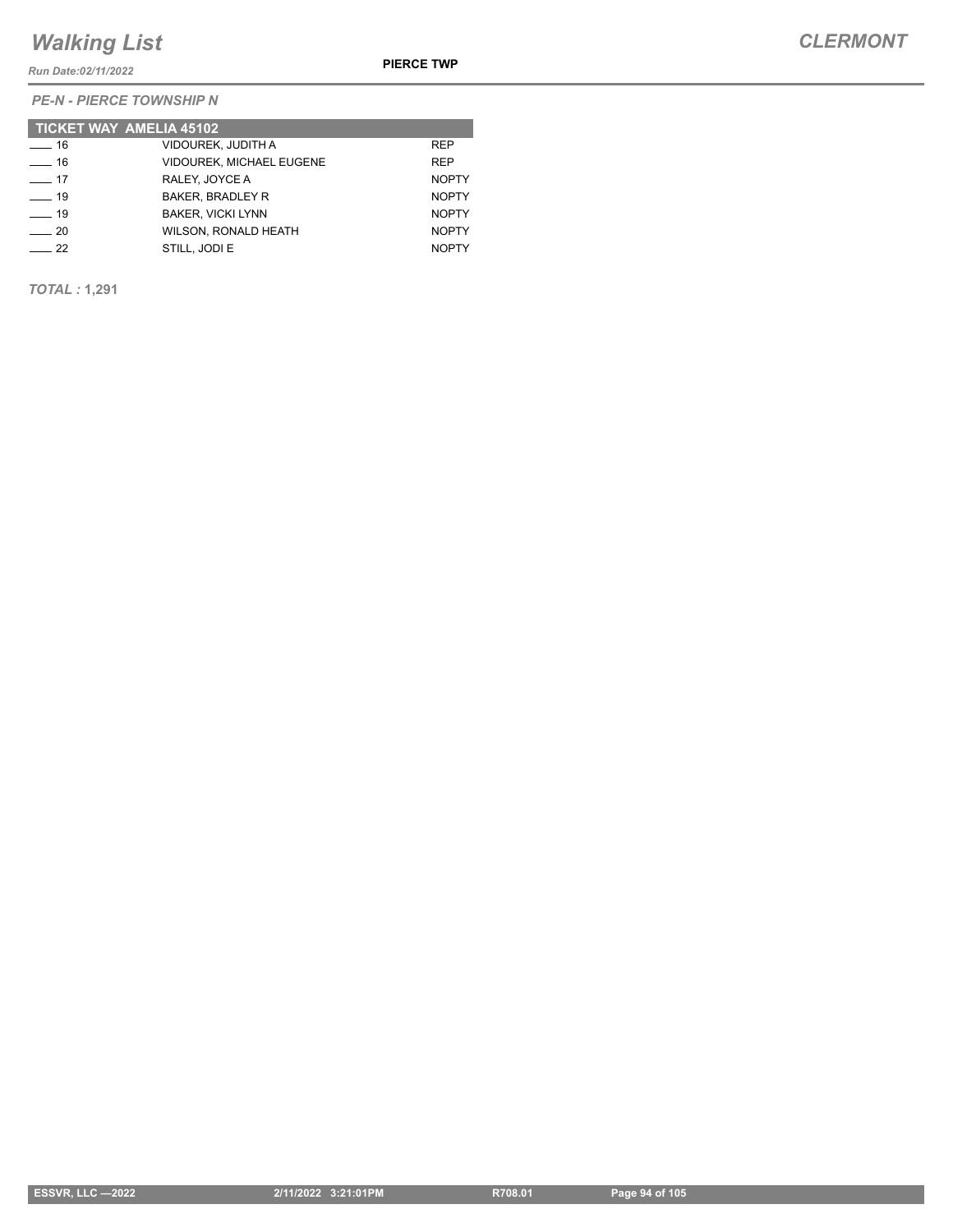*Run Date:02/11/2022*

*PE-N - PIERCE TOWNSHIP N*

|                  | <b>TICKET WAY AMELIA 45102</b>  |              |
|------------------|---------------------------------|--------------|
| $\frac{1}{6}$ 16 | VIDOUREK, JUDITH A              | <b>REP</b>   |
| $-16$            | <b>VIDOUREK. MICHAEL EUGENE</b> | <b>REP</b>   |
| $\sim$ 17        | RALEY, JOYCE A                  | <b>NOPTY</b> |
| $\equiv$ 19      | <b>BAKER, BRADLEY R</b>         | <b>NOPTY</b> |
| $\frac{1}{9}$    | <b>BAKER, VICKI LYNN</b>        | <b>NOPTY</b> |
| $\sim$ 20        | <b>WILSON, RONALD HEATH</b>     | <b>NOPTY</b> |
| 22               | STILL, JODI E                   | <b>NOPTY</b> |

*TOTAL :* **1,291**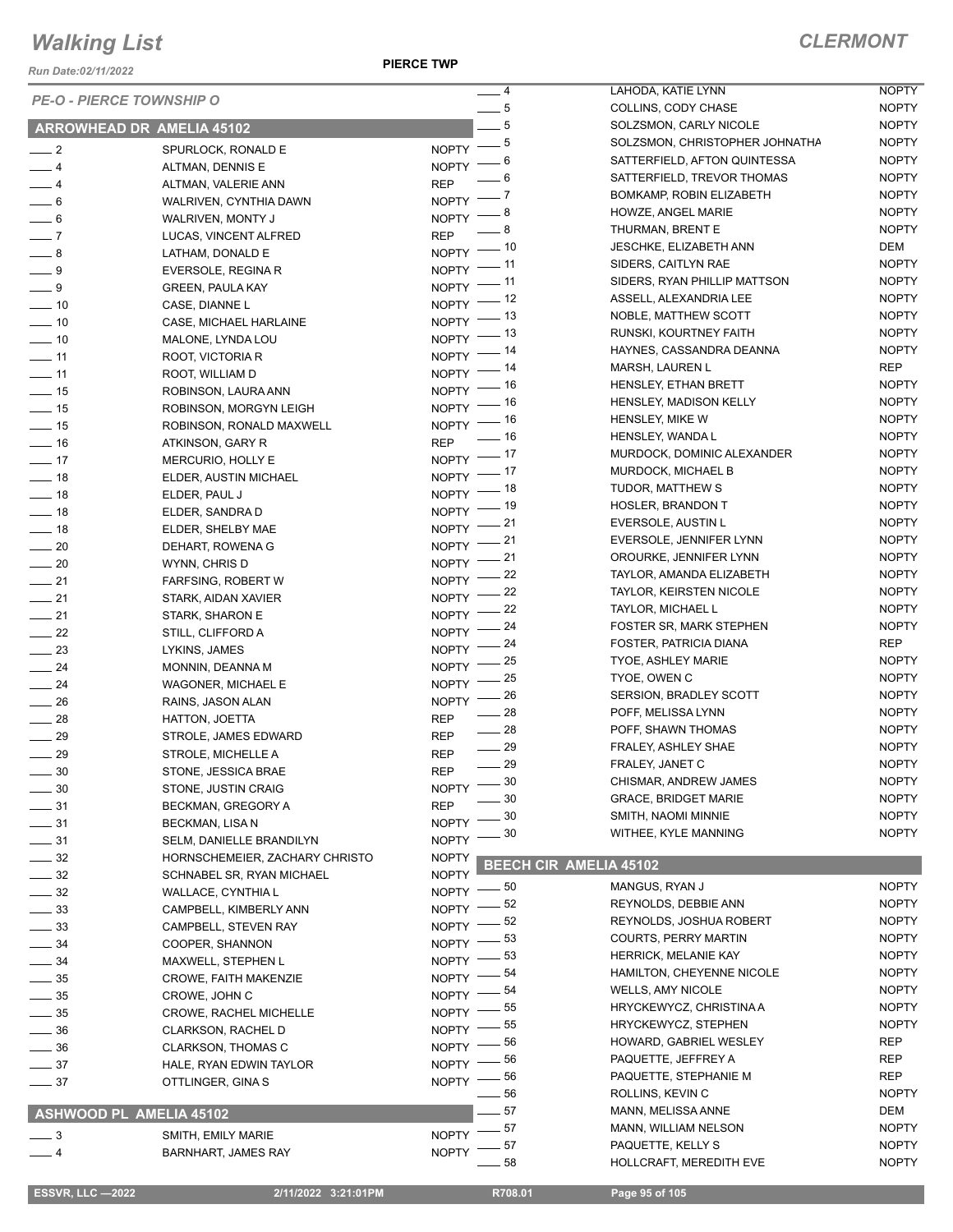*Run Date:02/11/2022*

**PIERCE TWP**

| <b>PE-O - PIERCE TOWNSHIP O</b> |                                  |                    | $-4$           | LAHODA, KATIE LYNN             | <b>NOPTY</b> |
|---------------------------------|----------------------------------|--------------------|----------------|--------------------------------|--------------|
|                                 |                                  |                    | $-5$           | COLLINS, CODY CHASE            | <b>NOPTY</b> |
|                                 | <b>ARROWHEAD DR AMELIA 45102</b> |                    | $-5$           | SOLZSMON, CARLY NICOLE         | <b>NOPTY</b> |
| $\frac{1}{2}$                   | SPURLOCK, RONALD E               | NOPTY -            | - 5            | SOLZSMON, CHRISTOPHER JOHNATHA | <b>NOPTY</b> |
| $-4$                            | ALTMAN, DENNIS E                 | <b>NOPTY</b>       | 6              | SATTERFIELD, AFTON QUINTESSA   | <b>NOPTY</b> |
| $-4$                            | ALTMAN, VALERIE ANN              | <b>REP</b>         | 6              | SATTERFIELD, TREVOR THOMAS     | <b>NOPTY</b> |
| $\frac{1}{2}$ 6                 | WALRIVEN, CYNTHIA DAWN           | <b>NOPTY</b>       | - 7            | BOMKAMP, ROBIN ELIZABETH       | <b>NOPTY</b> |
| $\frac{1}{\sqrt{2}}$ 6          | WALRIVEN, MONTY J                | <b>NOPTY</b>       | - 8            | HOWZE, ANGEL MARIE             | <b>NOPTY</b> |
| $\overline{\phantom{0}}$ 7      | LUCAS, VINCENT ALFRED            | <b>REP</b>         | - 8            | THURMAN, BRENT E               | <b>NOPTY</b> |
| $-8$                            | LATHAM, DONALD E                 | NOPTY -            | _ 10           | JESCHKE, ELIZABETH ANN         | DEM          |
| $\overline{\phantom{0}}$ 9      | EVERSOLE, REGINA R               | $N$ OPTY -         | __ 11          | SIDERS, CAITLYN RAE            | <b>NOPTY</b> |
| $-9$                            | <b>GREEN, PAULA KAY</b>          | $NOPTY$ -- 11      |                | SIDERS, RYAN PHILLIP MATTSON   | <b>NOPTY</b> |
| $\frac{1}{2}$ 10                | CASE, DIANNE L                   | NOPTY $-$ 12       |                | ASSELL, ALEXANDRIA LEE         | <b>NOPTY</b> |
| $\sim$ 10                       | CASE, MICHAEL HARLAINE           | $N$ OPTY $-$       | _ 13           | NOBLE, MATTHEW SCOTT           | <b>NOPTY</b> |
| $\frac{1}{2}$ 10                | MALONE, LYNDA LOU                | NOPTY <sup>-</sup> | _ 13           | RUNSKI, KOURTNEY FAITH         | <b>NOPTY</b> |
| $-11$                           | ROOT, VICTORIA R                 | NOPTY <sup>-</sup> | _ 14           | HAYNES, CASSANDRA DEANNA       | <b>NOPTY</b> |
| $-11$                           | ROOT, WILLIAM D                  | $NOPTY =$          | _ 14           | MARSH, LAUREN L                | <b>REP</b>   |
| $\frac{1}{2}$ 15                | ROBINSON, LAURA ANN              | $N$ OPTY -         | _ 16           | HENSLEY, ETHAN BRETT           | <b>NOPTY</b> |
| $\frac{1}{2}$ 15                | ROBINSON, MORGYN LEIGH           | NOPTY - 16         |                | HENSLEY, MADISON KELLY         | <b>NOPTY</b> |
| $\frac{1}{2}$ 15                | ROBINSON, RONALD MAXWELL         | NOPTY -            | _ 16           | HENSLEY, MIKE W                | <b>NOPTY</b> |
| $\frac{1}{2}$ 16                | ATKINSON, GARY R                 | <b>REP</b>         | $=$ 16         | HENSLEY, WANDA L               | <b>NOPTY</b> |
| $\frac{1}{2}$ 17                | MERCURIO, HOLLY E                | $NOPTY = 17$       |                | MURDOCK, DOMINIC ALEXANDER     | <b>NOPTY</b> |
| $\frac{1}{2}$ 18                | ELDER, AUSTIN MICHAEL            | $N$ OPTY $-$       | $-17$          | MURDOCK, MICHAEL B             | <b>NOPTY</b> |
| $\frac{1}{2}$ 18                | ELDER, PAUL J                    | $NOPTY$ - 18       |                | TUDOR, MATTHEW S               | <b>NOPTY</b> |
| $\frac{1}{2}$ 18                | ELDER, SANDRA D                  | $NOPTY$ - 19       |                | <b>HOSLER, BRANDON T</b>       | <b>NOPTY</b> |
| $\frac{1}{2}$ 18                | ELDER, SHELBY MAE                | $NOPTY$ -21        |                | EVERSOLE, AUSTIN L             | <b>NOPTY</b> |
| $\sim$ 20                       | DEHART, ROWENA G                 | NOPTY -            | _ 21           | EVERSOLE, JENNIFER LYNN        | <b>NOPTY</b> |
| $\sim$ 20                       | WYNN, CHRIS D                    | NOPTY <sup>-</sup> | - 21           | OROURKE, JENNIFER LYNN         | <b>NOPTY</b> |
| $\frac{1}{21}$                  | <b>FARFSING, ROBERT W</b>        | <b>NOPTY</b>       | 22             | TAYLOR, AMANDA ELIZABETH       | <b>NOPTY</b> |
| $\frac{1}{21}$                  | STARK, AIDAN XAVIER              | <b>NOPTY</b>       | 22             | <b>TAYLOR, KEIRSTEN NICOLE</b> | <b>NOPTY</b> |
| $\sim$ 21                       | STARK, SHARON E                  | <b>NOPTY</b>       | 22             | TAYLOR, MICHAEL L              | <b>NOPTY</b> |
| $\frac{22}{2}$                  | STILL, CLIFFORD A                | <b>NOPTY</b>       | 24             | <b>FOSTER SR, MARK STEPHEN</b> | <b>NOPTY</b> |
| $\frac{1}{2}$                   | LYKINS, JAMES                    | <b>NOPTY</b>       | 24             | FOSTER, PATRICIA DIANA         | <b>REP</b>   |
| $\frac{1}{24}$                  | MONNIN, DEANNA M                 | <b>NOPTY</b>       | 25             | <b>TYOE, ASHLEY MARIE</b>      | <b>NOPTY</b> |
| $\frac{1}{24}$                  | WAGONER, MICHAEL E               | <b>NOPTY</b>       | 25             | TYOE, OWEN C                   | <b>NOPTY</b> |
| $\frac{1}{26}$                  | RAINS, JASON ALAN                | <b>NOPTY</b>       | - 26           | SERSION, BRADLEY SCOTT         | <b>NOPTY</b> |
| $\frac{1}{28}$                  | HATTON, JOETTA                   | <b>REP</b>         | - 28           | POFF, MELISSA LYNN             | <b>NOPTY</b> |
| $\frac{1}{29}$                  | STROLE, JAMES EDWARD             | <b>REP</b>         | $\frac{1}{28}$ | POFF, SHAWN THOMAS             | <b>NOPTY</b> |
| $\frac{1}{29}$                  | STROLE, MICHELLE A               | <b>REP</b>         | $\frac{1}{29}$ | FRALEY, ASHLEY SHAE            | <b>NOPTY</b> |
| $\frac{1}{2}$ 30                | STONE, JESSICA BRAE              | <b>REP</b>         | $\frac{1}{29}$ | FRALEY, JANET C                | <b>NOPTY</b> |
| $\frac{1}{2}$ 30                | STONE, JUSTIN CRAIG              | $NOPTY = 30$       |                | CHISMAR, ANDREW JAMES          | <b>NOPTY</b> |
| $\frac{1}{2}$ 31                | BECKMAN, GREGORY A               | <b>REP</b>         | 30             | <b>GRACE, BRIDGET MARIE</b>    | <b>NOPTY</b> |
| $\frac{1}{2}$ 31                | BECKMAN, LISA N                  | <b>NOPTY</b>       | 30             | SMITH, NAOMI MINNIE            | <b>NOPTY</b> |
| $\frac{1}{2}$ 31                | SELM, DANIELLE BRANDILYN         | <b>NOPTY</b>       | 30             | WITHEE, KYLE MANNING           | <b>NOPTY</b> |
| $\frac{32}{2}$                  | HORNSCHEMEIER, ZACHARY CHRISTO   | <b>NOPTY</b>       |                |                                |              |
| $\frac{1}{2}$ 32                | SCHNABEL SR, RYAN MICHAEL        | <b>NOPTY</b>       |                | <b>BEECH CIR AMELIA 45102</b>  |              |
| $\frac{1}{2}$ 32                | WALLACE, CYNTHIA L               | NOPTY $-$ 50       |                | MANGUS, RYAN J                 | <b>NOPTY</b> |
| $\frac{1}{2}$ 33                | CAMPBELL, KIMBERLY ANN           | NOPTY $-$ 52       |                | REYNOLDS, DEBBIE ANN           | <b>NOPTY</b> |
| $\frac{1}{2}$ 33                | CAMPBELL, STEVEN RAY             | $N$ OPTY -         | _ 52           | REYNOLDS, JOSHUA ROBERT        | <b>NOPTY</b> |
| $\frac{1}{2}$ 34                | COOPER, SHANNON                  | NOPTY $-$ 53       |                | <b>COURTS, PERRY MARTIN</b>    | <b>NOPTY</b> |
| $\frac{1}{2}$ 34                | MAXWELL, STEPHEN L               | NOPTY $-$          | . 53           | HERRICK, MELANIE KAY           | <b>NOPTY</b> |
| $\frac{1}{2}$ 35                | <b>CROWE, FAITH MAKENZIE</b>     | $NOPTY$ -          | - 54           | HAMILTON, CHEYENNE NICOLE      | <b>NOPTY</b> |
| $\frac{1}{2}$ 35                | CROWE, JOHN C                    | $NOPTY$ -          | 54             | <b>WELLS, AMY NICOLE</b>       | <b>NOPTY</b> |
| $\frac{1}{2}$ 35                | CROWE, RACHEL MICHELLE           | NOPTY $-$ 55       |                | HRYCKEWYCZ, CHRISTINA A        | <b>NOPTY</b> |
| $\frac{1}{2}$ 36                | CLARKSON, RACHEL D               | NOPTY $-$ 55       |                | HRYCKEWYCZ, STEPHEN            | <b>NOPTY</b> |
| $\frac{1}{2}$ 36                | <b>CLARKSON, THOMAS C</b>        | $NOPTY =$          | - 56           | HOWARD, GABRIEL WESLEY         | REP          |
| $\frac{1}{2}$ 37                | HALE, RYAN EDWIN TAYLOR          | NOPTY $-$ 56       |                | PAQUETTE, JEFFREY A            | REP          |
| $\frac{1}{2}$ 37                | OTTLINGER, GINA S                | $NOPTY$ -          | _ 56           | PAQUETTE, STEPHANIE M          | REP          |
|                                 |                                  |                    | - 56           | ROLLINS, KEVIN C               | <b>NOPTY</b> |
| ASHWOOD PL AMELIA 45102         |                                  |                    | 57             | MANN, MELISSA ANNE             | DEM          |
| $\frac{1}{2}$                   | SMITH, EMILY MARIE               | $NOPTY =$          | . 57           | MANN, WILLIAM NELSON           | <b>NOPTY</b> |
| $-4$                            | <b>BARNHART, JAMES RAY</b>       | <b>NOPTY</b>       | - 57           | PAQUETTE, KELLY S              | <b>NOPTY</b> |
|                                 |                                  |                    | 58             | HOLLCRAFT, MEREDITH EVE        | <b>NOPTY</b> |
|                                 |                                  |                    |                |                                |              |

 **ESSVR, LLC —2022 2/11/2022 3:21:01PM R708.01 Page 95 of 105**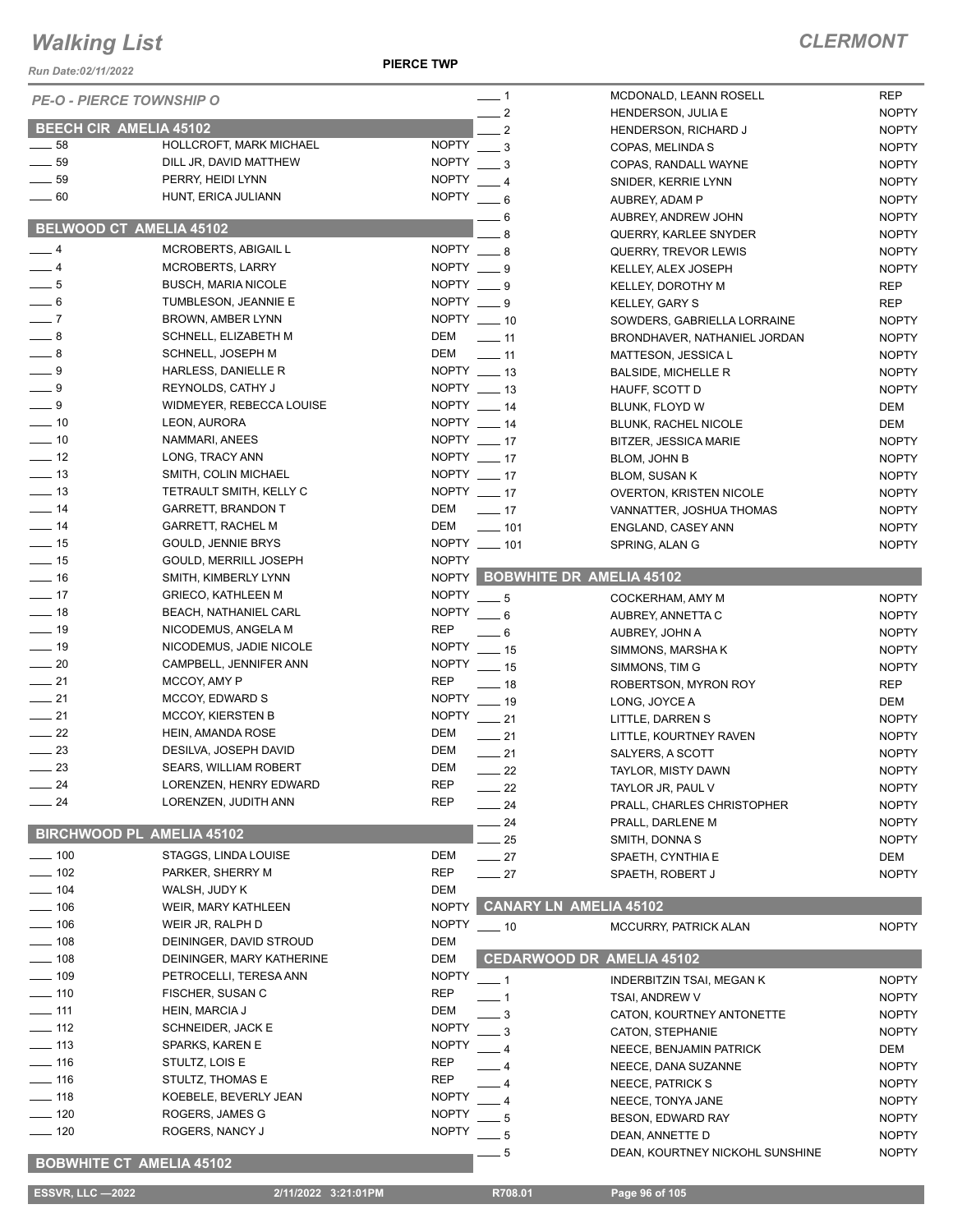*Run Date:02/11/2022*

**PIERCE TWP**

| <b>Run Date:02/11/2022</b>      |                                  |                                    |                                                        |                            |
|---------------------------------|----------------------------------|------------------------------------|--------------------------------------------------------|----------------------------|
| <b>PE-O - PIERCE TOWNSHIP O</b> |                                  | $-1$<br>$-2$                       | MCDONALD, LEANN ROSELL<br><b>HENDERSON, JULIA E</b>    | <b>REP</b><br><b>NOPTY</b> |
| <b>BEECH CIR AMELIA 45102</b>   |                                  | - 2                                | HENDERSON, RICHARD J                                   | <b>NOPTY</b>               |
| $\frac{1}{2}$ 58                | HOLLCROFT, MARK MICHAEL          | <b>NOPTY</b><br>3                  | COPAS, MELINDA S                                       | <b>NOPTY</b>               |
| $\frac{1}{2}$ 59                | DILL JR, DAVID MATTHEW           | <b>NOPTY</b><br>3                  | COPAS, RANDALL WAYNE                                   | <b>NOPTY</b>               |
| $\frac{1}{2}$ 59                | PERRY, HEIDI LYNN                | <b>NOPTY</b><br>$\overline{4}$     | SNIDER, KERRIE LYNN                                    | <b>NOPTY</b>               |
| $\frac{1}{2}$ 60                | HUNT, ERICA JULIANN              | <b>NOPTY</b><br>$-6$               | AUBREY, ADAM P                                         | <b>NOPTY</b>               |
|                                 |                                  | 6                                  | AUBREY, ANDREW JOHN                                    | <b>NOPTY</b>               |
|                                 | <b>BELWOOD CT AMELIA 45102</b>   | 8                                  | QUERRY, KARLEE SNYDER                                  | <b>NOPTY</b>               |
| $-4$                            | MCROBERTS, ABIGAIL L             | NOPTY $\_\_\$ 8                    | QUERRY, TREVOR LEWIS                                   | <b>NOPTY</b>               |
| $-4$                            | <b>MCROBERTS, LARRY</b>          | NOPTY 9                            | KELLEY, ALEX JOSEPH                                    | <b>NOPTY</b>               |
| $\frac{1}{2}$ 5                 | <b>BUSCH, MARIA NICOLE</b>       | NOPTY $\_\_9$                      | KELLEY, DOROTHY M                                      | <b>REP</b>                 |
| $\equiv$ 6                      | TUMBLESON, JEANNIE E             | NOPTY $\_\_9$                      | KELLEY, GARY S                                         | <b>REP</b>                 |
| $-7$                            | BROWN, AMBER LYNN                | NOPTY __ 10                        | SOWDERS, GABRIELLA LORRAINE                            | <b>NOPTY</b>               |
| $-8$                            | SCHNELL, ELIZABETH M             | DEM<br>$\overline{\phantom{0}}$ 11 | BRONDHAVER, NATHANIEL JORDAN                           | <b>NOPTY</b>               |
| $-8$                            | <b>SCHNELL, JOSEPH M</b>         | DEM<br>$\frac{1}{2}$ 11            | MATTESON, JESSICA L                                    | <b>NOPTY</b>               |
| $-9$                            | HARLESS, DANIELLE R              | NOPTY __ 13                        | <b>BALSIDE, MICHELLE R</b>                             | <b>NOPTY</b>               |
| $-9$                            | REYNOLDS, CATHY J                | $NOPTY$ ____ 13                    | HAUFF, SCOTT D                                         | <b>NOPTY</b>               |
| $-9$                            | WIDMEYER, REBECCA LOUISE         | NOPTY __ 14                        | BLUNK, FLOYD W                                         | DEM                        |
| $\sim$ 10                       | LEON, AURORA                     | NOPTY 14                           | <b>BLUNK, RACHEL NICOLE</b>                            | DEM                        |
| $\sim$ 10                       | NAMMARI, ANEES                   | NOPTY __ 17                        | <b>BITZER, JESSICA MARIE</b>                           | <b>NOPTY</b>               |
| $\frac{1}{2}$ 12                | LONG, TRACY ANN                  | NOPTY $-17$                        | <b>BLOM, JOHN B</b>                                    | <b>NOPTY</b>               |
| $\frac{1}{2}$ 13                | SMITH, COLIN MICHAEL             | NOPTY $-17$                        |                                                        | <b>NOPTY</b>               |
| $\frac{1}{2}$ 13                | TETRAULT SMITH, KELLY C          | NOPTY __ 17                        | <b>BLOM, SUSAN K</b><br><b>OVERTON, KRISTEN NICOLE</b> | <b>NOPTY</b>               |
| $\frac{1}{2}$ 14                | <b>GARRETT, BRANDON T</b>        | DEM<br>$\frac{1}{2}$ 17            | VANNATTER, JOSHUA THOMAS                               | <b>NOPTY</b>               |
| $\frac{1}{2}$ 14                | <b>GARRETT, RACHEL M</b>         | DEM<br>$- 101$                     |                                                        |                            |
| $\frac{1}{2}$ 15                | GOULD, JENNIE BRYS               | NOPTY __ 101                       | ENGLAND, CASEY ANN                                     | <b>NOPTY</b>               |
| $\frac{1}{2}$ 15                | GOULD, MERRILL JOSEPH            | <b>NOPTY</b>                       | SPRING, ALAN G                                         | <b>NOPTY</b>               |
| $\frac{1}{16}$                  | SMITH, KIMBERLY LYNN             |                                    | NOPTY BOBWHITE DR AMELIA 45102                         |                            |
| $-17$                           | <b>GRIECO, KATHLEEN M</b>        | <b>NOPTY</b>                       |                                                        |                            |
| $\frac{1}{2}$ 18                | BEACH, NATHANIEL CARL            | $-5$<br><b>NOPTY</b>               | COCKERHAM, AMY M                                       | <b>NOPTY</b>               |
| $\frac{1}{2}$ 19                | NICODEMUS, ANGELA M              | $-6$<br><b>REP</b>                 | AUBREY, ANNETTA C                                      | <b>NOPTY</b>               |
| $\frac{1}{2}$ 19                | NICODEMUS, JADIE NICOLE          | . 6<br><b>NOPTY</b>                | AUBREY, JOHN A                                         | <b>NOPTY</b>               |
| $\frac{1}{20}$                  | CAMPBELL, JENNIFER ANN           | $\equiv$ 15<br><b>NOPTY</b>        | SIMMONS, MARSHA K                                      | <b>NOPTY</b>               |
| $\frac{1}{21}$                  | MCCOY, AMY P                     | $\frac{1}{2}$ 15<br><b>REP</b>     | SIMMONS, TIM G                                         | <b>NOPTY</b>               |
| $\frac{1}{21}$                  | MCCOY, EDWARD S                  | $-18$<br>NOPTY __ 19               | ROBERTSON, MYRON ROY                                   | <b>REP</b>                 |
| $\frac{1}{21}$                  | <b>MCCOY, KIERSTEN B</b>         | NOPTY __ 21                        | LONG, JOYCE A                                          | DEM                        |
| $\frac{1}{22}$                  | HEIN, AMANDA ROSE                | DEM                                | LITTLE, DARREN S                                       | <b>NOPTY</b>               |
| $\frac{1}{2}$ 23                | DESILVA, JOSEPH DAVID            | $\frac{1}{21}$<br>DEM              | LITTLE, KOURTNEY RAVEN                                 | <b>NOPTY</b>               |
| $-23$                           | SEARS, WILLIAM ROBERT            | $\frac{1}{21}$<br>DEM              | SALYERS, A SCOTT                                       | <b>NOPTY</b>               |
|                                 |                                  | $-22$<br><b>REP</b>                | TAYLOR, MISTY DAWN                                     | <b>NOPTY</b>               |
| $\frac{1}{24}$                  | LORENZEN, HENRY EDWARD           | 22                                 | TAYLOR JR, PAUL V                                      | <b>NOPTY</b>               |
| $\frac{1}{24}$                  | LORENZEN, JUDITH ANN             | REP<br>24                          | PRALL, CHARLES CHRISTOPHER                             | <b>NOPTY</b>               |
|                                 | <b>BIRCHWOOD PL AMELIA 45102</b> | 24                                 | PRALL, DARLENE M                                       | <b>NOPTY</b>               |
|                                 |                                  | 25                                 | SMITH, DONNA S                                         | <b>NOPTY</b>               |
| $\frac{1}{2}$ 100               | STAGGS, LINDA LOUISE             | DEM<br>$\frac{1}{27}$              | SPAETH, CYNTHIA E                                      | DEM                        |
| $- 102$                         | PARKER, SHERRY M                 | <b>REP</b><br>$-27$                | SPAETH, ROBERT J                                       | <b>NOPTY</b>               |
| $- 104$                         | WALSH, JUDY K                    | DEM                                |                                                        |                            |
| $- 106$                         | WEIR, MARY KATHLEEN              | <b>NOPTY</b>                       | <b>CANARY LN AMELIA 45102</b>                          |                            |
| $\frac{1}{2}$ 106               | WEIR JR, RALPH D                 | <b>NOPTY</b><br>$\frac{1}{2}$ 10   | MCCURRY, PATRICK ALAN                                  | <b>NOPTY</b>               |
| $\frac{1}{2}$ 108               | DEININGER, DAVID STROUD          | DEM                                |                                                        |                            |
| $\frac{1}{2}$ 108               | DEININGER, MARY KATHERINE        | DEM                                | <b>CEDARWOOD DR AMELIA 45102</b>                       |                            |
| $\frac{1}{2}$ 109               | PETROCELLI, TERESA ANN           | <b>NOPTY</b><br>- 1                | <b>INDERBITZIN TSAI, MEGAN K</b>                       | <b>NOPTY</b>               |
| $\frac{1}{2}$ 110               | FISCHER, SUSAN C                 | REP                                | TSAI, ANDREW V                                         | <b>NOPTY</b>               |
| $- 111$                         | HEIN, MARCIA J                   | DEM<br>3                           | CATON, KOURTNEY ANTONETTE                              | <b>NOPTY</b>               |
| $-112$                          | SCHNEIDER, JACK E                | <b>NOPTY</b><br>3                  | CATON, STEPHANIE                                       | <b>NOPTY</b>               |
| $\frac{1}{2}$ 113               | SPARKS, KAREN E                  | <b>NOPTY</b>                       | NEECE, BENJAMIN PATRICK                                | DEM                        |
| $- 116$                         | STULTZ, LOIS E                   | REP                                | NEECE, DANA SUZANNE                                    | <b>NOPTY</b>               |
| $- 116$                         | STULTZ, THOMAS E                 | REP                                | NEECE, PATRICK S                                       | <b>NOPTY</b>               |
| $\frac{1}{2}$ 118               | KOEBELE, BEVERLY JEAN            | <b>NOPTY</b>                       | NEECE, TONYA JANE                                      | <b>NOPTY</b>               |
| $-120$                          | ROGERS, JAMES G                  | <b>NOPTY</b><br>5                  | <b>BESON, EDWARD RAY</b>                               | <b>NOPTY</b>               |
| $- 120$                         | ROGERS, NANCY J                  | <b>NOPTY</b><br>5                  | DEAN, ANNETTE D                                        | <b>NOPTY</b>               |
|                                 |                                  | 5                                  | DEAN, KOURTNEY NICKOHL SUNSHINE                        | <b>NOPTY</b>               |
|                                 | <b>BOBWHITE CT AMELIA 45102</b>  |                                    |                                                        |                            |
| <b>ESSVR, LLC -2022</b>         | 2/11/2022 3:21:01PM              | R708.01                            | Page 96 of 105                                         |                            |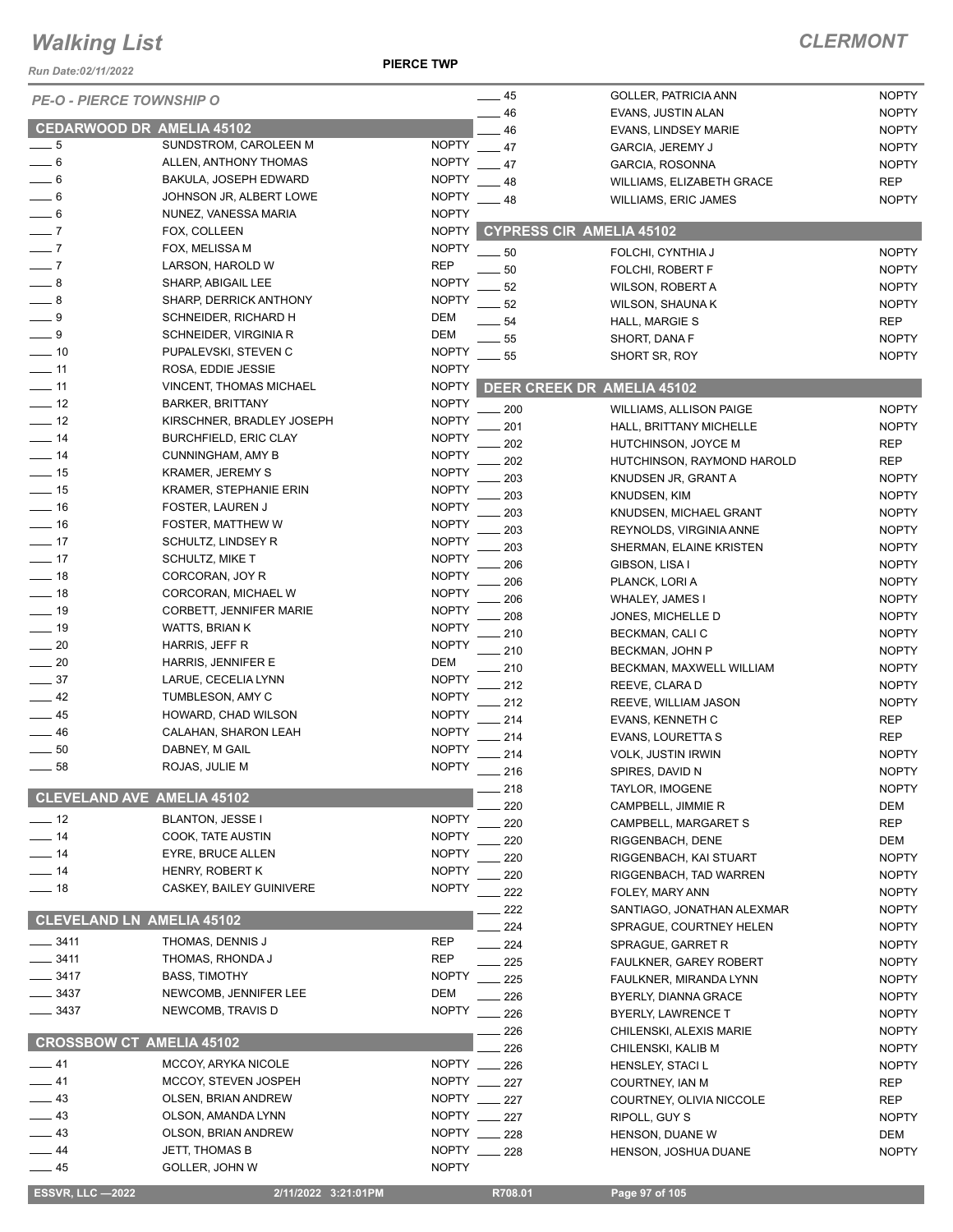*Run Date:02/11/2022*

**PIERCE TWP**

| 11/2012 ו <i>שט</i> וחות השפ      |                                           |                              |                                   |                                               |                              |
|-----------------------------------|-------------------------------------------|------------------------------|-----------------------------------|-----------------------------------------------|------------------------------|
| <b>PE-O - PIERCE TOWNSHIP O</b>   |                                           |                              | $-45$                             | GOLLER, PATRICIA ANN                          | <b>NOPTY</b>                 |
|                                   |                                           |                              | 46                                | EVANS, JUSTIN ALAN                            | <b>NOPTY</b>                 |
| <b>CEDARWOOD DR AMELIA 45102</b>  |                                           |                              | 46                                | <b>EVANS, LINDSEY MARIE</b>                   | <b>NOPTY</b>                 |
| $-5$                              | SUNDSTROM, CAROLEEN M                     | <b>NOPTY</b>                 | 47                                | GARCIA, JEREMY J                              | <b>NOPTY</b>                 |
| $-6$                              | ALLEN, ANTHONY THOMAS                     | <b>NOPTY</b>                 | 47                                | GARCIA, ROSONNA                               | <b>NOPTY</b>                 |
| $-6$                              | <b>BAKULA, JOSEPH EDWARD</b>              | <b>NOPTY</b>                 | 48                                | <b>WILLIAMS, ELIZABETH GRACE</b>              | <b>REP</b>                   |
| $\frac{1}{2}$ 6                   | JOHNSON JR, ALBERT LOWE                   | <b>NOPTY</b>                 | 48                                | <b>WILLIAMS, ERIC JAMES</b>                   | <b>NOPTY</b>                 |
| $= 6$                             | NUNEZ, VANESSA MARIA                      | <b>NOPTY</b>                 |                                   |                                               |                              |
| $-7$                              | FOX, COLLEEN                              | <b>NOPTY</b>                 | <b>CYPRESS CIR AMELIA 45102</b>   |                                               |                              |
| $\overline{\phantom{0}}$ 7        | FOX, MELISSA M                            | <b>NOPTY</b>                 | 50                                | FOLCHI, CYNTHIA J                             | <b>NOPTY</b>                 |
| $\overline{\phantom{0}}$ 7        | LARSON, HAROLD W                          | <b>REP</b>                   | 50                                | FOLCHI, ROBERT F                              | <b>NOPTY</b>                 |
| $\_\_\$ 8                         | SHARP, ABIGAIL LEE                        | <b>NOPTY</b>                 | 52                                | <b>WILSON, ROBERT A</b>                       | <b>NOPTY</b>                 |
| $-8$                              | <b>SHARP, DERRICK ANTHONY</b>             | <b>NOPTY</b>                 | 52                                | WILSON, SHAUNA K                              | <b>NOPTY</b>                 |
| $-9$                              | SCHNEIDER, RICHARD H                      | DEM                          | 54                                | HALL, MARGIE S                                | <b>REP</b>                   |
| $-9$                              | SCHNEIDER, VIRGINIA R                     | <b>DEM</b>                   | 55                                | SHORT, DANA F                                 | <b>NOPTY</b>                 |
| $\overline{\phantom{0}}$ 10       | PUPALEVSKI, STEVEN C                      | <b>NOPTY</b>                 | 55                                | SHORT SR, ROY                                 | <b>NOPTY</b>                 |
| $\frac{1}{2}$ 11                  | ROSA, EDDIE JESSIE                        | <b>NOPTY</b>                 |                                   |                                               |                              |
| $-11$                             | <b>VINCENT, THOMAS MICHAEL</b>            | <b>NOPTY</b>                 | <b>DEER CREEK DR AMELIA 45102</b> |                                               |                              |
| $\frac{1}{2}$ 12                  | <b>BARKER, BRITTANY</b>                   | <b>NOPTY</b>                 | 200                               | <b>WILLIAMS, ALLISON PAIGE</b>                | <b>NOPTY</b>                 |
| $\frac{1}{2}$ 12                  | KIRSCHNER, BRADLEY JOSEPH                 | <b>NOPTY</b>                 | 201                               | HALL, BRITTANY MICHELLE                       | <b>NOPTY</b>                 |
| $-14$                             | <b>BURCHFIELD, ERIC CLAY</b>              | <b>NOPTY</b>                 | 202                               | HUTCHINSON, JOYCE M                           | REP                          |
| $-14$                             | <b>CUNNINGHAM, AMY B</b>                  | <b>NOPTY</b>                 | 202                               | HUTCHINSON, RAYMOND HAROLD                    | <b>REP</b>                   |
| $-15$                             | <b>KRAMER, JEREMY S</b>                   | <b>NOPTY</b>                 | 203                               | KNUDSEN JR, GRANT A                           | <b>NOPTY</b>                 |
| $\frac{1}{2}$ 15                  | KRAMER, STEPHANIE ERIN                    | <b>NOPTY</b>                 | 203                               | <b>KNUDSEN, KIM</b>                           | <b>NOPTY</b>                 |
| $\frac{1}{16}$                    | FOSTER, LAUREN J                          | <b>NOPTY</b>                 | 203                               | KNUDSEN, MICHAEL GRANT                        | <b>NOPTY</b>                 |
| $\frac{1}{16}$                    | FOSTER, MATTHEW W                         | <b>NOPTY</b>                 | 203                               | REYNOLDS, VIRGINIA ANNE                       | <b>NOPTY</b>                 |
| $\frac{1}{2}$ 17                  | SCHULTZ, LINDSEY R                        | <b>NOPTY</b>                 | 203                               | SHERMAN, ELAINE KRISTEN                       | <b>NOPTY</b>                 |
| $-17$<br>$\equiv$ 18              | <b>SCHULTZ, MIKE T</b>                    | <b>NOPTY</b>                 | 206                               | GIBSON, LISA I                                | <b>NOPTY</b>                 |
| $\equiv$ 18                       | CORCORAN, JOY R                           | <b>NOPTY</b><br><b>NOPTY</b> | 206                               | PLANCK, LORI A                                | <b>NOPTY</b>                 |
| $-19$                             | CORCORAN, MICHAEL W                       | <b>NOPTY</b>                 | 206                               | WHALEY, JAMES I                               | <b>NOPTY</b>                 |
| $\frac{1}{2}$ 19                  | CORBETT, JENNIFER MARIE<br>WATTS, BRIAN K | <b>NOPTY</b>                 | 208                               | JONES, MICHELLE D                             | <b>NOPTY</b>                 |
| $\sim$ 20                         |                                           | <b>NOPTY</b>                 | 210                               | BECKMAN, CALI C                               | <b>NOPTY</b>                 |
| $\frac{1}{20}$                    | HARRIS, JEFF R                            | DEM                          | 210                               | BECKMAN, JOHN P                               | <b>NOPTY</b>                 |
| $\frac{1}{2}$ 37                  | HARRIS, JENNIFER E<br>LARUE, CECELIA LYNN | <b>NOPTY</b>                 | 210                               | BECKMAN, MAXWELL WILLIAM                      | <b>NOPTY</b>                 |
| 42                                | TUMBLESON, AMY C                          | <b>NOPTY</b>                 | 212                               | REEVE, CLARA D                                | <b>NOPTY</b>                 |
| $-45$                             | HOWARD, CHAD WILSON                       | <b>NOPTY</b>                 | 212                               | REEVE, WILLIAM JASON                          | <b>NOPTY</b>                 |
| 46                                | CALAHAN, SHARON LEAH                      | <b>NOPTY</b>                 | 214                               | EVANS, KENNETH C                              | <b>REP</b>                   |
| 50                                | DABNEY, M GAIL                            | <b>NOPTY</b>                 | 214                               | EVANS, LOURETTA S                             | <b>REP</b>                   |
| 58                                | ROJAS, JULIE M                            | <b>NOPTY</b>                 | 214                               | <b>VOLK, JUSTIN IRWIN</b>                     | <b>NOPTY</b>                 |
|                                   |                                           |                              | $-216$                            | SPIRES, DAVID N                               | <b>NOPTY</b>                 |
| <b>CLEVELAND AVE AMELIA 45102</b> |                                           |                              | 218                               | <b>TAYLOR, IMOGENE</b>                        | <b>NOPTY</b>                 |
| $-12$                             | <b>BLANTON, JESSE I</b>                   | <b>NOPTY</b>                 | 220                               | CAMPBELL, JIMMIE R                            | DEM                          |
| $-14$                             | COOK, TATE AUSTIN                         | <b>NOPTY</b>                 | 220                               | CAMPBELL, MARGARET S                          | <b>REP</b>                   |
| $-14$                             | <b>EYRE, BRUCE ALLEN</b>                  | <b>NOPTY</b>                 | 220                               | RIGGENBACH, DENE                              | <b>DEM</b>                   |
| $-14$                             | HENRY, ROBERT K                           | <b>NOPTY</b>                 | 220                               | RIGGENBACH, KAI STUART                        | <b>NOPTY</b>                 |
| $\frac{1}{2}$ 18                  | CASKEY, BAILEY GUINIVERE                  | <b>NOPTY</b>                 | 220                               | RIGGENBACH, TAD WARREN                        | <b>NOPTY</b>                 |
|                                   |                                           |                              | 222                               | FOLEY, MARY ANN                               | <b>NOPTY</b>                 |
| <b>CLEVELAND LN AMELIA 45102</b>  |                                           |                              | 222                               | SANTIAGO, JONATHAN ALEXMAR                    | <b>NOPTY</b>                 |
| $-3411$                           | THOMAS, DENNIS J                          | <b>REP</b>                   | 224                               | SPRAGUE, COURTNEY HELEN                       | <b>NOPTY</b>                 |
| $-3411$                           | THOMAS, RHONDA J                          | <b>REP</b>                   | 224                               | SPRAGUE, GARRET R                             | <b>NOPTY</b>                 |
| $-3417$                           | <b>BASS, TIMOTHY</b>                      | <b>NOPTY</b>                 | 225<br>225                        | FAULKNER, GAREY ROBERT                        | <b>NOPTY</b>                 |
| $=$ 3437                          | NEWCOMB, JENNIFER LEE                     | <b>DEM</b>                   | 226                               | FAULKNER, MIRANDA LYNN                        | <b>NOPTY</b>                 |
| $\frac{1}{2}$ 3437                | NEWCOMB, TRAVIS D                         | <b>NOPTY</b>                 | 226                               | BYERLY, DIANNA GRACE                          | <b>NOPTY</b>                 |
|                                   |                                           |                              | 226                               | <b>BYERLY, LAWRENCE T</b>                     | <b>NOPTY</b><br><b>NOPTY</b> |
| <b>CROSSBOW CT AMELIA 45102</b>   |                                           |                              | 226                               | CHILENSKI, ALEXIS MARIE<br>CHILENSKI, KALIB M | <b>NOPTY</b>                 |
| __ 41                             | MCCOY, ARYKA NICOLE                       |                              | NOPTY __ 226                      | <b>HENSLEY, STACI L</b>                       | <b>NOPTY</b>                 |
| $-41$                             | MCCOY, STEVEN JOSPEH                      |                              | NOPTY __ 227                      | COURTNEY, IAN M                               | REP                          |
| $-43$                             | OLSEN, BRIAN ANDREW                       |                              | NOPTY __ 227                      | COURTNEY, OLIVIA NICCOLE                      | <b>REP</b>                   |
| _ 43                              | OLSON, AMANDA LYNN                        |                              | NOPTY __ 227                      | RIPOLL, GUY S                                 | <b>NOPTY</b>                 |
| - 43                              | OLSON, BRIAN ANDREW                       |                              | NOPTY __ 228                      | HENSON, DUANE W                               | DEM                          |
| 44                                | JETT, THOMAS B                            |                              | NOPTY 228                         | HENSON, JOSHUA DUANE                          | <b>NOPTY</b>                 |
| $\frac{1}{2}$ 45                  | GOLLER, JOHN W                            | <b>NOPTY</b>                 |                                   |                                               |                              |
|                                   |                                           |                              |                                   |                                               |                              |
| <b>ESSVR, LLC -2022</b>           | 2/11/2022 3:21:01PM                       |                              | R708.01                           | Page 97 of 105                                |                              |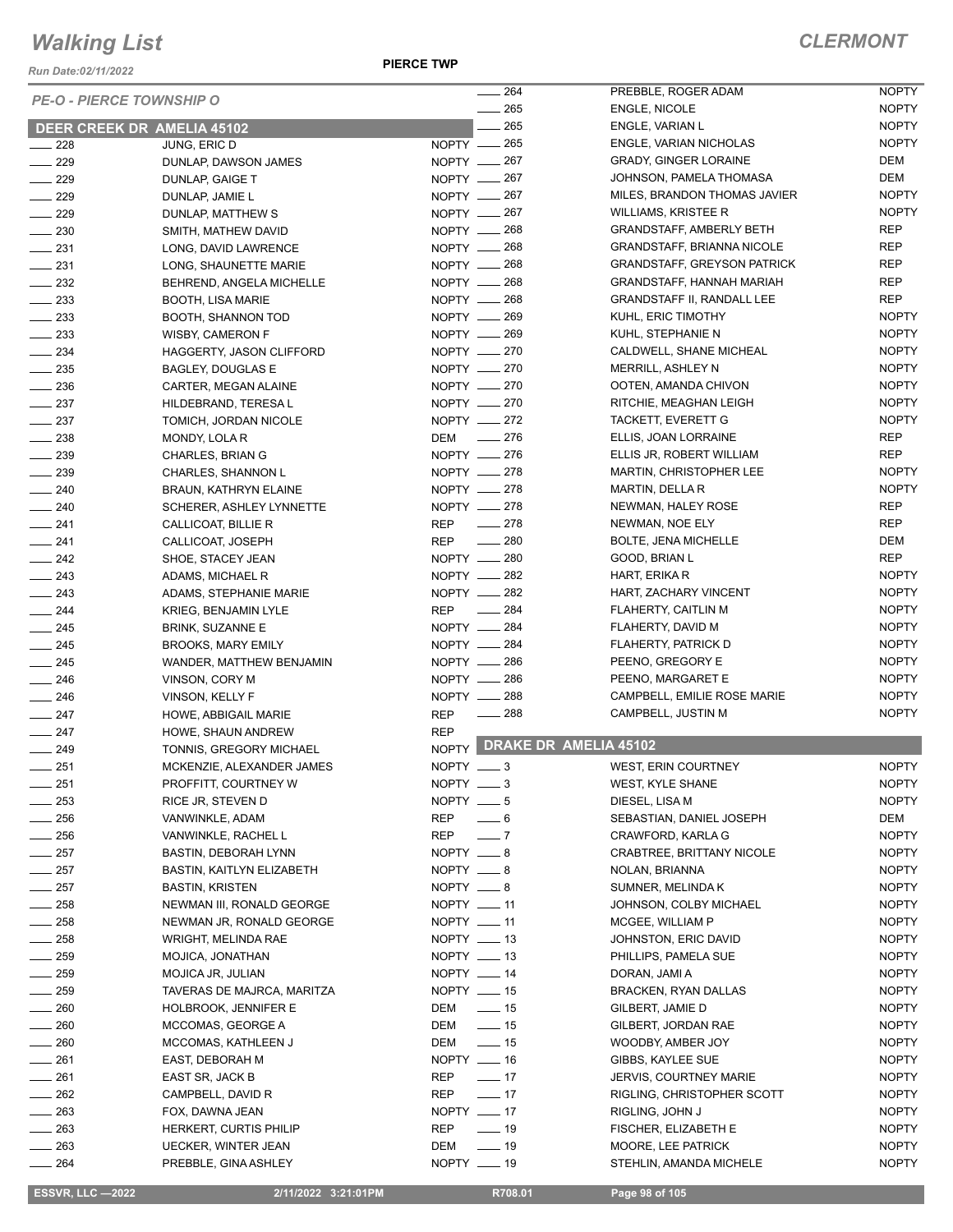*Run Date:02/11/2022*

**PIERCE TWP**

|                   |                                 | $\frac{1}{264}$                   |        | PREBBLE, ROGER ADAM                | <b>NOPTY</b> |
|-------------------|---------------------------------|-----------------------------------|--------|------------------------------------|--------------|
|                   | <b>PE-O - PIERCE TOWNSHIP O</b> | $- 265$                           |        | ENGLE, NICOLE                      | <b>NOPTY</b> |
|                   | DEER CREEK DR AMELIA 45102      |                                   | $-265$ | ENGLE, VARIAN L                    | <b>NOPTY</b> |
|                   |                                 | NOPTY __ 265                      |        | ENGLE, VARIAN NICHOLAS             | <b>NOPTY</b> |
| $\sim$ 228        | JUNG, ERIC D                    |                                   |        |                                    |              |
| $- 229$           | DUNLAP, DAWSON JAMES            | NOPTY - 267                       |        | <b>GRADY, GINGER LORAINE</b>       | <b>DEM</b>   |
| $\frac{1}{229}$   | DUNLAP, GAIGE T                 | NOPTY __ 267                      |        | JOHNSON, PAMELA THOMASA            | <b>DEM</b>   |
| $\sim$ 229        | DUNLAP, JAMIE L                 | NOPTY - 267                       |        | MILES, BRANDON THOMAS JAVIER       | <b>NOPTY</b> |
| $\frac{1}{229}$   | DUNLAP, MATTHEW S               | NOPTY __ 267                      |        | WILLIAMS, KRISTEE R                | <b>NOPTY</b> |
| $\sim$ 230        | SMITH, MATHEW DAVID             | NOPTY __ 268                      |        | <b>GRANDSTAFF, AMBERLY BETH</b>    | <b>REP</b>   |
| $-231$            | LONG, DAVID LAWRENCE            | NOPTY -268                        |        | <b>GRANDSTAFF, BRIANNA NICOLE</b>  | <b>REP</b>   |
| $-231$            | LONG, SHAUNETTE MARIE           | NOPTY 268                         |        | <b>GRANDSTAFF, GREYSON PATRICK</b> | <b>REP</b>   |
| $\sim$ 232        | BEHREND, ANGELA MICHELLE        | NOPTY -268                        |        | <b>GRANDSTAFF, HANNAH MARIAH</b>   | <b>REP</b>   |
| $\frac{1}{2}$ 233 | <b>BOOTH, LISA MARIE</b>        | NOPTY - 268                       |        | <b>GRANDSTAFF II, RANDALL LEE</b>  | <b>REP</b>   |
| $\frac{233}{2}$   | BOOTH, SHANNON TOD              | NOPTY __ 269                      |        | KUHL, ERIC TIMOTHY                 | <b>NOPTY</b> |
| $\frac{233}{2}$   | <b>WISBY, CAMERON F</b>         | NOPTY __ 269                      |        | KUHL, STEPHANIE N                  | <b>NOPTY</b> |
| $\frac{234}{2}$   | HAGGERTY, JASON CLIFFORD        | NOPTY __ 270                      |        | CALDWELL, SHANE MICHEAL            | <b>NOPTY</b> |
|                   |                                 | NOPTY -270                        |        | <b>MERRILL, ASHLEY N</b>           | <b>NOPTY</b> |
| $\equiv$ 235      | <b>BAGLEY, DOUGLAS E</b>        | NOPTY -270                        |        | OOTEN, AMANDA CHIVON               |              |
| $\frac{1}{2}$ 236 | CARTER, MEGAN ALAINE            |                                   |        |                                    | <b>NOPTY</b> |
| $\frac{1}{2}$ 237 | HILDEBRAND, TERESA L            | NOPTY -270                        |        | RITCHIE, MEAGHAN LEIGH             | <b>NOPTY</b> |
| $\frac{237}{2}$   | TOMICH, JORDAN NICOLE           | NOPTY -272                        |        | TACKETT, EVERETT G                 | <b>NOPTY</b> |
| $\frac{238}{2}$   | MONDY, LOLA R                   | DEM __ 276                        |        | ELLIS, JOAN LORRAINE               | <b>REP</b>   |
| $\frac{239}{2}$   | CHARLES, BRIAN G                | NOPTY - 276                       |        | ELLIS JR, ROBERT WILLIAM           | <b>REP</b>   |
| $-239$            | CHARLES, SHANNON L              | NOPTY __ 278                      |        | <b>MARTIN, CHRISTOPHER LEE</b>     | <b>NOPTY</b> |
| $-240$            | <b>BRAUN, KATHRYN ELAINE</b>    | NOPTY 278                         |        | MARTIN, DELLA R                    | <b>NOPTY</b> |
| $-240$            | SCHERER, ASHLEY LYNNETTE        | NOPTY -278                        |        | NEWMAN, HALEY ROSE                 | <b>REP</b>   |
| $-241$            | CALLICOAT, BILLIE R             | $-278$<br>REP                     |        | NEWMAN, NOE ELY                    | <b>REP</b>   |
| $-241$            | CALLICOAT, JOSEPH               | $\frac{1}{280}$<br>REP            |        | <b>BOLTE, JENA MICHELLE</b>        | DEM          |
| $-242$            | SHOE, STACEY JEAN               | NOPTY - 280                       |        | GOOD, BRIAN L                      | <b>REP</b>   |
| $\frac{243}{2}$   | ADAMS, MICHAEL R                | NOPTY __ 282                      |        | HART, ERIKA R                      | <b>NOPTY</b> |
|                   |                                 | NOPTY - 282                       |        |                                    | <b>NOPTY</b> |
| $-243$            | ADAMS, STEPHANIE MARIE          |                                   |        | HART, ZACHARY VINCENT              |              |
| $\frac{1}{244}$   | KRIEG, BENJAMIN LYLE            | REP __ 284                        |        | FLAHERTY, CAITLIN M                | <b>NOPTY</b> |
| $\frac{1}{245}$   | <b>BRINK, SUZANNE E</b>         | NOPTY -284                        |        | FLAHERTY, DAVID M                  | <b>NOPTY</b> |
| $\frac{1}{245}$   | <b>BROOKS, MARY EMILY</b>       | NOPTY __ 284                      |        | FLAHERTY, PATRICK D                | <b>NOPTY</b> |
| $\frac{245}{2}$   | WANDER, MATTHEW BENJAMIN        | NOPTY __ 286                      |        | PEENO, GREGORY E                   | <b>NOPTY</b> |
| $\frac{1}{246}$   | VINSON, CORY M                  | NOPTY __ 286                      |        | PEENO, MARGARET E                  | <b>NOPTY</b> |
| $-246$            | VINSON, KELLY F                 | NOPTY __ 288                      |        | CAMPBELL, EMILIE ROSE MARIE        | <b>NOPTY</b> |
| $-247$            | HOWE, ABBIGAIL MARIE            | $\frac{1}{288}$<br><b>REP</b>     |        | CAMPBELL, JUSTIN M                 | <b>NOPTY</b> |
| $\frac{1}{247}$   | HOWE, SHAUN ANDREW              | <b>REP</b>                        |        |                                    |              |
| $\frac{1}{249}$   | TONNIS, GREGORY MICHAEL         |                                   |        | NOPTY DRAKE DR AMELIA 45102        |              |
| $- 251$           | MCKENZIE, ALEXANDER JAMES       | NOPTY $-3$                        |        | WEST, ERIN COURTNEY                | <b>NOPTY</b> |
| 251               | PROFFITT, COURTNEY W            | NOPTY $\_\_\_\$ 3                 |        | WEST, KYLE SHANE                   | <b>NOPTY</b> |
| $\equiv$ 253      | RICE JR, STEVEN D               | NOPTY $- 5$                       |        | DIESEL, LISA M                     | <b>NOPTY</b> |
|                   |                                 |                                   |        |                                    |              |
| $\sim$ 256        | VANWINKLE, ADAM                 | REP<br>$-6$                       |        | SEBASTIAN, DANIEL JOSEPH           | DEM          |
| $\sim$ 256        | VANWINKLE, RACHEL L             | REP<br>$\overline{\phantom{0}}$ 7 |        | CRAWFORD, KARLA G                  | <b>NOPTY</b> |
| $-257$            | <b>BASTIN, DEBORAH LYNN</b>     | $NOPTY = 8$                       |        | CRABTREE, BRITTANY NICOLE          | <b>NOPTY</b> |
| $\frac{1}{257}$   | BASTIN, KAITLYN ELIZABETH       | NOPTY __ 8                        |        | NOLAN, BRIANNA                     | <b>NOPTY</b> |
| $\frac{1}{257}$   | BASTIN, KRISTEN                 | NOPTY $-8$                        |        | SUMNER, MELINDA K                  | <b>NOPTY</b> |
| $\frac{1}{258}$   | NEWMAN III, RONALD GEORGE       | $NOPTY$ — 11                      |        | JOHNSON, COLBY MICHAEL             | <b>NOPTY</b> |
| $\frac{1}{258}$   | NEWMAN JR, RONALD GEORGE        | NOPTY $-11$                       |        | MCGEE, WILLIAM P                   | <b>NOPTY</b> |
| $-258$            | WRIGHT, MELINDA RAE             | NOPTY __ 13                       |        | JOHNSTON, ERIC DAVID               | <b>NOPTY</b> |
| $\frac{1}{259}$   | MOJICA, JONATHAN                | NOPTY __ 13                       |        | PHILLIPS, PAMELA SUE               | <b>NOPTY</b> |
| $\equiv$ 259      | MOJICA JR, JULIAN               | NOPTY __ 14                       |        | DORAN, JAMI A                      | <b>NOPTY</b> |
| $\frac{1}{259}$   | TAVERAS DE MAJRCA, MARITZA      | NOPTY __ 15                       |        | <b>BRACKEN, RYAN DALLAS</b>        | <b>NOPTY</b> |
| $-260$            |                                 | $\frac{1}{2}$ 15                  |        |                                    |              |
|                   | HOLBROOK, JENNIFER E            | DEM                               |        | GILBERT, JAMIE D                   | <b>NOPTY</b> |
| $\_\_\_\$ 260     | MCCOMAS, GEORGE A               | DEM<br>$\frac{1}{2}$ 15           |        | GILBERT, JORDAN RAE                | <b>NOPTY</b> |
| $\frac{1}{260}$   | MCCOMAS, KATHLEEN J             | DEM<br>$\frac{1}{2}$ 15           |        | WOODBY, AMBER JOY                  | <b>NOPTY</b> |
| $-261$            | EAST, DEBORAH M                 | NOPTY __ 16                       |        | GIBBS, KAYLEE SUE                  | <b>NOPTY</b> |
| $- 261$           | EAST SR, JACK B                 | $\frac{1}{2}$ 17<br>REP           |        | <b>JERVIS, COURTNEY MARIE</b>      | <b>NOPTY</b> |
| $-262$            | CAMPBELL, DAVID R               | $\frac{1}{2}$ 17<br>REP           |        | RIGLING, CHRISTOPHER SCOTT         | <b>NOPTY</b> |
| $-263$            | FOX, DAWNA JEAN                 | NOPTY __ 17                       |        | RIGLING, JOHN J                    | <b>NOPTY</b> |
| $\frac{1}{263}$   | HERKERT, CURTIS PHILIP          | REP<br>$\frac{1}{2}$ 19           |        | FISCHER, ELIZABETH E               | <b>NOPTY</b> |
| $\frac{1}{263}$   | UECKER, WINTER JEAN             | DEM<br>$\frac{1}{2}$ 19           |        | MOORE, LEE PATRICK                 | <b>NOPTY</b> |
| $\frac{1}{264}$   | PREBBLE, GINA ASHLEY            | NOPTY __ 19                       |        | STEHLIN, AMANDA MICHELE            | <b>NOPTY</b> |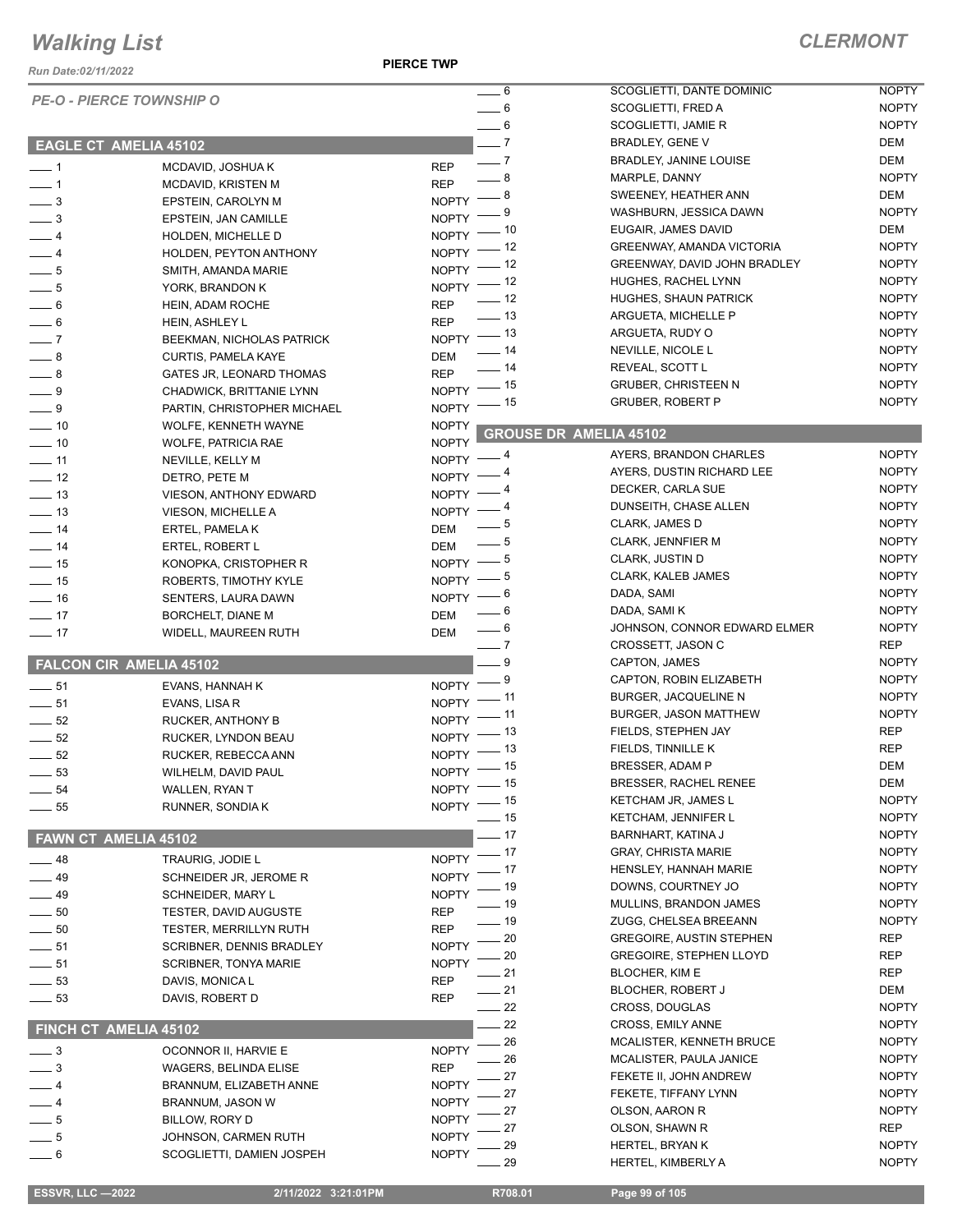*Run Date:02/11/2022*

**PIERCE TWP**

### *CLERMONT*

|                            | <b>PE-O - PIERCE TOWNSHIP O</b> | $-6$                                     | SCOGLIETTI, DANTE DOMINIC        | <b>NOPTY</b> |
|----------------------------|---------------------------------|------------------------------------------|----------------------------------|--------------|
|                            |                                 | $-6$                                     | SCOGLIETTI, FRED A               | <b>NOPTY</b> |
|                            |                                 | $\frac{1}{\sqrt{2}}$ 6                   | SCOGLIETTI, JAMIE R              | <b>NOPTY</b> |
|                            | <b>EAGLE CT AMELIA 45102</b>    | $\overline{\phantom{0}}$ 7               | BRADLEY, GENE V                  | DEM          |
| $\overline{\phantom{0}}$ 1 | MCDAVID, JOSHUA K               | $\overline{\phantom{0}}$ 7<br><b>REP</b> | <b>BRADLEY, JANINE LOUISE</b>    | DEM          |
|                            |                                 | $-8$<br><b>REP</b>                       | MARPLE, DANNY                    | <b>NOPTY</b> |
| $\overline{\phantom{0}}$ 1 | MCDAVID, KRISTEN M              | - 8<br><b>NOPTY</b>                      | SWEENEY, HEATHER ANN             | DEM          |
| $\frac{1}{2}$              | EPSTEIN, CAROLYN M              | 9                                        | WASHBURN, JESSICA DAWN           | <b>NOPTY</b> |
| $\frac{1}{2}$              | EPSTEIN, JAN CAMILLE            | <b>NOPTY</b><br>- 10                     | EUGAIR, JAMES DAVID              | DEM          |
| $-4$                       | HOLDEN, MICHELLE D              | $N$ OPTY $-$                             | <b>GREENWAY, AMANDA VICTORIA</b> | <b>NOPTY</b> |
| $-4$                       | HOLDEN, PEYTON ANTHONY          | NOPTY $-$ 12                             | GREENWAY, DAVID JOHN BRADLEY     | <b>NOPTY</b> |
| $\frac{1}{2}$ 5            | SMITH, AMANDA MARIE             | $NOPTY$ - $12$                           | HUGHES, RACHEL LYNN              | <b>NOPTY</b> |
| $\frac{1}{2}$              | YORK, BRANDON K                 | $NOPTY$ - 12                             |                                  |              |
| $\frac{1}{\sqrt{2}}$       | HEIN, ADAM ROCHE                | $\frac{1}{2}$ 12<br><b>REP</b>           | <b>HUGHES, SHAUN PATRICK</b>     | <b>NOPTY</b> |
| $\overline{\phantom{0}}$ 6 | HEIN, ASHLEY L                  | $\frac{1}{2}$ 13<br><b>REP</b>           | ARGUETA, MICHELLE P              | <b>NOPTY</b> |
| $\overline{\phantom{0}}$   | BEEKMAN, NICHOLAS PATRICK       | $NOPTY$ - 13                             | ARGUETA, RUDY O                  | <b>NOPTY</b> |
| $\frac{1}{2}$              | <b>CURTIS, PAMELA KAYE</b>      | $\frac{1}{2}$ 14<br>DEM                  | NEVILLE, NICOLE L                | <b>NOPTY</b> |
| $-8$                       | GATES JR, LEONARD THOMAS        | $\frac{1}{2}$ 14<br><b>REP</b>           | REVEAL, SCOTT L                  | <b>NOPTY</b> |
| $-9$                       | CHADWICK, BRITTANIE LYNN        | $NOPTY$ -- 15                            | <b>GRUBER, CHRISTEEN N</b>       | <b>NOPTY</b> |
| $-9$                       | PARTIN, CHRISTOPHER MICHAEL     | _ 15<br>$N$ OPTY $-$                     | <b>GRUBER, ROBERT P</b>          | <b>NOPTY</b> |
|                            |                                 |                                          |                                  |              |
| $-10$                      | WOLFE, KENNETH WAYNE            | <b>NOPTY</b>                             | <b>GROUSE DR AMELIA 45102</b>    |              |
| $\frac{1}{2}$ 10           | <b>WOLFE, PATRICIA RAE</b>      | <b>NOPTY</b><br>- 4                      | AYERS, BRANDON CHARLES           | <b>NOPTY</b> |
| $-11$                      | NEVILLE, KELLY M                | NOPTY -<br>- 4                           | AYERS, DUSTIN RICHARD LEE        | <b>NOPTY</b> |
| $-12$                      | DETRO, PETE M                   | NOPTY -                                  | DECKER, CARLA SUE                | <b>NOPTY</b> |
| $\frac{1}{2}$ 13           | VIESON, ANTHONY EDWARD          | $NOPTY =$                                |                                  |              |
| $\frac{1}{2}$ 13           | VIESON, MICHELLE A              | $NOPTY =$                                | DUNSEITH, CHASE ALLEN            | <b>NOPTY</b> |
| $\frac{1}{2}$ 14           | ERTEL, PAMELA K                 | $-5$<br>DEM                              | CLARK, JAMES D                   | <b>NOPTY</b> |
| $-14$                      | ERTEL, ROBERT L                 | $-5$<br>DEM                              | <b>CLARK, JENNFIER M</b>         | <b>NOPTY</b> |
| $\frac{1}{15}$             | KONOPKA, CRISTOPHER R           | - 5<br>$NOPTY =$                         | <b>CLARK, JUSTIN D</b>           | <b>NOPTY</b> |
| $\frac{1}{15}$             | ROBERTS, TIMOTHY KYLE           | — 5<br>$N$ OPTY $-$                      | <b>CLARK, KALEB JAMES</b>        | <b>NOPTY</b> |
| $-16$                      | SENTERS, LAURA DAWN             | - 6<br>$NOPTY =$                         | DADA, SAMI                       | <b>NOPTY</b> |
| $\frac{1}{2}$ 17           | BORCHELT, DIANE M               | $= 6$<br>DEM                             | DADA, SAMI K                     | <b>NOPTY</b> |
| $-17$                      | WIDELL, MAUREEN RUTH            | $\rule{1em}{0.15mm}$ 6<br>DEM            | JOHNSON, CONNOR EDWARD ELMER     | <b>NOPTY</b> |
|                            |                                 | $-7$                                     | CROSSETT, JASON C                | <b>REP</b>   |
|                            | <b>FALCON CIR AMELIA 45102</b>  | $-9$                                     | CAPTON, JAMES                    | <b>NOPTY</b> |
|                            |                                 | - 9<br>$NOPTY =$                         | CAPTON, ROBIN ELIZABETH          | <b>NOPTY</b> |
| $-51$                      | EVANS, HANNAH K                 | . 11                                     | BURGER, JACQUELINE N             | <b>NOPTY</b> |
| $\frac{1}{\sqrt{2}}$ 51    | EVANS, LISA R                   | NOPTY -<br>_ 11                          | <b>BURGER, JASON MATTHEW</b>     | <b>NOPTY</b> |
| $\frac{1}{2}$ 52           | RUCKER, ANTHONY B               | $NOPTY =$<br>_ 13                        | FIELDS, STEPHEN JAY              | <b>REP</b>   |
| $\frac{1}{2}$ 52           | RUCKER, LYNDON BEAU             | NOPTY -                                  | FIELDS, TINNILLE K               | <b>REP</b>   |
| $\frac{1}{2}$ 52           | RUCKER, REBECCA ANN             | $NOPTY$ - 13                             |                                  | <b>DEM</b>   |
| 53                         | WILHELM, DAVID PAUL             | $NOPTY$ -- 15                            | <b>BRESSER, ADAM P</b>           |              |
| $-54$                      | WALLEN, RYAN T                  | NOPTY - 15                               | <b>BRESSER, RACHEL RENEE</b>     | DEM          |
| $\frac{1}{2}$ 55           | RUNNER, SONDIA K                | - 15<br>NOPTY <sup>-</sup>               | KETCHAM JR, JAMES L              | <b>NOPTY</b> |
|                            |                                 | - 15                                     | <b>KETCHAM, JENNIFER L</b>       | <b>NOPTY</b> |
| FAWN CT AMELIA 45102       |                                 | $-17$                                    | BARNHART, KATINA J               | <b>NOPTY</b> |
| $-48$                      | TRAURIG, JODIE L                | 17<br><b>NOPTY</b>                       | <b>GRAY, CHRISTA MARIE</b>       | <b>NOPTY</b> |
| $-49$                      | SCHNEIDER JR, JEROME R          | 17<br><b>NOPTY</b>                       | HENSLEY, HANNAH MARIE            | <b>NOPTY</b> |
|                            |                                 | 19<br><b>NOPTY</b>                       | DOWNS, COURTNEY JO               | <b>NOPTY</b> |
| $-49$                      | SCHNEIDER, MARY L               | 19                                       | MULLINS, BRANDON JAMES           | <b>NOPTY</b> |
| $\sim$ 50                  | <b>TESTER, DAVID AUGUSTE</b>    | <b>REP</b><br>- 19                       | ZUGG, CHELSEA BREEANN            | <b>NOPTY</b> |
| $\frac{1}{2}$ 50           | <b>TESTER, MERRILLYN RUTH</b>   | <b>REP</b><br>20                         | <b>GREGOIRE, AUSTIN STEPHEN</b>  | <b>REP</b>   |
| $-51$                      | SCRIBNER, DENNIS BRADLEY        | <b>NOPTY</b><br>20                       | <b>GREGOIRE, STEPHEN LLOYD</b>   | REP          |
| $-51$                      | <b>SCRIBNER, TONYA MARIE</b>    | <b>NOPTY</b><br>21                       | <b>BLOCHER, KIM E</b>            | <b>REP</b>   |
| $\frac{1}{2}$ 53           | DAVIS, MONICA L                 | <b>REP</b>                               |                                  |              |
| $-53$                      | DAVIS, ROBERT D                 | 21<br><b>REP</b>                         | <b>BLOCHER, ROBERT J</b>         | DEM          |
|                            |                                 | 22                                       | CROSS, DOUGLAS                   | <b>NOPTY</b> |
|                            | FINCH CT AMELIA 45102           | 22                                       | CROSS, EMILY ANNE                | <b>NOPTY</b> |
| $\overline{\phantom{0}}$ 3 | OCONNOR II, HARVIE E            | 26<br><b>NOPTY</b>                       | MCALISTER, KENNETH BRUCE         | <b>NOPTY</b> |
| $\frac{1}{2}$              | <b>WAGERS, BELINDA ELISE</b>    | 26<br><b>REP</b>                         | MCALISTER, PAULA JANICE          | <b>NOPTY</b> |
|                            |                                 | 27                                       | FEKETE II, JOHN ANDREW           | <b>NOPTY</b> |
| $-4$                       | BRANNUM, ELIZABETH ANNE         | <b>NOPTY</b><br>27                       | FEKETE, TIFFANY LYNN             | <b>NOPTY</b> |
| $-4$                       | BRANNUM, JASON W                | <b>NOPTY</b><br>27                       | OLSON, AARON R                   | <b>NOPTY</b> |
| $-5$                       | BILLOW, RORY D                  | <b>NOPTY</b><br>27                       | OLSON, SHAWN R                   | <b>REP</b>   |
| $-5$                       | JOHNSON, CARMEN RUTH            | <b>NOPTY</b><br>29                       | HERTEL, BRYAN K                  | <b>NOPTY</b> |
| $-6$                       | SCOGLIETTI, DAMIEN JOSPEH       | <b>NOPTY</b><br>29                       | HERTEL, KIMBERLY A               | <b>NOPTY</b> |
|                            |                                 |                                          |                                  |              |

 **ESSVR, LLC —2022 2/11/2022 3:21:01PM R708.01 Page 99 of 105**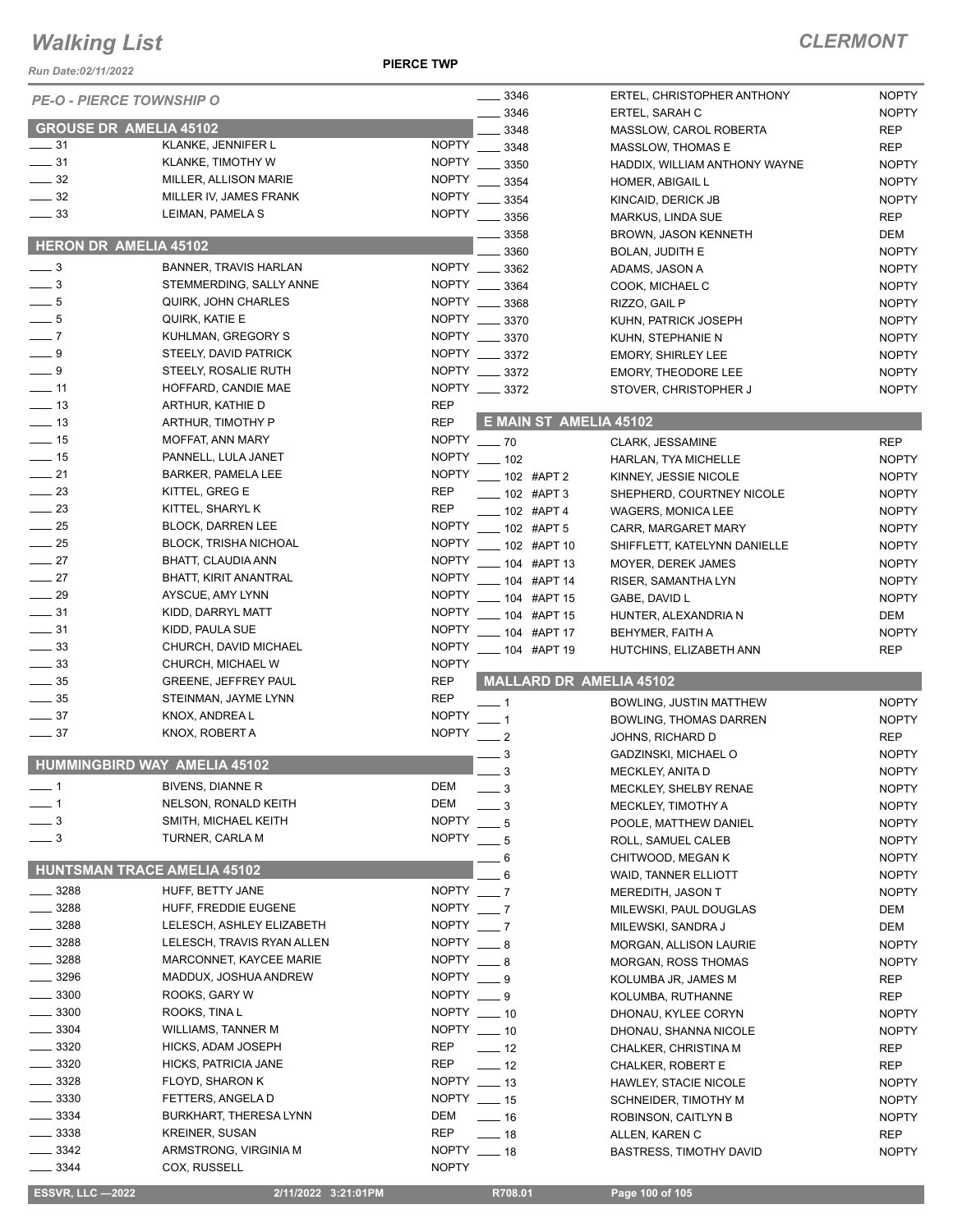*Run Date:02/11/2022*

**PIERCE TWP**

## *CLERMONT*

| <b>PE-O - PIERCE TOWNSHIP O</b>          |                                                       |                                | 3346                                 | ERTEL, CHRISTOPHER ANTHONY                              | <b>NOPTY</b>                 |
|------------------------------------------|-------------------------------------------------------|--------------------------------|--------------------------------------|---------------------------------------------------------|------------------------------|
|                                          |                                                       |                                | 3346                                 | ERTEL, SARAH C                                          | <b>NOPTY</b>                 |
| <b>GROUSE DR AMELIA 45102</b>            |                                                       |                                | 3348                                 | MASSLOW, CAROL ROBERTA                                  | <b>REP</b>                   |
| $\_\_$ 31                                | KLANKE, JENNIFER L                                    | <b>NOPTY</b>                   | 3348                                 | MASSLOW, THOMAS E                                       | <b>REP</b>                   |
| $\frac{1}{2}$ 31                         | KLANKE, TIMOTHY W                                     | <b>NOPTY</b>                   | 3350                                 | HADDIX, WILLIAM ANTHONY WAYNE                           | <b>NOPTY</b>                 |
| $\frac{1}{2}$ 32                         | MILLER, ALLISON MARIE                                 | <b>NOPTY</b>                   | 3354                                 | HOMER, ABIGAIL L                                        | <b>NOPTY</b>                 |
| $\frac{1}{2}$ 32                         | MILLER IV, JAMES FRANK                                | <b>NOPTY</b>                   | 3354                                 | KINCAID, DERICK JB                                      | <b>NOPTY</b>                 |
| $\frac{1}{2}$ 33                         | LEIMAN, PAMELA S                                      | <b>NOPTY</b>                   | 3356                                 | MARKUS, LINDA SUE                                       | <b>REP</b>                   |
| <b>HERON DR AMELIA 45102</b>             |                                                       |                                | 3358                                 | <b>BROWN, JASON KENNETH</b>                             | DEM                          |
|                                          |                                                       |                                | 3360                                 | <b>BOLAN, JUDITH E</b>                                  | <b>NOPTY</b>                 |
| $\frac{1}{2}$                            | <b>BANNER, TRAVIS HARLAN</b>                          |                                | NOPTY __ 3362                        | ADAMS, JASON A                                          | <b>NOPTY</b>                 |
| $-3$                                     | STEMMERDING, SALLY ANNE<br><b>QUIRK, JOHN CHARLES</b> |                                | NOPTY __ 3364<br>NOPTY __ 3368       | COOK, MICHAEL C                                         | <b>NOPTY</b>                 |
| $-5$<br>$-5$                             | QUIRK, KATIE E                                        |                                | NOPTY __ 3370                        | RIZZO, GAIL P                                           | <b>NOPTY</b>                 |
| $-7$                                     | KUHLMAN, GREGORY S                                    |                                | NOPTY __ 3370                        | KUHN, PATRICK JOSEPH                                    | <b>NOPTY</b>                 |
| $-9$                                     | STEELY, DAVID PATRICK                                 |                                | NOPTY __ 3372                        | KUHN, STEPHANIE N                                       | <b>NOPTY</b>                 |
| $-9$                                     | STEELY, ROSALIE RUTH                                  |                                | NOPTY __ 3372                        | <b>EMORY, SHIRLEY LEE</b><br><b>EMORY, THEODORE LEE</b> | <b>NOPTY</b><br><b>NOPTY</b> |
| $\frac{1}{2}$ 11                         | HOFFARD, CANDIE MAE                                   |                                | NOPTY 3372                           | STOVER, CHRISTOPHER J                                   | <b>NOPTY</b>                 |
| $\frac{1}{2}$ 13                         | ARTHUR, KATHIE D                                      | <b>REP</b>                     |                                      |                                                         |                              |
| $\equiv$ 13                              | ARTHUR, TIMOTHY P                                     | <b>REP</b>                     | <b>E MAIN ST AMELIA 45102</b>        |                                                         |                              |
| $-15$                                    | MOFFAT, ANN MARY                                      | NOPTY ___ 70                   |                                      | CLARK, JESSAMINE                                        | <b>REP</b>                   |
| $-15$                                    | PANNELL, LULA JANET                                   |                                | NOPTY __ 102                         | HARLAN, TYA MICHELLE                                    | <b>NOPTY</b>                 |
| $-21$                                    | <b>BARKER, PAMELA LEE</b>                             |                                | NOPTY __ 102 #APT 2                  | KINNEY, JESSIE NICOLE                                   | <b>NOPTY</b>                 |
| $\frac{1}{2}$ 23                         | KITTEL, GREG E                                        | <b>REP</b>                     | $- 102$ #APT 3                       | SHEPHERD, COURTNEY NICOLE                               | <b>NOPTY</b>                 |
| $\frac{1}{2}$ 23                         | KITTEL, SHARYL K                                      | <b>REP</b>                     | $- 102$ #APT 4                       | WAGERS, MONICA LEE                                      | <b>NOPTY</b>                 |
| $\frac{1}{25}$                           | <b>BLOCK, DARREN LEE</b>                              |                                | NOPTY __ 102 #APT 5                  | CARR, MARGARET MARY                                     | <b>NOPTY</b>                 |
| $\frac{1}{25}$                           | <b>BLOCK, TRISHA NICHOAL</b>                          |                                | NOPTY __ 102 #APT 10                 | SHIFFLETT, KATELYNN DANIELLE                            | <b>NOPTY</b>                 |
| $-27$                                    | BHATT, CLAUDIA ANN                                    |                                | NOPTY __ 104 #APT 13                 | MOYER, DEREK JAMES                                      | <b>NOPTY</b>                 |
| $\sim$ 27                                | BHATT, KIRIT ANANTRAL                                 | <b>NOPTY</b>                   | 104 #APT 14                          | RISER, SAMANTHA LYN                                     | <b>NOPTY</b>                 |
| $\frac{1}{29}$                           | AYSCUE, AMY LYNN                                      | <b>NOPTY</b>                   | ___ 104 #APT 15                      | GABE, DAVID L                                           | <b>NOPTY</b>                 |
| $\frac{1}{2}$ 31                         | KIDD, DARRYL MATT                                     | <b>NOPTY</b>                   | -04 #APT 15                          | HUNTER, ALEXANDRIA N                                    | DEM                          |
| $\frac{1}{2}$ 31                         | KIDD, PAULA SUE                                       | <b>NOPTY</b>                   | $- 104$ #APT 17                      | <b>BEHYMER, FAITH A</b>                                 | <b>NOPTY</b>                 |
| $\frac{1}{2}$ 33                         | CHURCH, DAVID MICHAEL                                 | <b>NOPTY</b>                   | $- 104$ #APT 19                      | HUTCHINS, ELIZABETH ANN                                 | <b>REP</b>                   |
| $\frac{1}{2}$ 33                         | CHURCH, MICHAEL W                                     | <b>NOPTY</b>                   |                                      |                                                         |                              |
| $\frac{1}{2}$ 35                         | <b>GREENE, JEFFREY PAUL</b>                           | <b>REP</b>                     | <b>MALLARD DR AMELIA 45102</b>       |                                                         |                              |
| $\frac{1}{2}$ 35                         | STEINMAN, JAYME LYNN                                  | <b>REP</b>                     | - 1                                  | BOWLING, JUSTIN MATTHEW                                 | <b>NOPTY</b>                 |
| $-37$                                    | KNOX, ANDREA L                                        | <b>NOPTY</b>                   | $\overline{1}$                       | BOWLING, THOMAS DARREN                                  | <b>NOPTY</b>                 |
| $\frac{1}{2}$ 37                         | KNOX, ROBERT A                                        | <b>NOPTY</b>                   | $\overline{\phantom{0}}$ 2           | JOHNS, RICHARD D                                        | <b>REP</b>                   |
|                                          |                                                       |                                | 3                                    | GADZINSKI, MICHAEL O                                    | <b>NOPTY</b>                 |
|                                          | <b>HUMMINGBIRD WAY AMELIA 45102</b>                   |                                | $\_\_$ 3                             | MECKLEY, ANITA D                                        | <b>NOPTY</b>                 |
| — 1                                      | <b>BIVENS, DIANNE R</b>                               | DEM                            | $\equiv$ 3                           | MECKLEY, SHELBY RENAE                                   | <b>NOPTY</b>                 |
| $\overline{\phantom{0}}$ 1               | NELSON, RONALD KEITH                                  | DEM                            | $\equiv$ 3                           | MECKLEY, TIMOTHY A                                      | <b>NOPTY</b>                 |
| $\overline{\phantom{0}}$ 3               | SMITH, MICHAEL KEITH                                  | <b>NOPTY</b>                   | $-5$                                 | POOLE, MATTHEW DANIEL                                   | <b>NOPTY</b>                 |
| $\frac{1}{2}$                            | TURNER, CARLA M                                       | NOPTY $-5$                     |                                      | ROLL, SAMUEL CALEB                                      | <b>NOPTY</b>                 |
| <b>HUNTSMAN TRACE AMELIA 45102</b>       |                                                       |                                | $6 \overline{6}$                     | CHITWOOD, MEGAN K                                       | <b>NOPTY</b>                 |
|                                          |                                                       |                                | 6                                    | WAID, TANNER ELLIOTT                                    | <b>NOPTY</b>                 |
| $- 3288$                                 | HUFF, BETTY JANE                                      | NOPTY $-7$                     |                                      | MEREDITH, JASON T                                       | <b>NOPTY</b>                 |
| $\frac{1}{2}$ 3288                       | HUFF, FREDDIE EUGENE                                  | NOPTY $-7$                     |                                      | MILEWSKI, PAUL DOUGLAS                                  | DEM                          |
| $\frac{1}{2}$ 3288                       | LELESCH, ASHLEY ELIZABETH                             | NOPTY $-7$                     |                                      | MILEWSKI, SANDRA J                                      | DEM                          |
| $\frac{1}{2}$ 3288                       | LELESCH, TRAVIS RYAN ALLEN                            | NOPTY $\_\_\$ 8<br>$NOPTY = 8$ |                                      | MORGAN, ALLISON LAURIE                                  | <b>NOPTY</b>                 |
| $\frac{1}{2}$ 3288                       | MARCONNET, KAYCEE MARIE                               | NOPTY ___ 9                    |                                      | <b>MORGAN, ROSS THOMAS</b>                              | <b>NOPTY</b>                 |
| $- 3296$                                 | MADDUX, JOSHUA ANDREW                                 |                                |                                      | KOLUMBA JR, JAMES M                                     | REP                          |
| $\frac{1}{2}$ 3300<br>$\frac{1}{2}$ 3300 | ROOKS, GARY W<br>ROOKS, TINA L                        | $NOPTY = 9$                    |                                      | KOLUMBA, RUTHANNE                                       | <b>REP</b>                   |
| $\frac{1}{2}$ 3304                       | WILLIAMS, TANNER M                                    | NOPTY $-10$<br>NOPTY __ 10     |                                      | DHONAU, KYLEE CORYN                                     | <b>NOPTY</b>                 |
| $\frac{1}{2}$ 3320                       | HICKS, ADAM JOSEPH                                    | REP                            |                                      | DHONAU, SHANNA NICOLE                                   | <b>NOPTY</b>                 |
| $- 3320$                                 | HICKS, PATRICIA JANE                                  | REP                            | $\frac{1}{2}$ 12<br>$\frac{1}{2}$ 12 | CHALKER, CHRISTINA M                                    | REP<br><b>REP</b>            |
| $\frac{1}{2}$ 3328                       | FLOYD, SHARON K                                       | NOPTY __ 13                    |                                      | CHALKER, ROBERT E<br>HAWLEY, STACIE NICOLE              | <b>NOPTY</b>                 |
| $\frac{1}{2}$ 3330                       | FETTERS, ANGELA D                                     | NOPTY __ 15                    |                                      | SCHNEIDER, TIMOTHY M                                    | <b>NOPTY</b>                 |
| $\frac{1}{2}$ 3334                       | <b>BURKHART, THERESA LYNN</b>                         | DEM                            | $\frac{1}{16}$                       | ROBINSON, CAITLYN B                                     | <b>NOPTY</b>                 |
| $\frac{1}{2}$ 3338                       | <b>KREINER, SUSAN</b>                                 | REP                            | ____ 18                              | ALLEN, KAREN C                                          | REP                          |
| _ 3342                                   | ARMSTRONG, VIRGINIA M                                 | NOPTY __ 18                    |                                      | <b>BASTRESS, TIMOTHY DAVID</b>                          | <b>NOPTY</b>                 |
| $-3344$                                  | COX, RUSSELL                                          | <b>NOPTY</b>                   |                                      |                                                         |                              |
|                                          |                                                       |                                |                                      |                                                         |                              |

 **ESSVR, LLC —2022 2/11/2022 3:21:01PM R708.01 Page 100 of 105**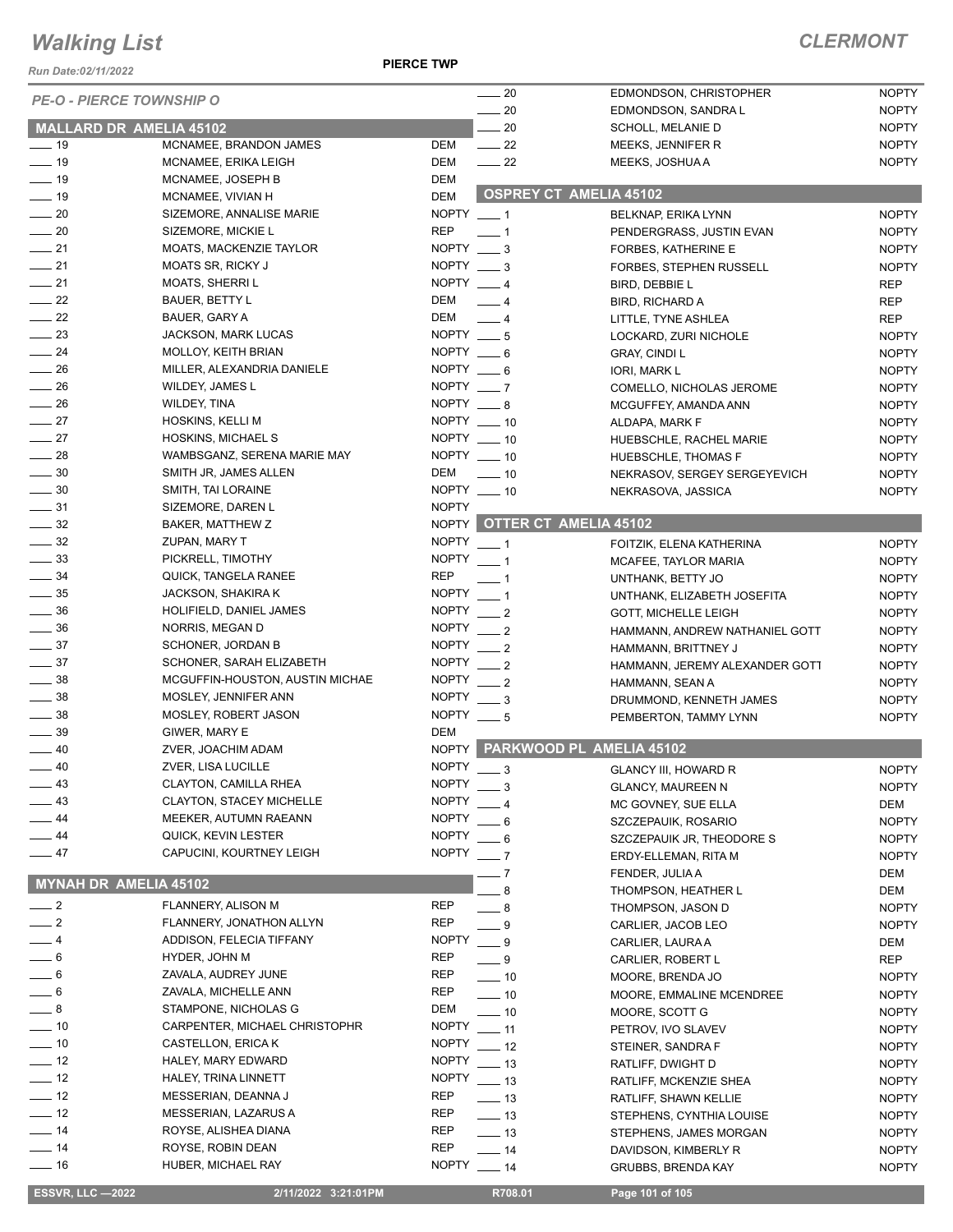*Run Date:02/11/2022*

**PIERCE TWP**

|                                      |                                             |                     | $\frac{1}{20}$                       | EDMONDSON, CHRISTOPHER                  | <b>NOPTY</b>                 |
|--------------------------------------|---------------------------------------------|---------------------|--------------------------------------|-----------------------------------------|------------------------------|
| <b>PE-O - PIERCE TOWNSHIP O</b>      |                                             |                     | 20                                   | EDMONDSON, SANDRA L                     | <b>NOPTY</b>                 |
| MALLARD DR AMELIA 45102              |                                             |                     | 20                                   | SCHOLL, MELANIE D                       | <b>NOPTY</b>                 |
| $\frac{1}{2}$ 19                     | MCNAMEE, BRANDON JAMES                      | DEM                 | $\frac{22}{2}$                       | MEEKS, JENNIFER R                       | <b>NOPTY</b>                 |
| $\frac{1}{2}$ 19                     | MCNAMEE, ERIKA LEIGH                        | DEM                 | $\frac{1}{2}$                        | MEEKS, JOSHUA A                         | <b>NOPTY</b>                 |
| $\frac{1}{2}$ 19                     | MCNAMEE, JOSEPH B                           | <b>DEM</b>          |                                      |                                         |                              |
| $\equiv$ 19                          | MCNAMEE, VIVIAN H                           | <b>DEM</b>          | <b>OSPREY CT AMELIA 45102</b>        |                                         |                              |
| $\sim$ 20                            | SIZEMORE, ANNALISE MARIE                    | NOPTY $-1$          |                                      | BELKNAP, ERIKA LYNN                     | <b>NOPTY</b>                 |
| $\sim$ 20                            | SIZEMORE, MICKIE L                          | <b>REP</b>          | $-1$                                 | PENDERGRASS, JUSTIN EVAN                | <b>NOPTY</b>                 |
| $\frac{1}{21}$                       | <b>MOATS, MACKENZIE TAYLOR</b>              | NOPTY $\_\_\$ 3     |                                      | FORBES, KATHERINE E                     | <b>NOPTY</b>                 |
| $\frac{1}{21}$                       | <b>MOATS SR, RICKY J</b>                    | NOPTY $-3$          |                                      | FORBES, STEPHEN RUSSELL                 | <b>NOPTY</b>                 |
| $-21$                                | <b>MOATS, SHERRIL</b>                       | NOPTY $-4$          |                                      | BIRD, DEBBIE L                          | <b>REP</b>                   |
| $\frac{1}{2}$ 22                     | <b>BAUER, BETTY L</b>                       | DEM                 | $-4$                                 | BIRD, RICHARD A                         | <b>REP</b>                   |
| $\frac{1}{22}$                       | BAUER, GARY A                               | DEM                 | $\overline{\phantom{0}}$ 4           | LITTLE, TYNE ASHLEA                     | <b>REP</b>                   |
| $\equiv$ 23                          | <b>JACKSON, MARK LUCAS</b>                  | NOPTY $-5$          |                                      | LOCKARD, ZURI NICHOLE                   | <b>NOPTY</b>                 |
| $\frac{1}{24}$                       | <b>MOLLOY, KEITH BRIAN</b>                  | NOPTY $-6$          |                                      | <b>GRAY, CINDI L</b>                    | <b>NOPTY</b>                 |
| $\frac{1}{26}$                       | MILLER, ALEXANDRIA DANIELE                  | NOPTY $-6$          |                                      | IORI, MARK L                            | <b>NOPTY</b>                 |
| $\frac{1}{26}$                       | <b>WILDEY, JAMES L</b>                      | NOPTY $-7$          |                                      | COMELLO, NICHOLAS JEROME                | <b>NOPTY</b>                 |
| $\frac{1}{26}$                       | WILDEY, TINA                                | NOPTY ___ 8         |                                      | MCGUFFEY, AMANDA ANN                    | <b>NOPTY</b>                 |
| $\frac{1}{27}$                       | HOSKINS, KELLI M                            |                     | NOPTY $-10$                          | ALDAPA, MARK F                          | <b>NOPTY</b>                 |
| $\frac{1}{27}$                       | <b>HOSKINS, MICHAEL S</b>                   |                     | NOPTY __ 10                          | HUEBSCHLE, RACHEL MARIE                 | <b>NOPTY</b>                 |
| $\frac{1}{28}$                       | WAMBSGANZ, SERENA MARIE MAY                 |                     | NOPTY __ 10                          | HUEBSCHLE, THOMAS F                     | <b>NOPTY</b>                 |
| $\frac{1}{2}$ 30                     | SMITH JR, JAMES ALLEN                       | DEM                 | $\sim$ 10                            | NEKRASOV, SERGEY SERGEYEVICH            | <b>NOPTY</b>                 |
| $\frac{1}{2}$ 30                     | SMITH, TAI LORAINE                          | NOPTY __ 10         |                                      | NEKRASOVA, JASSICA                      | <b>NOPTY</b>                 |
| $\frac{1}{2}$ 31                     | SIZEMORE, DAREN L                           | <b>NOPTY</b>        |                                      |                                         |                              |
| $\frac{1}{2}$ 32                     | BAKER, MATTHEW Z                            |                     | NOPTY OTTER CT AMELIA 45102          |                                         |                              |
| $\frac{1}{2}$ 32                     | ZUPAN, MARY T                               | NOPTY $-1$          |                                      | FOITZIK, ELENA KATHERINA                | <b>NOPTY</b>                 |
| $\frac{1}{2}$ 33                     | PICKRELL, TIMOTHY                           | NOPTY $-1$          |                                      | MCAFEE, TAYLOR MARIA                    | <b>NOPTY</b>                 |
| $\frac{1}{2}$ 34                     | QUICK, TANGELA RANEE                        | <b>REP</b>          | $-1$                                 | UNTHANK, BETTY JO                       | <b>NOPTY</b>                 |
| $\frac{1}{2}$ 35                     | JACKSON, SHAKIRA K                          | <b>NOPTY</b>        | $\overline{\phantom{0}}$ 1           | UNTHANK, ELIZABETH JOSEFITA             | <b>NOPTY</b>                 |
| $\frac{1}{2}$ 36                     | HOLIFIELD, DANIEL JAMES                     | NOPTY $-2$          |                                      | <b>GOTT, MICHELLE LEIGH</b>             | <b>NOPTY</b>                 |
| $\frac{1}{2}$ 36                     | NORRIS, MEGAN D                             | NOPTY $\_\_\_2$     |                                      | HAMMANN, ANDREW NATHANIEL GOTT          | <b>NOPTY</b>                 |
| $\frac{1}{2}$ 37                     | <b>SCHONER, JORDAN B</b>                    | NOPTY $-2$          |                                      | HAMMANN, BRITTNEY J                     | <b>NOPTY</b>                 |
| $\frac{1}{2}$ 37                     | SCHONER, SARAH ELIZABETH                    | NOPTY $-2$          |                                      | HAMMANN, JEREMY ALEXANDER GOTT          | <b>NOPTY</b>                 |
| $\equiv$ 38                          | MCGUFFIN-HOUSTON, AUSTIN MICHAE             | NOPTY $-2$          |                                      | HAMMANN, SEAN A                         | <b>NOPTY</b>                 |
| $\frac{1}{2}$ 38                     | MOSLEY, JENNIFER ANN                        | NOPTY $-3$          |                                      | DRUMMOND, KENNETH JAMES                 | <b>NOPTY</b>                 |
| $\frac{1}{2}$ 38                     | MOSLEY, ROBERT JASON                        | NOPTY $-5$          |                                      | PEMBERTON, TAMMY LYNN                   | <b>NOPTY</b>                 |
| $\frac{1}{2}$ 39<br>$\frac{1}{2}$ 40 | GIWER, MARY E                               | DEM<br><b>NOPTY</b> |                                      | PARKWOOD PL AMELIA 45102                |                              |
|                                      | ZVER, JOACHIM ADAM                          | <b>NOPTY</b>        |                                      |                                         |                              |
| - 40<br>$\frac{1}{2}$ 43             | ZVER, LISA LUCILLE<br>CLAYTON, CAMILLA RHEA | <b>NOPTY</b>        | $-3$                                 | <b>GLANCY III, HOWARD R</b>             | <b>NOPTY</b>                 |
| $\equiv$ 43                          | <b>CLAYTON, STACEY MICHELLE</b>             | <b>NOPTY</b>        | - 3                                  | <b>GLANCY, MAUREEN N</b>                | <b>NOPTY</b>                 |
| $\frac{1}{2}$ 44                     | MEEKER, AUTUMN RAEANN                       | <b>NOPTY</b>        |                                      | MC GOVNEY, SUE ELLA                     | DEM                          |
| $\frac{1}{2}$ 44                     | QUICK, KEVIN LESTER                         | <b>NOPTY</b>        | 6                                    | SZCZEPAUIK, ROSARIO                     | <b>NOPTY</b>                 |
| $-47$                                | CAPUCINI, KOURTNEY LEIGH                    | <b>NOPTY</b>        | 6                                    | SZCZEPAUIK JR, THEODORE S               | <b>NOPTY</b>                 |
|                                      |                                             |                     | $\overline{7}$                       | ERDY-ELLEMAN, RITA M                    | <b>NOPTY</b>                 |
| MYNAH DR AMELIA 45102                |                                             |                     | 7                                    | FENDER, JULIA A                         | DEM                          |
| $\equiv$ 2                           | FLANNERY, ALISON M                          | <b>REP</b>          | 8                                    | THOMPSON, HEATHER L                     | <b>DEM</b>                   |
| $-2$                                 | FLANNERY, JONATHON ALLYN                    | <b>REP</b>          | - 8                                  | THOMPSON, JASON D                       | <b>NOPTY</b>                 |
| $-4$                                 | ADDISON, FELECIA TIFFANY                    | <b>NOPTY</b>        | 9                                    | CARLIER, JACOB LEO                      | <b>NOPTY</b>                 |
| $-6$                                 | HYDER, JOHN M                               | REP                 | $-9$<br>$-9$                         | CARLIER, LAURA A                        | DEM                          |
| $= 6$                                | ZAVALA, AUDREY JUNE                         | REP                 |                                      | CARLIER, ROBERT L                       | <b>REP</b>                   |
| $-6$                                 | ZAVALA, MICHELLE ANN                        | <b>REP</b>          | $\frac{1}{2}$ 10<br>$\frac{1}{2}$ 10 | MOORE, BRENDA JO                        | <b>NOPTY</b><br><b>NOPTY</b> |
| $-8$                                 | STAMPONE, NICHOLAS G                        | DEM                 | $\equiv$ 10                          | MOORE, EMMALINE MCENDREE                |                              |
| $\sim$ 10                            | CARPENTER, MICHAEL CHRISTOPHR               | <b>NOPTY</b>        | $\frac{1}{2}$ 11                     | MOORE, SCOTT G                          | <b>NOPTY</b><br><b>NOPTY</b> |
| $\frac{1}{10}$                       | CASTELLON, ERICA K                          | NOPTY $-12$         |                                      | PETROV, IVO SLAVEV<br>STEINER, SANDRA F | <b>NOPTY</b>                 |
| $-12$                                | HALEY, MARY EDWARD                          | <b>NOPTY</b>        | $\frac{1}{2}$ 13                     | RATLIFF, DWIGHT D                       | <b>NOPTY</b>                 |
| $\frac{1}{2}$ 12                     | HALEY, TRINA LINNETT                        | NOPTY $-13$         |                                      | RATLIFF, MCKENZIE SHEA                  | <b>NOPTY</b>                 |
| $\frac{1}{2}$ 12                     | MESSERIAN, DEANNA J                         | REP                 | $\equiv$ 13                          | RATLIFF, SHAWN KELLIE                   | <b>NOPTY</b>                 |
| $\frac{1}{2}$ 12                     | MESSERIAN, LAZARUS A                        | REP                 | $\frac{1}{2}$ 13                     | STEPHENS, CYNTHIA LOUISE                | <b>NOPTY</b>                 |
| $\frac{1}{2}$ 14                     | ROYSE, ALISHEA DIANA                        | REP                 | —— 13                                | STEPHENS, JAMES MORGAN                  | <b>NOPTY</b>                 |
| $\frac{1}{2}$ 14                     | ROYSE, ROBIN DEAN                           | <b>REP</b>          | $-14$                                | DAVIDSON, KIMBERLY R                    | <b>NOPTY</b>                 |
| — 16                                 | HUBER, MICHAEL RAY                          | <b>NOPTY</b>        | $\frac{1}{2}$ 14                     | <b>GRUBBS, BRENDA KAY</b>               | <b>NOPTY</b>                 |
|                                      |                                             |                     |                                      |                                         |                              |
| <b>ESSVR, LLC -2022</b>              | 2/11/2022 3:21:01PM                         |                     | R708.01                              | Page 101 of 105                         |                              |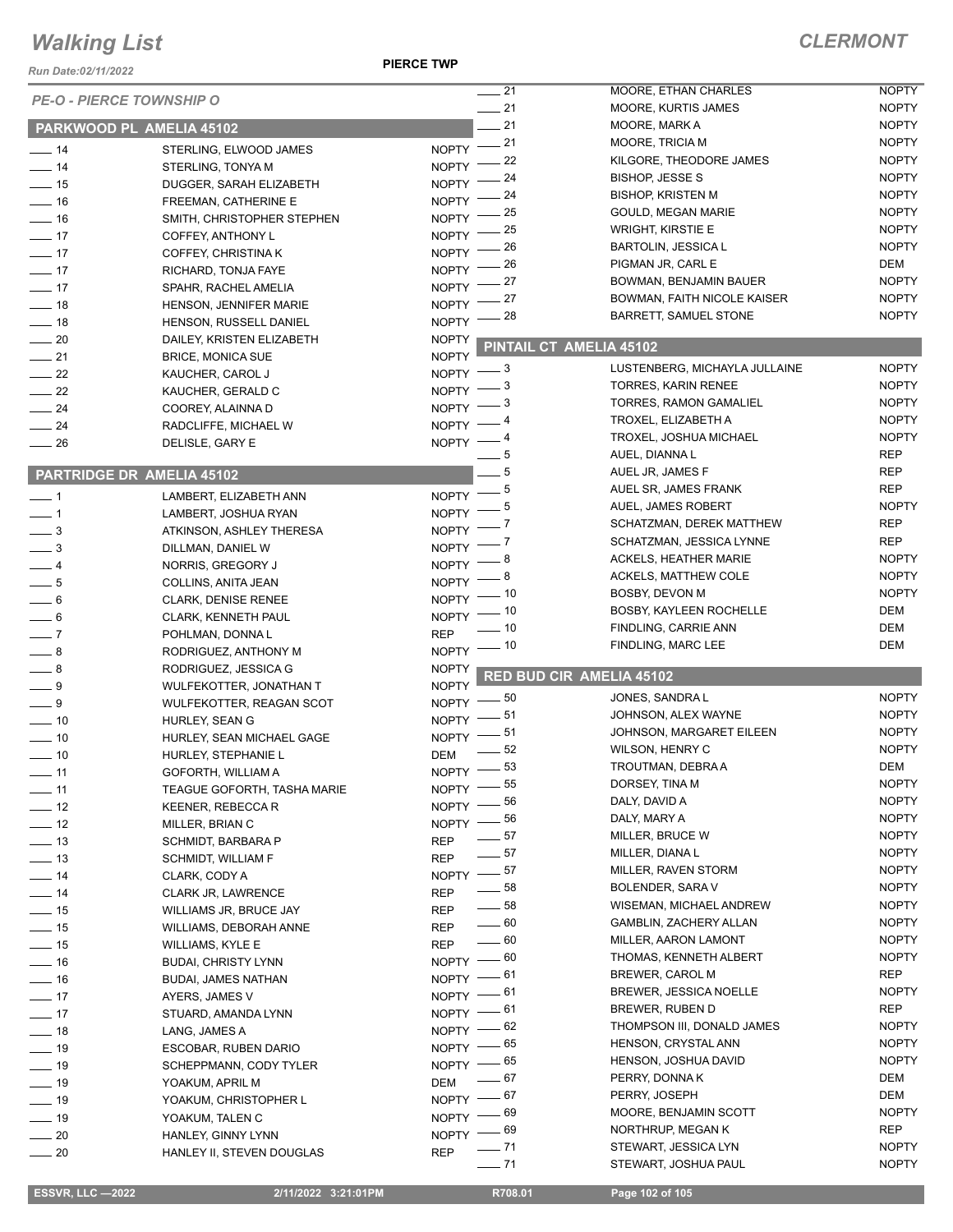#### *Run Date:02/11/2022*

#### **PIERCE TWP**

| 7911 Dale.04/11/4044        | <b>PE-O - PIERCE TOWNSHIP O</b>  |                              | $\overline{\phantom{0}}$ 21 | MOORE, ETHAN CHARLES                              | <b>NOPTY</b>                 |
|-----------------------------|----------------------------------|------------------------------|-----------------------------|---------------------------------------------------|------------------------------|
|                             |                                  |                              | $-21$<br>$-21$              | MOORE, KURTIS JAMES                               | <b>NOPTY</b><br><b>NOPTY</b> |
|                             | PARKWOOD PL AMELIA 45102         |                              |                             | MOORE, MARK A                                     |                              |
| $\frac{1}{2}$ 14            | STERLING, ELWOOD JAMES           | $NOPTY$ -21                  |                             | MOORE, TRICIA M                                   | <b>NOPTY</b><br><b>NOPTY</b> |
| $-14$                       | STERLING, TONYA M                | NOPTY <sup>-</sup>           | 22                          | KILGORE, THEODORE JAMES<br><b>BISHOP, JESSE S</b> |                              |
| $\frac{1}{2}$ 15            | DUGGER, SARAH ELIZABETH          | NOPTY <sup>-</sup>           | 24                          |                                                   | <b>NOPTY</b>                 |
| $-16$                       | FREEMAN, CATHERINE E             | NOPTY <sup>-</sup>           | 24                          | <b>BISHOP, KRISTEN M</b>                          | <b>NOPTY</b>                 |
| $-16$                       | SMITH, CHRISTOPHER STEPHEN       | <b>NOPTY</b>                 | 25                          | GOULD, MEGAN MARIE                                | <b>NOPTY</b>                 |
| $\frac{1}{2}$               | COFFEY, ANTHONY L                | <b>NOPTY</b>                 | 25                          | <b>WRIGHT, KIRSTIE E</b>                          | <b>NOPTY</b>                 |
| $-17$                       | COFFEY, CHRISTINA K              | <b>NOPTY</b>                 | 26                          | <b>BARTOLIN, JESSICA L</b>                        | <b>NOPTY</b>                 |
| $\frac{1}{2}$               | RICHARD, TONJA FAYE              | <b>NOPTY</b>                 | 26                          | PIGMAN JR, CARL E                                 | DEM                          |
| $-17$                       | SPAHR, RACHEL AMELIA             | <b>NOPTY</b>                 | 27                          | BOWMAN, BENJAMIN BAUER                            | <b>NOPTY</b>                 |
| $-18$                       | HENSON, JENNIFER MARIE           | <b>NOPTY</b>                 | 27                          | BOWMAN, FAITH NICOLE KAISER                       | <b>NOPTY</b>                 |
| $-18$                       | HENSON, RUSSELL DANIEL           | NOPTY <sup>-</sup>           | 28                          | <b>BARRETT, SAMUEL STONE</b>                      | <b>NOPTY</b>                 |
| $\sim$ 20                   | DAILEY, KRISTEN ELIZABETH        | <b>NOPTY</b>                 |                             |                                                   |                              |
| $\frac{1}{21}$              | <b>BRICE, MONICA SUE</b>         | <b>NOPTY</b>                 |                             | PINTAIL CT AMELIA 45102                           |                              |
| $\frac{22}{2}$              | KAUCHER, CAROL J                 | NOPTY $-3$                   |                             | LUSTENBERG, MICHAYLA JULLAINE                     | <b>NOPTY</b>                 |
| $\sim$ 22                   | KAUCHER, GERALD C                | NOPTY -                      | - 3                         | <b>TORRES, KARIN RENEE</b>                        | <b>NOPTY</b>                 |
| $\frac{1}{24}$              | COOREY, ALAINNA D                | NOPTY -                      | - 3                         | TORRES, RAMON GAMALIEL                            | <b>NOPTY</b>                 |
| $\frac{1}{24}$              | RADCLIFFE, MICHAEL W             | NOPTY -                      |                             | TROXEL, ELIZABETH A                               | <b>NOPTY</b>                 |
| $\equiv$ 26                 | DELISLE, GARY E                  | NOPTY $-$                    |                             | TROXEL, JOSHUA MICHAEL                            | <b>NOPTY</b>                 |
|                             |                                  |                              |                             | AUEL, DIANNA L                                    | <b>REP</b>                   |
|                             | <b>PARTRIDGE DR AMELIA 45102</b> |                              | - 5                         | AUEL JR, JAMES F                                  | <b>REP</b>                   |
|                             |                                  |                              | - 5                         | AUEL SR, JAMES FRANK                              | <b>REP</b>                   |
| $\overline{\phantom{0}}$ 1  | LAMBERT, ELIZABETH ANN           | <b>NOPTY</b>                 | 5                           | AUEL, JAMES ROBERT                                | <b>NOPTY</b>                 |
| $-1$                        | LAMBERT, JOSHUA RYAN             | <b>NOPTY</b>                 |                             | SCHATZMAN, DEREK MATTHEW                          | <b>REP</b>                   |
| $\frac{1}{2}$               | ATKINSON, ASHLEY THERESA         | <b>NOPTY</b>                 |                             | SCHATZMAN, JESSICA LYNNE                          | <b>REP</b>                   |
| $\frac{1}{2}$               | DILLMAN, DANIEL W                | <b>NOPTY</b>                 |                             | <b>ACKELS, HEATHER MARIE</b>                      | <b>NOPTY</b>                 |
| $-4$                        | NORRIS, GREGORY J                | NOPTY <sup>-</sup>           | 8                           | <b>ACKELS, MATTHEW COLE</b>                       | <b>NOPTY</b>                 |
| $\frac{1}{2}$               | COLLINS, ANITA JEAN              | <b>NOPTY</b>                 | . 10                        | BOSBY, DEVON M                                    | <b>NOPTY</b>                 |
| $\frac{1}{\sqrt{2}}$ 6      | CLARK, DENISE RENEE              | NOPTY <sup>-</sup>           |                             |                                                   | DEM                          |
| $-6$                        | <b>CLARK, KENNETH PAUL</b>       | NOPTY -                      | _ 10                        | BOSBY, KAYLEEN ROCHELLE                           |                              |
| $\overline{\phantom{0}}$ 7  | POHLMAN, DONNAL                  | <b>REP</b>                   | . 10                        | FINDLING, CARRIE ANN                              | DEM                          |
| $-8$                        | RODRIGUEZ, ANTHONY M             | $NOPTY$ - 10                 |                             | FINDLING, MARC LEE                                | <b>DEM</b>                   |
| $\_\_\_\$ 8                 | RODRIGUEZ, JESSICA G             | <b>NOPTY</b>                 |                             | <b>RED BUD CIR AMELIA 45102</b>                   |                              |
| $-9$                        | WULFEKOTTER, JONATHAN T          | <b>NOPTY</b>                 |                             |                                                   |                              |
| $-9$                        | WULFEKOTTER, REAGAN SCOT         | NOPTY -                      | _ 50                        | JONES, SANDRA L                                   | <b>NOPTY</b>                 |
| $\frac{1}{10}$              | HURLEY, SEAN G                   | NOPTY -                      | - 51                        | JOHNSON, ALEX WAYNE                               | <b>NOPTY</b>                 |
| $\frac{1}{2}$ 10            | HURLEY, SEAN MICHAEL GAGE        | NOPTY -                      | - 51                        | JOHNSON, MARGARET EILEEN                          | <b>NOPTY</b>                 |
| $\sim$ 10                   | HURLEY, STEPHANIE L              | DEM                          | 52                          | WILSON, HENRY C                                   | <b>NOPTY</b>                 |
| $\overline{\phantom{0}}$ 11 | GOFORTH, WILLIAM A               | NOPTY -                      | 53                          | TROUTMAN, DEBRA A                                 | DEM                          |
| $-11$                       | TEAGUE GOFORTH, TASHA MARIE      | NOPTY -85                    |                             | DORSEY, TINA M                                    | <b>NOPTY</b>                 |
| $-12$                       | KEENER, REBECCA R                | NOPTY -86                    |                             | DALY, DAVID A                                     | <b>NOPTY</b>                 |
| $\frac{1}{2}$               | MILLER, BRIAN C                  | NOPTY $-$ 56                 |                             | DALY, MARY A                                      | <b>NOPTY</b>                 |
| $\frac{1}{2}$ 13            | <b>SCHMIDT, BARBARA P</b>        | <b>REP</b>                   | $=$ 57 $\,$                 | MILLER, BRUCE W                                   | <b>NOPTY</b>                 |
| $\frac{1}{2}$ 13            | SCHMIDT, WILLIAM F               | <b>REP</b>                   | $-57$                       | MILLER, DIANA L                                   | <b>NOPTY</b>                 |
| $-14$                       | CLARK, CODY A                    | NOPTY $-$ 57                 |                             | MILLER, RAVEN STORM                               | <b>NOPTY</b>                 |
| $-14$                       | <b>CLARK JR, LAWRENCE</b>        | <b>REP</b>                   | $\sim$ 58                   | <b>BOLENDER, SARA V</b>                           | <b>NOPTY</b>                 |
| $\frac{1}{15}$              |                                  | <b>REP</b>                   | $\rule{1em}{0.15mm}$ 58     | WISEMAN, MICHAEL ANDREW                           | <b>NOPTY</b>                 |
| $\frac{1}{2}$ 15            | WILLIAMS JR, BRUCE JAY           |                              | $\_\_60$                    | GAMBLIN, ZACHERY ALLAN                            | <b>NOPTY</b>                 |
|                             | WILLIAMS, DEBORAH ANNE           | <b>REP</b>                   | $-60$                       | MILLER, AARON LAMONT                              | <b>NOPTY</b>                 |
| $\frac{1}{15}$              | WILLIAMS, KYLE E                 | <b>REP</b><br>$NOPTY$ $- 60$ |                             | THOMAS, KENNETH ALBERT                            | <b>NOPTY</b>                 |
| $-16$                       | <b>BUDAI, CHRISTY LYNN</b>       | $NOPTY$ -61                  |                             | BREWER, CAROL M                                   | <b>REP</b>                   |
| $-16$                       | <b>BUDAI, JAMES NATHAN</b>       |                              |                             | <b>BREWER, JESSICA NOELLE</b>                     | <b>NOPTY</b>                 |
| $-17$                       | AYERS, JAMES V                   | $NOPTY$ -61                  |                             | BREWER, RUBEN D                                   | REP                          |
| $\frac{1}{2}$               | STUARD, AMANDA LYNN              | $NOPTY$ -61                  |                             | THOMPSON III, DONALD JAMES                        | <b>NOPTY</b>                 |
| $\frac{1}{2}$ 18            | LANG, JAMES A                    | NOPTY $-62$                  |                             |                                                   |                              |
| $\frac{1}{2}$ 19            | ESCOBAR, RUBEN DARIO             | NOPTY $-$ 65                 |                             | HENSON, CRYSTAL ANN                               | <b>NOPTY</b>                 |
| $\frac{1}{2}$ 19            | SCHEPPMANN, CODY TYLER           | NOPTY $-65$                  |                             | HENSON, JOSHUA DAVID                              | <b>NOPTY</b>                 |
| $-19$                       | YOAKUM, APRIL M                  | <b>DEM</b>                   | — 67                        | PERRY, DONNAK                                     | DEM                          |
| $\frac{1}{2}$ 19            | YOAKUM, CHRISTOPHER L            | NOPTY $-$ 67                 |                             | PERRY, JOSEPH                                     | DEM                          |
| $\frac{1}{2}$ 19            | YOAKUM, TALEN C                  | NOPTY $-69$                  |                             | MOORE, BENJAMIN SCOTT                             | <b>NOPTY</b>                 |
| $\sim$ 20                   | HANLEY, GINNY LYNN               | $NOPTY$ - 69                 |                             | NORTHRUP, MEGAN K                                 | REP                          |
| $\sim$ 20                   | HANLEY II, STEVEN DOUGLAS        | <b>REP</b>                   | $- 71$                      | STEWART, JESSICA LYN                              | <b>NOPTY</b>                 |
|                             |                                  |                              | $-71$                       | STEWART, JOSHUA PAUL                              | <b>NOPTY</b>                 |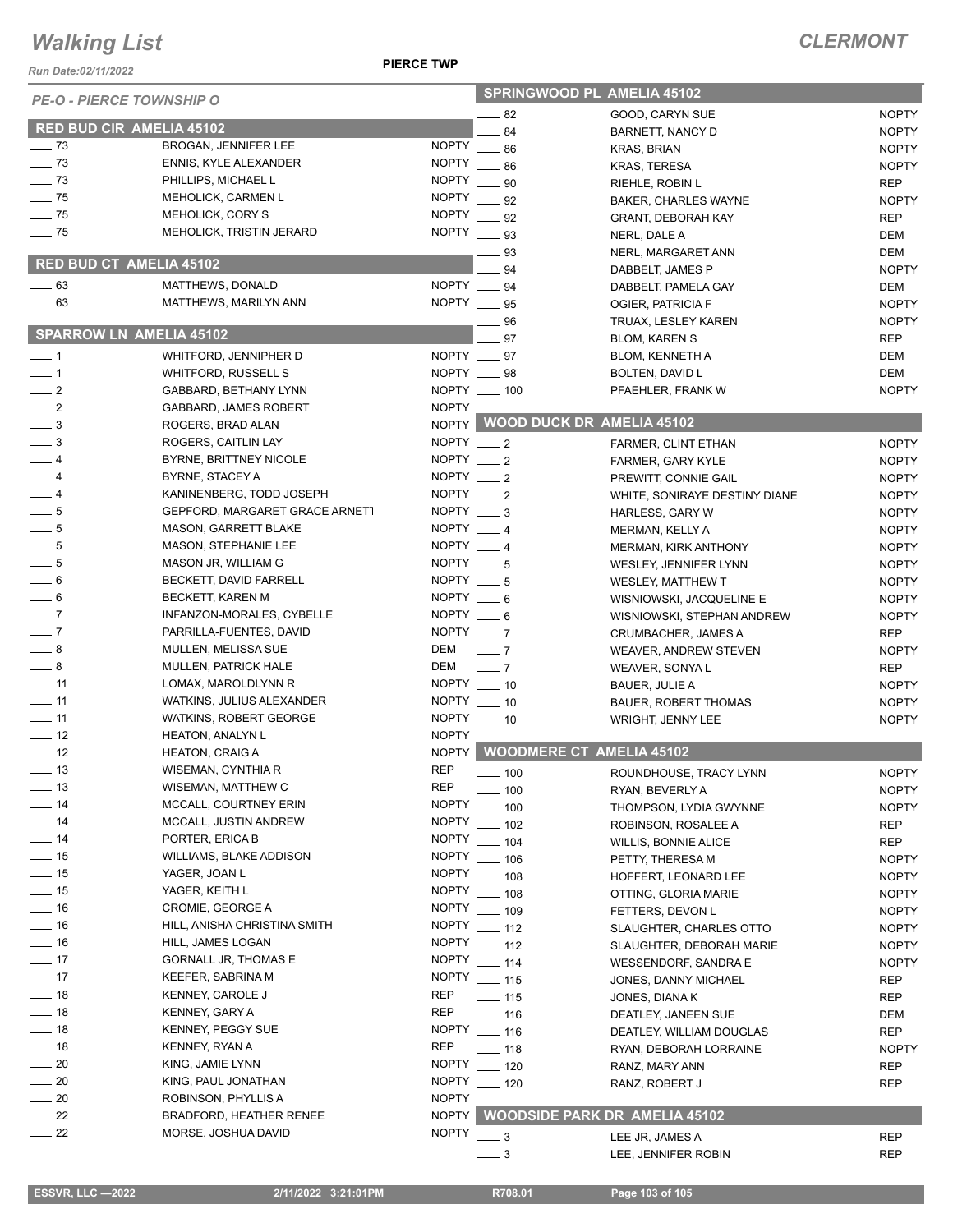*Run Date:02/11/2022*

#### **PIERCE TWP**

| <b>PE-O - PIERCE TOWNSHIP O</b> |                                            |                 | SPRINGWOOD PL AMELIA 45102          |                               |              |
|---------------------------------|--------------------------------------------|-----------------|-------------------------------------|-------------------------------|--------------|
|                                 |                                            |                 | $-82$                               | GOOD, CARYN SUE               | <b>NOPTY</b> |
| RED BUD CIR AMELIA 45102        |                                            |                 | 84                                  | BARNETT, NANCY D              | <b>NOPTY</b> |
| $\frac{1}{2}$ 73                | BROGAN, JENNIFER LEE                       | <b>NOPTY</b>    | $-86$                               | <b>KRAS, BRIAN</b>            | <b>NOPTY</b> |
| $\frac{1}{2}$ 73                | <b>ENNIS, KYLE ALEXANDER</b>               | <b>NOPTY</b>    | .86                                 | <b>KRAS, TERESA</b>           | <b>NOPTY</b> |
| $\sim$ 73                       | PHILLIPS, MICHAEL L                        | <b>NOPTY</b>    | 90                                  | RIEHLE, ROBIN L               | <b>REP</b>   |
| $\frac{1}{2}$ 75                | <b>MEHOLICK, CARMEN L</b>                  | <b>NOPTY</b>    | 92                                  | <b>BAKER, CHARLES WAYNE</b>   | <b>NOPTY</b> |
| $\frac{1}{2}$ 75                | MEHOLICK, CORY S                           | <b>NOPTY</b>    | .92                                 | <b>GRANT, DEBORAH KAY</b>     | <b>REP</b>   |
| $\frac{1}{2}$ 75                | MEHOLICK, TRISTIN JERARD                   | <b>NOPTY</b>    | $-93$                               | NERL, DALE A                  | DEM          |
|                                 |                                            |                 | 93                                  | NERL, MARGARET ANN            | DEM          |
| <b>RED BUD CT AMELIA 45102</b>  |                                            |                 | 94                                  | DABBELT, JAMES P              | <b>NOPTY</b> |
| $\frac{1}{2}$ 63                | MATTHEWS, DONALD                           | NOPTY __ 94     |                                     | DABBELT, PAMELA GAY           | DEM          |
| $\frac{1}{2}$ 63                | MATTHEWS, MARILYN ANN                      | NOPTY __ 95     |                                     | OGIER, PATRICIA F             | <b>NOPTY</b> |
|                                 |                                            |                 | 96                                  | TRUAX, LESLEY KAREN           | <b>NOPTY</b> |
| <b>SPARROW LN AMELIA 45102</b>  |                                            |                 | 97                                  | <b>BLOM, KAREN S</b>          | REP          |
| $\overline{\phantom{0}}$ 1      | WHITFORD, JENNIPHER D                      | NOPTY __ 97     |                                     | <b>BLOM, KENNETH A</b>        | DEM          |
| $\overline{\phantom{0}}$ 1      | <b>WHITFORD, RUSSELL S</b>                 |                 | NOPTY __ 98                         | BOLTEN, DAVID L               | DEM          |
| $\frac{1}{2}$                   | GABBARD, BETHANY LYNN                      |                 | NOPTY __ 100                        | PFAEHLER, FRANK W             | <b>NOPTY</b> |
| $\equiv$ 2                      | <b>GABBARD, JAMES ROBERT</b>               | <b>NOPTY</b>    |                                     |                               |              |
| $\frac{1}{2}$                   | ROGERS, BRAD ALAN                          |                 | NOPTY WOOD DUCK DR AMELIA 45102     |                               |              |
| $\frac{1}{2}$                   | ROGERS, CAITLIN LAY                        | $NOPTY$ ___ 2   |                                     | FARMER, CLINT ETHAN           | <b>NOPTY</b> |
| $-4$                            | BYRNE, BRITTNEY NICOLE                     | NOPTY _         | $-2$                                | <b>FARMER, GARY KYLE</b>      | <b>NOPTY</b> |
| $-4$                            | BYRNE, STACEY A                            | NOPTY $\_\_\_2$ |                                     | PREWITT, CONNIE GAIL          | <b>NOPTY</b> |
| $-4$                            | KANINENBERG, TODD JOSEPH                   | NOPTY $-2$      |                                     | WHITE, SONIRAYE DESTINY DIANE | <b>NOPTY</b> |
| $\frac{1}{2}$ 5                 | GEPFORD, MARGARET GRACE ARNETT             | NOPTY $-3$      |                                     | <b>HARLESS, GARY W</b>        | <b>NOPTY</b> |
| $\frac{1}{\sqrt{2}}$            | MASON, GARRETT BLAKE                       | NOPTY __ 4      |                                     | MERMAN, KELLY A               | <b>NOPTY</b> |
| $\frac{1}{2}$ 5                 | <b>MASON, STEPHANIE LEE</b>                | NOPTY $-4$      |                                     | <b>MERMAN, KIRK ANTHONY</b>   | <b>NOPTY</b> |
| $\frac{1}{2}$ 5                 | MASON JR, WILLIAM G                        | NOPTY $-5$      |                                     | WESLEY, JENNIFER LYNN         | <b>NOPTY</b> |
| $-6$                            | BECKETT, DAVID FARRELL                     | NOPTY $-5$      |                                     | <b>WESLEY, MATTHEW T</b>      | <b>NOPTY</b> |
| $-6$                            | BECKETT, KAREN M                           | NOPTY $-6$      |                                     | WISNIOWSKI, JACQUELINE E      | <b>NOPTY</b> |
| $\sim$ 7                        | INFANZON-MORALES, CYBELLE                  | NOPTY $-6$      |                                     | WISNIOWSKI, STEPHAN ANDREW    | <b>NOPTY</b> |
| $\overline{\phantom{0}}$ 7      | PARRILLA-FUENTES, DAVID                    | NOPTY $-7$      |                                     | CRUMBACHER, JAMES A           | REP          |
| $-8$                            | MULLEN, MELISSA SUE                        | DEM             | $-7$                                | <b>WEAVER, ANDREW STEVEN</b>  | <b>NOPTY</b> |
| $\_\_\$ 8                       | <b>MULLEN, PATRICK HALE</b>                | DEM             | $\sim$ 7                            | WEAVER, SONYA L               | REP          |
| $-11$                           | LOMAX, MAROLDLYNN R                        | NOPTY __ 10     |                                     | <b>BAUER, JULIE A</b>         | <b>NOPTY</b> |
| $-11$                           | WATKINS, JULIUS ALEXANDER                  | NOPTY $-10$     |                                     | <b>BAUER, ROBERT THOMAS</b>   | <b>NOPTY</b> |
| $\frac{1}{2}$ 11                | <b>WATKINS, ROBERT GEORGE</b>              | NOPTY __ 10     |                                     | WRIGHT, JENNY LEE             | <b>NOPTY</b> |
| $\frac{1}{2}$ 12                | <b>HEATON, ANALYN L</b>                    | <b>NOPTY</b>    |                                     |                               |              |
| $\frac{1}{2}$ 12                | <b>HEATON, CRAIG A</b>                     | <b>NOPTY</b>    | <b>WOODMERE CT AMELIA 45102</b>     |                               |              |
| $\frac{1}{2}$ 13                | WISEMAN, CYNTHIA R                         | <b>REP</b>      |                                     |                               |              |
| —— 13                           | WISEMAN, MATTHEW C                         | REP             | $- 100$                             | ROUNDHOUSE, TRACY LYNN        | <b>NOPTY</b> |
| $\frac{1}{2}$ 14                | MCCALL, COURTNEY ERIN                      | <b>NOPTY</b>    | ___ 100                             | RYAN, BEVERLY A               | <b>NOPTY</b> |
| $\frac{1}{2}$ 14                | MCCALL, JUSTIN ANDREW                      | <b>NOPTY</b>    | $\frac{1}{2}$ 100                   | THOMPSON, LYDIA GWYNNE        | <b>NOPTY</b> |
| $\frac{1}{2}$ 14                |                                            | <b>NOPTY</b>    | _ 102                               | ROBINSON, ROSALEE A           | REP          |
| $\frac{1}{2}$ 15                | PORTER, ERICA B<br>WILLIAMS, BLAKE ADDISON | <b>NOPTY</b>    | $-104$                              | <b>WILLIS, BONNIE ALICE</b>   | REP          |
| $\frac{1}{2}$ 15                |                                            | <b>NOPTY</b>    | $-106$                              | PETTY, THERESA M              | <b>NOPTY</b> |
|                                 | YAGER, JOAN L                              |                 | $- 108$                             | HOFFERT, LEONARD LEE          | <b>NOPTY</b> |
| $\frac{1}{2}$ 15                | YAGER, KEITH L                             | <b>NOPTY</b>    | $\frac{1}{2}$ 108                   | OTTING, GLORIA MARIE          | <b>NOPTY</b> |
| $\frac{1}{16}$                  | CROMIE, GEORGE A                           | <b>NOPTY</b>    | $\frac{100}{2}$                     | FETTERS, DEVON L              | <b>NOPTY</b> |
| $-16$                           | HILL, ANISHA CHRISTINA SMITH               | <b>NOPTY</b>    | $- 112$                             | SLAUGHTER, CHARLES OTTO       | <b>NOPTY</b> |
| $\frac{1}{16}$                  | HILL, JAMES LOGAN                          | <b>NOPTY</b>    | $-112$                              | SLAUGHTER, DEBORAH MARIE      | <b>NOPTY</b> |
| $\frac{1}{2}$ 17                | <b>GORNALL JR, THOMAS E</b>                | <b>NOPTY</b>    | $\frac{1}{2}$ 114                   | <b>WESSENDORF, SANDRA E</b>   | <b>NOPTY</b> |
| $\frac{1}{2}$ 17                | KEEFER, SABRINA M                          |                 | NOPTY __ 115                        | JONES, DANNY MICHAEL          | REP          |
| $-18$                           | KENNEY, CAROLE J                           | REP             | $-115$                              | JONES, DIANA K                | REP          |
| $\equiv$ 18                     | KENNEY, GARY A                             | REP             | $-$ 116                             | DEATLEY, JANEEN SUE           | DEM          |
| $\frac{1}{2}$ 18                | <b>KENNEY, PEGGY SUE</b>                   | <b>NOPTY</b>    | $\frac{1}{16}$                      | DEATLEY, WILLIAM DOUGLAS      | REP          |
| $-18$                           | KENNEY, RYAN A                             | REP             | ____ 118                            | RYAN, DEBORAH LORRAINE        | <b>NOPTY</b> |
| $\sim$ 20                       | KING, JAMIE LYNN                           | <b>NOPTY</b>    | $- 120$                             | RANZ, MARY ANN                | <b>REP</b>   |
| $\sim$ 20                       | KING, PAUL JONATHAN                        | <b>NOPTY</b>    | $-120$                              | RANZ, ROBERT J                | REP          |
| $\sim$ 20                       | ROBINSON, PHYLLIS A                        | <b>NOPTY</b>    |                                     |                               |              |
| $\frac{22}{2}$                  | <b>BRADFORD, HEATHER RENEE</b>             |                 | NOPTY WOODSIDE PARK DR AMELIA 45102 |                               |              |
| $\sim$ 22                       | MORSE, JOSHUA DAVID                        | <b>NOPTY</b>    | $\frac{1}{2}$                       | LEE JR, JAMES A               | <b>REP</b>   |
|                                 |                                            |                 | $\frac{1}{2}$                       | LEE, JENNIFER ROBIN           | <b>REP</b>   |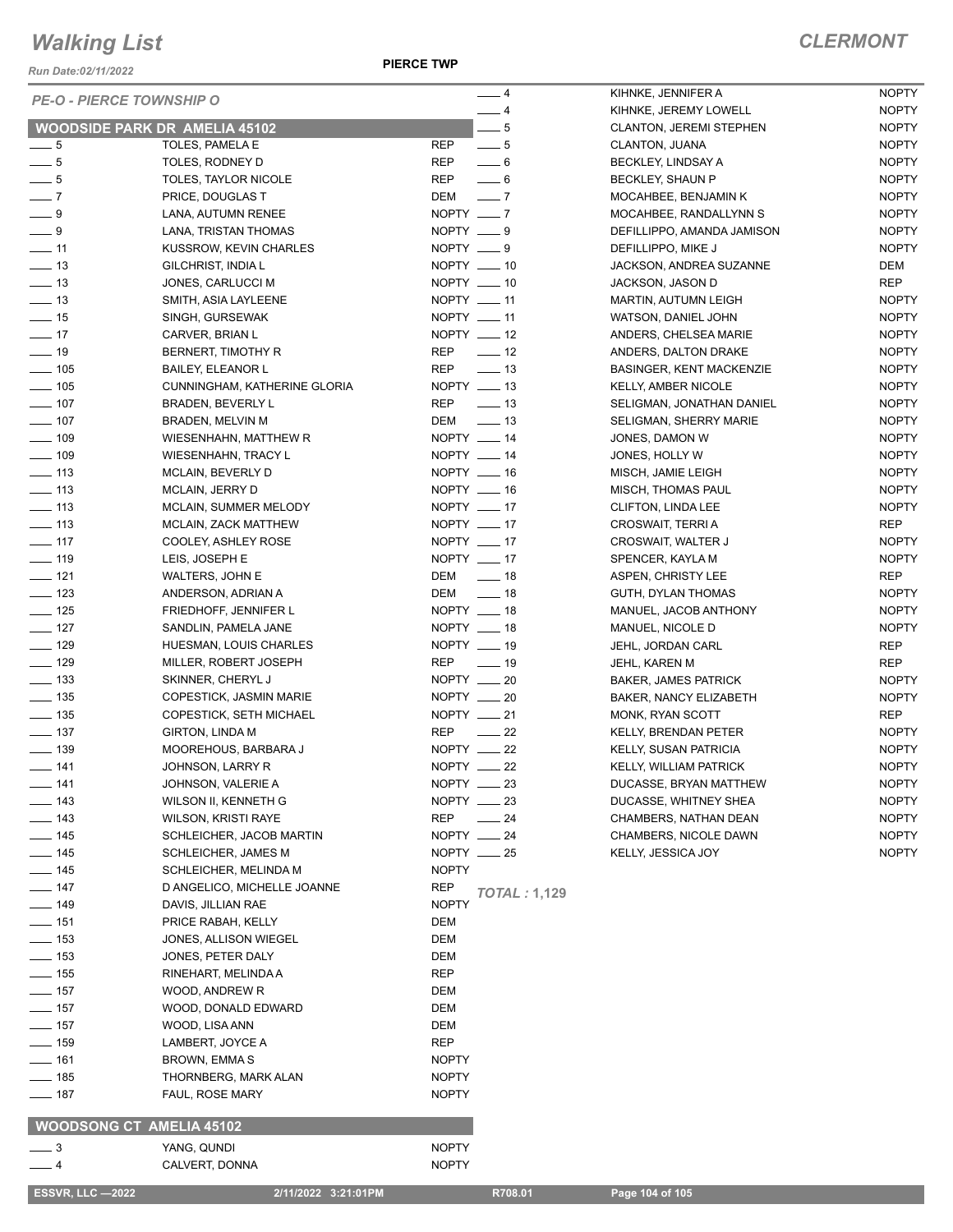*Run Date:02/11/2022*

**PIERCE TWP**

| <b>PE-O - PIERCE TOWNSHIP O</b>      |                                              |                  | $-4$                       | KIHNKE, JENNIFER A              | <b>NOPTY</b> |
|--------------------------------------|----------------------------------------------|------------------|----------------------------|---------------------------------|--------------|
|                                      |                                              |                  | $-4$                       | KIHNKE, JEREMY LOWELL           | <b>NOPTY</b> |
| <b>WOODSIDE PARK DR AMELIA 45102</b> |                                              |                  | $\frac{1}{2}$              | <b>CLANTON, JEREMI STEPHEN</b>  | <b>NOPTY</b> |
| $-5$                                 | TOLES, PAMELA E                              | <b>REP</b>       | $\overline{\phantom{0}}$ 5 | CLANTON, JUANA                  | <b>NOPTY</b> |
| $\frac{1}{2}$ 5                      | TOLES, RODNEY D                              | REP              | $\overline{\phantom{0}}$ 6 | BECKLEY, LINDSAY A              | <b>NOPTY</b> |
| $\frac{1}{2}$ 5                      | <b>TOLES, TAYLOR NICOLE</b>                  | REP              | $-6$                       | BECKLEY, SHAUN P                | <b>NOPTY</b> |
| $\overline{\phantom{0}}$ 7           | PRICE, DOUGLAS T                             | DEM              | $\overline{\phantom{0}}$   | MOCAHBEE, BENJAMIN K            | <b>NOPTY</b> |
| $-9$                                 | LANA, AUTUMN RENEE                           | NOPTY $-7$       |                            | MOCAHBEE, RANDALLYNN S          | <b>NOPTY</b> |
| $\_\_9$                              | LANA, TRISTAN THOMAS                         | NOPTY ___ 9      |                            | DEFILLIPPO, AMANDA JAMISON      | <b>NOPTY</b> |
| $\overline{\phantom{0}}$ 11          | KUSSROW, KEVIN CHARLES                       | NOPTY $-9$       |                            | DEFILLIPPO, MIKE J              | <b>NOPTY</b> |
| $\frac{1}{2}$ 13                     | GILCHRIST, INDIA L                           | NOPTY __ 10      |                            | JACKSON, ANDREA SUZANNE         | DEM          |
| $\frac{1}{2}$ 13                     | JONES, CARLUCCI M                            | NOPTY $\_\_\$ 10 |                            | JACKSON, JASON D                | REP          |
| $\frac{1}{2}$ 13                     | SMITH, ASIA LAYLEENE                         | $NOPTY$ ____ 11  |                            | <b>MARTIN, AUTUMN LEIGH</b>     | <b>NOPTY</b> |
| $\frac{1}{2}$ 15                     | SINGH, GURSEWAK                              | NOPTY __ 11      |                            | WATSON, DANIEL JOHN             | <b>NOPTY</b> |
| $\sim$ 17                            | CARVER, BRIAN L                              | NOPTY __ 12      |                            | ANDERS, CHELSEA MARIE           | <b>NOPTY</b> |
| $\frac{1}{2}$ 19                     | BERNERT, TIMOTHY R                           | REP              | $\frac{1}{2}$              | ANDERS, DALTON DRAKE            | <b>NOPTY</b> |
| $\frac{1}{2}$ 105                    | <b>BAILEY, ELEANOR L</b>                     | REP              | $\frac{1}{2}$ 13           | <b>BASINGER, KENT MACKENZIE</b> | <b>NOPTY</b> |
| $\frac{1}{2}$ 105                    | CUNNINGHAM, KATHERINE GLORIA                 | NOPTY __ 13      |                            | <b>KELLY, AMBER NICOLE</b>      | <b>NOPTY</b> |
| $\frac{1}{2}$ 107                    | BRADEN, BEVERLY L                            | <b>REP</b>       | $\equiv$ 13                | SELIGMAN, JONATHAN DANIEL       | <b>NOPTY</b> |
| $- 107$                              | BRADEN, MELVIN M                             | DEM              | $\frac{1}{2}$ 13           | SELIGMAN, SHERRY MARIE          | <b>NOPTY</b> |
| $- 109$                              | WIESENHAHN, MATTHEW R                        | NOPTY __ 14      |                            | JONES, DAMON W                  | <b>NOPTY</b> |
| $\frac{1}{2}$ 109                    | WIESENHAHN, TRACY L                          | NOPTY __ 14      |                            | JONES, HOLLY W                  | <b>NOPTY</b> |
| $\frac{1}{2}$ 113                    | <b>MCLAIN, BEVERLY D</b>                     | NOPTY __ 16      |                            | MISCH, JAMIE LEIGH              | <b>NOPTY</b> |
| $\frac{1}{2}$ 113                    | <b>MCLAIN, JERRY D</b>                       | NOPTY $- 16$     |                            | MISCH, THOMAS PAUL              | <b>NOPTY</b> |
| $\frac{1}{2}$ 113                    | MCLAIN, SUMMER MELODY                        | NOPTY $-17$      |                            | <b>CLIFTON, LINDA LEE</b>       | <b>NOPTY</b> |
| $\frac{1}{2}$ 113                    | <b>MCLAIN, ZACK MATTHEW</b>                  | NOPTY $-17$      |                            | CROSWAIT, TERRI A               | REP          |
|                                      |                                              | NOPTY __ 17      |                            |                                 |              |
| $- 117$                              | COOLEY, ASHLEY ROSE                          | NOPTY __ 17      |                            | CROSWAIT, WALTER J              | <b>NOPTY</b> |
| $\frac{1}{2}$ 119                    | LEIS, JOSEPH E                               |                  |                            | SPENCER, KAYLA M                | <b>NOPTY</b> |
| $- 121$                              | WALTERS, JOHN E                              | DEM _____ 18     |                            | ASPEN, CHRISTY LEE              | <b>REP</b>   |
| $\frac{1}{2}$ 123                    | ANDERSON, ADRIAN A                           | DEM __ 18        |                            | GUTH, DYLAN THOMAS              | <b>NOPTY</b> |
| $\frac{1}{2}$ 125                    | FRIEDHOFF, JENNIFER L                        | NOPTY __ 18      |                            | MANUEL, JACOB ANTHONY           | <b>NOPTY</b> |
| $\frac{1}{2}$ 127                    | SANDLIN, PAMELA JANE                         | NOPTY $- 18$     |                            | MANUEL, NICOLE D                | <b>NOPTY</b> |
| $\frac{1}{2}$ 129                    | HUESMAN, LOUIS CHARLES                       | NOPTY __ 19      |                            | JEHL, JORDAN CARL               | <b>REP</b>   |
| $\frac{1}{2}$ 129                    | MILLER, ROBERT JOSEPH                        | REP              | $\frac{1}{2}$ 19           | JEHL, KAREN M                   | <b>REP</b>   |
| $\equiv$ 133                         | SKINNER, CHERYL J                            | NOPTY __ 20      |                            | <b>BAKER, JAMES PATRICK</b>     | <b>NOPTY</b> |
| $\frac{1}{2}$ 135                    | COPESTICK, JASMIN MARIE                      | NOPTY __ 20      |                            | BAKER, NANCY ELIZABETH          | <b>NOPTY</b> |
| $\frac{1}{2}$ 135                    | <b>COPESTICK, SETH MICHAEL</b>               | NOPTY $-21$      |                            | <b>MONK, RYAN SCOTT</b>         | <b>REP</b>   |
| $\frac{1}{2}$ 137                    | <b>GIRTON, LINDA M</b>                       | <b>REP</b>       | $\sim$ 22                  | KELLY, BRENDAN PETER            | <b>NOPTY</b> |
| $- 139$                              | MOOREHOUS, BARBARA J                         | NOPTY __ 22      |                            | KELLY, SUSAN PATRICIA           | <b>NOPTY</b> |
| $- 141$                              | JOHNSON, LARRY R                             | $NOPTY$ __ 22    |                            | <b>KELLY, WILLIAM PATRICK</b>   | <b>NOPTY</b> |
| $-$ 141                              | JOHNSON, VALERIE A                           | NOPTY __ 23      |                            | DUCASSE, BRYAN MATTHEW          | <b>NOPTY</b> |
| $-143$                               | WILSON II, KENNETH G                         | $NOPTY$ __ 23    |                            | DUCASSE, WHITNEY SHEA           | <b>NOPTY</b> |
| $\equiv$ 143                         | <b>WILSON, KRISTI RAYE</b>                   | <b>REP</b>       | $\frac{1}{24}$             | CHAMBERS, NATHAN DEAN           | <b>NOPTY</b> |
| $\frac{1}{2}$ 145                    | SCHLEICHER, JACOB MARTIN                     | NOPTY __ 24      |                            | CHAMBERS, NICOLE DAWN           | <b>NOPTY</b> |
| $\frac{1}{145}$                      |                                              | NOPTY $-25$      |                            | KELLY, JESSICA JOY              | <b>NOPTY</b> |
| $- 145$                              | SCHLEICHER, JAMES M<br>SCHLEICHER, MELINDA M | <b>NOPTY</b>     |                            |                                 |              |
|                                      |                                              |                  |                            |                                 |              |
| $- 147$                              | D ANGELICO, MICHELLE JOANNE                  | REP              | <b>TOTAL: 1,129</b>        |                                 |              |
| $\frac{1}{2}$ 149                    | DAVIS, JILLIAN RAE                           | <b>NOPTY</b>     |                            |                                 |              |
| $- 151$                              | PRICE RABAH, KELLY                           | DEM              |                            |                                 |              |
| $\frac{1}{2}$ 153                    | JONES, ALLISON WIEGEL                        | DEM              |                            |                                 |              |
| $\frac{1}{2}$ 153                    | JONES, PETER DALY                            | DEM              |                            |                                 |              |
| $\frac{1}{2}$ 155                    | RINEHART, MELINDA A                          | <b>REP</b>       |                            |                                 |              |
| $\frac{1}{2}$ 157                    | WOOD, ANDREW R                               | DEM              |                            |                                 |              |
| $- 157$                              | WOOD, DONALD EDWARD                          | <b>DEM</b>       |                            |                                 |              |
| — 157                                | WOOD, LISA ANN                               | DEM              |                            |                                 |              |
| $\frac{1}{2}$ 159                    | LAMBERT, JOYCE A                             | <b>REP</b>       |                            |                                 |              |
| $- 161$                              | BROWN, EMMA S                                | <b>NOPTY</b>     |                            |                                 |              |
| $- 185$                              | THORNBERG, MARK ALAN                         | <b>NOPTY</b>     |                            |                                 |              |
| $- 187$                              | FAUL, ROSE MARY                              | <b>NOPTY</b>     |                            |                                 |              |
|                                      |                                              |                  |                            |                                 |              |
| <b>WOODSONG CT AMELIA 45102</b>      |                                              |                  |                            |                                 |              |
| $\equiv$ 3                           | YANG, QUNDI                                  | <b>NOPTY</b>     |                            |                                 |              |
| $-4$                                 | CALVERT, DONNA                               | <b>NOPTY</b>     |                            |                                 |              |
|                                      |                                              |                  |                            |                                 |              |
| <b>ESSVR, LLC -2022</b>              | 2/11/2022 3:21:01PM                          |                  | R708.01                    | Page 104 of 105                 |              |